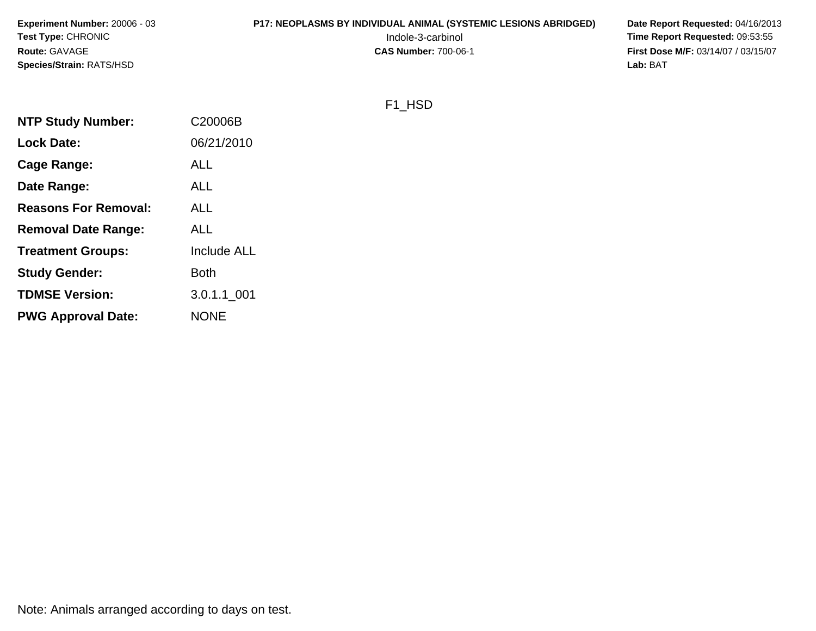#### **P17: NEOPLASMS BY INDIVIDUAL ANIMAL (SYSTEMIC LESIONS ABRIDGED)** Date Report Requested: 04/16/2013<br>Indole-3-carbinol **Time Report Requested:** 09:53:55

 Indole-3-carbinol **Time Report Requested:** 09:53:55 **First Dose M/F:** 03/14/07 / 03/15/07<br>Lab: BAT **Lab:** BAT

#### F1\_HSD

| <b>NTP Study Number:</b>    | C20006B            |
|-----------------------------|--------------------|
| <b>Lock Date:</b>           | 06/21/2010         |
| Cage Range:                 | <b>ALL</b>         |
| Date Range:                 | <b>ALL</b>         |
| <b>Reasons For Removal:</b> | ALL                |
| <b>Removal Date Range:</b>  | <b>ALL</b>         |
| <b>Treatment Groups:</b>    | <b>Include ALL</b> |
| <b>Study Gender:</b>        | Both               |
| <b>TDMSE Version:</b>       | 3.0.1.1 001        |
| <b>PWG Approval Date:</b>   | <b>NONE</b>        |

Note: Animals arranged according to days on test.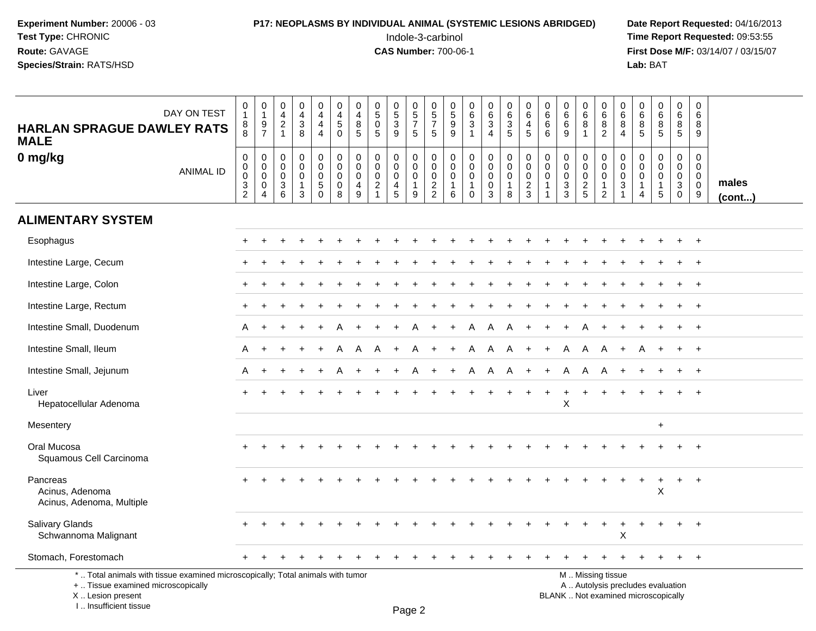## **P17: NEOPLASMS BY INDIVIDUAL ANIMAL (SYSTEMIC LESIONS ABRIDGED)** Date Report Requested: 04/16/2013<br>Indole-3-carbinol **Time Report Requested:** 09:53:55

 Indole-3-carbinol **Time Report Requested:** 09:53:55 **First Dose M/F:** 03/14/07 / 03/15/07<br>Lab: BAT **Lab:** BAT

| <b>HARLAN SPRAGUE DAWLEY RATS</b><br><b>MALE</b>                                                                                                                   | DAY ON TEST      | $\mathbf 0$<br>$\overline{1}$<br>8<br>$\,8\,$                 | $\mathbf 0$<br>$\overline{1}$<br>9<br>$\overline{7}$ | $\pmb{0}$<br>$\overline{4}$<br>$\overline{2}$<br>$\mathbf{1}$ | 0<br>4<br>3<br>8                          | $\pmb{0}$<br>$\overline{4}$<br>$\overline{4}$<br>$\overline{4}$        | 0<br>$\overline{4}$<br>$\sqrt{5}$<br>$\mathbf 0$          | $\mathbf 0$<br>$\overline{4}$<br>8<br>$\sqrt{5}$                       | $\mathbf 0$<br>$\overline{5}$<br>$\mathbf 0$<br>5          | $\begin{array}{c} 0 \\ 5 \end{array}$<br>$\sqrt{3}$<br>9            | 0<br>$\overline{5}$<br>$\overline{7}$<br>$\sqrt{5}$                | 0<br>$\overline{5}$<br>$\overline{7}$<br>5       | 0<br>$\overline{5}$<br>$\boldsymbol{9}$<br>9 | $\begin{array}{c} 0 \\ 6 \end{array}$<br>$\mathbf{3}$<br>$\mathbf 1$  | $\mathbf 0$<br>$6^{\circ}$<br>3<br>$\overline{4}$ | $\pmb{0}$<br>$6\phantom{a}$<br>$\sqrt{3}$<br>$\overline{5}$  | $\mathbf 0$<br>6<br>$\overline{4}$<br>5 | $\mathbf 0$<br>$6\phantom{1}6$<br>6<br>6                           | 0<br>$6\overline{6}$<br>$\,6\,$<br>9      | $\mathbf 0$<br>$\overline{6}$<br>8<br>$\mathbf{1}$ | 0<br>$6\overline{6}$<br>8<br>$\overline{2}$         | 0<br>6<br>8<br>4                             | $\mathbf 0$<br>$\overline{6}$<br>$\,8\,$<br>$\sqrt{5}$                      | $\pmb{0}$<br>$\overline{6}$<br>$\bf8$<br>$\overline{5}$                    | $\mathbf 0$<br>6<br>8<br>$\overline{5}$                                 | $\pmb{0}$<br>6<br>8<br>9                            |                       |
|--------------------------------------------------------------------------------------------------------------------------------------------------------------------|------------------|---------------------------------------------------------------|------------------------------------------------------|---------------------------------------------------------------|-------------------------------------------|------------------------------------------------------------------------|-----------------------------------------------------------|------------------------------------------------------------------------|------------------------------------------------------------|---------------------------------------------------------------------|--------------------------------------------------------------------|--------------------------------------------------|----------------------------------------------|-----------------------------------------------------------------------|---------------------------------------------------|--------------------------------------------------------------|-----------------------------------------|--------------------------------------------------------------------|-------------------------------------------|----------------------------------------------------|-----------------------------------------------------|----------------------------------------------|-----------------------------------------------------------------------------|----------------------------------------------------------------------------|-------------------------------------------------------------------------|-----------------------------------------------------|-----------------------|
| 0 mg/kg                                                                                                                                                            | <b>ANIMAL ID</b> | $\boldsymbol{0}$<br>$\mathbf 0$<br>$\pmb{0}$<br>$\frac{3}{2}$ | $\mathbf 0$<br>$\mathbf 0$<br>0<br>$\mathbf 0$<br>4  | $\mathbf 0$<br>$\mathbf 0$<br>0<br>$\sqrt{3}$<br>6            | 0<br>$\mathbf 0$<br>0<br>$\mathbf 1$<br>3 | $\pmb{0}$<br>$\mathbf 0$<br>$\mathbf 0$<br>$\overline{5}$ <sup>0</sup> | $\pmb{0}$<br>$\mathbf 0$<br>$\mathbf 0$<br>$\pmb{0}$<br>8 | $\pmb{0}$<br>$\mathbf 0$<br>0<br>$\begin{array}{c} 4 \\ 9 \end{array}$ | $\pmb{0}$<br>$\Omega$<br>0<br>$\sqrt{2}$<br>$\overline{1}$ | 0<br>$\mathbf 0$<br>$\mathbf 0$<br>$\overline{4}$<br>$\overline{5}$ | $\mathbf 0$<br>$\mathbf 0$<br>$\mathbf 0$<br>$\mathbf{1}$<br>$9\,$ | $\mathbf 0$<br>$\mathbf 0$<br>0<br>$\frac{2}{2}$ | 0<br>$\Omega$<br>0<br>$\mathbf{1}$<br>6      | $\mathbf 0$<br>$\mathbf 0$<br>$\mathbf 0$<br>$\mathbf{1}$<br>$\Omega$ | 0<br>$\mathbf 0$<br>0<br>0<br>3                   | $\pmb{0}$<br>$\mathbf 0$<br>$\mathbf 0$<br>$\mathbf{1}$<br>8 | 0<br>$\Omega$<br>0<br>$\frac{2}{3}$     | $\mathbf 0$<br>$\mathbf{0}$<br>0<br>$\mathbf{1}$<br>$\overline{1}$ | 0<br>$\mathbf 0$<br>$\mathbf 0$<br>3<br>3 | 0<br>$\mathbf 0$<br>$\mathbf 0$<br>$rac{2}{5}$     | 0<br>$\Omega$<br>0<br>$\mathbf 1$<br>$\overline{2}$ | 0<br>$\mathbf 0$<br>0<br>3<br>$\overline{1}$ | $\mathbf 0$<br>$\mathbf 0$<br>$\mathbf 0$<br>$\mathbf{1}$<br>$\overline{4}$ | $\mathbf 0$<br>$\mathbf 0$<br>$\mathbf 0$<br>$\overline{1}$<br>$\,$ 5 $\,$ | $\mathbf 0$<br>$\mathbf{0}$<br>$\mathbf{0}$<br>$\mathbf{3}$<br>$\Omega$ | 0<br>$\mathbf 0$<br>$\mathbf 0$<br>$\mathbf 0$<br>9 | males<br>$($ cont $)$ |
| <b>ALIMENTARY SYSTEM</b>                                                                                                                                           |                  |                                                               |                                                      |                                                               |                                           |                                                                        |                                                           |                                                                        |                                                            |                                                                     |                                                                    |                                                  |                                              |                                                                       |                                                   |                                                              |                                         |                                                                    |                                           |                                                    |                                                     |                                              |                                                                             |                                                                            |                                                                         |                                                     |                       |
| Esophagus                                                                                                                                                          |                  |                                                               |                                                      |                                                               |                                           |                                                                        |                                                           |                                                                        |                                                            |                                                                     |                                                                    |                                                  |                                              |                                                                       |                                                   |                                                              |                                         |                                                                    |                                           |                                                    |                                                     |                                              |                                                                             |                                                                            |                                                                         | $\ddot{}$                                           |                       |
| Intestine Large, Cecum                                                                                                                                             |                  |                                                               |                                                      |                                                               |                                           |                                                                        |                                                           |                                                                        |                                                            |                                                                     |                                                                    |                                                  |                                              |                                                                       |                                                   |                                                              |                                         |                                                                    |                                           |                                                    |                                                     |                                              |                                                                             |                                                                            |                                                                         |                                                     |                       |
| Intestine Large, Colon                                                                                                                                             |                  |                                                               |                                                      |                                                               |                                           |                                                                        |                                                           |                                                                        |                                                            |                                                                     |                                                                    |                                                  |                                              |                                                                       |                                                   |                                                              |                                         |                                                                    |                                           |                                                    |                                                     |                                              |                                                                             |                                                                            |                                                                         | $+$                                                 |                       |
| Intestine Large, Rectum                                                                                                                                            |                  |                                                               |                                                      |                                                               |                                           |                                                                        |                                                           |                                                                        |                                                            |                                                                     |                                                                    |                                                  |                                              |                                                                       |                                                   |                                                              |                                         |                                                                    |                                           |                                                    |                                                     |                                              |                                                                             |                                                                            | $\ddot{}$                                                               | $\overline{+}$                                      |                       |
| Intestine Small, Duodenum                                                                                                                                          |                  | A                                                             |                                                      |                                                               |                                           |                                                                        |                                                           |                                                                        |                                                            |                                                                     |                                                                    |                                                  |                                              | A                                                                     | A                                                 | A                                                            |                                         |                                                                    |                                           |                                                    |                                                     |                                              |                                                                             |                                                                            | $\ddot{}$                                                               | $+$                                                 |                       |
| Intestine Small, Ileum                                                                                                                                             |                  | A                                                             | $\ddot{}$                                            |                                                               |                                           |                                                                        | A                                                         | A                                                                      | A                                                          | $\ddot{}$                                                           |                                                                    | $\ddot{}$                                        | $\ddot{}$                                    | A                                                                     | A                                                 | A                                                            | $+$                                     | $\ddot{}$                                                          | Α                                         | A                                                  | A                                                   | $+$                                          | A                                                                           | $\overline{+}$                                                             | $\ddot{}$                                                               | $+$                                                 |                       |
| Intestine Small, Jejunum                                                                                                                                           |                  | A                                                             |                                                      |                                                               |                                           |                                                                        |                                                           |                                                                        |                                                            |                                                                     |                                                                    |                                                  |                                              | A                                                                     | A                                                 | A                                                            | $\ddot{}$                               |                                                                    | A                                         | A                                                  | A                                                   |                                              |                                                                             |                                                                            |                                                                         | $+$                                                 |                       |
| Liver<br>Hepatocellular Adenoma                                                                                                                                    |                  |                                                               |                                                      |                                                               |                                           |                                                                        |                                                           |                                                                        |                                                            |                                                                     |                                                                    |                                                  |                                              |                                                                       |                                                   |                                                              |                                         |                                                                    | $\ddot{}$<br>X                            |                                                    |                                                     |                                              |                                                                             |                                                                            |                                                                         |                                                     |                       |
| Mesentery                                                                                                                                                          |                  |                                                               |                                                      |                                                               |                                           |                                                                        |                                                           |                                                                        |                                                            |                                                                     |                                                                    |                                                  |                                              |                                                                       |                                                   |                                                              |                                         |                                                                    |                                           |                                                    |                                                     |                                              |                                                                             | $\ddot{}$                                                                  |                                                                         |                                                     |                       |
| Oral Mucosa<br>Squamous Cell Carcinoma                                                                                                                             |                  |                                                               |                                                      |                                                               |                                           |                                                                        |                                                           |                                                                        |                                                            |                                                                     |                                                                    |                                                  |                                              |                                                                       |                                                   |                                                              |                                         |                                                                    |                                           |                                                    |                                                     |                                              |                                                                             |                                                                            |                                                                         |                                                     |                       |
| Pancreas<br>Acinus, Adenoma<br>Acinus, Adenoma, Multiple                                                                                                           |                  |                                                               |                                                      |                                                               |                                           |                                                                        |                                                           |                                                                        |                                                            |                                                                     |                                                                    |                                                  |                                              |                                                                       |                                                   |                                                              |                                         |                                                                    |                                           |                                                    |                                                     |                                              |                                                                             | $\boldsymbol{\mathsf{X}}$                                                  |                                                                         | $\overline{+}$                                      |                       |
| Salivary Glands<br>Schwannoma Malignant                                                                                                                            |                  |                                                               |                                                      |                                                               |                                           |                                                                        |                                                           |                                                                        |                                                            |                                                                     |                                                                    |                                                  |                                              |                                                                       |                                                   |                                                              |                                         |                                                                    |                                           |                                                    |                                                     | X                                            |                                                                             |                                                                            |                                                                         | $\div$                                              |                       |
| Stomach, Forestomach                                                                                                                                               |                  |                                                               |                                                      |                                                               |                                           |                                                                        |                                                           |                                                                        |                                                            |                                                                     |                                                                    |                                                  |                                              |                                                                       |                                                   |                                                              |                                         |                                                                    |                                           |                                                    |                                                     |                                              |                                                                             |                                                                            |                                                                         | $+$                                                 |                       |
| *  Total animals with tissue examined microscopically; Total animals with tumor<br>+  Tissue examined microscopically<br>X Lesion present<br>I Insufficient tissue |                  |                                                               |                                                      |                                                               |                                           |                                                                        |                                                           |                                                                        |                                                            |                                                                     | $D_{200}$                                                          |                                                  |                                              |                                                                       |                                                   |                                                              |                                         |                                                                    |                                           |                                                    | M  Missing tissue                                   |                                              | A  Autolysis precludes evaluation<br>BLANK  Not examined microscopically    |                                                                            |                                                                         |                                                     |                       |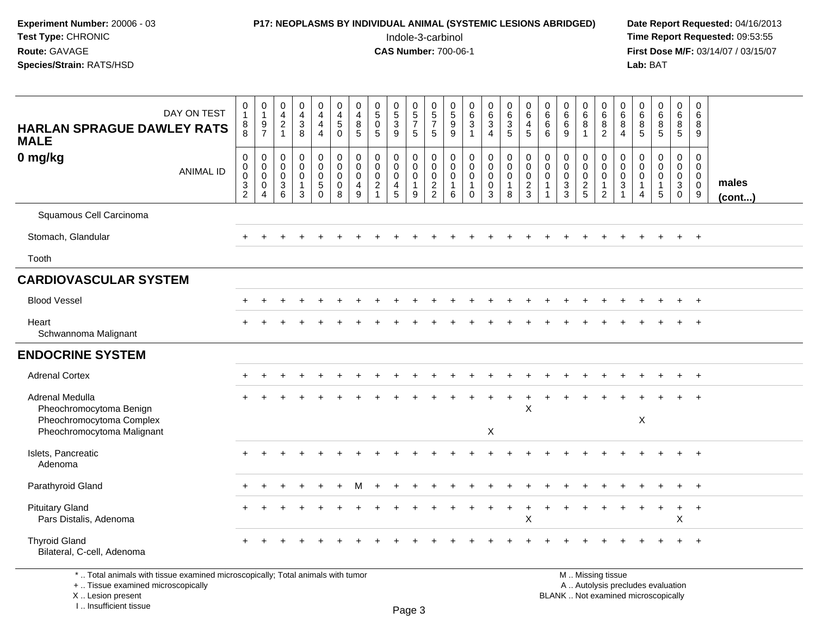## **P17: NEOPLASMS BY INDIVIDUAL ANIMAL (SYSTEMIC LESIONS ABRIDGED)** Date Report Requested: 04/16/2013<br>Indole-3-carbinol **Time Report Requested:** 09:53:55

 Indole-3-carbinol **Time Report Requested:** 09:53:55 **First Dose M/F:** 03/14/07 / 03/15/07<br>**Lab:** BAT

| <b>HARLAN SPRAGUE DAWLEY RATS</b><br><b>MALE</b>                                                                      | DAY ON TEST      | $\pmb{0}$<br>$\mathbf{1}$<br>8<br>8                    | $\begin{array}{c} 0 \\ 1 \\ 9 \\ 7 \end{array}$                                         | $\begin{bmatrix} 0 \\ 4 \\ 2 \\ 1 \end{bmatrix}$           | $\begin{smallmatrix}0\0\4\end{smallmatrix}$<br>$\mathbf{3}$<br>8 | $\begin{smallmatrix}0\0\4\end{smallmatrix}$<br>$\overline{4}$<br>$\overline{4}$  | $\pmb{0}$<br>$\frac{4}{5}$<br>$\mathbf 0$                             | $\pmb{0}$<br>$\overline{\mathbf{4}}$<br>8<br>5 | $\begin{array}{c} 0 \\ 5 \end{array}$<br>$\overline{0}$<br>5 | $\begin{smallmatrix}0\5\3\end{smallmatrix}$<br>9         | $\begin{matrix} 0 \\ 5 \end{matrix}$<br>$\overline{7}$<br>$\sqrt{5}$ | 0<br>$\frac{5}{7}$<br>$5\phantom{.0}$            | $\begin{array}{c} 0 \\ 5 \\ 9 \end{array}$<br>9  | $\begin{matrix} 0 \\ 6 \\ 3 \end{matrix}$<br>$\mathbf{1}$ | $\begin{array}{c} 0 \\ 6 \end{array}$<br>$\overline{3}$<br>$\overline{4}$        | $\begin{array}{c} 0 \\ 6 \end{array}$<br>$\overline{3}$<br>$\sqrt{5}$ | 0<br>6<br>$\overline{4}$<br>5                              | $\pmb{0}$<br>$\frac{6}{6}$<br>$6\phantom{a}$ | $\begin{array}{c} 0 \\ 6 \end{array}$<br>$6\overline{6}$<br>9 | $\begin{array}{c} 0 \\ 6 \\ 8 \end{array}$<br>$\mathbf{1}$ | $\pmb{0}$<br>$\,6\,$<br>$\, 8$<br>$\overline{2}$                            | $\mathbf 0$<br>$\,6$<br>$\,8\,$<br>$\overline{4}$ | $\begin{matrix} 0 \\ 6 \\ 8 \end{matrix}$<br>5                    | $\begin{array}{c} 0 \\ 6 \\ 8 \end{array}$<br>$\overline{5}$ | $_{6}^{\rm 0}$<br>$\overline{8}$<br>$\overline{5}$                   | $\pmb{0}$<br>$\,6\,$<br>8<br>9                                |                       |
|-----------------------------------------------------------------------------------------------------------------------|------------------|--------------------------------------------------------|-----------------------------------------------------------------------------------------|------------------------------------------------------------|------------------------------------------------------------------|----------------------------------------------------------------------------------|-----------------------------------------------------------------------|------------------------------------------------|--------------------------------------------------------------|----------------------------------------------------------|----------------------------------------------------------------------|--------------------------------------------------|--------------------------------------------------|-----------------------------------------------------------|----------------------------------------------------------------------------------|-----------------------------------------------------------------------|------------------------------------------------------------|----------------------------------------------|---------------------------------------------------------------|------------------------------------------------------------|-----------------------------------------------------------------------------|---------------------------------------------------|-------------------------------------------------------------------|--------------------------------------------------------------|----------------------------------------------------------------------|---------------------------------------------------------------|-----------------------|
| 0 mg/kg                                                                                                               | <b>ANIMAL ID</b> | $\pmb{0}$<br>$\pmb{0}$<br>$\mathbf 0$<br>$\frac{3}{2}$ | $\mathbf 0$<br>$\mathbf 0$<br>$\mathsf{O}\xspace$<br>$\boldsymbol{0}$<br>$\overline{4}$ | $\mathbf 0$<br>$\mathbf 0$<br>$\mathbf 0$<br>$\frac{3}{6}$ | 0<br>$\mathbf 0$<br>$\mathbf 0$<br>1<br>$\mathbf{3}$             | $\pmb{0}$<br>$\mathsf{O}\xspace$<br>$\overline{0}$<br>$\overline{5}$<br>$\Omega$ | $\mathsf{O}\xspace$<br>$\mathbf 0$<br>$\mathbf 0$<br>$\mathbf 0$<br>8 | 0<br>$\mathbf 0$<br>$\mathbf 0$<br>4<br>9      | $\mathbf 0$<br>$\mathbf 0$<br>$\mathbf 0$<br>$\frac{2}{1}$   | $\mathbf 0$<br>$\mathbf 0$<br>$\pmb{0}$<br>$\frac{4}{5}$ | $\mathbf 0$<br>$\mathbf 0$<br>$\mathbf 0$<br>$\mathbf{1}$<br>9       | 0<br>$\mathbf 0$<br>$\mathbf 0$<br>$\frac{2}{2}$ | $\pmb{0}$<br>$\pmb{0}$<br>0<br>$\mathbf{1}$<br>6 | $\pmb{0}$<br>$\pmb{0}$<br>$\overline{0}$<br>1<br>$\Omega$ | $\mathbf 0$<br>$\mathsf{O}\xspace$<br>$\mathbf 0$<br>$\pmb{0}$<br>$\overline{3}$ | $\pmb{0}$<br>$\mathbf 0$<br>$\ddot{\mathbf{0}}$<br>$\mathbf{1}$<br>8  | $\mathbf 0$<br>$\mathbf 0$<br>$\mathbf 0$<br>$\frac{2}{3}$ | $\mathbf 0$<br>$\mathbf 0$<br>$\Omega$       | 0<br>$\mathbf 0$<br>$\pmb{0}$<br>$\frac{3}{3}$                | $\mathbf 0$<br>$\mathbf 0$<br>$\pmb{0}$<br>$\frac{2}{5}$   | $\mathbf 0$<br>$\mathbf 0$<br>$\mathbf 0$<br>$\mathbf{1}$<br>$\overline{2}$ | 0<br>$\mathbf 0$<br>$\mathbf 0$<br>$\sqrt{3}$     | 0<br>$\mathbf 0$<br>$\mathbf 0$<br>$\mathbf{1}$<br>$\overline{4}$ | 0<br>$\overline{0}$<br>$\overline{0}$<br>$\mathbf{1}$<br>5   | 0<br>$\overline{0}$<br>$\overline{0}$<br>$\mathbf{3}$<br>$\mathbf 0$ | $\mathbf 0$<br>$\mathbf 0$<br>$\mathbf 0$<br>$\mathbf 0$<br>9 | males<br>$($ cont $)$ |
| Squamous Cell Carcinoma                                                                                               |                  |                                                        |                                                                                         |                                                            |                                                                  |                                                                                  |                                                                       |                                                |                                                              |                                                          |                                                                      |                                                  |                                                  |                                                           |                                                                                  |                                                                       |                                                            |                                              |                                                               |                                                            |                                                                             |                                                   |                                                                   |                                                              |                                                                      |                                                               |                       |
| Stomach, Glandular                                                                                                    |                  |                                                        |                                                                                         |                                                            |                                                                  |                                                                                  |                                                                       |                                                |                                                              |                                                          |                                                                      |                                                  |                                                  |                                                           |                                                                                  |                                                                       |                                                            |                                              |                                                               |                                                            |                                                                             |                                                   |                                                                   |                                                              | $\ddot{}$                                                            | $+$                                                           |                       |
| Tooth                                                                                                                 |                  |                                                        |                                                                                         |                                                            |                                                                  |                                                                                  |                                                                       |                                                |                                                              |                                                          |                                                                      |                                                  |                                                  |                                                           |                                                                                  |                                                                       |                                                            |                                              |                                                               |                                                            |                                                                             |                                                   |                                                                   |                                                              |                                                                      |                                                               |                       |
| <b>CARDIOVASCULAR SYSTEM</b>                                                                                          |                  |                                                        |                                                                                         |                                                            |                                                                  |                                                                                  |                                                                       |                                                |                                                              |                                                          |                                                                      |                                                  |                                                  |                                                           |                                                                                  |                                                                       |                                                            |                                              |                                                               |                                                            |                                                                             |                                                   |                                                                   |                                                              |                                                                      |                                                               |                       |
| <b>Blood Vessel</b>                                                                                                   |                  |                                                        |                                                                                         |                                                            |                                                                  |                                                                                  |                                                                       |                                                |                                                              |                                                          |                                                                      |                                                  |                                                  |                                                           |                                                                                  |                                                                       |                                                            |                                              |                                                               |                                                            |                                                                             |                                                   |                                                                   |                                                              |                                                                      |                                                               |                       |
| Heart<br>Schwannoma Malignant                                                                                         |                  |                                                        |                                                                                         |                                                            |                                                                  |                                                                                  |                                                                       |                                                |                                                              |                                                          |                                                                      |                                                  |                                                  |                                                           |                                                                                  |                                                                       |                                                            |                                              |                                                               |                                                            |                                                                             |                                                   |                                                                   |                                                              |                                                                      |                                                               |                       |
| <b>ENDOCRINE SYSTEM</b>                                                                                               |                  |                                                        |                                                                                         |                                                            |                                                                  |                                                                                  |                                                                       |                                                |                                                              |                                                          |                                                                      |                                                  |                                                  |                                                           |                                                                                  |                                                                       |                                                            |                                              |                                                               |                                                            |                                                                             |                                                   |                                                                   |                                                              |                                                                      |                                                               |                       |
| <b>Adrenal Cortex</b>                                                                                                 |                  |                                                        |                                                                                         |                                                            |                                                                  |                                                                                  |                                                                       |                                                |                                                              |                                                          |                                                                      |                                                  |                                                  |                                                           |                                                                                  |                                                                       |                                                            |                                              |                                                               |                                                            |                                                                             |                                                   |                                                                   |                                                              |                                                                      | $\overline{ }$                                                |                       |
| Adrenal Medulla<br>Pheochromocytoma Benign<br>Pheochromocytoma Complex<br>Pheochromocytoma Malignant                  |                  |                                                        |                                                                                         |                                                            |                                                                  |                                                                                  |                                                                       |                                                |                                                              |                                                          |                                                                      |                                                  |                                                  |                                                           | $\boldsymbol{\mathsf{X}}$                                                        | $+$                                                                   | $\ddot{}$<br>X                                             |                                              |                                                               |                                                            |                                                                             |                                                   | $\boldsymbol{\mathsf{X}}$                                         |                                                              |                                                                      |                                                               |                       |
| Islets, Pancreatic<br>Adenoma                                                                                         |                  |                                                        |                                                                                         |                                                            |                                                                  |                                                                                  |                                                                       |                                                |                                                              |                                                          |                                                                      |                                                  |                                                  |                                                           |                                                                                  |                                                                       |                                                            |                                              |                                                               |                                                            |                                                                             |                                                   |                                                                   |                                                              |                                                                      |                                                               |                       |
| Parathyroid Gland                                                                                                     |                  |                                                        |                                                                                         |                                                            |                                                                  |                                                                                  |                                                                       |                                                |                                                              |                                                          |                                                                      |                                                  |                                                  |                                                           |                                                                                  |                                                                       |                                                            |                                              |                                                               |                                                            |                                                                             |                                                   |                                                                   |                                                              |                                                                      | $\ddot{}$                                                     |                       |
| <b>Pituitary Gland</b><br>Pars Distalis, Adenoma                                                                      |                  |                                                        |                                                                                         |                                                            |                                                                  |                                                                                  |                                                                       |                                                |                                                              |                                                          |                                                                      |                                                  |                                                  |                                                           |                                                                                  |                                                                       | X                                                          |                                              |                                                               |                                                            |                                                                             |                                                   |                                                                   |                                                              | $\ddot{}$<br>$\mathsf X$                                             | $+$                                                           |                       |
| <b>Thyroid Gland</b><br>Bilateral, C-cell, Adenoma                                                                    |                  |                                                        |                                                                                         |                                                            |                                                                  |                                                                                  |                                                                       |                                                |                                                              |                                                          |                                                                      |                                                  |                                                  |                                                           |                                                                                  |                                                                       |                                                            |                                              |                                                               |                                                            |                                                                             |                                                   |                                                                   |                                                              |                                                                      | $+$                                                           |                       |
| *  Total animals with tissue examined microscopically; Total animals with tumor<br>+  Tissue examined microscopically |                  |                                                        |                                                                                         |                                                            |                                                                  |                                                                                  |                                                                       |                                                |                                                              |                                                          |                                                                      |                                                  |                                                  |                                                           |                                                                                  |                                                                       |                                                            |                                              |                                                               |                                                            | M  Missing tissue<br>A  Autolysis precludes evaluation                      |                                                   |                                                                   |                                                              |                                                                      |                                                               |                       |

 Lesion present BLANK .. Not examined microscopicallyX .. Lesion present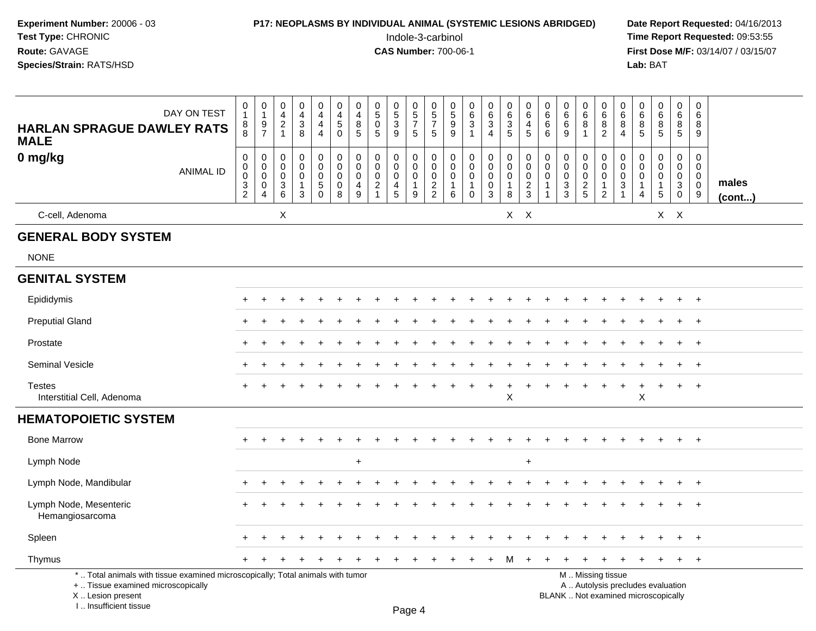| Experiment Number: 20006 - 03<br>Test Type: CHRONIC<br>Route: GAVAGE<br>Species/Strain: RATS/HSD |   |   |                |        |             |                            |                  |                       |                  |                                                              | Indole-3-carbinol<br><b>CAS Number: 700-06-1</b> |                                                           |                                       |        |             | P17: NEOPLASMS BY INDIVIDUAL ANIMAL (SYSTEMIC LESIONS ABRIDGED) |             |             |             |                  |                  | <b>Date Repo</b><br><b>Time Repo</b><br><b>First Dose</b><br>Lab: BAT |             |
|--------------------------------------------------------------------------------------------------|---|---|----------------|--------|-------------|----------------------------|------------------|-----------------------|------------------|--------------------------------------------------------------|--------------------------------------------------|-----------------------------------------------------------|---------------------------------------|--------|-------------|-----------------------------------------------------------------|-------------|-------------|-------------|------------------|------------------|-----------------------------------------------------------------------|-------------|
| DAY ON TEST<br><b>HARLAN SPRAGUE DAWLEY RATS</b><br><b>MALE</b>                                  | 8 | 9 | $\overline{2}$ | 3<br>8 | 4<br>4<br>4 | 0<br>4<br>$5^{\circ}$<br>0 | 0<br>4<br>8<br>5 | 5<br>$\mathbf 0$<br>5 | 0<br>5<br>3<br>9 | $\begin{array}{c} 0 \\ 5 \end{array}$<br>$\overline{ }$<br>5 | 0<br>$\overline{5}$<br>-<br>5                    | $\begin{array}{c} 0 \\ 5 \end{array}$<br>$\mathsf g$<br>9 | 0<br>$\overline{6}$<br>$\overline{3}$ | 6<br>3 | 6<br>3<br>5 | 6<br>4<br>5                                                     | 6<br>6<br>6 | 6<br>6<br>9 | 0<br>6<br>8 | 0<br>6<br>8<br>2 | 0<br>6<br>8<br>4 | 6<br>8<br>5                                                           | 6<br>8<br>5 |

**Prt Requested: 04/16/2013** ort Requested: 09:53:55 **M/F: 03/14/07 / 03/15/07** 

| DAY ON TEST<br><b>HARLAN SPRAGUE DAWLEY RATS</b>                                                                                           | 0<br>$\mathbf{1}$<br>8<br>$\overline{8}$                      | 0<br>$\mathbf{1}$<br>$\frac{9}{7}$                           | 0<br>$\overline{\mathbf{4}}$<br>$\overline{c}$<br>$\mathbf{1}$    | 0<br>$\overline{\mathbf{4}}$<br>$\ensuremath{\mathsf{3}}$<br>8         | 0<br>$\overline{4}$<br>$\overline{4}$<br>$\overline{4}$           | 0<br>4<br>5<br>$\mathbf 0$                | 0<br>$\overline{4}$<br>$\bf 8$<br>5               | 0<br>$\overline{5}$<br>$\pmb{0}$<br>5             | $\frac{0}{5}$<br>$\mathbf{3}$<br>$\overline{9}$                          | $\begin{array}{c} 0 \\ 5 \\ 7 \end{array}$<br>$\sqrt{5}$       | 0<br>$\overline{5}$<br>$\overline{7}$<br>$\sqrt{5}$ | 0<br>$\overline{5}$<br>$9\,$<br>9                                   | 0<br>$6\phantom{a}$<br>3<br>$\mathbf{1}$            | 0<br>$6\phantom{a}$<br>$\mathbf{3}$<br>$\overline{4}$        | 0<br>$6\phantom{a}$<br>3<br>5                        | 0<br>$\,6\,$<br>$\overline{4}$<br>5            | 0<br>$6\phantom{a}$<br>$\,6\,$<br>6     | 0<br>$\,6$<br>$\,6\,$<br>9                                    | 0<br>$\,6\,$<br>$\bf 8$<br>$\mathbf{1}$                | 0<br>$\,6$<br>8<br>$\overline{c}$                                                             | 0<br>$\,6\,$<br>8<br>4                                      | 0<br>$\overline{6}$<br>8<br>5 | 0<br>$\,6\,$<br>$\begin{array}{c} 8 \\ 5 \end{array}$   | 0<br>6<br>$\bf 8$<br>$\sqrt{5}$                                                       | 0<br>6<br>8<br>9                                               |                |
|--------------------------------------------------------------------------------------------------------------------------------------------|---------------------------------------------------------------|--------------------------------------------------------------|-------------------------------------------------------------------|------------------------------------------------------------------------|-------------------------------------------------------------------|-------------------------------------------|---------------------------------------------------|---------------------------------------------------|--------------------------------------------------------------------------|----------------------------------------------------------------|-----------------------------------------------------|---------------------------------------------------------------------|-----------------------------------------------------|--------------------------------------------------------------|------------------------------------------------------|------------------------------------------------|-----------------------------------------|---------------------------------------------------------------|--------------------------------------------------------|-----------------------------------------------------------------------------------------------|-------------------------------------------------------------|-------------------------------|---------------------------------------------------------|---------------------------------------------------------------------------------------|----------------------------------------------------------------|----------------|
| <b>MALE</b>                                                                                                                                |                                                               |                                                              |                                                                   |                                                                        |                                                                   |                                           |                                                   |                                                   |                                                                          |                                                                |                                                     |                                                                     |                                                     |                                                              |                                                      |                                                |                                         |                                                               |                                                        |                                                                                               |                                                             |                               |                                                         |                                                                                       |                                                                |                |
| 0 mg/kg<br><b>ANIMAL ID</b>                                                                                                                | 0<br>$\mathbf 0$<br>$\pmb{0}$<br>$\sqrt{3}$<br>$\overline{2}$ | 0<br>$\pmb{0}$<br>$\pmb{0}$<br>$\mathbf 0$<br>$\overline{4}$ | $\boldsymbol{0}$<br>$\mathbf 0$<br>$\mathbf 0$<br>$\sqrt{3}$<br>6 | $\mathbf 0$<br>$\mathsf{O}\xspace$<br>$\mathbf 0$<br>$\mathbf{1}$<br>3 | $\pmb{0}$<br>$\mathbf 0$<br>$\mathbf 0$<br>$\sqrt{5}$<br>$\Omega$ | 0<br>$\mathbf 0$<br>0<br>$\mathbf 0$<br>8 | $\pmb{0}$<br>$\mathbf 0$<br>$\mathbf 0$<br>4<br>9 | 0<br>$\mathbf 0$<br>$\mathbf 0$<br>$\overline{c}$ | 0<br>$\mathbf 0$<br>$\mathbf 0$<br>$\overline{\mathbf{4}}$<br>$\sqrt{5}$ | $\mathbf 0$<br>$\mathbf 0$<br>$\mathbf 0$<br>$\mathbf{1}$<br>9 | 0<br>$\mathsf 0$<br>$\mathbf 0$<br>$\frac{2}{2}$    | $\mathbf 0$<br>$\boldsymbol{0}$<br>$\mathbf 0$<br>$\mathbf{1}$<br>6 | 0<br>$\mathbf 0$<br>$\mathbf 0$<br>1<br>$\mathbf 0$ | $\pmb{0}$<br>$\overline{0}$ <sub>0</sub><br>$\mathbf 0$<br>3 | 0<br>$\mathbf 0$<br>$\mathbf 0$<br>$\mathbf{1}$<br>8 | 0<br>$\mathbf 0$<br>$\pmb{0}$<br>$\frac{2}{3}$ | $\mathbf 0$<br>$\pmb{0}$<br>$\mathbf 0$ | 0<br>$\pmb{0}$<br>$\pmb{0}$<br>$\ensuremath{\mathsf{3}}$<br>3 | $\pmb{0}$<br>$\mathbf 0$<br>$\mathbf 0$<br>$rac{2}{5}$ | 0<br>$\mathbf 0$<br>$\mathbf 0$<br>$\mathbf{1}$<br>$\overline{c}$                             | 0<br>$\pmb{0}$<br>$\mathbf 0$<br>$\sqrt{3}$<br>$\mathbf{1}$ | 0<br>$\mathbf 0$<br>0<br>4    | 0<br>$\boldsymbol{0}$<br>$\pmb{0}$<br>$\mathbf{1}$<br>5 | $\mathbf 0$<br>$\mathbf 0$<br>$\mathbf 0$<br>$\ensuremath{\mathsf{3}}$<br>$\mathbf 0$ | $\mathbf{0}$<br>$\mathbf 0$<br>$\mathbf 0$<br>$\mathbf 0$<br>9 | males<br>(cont |
| C-cell, Adenoma                                                                                                                            |                                                               |                                                              | X                                                                 |                                                                        |                                                                   |                                           |                                                   |                                                   |                                                                          |                                                                |                                                     |                                                                     |                                                     |                                                              | $X$ $X$                                              |                                                |                                         |                                                               |                                                        |                                                                                               |                                                             |                               |                                                         | $X$ $X$                                                                               |                                                                |                |
| <b>GENERAL BODY SYSTEM</b>                                                                                                                 |                                                               |                                                              |                                                                   |                                                                        |                                                                   |                                           |                                                   |                                                   |                                                                          |                                                                |                                                     |                                                                     |                                                     |                                                              |                                                      |                                                |                                         |                                                               |                                                        |                                                                                               |                                                             |                               |                                                         |                                                                                       |                                                                |                |
| <b>NONE</b>                                                                                                                                |                                                               |                                                              |                                                                   |                                                                        |                                                                   |                                           |                                                   |                                                   |                                                                          |                                                                |                                                     |                                                                     |                                                     |                                                              |                                                      |                                                |                                         |                                                               |                                                        |                                                                                               |                                                             |                               |                                                         |                                                                                       |                                                                |                |
| <b>GENITAL SYSTEM</b>                                                                                                                      |                                                               |                                                              |                                                                   |                                                                        |                                                                   |                                           |                                                   |                                                   |                                                                          |                                                                |                                                     |                                                                     |                                                     |                                                              |                                                      |                                                |                                         |                                                               |                                                        |                                                                                               |                                                             |                               |                                                         |                                                                                       |                                                                |                |
| Epididymis                                                                                                                                 | ÷                                                             |                                                              |                                                                   |                                                                        |                                                                   |                                           |                                                   |                                                   |                                                                          |                                                                |                                                     |                                                                     |                                                     |                                                              |                                                      |                                                |                                         |                                                               |                                                        |                                                                                               |                                                             |                               |                                                         | $\pm$                                                                                 | $+$                                                            |                |
| <b>Preputial Gland</b>                                                                                                                     | ÷                                                             |                                                              |                                                                   |                                                                        |                                                                   |                                           |                                                   |                                                   |                                                                          |                                                                |                                                     |                                                                     |                                                     |                                                              |                                                      |                                                |                                         |                                                               |                                                        |                                                                                               |                                                             |                               |                                                         | $\div$                                                                                | $+$                                                            |                |
| Prostate                                                                                                                                   |                                                               |                                                              |                                                                   |                                                                        |                                                                   |                                           |                                                   |                                                   |                                                                          |                                                                |                                                     |                                                                     |                                                     |                                                              |                                                      |                                                |                                         |                                                               |                                                        |                                                                                               |                                                             |                               |                                                         |                                                                                       | $\ddot{}$                                                      |                |
| <b>Seminal Vesicle</b>                                                                                                                     |                                                               |                                                              |                                                                   |                                                                        |                                                                   |                                           |                                                   |                                                   |                                                                          |                                                                |                                                     |                                                                     |                                                     |                                                              |                                                      |                                                |                                         |                                                               |                                                        |                                                                                               |                                                             |                               |                                                         |                                                                                       | $\ddot{}$                                                      |                |
| <b>Testes</b><br>Interstitial Cell, Adenoma                                                                                                | $\div$                                                        |                                                              |                                                                   |                                                                        |                                                                   |                                           |                                                   |                                                   |                                                                          |                                                                |                                                     |                                                                     |                                                     |                                                              | $\sf X$                                              |                                                |                                         |                                                               |                                                        |                                                                                               |                                                             | $\sf X$                       |                                                         |                                                                                       | $\ddot{}$                                                      |                |
| <b>HEMATOPOIETIC SYSTEM</b>                                                                                                                |                                                               |                                                              |                                                                   |                                                                        |                                                                   |                                           |                                                   |                                                   |                                                                          |                                                                |                                                     |                                                                     |                                                     |                                                              |                                                      |                                                |                                         |                                                               |                                                        |                                                                                               |                                                             |                               |                                                         |                                                                                       |                                                                |                |
| <b>Bone Marrow</b>                                                                                                                         |                                                               |                                                              |                                                                   |                                                                        |                                                                   |                                           |                                                   |                                                   |                                                                          |                                                                |                                                     |                                                                     |                                                     |                                                              |                                                      |                                                |                                         |                                                               |                                                        |                                                                                               |                                                             |                               |                                                         |                                                                                       | $+$                                                            |                |
| Lymph Node                                                                                                                                 |                                                               |                                                              |                                                                   |                                                                        |                                                                   |                                           | $\ddot{}$                                         |                                                   |                                                                          |                                                                |                                                     |                                                                     |                                                     |                                                              |                                                      | $\ddot{}$                                      |                                         |                                                               |                                                        |                                                                                               |                                                             |                               |                                                         |                                                                                       |                                                                |                |
| Lymph Node, Mandibular                                                                                                                     |                                                               |                                                              |                                                                   |                                                                        |                                                                   |                                           |                                                   |                                                   |                                                                          |                                                                |                                                     |                                                                     |                                                     |                                                              |                                                      |                                                |                                         |                                                               |                                                        |                                                                                               |                                                             |                               |                                                         |                                                                                       | $+$                                                            |                |
| Lymph Node, Mesenteric<br>Hemangiosarcoma                                                                                                  |                                                               |                                                              |                                                                   |                                                                        |                                                                   |                                           |                                                   |                                                   |                                                                          |                                                                |                                                     |                                                                     |                                                     |                                                              |                                                      |                                                |                                         |                                                               |                                                        |                                                                                               |                                                             |                               |                                                         |                                                                                       | $\div$                                                         |                |
| Spleen                                                                                                                                     |                                                               |                                                              |                                                                   |                                                                        |                                                                   |                                           |                                                   |                                                   |                                                                          |                                                                |                                                     |                                                                     |                                                     |                                                              |                                                      |                                                |                                         |                                                               |                                                        |                                                                                               |                                                             |                               |                                                         |                                                                                       |                                                                |                |
| Thymus                                                                                                                                     |                                                               |                                                              |                                                                   |                                                                        |                                                                   |                                           |                                                   |                                                   |                                                                          |                                                                |                                                     |                                                                     |                                                     |                                                              | м                                                    |                                                |                                         |                                                               |                                                        |                                                                                               |                                                             |                               |                                                         | $+$                                                                                   | $+$                                                            |                |
| *  Total animals with tissue examined microscopically; Total animals with tumor<br>+  Tissue examined microscopically<br>X  Lesion present |                                                               |                                                              |                                                                   |                                                                        |                                                                   |                                           |                                                   |                                                   |                                                                          |                                                                |                                                     |                                                                     |                                                     |                                                              |                                                      |                                                |                                         |                                                               |                                                        | M  Missing tissue<br>A  Autolysis precludes evaluation<br>BLANK  Not examined microscopically |                                                             |                               |                                                         |                                                                                       |                                                                |                |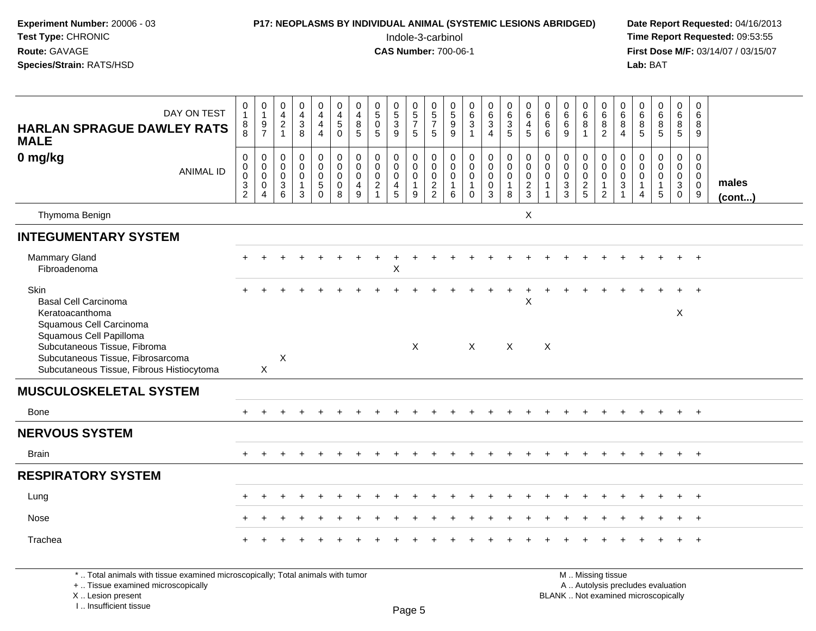| Experiment Number: 20006 - 03<br>Test Type: CHRONIC<br>Route: GAVAGE<br>Species/Strain: RATS/HSD               |                                    |                                                                           |                                 |                                                                |                                                                            |                                                   |                                                                  |                                                  |                                                              |                                                                      | Indole-3-carbinol<br><b>CAS Number: 700-06-1</b> |                                                                       |                                                                        |                                                                                            |                                                       | <b>P17: NEOPLASMS BY INDIVIDUAL ANIMAL (SYSTEMIC LESIONS ABRIDGED)</b> |                                         |                                        |                                                                 |                                                        |                                                              | Lab: BAT                                             |                                                                             |                                                      |                                                        | Date Report Requested: 04/16/2013<br>Time Report Requested: 09:53:55<br>First Dose M/F: 03/14/07 / 03/15/07 |
|----------------------------------------------------------------------------------------------------------------|------------------------------------|---------------------------------------------------------------------------|---------------------------------|----------------------------------------------------------------|----------------------------------------------------------------------------|---------------------------------------------------|------------------------------------------------------------------|--------------------------------------------------|--------------------------------------------------------------|----------------------------------------------------------------------|--------------------------------------------------|-----------------------------------------------------------------------|------------------------------------------------------------------------|--------------------------------------------------------------------------------------------|-------------------------------------------------------|------------------------------------------------------------------------|-----------------------------------------|----------------------------------------|-----------------------------------------------------------------|--------------------------------------------------------|--------------------------------------------------------------|------------------------------------------------------|-----------------------------------------------------------------------------|------------------------------------------------------|--------------------------------------------------------|-------------------------------------------------------------------------------------------------------------|
| DAY ON TEST<br><b>HARLAN SPRAGUE DAWLEY RATS</b><br><b>MALE</b>                                                | 0<br>$\mathbf{1}$<br>8<br>8        | $\mathbf 0$<br>$\overline{1}$<br>$\frac{9}{7}$                            | $0$<br>4<br>2<br>1              | 0<br>$\overline{4}$<br>$\ensuremath{\mathsf{3}}$<br>8          | $\mathbf 0$<br>$\overline{4}$<br>4<br>$\overline{4}$                       | 0<br>$\overline{4}$<br>$\,$ 5 $\,$<br>$\Omega$    | 0<br>$\overline{4}$<br>$\,8\,$<br>5                              | 0<br>$\overline{5}$ <sup>0</sup><br>5            | $\begin{smallmatrix}0\0\5\end{smallmatrix}$<br>$\frac{3}{9}$ | 0<br>$\frac{5}{7}$<br>5                                              | 0<br>$\frac{5}{7}$<br>5                          | $\begin{array}{c} 0 \\ 5 \\ 9 \end{array}$<br>9                       | $\mathbf 0$<br>$\frac{6}{3}$<br>$\overline{1}$                         | 0<br>6<br>$\sqrt{3}$<br>$\overline{4}$                                                     | 0<br>$6\phantom{a}$<br>3<br>5                         | 0<br>$\,6\,$<br>$\overline{4}$<br>5                                    | $\mathbf 0$<br>$\,6\,$<br>$\,6\,$<br>6  | 0<br>$\,6$<br>6<br>9                   | $\mathbf 0$<br>$\,6\,$<br>8<br>$\overline{1}$                   | 0<br>6<br>8<br>$\overline{2}$                          | $\begin{array}{c} 0 \\ 6 \end{array}$<br>8<br>$\overline{4}$ | $0$<br>$6$<br>$8$<br>5                               | 0<br>$\overline{6}$<br>8<br>5                                               | $\mathbf 0$<br>$\,6\,$<br>8<br>5                     | $\mathbf 0$<br>6<br>8<br>9                             |                                                                                                             |
| 0 mg/kg<br><b>ANIMAL ID</b>                                                                                    | 0<br>0<br>0<br>3<br>$\overline{2}$ | $\pmb{0}$<br>$\mathbf 0$<br>$\mathsf{O}$<br>$\mathbf 0$<br>$\overline{4}$ | 0<br>0<br>$\mathbf 0$<br>$^3$ 6 | $\mathsf 0$<br>$\mathbf 0$<br>$\mathbf 0$<br>$\mathbf{1}$<br>3 | $\pmb{0}$<br>$\mathbf 0$<br>$\pmb{0}$<br>$\sqrt{5}$<br>$\ddot{\mathbf{0}}$ | $\mathbf 0$<br>0<br>$\mathbf 0$<br>$\pmb{0}$<br>8 | $\mathbf 0$<br>$\mathbf 0$<br>$\mathbf 0$<br>$\overline{4}$<br>9 | 0<br>$\mathbf 0$<br>$\mathbf 0$<br>$\frac{2}{1}$ | 0<br>$\mathbf 0$<br>$\pmb{0}$<br>$\overline{4}$<br>5         | $\pmb{0}$<br>$\mathbf 0$<br>$\mathsf{O}\xspace$<br>$\mathbf{1}$<br>9 | 0<br>0<br>$\mathbf 0$<br>$\frac{2}{2}$           | $\mathbf 0$<br>$\mathbf 0$<br>$\mathsf{O}$<br>$\mathbf{1}$<br>$\,6\,$ | $\mathbf 0$<br>$\mathbf 0$<br>$\mathbf 0$<br>$\mathbf{1}$<br>$\pmb{0}$ | $\mathsf 0$<br>$\mathbf 0$<br>$\mathsf{O}\xspace$<br>$\mathsf{O}\xspace$<br>$\overline{3}$ | $\mathsf{O}$<br>$\mathbf 0$<br>0<br>$\mathbf{1}$<br>8 | $\mathbf 0$<br>0<br>$\pmb{0}$<br>$\frac{2}{3}$                         | $\mathbf 0$<br>$\mathbf 0$<br>$\pmb{0}$ | 0<br>0<br>$\mathbf 0$<br>$\frac{3}{3}$ | $\mathbf 0$<br>$\mathbf 0$<br>$\boldsymbol{0}$<br>$\frac{2}{5}$ | $\mathbf 0$<br>0<br>$\mathbf 0$<br>1<br>$\overline{2}$ | 0<br>$\mathbf 0$<br>$\mathbf 0$<br>3<br>$\overline{1}$       | 0<br>$\mathbf 0$<br>$\pmb{0}$<br>1<br>$\overline{4}$ | $\mathbf 0$<br>$\mathbf 0$<br>$\mathbf 0$<br>$\mathbf{1}$<br>$\overline{5}$ | $\mathbf 0$<br>0<br>$\mathbf 0$<br>$\mathbf{3}$<br>0 | 0<br>$\mathbf 0$<br>$\overline{0}$<br>$\mathbf 0$<br>9 | males<br>(cont)                                                                                             |
| Thymoma Benign                                                                                                 |                                    |                                                                           |                                 |                                                                |                                                                            |                                                   |                                                                  |                                                  |                                                              |                                                                      |                                                  |                                                                       |                                                                        |                                                                                            |                                                       | X                                                                      |                                         |                                        |                                                                 |                                                        |                                                              |                                                      |                                                                             |                                                      |                                                        |                                                                                                             |
| <b>INTEGUMENTARY SYSTEM</b>                                                                                    |                                    |                                                                           |                                 |                                                                |                                                                            |                                                   |                                                                  |                                                  |                                                              |                                                                      |                                                  |                                                                       |                                                                        |                                                                                            |                                                       |                                                                        |                                         |                                        |                                                                 |                                                        |                                                              |                                                      |                                                                             |                                                      |                                                        |                                                                                                             |
| <b>Mammary Gland</b><br>Fibroadenoma                                                                           |                                    |                                                                           |                                 |                                                                |                                                                            |                                                   |                                                                  | $\ddot{}$                                        | $\ddot{}$<br>X                                               |                                                                      |                                                  |                                                                       |                                                                        |                                                                                            |                                                       |                                                                        |                                         |                                        |                                                                 |                                                        |                                                              |                                                      |                                                                             |                                                      | $+$                                                    |                                                                                                             |
| Skin<br><b>Basal Cell Carcinoma</b><br>Keratoacanthoma<br>Squamous Cell Carcinoma<br>Squamous Cell Papilloma   |                                    |                                                                           |                                 |                                                                |                                                                            |                                                   |                                                                  |                                                  |                                                              |                                                                      |                                                  |                                                                       |                                                                        |                                                                                            |                                                       | Χ                                                                      |                                         |                                        |                                                                 |                                                        |                                                              |                                                      |                                                                             | X                                                    | $\ddot{+}$                                             |                                                                                                             |
| Subcutaneous Tissue, Fibroma<br>Subcutaneous Tissue, Fibrosarcoma<br>Subcutaneous Tissue, Fibrous Histiocytoma |                                    | X                                                                         | X                               |                                                                |                                                                            |                                                   |                                                                  |                                                  |                                                              | X                                                                    |                                                  |                                                                       | $\mathsf{X}$                                                           |                                                                                            | $\boldsymbol{\mathsf{X}}$                             |                                                                        | $\pmb{\times}$                          |                                        |                                                                 |                                                        |                                                              |                                                      |                                                                             |                                                      |                                                        |                                                                                                             |
| <b>MUSCULOSKELETAL SYSTEM</b>                                                                                  |                                    |                                                                           |                                 |                                                                |                                                                            |                                                   |                                                                  |                                                  |                                                              |                                                                      |                                                  |                                                                       |                                                                        |                                                                                            |                                                       |                                                                        |                                         |                                        |                                                                 |                                                        |                                                              |                                                      |                                                                             |                                                      |                                                        |                                                                                                             |
| <b>Bone</b>                                                                                                    | $\ddot{}$                          | $\ddot{}$                                                                 |                                 |                                                                |                                                                            |                                                   |                                                                  |                                                  |                                                              |                                                                      |                                                  |                                                                       |                                                                        |                                                                                            |                                                       |                                                                        |                                         |                                        |                                                                 |                                                        |                                                              | $\ddot{}$                                            | $\ddot{}$                                                                   | $+$                                                  | $+$                                                    |                                                                                                             |
| <b>NERVOUS SYSTEM</b>                                                                                          |                                    |                                                                           |                                 |                                                                |                                                                            |                                                   |                                                                  |                                                  |                                                              |                                                                      |                                                  |                                                                       |                                                                        |                                                                                            |                                                       |                                                                        |                                         |                                        |                                                                 |                                                        |                                                              |                                                      |                                                                             |                                                      |                                                        |                                                                                                             |
| <b>Brain</b>                                                                                                   | $+$                                |                                                                           |                                 |                                                                |                                                                            |                                                   |                                                                  |                                                  |                                                              |                                                                      |                                                  |                                                                       |                                                                        |                                                                                            |                                                       |                                                                        |                                         |                                        |                                                                 |                                                        |                                                              | $\ddot{}$                                            | $+$                                                                         | $+$                                                  | $+$                                                    |                                                                                                             |
| <b>RESPIRATORY SYSTEM</b>                                                                                      |                                    |                                                                           |                                 |                                                                |                                                                            |                                                   |                                                                  |                                                  |                                                              |                                                                      |                                                  |                                                                       |                                                                        |                                                                                            |                                                       |                                                                        |                                         |                                        |                                                                 |                                                        |                                                              |                                                      |                                                                             |                                                      |                                                        |                                                                                                             |
| Lung                                                                                                           |                                    |                                                                           |                                 |                                                                |                                                                            |                                                   |                                                                  |                                                  |                                                              |                                                                      |                                                  |                                                                       |                                                                        |                                                                                            |                                                       |                                                                        |                                         |                                        |                                                                 |                                                        |                                                              |                                                      |                                                                             |                                                      | $+$                                                    |                                                                                                             |
| Nose                                                                                                           |                                    |                                                                           |                                 |                                                                |                                                                            |                                                   |                                                                  |                                                  |                                                              |                                                                      |                                                  |                                                                       |                                                                        |                                                                                            |                                                       |                                                                        |                                         |                                        |                                                                 |                                                        |                                                              |                                                      |                                                                             |                                                      | $+$                                                    |                                                                                                             |
| Trachea                                                                                                        |                                    |                                                                           |                                 |                                                                |                                                                            |                                                   |                                                                  |                                                  |                                                              |                                                                      |                                                  |                                                                       |                                                                        |                                                                                            |                                                       |                                                                        |                                         |                                        |                                                                 |                                                        |                                                              |                                                      |                                                                             |                                                      | $\ddot{}$                                              |                                                                                                             |

X ..

I .. Insufficient tissue

\* .. Total animals with tissue examined microscopically; Total animals with tumor<br>+ .. Tissue examined microscopically a .. Autolysis precludes evaluation examined microscopically A .. Autolysis precludes evaluation **M** . Missing tissue Lesion present **ELANK** ... Not examined microscopically examined microscopically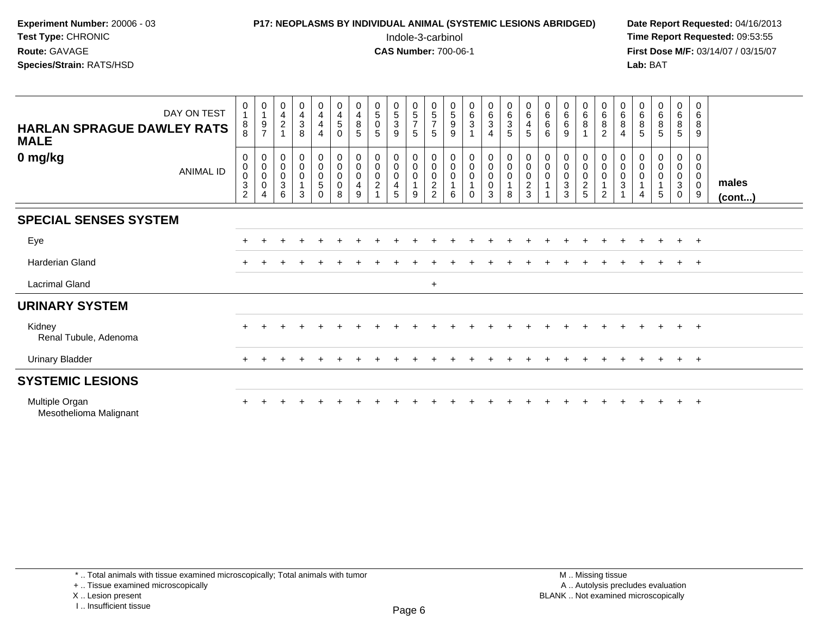| <b>P17: NEOPLASMS BY INDIVIDUAL ANIMAL (SYSTEMIC LESIONS ABRIDGED)</b> | Date Rep         |
|------------------------------------------------------------------------|------------------|
| Indole-3-carbinol                                                      | Time Rer         |
| <b>CAS Number: 700-06-1</b>                                            | <b>First Dos</b> |
|                                                                        | Lab: BAT         |
|                                                                        |                  |

## **P17: NEOPLASMS BY INDIVIDUAL ANIMAL (SYSTEMIC LESIONS ABRIDGED)** Date Report Requested: 04/16/2013<br>Indole-3-carbinol **Time Report Requested:** 09:53:55

 Indole-3-carbinol **Time Report Requested:** 09:53:55 **First Dose M/F:** 03/14/07 / 03/15/07<br>**Lab:** BAT

| DAY ON TEST<br><b>HARLAN SPRAGUE DAWLEY RATS</b><br><b>MALE</b> | 0<br>$\mathbf{1}$<br>$_{8}^8$                                              | 0<br>$\mathbf{1}$<br>$\frac{9}{7}$                | $\begin{array}{c} 0 \\ 4 \\ 2 \end{array}$ | $\begin{array}{c} 0 \\ 4 \\ 3 \end{array}$<br>8                       | 0<br>$\overline{4}$<br>$\overline{4}$<br>$\overline{4}$ | $\begin{array}{c} 0 \\ 4 \\ 5 \end{array}$<br>$\mathbf 0$                              | 0<br>$\begin{array}{c} 4 \\ 8 \end{array}$<br>5                 | $\begin{smallmatrix}0\5\0\end{smallmatrix}$<br>5                              | $\begin{array}{c} 0 \\ 5 \\ 3 \end{array}$<br>9                                             | $\begin{array}{c} 0 \\ 5 \\ 7 \end{array}$<br>5                       | $\begin{array}{c} 0 \\ 5 \end{array}$<br>$\overline{7}$<br>5 | $\begin{array}{c} 0 \\ 5 \\ 9 \end{array}$<br>9 | $\begin{array}{c} 0 \\ 6 \\ 3 \end{array}$<br>$\mathbf{1}$                              | $\begin{array}{c} 0 \\ 6 \\ 3 \end{array}$<br>$\overline{4}$     | 0<br>6<br>3<br>5                                       | $\begin{array}{c} 0 \\ 6 \end{array}$<br>$\overline{4}$<br>$\sqrt{5}$ | $\begin{matrix} 0 \\ 6 \\ 6 \end{matrix}$<br>$6\phantom{1}6$ | $\begin{matrix} 0\ 6\ 6 \end{matrix}$<br>9 | $\begin{matrix}0\6\8\end{matrix}$<br>$\overline{1}$                     | $\begin{array}{c} 0 \\ 6 \end{array}$<br>$\overline{8}$<br>$\overline{2}$ | $\begin{array}{c} 0 \\ 6 \end{array}$<br>$\bf 8$<br>$\overline{4}$ | $\begin{array}{c} 0 \\ 6 \end{array}$<br>$\, 8$<br>5   | $\begin{matrix} 0 \\ 6 \end{matrix}$<br>$\overline{8}$<br>5 | $_{6}^{\rm 0}$<br>$\overline{8}$<br>$5\phantom{.0}$                                | $\boldsymbol{0}$<br>$\,6\,$<br>$\bf 8$<br>9   |                 |
|-----------------------------------------------------------------|----------------------------------------------------------------------------|---------------------------------------------------|--------------------------------------------|-----------------------------------------------------------------------|---------------------------------------------------------|----------------------------------------------------------------------------------------|-----------------------------------------------------------------|-------------------------------------------------------------------------------|---------------------------------------------------------------------------------------------|-----------------------------------------------------------------------|--------------------------------------------------------------|-------------------------------------------------|-----------------------------------------------------------------------------------------|------------------------------------------------------------------|--------------------------------------------------------|-----------------------------------------------------------------------|--------------------------------------------------------------|--------------------------------------------|-------------------------------------------------------------------------|---------------------------------------------------------------------------|--------------------------------------------------------------------|--------------------------------------------------------|-------------------------------------------------------------|------------------------------------------------------------------------------------|-----------------------------------------------|-----------------|
| 0 mg/kg<br><b>ANIMAL ID</b>                                     | 0<br>$\pmb{0}$<br>$\pmb{0}$<br>$\ensuremath{\mathsf{3}}$<br>$\overline{2}$ | 0<br>$\pmb{0}$<br>$\mathbf 0$<br>$\mathsf 0$<br>4 | $_{\rm 0}^{\rm 0}$<br>$\frac{0}{3}$<br>6   | $\begin{smallmatrix}0\0\0\end{smallmatrix}$<br>0<br>$\mathbf{1}$<br>3 | $_{\rm 0}^{\rm 0}$<br>$\pmb{0}$<br>5<br>$\mathbf 0$     | $\begin{smallmatrix}0\0\0\end{smallmatrix}$<br>$\mathsf{O}\xspace$<br>$\mathbf 0$<br>8 | 0<br>$\mathbf 0$<br>$\mathsf 0$<br>$\overline{\mathbf{4}}$<br>9 | $\begin{smallmatrix} 0\\0 \end{smallmatrix}$<br>$\pmb{0}$<br>$\boldsymbol{2}$ | $\begin{smallmatrix} 0\\0 \end{smallmatrix}$<br>$\mathsf 0$<br>$\overline{\mathbf{4}}$<br>5 | $\begin{smallmatrix}0\\0\\0\\0\end{smallmatrix}$<br>$\mathbf{1}$<br>9 | 0<br>$\ddot{\mathbf{0}}$<br>$\pmb{0}$<br>$\overline{c}$<br>2 | $_{\rm 0}^{\rm 0}$<br>$\mathbf 0$<br>6          | $\begin{smallmatrix}0\0\0\end{smallmatrix}$<br>$\pmb{0}$<br>$\mathbf{1}$<br>$\mathbf 0$ | $\begin{smallmatrix}0\0\end{smallmatrix}$<br>$\pmb{0}$<br>0<br>3 | $_{\rm 0}^{\rm 0}$<br>$\pmb{0}$<br>$\overline{1}$<br>8 | $_{\rm 0}^{\rm 0}$<br>$\pmb{0}$<br>$\sqrt{2}$<br>3                    | $_{\rm 0}^{\rm 0}$<br>$\pmb{0}$<br>$\mathbf{1}$              | $_0^0$<br>$\pmb{0}$<br>$\mathsf 3$<br>3    | $\begin{smallmatrix}0\0\0\end{smallmatrix}$<br>$\pmb{0}$<br>$rac{2}{5}$ | $_{\rm 0}^{\rm 0}$<br>$\mathbf 0$<br>$\overline{2}$                       | $_{\rm 0}^{\rm 0}$<br>$\pmb{0}$<br>$\sqrt{3}$                      | 0<br>$\boldsymbol{0}$<br>$\mathbf 0$<br>$\overline{4}$ | $_0^0$<br>$\pmb{0}$<br>5                                    | $\begin{smallmatrix}0\0\0\end{smallmatrix}$<br>0<br>$\ensuremath{\mathsf{3}}$<br>0 | 0<br>$\pmb{0}$<br>$\pmb{0}$<br>$\pmb{0}$<br>9 | males<br>(cont) |
| <b>SPECIAL SENSES SYSTEM</b>                                    |                                                                            |                                                   |                                            |                                                                       |                                                         |                                                                                        |                                                                 |                                                                               |                                                                                             |                                                                       |                                                              |                                                 |                                                                                         |                                                                  |                                                        |                                                                       |                                                              |                                            |                                                                         |                                                                           |                                                                    |                                                        |                                                             |                                                                                    |                                               |                 |
| Eye                                                             | $\pm$                                                                      |                                                   |                                            |                                                                       |                                                         |                                                                                        |                                                                 |                                                                               |                                                                                             |                                                                       |                                                              |                                                 |                                                                                         |                                                                  |                                                        |                                                                       |                                                              |                                            |                                                                         |                                                                           |                                                                    |                                                        |                                                             | $+$                                                                                | $+$                                           |                 |
| Harderian Gland                                                 |                                                                            |                                                   |                                            |                                                                       |                                                         |                                                                                        |                                                                 |                                                                               |                                                                                             |                                                                       |                                                              |                                                 |                                                                                         |                                                                  |                                                        |                                                                       |                                                              |                                            |                                                                         |                                                                           |                                                                    |                                                        |                                                             | $+$                                                                                | $+$                                           |                 |
| <b>Lacrimal Gland</b>                                           |                                                                            |                                                   |                                            |                                                                       |                                                         |                                                                                        |                                                                 |                                                                               |                                                                                             |                                                                       | $\ddot{}$                                                    |                                                 |                                                                                         |                                                                  |                                                        |                                                                       |                                                              |                                            |                                                                         |                                                                           |                                                                    |                                                        |                                                             |                                                                                    |                                               |                 |
| <b>URINARY SYSTEM</b>                                           |                                                                            |                                                   |                                            |                                                                       |                                                         |                                                                                        |                                                                 |                                                                               |                                                                                             |                                                                       |                                                              |                                                 |                                                                                         |                                                                  |                                                        |                                                                       |                                                              |                                            |                                                                         |                                                                           |                                                                    |                                                        |                                                             |                                                                                    |                                               |                 |
| Kidney<br>Renal Tubule, Adenoma                                 |                                                                            |                                                   |                                            |                                                                       |                                                         |                                                                                        |                                                                 |                                                                               |                                                                                             |                                                                       |                                                              |                                                 |                                                                                         |                                                                  |                                                        |                                                                       |                                                              |                                            |                                                                         |                                                                           |                                                                    |                                                        |                                                             | $+$                                                                                | $+$                                           |                 |
| <b>Urinary Bladder</b>                                          | $\ddot{}$                                                                  |                                                   |                                            |                                                                       |                                                         |                                                                                        |                                                                 |                                                                               |                                                                                             |                                                                       |                                                              |                                                 |                                                                                         |                                                                  |                                                        |                                                                       |                                                              |                                            |                                                                         |                                                                           |                                                                    |                                                        |                                                             | $+$                                                                                | $+$                                           |                 |
| <b>SYSTEMIC LESIONS</b>                                         |                                                                            |                                                   |                                            |                                                                       |                                                         |                                                                                        |                                                                 |                                                                               |                                                                                             |                                                                       |                                                              |                                                 |                                                                                         |                                                                  |                                                        |                                                                       |                                                              |                                            |                                                                         |                                                                           |                                                                    |                                                        |                                                             |                                                                                    |                                               |                 |
| Multiple Organ<br>Mesothelioma Malignant                        |                                                                            |                                                   |                                            |                                                                       |                                                         |                                                                                        |                                                                 |                                                                               |                                                                                             |                                                                       |                                                              |                                                 |                                                                                         |                                                                  |                                                        |                                                                       |                                                              |                                            |                                                                         |                                                                           |                                                                    |                                                        |                                                             |                                                                                    | $\overline{+}$                                |                 |

\* .. Total animals with tissue examined microscopically; Total animals with tumor

+ .. Tissue examined microscopically

X .. Lesion present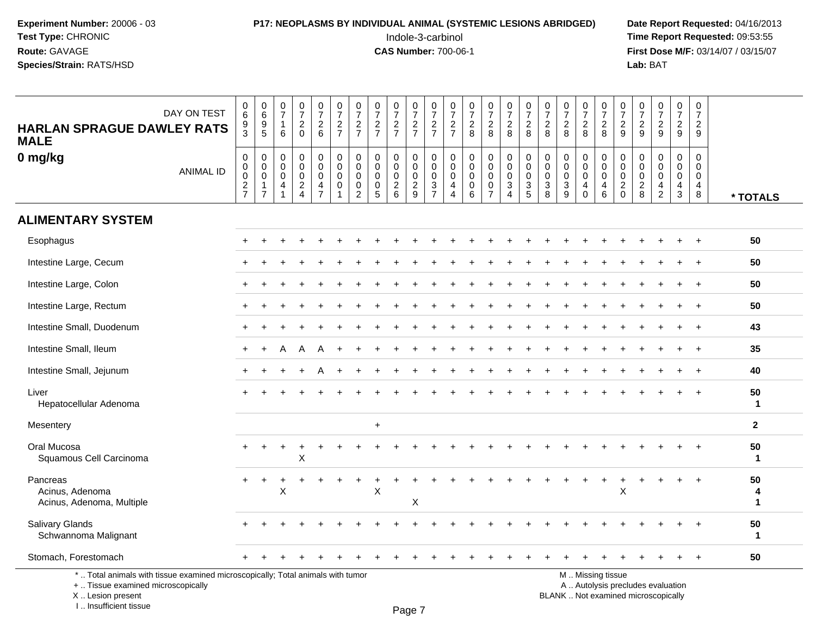## **P17: NEOPLASMS BY INDIVIDUAL ANIMAL (SYSTEMIC LESIONS ABRIDGED)** Date Report Requested: 04/16/2013<br>Indole-3-carbinol **Time Report Requested:** 09:53:55

 Indole-3-carbinol **Time Report Requested:** 09:53:55 **First Dose M/F:** 03/14/07 / 03/15/07<br>**Lab:** BAT **Lab:** BAT

| <b>HARLAN SPRAGUE DAWLEY RATS</b><br><b>MALE</b>                                                                                           | DAY ON TEST      | $\pmb{0}$<br>$6\overline{6}$<br>$\frac{9}{3}$  | 0<br>0<br>0<br>5                                                     | 0<br>$\overline{7}$<br>$\overline{1}$<br>6           | $\frac{0}{7}$<br>$\sqrt{2}$<br>$\mathbf 0$                 | $\frac{0}{7}$<br>$\begin{array}{c} 2 \\ 6 \end{array}$         | $\frac{0}{7}$<br>$\frac{2}{7}$                      | $\frac{0}{7}$<br>$\frac{2}{7}$                                         | $\frac{0}{7}$<br>$\boldsymbol{2}$<br>$\overline{7}$              | $\begin{array}{c} 0 \\ 7 \end{array}$<br>$\frac{2}{7}$     | $\frac{0}{7}$<br>$\frac{2}{7}$                       | $\frac{0}{7}$<br>$\frac{2}{7}$                                     | 0<br>$\overline{7}$<br>$\frac{2}{7}$                   | $\frac{0}{7}$<br>$\overline{2}$<br>8                             | $\frac{0}{7}$<br>$_{8}^2$                            | $\begin{smallmatrix}0\\7\end{smallmatrix}$<br>$\frac{2}{8}$    | $\begin{array}{c} 0 \\ 7 \end{array}$<br>$\boldsymbol{2}$<br>8              | $\pmb{0}$<br>$\overline{7}$<br>$\sqrt{2}$<br>8                            | $\frac{0}{7}$<br>$\overline{2}$<br>8                                        | $\frac{0}{7}$<br>$\overline{c}$<br>8                   | $\frac{0}{7}$<br>$_{8}^2$                                       | $\frac{0}{7}$<br>$\overline{c}$<br>$\mathsf g$           | $\frac{0}{7}$<br>$\overline{c}$<br>9                       | $\begin{array}{c} 0 \\ 7 \end{array}$<br>$\sqrt{2}$<br>9         | $\pmb{0}$<br>$\overline{7}$<br>$\overline{2}$<br>9                          | $\mathbf 0$<br>$\overline{7}$<br>$\overline{2}$<br>9   |                        |
|--------------------------------------------------------------------------------------------------------------------------------------------|------------------|------------------------------------------------|----------------------------------------------------------------------|------------------------------------------------------|------------------------------------------------------------|----------------------------------------------------------------|-----------------------------------------------------|------------------------------------------------------------------------|------------------------------------------------------------------|------------------------------------------------------------|------------------------------------------------------|--------------------------------------------------------------------|--------------------------------------------------------|------------------------------------------------------------------|------------------------------------------------------|----------------------------------------------------------------|-----------------------------------------------------------------------------|---------------------------------------------------------------------------|-----------------------------------------------------------------------------|--------------------------------------------------------|-----------------------------------------------------------------|----------------------------------------------------------|------------------------------------------------------------|------------------------------------------------------------------|-----------------------------------------------------------------------------|--------------------------------------------------------|------------------------|
| 0 mg/kg                                                                                                                                    | <b>ANIMAL ID</b> | 0<br>0<br>$\ddot{\mathbf{0}}$<br>$\frac{2}{7}$ | 0<br>$\mathsf 0$<br>$\overline{0}$<br>$\mathbf{1}$<br>$\overline{7}$ | 0<br>$\mathbf 0$<br>$\mathbf 0$<br>4<br>$\mathbf{1}$ | $\mathbf 0$<br>$\mathbf 0$<br>$\mathbf 0$<br>$\frac{2}{4}$ | 0<br>$\mathbf 0$<br>$\mathsf{O}\xspace$<br>4<br>$\overline{7}$ | 0<br>$\mathbf 0$<br>$\mathbf 0$<br>$\mathbf 0$<br>1 | $\mathbf 0$<br>$\mathbf 0$<br>$\pmb{0}$<br>$\pmb{0}$<br>$\overline{2}$ | $\mathbf 0$<br>$\mathbf 0$<br>$\mathbf 0$<br>0<br>$\overline{5}$ | $\mathbf 0$<br>$\mathbf 0$<br>$\mathbf 0$<br>$\frac{2}{6}$ | 0<br>$\mathbf 0$<br>$\pmb{0}$<br>$\overline{2}$<br>9 | $\mathbf 0$<br>$\mathsf{O}\xspace$<br>$\mathbf 0$<br>$\frac{3}{7}$ | 0<br>$\mathbf 0$<br>$\mathbf 0$<br>4<br>$\overline{4}$ | $\mathbf 0$<br>$\mathbf 0$<br>$\mathbf 0$<br>0<br>$6\phantom{1}$ | 0<br>$\pmb{0}$<br>$\mathbf 0$<br>0<br>$\overline{7}$ | 0<br>$\mathbf 0$<br>$\mathsf{O}\xspace$<br>3<br>$\overline{4}$ | $\mathbf 0$<br>$\mathbf 0$<br>$\mathbf 0$<br>$\mathbf{3}$<br>$\overline{5}$ | $\pmb{0}$<br>$\mathbf 0$<br>$\mathbf 0$<br>$\mathbf{3}$<br>$\overline{8}$ | $\mathbf 0$<br>$\mathbf 0$<br>$\mathbf 0$<br>$\mathbf{3}$<br>$\overline{9}$ | 0<br>0<br>$\mathbf 0$<br>$\overline{4}$<br>$\mathbf 0$ | 0<br>$\mathsf{O}\xspace$<br>$\ddot{\mathbf{0}}$<br>4<br>$\,6\,$ | $\mathbf 0$<br>$\mathbf 0$<br>$\pmb{0}$<br>$\frac{2}{0}$ | $\mathbf 0$<br>$\mathbf 0$<br>$\mathbf 0$<br>$\frac{2}{8}$ | $\mathbf 0$<br>$\mathbf 0$<br>$\mathbf 0$<br>4<br>$\overline{2}$ | $\mathbf 0$<br>$\mathbf 0$<br>$\mathbf 0$<br>$\overline{4}$<br>$\mathbf{3}$ | 0<br>$\mathbf 0$<br>$\mathbf 0$<br>$\overline{4}$<br>8 | * TOTALS               |
| <b>ALIMENTARY SYSTEM</b>                                                                                                                   |                  |                                                |                                                                      |                                                      |                                                            |                                                                |                                                     |                                                                        |                                                                  |                                                            |                                                      |                                                                    |                                                        |                                                                  |                                                      |                                                                |                                                                             |                                                                           |                                                                             |                                                        |                                                                 |                                                          |                                                            |                                                                  |                                                                             |                                                        |                        |
| Esophagus                                                                                                                                  |                  |                                                |                                                                      |                                                      |                                                            |                                                                |                                                     |                                                                        |                                                                  |                                                            |                                                      |                                                                    |                                                        |                                                                  |                                                      |                                                                |                                                                             |                                                                           |                                                                             |                                                        |                                                                 |                                                          |                                                            |                                                                  |                                                                             |                                                        | 50                     |
| Intestine Large, Cecum                                                                                                                     |                  |                                                |                                                                      |                                                      |                                                            |                                                                |                                                     |                                                                        |                                                                  |                                                            |                                                      |                                                                    |                                                        |                                                                  |                                                      |                                                                |                                                                             |                                                                           |                                                                             |                                                        |                                                                 |                                                          |                                                            |                                                                  |                                                                             |                                                        | 50                     |
| Intestine Large, Colon                                                                                                                     |                  |                                                |                                                                      |                                                      |                                                            |                                                                |                                                     |                                                                        |                                                                  |                                                            |                                                      |                                                                    |                                                        |                                                                  |                                                      |                                                                |                                                                             |                                                                           |                                                                             |                                                        |                                                                 |                                                          |                                                            |                                                                  |                                                                             |                                                        | 50                     |
| Intestine Large, Rectum                                                                                                                    |                  |                                                |                                                                      |                                                      |                                                            |                                                                |                                                     |                                                                        |                                                                  |                                                            |                                                      |                                                                    |                                                        |                                                                  |                                                      |                                                                |                                                                             |                                                                           |                                                                             |                                                        |                                                                 |                                                          |                                                            |                                                                  |                                                                             |                                                        | 50                     |
| Intestine Small, Duodenum                                                                                                                  |                  | ÷                                              |                                                                      |                                                      |                                                            |                                                                |                                                     |                                                                        |                                                                  |                                                            |                                                      |                                                                    |                                                        |                                                                  |                                                      |                                                                |                                                                             |                                                                           |                                                                             |                                                        |                                                                 |                                                          |                                                            |                                                                  |                                                                             | $\overline{ }$                                         | 43                     |
| Intestine Small, Ileum                                                                                                                     |                  | $\pm$                                          |                                                                      | А                                                    |                                                            |                                                                |                                                     |                                                                        |                                                                  |                                                            |                                                      |                                                                    |                                                        |                                                                  |                                                      |                                                                |                                                                             |                                                                           |                                                                             |                                                        |                                                                 |                                                          |                                                            |                                                                  |                                                                             |                                                        | 35                     |
| Intestine Small, Jejunum                                                                                                                   |                  | $\pm$                                          |                                                                      |                                                      |                                                            |                                                                |                                                     |                                                                        |                                                                  |                                                            |                                                      |                                                                    |                                                        |                                                                  |                                                      |                                                                |                                                                             |                                                                           |                                                                             |                                                        |                                                                 |                                                          |                                                            |                                                                  |                                                                             |                                                        | 40                     |
| Liver<br>Hepatocellular Adenoma                                                                                                            |                  |                                                |                                                                      |                                                      |                                                            |                                                                |                                                     |                                                                        |                                                                  |                                                            |                                                      |                                                                    |                                                        |                                                                  |                                                      |                                                                |                                                                             |                                                                           |                                                                             |                                                        |                                                                 |                                                          |                                                            |                                                                  |                                                                             |                                                        | 50<br>$\mathbf{1}$     |
| Mesentery                                                                                                                                  |                  |                                                |                                                                      |                                                      |                                                            |                                                                |                                                     |                                                                        | $+$                                                              |                                                            |                                                      |                                                                    |                                                        |                                                                  |                                                      |                                                                |                                                                             |                                                                           |                                                                             |                                                        |                                                                 |                                                          |                                                            |                                                                  |                                                                             |                                                        | $\overline{2}$         |
| Oral Mucosa<br>Squamous Cell Carcinoma                                                                                                     |                  |                                                |                                                                      |                                                      | X                                                          |                                                                |                                                     |                                                                        |                                                                  |                                                            |                                                      |                                                                    |                                                        |                                                                  |                                                      |                                                                |                                                                             |                                                                           |                                                                             |                                                        |                                                                 |                                                          |                                                            |                                                                  |                                                                             |                                                        | 50<br>$\mathbf{1}$     |
| Pancreas<br>Acinus, Adenoma<br>Acinus, Adenoma, Multiple                                                                                   |                  | $\pm$                                          | $\ddot{}$                                                            | X                                                    |                                                            |                                                                |                                                     |                                                                        | X                                                                |                                                            | X                                                    |                                                                    |                                                        |                                                                  |                                                      |                                                                |                                                                             |                                                                           |                                                                             |                                                        |                                                                 | X                                                        |                                                            |                                                                  |                                                                             |                                                        | 50<br>4<br>$\mathbf 1$ |
| Salivary Glands<br>Schwannoma Malignant                                                                                                    |                  |                                                |                                                                      |                                                      |                                                            |                                                                |                                                     |                                                                        |                                                                  |                                                            |                                                      |                                                                    |                                                        |                                                                  |                                                      |                                                                |                                                                             |                                                                           |                                                                             |                                                        |                                                                 |                                                          |                                                            |                                                                  |                                                                             |                                                        | 50<br>$\mathbf{1}$     |
| Stomach, Forestomach                                                                                                                       |                  |                                                |                                                                      |                                                      |                                                            |                                                                |                                                     |                                                                        |                                                                  |                                                            |                                                      |                                                                    |                                                        |                                                                  |                                                      |                                                                |                                                                             |                                                                           |                                                                             |                                                        |                                                                 |                                                          |                                                            |                                                                  |                                                                             | $\overline{+}$                                         | 50                     |
| *  Total animals with tissue examined microscopically; Total animals with tumor<br>+  Tissue examined microscopically<br>X  Lesion present |                  |                                                |                                                                      |                                                      |                                                            |                                                                |                                                     |                                                                        |                                                                  |                                                            |                                                      |                                                                    |                                                        |                                                                  |                                                      |                                                                |                                                                             |                                                                           | BLANK  Not examined microscopically                                         |                                                        | M  Missing tissue<br>A  Autolysis precludes evaluation          |                                                          |                                                            |                                                                  |                                                                             |                                                        |                        |

I .. Insufficient tissue

Page 7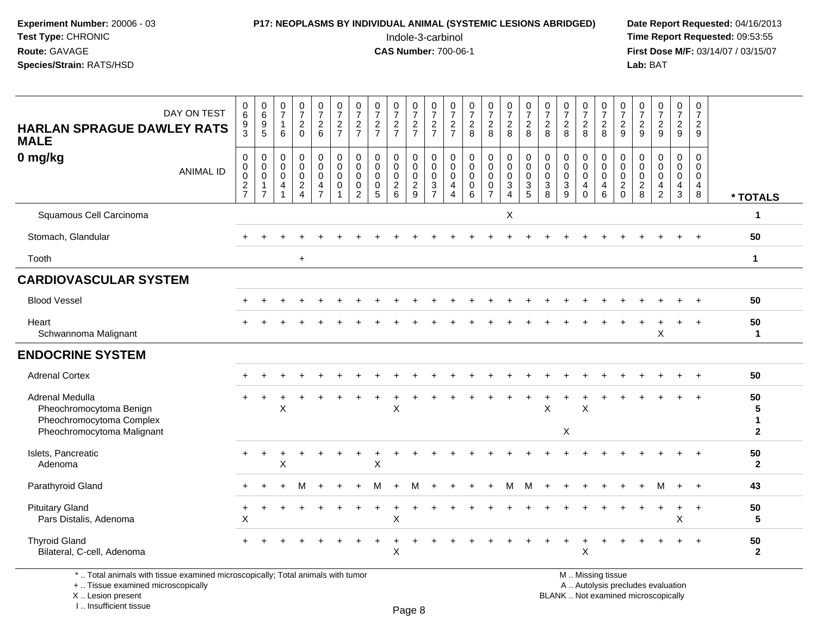## **P17: NEOPLASMS BY INDIVIDUAL ANIMAL (SYSTEMIC LESIONS ABRIDGED)** Date Report Requested: 04/16/2013<br>Indole-3-carbinol **Time Report Requested:** 09:53:55

 Indole-3-carbinol **Time Report Requested:** 09:53:55 **First Dose M/F:** 03/14/07 / 03/15/07<br>Lab: BAT **Lab:** BAT

| DAY ON TEST<br><b>HARLAN SPRAGUE DAWLEY RATS</b><br><b>MALE</b>                                      | $\begin{array}{c} 0 \\ 6 \end{array}$<br>$\frac{9}{3}$             | $\begin{array}{c} 0 \\ 6 \end{array}$<br>9<br>$\overline{5}$      | $\frac{0}{7}$<br>$\overline{1}$<br>6                                               | $\frac{0}{7}$<br>$\overline{2}$<br>$\Omega$                           | $\frac{0}{7}$<br>$\overline{2}$<br>$6\phantom{1}$                           | $\frac{0}{7}$<br>$\frac{2}{7}$                       | $\frac{0}{7}$<br>$\frac{2}{7}$                                | $\frac{0}{7}$<br>$\frac{2}{7}$                                | $\frac{0}{7}$<br>$\frac{2}{7}$                                         | 0<br>$\overline{7}$<br>$\frac{2}{7}$                           | $\frac{0}{7}$<br>$\frac{2}{7}$                         | $\frac{0}{7}$<br>$\frac{2}{7}$                                                        | $\frac{0}{7}$<br>$\frac{2}{8}$                        | $\begin{smallmatrix}0\\7\end{smallmatrix}$<br>$\frac{2}{8}$ | $\frac{0}{7}$<br>$\overline{2}$<br>8                                                             | $\frac{0}{7}$<br>$\overline{2}$<br>8              | $\frac{0}{7}$<br>$\frac{2}{8}$                               | $\frac{0}{7}$<br>$\overline{2}$<br>8                | $\frac{0}{7}$<br>$\overline{2}$<br>8                                    | $\frac{0}{7}$<br>$\frac{2}{8}$                                 | $\frac{0}{7}$<br>$\frac{2}{9}$                            | $\frac{0}{7}$<br>$\frac{2}{9}$                                  | $\frac{0}{7}$<br>$\overline{2}$<br>9                   | 0<br>$\overline{7}$<br>$\overline{2}$<br>9                   | 0<br>$\overline{7}$<br>$\overline{2}$<br>9 |                                        |
|------------------------------------------------------------------------------------------------------|--------------------------------------------------------------------|-------------------------------------------------------------------|------------------------------------------------------------------------------------|-----------------------------------------------------------------------|-----------------------------------------------------------------------------|------------------------------------------------------|---------------------------------------------------------------|---------------------------------------------------------------|------------------------------------------------------------------------|----------------------------------------------------------------|--------------------------------------------------------|---------------------------------------------------------------------------------------|-------------------------------------------------------|-------------------------------------------------------------|--------------------------------------------------------------------------------------------------|---------------------------------------------------|--------------------------------------------------------------|-----------------------------------------------------|-------------------------------------------------------------------------|----------------------------------------------------------------|-----------------------------------------------------------|-----------------------------------------------------------------|--------------------------------------------------------|--------------------------------------------------------------|--------------------------------------------|----------------------------------------|
| 0 mg/kg<br><b>ANIMAL ID</b>                                                                          | $\boldsymbol{0}$<br>$\pmb{0}$<br>$\boldsymbol{0}$<br>$\frac{2}{7}$ | $\mathbf 0$<br>$\mathbf 0$<br>$\mathbf 0$<br>-1<br>$\overline{7}$ | $\mathbf 0$<br>$\boldsymbol{0}$<br>$\mathbf 0$<br>$\overline{4}$<br>$\overline{1}$ | 0<br>$\mathbf 0$<br>$\mathbf 0$<br>$\boldsymbol{2}$<br>$\overline{4}$ | 0<br>$\mathsf{O}\xspace$<br>$\mathbf 0$<br>$\overline{4}$<br>$\overline{7}$ | $\pmb{0}$<br>$\pmb{0}$<br>$\mathbf 0$<br>$\mathbf 0$ | $\mathbf 0$<br>$\mathbf 0$<br>$\mathbf 0$<br>$\mathbf 0$<br>2 | $\mathbf 0$<br>$\mathbf 0$<br>$\mathbf 0$<br>$\mathbf 0$<br>5 | 0<br>$\pmb{0}$<br>$\mathbf 0$<br>$\begin{array}{c} 2 \\ 6 \end{array}$ | 0<br>$\pmb{0}$<br>$\mathsf{O}\xspace$<br>$\boldsymbol{2}$<br>9 | 0<br>$\pmb{0}$<br>$\mathsf{O}\xspace$<br>$\frac{3}{7}$ | $\mathbf 0$<br>$\mathsf{O}\xspace$<br>$\mathbf 0$<br>$\overline{4}$<br>$\overline{4}$ | $\pmb{0}$<br>$\pmb{0}$<br>$\pmb{0}$<br>$\pmb{0}$<br>6 | $\mathbf 0$<br>$\pmb{0}$<br>$\mathbf 0$<br>$\frac{0}{7}$    | $\mathsf{O}\xspace$<br>$\mathbf 0$<br>$\mathbf 0$<br>$\ensuremath{\mathsf{3}}$<br>$\overline{4}$ | $\mathbf 0$<br>$\pmb{0}$<br>$\mathbf 0$<br>3<br>5 | $\mathbf 0$<br>$\pmb{0}$<br>$\mathbf 0$<br>$\mathbf{3}$<br>8 | $\mathbf 0$<br>$\mathbf 0$<br>$\mathbf 0$<br>3<br>9 | 0<br>$\pmb{0}$<br>$\mathbf 0$<br>$\overline{\mathbf{4}}$<br>$\mathbf 0$ | $\mathbf 0$<br>$\pmb{0}$<br>$\mathbf 0$<br>$\overline{4}$<br>6 | 0<br>$\mathsf 0$<br>$\mathbf 0$<br>$\sqrt{2}$<br>$\Omega$ | $\mathbf 0$<br>$\boldsymbol{0}$<br>$\mathbf 0$<br>$\frac{2}{8}$ | 0<br>$\mathsf 0$<br>$\mathbf 0$<br>4<br>$\overline{2}$ | $\pmb{0}$<br>$\pmb{0}$<br>$\mathbf 0$<br>$\overline{4}$<br>3 | 0<br>$\mathsf 0$<br>$\mathbf 0$<br>4<br>8  | * TOTALS                               |
| Squamous Cell Carcinoma                                                                              |                                                                    |                                                                   |                                                                                    |                                                                       |                                                                             |                                                      |                                                               |                                                               |                                                                        |                                                                |                                                        |                                                                                       |                                                       |                                                             | X                                                                                                |                                                   |                                                              |                                                     |                                                                         |                                                                |                                                           |                                                                 |                                                        |                                                              |                                            | 1                                      |
| Stomach, Glandular                                                                                   |                                                                    |                                                                   |                                                                                    |                                                                       |                                                                             |                                                      |                                                               |                                                               |                                                                        |                                                                |                                                        |                                                                                       |                                                       |                                                             |                                                                                                  |                                                   |                                                              |                                                     |                                                                         |                                                                |                                                           |                                                                 |                                                        |                                                              |                                            | 50                                     |
| Tooth                                                                                                |                                                                    |                                                                   |                                                                                    | $\begin{array}{c} + \end{array}$                                      |                                                                             |                                                      |                                                               |                                                               |                                                                        |                                                                |                                                        |                                                                                       |                                                       |                                                             |                                                                                                  |                                                   |                                                              |                                                     |                                                                         |                                                                |                                                           |                                                                 |                                                        |                                                              |                                            | $\mathbf{1}$                           |
| <b>CARDIOVASCULAR SYSTEM</b>                                                                         |                                                                    |                                                                   |                                                                                    |                                                                       |                                                                             |                                                      |                                                               |                                                               |                                                                        |                                                                |                                                        |                                                                                       |                                                       |                                                             |                                                                                                  |                                                   |                                                              |                                                     |                                                                         |                                                                |                                                           |                                                                 |                                                        |                                                              |                                            |                                        |
| <b>Blood Vessel</b>                                                                                  |                                                                    |                                                                   |                                                                                    |                                                                       |                                                                             |                                                      |                                                               |                                                               |                                                                        |                                                                |                                                        |                                                                                       |                                                       |                                                             |                                                                                                  |                                                   |                                                              |                                                     |                                                                         |                                                                |                                                           |                                                                 |                                                        |                                                              |                                            | 50                                     |
| Heart<br>Schwannoma Malignant                                                                        |                                                                    |                                                                   |                                                                                    |                                                                       |                                                                             |                                                      |                                                               |                                                               |                                                                        |                                                                |                                                        |                                                                                       |                                                       |                                                             |                                                                                                  |                                                   |                                                              |                                                     |                                                                         |                                                                |                                                           |                                                                 | X                                                      |                                                              |                                            | 50<br>$\mathbf{1}$                     |
| <b>ENDOCRINE SYSTEM</b>                                                                              |                                                                    |                                                                   |                                                                                    |                                                                       |                                                                             |                                                      |                                                               |                                                               |                                                                        |                                                                |                                                        |                                                                                       |                                                       |                                                             |                                                                                                  |                                                   |                                                              |                                                     |                                                                         |                                                                |                                                           |                                                                 |                                                        |                                                              |                                            |                                        |
| <b>Adrenal Cortex</b>                                                                                |                                                                    |                                                                   |                                                                                    |                                                                       |                                                                             |                                                      |                                                               |                                                               |                                                                        |                                                                |                                                        |                                                                                       |                                                       |                                                             |                                                                                                  |                                                   |                                                              |                                                     |                                                                         |                                                                |                                                           |                                                                 |                                                        |                                                              | $+$                                        | 50                                     |
| Adrenal Medulla<br>Pheochromocytoma Benign<br>Pheochromocytoma Complex<br>Pheochromocytoma Malignant |                                                                    |                                                                   | X                                                                                  |                                                                       |                                                                             |                                                      |                                                               |                                                               | $\mathsf X$                                                            |                                                                |                                                        |                                                                                       |                                                       |                                                             |                                                                                                  |                                                   | X                                                            | Χ                                                   | $\boldsymbol{\mathsf{X}}$                                               |                                                                |                                                           |                                                                 |                                                        |                                                              |                                            | 50<br>5<br>$\mathbf 1$<br>$\mathbf{2}$ |
| Islets, Pancreatic<br>Adenoma                                                                        |                                                                    |                                                                   | X                                                                                  |                                                                       |                                                                             |                                                      |                                                               | X                                                             |                                                                        |                                                                |                                                        |                                                                                       |                                                       |                                                             |                                                                                                  |                                                   |                                                              |                                                     |                                                                         |                                                                |                                                           |                                                                 |                                                        |                                                              |                                            | 50<br>$\mathbf{2}$                     |
| Parathyroid Gland                                                                                    |                                                                    |                                                                   |                                                                                    | м                                                                     |                                                                             |                                                      |                                                               |                                                               |                                                                        |                                                                |                                                        |                                                                                       |                                                       |                                                             | м                                                                                                | м                                                 |                                                              |                                                     |                                                                         |                                                                |                                                           |                                                                 | М                                                      | $+$                                                          | $+$                                        | 43                                     |
| <b>Pituitary Gland</b><br>Pars Distalis, Adenoma                                                     | X                                                                  |                                                                   |                                                                                    |                                                                       |                                                                             |                                                      |                                                               |                                                               | X                                                                      |                                                                |                                                        |                                                                                       |                                                       |                                                             |                                                                                                  |                                                   |                                                              |                                                     |                                                                         |                                                                |                                                           |                                                                 |                                                        | $\ddot{}$<br>X                                               | $\overline{+}$                             | 50<br>5                                |
| <b>Thyroid Gland</b><br>Bilateral, C-cell, Adenoma                                                   |                                                                    |                                                                   |                                                                                    |                                                                       |                                                                             |                                                      |                                                               |                                                               | X                                                                      |                                                                |                                                        |                                                                                       |                                                       |                                                             |                                                                                                  |                                                   |                                                              |                                                     | X                                                                       |                                                                |                                                           |                                                                 |                                                        |                                                              | $\overline{+}$                             | 50<br>$\mathbf{2}$                     |

\* .. Total animals with tissue examined microscopically; Total animals with tumor

+ .. Tissue examined microscopically

X .. Lesion present

I .. Insufficient tissue

M .. Missing tissue

y the contract of the contract of the contract of the contract of the contract of  $\mathsf A$  . Autolysis precludes evaluation Lesion present BLANK .. Not examined microscopically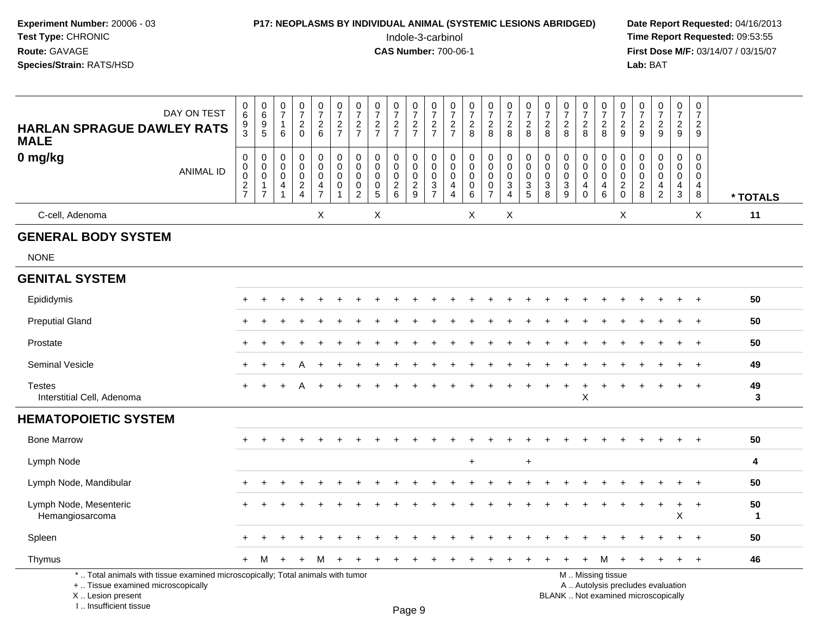| <b>P17: NEOPLASMS BY INDIVIDUAL ANIMAL (SYSTEMIC LESIONS ABRIDGED)</b> | Date Rep         |
|------------------------------------------------------------------------|------------------|
| Indole-3-carbinol                                                      | <b>Time Rep</b>  |
| <b>CAS Number: 700-06-1</b>                                            | <b>First Dos</b> |
|                                                                        | Lab: BAT         |
|                                                                        |                  |

## **P17: NEOPLASMS BY INDIVIDUAL ANIMAL (SYSTEMIC LESIONS ABRIDGED)** Date Report Requested: 04/16/2013<br>Indole-3-carbinol **Time Report Requested:** 09:53:55

 Indole-3-carbinol **Time Report Requested:** 09:53:55 **First Dose M/F:** 03/14/07 / 03/15/07<br>Lab: BAT

| DAY ON TEST<br><b>HARLAN SPRAGUE DAWLEY RATS</b><br><b>MALE</b>                                                                           | $\,0\,$<br>$\,6\,$<br>$\frac{9}{3}$                             | $\begin{array}{c} 0 \\ 6 \end{array}$<br>$\begin{array}{c} 9 \\ 5 \end{array}$ | $\begin{array}{c} 0 \\ 7 \end{array}$<br>$\mathbf{1}$<br>$\,6\,$              | $\frac{0}{7}$<br>$\frac{2}{0}$                       | $\begin{array}{c} 0 \\ 7 \end{array}$<br>$\frac{2}{6}$                                | $\frac{0}{7}$<br>$\frac{2}{7}$                                           | $\begin{array}{c} 0 \\ 7 \end{array}$<br>$\frac{2}{7}$ | $\frac{0}{7}$<br>$\frac{2}{7}$                                     | $\frac{0}{7}$<br>$\frac{2}{7}$                  | $\frac{0}{7}$<br>$\frac{2}{7}$    | $\begin{array}{c} 0 \\ 7 \end{array}$<br>$\frac{2}{7}$ | $\frac{0}{7}$<br>$\frac{2}{7}$                                   | $\begin{array}{c} 0 \\ 7 \end{array}$<br>$\overline{c}$<br>8     | $\frac{0}{7}$<br>$\frac{2}{8}$                              | $\begin{array}{c} 0 \\ 7 \end{array}$<br>$\frac{2}{8}$                             | $\begin{array}{c} 0 \\ 7 \end{array}$<br>$\frac{2}{8}$ | 0728                                                | $\frac{0}{7}$<br>$\frac{2}{8}$                                              | $\frac{0}{7}$<br>$_{8}^2$                                                 | $\begin{array}{c} 0 \\ 7 \\ 2 \\ 8 \end{array}$                                | $\frac{0}{7}$<br>$\overline{c}$<br>$\mathsf g$  | $\begin{array}{c} 0 \\ 7 \end{array}$<br>$\frac{2}{9}$ | $\begin{array}{c} 0 \\ 7 \end{array}$<br>$\frac{2}{9}$                              | $\pmb{0}$<br>$\overline{7}$<br>$\frac{2}{9}$                      | $\pmb{0}$<br>$\overline{7}$<br>$\overline{c}$<br>9     |                    |
|-------------------------------------------------------------------------------------------------------------------------------------------|-----------------------------------------------------------------|--------------------------------------------------------------------------------|-------------------------------------------------------------------------------|------------------------------------------------------|---------------------------------------------------------------------------------------|--------------------------------------------------------------------------|--------------------------------------------------------|--------------------------------------------------------------------|-------------------------------------------------|-----------------------------------|--------------------------------------------------------|------------------------------------------------------------------|------------------------------------------------------------------|-------------------------------------------------------------|------------------------------------------------------------------------------------|--------------------------------------------------------|-----------------------------------------------------|-----------------------------------------------------------------------------|---------------------------------------------------------------------------|--------------------------------------------------------------------------------|-------------------------------------------------|--------------------------------------------------------|-------------------------------------------------------------------------------------|-------------------------------------------------------------------|--------------------------------------------------------|--------------------|
| 0 mg/kg<br><b>ANIMAL ID</b>                                                                                                               | $\boldsymbol{0}$<br>$\mathbf 0$<br>$\mathbf 0$<br>$\frac{2}{7}$ | 0<br>$\mathbf 0$<br>$\mathbf 0$<br>1<br>$\overline{7}$                         | $\mathbf 0$<br>$\mathbf 0$<br>$\mathbf 0$<br>$\overline{4}$<br>$\overline{1}$ | $\pmb{0}$<br>$\pmb{0}$<br>$\pmb{0}$<br>$\frac{2}{4}$ | $\mathbf 0$<br>$\mathbf 0$<br>$\mathsf{O}\xspace$<br>$\overline{4}$<br>$\overline{7}$ | $\mathsf 0$<br>$\mathbf 0$<br>$\mathbf 0$<br>$\mathbf 0$<br>$\mathbf{1}$ | 0<br>$\mathbf 0$<br>$\mathbf 0$<br>0<br>$\overline{2}$ | $\pmb{0}$<br>$\mathbf 0$<br>$\mathbf 0$<br>$\pmb{0}$<br>$\sqrt{5}$ | 0<br>$\mathsf{O}$<br>$\pmb{0}$<br>$\frac{2}{6}$ | 0<br>$\mathbf 0$<br>$\frac{0}{2}$ | $\mathbf 0$<br>$\mathbf 0$<br>$\,0\,$<br>$\frac{3}{7}$ | $\mathbf 0$<br>$\mathbf 0$<br>$\mathbf 0$<br>4<br>$\overline{4}$ | $\mathbf 0$<br>$\Omega$<br>$\mathbf 0$<br>$\mathbf 0$<br>$\,6\,$ | 0<br>0<br>$\mathsf 0$<br>$\boldsymbol{0}$<br>$\overline{7}$ | $\mathsf 0$<br>$\mathbf 0$<br>$\mathsf{O}\xspace$<br>$\mathbf 3$<br>$\overline{4}$ | $\pmb{0}$<br>$\mathbf 0$<br>$\pmb{0}$<br>$\frac{3}{5}$ | $\mathbf 0$<br>$\mathbf 0$<br>$\mathbf 0$<br>$_8^3$ | $\mathbf 0$<br>$\mathbf 0$<br>$\mathbf 0$<br>$\ensuremath{\mathsf{3}}$<br>9 | 0<br>$\mathbf 0$<br>$\mathbf 0$<br>$\overline{\mathbf{4}}$<br>$\mathbf 0$ | $\pmb{0}$<br>$\overline{0}$<br>$\pmb{0}$<br>$\overline{\mathbf{4}}$<br>$\,6\,$ | 0<br>$\mathbf 0$<br>$\mathbf 0$<br>$^2_{\rm 0}$ | $\mathbf 0$<br>$\Omega$<br>0<br>$_{\rm 8}^2$           | $\mathsf{O}\xspace$<br>$\mathbf 0$<br>$\pmb{0}$<br>$\overline{4}$<br>$\overline{2}$ | $\mathbf 0$<br>0<br>$\mathbf 0$<br>$\overline{4}$<br>$\mathbf{3}$ | $\mathbf 0$<br>$\mathbf 0$<br>0<br>$\overline{4}$<br>8 | * TOTALS           |
| C-cell, Adenoma                                                                                                                           |                                                                 |                                                                                |                                                                               |                                                      | X                                                                                     |                                                                          |                                                        | X                                                                  |                                                 |                                   |                                                        |                                                                  | X                                                                |                                                             | X                                                                                  |                                                        |                                                     |                                                                             |                                                                           |                                                                                | $\mathsf X$                                     |                                                        |                                                                                     |                                                                   | $\boldsymbol{\mathsf{X}}$                              | 11                 |
| <b>GENERAL BODY SYSTEM</b>                                                                                                                |                                                                 |                                                                                |                                                                               |                                                      |                                                                                       |                                                                          |                                                        |                                                                    |                                                 |                                   |                                                        |                                                                  |                                                                  |                                                             |                                                                                    |                                                        |                                                     |                                                                             |                                                                           |                                                                                |                                                 |                                                        |                                                                                     |                                                                   |                                                        |                    |
| <b>NONE</b>                                                                                                                               |                                                                 |                                                                                |                                                                               |                                                      |                                                                                       |                                                                          |                                                        |                                                                    |                                                 |                                   |                                                        |                                                                  |                                                                  |                                                             |                                                                                    |                                                        |                                                     |                                                                             |                                                                           |                                                                                |                                                 |                                                        |                                                                                     |                                                                   |                                                        |                    |
| <b>GENITAL SYSTEM</b>                                                                                                                     |                                                                 |                                                                                |                                                                               |                                                      |                                                                                       |                                                                          |                                                        |                                                                    |                                                 |                                   |                                                        |                                                                  |                                                                  |                                                             |                                                                                    |                                                        |                                                     |                                                                             |                                                                           |                                                                                |                                                 |                                                        |                                                                                     |                                                                   |                                                        |                    |
| Epididymis                                                                                                                                |                                                                 |                                                                                |                                                                               |                                                      |                                                                                       |                                                                          |                                                        |                                                                    |                                                 |                                   |                                                        |                                                                  |                                                                  |                                                             |                                                                                    |                                                        |                                                     |                                                                             |                                                                           |                                                                                |                                                 |                                                        |                                                                                     |                                                                   |                                                        | 50                 |
| <b>Preputial Gland</b>                                                                                                                    |                                                                 |                                                                                |                                                                               |                                                      |                                                                                       |                                                                          |                                                        |                                                                    |                                                 |                                   |                                                        |                                                                  |                                                                  |                                                             |                                                                                    |                                                        |                                                     |                                                                             |                                                                           |                                                                                |                                                 |                                                        |                                                                                     |                                                                   |                                                        | 50                 |
| Prostate                                                                                                                                  |                                                                 |                                                                                |                                                                               |                                                      |                                                                                       |                                                                          |                                                        |                                                                    |                                                 |                                   |                                                        |                                                                  |                                                                  |                                                             |                                                                                    |                                                        |                                                     |                                                                             |                                                                           |                                                                                |                                                 |                                                        |                                                                                     | $\div$                                                            | $\ddot{}$                                              | 50                 |
| Seminal Vesicle                                                                                                                           |                                                                 |                                                                                |                                                                               |                                                      |                                                                                       |                                                                          |                                                        |                                                                    |                                                 |                                   |                                                        |                                                                  |                                                                  |                                                             |                                                                                    |                                                        |                                                     |                                                                             |                                                                           |                                                                                |                                                 |                                                        |                                                                                     |                                                                   | $\overline{1}$                                         | 49                 |
| <b>Testes</b><br>Interstitial Cell, Adenoma                                                                                               | ÷                                                               |                                                                                |                                                                               |                                                      |                                                                                       |                                                                          |                                                        |                                                                    |                                                 |                                   |                                                        |                                                                  |                                                                  |                                                             |                                                                                    |                                                        |                                                     |                                                                             | $\ddot{}$<br>X                                                            |                                                                                |                                                 |                                                        |                                                                                     |                                                                   |                                                        | 49<br>3            |
| <b>HEMATOPOIETIC SYSTEM</b>                                                                                                               |                                                                 |                                                                                |                                                                               |                                                      |                                                                                       |                                                                          |                                                        |                                                                    |                                                 |                                   |                                                        |                                                                  |                                                                  |                                                             |                                                                                    |                                                        |                                                     |                                                                             |                                                                           |                                                                                |                                                 |                                                        |                                                                                     |                                                                   |                                                        |                    |
| <b>Bone Marrow</b>                                                                                                                        |                                                                 |                                                                                |                                                                               |                                                      |                                                                                       |                                                                          |                                                        |                                                                    |                                                 |                                   |                                                        |                                                                  |                                                                  |                                                             |                                                                                    |                                                        |                                                     |                                                                             |                                                                           |                                                                                |                                                 |                                                        |                                                                                     |                                                                   |                                                        | 50                 |
| Lymph Node                                                                                                                                |                                                                 |                                                                                |                                                                               |                                                      |                                                                                       |                                                                          |                                                        |                                                                    |                                                 |                                   |                                                        |                                                                  | $\ddot{}$                                                        |                                                             |                                                                                    | $\ddot{}$                                              |                                                     |                                                                             |                                                                           |                                                                                |                                                 |                                                        |                                                                                     |                                                                   |                                                        | 4                  |
| Lymph Node, Mandibular                                                                                                                    |                                                                 |                                                                                |                                                                               |                                                      |                                                                                       |                                                                          |                                                        |                                                                    |                                                 |                                   |                                                        |                                                                  |                                                                  |                                                             |                                                                                    |                                                        |                                                     |                                                                             |                                                                           |                                                                                |                                                 |                                                        |                                                                                     |                                                                   |                                                        | 50                 |
| Lymph Node, Mesenteric<br>Hemangiosarcoma                                                                                                 |                                                                 |                                                                                |                                                                               |                                                      |                                                                                       |                                                                          |                                                        |                                                                    |                                                 |                                   |                                                        |                                                                  |                                                                  |                                                             |                                                                                    |                                                        |                                                     |                                                                             |                                                                           |                                                                                |                                                 |                                                        |                                                                                     | $\ddot{}$<br>X                                                    | $\ddot{}$                                              | 50<br>$\mathbf{1}$ |
| Spleen                                                                                                                                    |                                                                 |                                                                                |                                                                               |                                                      |                                                                                       |                                                                          |                                                        |                                                                    |                                                 |                                   |                                                        |                                                                  |                                                                  |                                                             |                                                                                    |                                                        |                                                     |                                                                             |                                                                           |                                                                                |                                                 |                                                        |                                                                                     |                                                                   |                                                        | 50                 |
| Thymus                                                                                                                                    | $+$                                                             | M                                                                              | $\pm$                                                                         | $\pm$                                                | м                                                                                     |                                                                          |                                                        |                                                                    |                                                 |                                   |                                                        |                                                                  |                                                                  |                                                             |                                                                                    |                                                        |                                                     |                                                                             | $\pm$                                                                     | M                                                                              | $\overline{+}$                                  | $\pm$                                                  |                                                                                     | $\ddot{}$                                                         | $+$                                                    | 46                 |
| *  Total animals with tissue examined microscopically; Total animals with tumor<br>+  Tissue examined microscopically<br>X Lesion present |                                                                 |                                                                                |                                                                               |                                                      |                                                                                       |                                                                          |                                                        |                                                                    |                                                 |                                   |                                                        |                                                                  |                                                                  |                                                             |                                                                                    |                                                        |                                                     |                                                                             |                                                                           | M  Missing tissue                                                              |                                                 |                                                        | A  Autolysis precludes evaluation<br>BLANK  Not examined microscopically            |                                                                   |                                                        |                    |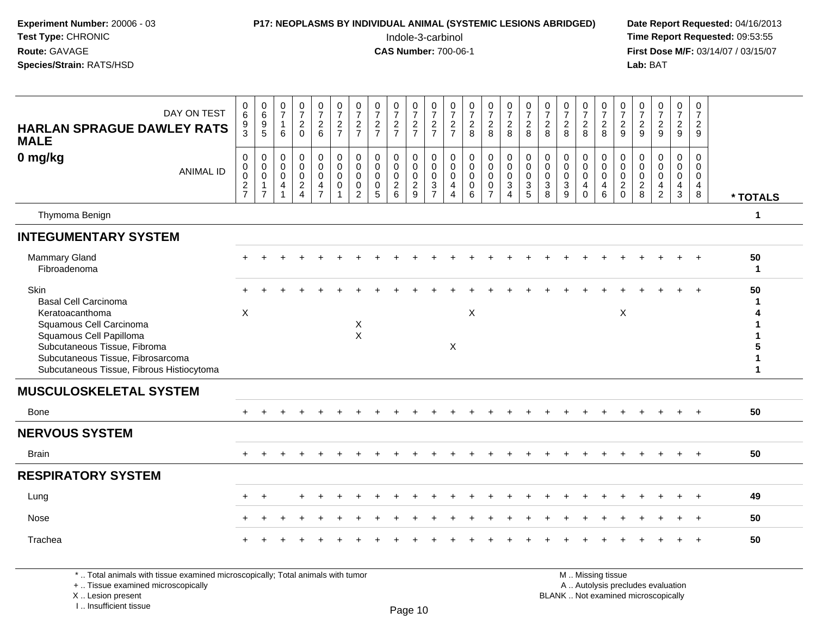| Experiment Number: 20006 - 03<br>Test Type: CHRONIC<br>Route: GAVAGE<br>Species/Strain: RATS/HSD                                                                                                                                      |                                                                              |                                                                                |                                                                                     |                                                                               |                                                                         |                                                         |                                                                      |                                                             |                                                        | <b>P17: NEOPLASMS BY INDIVIDUAL ANIMAL (SYSTEMIC LESIONS ABRIDGED)</b><br>Indole-3-carbinol<br><b>CAS Number: 700-06-1</b> |                                                            |                                                                            |                                                                            |                                                                                  |                                                                                     |                                                                          |                                                                            |                                                             |                                                                             |                                               |                                                                         |                                                              | Lab: BAT                                                           |                                                                           |                                                      | Date Report Requested: 04/16/2013<br>Time Report Requested: 09:53:55<br>First Dose M/F: 03/14/07 / 03/15/07 |
|---------------------------------------------------------------------------------------------------------------------------------------------------------------------------------------------------------------------------------------|------------------------------------------------------------------------------|--------------------------------------------------------------------------------|-------------------------------------------------------------------------------------|-------------------------------------------------------------------------------|-------------------------------------------------------------------------|---------------------------------------------------------|----------------------------------------------------------------------|-------------------------------------------------------------|--------------------------------------------------------|----------------------------------------------------------------------------------------------------------------------------|------------------------------------------------------------|----------------------------------------------------------------------------|----------------------------------------------------------------------------|----------------------------------------------------------------------------------|-------------------------------------------------------------------------------------|--------------------------------------------------------------------------|----------------------------------------------------------------------------|-------------------------------------------------------------|-----------------------------------------------------------------------------|-----------------------------------------------|-------------------------------------------------------------------------|--------------------------------------------------------------|--------------------------------------------------------------------|---------------------------------------------------------------------------|------------------------------------------------------|-------------------------------------------------------------------------------------------------------------|
| DAY ON TEST<br><b>HARLAN SPRAGUE DAWLEY RATS</b><br><b>MALE</b>                                                                                                                                                                       | 0<br>$\overline{6}$<br>9<br>3                                                | $\begin{array}{c} 0 \\ 6 \end{array}$<br>$\begin{array}{c} 9 \\ 5 \end{array}$ | $\frac{0}{7}$<br>$\mathbf{1}$<br>6                                                  | $\frac{0}{7}$<br>$\frac{2}{0}$                                                | $\frac{0}{7}$<br>6                                                      | $\frac{0}{7}$<br>$\frac{2}{7}$                          | $\frac{0}{7}$<br>$\frac{2}{7}$                                       | $\frac{0}{7}$<br>$\frac{2}{7}$                              | $\begin{array}{c} 0 \\ 7 \\ 2 \\ 7 \end{array}$        | $\mathbf 0$<br>$\overline{7}$<br>$\frac{2}{7}$                                                                             | $\frac{0}{7}$<br>$\frac{2}{7}$                             | $\frac{0}{7}$<br>$\frac{2}{7}$                                             | $\frac{0}{7}$<br>$\frac{2}{8}$                                             | $\frac{0}{7}$<br>$\frac{2}{8}$                                                   | $\begin{array}{c} 0 \\ 7 \end{array}$<br>$\overline{2}$<br>8                        | $\begin{array}{c} 0 \\ 7 \end{array}$<br>$\overline{2}$<br>8             | $\frac{0}{7}$<br>8                                                         | $\frac{0}{7}$<br>$_{8}^{\rm 2}$                             | $\begin{array}{c} 0 \\ 7 \end{array}$<br>$\overline{c}$<br>8                | $\frac{0}{7}$<br>$\overline{c}$<br>8          | $\frac{0}{7}$<br>$\overline{c}$<br>9                                    | $\begin{array}{c} 0 \\ 7 \end{array}$<br>$\overline{c}$<br>9 | $\begin{smallmatrix}0\\7\end{smallmatrix}$<br>$\frac{2}{9}$        | $\begin{array}{c} 0 \\ 7 \end{array}$<br>$\overline{2}$<br>9              | $\mathbf 0$<br>$\overline{7}$<br>$\overline{2}$<br>9 |                                                                                                             |
| 0 mg/kg<br><b>ANIMAL ID</b>                                                                                                                                                                                                           | $\mathbf 0$<br>$\Omega$<br>$\mathbf 0$<br>$\boldsymbol{2}$<br>$\overline{7}$ | $\mathbf 0$<br>$\overline{0}$<br>$\mathbf 0$<br>$\mathbf{1}$<br>$\overline{7}$ | $\mathbf 0$<br>$\mathsf{O}\xspace$<br>$\mathbf 0$<br>$\overline{4}$<br>$\mathbf{1}$ | $\mathbf 0$<br>$\mathbf 0$<br>$\mathbf 0$<br>$\overline{2}$<br>$\overline{4}$ | $\Omega$<br>$\Omega$<br>$\mathbf 0$<br>$\overline{a}$<br>$\overline{7}$ | $\Omega$<br>$\Omega$<br>$\mathbf 0$<br>$\mathbf 0$<br>1 | $\Omega$<br>$\Omega$<br>$\mathbf 0$<br>$\mathbf 0$<br>$\overline{2}$ | $\Omega$<br>$\mathbf{0}$<br>$\mathbf 0$<br>$\mathbf 0$<br>5 | 0<br>$\pmb{0}$<br>$\mathbf 0$<br>$\boldsymbol{2}$<br>6 | $\Omega$<br>$\Omega$<br>$\mathbf 0$<br>$\boldsymbol{2}$<br>9                                                               | $\mathbf 0$<br>$\mathbf 0$<br>$\mathbf 0$<br>$\frac{3}{7}$ | $\mathbf 0$<br>$\Omega$<br>$\mathbf 0$<br>$\overline{a}$<br>$\overline{4}$ | $\mathbf 0$<br>$\mathbf 0$<br>$\mathbf 0$<br>$\mathbf 0$<br>$6\phantom{1}$ | $\pmb{0}$<br>$\ddot{\mathbf{0}}$<br>$\mathbf 0$<br>$\mathbf 0$<br>$\overline{7}$ | $\mathbf 0$<br>$\mathsf{O}\xspace$<br>$\mathbf 0$<br>$\mathbf{3}$<br>$\overline{4}$ | $\mathbf 0$<br>$\Omega$<br>$\mathbf 0$<br>$\ensuremath{\mathsf{3}}$<br>5 | $\mathbf 0$<br>$\mathbf{0}$<br>$\mathbf 0$<br>$\mathbf{3}$<br>$\mathbf{8}$ | $\mathbf 0$<br>$\mathbf 0$<br>$\pmb{0}$<br>$\mathsf 3$<br>9 | $\mathbf 0$<br>$\mathbf{0}$<br>$\mathbf 0$<br>$\overline{a}$<br>$\mathbf 0$ | $\Omega$<br>$\Omega$<br>$\mathbf 0$<br>4<br>6 | $\mathbf 0$<br>$\Omega$<br>$\mathbf 0$<br>$\overline{c}$<br>$\mathbf 0$ | $\Omega$<br>$\Omega$<br>$\mathsf 0$<br>$\overline{c}$<br>8   | $\mathbf 0$<br>$\mathbf 0$<br>$\mathsf{O}\xspace$<br>$\frac{4}{2}$ | $\mathbf 0$<br>$\Omega$<br>$\mathbf{0}$<br>$\overline{4}$<br>$\mathbf{3}$ | $\Omega$<br>$\Omega$<br>0<br>4<br>8                  | * TOTALS                                                                                                    |
| Thymoma Benign                                                                                                                                                                                                                        |                                                                              |                                                                                |                                                                                     |                                                                               |                                                                         |                                                         |                                                                      |                                                             |                                                        |                                                                                                                            |                                                            |                                                                            |                                                                            |                                                                                  |                                                                                     |                                                                          |                                                                            |                                                             |                                                                             |                                               |                                                                         |                                                              |                                                                    |                                                                           |                                                      | $\mathbf{1}$                                                                                                |
| <b>INTEGUMENTARY SYSTEM</b>                                                                                                                                                                                                           |                                                                              |                                                                                |                                                                                     |                                                                               |                                                                         |                                                         |                                                                      |                                                             |                                                        |                                                                                                                            |                                                            |                                                                            |                                                                            |                                                                                  |                                                                                     |                                                                          |                                                                            |                                                             |                                                                             |                                               |                                                                         |                                                              |                                                                    |                                                                           |                                                      |                                                                                                             |
| <b>Mammary Gland</b><br>Fibroadenoma                                                                                                                                                                                                  |                                                                              |                                                                                |                                                                                     |                                                                               |                                                                         |                                                         |                                                                      |                                                             |                                                        |                                                                                                                            |                                                            |                                                                            |                                                                            |                                                                                  |                                                                                     |                                                                          |                                                                            |                                                             |                                                                             |                                               |                                                                         |                                                              |                                                                    |                                                                           |                                                      | 50<br>1                                                                                                     |
| <b>Skin</b><br><b>Basal Cell Carcinoma</b><br>Keratoacanthoma<br>Squamous Cell Carcinoma<br>Squamous Cell Papilloma<br>Subcutaneous Tissue, Fibroma<br>Subcutaneous Tissue, Fibrosarcoma<br>Subcutaneous Tissue, Fibrous Histiocytoma | $\times$                                                                     |                                                                                |                                                                                     |                                                                               |                                                                         |                                                         | $\boldsymbol{X}$<br>$\mathsf X$                                      |                                                             |                                                        |                                                                                                                            |                                                            | $\mathsf{X}$                                                               | X                                                                          |                                                                                  |                                                                                     |                                                                          |                                                                            |                                                             |                                                                             |                                               | $\mathsf X$                                                             |                                                              |                                                                    |                                                                           |                                                      | 50<br>5<br>$\mathbf{1}$<br>$\mathbf{1}$                                                                     |
| <b>MUSCULOSKELETAL SYSTEM</b>                                                                                                                                                                                                         |                                                                              |                                                                                |                                                                                     |                                                                               |                                                                         |                                                         |                                                                      |                                                             |                                                        |                                                                                                                            |                                                            |                                                                            |                                                                            |                                                                                  |                                                                                     |                                                                          |                                                                            |                                                             |                                                                             |                                               |                                                                         |                                                              |                                                                    |                                                                           |                                                      |                                                                                                             |
| Bone                                                                                                                                                                                                                                  |                                                                              |                                                                                |                                                                                     |                                                                               |                                                                         |                                                         |                                                                      |                                                             |                                                        |                                                                                                                            |                                                            |                                                                            |                                                                            |                                                                                  |                                                                                     |                                                                          |                                                                            |                                                             |                                                                             |                                               |                                                                         |                                                              |                                                                    |                                                                           |                                                      | 50                                                                                                          |
| <b>NERVOUS SYSTEM</b>                                                                                                                                                                                                                 |                                                                              |                                                                                |                                                                                     |                                                                               |                                                                         |                                                         |                                                                      |                                                             |                                                        |                                                                                                                            |                                                            |                                                                            |                                                                            |                                                                                  |                                                                                     |                                                                          |                                                                            |                                                             |                                                                             |                                               |                                                                         |                                                              |                                                                    |                                                                           |                                                      |                                                                                                             |
| <b>Brain</b>                                                                                                                                                                                                                          |                                                                              |                                                                                |                                                                                     |                                                                               |                                                                         |                                                         |                                                                      |                                                             |                                                        |                                                                                                                            |                                                            |                                                                            |                                                                            |                                                                                  |                                                                                     |                                                                          |                                                                            |                                                             |                                                                             |                                               |                                                                         |                                                              |                                                                    |                                                                           | $+$                                                  | 50                                                                                                          |
| <b>RESPIRATORY SYSTEM</b>                                                                                                                                                                                                             |                                                                              |                                                                                |                                                                                     |                                                                               |                                                                         |                                                         |                                                                      |                                                             |                                                        |                                                                                                                            |                                                            |                                                                            |                                                                            |                                                                                  |                                                                                     |                                                                          |                                                                            |                                                             |                                                                             |                                               |                                                                         |                                                              |                                                                    |                                                                           |                                                      |                                                                                                             |
| Lung                                                                                                                                                                                                                                  |                                                                              |                                                                                |                                                                                     |                                                                               |                                                                         |                                                         |                                                                      |                                                             |                                                        |                                                                                                                            |                                                            |                                                                            |                                                                            |                                                                                  |                                                                                     |                                                                          |                                                                            |                                                             |                                                                             |                                               |                                                                         |                                                              |                                                                    |                                                                           | $\ddot{}$                                            | 49                                                                                                          |
| Nose                                                                                                                                                                                                                                  |                                                                              |                                                                                |                                                                                     |                                                                               |                                                                         |                                                         |                                                                      |                                                             |                                                        |                                                                                                                            |                                                            |                                                                            |                                                                            |                                                                                  |                                                                                     |                                                                          |                                                                            |                                                             |                                                                             |                                               |                                                                         |                                                              |                                                                    |                                                                           |                                                      | 50                                                                                                          |
| Trachea                                                                                                                                                                                                                               |                                                                              |                                                                                |                                                                                     |                                                                               |                                                                         |                                                         |                                                                      |                                                             |                                                        |                                                                                                                            |                                                            |                                                                            |                                                                            |                                                                                  |                                                                                     |                                                                          |                                                                            |                                                             |                                                                             |                                               |                                                                         |                                                              |                                                                    |                                                                           |                                                      | 50                                                                                                          |

\* .. Total animals with tissue examined microscopically; Total animals with tumor<br>+ .. Tissue examined microscopically a .. Autolysis precludes evaluation examined microscopically A .. Autolysis precludes evaluation

X ..

I .. Insufficient tissue

**M** . Missing tissue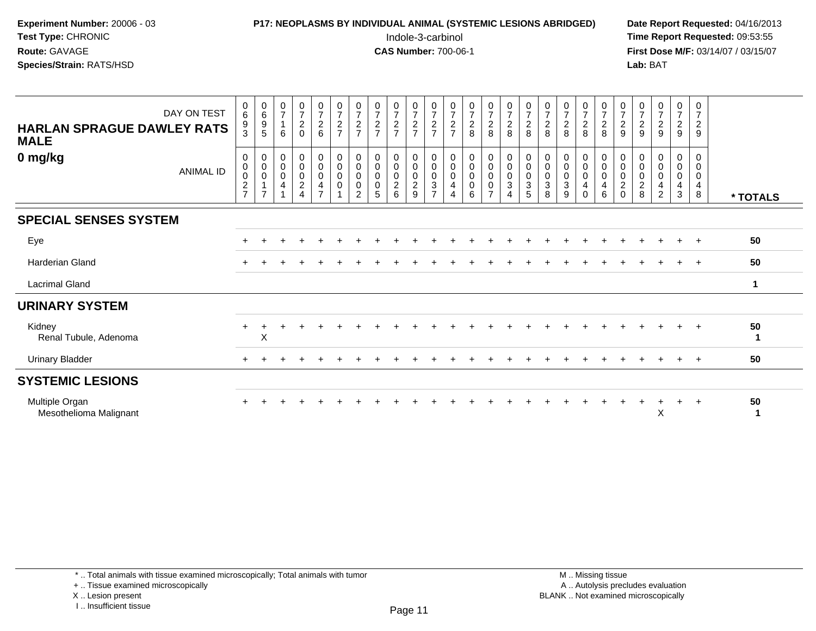| <b>P17: NEOPLASMS BY INDIVIDUAL ANIMAL (SYSTEMIC LESIONS ABRIDGED)</b> | Date Rep         |
|------------------------------------------------------------------------|------------------|
| Indole-3-carbinol                                                      | Time Rer         |
| <b>CAS Number: 700-06-1</b>                                            | <b>First Dos</b> |
|                                                                        | Lab: BAT         |
|                                                                        |                  |

# **P17: NEOPLASMS BY INDIVIDUAL ANIMAL (SYSTEMIC LESIONS ABRIDGED)** Date Report Requested: 04/16/2013<br>Indole-3-carbinol **Time Report Requested:** 09:53:55

 Indole-3-carbinol **Time Report Requested:** 09:53:55 **First Dose M/F:** 03/14/07 / 03/15/07<br>**Lab:** BAT

| DAY ON TEST<br><b>HARLAN SPRAGUE DAWLEY RATS</b><br><b>MALE</b> | 0<br>$\,6$<br>$\frac{9}{3}$                       | $\begin{array}{c} 0 \\ 6 \\ 9 \end{array}$<br>$\sqrt{5}$          | $\begin{array}{c} 0 \\ 7 \end{array}$<br>$\mathbf{1}$<br>6                           | $\frac{0}{7}$<br>$\overline{a}$<br>$\mathbf 0$ | 0726                                                                         | $\frac{0}{7}$<br>$\frac{2}{7}$               | $\frac{0}{7}$<br>$\frac{2}{7}$                  | $\frac{0}{7}$<br>$\frac{2}{7}$                          | $\frac{0}{7}$<br>$\frac{2}{7}$                       | $072$<br>$72$                                                     | $\frac{0}{7}$<br>$\frac{2}{7}$                                      | $\frac{0}{7}$<br>$\frac{2}{7}$                                                     | $\frac{0}{7}$<br>8                        | $\frac{0}{7}$<br>8                                   | $\frac{0}{7}$<br>8                                                  | $\frac{0}{7}$<br>$\frac{2}{8}$                                    | $\frac{0}{7}$<br>$\frac{2}{8}$                 | $\frac{0}{7}$<br>8                                                         | $\frac{0}{7}$<br>$\frac{2}{8}$                              | $\frac{0}{7}$<br>8                                     | $\frac{0}{7}$<br>$\sqrt{2}$<br>9                                    | $\frac{0}{7}$<br>$\boldsymbol{2}$<br>9 | $\frac{0}{7}$<br>$\frac{2}{9}$                               | $\frac{0}{7}$<br>$\frac{2}{9}$ | $\frac{0}{7}$<br>$\frac{2}{9}$                      |          |
|-----------------------------------------------------------------|---------------------------------------------------|-------------------------------------------------------------------|--------------------------------------------------------------------------------------|------------------------------------------------|------------------------------------------------------------------------------|----------------------------------------------|-------------------------------------------------|---------------------------------------------------------|------------------------------------------------------|-------------------------------------------------------------------|---------------------------------------------------------------------|------------------------------------------------------------------------------------|-------------------------------------------|------------------------------------------------------|---------------------------------------------------------------------|-------------------------------------------------------------------|------------------------------------------------|----------------------------------------------------------------------------|-------------------------------------------------------------|--------------------------------------------------------|---------------------------------------------------------------------|----------------------------------------|--------------------------------------------------------------|--------------------------------|-----------------------------------------------------|----------|
| 0 mg/kg<br><b>ANIMAL ID</b>                                     | 0<br>$\,0\,$<br>0<br>$\sqrt{2}$<br>$\overline{7}$ | $_{\rm 0}^{\rm 0}$<br>$\pmb{0}$<br>$\mathbf{1}$<br>$\overline{7}$ | $\begin{matrix} 0 \\ 0 \\ 0 \end{matrix}$<br>$\overline{\mathbf{4}}$<br>$\mathbf{1}$ | $_0^0$<br>0<br>$\frac{2}{4}$                   | $_{\rm 0}^{\rm 0}$<br>$\pmb{0}$<br>$\overline{\mathbf{4}}$<br>$\overline{7}$ | $_{\rm 0}^{\rm 0}$<br>$\pmb{0}$<br>$\pmb{0}$ | $\pmb{0}$<br>$\pmb{0}$<br>$\mathbf 0$<br>0<br>2 | $\pmb{0}$<br>$\mathbf 0$<br>$\pmb{0}$<br>$\pmb{0}$<br>5 | 0<br>$\pmb{0}$<br>$\mathbf 0$<br>$\overline{c}$<br>6 | $\begin{smallmatrix}0\\0\end{smallmatrix}$<br>$_{2}^{\rm 0}$<br>9 | $_{\rm 0}^{\rm 0}$<br>$\pmb{0}$<br>$\overline{3}$<br>$\overline{z}$ | $\pmb{0}$<br>$\mathbf 0$<br>$\pmb{0}$<br>$\overline{\mathbf{4}}$<br>$\overline{4}$ | $_{\rm 0}^{\rm 0}$<br>$\pmb{0}$<br>0<br>6 | $_0^0$<br>0<br>$\mathsf{O}\xspace$<br>$\overline{7}$ | $_{\rm 0}^{\rm 0}$<br>$\pmb{0}$<br>$\overline{3}$<br>$\overline{4}$ | $_{\rm 0}^{\rm 0}$<br>$\pmb{0}$<br>$\ensuremath{\mathsf{3}}$<br>5 | 0<br>$\pmb{0}$<br>$\pmb{0}$<br>$\sqrt{3}$<br>8 | $\begin{smallmatrix}0\\0\end{smallmatrix}$<br>$\pmb{0}$<br>$\sqrt{3}$<br>9 | 0<br>$\pmb{0}$<br>$\mathbf 0$<br>$\overline{4}$<br>$\Omega$ | $\boldsymbol{0}$<br>$\mathbf 0$<br>$\pmb{0}$<br>4<br>6 | $\pmb{0}$<br>$\mathbf 0$<br>$\pmb{0}$<br>$\overline{2}$<br>$\Omega$ | 0<br>0<br>0<br>$\frac{2}{8}$           | $\pmb{0}$<br>$\mathbf 0$<br>$\pmb{0}$<br>4<br>$\overline{c}$ | 0<br>0<br>0<br>4<br>3          | 0<br>0<br>$\pmb{0}$<br>$\overline{\mathbf{4}}$<br>8 | * TOTALS |
| <b>SPECIAL SENSES SYSTEM</b>                                    |                                                   |                                                                   |                                                                                      |                                                |                                                                              |                                              |                                                 |                                                         |                                                      |                                                                   |                                                                     |                                                                                    |                                           |                                                      |                                                                     |                                                                   |                                                |                                                                            |                                                             |                                                        |                                                                     |                                        |                                                              |                                |                                                     |          |
| Eye                                                             | ÷                                                 |                                                                   |                                                                                      |                                                |                                                                              |                                              |                                                 |                                                         |                                                      |                                                                   |                                                                     |                                                                                    |                                           |                                                      |                                                                     |                                                                   |                                                |                                                                            |                                                             |                                                        |                                                                     |                                        |                                                              |                                |                                                     | 50       |
| Harderian Gland                                                 |                                                   |                                                                   |                                                                                      |                                                |                                                                              |                                              |                                                 |                                                         |                                                      |                                                                   |                                                                     |                                                                                    |                                           |                                                      |                                                                     |                                                                   |                                                |                                                                            |                                                             |                                                        |                                                                     |                                        |                                                              | ÷                              | $\div$                                              | 50       |
| <b>Lacrimal Gland</b>                                           |                                                   |                                                                   |                                                                                      |                                                |                                                                              |                                              |                                                 |                                                         |                                                      |                                                                   |                                                                     |                                                                                    |                                           |                                                      |                                                                     |                                                                   |                                                |                                                                            |                                                             |                                                        |                                                                     |                                        |                                                              |                                |                                                     | 1        |
| <b>URINARY SYSTEM</b>                                           |                                                   |                                                                   |                                                                                      |                                                |                                                                              |                                              |                                                 |                                                         |                                                      |                                                                   |                                                                     |                                                                                    |                                           |                                                      |                                                                     |                                                                   |                                                |                                                                            |                                                             |                                                        |                                                                     |                                        |                                                              |                                |                                                     |          |
| Kidney<br>Renal Tubule, Adenoma                                 | $+$                                               | X                                                                 |                                                                                      |                                                |                                                                              |                                              |                                                 |                                                         |                                                      |                                                                   |                                                                     |                                                                                    |                                           |                                                      |                                                                     |                                                                   |                                                |                                                                            |                                                             |                                                        |                                                                     |                                        |                                                              | $\div$                         | $\overline{+}$                                      | 50<br>-1 |
| <b>Urinary Bladder</b>                                          | $\div$                                            |                                                                   |                                                                                      |                                                |                                                                              |                                              |                                                 |                                                         |                                                      |                                                                   |                                                                     |                                                                                    |                                           |                                                      |                                                                     |                                                                   |                                                |                                                                            |                                                             |                                                        |                                                                     |                                        |                                                              |                                | $+$                                                 | 50       |
| <b>SYSTEMIC LESIONS</b>                                         |                                                   |                                                                   |                                                                                      |                                                |                                                                              |                                              |                                                 |                                                         |                                                      |                                                                   |                                                                     |                                                                                    |                                           |                                                      |                                                                     |                                                                   |                                                |                                                                            |                                                             |                                                        |                                                                     |                                        |                                                              |                                |                                                     |          |
| Multiple Organ<br>Mesothelioma Malignant                        |                                                   |                                                                   |                                                                                      |                                                |                                                                              |                                              |                                                 |                                                         |                                                      |                                                                   |                                                                     |                                                                                    |                                           |                                                      |                                                                     |                                                                   |                                                |                                                                            |                                                             |                                                        |                                                                     |                                        | X                                                            | $\ddot{}$                      | $\overline{ }$                                      | 50       |

\* .. Total animals with tissue examined microscopically; Total animals with tumor

+ .. Tissue examined microscopically

X .. Lesion present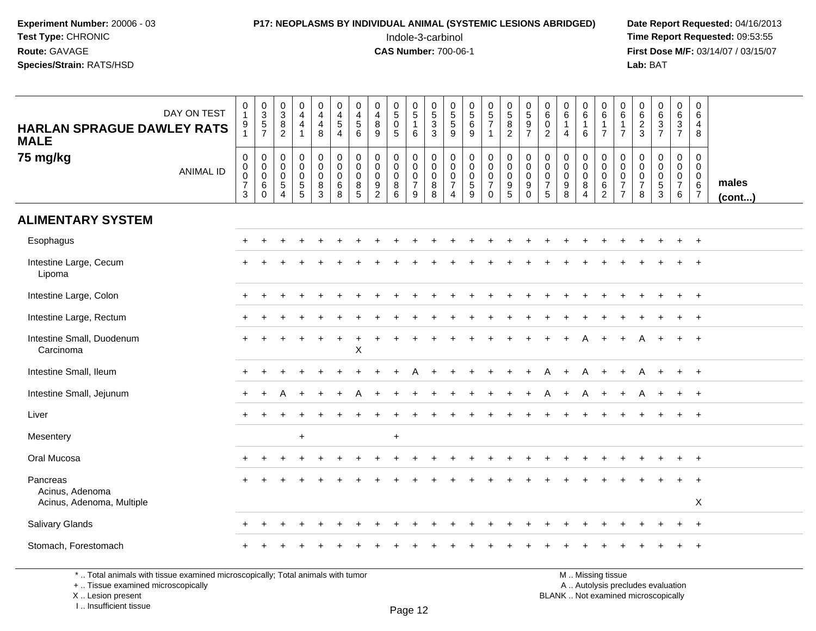## **P17: NEOPLASMS BY INDIVIDUAL ANIMAL (SYSTEMIC LESIONS ABRIDGED)** Date Report Requested: 04/16/2013<br>Indole-3-carbinol **Time Report Requested:** 09:53:55

 Indole-3-carbinol **Time Report Requested:** 09:53:55 **First Dose M/F:** 03/14/07 / 03/15/07<br>Lab: BAT **Lab:** BAT

| <b>HARLAN SPRAGUE DAWLEY RATS</b><br><b>MALE</b>         | DAY ON TEST      | $\begin{smallmatrix}0\\1\end{smallmatrix}$<br>$\frac{9}{1}$         | $\begin{array}{c} 0 \\ 3 \\ 5 \\ 7 \end{array}$        | $\mathbf 0$<br>$\overline{3}$<br>8<br>$\overline{2}$                 | 0<br>$\overline{4}$<br>$\overline{4}$<br>$\mathbf{1}$ | $\mathbf 0$<br>$\overline{4}$<br>$\overline{4}$<br>8            | 0<br>$\overline{4}$<br>$\sqrt{5}$<br>$\overline{4}$ | 0<br>$\overline{4}$<br>$\overline{5}$<br>$6\phantom{1}$ | 0<br>$\overline{4}$<br>8<br>9                       | $\begin{array}{c} 0 \\ 5 \end{array}$<br>$\pmb{0}$<br>$\overline{5}$ | $\mathbf 0$<br>$\overline{5}$<br>$\mathbf{1}$<br>$\,6\,$             | 0<br>$\frac{5}{3}$<br>$\overline{3}$  | 0<br>$\frac{5}{5}$<br>9                                                             | $\begin{array}{c} 0 \\ 5 \end{array}$<br>$6\phantom{a}$<br>9 | $\begin{array}{c} 0 \\ 5 \\ 7 \end{array}$<br>$\overline{1}$                     | $\mathbf 0$<br>$\overline{5}$<br>8<br>$\overline{2}$               | 0<br>$\sqrt{5}$<br>$\boldsymbol{9}$<br>$\overline{7}$      | 0<br>$\,6\,$<br>$\mathbf 0$<br>$\overline{2}$                  | 0<br>$\overline{6}$<br>$\mathbf{1}$<br>$\overline{4}$ | $\begin{matrix} 0 \\ 6 \end{matrix}$<br>$\mathbf{1}$<br>$6\phantom{1}$     | $\mathbf 0$<br>$\,6\,$<br>$\mathbf{1}$<br>$\overline{7}$         | 0<br>$\,6\,$<br>$\mathbf{1}$<br>$\overline{7}$                                 | $\pmb{0}$<br>$\overline{6}$<br>$\frac{2}{3}$                 | 0637                                                           | $\pmb{0}$<br>$\overline{6}$<br>$\frac{3}{7}$                       | 0<br>6<br>$\overline{4}$<br>8                              |                 |
|----------------------------------------------------------|------------------|---------------------------------------------------------------------|--------------------------------------------------------|----------------------------------------------------------------------|-------------------------------------------------------|-----------------------------------------------------------------|-----------------------------------------------------|---------------------------------------------------------|-----------------------------------------------------|----------------------------------------------------------------------|----------------------------------------------------------------------|---------------------------------------|-------------------------------------------------------------------------------------|--------------------------------------------------------------|----------------------------------------------------------------------------------|--------------------------------------------------------------------|------------------------------------------------------------|----------------------------------------------------------------|-------------------------------------------------------|----------------------------------------------------------------------------|------------------------------------------------------------------|--------------------------------------------------------------------------------|--------------------------------------------------------------|----------------------------------------------------------------|--------------------------------------------------------------------|------------------------------------------------------------|-----------------|
| 75 mg/kg                                                 | <b>ANIMAL ID</b> | $\boldsymbol{0}$<br>$\pmb{0}$<br>$\pmb{0}$<br>$\boldsymbol{7}$<br>3 | $\mathbf 0$<br>$\,0\,$<br>$\mathbf 0$<br>6<br>$\Omega$ | $\mathsf{O}\xspace$<br>$\mathbf 0$<br>$\mathbf 0$<br>$\sqrt{5}$<br>4 | 0<br>$\mathbf 0$<br>0<br>$\,$ 5 $\,$<br>5             | $\pmb{0}$<br>$\mathsf{O}\xspace$<br>$\mathbf 0$<br>$\bf 8$<br>3 | $\pmb{0}$<br>$\pmb{0}$<br>$\pmb{0}$<br>$\,6\,$<br>8 | $\mathbf 0$<br>$\mathbf 0$<br>$\mathbf 0$<br>8<br>5     | $\mathbf 0$<br>$\mathbf 0$<br>$\mathbf 0$<br>9<br>2 | $\pmb{0}$<br>$\pmb{0}$<br>$\pmb{0}$<br>$\,8\,$<br>6                  | $\pmb{0}$<br>$\mathsf{O}\xspace$<br>$\pmb{0}$<br>$\overline{7}$<br>9 | 0<br>$\pmb{0}$<br>$\pmb{0}$<br>8<br>8 | $\mathsf{O}\xspace$<br>$\mathsf{O}\xspace$<br>0<br>$\overline{7}$<br>$\overline{4}$ | $\pmb{0}$<br>$\mathbf 0$<br>$\pmb{0}$<br>$\,$ 5 $\,$<br>9    | $\mathbf 0$<br>$\mathsf{O}\xspace$<br>$\pmb{0}$<br>$\overline{7}$<br>$\mathbf 0$ | $\mathsf 0$<br>$\mathbf 0$<br>$\mathbf 0$<br>$\boldsymbol{9}$<br>5 | $\mathbf 0$<br>$\mathbf 0$<br>$\mathbf 0$<br>9<br>$\Omega$ | $\mathbf 0$<br>$\mathbf 0$<br>$\pmb{0}$<br>$\overline{7}$<br>5 | 0<br>$\mathbf 0$<br>$\mathbf 0$<br>9<br>8             | $\begin{smallmatrix}0\0\0\0\end{smallmatrix}$<br>$\bf 8$<br>$\overline{4}$ | $\pmb{0}$<br>$\pmb{0}$<br>$\pmb{0}$<br>$\,6\,$<br>$\overline{2}$ | $\boldsymbol{0}$<br>$\,0\,$<br>$\mathbf 0$<br>$\overline{7}$<br>$\overline{7}$ | $\pmb{0}$<br>$\mathsf 0$<br>$\pmb{0}$<br>$\overline{7}$<br>8 | 0<br>$\mathbf 0$<br>$\mathbf 0$<br>$\,$ 5 $\,$<br>$\mathbf{3}$ | $\mathbf 0$<br>$\mathbf 0$<br>$\mathbf 0$<br>$\boldsymbol{7}$<br>6 | $\mathbf 0$<br>$\mathbf 0$<br>0<br>$\,6$<br>$\overline{7}$ | males<br>(cont) |
| <b>ALIMENTARY SYSTEM</b>                                 |                  |                                                                     |                                                        |                                                                      |                                                       |                                                                 |                                                     |                                                         |                                                     |                                                                      |                                                                      |                                       |                                                                                     |                                                              |                                                                                  |                                                                    |                                                            |                                                                |                                                       |                                                                            |                                                                  |                                                                                |                                                              |                                                                |                                                                    |                                                            |                 |
| Esophagus                                                |                  |                                                                     |                                                        |                                                                      |                                                       |                                                                 |                                                     |                                                         |                                                     |                                                                      |                                                                      |                                       |                                                                                     |                                                              |                                                                                  |                                                                    |                                                            |                                                                |                                                       |                                                                            |                                                                  |                                                                                |                                                              |                                                                |                                                                    | $+$                                                        |                 |
| Intestine Large, Cecum<br>Lipoma                         |                  |                                                                     |                                                        |                                                                      |                                                       |                                                                 |                                                     |                                                         |                                                     |                                                                      |                                                                      |                                       |                                                                                     |                                                              |                                                                                  |                                                                    |                                                            |                                                                |                                                       |                                                                            |                                                                  |                                                                                |                                                              |                                                                |                                                                    |                                                            |                 |
| Intestine Large, Colon                                   |                  |                                                                     |                                                        |                                                                      |                                                       |                                                                 |                                                     |                                                         |                                                     |                                                                      |                                                                      |                                       |                                                                                     |                                                              |                                                                                  |                                                                    |                                                            |                                                                |                                                       |                                                                            |                                                                  |                                                                                |                                                              |                                                                |                                                                    | $^{+}$                                                     |                 |
| Intestine Large, Rectum                                  |                  |                                                                     |                                                        |                                                                      |                                                       |                                                                 |                                                     |                                                         |                                                     |                                                                      |                                                                      |                                       |                                                                                     |                                                              |                                                                                  |                                                                    |                                                            |                                                                |                                                       |                                                                            |                                                                  |                                                                                |                                                              |                                                                |                                                                    | $\ddot{}$                                                  |                 |
| Intestine Small, Duodenum<br>Carcinoma                   |                  |                                                                     |                                                        |                                                                      |                                                       |                                                                 |                                                     | $\mathsf X$                                             |                                                     |                                                                      |                                                                      |                                       |                                                                                     |                                                              |                                                                                  |                                                                    |                                                            |                                                                |                                                       |                                                                            |                                                                  |                                                                                |                                                              |                                                                |                                                                    | $^{+}$                                                     |                 |
| Intestine Small, Ileum                                   |                  |                                                                     |                                                        |                                                                      |                                                       |                                                                 |                                                     |                                                         |                                                     |                                                                      |                                                                      |                                       |                                                                                     |                                                              |                                                                                  |                                                                    |                                                            |                                                                |                                                       | A                                                                          |                                                                  | $+$                                                                            | A                                                            |                                                                | $+$                                                                | $+$                                                        |                 |
| Intestine Small, Jejunum                                 |                  |                                                                     |                                                        |                                                                      |                                                       |                                                                 |                                                     |                                                         |                                                     |                                                                      |                                                                      |                                       |                                                                                     |                                                              |                                                                                  |                                                                    |                                                            |                                                                |                                                       |                                                                            |                                                                  |                                                                                |                                                              |                                                                |                                                                    | $\ddot{}$                                                  |                 |
| Liver                                                    |                  |                                                                     |                                                        |                                                                      |                                                       |                                                                 |                                                     |                                                         |                                                     |                                                                      |                                                                      |                                       |                                                                                     |                                                              |                                                                                  |                                                                    |                                                            |                                                                |                                                       |                                                                            |                                                                  |                                                                                |                                                              |                                                                |                                                                    | $+$                                                        |                 |
| Mesentery                                                |                  |                                                                     |                                                        |                                                                      | $\ddot{}$                                             |                                                                 |                                                     |                                                         |                                                     | $\ddot{}$                                                            |                                                                      |                                       |                                                                                     |                                                              |                                                                                  |                                                                    |                                                            |                                                                |                                                       |                                                                            |                                                                  |                                                                                |                                                              |                                                                |                                                                    |                                                            |                 |
| Oral Mucosa                                              |                  |                                                                     |                                                        |                                                                      |                                                       |                                                                 |                                                     |                                                         |                                                     |                                                                      |                                                                      |                                       |                                                                                     |                                                              |                                                                                  |                                                                    |                                                            |                                                                |                                                       |                                                                            |                                                                  |                                                                                |                                                              |                                                                |                                                                    | $^{+}$                                                     |                 |
| Pancreas<br>Acinus, Adenoma<br>Acinus, Adenoma, Multiple |                  |                                                                     |                                                        |                                                                      |                                                       |                                                                 |                                                     |                                                         |                                                     |                                                                      |                                                                      |                                       |                                                                                     |                                                              |                                                                                  |                                                                    |                                                            |                                                                |                                                       |                                                                            |                                                                  |                                                                                |                                                              |                                                                |                                                                    | $+$<br>X                                                   |                 |
| <b>Salivary Glands</b>                                   |                  |                                                                     |                                                        |                                                                      |                                                       |                                                                 |                                                     |                                                         |                                                     |                                                                      |                                                                      |                                       |                                                                                     |                                                              |                                                                                  |                                                                    |                                                            |                                                                |                                                       |                                                                            |                                                                  |                                                                                |                                                              |                                                                |                                                                    |                                                            |                 |
|                                                          |                  | $\pm$                                                               | $\ddot{}$                                              |                                                                      |                                                       |                                                                 |                                                     |                                                         |                                                     |                                                                      |                                                                      |                                       |                                                                                     |                                                              |                                                                                  |                                                                    |                                                            |                                                                |                                                       |                                                                            |                                                                  |                                                                                |                                                              |                                                                |                                                                    | $+$                                                        |                 |
| Stomach, Forestomach                                     |                  |                                                                     |                                                        |                                                                      |                                                       |                                                                 |                                                     |                                                         |                                                     |                                                                      |                                                                      |                                       |                                                                                     |                                                              |                                                                                  |                                                                    |                                                            |                                                                |                                                       |                                                                            |                                                                  |                                                                                |                                                              |                                                                |                                                                    | $\ddot{}$                                                  |                 |

\* .. Total animals with tissue examined microscopically; Total animals with tumor

+ .. Tissue examined microscopically

 Lesion present BLANK .. Not examined microscopicallyX .. Lesion present

I .. Insufficient tissue

M .. Missing tissue

y the contract of the contract of the contract of the contract of the contract of  $\mathsf A$  . Autolysis precludes evaluation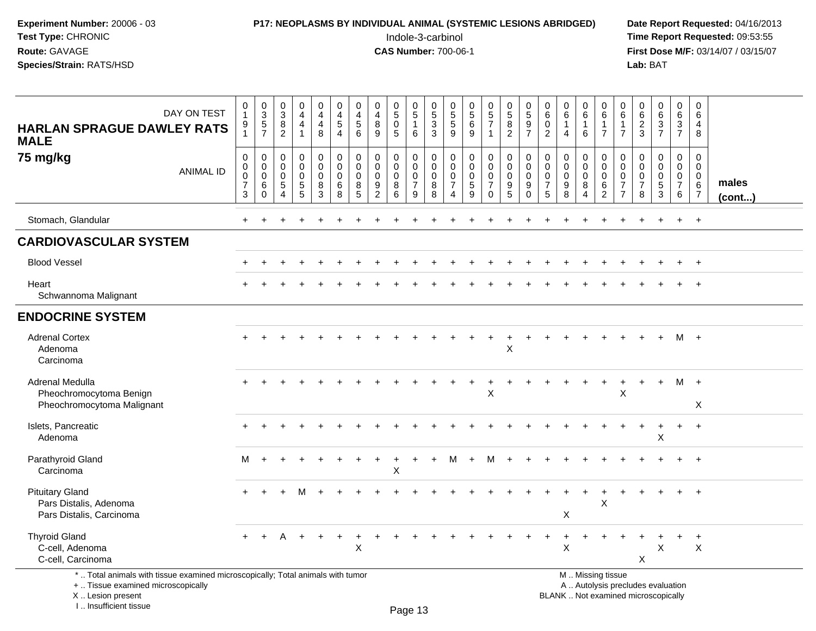## **P17: NEOPLASMS BY INDIVIDUAL ANIMAL (SYSTEMIC LESIONS ABRIDGED)** Date Report Requested: 04/16/2013<br>Indole-3-carbinol **Time Report Requested:** 09:53:55

 Indole-3-carbinol **Time Report Requested:** 09:53:55 **First Dose M/F:** 03/14/07 / 03/15/07<br>Lab: BAT **Lab:** BAT

| <b>HARLAN SPRAGUE DAWLEY RATS</b><br><b>MALE</b>                                                                                                                    | DAY ON TEST | 0<br>$\overline{1}$<br>9<br>$\mathbf{1}$                          | $0$<br>$3$<br>$5$<br>$7$                                   | $\mathbf 0$<br>$\overline{3}$<br>8<br>$\overline{2}$ | 0<br>$\overline{4}$<br>$\overline{4}$<br>$\mathbf 1$       | $\mathbf 0$<br>$\overline{4}$<br>$\overline{4}$<br>8           | $\pmb{0}$<br>$\overline{4}$<br>$\sqrt{5}$<br>4                    | 0<br>$\overline{\mathbf{4}}$<br>5<br>6 | $\mathbf 0$<br>$\overline{4}$<br>$\bf8$<br>9                                    | 0<br>$\overline{5}$<br>$\mathbf 0$<br>$5\phantom{.0}$ | $\mathbf 0$<br>$\overline{5}$<br>$\mathbf{1}$<br>6                    | $\mathbf 0$<br>$\overline{5}$<br>$\mathbf{3}$<br>3 | 0<br>$\overline{5}$<br>$\sqrt{5}$<br>9                             | $0$<br>5<br>6<br>9                                    | $\begin{array}{c} 0 \\ 5 \end{array}$<br>$\overline{7}$<br>$\overline{1}$ | $\mathbf 0$<br>$\overline{5}$<br>8<br>$\overline{2}$                | $\mathbf 0$<br>$\overline{5}$<br>9<br>$\overline{7}$       | $\mathbf 0$<br>6<br>$\mathbf 0$<br>$\overline{2}$                | 0<br>$\overline{6}$<br>$\mathbf{1}$<br>4 | $\pmb{0}$<br>$\overline{6}$<br>$\mathbf{1}$<br>$6\phantom{1}$ | $\mathbf 0$<br>$\,6$<br>$\mathbf{1}$<br>$\overline{7}$                                        | $\mathbf 0$<br>6<br>$\overline{1}$<br>$\overline{7}$      | 0<br>$\,6\,$<br>$\sqrt{2}$<br>$\mathbf{3}$   | $\pmb{0}$<br>$\overline{6}$<br>$\mathbf{3}$<br>$\overline{7}$ | $\mathbf 0$<br>6<br>$\mathbf{3}$<br>$\overline{7}$                  | $\pmb{0}$<br>6<br>4<br>8                     |                 |
|---------------------------------------------------------------------------------------------------------------------------------------------------------------------|-------------|-------------------------------------------------------------------|------------------------------------------------------------|------------------------------------------------------|------------------------------------------------------------|----------------------------------------------------------------|-------------------------------------------------------------------|----------------------------------------|---------------------------------------------------------------------------------|-------------------------------------------------------|-----------------------------------------------------------------------|----------------------------------------------------|--------------------------------------------------------------------|-------------------------------------------------------|---------------------------------------------------------------------------|---------------------------------------------------------------------|------------------------------------------------------------|------------------------------------------------------------------|------------------------------------------|---------------------------------------------------------------|-----------------------------------------------------------------------------------------------|-----------------------------------------------------------|----------------------------------------------|---------------------------------------------------------------|---------------------------------------------------------------------|----------------------------------------------|-----------------|
| 75 mg/kg                                                                                                                                                            | ANIMAL ID   | $\mathbf 0$<br>$\mathbf 0$<br>0<br>$\overline{7}$<br>$\mathbf{3}$ | $\mathbf 0$<br>$\mathbf 0$<br>$\mathbf 0$<br>6<br>$\Omega$ | $\mathbf 0$<br>$\mathbf 0$<br>0<br>$\sqrt{5}$<br>4   | 0<br>$\mathbf 0$<br>0<br>$5\phantom{.0}$<br>$\overline{5}$ | $\pmb{0}$<br>$\mathbf 0$<br>$\mathbf 0$<br>$8\phantom{1}$<br>3 | $\mathbf 0$<br>$\mathbf 0$<br>$\mathbf 0$<br>$6\phantom{1}6$<br>8 | 0<br>$\mathbf 0$<br>0<br>8<br>5        | $\mathbf 0$<br>$\mathbf 0$<br>$\mathbf 0$<br>$\boldsymbol{9}$<br>$\overline{2}$ | 0<br>$\mathbf 0$<br>$\mathbf 0$<br>8<br>6             | $\mathbf 0$<br>$\mathbf 0$<br>$\boldsymbol{0}$<br>$\overline{7}$<br>9 | 0<br>$\mathbf 0$<br>0<br>8<br>8                    | 0<br>$\mathbf 0$<br>0<br>$\overline{7}$<br>$\overline{\mathbf{4}}$ | 0<br>$\mathbf 0$<br>$\boldsymbol{0}$<br>$\frac{5}{9}$ | 0<br>$\mathbf 0$<br>$\mathbf 0$<br>$\overline{7}$<br>$\Omega$             | $\overline{0}$<br>$\mathbf 0$<br>$\mathbf 0$<br>9<br>$\overline{5}$ | $\mathbf 0$<br>$\mathbf 0$<br>$\mathbf 0$<br>9<br>$\Omega$ | $\mathbf 0$<br>$\mathbf 0$<br>$\mathbf 0$<br>$\overline{7}$<br>5 | 0<br>$\mathbf 0$<br>0<br>$_{8}^{\rm 9}$  | 0<br>$\mathbf 0$<br>$\mathbf 0$<br>8<br>$\overline{4}$        | $\mathbf 0$<br>$\mathbf 0$<br>$\pmb{0}$<br>$\,6\,$<br>$\boldsymbol{2}$                        | 0<br>$\mathbf 0$<br>0<br>$\overline{7}$<br>$\overline{7}$ | 0<br>$\mathbf 0$<br>0<br>$\overline{7}$<br>8 | 0<br>$\mathbf 0$<br>$\boldsymbol{0}$<br>$\frac{5}{3}$         | $\mathbf 0$<br>$\mathbf 0$<br>$\overline{0}$<br>$\overline{7}$<br>6 | 0<br>$\mathbf 0$<br>0<br>6<br>$\overline{7}$ | males<br>(cont) |
| Stomach, Glandular                                                                                                                                                  |             |                                                                   |                                                            |                                                      |                                                            |                                                                |                                                                   |                                        |                                                                                 |                                                       |                                                                       |                                                    |                                                                    |                                                       |                                                                           |                                                                     |                                                            |                                                                  |                                          |                                                               |                                                                                               |                                                           |                                              |                                                               |                                                                     | $\ddot{}$                                    |                 |
| <b>CARDIOVASCULAR SYSTEM</b>                                                                                                                                        |             |                                                                   |                                                            |                                                      |                                                            |                                                                |                                                                   |                                        |                                                                                 |                                                       |                                                                       |                                                    |                                                                    |                                                       |                                                                           |                                                                     |                                                            |                                                                  |                                          |                                                               |                                                                                               |                                                           |                                              |                                                               |                                                                     |                                              |                 |
| <b>Blood Vessel</b>                                                                                                                                                 |             |                                                                   |                                                            |                                                      |                                                            |                                                                |                                                                   |                                        |                                                                                 |                                                       |                                                                       |                                                    |                                                                    |                                                       |                                                                           |                                                                     |                                                            |                                                                  |                                          |                                                               |                                                                                               |                                                           |                                              |                                                               |                                                                     |                                              |                 |
| Heart<br>Schwannoma Malignant                                                                                                                                       |             |                                                                   |                                                            |                                                      |                                                            |                                                                |                                                                   |                                        |                                                                                 |                                                       |                                                                       |                                                    |                                                                    |                                                       |                                                                           |                                                                     |                                                            |                                                                  |                                          |                                                               |                                                                                               |                                                           |                                              |                                                               |                                                                     | $\ddot{}$                                    |                 |
| <b>ENDOCRINE SYSTEM</b>                                                                                                                                             |             |                                                                   |                                                            |                                                      |                                                            |                                                                |                                                                   |                                        |                                                                                 |                                                       |                                                                       |                                                    |                                                                    |                                                       |                                                                           |                                                                     |                                                            |                                                                  |                                          |                                                               |                                                                                               |                                                           |                                              |                                                               |                                                                     |                                              |                 |
| <b>Adrenal Cortex</b><br>Adenoma<br>Carcinoma                                                                                                                       |             |                                                                   |                                                            |                                                      |                                                            |                                                                |                                                                   |                                        |                                                                                 |                                                       |                                                                       |                                                    |                                                                    |                                                       | $\ddot{}$                                                                 | $\ddot{}$<br>$\times$                                               |                                                            |                                                                  |                                          |                                                               |                                                                                               |                                                           |                                              |                                                               | M +                                                                 |                                              |                 |
| <b>Adrenal Medulla</b><br>Pheochromocytoma Benign<br>Pheochromocytoma Malignant                                                                                     |             |                                                                   |                                                            |                                                      |                                                            |                                                                |                                                                   |                                        |                                                                                 |                                                       |                                                                       |                                                    |                                                                    | $\ddot{}$                                             | $\ddot{}$<br>X                                                            |                                                                     |                                                            |                                                                  |                                          | $\pm$                                                         | $\ddot{}$                                                                                     | $\ddot{}$<br>X                                            | $\ddot{}$                                    | $+$                                                           | M +                                                                 | X                                            |                 |
| Islets, Pancreatic<br>Adenoma                                                                                                                                       |             |                                                                   |                                                            |                                                      |                                                            |                                                                |                                                                   |                                        |                                                                                 |                                                       |                                                                       |                                                    |                                                                    |                                                       |                                                                           |                                                                     |                                                            |                                                                  |                                          |                                                               |                                                                                               |                                                           |                                              | X                                                             |                                                                     | $\ddot{}$                                    |                 |
| Parathyroid Gland<br>Carcinoma                                                                                                                                      |             | м                                                                 |                                                            |                                                      |                                                            |                                                                |                                                                   |                                        |                                                                                 | ÷<br>X                                                |                                                                       |                                                    | м                                                                  | $\ddot{}$                                             | м                                                                         |                                                                     |                                                            |                                                                  |                                          |                                                               |                                                                                               |                                                           |                                              |                                                               |                                                                     | $\overline{+}$                               |                 |
| <b>Pituitary Gland</b><br>Pars Distalis, Adenoma<br>Pars Distalis, Carcinoma                                                                                        |             |                                                                   |                                                            |                                                      |                                                            |                                                                |                                                                   |                                        |                                                                                 |                                                       |                                                                       |                                                    |                                                                    |                                                       |                                                                           |                                                                     |                                                            |                                                                  | X                                        | $\ddot{}$                                                     | $\ddot{}$<br>X                                                                                |                                                           |                                              |                                                               |                                                                     | $\ddot{}$                                    |                 |
| <b>Thyroid Gland</b><br>C-cell, Adenoma<br>C-cell, Carcinoma                                                                                                        |             |                                                                   |                                                            |                                                      |                                                            |                                                                |                                                                   | X                                      |                                                                                 |                                                       |                                                                       |                                                    |                                                                    |                                                       |                                                                           |                                                                     |                                                            |                                                                  | $\sf X$                                  |                                                               |                                                                                               |                                                           | X                                            | X                                                             |                                                                     | $\ddot{}$<br>$\times$                        |                 |
| *  Total animals with tissue examined microscopically; Total animals with tumor<br>+  Tissue examined microscopically<br>X  Lesion present<br>I Insufficient tissue |             |                                                                   |                                                            |                                                      |                                                            |                                                                |                                                                   |                                        |                                                                                 |                                                       | $D2 \cap 42$                                                          |                                                    |                                                                    |                                                       |                                                                           |                                                                     |                                                            |                                                                  |                                          |                                                               | M  Missing tissue<br>A  Autolysis precludes evaluation<br>BLANK  Not examined microscopically |                                                           |                                              |                                                               |                                                                     |                                              |                 |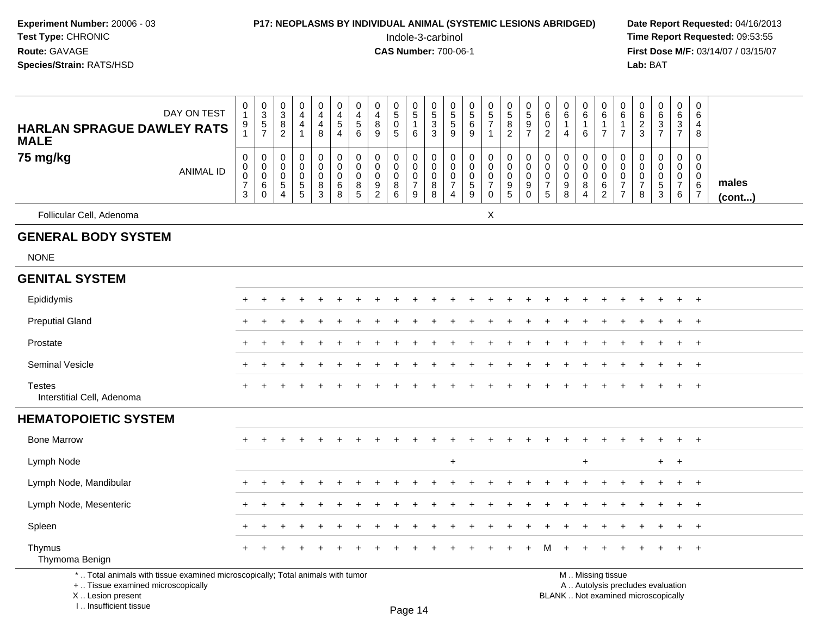#### **P17: NEOPLASMS BY INDIVIDUAL ANIMAL (SYSTEMIC LESIONS ABRIDGED)** Date Report Requested: 04/16/2013<br>Indole-3-carbinol **Time Report Requested:** 09:53:55

 Indole-3-carbinol **Time Report Requested:** 09:53:55 **First Dose M/F:** 03/14/07 / 03/15/07<br>**Lab:** BAT

| DAY ON TEST<br><b>HARLAN SPRAGUE DAWLEY RATS</b><br><b>MALE</b>                                                       | $\begin{smallmatrix}0\\1\end{smallmatrix}$<br>$\frac{9}{1}$ | $0$<br>$3$<br>$5$<br>$7$                                      | $_{3}^{\rm 0}$<br>$\frac{8}{2}$                                 | $\pmb{0}$<br>$\overline{4}$<br>$\overline{4}$<br>$\overline{1}$ | $\pmb{0}$<br>$\overline{4}$<br>$\overline{4}$<br>8                   | $\mathbf 0$<br>$\overline{4}$<br>5<br>$\overline{4}$   | 0<br>$\overline{4}$<br>$\sqrt{5}$<br>6                      | $\pmb{0}$<br>$\overline{4}$<br>8<br>9                  | $\begin{array}{c} 0 \\ 5 \end{array}$<br>$\pmb{0}$<br>5 | $\begin{array}{c} 0 \\ 5 \end{array}$<br>$\mathbf{1}$<br>6               | $\begin{array}{c} 0 \\ 5 \end{array}$<br>$\frac{3}{3}$ | 0<br>$\overline{5}$<br>$\sqrt{5}$<br>9                                                | $\begin{array}{c} 0 \\ 5 \end{array}$<br>6<br>9             | $\begin{array}{c} 0 \\ 5 \\ 7 \end{array}$<br>$\mathbf{1}$ | $\begin{array}{c} 0 \\ 5 \end{array}$<br>$\bf 8$<br>$\overline{2}$                         | $\begin{array}{c} 0 \\ 5 \end{array}$<br>$\boldsymbol{9}$<br>$\overline{7}$ | $\pmb{0}$<br>$\,6\,$<br>$\pmb{0}$<br>$\overline{2}$            | $\pmb{0}$<br>6<br>$\mathbf{1}$<br>$\overline{4}$ | $\begin{array}{c} 0 \\ 6 \end{array}$<br>$\mathbf{1}$<br>6         | 0<br>$\,6\,$<br>1<br>$\overline{7}$                            | 0<br>6<br>1<br>$\overline{7}$                                            | $\pmb{0}$<br>$\,6\,$<br>$\overline{\mathbf{c}}$<br>3 | $\begin{array}{c} 0 \\ 6 \end{array}$<br>$\frac{3}{7}$ | $\begin{array}{c} 0 \\ 6 \end{array}$<br>$\mathsf 3$<br>$\overline{7}$                 | $\mathbf 0$<br>6<br>4<br>8                                                     |                 |
|-----------------------------------------------------------------------------------------------------------------------|-------------------------------------------------------------|---------------------------------------------------------------|-----------------------------------------------------------------|-----------------------------------------------------------------|----------------------------------------------------------------------|--------------------------------------------------------|-------------------------------------------------------------|--------------------------------------------------------|---------------------------------------------------------|--------------------------------------------------------------------------|--------------------------------------------------------|---------------------------------------------------------------------------------------|-------------------------------------------------------------|------------------------------------------------------------|--------------------------------------------------------------------------------------------|-----------------------------------------------------------------------------|----------------------------------------------------------------|--------------------------------------------------|--------------------------------------------------------------------|----------------------------------------------------------------|--------------------------------------------------------------------------|------------------------------------------------------|--------------------------------------------------------|----------------------------------------------------------------------------------------|--------------------------------------------------------------------------------|-----------------|
| 75 mg/kg<br><b>ANIMAL ID</b>                                                                                          | $\pmb{0}$<br>$\pmb{0}$<br>$\frac{0}{7}$<br>3                | $\pmb{0}$<br>$\mathbf 0$<br>$\pmb{0}$<br>$\,6$<br>$\mathbf 0$ | $\mathbf 0$<br>0<br>$\mathbf 0$<br>$\sqrt{5}$<br>$\overline{4}$ | $\mathbf 0$<br>$\Omega$<br>$\pmb{0}$<br>$\sqrt{5}$<br>5         | $\pmb{0}$<br>$\mathbf 0$<br>$\mathbf 0$<br>$\,8\,$<br>$\mathfrak{S}$ | $\boldsymbol{0}$<br>$\mathbf 0$<br>$\pmb{0}$<br>6<br>8 | $\mathbf 0$<br>$\mathbf 0$<br>$\mathsf{O}\xspace$<br>8<br>5 | $\mathbf 0$<br>0<br>$\mathbf 0$<br>9<br>$\overline{2}$ | $\pmb{0}$<br>$\mathbf 0$<br>$\pmb{0}$<br>$\bf 8$<br>6   | $\mathbf 0$<br>$\mathbf 0$<br>$\mathsf{O}\xspace$<br>$\overline{7}$<br>9 | $\mathbf 0$<br>$\mathbf 0$<br>$\mathbf 0$<br>8<br>8    | $\mathbf 0$<br>$\overline{0}$<br>$\boldsymbol{0}$<br>$\overline{7}$<br>$\overline{4}$ | $\mathbf 0$<br>$\mathbf 0$<br>$\pmb{0}$<br>$\,$ 5 $\,$<br>9 | $\mathbf 0$<br>$\mathbf 0$<br>$\frac{0}{7}$<br>$\mathbf 0$ | $\mathbf 0$<br>$\overline{0}$<br>$\mathsf{O}\xspace$<br>$\boldsymbol{9}$<br>$\overline{5}$ | $\pmb{0}$<br>$\pmb{0}$<br>$\pmb{0}$<br>$\boldsymbol{9}$<br>$\mathbf 0$      | $\mathbf 0$<br>$\mathbf 0$<br>$\pmb{0}$<br>$\overline{7}$<br>5 | $\mathbf 0$<br>$\Omega$<br>$\mathbf 0$<br>9<br>8 | $\pmb{0}$<br>$\mathbf 0$<br>$\pmb{0}$<br>$\,8\,$<br>$\overline{4}$ | $\pmb{0}$<br>$\mathbf 0$<br>$\mathbf 0$<br>6<br>$\overline{c}$ | $\mathbf 0$<br>$\Omega$<br>$\pmb{0}$<br>$\overline{7}$<br>$\overline{7}$ | $\mathbf 0$<br>$\Omega$<br>0<br>$\overline{7}$<br>8  | $\pmb{0}$<br>$\pmb{0}$<br>$\frac{0}{5}$                | $\mathbf 0$<br>$\mathbf 0$<br>$\mathsf{O}\xspace$<br>$\overline{7}$<br>$6\phantom{1}6$ | $\mathbf 0$<br>$\mathbf 0$<br>$\mathbf 0$<br>$6\phantom{.}6$<br>$\overline{7}$ | males<br>(cont) |
| Follicular Cell, Adenoma                                                                                              |                                                             |                                                               |                                                                 |                                                                 |                                                                      |                                                        |                                                             |                                                        |                                                         |                                                                          |                                                        |                                                                                       |                                                             | X                                                          |                                                                                            |                                                                             |                                                                |                                                  |                                                                    |                                                                |                                                                          |                                                      |                                                        |                                                                                        |                                                                                |                 |
| <b>GENERAL BODY SYSTEM</b>                                                                                            |                                                             |                                                               |                                                                 |                                                                 |                                                                      |                                                        |                                                             |                                                        |                                                         |                                                                          |                                                        |                                                                                       |                                                             |                                                            |                                                                                            |                                                                             |                                                                |                                                  |                                                                    |                                                                |                                                                          |                                                      |                                                        |                                                                                        |                                                                                |                 |
| <b>NONE</b>                                                                                                           |                                                             |                                                               |                                                                 |                                                                 |                                                                      |                                                        |                                                             |                                                        |                                                         |                                                                          |                                                        |                                                                                       |                                                             |                                                            |                                                                                            |                                                                             |                                                                |                                                  |                                                                    |                                                                |                                                                          |                                                      |                                                        |                                                                                        |                                                                                |                 |
| <b>GENITAL SYSTEM</b>                                                                                                 |                                                             |                                                               |                                                                 |                                                                 |                                                                      |                                                        |                                                             |                                                        |                                                         |                                                                          |                                                        |                                                                                       |                                                             |                                                            |                                                                                            |                                                                             |                                                                |                                                  |                                                                    |                                                                |                                                                          |                                                      |                                                        |                                                                                        |                                                                                |                 |
| Epididymis                                                                                                            |                                                             |                                                               |                                                                 |                                                                 |                                                                      |                                                        |                                                             |                                                        |                                                         |                                                                          |                                                        |                                                                                       |                                                             |                                                            |                                                                                            |                                                                             |                                                                |                                                  |                                                                    |                                                                |                                                                          |                                                      |                                                        |                                                                                        | $^{+}$                                                                         |                 |
| <b>Preputial Gland</b>                                                                                                |                                                             |                                                               |                                                                 |                                                                 |                                                                      |                                                        |                                                             |                                                        |                                                         |                                                                          |                                                        |                                                                                       |                                                             |                                                            |                                                                                            |                                                                             |                                                                |                                                  |                                                                    |                                                                |                                                                          |                                                      |                                                        |                                                                                        | $^{+}$                                                                         |                 |
| Prostate                                                                                                              | $\div$                                                      |                                                               |                                                                 |                                                                 |                                                                      |                                                        |                                                             |                                                        |                                                         |                                                                          |                                                        |                                                                                       |                                                             |                                                            |                                                                                            |                                                                             |                                                                |                                                  |                                                                    |                                                                |                                                                          |                                                      |                                                        |                                                                                        | $^{+}$                                                                         |                 |
| <b>Seminal Vesicle</b>                                                                                                |                                                             |                                                               |                                                                 |                                                                 |                                                                      |                                                        |                                                             |                                                        |                                                         |                                                                          |                                                        |                                                                                       |                                                             |                                                            |                                                                                            |                                                                             |                                                                |                                                  |                                                                    |                                                                |                                                                          |                                                      |                                                        | $\ddot{}$                                                                              | $+$                                                                            |                 |
| <b>Testes</b><br>Interstitial Cell, Adenoma                                                                           |                                                             |                                                               |                                                                 |                                                                 |                                                                      |                                                        |                                                             |                                                        |                                                         |                                                                          |                                                        |                                                                                       |                                                             |                                                            |                                                                                            |                                                                             |                                                                |                                                  |                                                                    |                                                                |                                                                          |                                                      |                                                        |                                                                                        | $+$                                                                            |                 |
| <b>HEMATOPOIETIC SYSTEM</b>                                                                                           |                                                             |                                                               |                                                                 |                                                                 |                                                                      |                                                        |                                                             |                                                        |                                                         |                                                                          |                                                        |                                                                                       |                                                             |                                                            |                                                                                            |                                                                             |                                                                |                                                  |                                                                    |                                                                |                                                                          |                                                      |                                                        |                                                                                        |                                                                                |                 |
| <b>Bone Marrow</b>                                                                                                    |                                                             |                                                               |                                                                 |                                                                 |                                                                      |                                                        |                                                             |                                                        |                                                         |                                                                          |                                                        |                                                                                       |                                                             |                                                            |                                                                                            |                                                                             |                                                                |                                                  |                                                                    |                                                                |                                                                          |                                                      |                                                        |                                                                                        | $\div$                                                                         |                 |
| Lymph Node                                                                                                            |                                                             |                                                               |                                                                 |                                                                 |                                                                      |                                                        |                                                             |                                                        |                                                         |                                                                          |                                                        | $\ddot{}$                                                                             |                                                             |                                                            |                                                                                            |                                                                             |                                                                |                                                  | $\ddot{}$                                                          |                                                                |                                                                          |                                                      | $\ddot{}$                                              | $+$                                                                                    |                                                                                |                 |
| Lymph Node, Mandibular                                                                                                |                                                             |                                                               |                                                                 |                                                                 |                                                                      |                                                        |                                                             |                                                        |                                                         |                                                                          |                                                        |                                                                                       |                                                             |                                                            |                                                                                            |                                                                             |                                                                |                                                  |                                                                    |                                                                |                                                                          |                                                      |                                                        | ÷.                                                                                     | $^{+}$                                                                         |                 |
| Lymph Node, Mesenteric                                                                                                |                                                             |                                                               |                                                                 |                                                                 |                                                                      |                                                        |                                                             |                                                        |                                                         |                                                                          |                                                        |                                                                                       |                                                             |                                                            |                                                                                            |                                                                             |                                                                |                                                  |                                                                    |                                                                |                                                                          |                                                      |                                                        |                                                                                        | $^{+}$                                                                         |                 |
| Spleen                                                                                                                |                                                             |                                                               |                                                                 |                                                                 |                                                                      |                                                        |                                                             |                                                        |                                                         |                                                                          |                                                        |                                                                                       |                                                             |                                                            |                                                                                            |                                                                             |                                                                |                                                  |                                                                    |                                                                |                                                                          |                                                      |                                                        |                                                                                        |                                                                                |                 |
| Thymus<br>Thymoma Benign                                                                                              |                                                             |                                                               |                                                                 |                                                                 |                                                                      |                                                        |                                                             |                                                        |                                                         |                                                                          |                                                        |                                                                                       |                                                             |                                                            |                                                                                            |                                                                             |                                                                |                                                  |                                                                    |                                                                |                                                                          |                                                      |                                                        |                                                                                        |                                                                                |                 |
| *  Total animals with tissue examined microscopically; Total animals with tumor<br>+  Tissue examined microscopically |                                                             |                                                               |                                                                 |                                                                 |                                                                      |                                                        |                                                             |                                                        |                                                         |                                                                          |                                                        |                                                                                       |                                                             |                                                            |                                                                                            |                                                                             |                                                                |                                                  |                                                                    | M  Missing tissue<br>A  Autolysis precludes evaluation         |                                                                          |                                                      |                                                        |                                                                                        |                                                                                |                 |

 Lesion present BLANK .. Not examined microscopicallyX .. Lesion present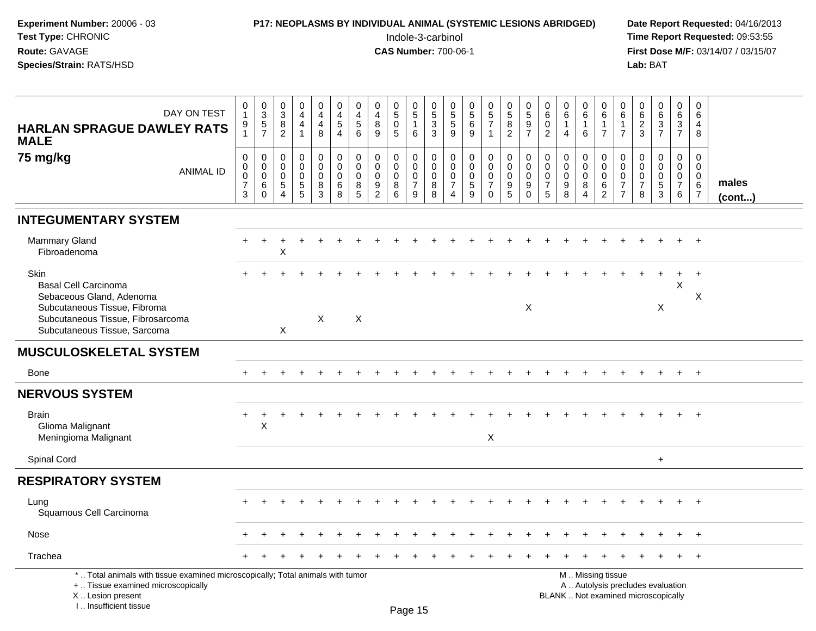| Experiment Number: 20006 - 03<br>Test Type: CHRONIC<br>Route: GAVAGE<br>Species/Strain: RATS/HSD                                                                     |                                      |                                                               | <b>P17: NEOPLASMS BY INDIVIDUAL ANIMAL (SYSTEMIC LESIONS ABRIDGED)</b> |                                                         |                                                     |                                                   |                                        |                                              | Indole-3-carbinol<br><b>CAS Number: 700-06-1</b> |                                              |                                           |                                                        |                                                  |                                                 |                                                                   |                                                                           |                                             |                                                   |                                              |                                                                      |                                                     | Lab: BAT                                                   |                                                                          |                                                        |                                    | Date Report Requested: 04/16/2013<br>Time Report Requested: 09:53:55<br>First Dose M/F: 03/14/07 / 03/15/07 |
|----------------------------------------------------------------------------------------------------------------------------------------------------------------------|--------------------------------------|---------------------------------------------------------------|------------------------------------------------------------------------|---------------------------------------------------------|-----------------------------------------------------|---------------------------------------------------|----------------------------------------|----------------------------------------------|--------------------------------------------------|----------------------------------------------|-------------------------------------------|--------------------------------------------------------|--------------------------------------------------|-------------------------------------------------|-------------------------------------------------------------------|---------------------------------------------------------------------------|---------------------------------------------|---------------------------------------------------|----------------------------------------------|----------------------------------------------------------------------|-----------------------------------------------------|------------------------------------------------------------|--------------------------------------------------------------------------|--------------------------------------------------------|------------------------------------|-------------------------------------------------------------------------------------------------------------|
| DAY ON TEST<br><b>HARLAN SPRAGUE DAWLEY RATS</b>                                                                                                                     | 0<br>$\mathbf{1}$<br>9               | $\frac{0}{3}$<br>5<br>7                                       | $\frac{0}{3}$<br>$\,8\,$<br>$\overline{c}$                             | 0<br>$\overline{4}$<br>$\overline{4}$<br>$\overline{1}$ | 0<br>$\overline{4}$<br>$\overline{\mathbf{4}}$<br>8 | 0<br>$\overline{4}$<br>5<br>$\overline{4}$        | 0<br>4<br>$\overline{5}$<br>6          | 0<br>$\overline{\mathbf{4}}$<br>$\bf 8$<br>9 | 0<br>$\overline{5}$<br>$\pmb{0}$<br>5            | 0<br>$\overline{5}$<br>$\mathbf{1}$<br>6     | 0<br>$\sqrt{5}$<br>$\frac{3}{3}$          | 0<br>$\sqrt{5}$<br>$\sqrt{5}$<br>9                     | 0<br>$\sqrt{5}$<br>$\,6\,$<br>9                  | $\begin{array}{c} 0 \\ 5 \\ 7 \end{array}$<br>1 | $\begin{matrix} 0 \\ 5 \end{matrix}$<br>$\bf 8$<br>$\overline{2}$ | $\begin{array}{c} 0 \\ 5 \end{array}$<br>$\overline{9}$<br>$\overline{7}$ | 0<br>$\,6\,$<br>$\pmb{0}$<br>$\overline{2}$ | 0<br>$\,6\,$<br>$\mathbf{1}$<br>$\overline{4}$    | 0<br>6<br>$\mathbf{1}$<br>6                  | 0<br>$\,6\,$<br>$\mathbf{1}$<br>$\overline{7}$                       | 0<br>6<br>1<br>$\overline{7}$                       | 0<br>$6\phantom{a}$<br>$\frac{2}{3}$                       | $_6^0$<br>$\frac{3}{7}$                                                  | 0<br>6<br>$\sqrt{3}$<br>$\overline{7}$                 | 0<br>6<br>4<br>8                   |                                                                                                             |
| <b>MALE</b><br>75 mg/kg<br><b>ANIMAL ID</b>                                                                                                                          | 0<br>0<br>0<br>$\boldsymbol{7}$<br>3 | $\mathbf 0$<br>$\mathbf 0$<br>$\mathbf 0$<br>6<br>$\mathbf 0$ | 0<br>0<br>0<br>5<br>$\overline{A}$                                     | 0<br>$\mathbf 0$<br>$\mathbf 0$<br>$\frac{5}{5}$        | 0<br>$\mathbf 0$<br>0<br>8<br>$\overline{3}$        | 0<br>$\mathsf{O}\xspace$<br>$\mathsf 0$<br>6<br>8 | 0<br>$\mathbf 0$<br>$\Omega$<br>8<br>5 | 0<br>0<br>0<br>$\frac{9}{2}$                 | $\Omega$<br>$\Omega$<br>0<br>8<br>6              | 0<br>0<br>$\mathbf 0$<br>$\overline{7}$<br>9 | 0<br>$\mathbf 0$<br>$\mathbf 0$<br>8<br>8 | 0<br>$\mathbf 0$<br>$\mathbf 0$<br>7<br>$\overline{4}$ | $\mathbf 0$<br>$\Omega$<br>$\mathbf 0$<br>5<br>9 | 0<br>0<br>$\mathsf 0$<br>$\overline{7}$<br>0    | 0<br>$\mathbf 0$<br>0<br>$\begin{array}{c} 9 \\ 5 \end{array}$    | 0<br>$\pmb{0}$<br>$\pmb{0}$<br>9<br>$\Omega$                              | $\Omega$<br>0<br>$\mathbf 0$<br>7<br>5      | $\mathbf 0$<br>$\mathbf 0$<br>$\pmb{0}$<br>9<br>8 | 0<br>0<br>$\mathbf 0$<br>8<br>$\overline{4}$ | 0<br>$\mathbf 0$<br>$\mathbf 0$<br>$6\phantom{1}6$<br>$\overline{2}$ | $\Omega$<br>0<br>$\mathbf 0$<br>7<br>$\overline{7}$ | $\Omega$<br>$\Omega$<br>$\mathbf 0$<br>$\overline{7}$<br>8 | $\Omega$<br>0<br>$\mathbf 0$<br>$\frac{5}{3}$                            | 0<br>$\mathbf 0$<br>$\mathbf 0$<br>$\overline{7}$<br>6 | 0<br>0<br>0<br>6<br>$\overline{7}$ | males<br>(cont)                                                                                             |
| <b>INTEGUMENTARY SYSTEM</b>                                                                                                                                          |                                      |                                                               |                                                                        |                                                         |                                                     |                                                   |                                        |                                              |                                                  |                                              |                                           |                                                        |                                                  |                                                 |                                                                   |                                                                           |                                             |                                                   |                                              |                                                                      |                                                     |                                                            |                                                                          |                                                        |                                    |                                                                                                             |
| <b>Mammary Gland</b><br>Fibroadenoma                                                                                                                                 |                                      | $\ddot{}$                                                     | ٠<br>X                                                                 |                                                         |                                                     |                                                   |                                        |                                              |                                                  |                                              |                                           |                                                        |                                                  |                                                 |                                                                   |                                                                           |                                             |                                                   |                                              |                                                                      |                                                     |                                                            |                                                                          |                                                        | $+$                                |                                                                                                             |
| Skin<br><b>Basal Cell Carcinoma</b><br>Sebaceous Gland, Adenoma<br>Subcutaneous Tissue, Fibroma<br>Subcutaneous Tissue, Fibrosarcoma<br>Subcutaneous Tissue, Sarcoma |                                      |                                                               | X                                                                      |                                                         | $\mathsf{X}$                                        |                                                   | $\times$                               |                                              |                                                  |                                              |                                           |                                                        |                                                  |                                                 |                                                                   | X                                                                         |                                             |                                                   |                                              |                                                                      |                                                     |                                                            | Χ                                                                        | $\ddot{}$<br>X                                         | $^{+}$<br>Χ                        |                                                                                                             |
| <b>MUSCULOSKELETAL SYSTEM</b>                                                                                                                                        |                                      |                                                               |                                                                        |                                                         |                                                     |                                                   |                                        |                                              |                                                  |                                              |                                           |                                                        |                                                  |                                                 |                                                                   |                                                                           |                                             |                                                   |                                              |                                                                      |                                                     |                                                            |                                                                          |                                                        |                                    |                                                                                                             |
| Bone                                                                                                                                                                 |                                      |                                                               |                                                                        |                                                         |                                                     |                                                   |                                        |                                              |                                                  |                                              |                                           |                                                        |                                                  |                                                 |                                                                   |                                                                           |                                             |                                                   |                                              |                                                                      |                                                     |                                                            |                                                                          |                                                        | $+$                                |                                                                                                             |
| <b>NERVOUS SYSTEM</b>                                                                                                                                                |                                      |                                                               |                                                                        |                                                         |                                                     |                                                   |                                        |                                              |                                                  |                                              |                                           |                                                        |                                                  |                                                 |                                                                   |                                                                           |                                             |                                                   |                                              |                                                                      |                                                     |                                                            |                                                                          |                                                        |                                    |                                                                                                             |
| <b>Brain</b><br>Glioma Malignant<br>Meningioma Malignant                                                                                                             |                                      | X                                                             |                                                                        |                                                         |                                                     |                                                   |                                        |                                              |                                                  |                                              |                                           |                                                        |                                                  | X                                               |                                                                   |                                                                           |                                             |                                                   |                                              |                                                                      |                                                     |                                                            |                                                                          |                                                        |                                    |                                                                                                             |
| Spinal Cord                                                                                                                                                          |                                      |                                                               |                                                                        |                                                         |                                                     |                                                   |                                        |                                              |                                                  |                                              |                                           |                                                        |                                                  |                                                 |                                                                   |                                                                           |                                             |                                                   |                                              |                                                                      |                                                     |                                                            | $\ddot{}$                                                                |                                                        |                                    |                                                                                                             |
| <b>RESPIRATORY SYSTEM</b>                                                                                                                                            |                                      |                                                               |                                                                        |                                                         |                                                     |                                                   |                                        |                                              |                                                  |                                              |                                           |                                                        |                                                  |                                                 |                                                                   |                                                                           |                                             |                                                   |                                              |                                                                      |                                                     |                                                            |                                                                          |                                                        |                                    |                                                                                                             |
| Lung<br>Squamous Cell Carcinoma                                                                                                                                      |                                      |                                                               |                                                                        |                                                         |                                                     |                                                   |                                        |                                              |                                                  |                                              |                                           |                                                        |                                                  |                                                 |                                                                   |                                                                           |                                             |                                                   |                                              |                                                                      |                                                     |                                                            |                                                                          |                                                        |                                    |                                                                                                             |
| Nose                                                                                                                                                                 |                                      |                                                               |                                                                        |                                                         |                                                     |                                                   |                                        |                                              |                                                  |                                              |                                           |                                                        |                                                  |                                                 |                                                                   |                                                                           |                                             |                                                   |                                              |                                                                      |                                                     |                                                            |                                                                          |                                                        |                                    |                                                                                                             |
| Trachea                                                                                                                                                              |                                      |                                                               |                                                                        |                                                         |                                                     |                                                   |                                        |                                              |                                                  |                                              |                                           |                                                        |                                                  |                                                 |                                                                   |                                                                           |                                             |                                                   |                                              |                                                                      |                                                     |                                                            |                                                                          |                                                        | $+$                                |                                                                                                             |
| *  Total animals with tissue examined microscopically; Total animals with tumor<br>+  Tissue examined microscopically<br>X  Lesion present                           |                                      |                                                               |                                                                        |                                                         |                                                     |                                                   |                                        |                                              |                                                  |                                              |                                           |                                                        |                                                  |                                                 |                                                                   |                                                                           |                                             |                                                   | M  Missing tissue                            |                                                                      |                                                     |                                                            | A  Autolysis precludes evaluation<br>BLANK  Not examined microscopically |                                                        |                                    |                                                                                                             |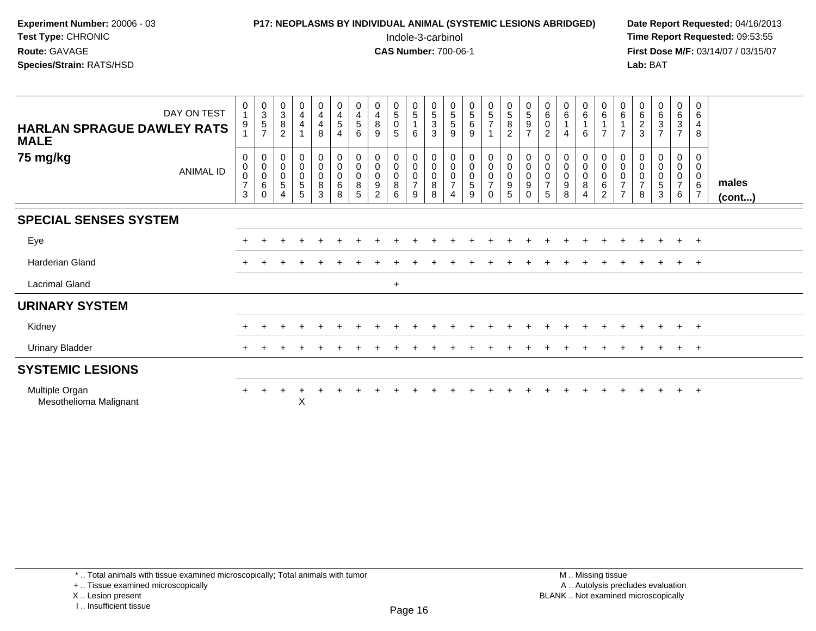| Experiment Number: $20006 - 03$ | <b>P17: NEOPLASMS BY INDIVIDUAL ANIMAL (SYSTEMIC LESIONS ABRIDGED)</b> | Date Rep         |
|---------------------------------|------------------------------------------------------------------------|------------------|
| <b>Test Type: CHRONIC</b>       | Indole-3-carbinol                                                      | <b>Time Rep</b>  |
| <b>Route: GAVAGE</b>            | <b>CAS Number: 700-06-1</b>                                            | <b>First Dos</b> |
| <b>Species/Strain: RATS/HSD</b> |                                                                        | Lab: BAT         |

# **P17: NEOPLASMS BY INDIVIDUAL ANIMAL (SYSTEMIC LESIONS ABRIDGED)** Date Report Requested: 04/16/2013<br>Indole-3-carbinol **Time Report Requested:** 09:53:55

 Indole-3-carbinol **Time Report Requested:** 09:53:55 **First Dose M/F:** 03/14/07 / 03/15/07<br>**Lab:** BAT

| <b>HARLAN SPRAGUE DAWLEY RATS</b><br><b>MALE</b> | DAY ON TEST | 0<br>$\overline{4}$<br>9           | $\begin{array}{c} 0 \\ 3 \\ 5 \\ 7 \end{array}$                  | $\begin{smallmatrix}0\3\8\end{smallmatrix}$<br>$\overline{2}$                                        | $\begin{smallmatrix}0\0\4\end{smallmatrix}$<br>$\overline{4}$                | $\begin{array}{c} 0 \\ 4 \\ 4 \\ 8 \end{array}$                                     | 0<br>$\overline{\mathbf{4}}$<br>5<br>$\overline{4}$ | $\begin{smallmatrix}0\\4\end{smallmatrix}$<br>$\sqrt{5}$<br>6 | $\begin{array}{c} 0 \\ 4 \\ 8 \end{array}$<br>9                   | $\begin{array}{c} 0 \\ 5 \end{array}$<br>$\pmb{0}$<br>$\overline{5}$ | $\begin{array}{c} 0 \\ 5 \end{array}$<br>$\overline{1}$<br>6                   | $\begin{array}{c} 0 \\ 5 \end{array}$<br>$\mathbf{3}$<br>3              | $\begin{array}{c} 0 \\ 5 \end{array}$<br>5<br>9                                  | $\begin{matrix}0\5\6\end{matrix}$<br>9  | $\begin{array}{c} 0 \\ 5 \end{array}$<br>$\overline{7}$                                          | $\begin{array}{c} 0 \\ 5 \end{array}$<br>$\, 8$<br>$\overline{2}$ | $\begin{array}{c} 0 \\ 5 \end{array}$<br>$\boldsymbol{9}$<br>$\overline{7}$ | $\begin{array}{c} 0 \\ 6 \end{array}$<br>$\mathbf 0$<br>$\overline{c}$ | $_6^0$<br>4           | $_{6}^{\rm 0}$<br>$\mathbf{1}$<br>6                      | $\begin{array}{c} 0 \\ 6 \end{array}$<br>$\overline{7}$      | $\begin{matrix} 0 \\ 6 \\ 1 \end{matrix}$<br>$\overline{7}$                                   | $062$<br>3                                      | $_6^0$<br>$\mathbf{3}$<br>$\overline{7}$ | $_{6}^{\rm 0}$<br>$\frac{3}{7}$                                        | $\boldsymbol{0}$<br>$\,6\,$<br>4<br>8                   |                       |
|--------------------------------------------------|-------------|------------------------------------|------------------------------------------------------------------|------------------------------------------------------------------------------------------------------|------------------------------------------------------------------------------|-------------------------------------------------------------------------------------|-----------------------------------------------------|---------------------------------------------------------------|-------------------------------------------------------------------|----------------------------------------------------------------------|--------------------------------------------------------------------------------|-------------------------------------------------------------------------|----------------------------------------------------------------------------------|-----------------------------------------|--------------------------------------------------------------------------------------------------|-------------------------------------------------------------------|-----------------------------------------------------------------------------|------------------------------------------------------------------------|-----------------------|----------------------------------------------------------|--------------------------------------------------------------|-----------------------------------------------------------------------------------------------|-------------------------------------------------|------------------------------------------|------------------------------------------------------------------------|---------------------------------------------------------|-----------------------|
| 75 mg/kg                                         | ANIMAL ID   | 0<br>0<br>0<br>$\overline{7}$<br>3 | $\begin{matrix} 0 \\ 0 \\ 0 \end{matrix}$<br>$\,6\,$<br>$\Omega$ | $\begin{smallmatrix} 0\\0 \end{smallmatrix}$<br>$\mathsf{O}\xspace$<br>$\,$ 5 $\,$<br>$\overline{4}$ | $\begin{smallmatrix} 0\\0 \end{smallmatrix}$<br>$\pmb{0}$<br>$\sqrt{5}$<br>5 | $\begin{smallmatrix} 0\\0 \end{smallmatrix}$<br>$\pmb{0}$<br>$\, 8$<br>$\mathbf{3}$ | 0<br>$\pmb{0}$<br>$\mathbf 0$<br>$\,6$<br>8         | $\mathbf 0$<br>0<br>8<br>5                                    | 0<br>$\pmb{0}$<br>$\pmb{0}$<br>$\boldsymbol{9}$<br>$\mathfrak{p}$ | 0<br>$\mathsf{O}\xspace$<br>$\mathbf 0$<br>8<br>6                    | $\begin{smallmatrix} 0\\0 \end{smallmatrix}$<br>$\,0\,$<br>$\overline{7}$<br>9 | $\begin{smallmatrix}0\\0\end{smallmatrix}$<br>$\pmb{0}$<br>$\bf 8$<br>8 | $\pmb{0}$<br>$\pmb{0}$<br>$\pmb{0}$<br>$\overline{7}$<br>$\overline{\mathbf{A}}$ | $_0^0$<br>$\mathsf{O}\xspace$<br>5<br>9 | $\begin{smallmatrix}0\0\0\end{smallmatrix}$<br>$\mathsf{O}\xspace$<br>$\overline{7}$<br>$\Omega$ | $_{\rm 0}^{\rm 0}$<br>$\pmb{0}$<br>$\boldsymbol{9}$<br>5          | 0<br>$\pmb{0}$<br>$\pmb{0}$<br>$\boldsymbol{9}$<br>$\Omega$                 | 0<br>$\pmb{0}$<br>$\pmb{0}$<br>$\overline{7}$<br>5                     | 0<br>0<br>0<br>9<br>8 | $_{\rm 0}^{\rm 0}$<br>$\mathsf 0$<br>8<br>$\overline{4}$ | 0<br>$\mathbf 0$<br>$\mathbf 0$<br>$\,6\,$<br>$\overline{2}$ | $\begin{smallmatrix} 0\\0 \end{smallmatrix}$<br>$\pmb{0}$<br>$\overline{7}$<br>$\overline{7}$ | $\,0\,$<br>$\overline{0}$<br>$\frac{0}{7}$<br>8 | $_0^0$<br>$\pmb{0}$<br>5<br>3            | 0<br>$\ddot{\mathbf{0}}$<br>$\mathsf{O}\xspace$<br>$\overline{7}$<br>6 | 0<br>0<br>$\boldsymbol{0}$<br>$\,6\,$<br>$\overline{7}$ | males<br>$($ cont $)$ |
| <b>SPECIAL SENSES SYSTEM</b>                     |             |                                    |                                                                  |                                                                                                      |                                                                              |                                                                                     |                                                     |                                                               |                                                                   |                                                                      |                                                                                |                                                                         |                                                                                  |                                         |                                                                                                  |                                                                   |                                                                             |                                                                        |                       |                                                          |                                                              |                                                                                               |                                                 |                                          |                                                                        |                                                         |                       |
| Eye                                              |             |                                    |                                                                  |                                                                                                      |                                                                              |                                                                                     |                                                     |                                                               |                                                                   |                                                                      |                                                                                |                                                                         |                                                                                  |                                         |                                                                                                  |                                                                   |                                                                             |                                                                        |                       |                                                          |                                                              |                                                                                               |                                                 |                                          | $+$                                                                    | $+$                                                     |                       |
| Harderian Gland                                  |             |                                    |                                                                  |                                                                                                      |                                                                              |                                                                                     |                                                     |                                                               |                                                                   |                                                                      |                                                                                |                                                                         |                                                                                  |                                         |                                                                                                  |                                                                   |                                                                             |                                                                        |                       |                                                          |                                                              |                                                                                               |                                                 |                                          |                                                                        | $+$                                                     |                       |
| <b>Lacrimal Gland</b>                            |             |                                    |                                                                  |                                                                                                      |                                                                              |                                                                                     |                                                     |                                                               |                                                                   | $\ddot{}$                                                            |                                                                                |                                                                         |                                                                                  |                                         |                                                                                                  |                                                                   |                                                                             |                                                                        |                       |                                                          |                                                              |                                                                                               |                                                 |                                          |                                                                        |                                                         |                       |
| <b>URINARY SYSTEM</b>                            |             |                                    |                                                                  |                                                                                                      |                                                                              |                                                                                     |                                                     |                                                               |                                                                   |                                                                      |                                                                                |                                                                         |                                                                                  |                                         |                                                                                                  |                                                                   |                                                                             |                                                                        |                       |                                                          |                                                              |                                                                                               |                                                 |                                          |                                                                        |                                                         |                       |
| Kidney                                           |             |                                    |                                                                  |                                                                                                      |                                                                              |                                                                                     |                                                     |                                                               |                                                                   |                                                                      |                                                                                |                                                                         |                                                                                  |                                         |                                                                                                  |                                                                   |                                                                             |                                                                        |                       |                                                          |                                                              |                                                                                               |                                                 |                                          |                                                                        | $+$                                                     |                       |
| <b>Urinary Bladder</b>                           |             |                                    |                                                                  |                                                                                                      |                                                                              |                                                                                     |                                                     |                                                               |                                                                   |                                                                      |                                                                                |                                                                         |                                                                                  |                                         |                                                                                                  |                                                                   |                                                                             |                                                                        |                       |                                                          |                                                              |                                                                                               |                                                 |                                          | $+$                                                                    | $+$                                                     |                       |
| <b>SYSTEMIC LESIONS</b>                          |             |                                    |                                                                  |                                                                                                      |                                                                              |                                                                                     |                                                     |                                                               |                                                                   |                                                                      |                                                                                |                                                                         |                                                                                  |                                         |                                                                                                  |                                                                   |                                                                             |                                                                        |                       |                                                          |                                                              |                                                                                               |                                                 |                                          |                                                                        |                                                         |                       |
| Multiple Organ<br>Mesothelioma Malignant         |             |                                    |                                                                  |                                                                                                      | Χ                                                                            |                                                                                     |                                                     |                                                               |                                                                   |                                                                      |                                                                                |                                                                         |                                                                                  |                                         |                                                                                                  |                                                                   |                                                                             |                                                                        |                       |                                                          |                                                              |                                                                                               |                                                 | $\div$                                   | $+$                                                                    | $+$                                                     |                       |

\* .. Total animals with tissue examined microscopically; Total animals with tumor

+ .. Tissue examined microscopically

X .. Lesion present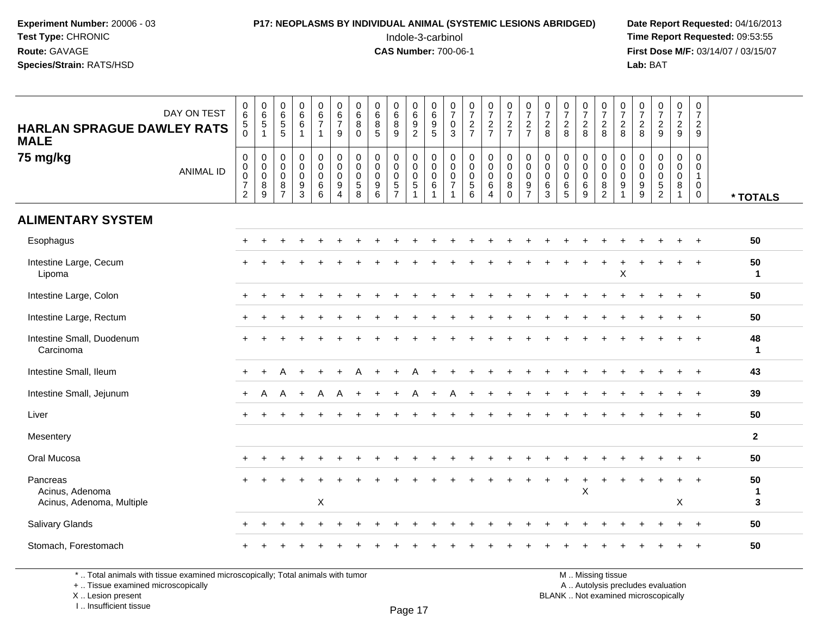## **P17: NEOPLASMS BY INDIVIDUAL ANIMAL (SYSTEMIC LESIONS ABRIDGED)** Date Report Requested: 04/16/2013<br>Indole-3-carbinol **Time Report Requested:** 09:53:55

 Indole-3-carbinol **Time Report Requested:** 09:53:55 **First Dose M/F:** 03/14/07 / 03/15/07<br>Lab: BAT **Lab:** BAT

| DAY ON TEST<br><b>HARLAN SPRAGUE DAWLEY RATS</b><br><b>MALE</b> | $\begin{array}{c} 0 \\ 6 \end{array}$<br>$\overline{5}$<br>0      | $0$<br>$6$<br>$5$<br>$\mathbf{1}$                                                        | 0<br>6<br>5<br>5                                                                 | $\begin{array}{c} 0 \\ 6 \end{array}$<br>$6\phantom{a}$<br>$\overline{1}$         | $\begin{array}{c} 0 \\ 6 \\ 7 \end{array}$<br>$\overline{1}$ | $\begin{array}{c} 0 \\ 6 \\ 7 \end{array}$<br>9                                      | 0<br>6<br>8<br>$\Omega$                              | $_{6}^{\rm 0}$<br>$\overline{8}$<br>$\overline{5}$                 | $_{6}^{\rm 0}$<br>$\overline{8}$<br>$\overline{9}$          | $\begin{array}{c} 0 \\ 6 \end{array}$<br>$\frac{9}{2}$ | 0<br>0<br>0<br>5                                                        | $\frac{0}{7}$<br>$\boldsymbol{0}$<br>$\overline{3}$                   | $\begin{array}{c} 0 \\ 7 \end{array}$<br>$\frac{2}{7}$     | $\frac{0}{7}$<br>$rac{2}{7}$                                                           | $\begin{smallmatrix}0\\7\end{smallmatrix}$<br>$\frac{2}{7}$                 | $\frac{0}{7}$<br>$\frac{2}{7}$                                        | $\frac{0}{7}$<br>$\frac{2}{8}$                                   | $\frac{0}{7}$<br>$\frac{2}{8}$                                       | $\frac{0}{7}$<br>$\frac{2}{8}$          | $\frac{0}{7}$<br>$\frac{2}{8}$                                         | $\begin{smallmatrix}0\\7\end{smallmatrix}$<br>$\overline{c}$<br>8                         | $\begin{smallmatrix}0\\7\end{smallmatrix}$<br>$\frac{2}{8}$ | $\begin{array}{c} 0 \\ 7 \end{array}$<br>$\frac{2}{9}$                | $\frac{0}{7}$<br>$\frac{2}{9}$                             | $\begin{smallmatrix}0\\7\end{smallmatrix}$<br>$\overline{2}$<br>9        |                         |
|-----------------------------------------------------------------|-------------------------------------------------------------------|------------------------------------------------------------------------------------------|----------------------------------------------------------------------------------|-----------------------------------------------------------------------------------|--------------------------------------------------------------|--------------------------------------------------------------------------------------|------------------------------------------------------|--------------------------------------------------------------------|-------------------------------------------------------------|--------------------------------------------------------|-------------------------------------------------------------------------|-----------------------------------------------------------------------|------------------------------------------------------------|----------------------------------------------------------------------------------------|-----------------------------------------------------------------------------|-----------------------------------------------------------------------|------------------------------------------------------------------|----------------------------------------------------------------------|-----------------------------------------|------------------------------------------------------------------------|-------------------------------------------------------------------------------------------|-------------------------------------------------------------|-----------------------------------------------------------------------|------------------------------------------------------------|--------------------------------------------------------------------------|-------------------------|
| 75 mg/kg<br><b>ANIMAL ID</b>                                    | 0<br>$\pmb{0}$<br>$\mathbf 0$<br>$\overline{7}$<br>$\overline{2}$ | $\mathbf 0$<br>$\ddot{\mathbf{0}}$<br>$\mathsf{O}\xspace$<br>$\bf 8$<br>$\boldsymbol{9}$ | 0<br>$\mathbf 0$<br>$\mathsf{O}\xspace$<br>$\begin{array}{c} 8 \\ 7 \end{array}$ | $\pmb{0}$<br>$\ddot{\mathbf{0}}$<br>$\pmb{0}$<br>$\boldsymbol{9}$<br>$\mathbf{3}$ | $\mathbf 0$<br>$\overline{0}$<br>$\mathbf 0$<br>6<br>6       | $\begin{smallmatrix}0\\0\end{smallmatrix}$<br>$\mathbf 0$<br>$9\,$<br>$\overline{4}$ | $\mathbf 0$<br>$\overline{0}$<br>$\pmb{0}$<br>5<br>8 | $\mathbf 0$<br>$\mathbf 0$<br>$\mathbf 0$<br>$\boldsymbol{9}$<br>6 | 0<br>$\pmb{0}$<br>$\pmb{0}$<br>$\sqrt{5}$<br>$\overline{7}$ | 0<br>$\mathbf 0$<br>$\mathbf 0$<br>$\sqrt{5}$          | $\mathbf 0$<br>$\overline{0}$<br>$\pmb{0}$<br>$\,6\,$<br>$\overline{1}$ | $\mathbf 0$<br>$\,0\,$<br>$\pmb{0}$<br>$\overline{7}$<br>$\mathbf{1}$ | $\pmb{0}$<br>$\mathbf 0$<br>$\mathbf 0$<br>$\sqrt{5}$<br>6 | $\mathbf 0$<br>$\mathsf{O}\xspace$<br>$\mathsf{O}\xspace$<br>$\,6\,$<br>$\overline{4}$ | $\mathbf 0$<br>$\ddot{\mathbf{0}}$<br>$\mathbf 0$<br>$\bf 8$<br>$\mathbf 0$ | $_{\rm 0}^{\rm 0}$<br>$\pmb{0}$<br>$\boldsymbol{9}$<br>$\overline{7}$ | $\boldsymbol{0}$<br>$\ddot{\mathbf{0}}$<br>$\mathbf 0$<br>6<br>3 | $\pmb{0}$<br>$\mathbf 0$<br>$\mathbf 0$<br>$\,6\,$<br>$5\phantom{1}$ | 0<br>$\mathsf 0$<br>$\pmb{0}$<br>6<br>9 | $\pmb{0}$<br>$\ddot{\mathbf{0}}$<br>$\mathbf 0$<br>8<br>$\overline{2}$ | $\,0\,$<br>$\ddot{\mathbf{0}}$<br>$\mathsf{O}\xspace$<br>$\boldsymbol{9}$<br>$\mathbf{1}$ | 0<br>0<br>$\mathbf 0$<br>$\boldsymbol{9}$<br>9              | $\mathbf 0$<br>$\pmb{0}$<br>$\pmb{0}$<br>$\sqrt{5}$<br>$\overline{2}$ | 0<br>$\mathbf 0$<br>$\mathbf 0$<br>$\bf 8$<br>$\mathbf{1}$ | $\mathbf 0$<br>$\mathbf 0$<br>$\mathbf{1}$<br>$\mathbf 0$<br>$\mathbf 0$ | * TOTALS                |
| <b>ALIMENTARY SYSTEM</b>                                        |                                                                   |                                                                                          |                                                                                  |                                                                                   |                                                              |                                                                                      |                                                      |                                                                    |                                                             |                                                        |                                                                         |                                                                       |                                                            |                                                                                        |                                                                             |                                                                       |                                                                  |                                                                      |                                         |                                                                        |                                                                                           |                                                             |                                                                       |                                                            |                                                                          |                         |
| Esophagus                                                       |                                                                   |                                                                                          |                                                                                  |                                                                                   |                                                              |                                                                                      |                                                      |                                                                    |                                                             |                                                        |                                                                         |                                                                       |                                                            |                                                                                        |                                                                             |                                                                       |                                                                  |                                                                      |                                         |                                                                        |                                                                                           |                                                             |                                                                       |                                                            |                                                                          | 50                      |
| Intestine Large, Cecum<br>Lipoma                                |                                                                   |                                                                                          |                                                                                  |                                                                                   |                                                              |                                                                                      |                                                      |                                                                    |                                                             |                                                        |                                                                         |                                                                       |                                                            |                                                                                        |                                                                             |                                                                       |                                                                  |                                                                      |                                         |                                                                        | X                                                                                         |                                                             |                                                                       | $\ddot{}$                                                  | $+$                                                                      | 50<br>$\mathbf{1}$      |
| Intestine Large, Colon                                          |                                                                   |                                                                                          |                                                                                  |                                                                                   |                                                              |                                                                                      |                                                      |                                                                    |                                                             |                                                        |                                                                         |                                                                       |                                                            |                                                                                        |                                                                             |                                                                       |                                                                  |                                                                      |                                         |                                                                        |                                                                                           |                                                             |                                                                       |                                                            |                                                                          | 50                      |
| Intestine Large, Rectum                                         |                                                                   |                                                                                          |                                                                                  |                                                                                   |                                                              |                                                                                      |                                                      |                                                                    |                                                             |                                                        |                                                                         |                                                                       |                                                            |                                                                                        |                                                                             |                                                                       |                                                                  |                                                                      |                                         |                                                                        |                                                                                           |                                                             |                                                                       |                                                            |                                                                          | 50                      |
| Intestine Small, Duodenum<br>Carcinoma                          |                                                                   |                                                                                          |                                                                                  |                                                                                   |                                                              |                                                                                      |                                                      |                                                                    |                                                             |                                                        |                                                                         |                                                                       |                                                            |                                                                                        |                                                                             |                                                                       |                                                                  |                                                                      |                                         |                                                                        |                                                                                           |                                                             |                                                                       |                                                            | $\overline{+}$                                                           | 48<br>1                 |
| Intestine Small, Ileum                                          |                                                                   |                                                                                          |                                                                                  |                                                                                   |                                                              |                                                                                      |                                                      |                                                                    |                                                             |                                                        |                                                                         |                                                                       |                                                            |                                                                                        |                                                                             |                                                                       |                                                                  |                                                                      |                                         |                                                                        |                                                                                           |                                                             |                                                                       |                                                            | $\overline{1}$                                                           | 43                      |
| Intestine Small, Jejunum                                        | $\ddot{}$                                                         | A                                                                                        | A                                                                                | $\overline{1}$                                                                    | A                                                            | A                                                                                    |                                                      |                                                                    |                                                             |                                                        |                                                                         |                                                                       |                                                            |                                                                                        |                                                                             |                                                                       |                                                                  |                                                                      |                                         |                                                                        |                                                                                           |                                                             |                                                                       |                                                            |                                                                          | 39                      |
| Liver                                                           |                                                                   |                                                                                          |                                                                                  |                                                                                   |                                                              |                                                                                      |                                                      |                                                                    |                                                             |                                                        |                                                                         |                                                                       |                                                            |                                                                                        |                                                                             |                                                                       |                                                                  |                                                                      |                                         |                                                                        |                                                                                           |                                                             |                                                                       |                                                            |                                                                          | 50                      |
| Mesentery                                                       |                                                                   |                                                                                          |                                                                                  |                                                                                   |                                                              |                                                                                      |                                                      |                                                                    |                                                             |                                                        |                                                                         |                                                                       |                                                            |                                                                                        |                                                                             |                                                                       |                                                                  |                                                                      |                                         |                                                                        |                                                                                           |                                                             |                                                                       |                                                            |                                                                          | $\mathbf{2}$            |
| Oral Mucosa                                                     |                                                                   |                                                                                          |                                                                                  |                                                                                   |                                                              |                                                                                      |                                                      |                                                                    |                                                             |                                                        |                                                                         |                                                                       |                                                            |                                                                                        |                                                                             |                                                                       |                                                                  |                                                                      |                                         |                                                                        |                                                                                           |                                                             |                                                                       |                                                            |                                                                          | 50                      |
| Pancreas<br>Acinus, Adenoma<br>Acinus, Adenoma, Multiple        |                                                                   |                                                                                          |                                                                                  |                                                                                   | X                                                            |                                                                                      |                                                      |                                                                    |                                                             |                                                        |                                                                         |                                                                       |                                                            |                                                                                        |                                                                             |                                                                       |                                                                  | $\ddot{}$                                                            | $\ddot{}$<br>X                          | $\ddot{}$                                                              |                                                                                           |                                                             |                                                                       | X                                                          |                                                                          | 50<br>$\mathbf{1}$<br>3 |
| Salivary Glands                                                 |                                                                   |                                                                                          |                                                                                  |                                                                                   |                                                              |                                                                                      |                                                      |                                                                    |                                                             |                                                        |                                                                         |                                                                       |                                                            |                                                                                        |                                                                             |                                                                       |                                                                  |                                                                      |                                         |                                                                        |                                                                                           |                                                             |                                                                       | $+$                                                        | $+$                                                                      | 50                      |
| Stomach, Forestomach                                            |                                                                   |                                                                                          |                                                                                  |                                                                                   |                                                              |                                                                                      |                                                      |                                                                    |                                                             |                                                        |                                                                         |                                                                       |                                                            |                                                                                        |                                                                             |                                                                       |                                                                  |                                                                      |                                         |                                                                        |                                                                                           |                                                             |                                                                       |                                                            |                                                                          | 50                      |

\* .. Total animals with tissue examined microscopically; Total animals with tumor

+ .. Tissue examined microscopically

X .. Lesion present

I .. Insufficient tissue

M .. Missing tissue

y the contract of the contract of the contract of the contract of the contract of  $\mathsf A$  . Autolysis precludes evaluation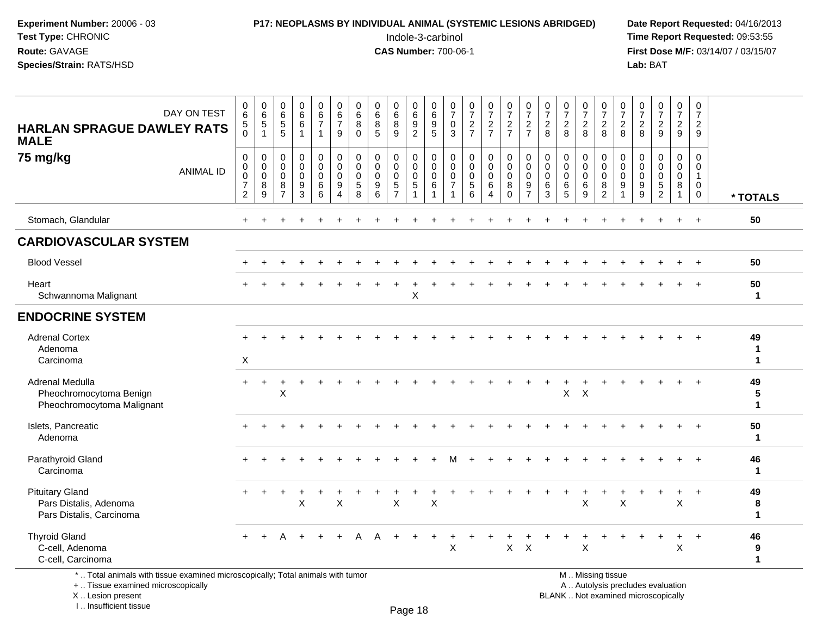#### **P17: NEOPLASMS BY INDIVIDUAL ANIMAL (SYSTEMIC LESIONS ABRIDGED)** Date Report Requested: 04/16/2013<br>Indole-3-carbinol **Time Report Requested:** 09:53:55

 Indole-3-carbinol **Time Report Requested:** 09:53:55 **First Dose M/F:** 03/14/07 / 03/15/07<br>**Lab:** BAT **Lab:** BAT

| <b>HARLAN SPRAGUE DAWLEY RATS</b><br><b>MALE</b>                                                                                          | DAY ON TEST      | $\,0\,$<br>6<br>$5\phantom{.0}$<br>$\bar{0}$                                                | $\begin{array}{c} 0 \\ 6 \\ 5 \end{array}$<br>$\mathbf{1}$ | $\pmb{0}$<br>$\,6\,$<br>$\overline{5}$<br>5                      | $\pmb{0}$<br>$6\phantom{a}$<br>$\,6\,$<br>$\overline{1}$                         | $\pmb{0}$<br>$\frac{6}{7}$<br>$\mathbf{1}$                  | $\pmb{0}$<br>$\,6\,$<br>$\overline{7}$<br>9 | $\mathbf 0$<br>6<br>$\bf 8$<br>$\mathbf 0$                  | $\pmb{0}$<br>$\frac{6}{8}$<br>5                      | $\begin{array}{c} 0 \\ 6 \end{array}$<br>$\,8\,$<br>9                   | 0<br>$\,6\,$<br>$\boldsymbol{9}$<br>$\overline{2}$    | $\pmb{0}$<br>$\,6\,$<br>$\boldsymbol{9}$<br>$\overline{5}$                     | 0<br>$\overline{7}$<br>$\mathbf 0$<br>3                          | $\frac{0}{7}$<br>$\frac{2}{7}$                                       | $\frac{0}{7}$<br>$\frac{2}{7}$                                     | $\begin{array}{c} 0 \\ 7 \end{array}$<br>$\frac{2}{7}$           | $\frac{0}{7}$<br>$\frac{2}{7}$                                                  | $\frac{0}{7}$<br>$\overline{c}$<br>8                | $\begin{array}{c} 0 \\ 7 \end{array}$<br>$\overline{2}$<br>8 | $\frac{0}{7}$<br>$\frac{2}{8}$            | $\begin{array}{c} 0 \\ 7 \end{array}$<br>$\frac{2}{8}$ | $\frac{0}{7}$<br>$\frac{2}{8}$                                   | 0<br>$\overline{7}$<br>$\overline{c}$<br>8               | $\begin{array}{c} 0 \\ 7 \\ 2 \end{array}$<br>9                           | $\frac{0}{7}$<br>$\overline{c}$<br>9                                    | $\pmb{0}$<br>$\overline{7}$<br>$\overline{c}$<br>9   |                         |
|-------------------------------------------------------------------------------------------------------------------------------------------|------------------|---------------------------------------------------------------------------------------------|------------------------------------------------------------|------------------------------------------------------------------|----------------------------------------------------------------------------------|-------------------------------------------------------------|---------------------------------------------|-------------------------------------------------------------|------------------------------------------------------|-------------------------------------------------------------------------|-------------------------------------------------------|--------------------------------------------------------------------------------|------------------------------------------------------------------|----------------------------------------------------------------------|--------------------------------------------------------------------|------------------------------------------------------------------|---------------------------------------------------------------------------------|-----------------------------------------------------|--------------------------------------------------------------|-------------------------------------------|--------------------------------------------------------|------------------------------------------------------------------|----------------------------------------------------------|---------------------------------------------------------------------------|-------------------------------------------------------------------------|------------------------------------------------------|-------------------------|
| 75 mg/kg                                                                                                                                  | <b>ANIMAL ID</b> | $\mathsf{O}\xspace$<br>$\pmb{0}$<br>$\pmb{0}$<br>$\overline{\mathcal{I}}$<br>$\overline{2}$ | $\mathbf 0$<br>$\mathbf 0$<br>$\mathbf 0$<br>8<br>9        | $\mathbf 0$<br>$\mathbf 0$<br>$\mathbf 0$<br>8<br>$\overline{7}$ | $\mathbf 0$<br>$\mathsf{O}\xspace$<br>$\mathsf{O}\xspace$<br>9<br>$\overline{3}$ | 0<br>$\mathbf 0$<br>$\mathbf 0$<br>$\,6$<br>$6\phantom{1}6$ | $\mathsf 0$<br>0<br>$\mathbf 0$<br>9<br>4   | $\mathbf 0$<br>$\mathbf 0$<br>$\mathsf{O}\xspace$<br>5<br>8 | 0<br>0<br>$\mathsf{O}\xspace$<br>9<br>$6\phantom{1}$ | $\mathbf 0$<br>$\mathbf 0$<br>$\pmb{0}$<br>$\sqrt{5}$<br>$\overline{7}$ | 0<br>0<br>$\mathsf 0$<br>$\sqrt{5}$<br>$\overline{1}$ | $\mathbf 0$<br>$\mathbf 0$<br>$\mathbf 0$<br>$6\phantom{1}6$<br>$\overline{1}$ | $\mathbf 0$<br>$\mathbf 0$<br>$\mathbf 0$<br>$\overline{7}$<br>1 | 0<br>$\mathbf 0$<br>$\mathbf 0$<br>$5\phantom{.0}$<br>$6\phantom{a}$ | 0<br>$\mathbf 0$<br>$\pmb{0}$<br>$\,6\,$<br>$\boldsymbol{\Lambda}$ | $\mathbf 0$<br>$\mathbf 0$<br>$\pmb{0}$<br>$\bf8$<br>$\mathbf 0$ | $\mathbf 0$<br>$\mathbf 0$<br>$\mathbf 0$<br>$\boldsymbol{9}$<br>$\overline{7}$ | $\mathbf 0$<br>$\mathbf 0$<br>$\mathbf 0$<br>6<br>3 | 0<br>$\mathbf 0$<br>$\mathbf 0$<br>$\,6\,$<br>5              | 0<br>$\mathbf 0$<br>$\mathbf 0$<br>6<br>9 | 0<br>0<br>$\mathbf 0$<br>8<br>2                        | $\mathbf 0$<br>$\mathbf 0$<br>$\mathbf 0$<br>9<br>$\overline{1}$ | 0<br>$\mathbf 0$<br>$\mathbf 0$<br>$\boldsymbol{9}$<br>9 | $\mathbf 0$<br>$\mathbf 0$<br>$\mathbf 0$<br>$\sqrt{5}$<br>$\overline{2}$ | $\mathbf 0$<br>$\mathsf{O}$<br>$\mathsf{O}\xspace$<br>8<br>$\mathbf{1}$ | 0<br>$\mathbf 0$<br>$\mathbf{1}$<br>0<br>$\mathbf 0$ | * TOTALS                |
| Stomach, Glandular                                                                                                                        |                  |                                                                                             |                                                            |                                                                  |                                                                                  |                                                             |                                             |                                                             |                                                      |                                                                         |                                                       |                                                                                |                                                                  |                                                                      |                                                                    |                                                                  |                                                                                 |                                                     |                                                              |                                           |                                                        |                                                                  |                                                          |                                                                           | $\ddot{}$                                                               | $+$                                                  | 50                      |
| <b>CARDIOVASCULAR SYSTEM</b>                                                                                                              |                  |                                                                                             |                                                            |                                                                  |                                                                                  |                                                             |                                             |                                                             |                                                      |                                                                         |                                                       |                                                                                |                                                                  |                                                                      |                                                                    |                                                                  |                                                                                 |                                                     |                                                              |                                           |                                                        |                                                                  |                                                          |                                                                           |                                                                         |                                                      |                         |
| <b>Blood Vessel</b>                                                                                                                       |                  |                                                                                             |                                                            |                                                                  |                                                                                  |                                                             |                                             |                                                             |                                                      |                                                                         |                                                       |                                                                                |                                                                  |                                                                      |                                                                    |                                                                  |                                                                                 |                                                     |                                                              |                                           |                                                        |                                                                  |                                                          |                                                                           |                                                                         |                                                      | 50                      |
| Heart<br>Schwannoma Malignant                                                                                                             |                  |                                                                                             |                                                            |                                                                  |                                                                                  |                                                             |                                             |                                                             |                                                      |                                                                         | $\mathsf X$                                           |                                                                                |                                                                  |                                                                      |                                                                    |                                                                  |                                                                                 |                                                     |                                                              |                                           |                                                        |                                                                  |                                                          |                                                                           |                                                                         |                                                      | 50<br>$\mathbf{1}$      |
| <b>ENDOCRINE SYSTEM</b>                                                                                                                   |                  |                                                                                             |                                                            |                                                                  |                                                                                  |                                                             |                                             |                                                             |                                                      |                                                                         |                                                       |                                                                                |                                                                  |                                                                      |                                                                    |                                                                  |                                                                                 |                                                     |                                                              |                                           |                                                        |                                                                  |                                                          |                                                                           |                                                                         |                                                      |                         |
| <b>Adrenal Cortex</b><br>Adenoma<br>Carcinoma                                                                                             |                  | $\boldsymbol{\mathsf{X}}$                                                                   |                                                            |                                                                  |                                                                                  |                                                             |                                             |                                                             |                                                      |                                                                         |                                                       |                                                                                |                                                                  |                                                                      |                                                                    |                                                                  |                                                                                 |                                                     |                                                              |                                           |                                                        |                                                                  |                                                          |                                                                           |                                                                         |                                                      | 49<br>$\mathbf{1}$<br>1 |
| Adrenal Medulla<br>Pheochromocytoma Benign<br>Pheochromocytoma Malignant                                                                  |                  | $+$                                                                                         |                                                            | X                                                                |                                                                                  |                                                             |                                             |                                                             |                                                      |                                                                         |                                                       |                                                                                |                                                                  |                                                                      |                                                                    |                                                                  |                                                                                 |                                                     | X                                                            | $\mathsf{X}$                              |                                                        |                                                                  |                                                          |                                                                           |                                                                         |                                                      | 49<br>5<br>$\mathbf{1}$ |
| Islets, Pancreatic<br>Adenoma                                                                                                             |                  |                                                                                             |                                                            |                                                                  |                                                                                  |                                                             |                                             |                                                             |                                                      |                                                                         |                                                       |                                                                                |                                                                  |                                                                      |                                                                    |                                                                  |                                                                                 |                                                     |                                                              |                                           |                                                        |                                                                  |                                                          |                                                                           |                                                                         |                                                      | 50<br>$\mathbf{1}$      |
| Parathyroid Gland<br>Carcinoma                                                                                                            |                  |                                                                                             |                                                            |                                                                  |                                                                                  |                                                             |                                             |                                                             |                                                      |                                                                         |                                                       |                                                                                |                                                                  |                                                                      |                                                                    |                                                                  |                                                                                 |                                                     |                                                              |                                           |                                                        |                                                                  |                                                          |                                                                           |                                                                         |                                                      | 46<br>$\mathbf{1}$      |
| <b>Pituitary Gland</b><br>Pars Distalis, Adenoma<br>Pars Distalis, Carcinoma                                                              |                  |                                                                                             |                                                            |                                                                  | X                                                                                |                                                             | X                                           |                                                             |                                                      | X                                                                       |                                                       | X                                                                              |                                                                  |                                                                      |                                                                    |                                                                  |                                                                                 |                                                     |                                                              | $\times$                                  |                                                        | $\times$                                                         |                                                          |                                                                           | $\pmb{\times}$                                                          | $\ddot{}$                                            | 49<br>8<br>$\mathbf{1}$ |
| <b>Thyroid Gland</b><br>C-cell, Adenoma<br>C-cell, Carcinoma                                                                              |                  |                                                                                             |                                                            |                                                                  |                                                                                  |                                                             |                                             |                                                             |                                                      |                                                                         |                                                       | $+$                                                                            | X                                                                |                                                                      |                                                                    | $\mathsf{X}$                                                     | $\times$                                                                        |                                                     |                                                              | $\pmb{\times}$                            |                                                        |                                                                  |                                                          |                                                                           | $\ddot{}$<br>X                                                          | $\ddot{}$                                            | 46<br>9<br>1            |
| *  Total animals with tissue examined microscopically; Total animals with tumor<br>+  Tissue examined microscopically<br>X Lesion present |                  |                                                                                             |                                                            |                                                                  |                                                                                  |                                                             |                                             |                                                             |                                                      |                                                                         |                                                       |                                                                                |                                                                  |                                                                      |                                                                    |                                                                  |                                                                                 |                                                     |                                                              |                                           | M  Missing tissue                                      |                                                                  |                                                          | A  Autolysis precludes evaluation<br>BLANK  Not examined microscopically  |                                                                         |                                                      |                         |

X .. Lesion present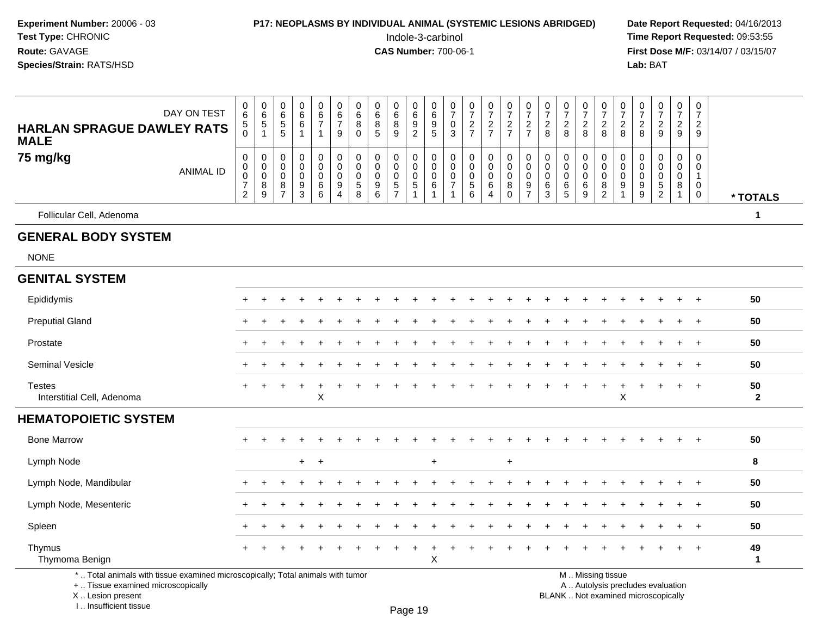| Experiment Number: 20006 - 03<br>Test Type: CHRONIC<br>Route: GAVAGE<br>Species/Strain: RATS/HSD                      |                  |                                                        |                                                     |                                                                  |                                                           |                                           |                              |                                   |                                                                                    |                                     | <b>P17: NEOPLASMS BY INDIVIDUAL ANIMAL (SYSTEMIC LESIONS ABRIDGED)</b><br>Indole-3-carbinol<br><b>CAS Number: 700-06-1</b> |                            |                                         |                                      |                                 |                                                          |                                                                  |                                         |                                |                                       |                                        |                                                                          | Lab: BAT                                     |                                |                                                  |                                            | Date Report Requested: 04/16/2013<br>Time Report Requested: 09:53:55<br>First Dose M/F: 03/14/07 / 03/15/07 |
|-----------------------------------------------------------------------------------------------------------------------|------------------|--------------------------------------------------------|-----------------------------------------------------|------------------------------------------------------------------|-----------------------------------------------------------|-------------------------------------------|------------------------------|-----------------------------------|------------------------------------------------------------------------------------|-------------------------------------|----------------------------------------------------------------------------------------------------------------------------|----------------------------|-----------------------------------------|--------------------------------------|---------------------------------|----------------------------------------------------------|------------------------------------------------------------------|-----------------------------------------|--------------------------------|---------------------------------------|----------------------------------------|--------------------------------------------------------------------------|----------------------------------------------|--------------------------------|--------------------------------------------------|--------------------------------------------|-------------------------------------------------------------------------------------------------------------|
| <b>HARLAN SPRAGUE DAWLEY RATS</b>                                                                                     | DAY ON TEST      | $\begin{array}{c} 0 \\ 6 \end{array}$<br>5<br>$\Omega$ | $\begin{array}{c} 0 \\ 6 \end{array}$<br>$\sqrt{5}$ | $\begin{matrix} 0 \\ 6 \end{matrix}$<br>$\sqrt{5}$<br>5          | $\begin{matrix} 0 \\ 6 \\ 6 \end{matrix}$<br>$\mathbf{1}$ | 0<br>6<br>$\overline{7}$<br>$\mathbf{1}$  | 0<br>$\frac{6}{7}$<br>9      | 0<br>$\,6$<br>$\bf 8$<br>$\Omega$ | 0<br>$6\phantom{a}$<br>$\frac{8}{5}$                                               | 0<br>$6\phantom{a}$<br>$\bf 8$<br>9 | 0<br>$\,6\,$<br>$\boldsymbol{9}$<br>$\overline{2}$                                                                         | 0<br>6<br>$\frac{9}{5}$    | 0<br>$\frac{5}{7}$<br>0<br>$\mathbf{3}$ | $\frac{0}{7}$<br>$\frac{2}{7}$       | $\frac{0}{7}$<br>$\frac{2}{7}$  | $\frac{0}{7}$<br>$\frac{2}{7}$                           | $\mathbf 0$<br>$\overline{7}$<br>$\frac{2}{7}$                   | 0<br>$\overline{\mathcal{I}}$<br>$^2_8$ | $\frac{0}{7}$<br>$\frac{2}{8}$ | $\frac{0}{7}$<br>$\frac{2}{8}$        | $\frac{0}{7}$<br>$\frac{2}{8}$         | $\frac{0}{7}$<br>$\frac{2}{8}$                                           | $\frac{0}{7}$<br>$_{8}^2$                    | $\frac{0}{7}$<br>$\frac{2}{9}$ | $\frac{0}{7}$<br>$\frac{2}{9}$                   | 0<br>$\overline{7}$<br>$\overline{a}$<br>9 |                                                                                                             |
| <b>MALE</b><br>75 mg/kg                                                                                               | <b>ANIMAL ID</b> | 0<br>$\pmb{0}$<br>$\pmb{0}$<br>7<br>$\overline{2}$     | 0<br>0<br>$\mathbf 0$<br>8<br>9                     | $\mathbf 0$<br>$\mathbf 0$<br>$\mathbf 0$<br>8<br>$\overline{7}$ | 0<br>$\mathbf 0$<br>$\mathbf 0$<br>$\frac{9}{3}$          | 0<br>$\mathbf 0$<br>$\mathbf 0$<br>6<br>6 | 0<br>0<br>$\Omega$<br>9<br>4 | 0<br>0<br>0<br>$\,$ 5 $\,$<br>8   | $\mathbf 0$<br>$\mathbf 0$<br>$\mathbf 0$<br>$\begin{array}{c} 9 \\ 6 \end{array}$ | 0<br>0<br>0<br>$\frac{5}{7}$        | 0<br>$\mathbf 0$<br>$\mathbf 0$<br>$\sqrt{5}$<br>$\overline{1}$                                                            | 0<br>0<br>$\mathbf 0$<br>6 | 0<br>$\mathbf 0$<br>0                   | 0<br>0<br>$\pmb{0}$<br>$\frac{5}{6}$ | 0<br>$\mathbf 0$<br>0<br>6<br>4 | 0<br>$\mathsf{O}\xspace$<br>$\mathbf 0$<br>8<br>$\Omega$ | $\mathbf 0$<br>$\mathbf 0$<br>$\mathbf 0$<br>9<br>$\overline{7}$ | 0<br>0<br>$\mathbf 0$<br>6<br>3         | 0<br>0<br>0<br>6<br>5          | 0<br>$\pmb{0}$<br>$\pmb{0}$<br>$^6_9$ | $\Omega$<br>$\mathbf 0$<br>0<br>$^8_2$ | 0<br>$\mathbf 0$<br>$\mathbf 0$<br>$\begin{array}{c} 9 \\ 1 \end{array}$ | 0<br>0<br>$\mathbf 0$<br>9<br>$\overline{9}$ | 0<br>0<br>0<br>$\frac{5}{2}$   | 0<br>$\pmb{0}$<br>$\pmb{0}$<br>8<br>$\mathbf{1}$ | 0<br>0<br>1<br>0<br>$\mathbf 0$            | * TOTALS                                                                                                    |
| Follicular Cell, Adenoma                                                                                              |                  |                                                        |                                                     |                                                                  |                                                           |                                           |                              |                                   |                                                                                    |                                     |                                                                                                                            |                            |                                         |                                      |                                 |                                                          |                                                                  |                                         |                                |                                       |                                        |                                                                          |                                              |                                |                                                  |                                            | 1                                                                                                           |
| <b>GENERAL BODY SYSTEM</b><br><b>NONE</b>                                                                             |                  |                                                        |                                                     |                                                                  |                                                           |                                           |                              |                                   |                                                                                    |                                     |                                                                                                                            |                            |                                         |                                      |                                 |                                                          |                                                                  |                                         |                                |                                       |                                        |                                                                          |                                              |                                |                                                  |                                            |                                                                                                             |
| <b>GENITAL SYSTEM</b>                                                                                                 |                  |                                                        |                                                     |                                                                  |                                                           |                                           |                              |                                   |                                                                                    |                                     |                                                                                                                            |                            |                                         |                                      |                                 |                                                          |                                                                  |                                         |                                |                                       |                                        |                                                                          |                                              |                                |                                                  |                                            |                                                                                                             |
| Epididymis                                                                                                            |                  |                                                        |                                                     |                                                                  |                                                           |                                           |                              |                                   |                                                                                    |                                     |                                                                                                                            |                            |                                         |                                      |                                 |                                                          |                                                                  |                                         |                                |                                       |                                        |                                                                          |                                              |                                |                                                  |                                            | 50                                                                                                          |
| <b>Preputial Gland</b>                                                                                                |                  |                                                        |                                                     |                                                                  |                                                           |                                           |                              |                                   |                                                                                    |                                     |                                                                                                                            |                            |                                         |                                      |                                 |                                                          |                                                                  |                                         |                                |                                       |                                        |                                                                          |                                              |                                |                                                  | $+$                                        | 50                                                                                                          |
| Prostate                                                                                                              |                  |                                                        |                                                     |                                                                  |                                                           |                                           |                              |                                   |                                                                                    |                                     |                                                                                                                            |                            |                                         |                                      |                                 |                                                          |                                                                  |                                         |                                |                                       |                                        |                                                                          |                                              |                                |                                                  | $+$                                        | 50                                                                                                          |
| Seminal Vesicle                                                                                                       |                  |                                                        |                                                     |                                                                  |                                                           |                                           |                              |                                   |                                                                                    |                                     |                                                                                                                            |                            |                                         |                                      |                                 |                                                          |                                                                  |                                         |                                |                                       |                                        |                                                                          |                                              |                                |                                                  | $\overline{+}$                             | 50                                                                                                          |
| <b>Testes</b><br>Interstitial Cell, Adenoma                                                                           |                  |                                                        |                                                     |                                                                  | $\ddot{}$                                                 | X                                         |                              |                                   |                                                                                    |                                     |                                                                                                                            |                            |                                         |                                      |                                 |                                                          |                                                                  |                                         |                                |                                       | $\ddot{}$                              | X                                                                        |                                              |                                |                                                  | $^{+}$                                     | 50<br>$\overline{2}$                                                                                        |
| <b>HEMATOPOIETIC SYSTEM</b>                                                                                           |                  |                                                        |                                                     |                                                                  |                                                           |                                           |                              |                                   |                                                                                    |                                     |                                                                                                                            |                            |                                         |                                      |                                 |                                                          |                                                                  |                                         |                                |                                       |                                        |                                                                          |                                              |                                |                                                  |                                            |                                                                                                             |
| <b>Bone Marrow</b>                                                                                                    |                  |                                                        |                                                     |                                                                  |                                                           |                                           |                              |                                   |                                                                                    |                                     |                                                                                                                            |                            |                                         |                                      |                                 |                                                          |                                                                  |                                         |                                |                                       |                                        |                                                                          |                                              |                                |                                                  | $\overline{ }$                             | 50                                                                                                          |
| Lymph Node                                                                                                            |                  |                                                        |                                                     |                                                                  |                                                           | $+$ $+$                                   |                              |                                   |                                                                                    |                                     |                                                                                                                            | $\ddot{}$                  |                                         |                                      |                                 | $\ddot{}$                                                |                                                                  |                                         |                                |                                       |                                        |                                                                          |                                              |                                |                                                  |                                            | 8                                                                                                           |
| Lymph Node, Mandibular                                                                                                |                  |                                                        |                                                     |                                                                  |                                                           |                                           |                              |                                   |                                                                                    |                                     |                                                                                                                            |                            |                                         |                                      |                                 |                                                          |                                                                  |                                         |                                |                                       |                                        |                                                                          |                                              |                                |                                                  |                                            | 50                                                                                                          |
| Lymph Node, Mesenteric                                                                                                |                  |                                                        |                                                     |                                                                  |                                                           |                                           |                              |                                   |                                                                                    |                                     |                                                                                                                            |                            |                                         |                                      |                                 |                                                          |                                                                  |                                         |                                |                                       |                                        |                                                                          |                                              |                                |                                                  |                                            | 50                                                                                                          |
| Spleen                                                                                                                |                  |                                                        |                                                     |                                                                  |                                                           |                                           |                              |                                   |                                                                                    |                                     |                                                                                                                            |                            |                                         |                                      |                                 |                                                          |                                                                  |                                         |                                |                                       |                                        |                                                                          |                                              |                                |                                                  | $+$                                        | 50                                                                                                          |
| Thymus<br>Thymoma Benign                                                                                              |                  |                                                        |                                                     |                                                                  |                                                           |                                           |                              |                                   |                                                                                    |                                     |                                                                                                                            | X                          |                                         |                                      |                                 |                                                          |                                                                  |                                         |                                |                                       |                                        |                                                                          |                                              |                                |                                                  | $+$                                        | 49<br>$\mathbf{1}$                                                                                          |
| *  Total animals with tissue examined microscopically; Total animals with tumor<br>+  Tissue examined microscopically |                  |                                                        |                                                     |                                                                  |                                                           |                                           |                              |                                   |                                                                                    |                                     |                                                                                                                            |                            |                                         |                                      |                                 |                                                          |                                                                  |                                         |                                |                                       | M  Missing tissue                      |                                                                          | A  Autolysis precludes evaluation            |                                |                                                  |                                            |                                                                                                             |

 Lesion present BLANK .. Not examined microscopicallyX ..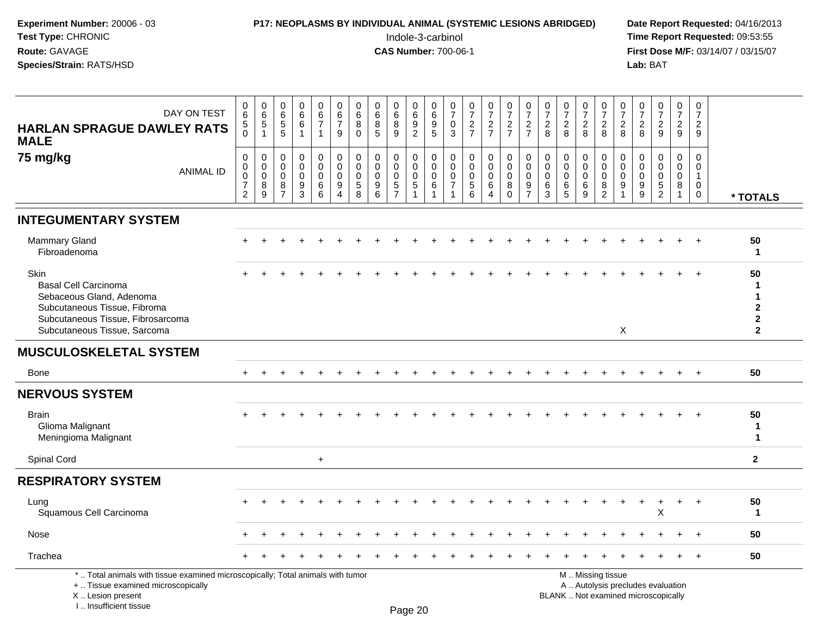| Experiment Number: 20006 - 03<br>Test Type: CHRONIC<br>Route: GAVAGE<br>Species/Strain: RATS/HSD                                                                     |                                                                     |                                               |                                                               | P17: NEOPLASMS BY INDIVIDUAL ANIMAL (SYSTEMIC LESIONS ABRIDGED)   |                                                              |                                                                               |                                           |                                                                    |                                              |                                                      | Indole-3-carbinol<br><b>CAS Number: 700-06-1</b>    |                                               |                                                                            |                                                             |                                                     |                                                        |                                           |                                     |                                                              |                                                     |                                                   | Lab: BAT                               |                                        |                                                                |                                                    | Date Report Requested: 04/16/2013<br>Time Report Requested: 09:53:55<br>First Dose M/F: 03/14/07 / 03/15/07 |
|----------------------------------------------------------------------------------------------------------------------------------------------------------------------|---------------------------------------------------------------------|-----------------------------------------------|---------------------------------------------------------------|-------------------------------------------------------------------|--------------------------------------------------------------|-------------------------------------------------------------------------------|-------------------------------------------|--------------------------------------------------------------------|----------------------------------------------|------------------------------------------------------|-----------------------------------------------------|-----------------------------------------------|----------------------------------------------------------------------------|-------------------------------------------------------------|-----------------------------------------------------|--------------------------------------------------------|-------------------------------------------|-------------------------------------|--------------------------------------------------------------|-----------------------------------------------------|---------------------------------------------------|----------------------------------------|----------------------------------------|----------------------------------------------------------------|----------------------------------------------------|-------------------------------------------------------------------------------------------------------------|
| DAY ON TEST<br><b>HARLAN SPRAGUE DAWLEY RATS</b><br><b>MALE</b>                                                                                                      | $\pmb{0}$<br>6<br>$\frac{5}{0}$                                     | $_{6}^{\rm 0}$<br>$\,$ 5 $\,$<br>$\mathbf{1}$ | $\pmb{0}$<br>$\,6\,$<br>$\begin{array}{c} 5 \\ 5 \end{array}$ | $\begin{array}{c} 0 \\ 6 \end{array}$<br>$\,6$<br>1               | $\begin{array}{c} 0 \\ 6 \\ 7 \end{array}$<br>$\overline{1}$ | $\begin{array}{c} 0 \\ 6 \end{array}$<br>$\boldsymbol{7}$<br>$\boldsymbol{9}$ | 0<br>6<br>8<br>$\mathbf 0$                | 0<br>$\,6\,$<br>8<br>5                                             | 0<br>6<br>8<br>$9\,$                         | $_6^0$<br>$\frac{9}{2}$                              | 0<br>$\,6$<br>$\begin{array}{c} 9 \\ 5 \end{array}$ | $\frac{0}{7}$<br>$\pmb{0}$<br>3               | $\frac{0}{7}$<br>$\frac{2}{7}$                                             | $\begin{smallmatrix}0\\7\end{smallmatrix}$<br>$\frac{2}{7}$ | $\frac{0}{7}$<br>$\frac{2}{7}$                      | $\frac{0}{7}$<br>$\frac{2}{7}$                         | $\frac{0}{7}$<br>$_{\rm 8}^2$             | $\frac{0}{7}$<br>$\sqrt{2}$<br>8    | $\begin{smallmatrix}0\\7\end{smallmatrix}$<br>$^{\,2}_{\,8}$ | $\frac{0}{7}$<br>$\boldsymbol{2}$<br>8              | $\frac{0}{7}$<br>$\overline{c}$<br>8              | $\frac{0}{7}$<br>$\boldsymbol{2}$<br>8 | $\frac{0}{7}$<br>$\frac{2}{9}$         | $\frac{0}{7}$<br>$\frac{2}{9}$                                 | $\pmb{0}$<br>$\overline{7}$<br>$\overline{a}$<br>9 |                                                                                                             |
| 75 mg/kg<br><b>ANIMAL ID</b>                                                                                                                                         | $\pmb{0}$<br>$\mathbf 0$<br>0<br>$\boldsymbol{7}$<br>$\overline{2}$ | 0<br>0<br>$\pmb{0}$<br>8<br>9                 | $\mathbf 0$<br>$\mathbf 0$<br>0<br>8<br>$\overline{7}$        | 0<br>$\pmb{0}$<br>$\pmb{0}$<br>$\boldsymbol{9}$<br>$\overline{3}$ | 0<br>$\mathbf 0$<br>$\mathbf 0$<br>$\,6\,$<br>6              | 0<br>$\mathbf 0$<br>$\mathbf 0$<br>9<br>4                                     | 0<br>$\mathbf 0$<br>0<br>$\,$ 5 $\,$<br>8 | $\mathbf 0$<br>$\mathbf 0$<br>$\mathbf 0$<br>$\boldsymbol{9}$<br>6 | 0<br>0<br>$\mathbf 0$<br>5<br>$\overline{7}$ | 0<br>$\mathbf 0$<br>0<br>$\,$ 5 $\,$<br>$\mathbf{1}$ | 0<br>$\pmb{0}$<br>$\mathbf 0$<br>6<br>-1            | 0<br>$\mathbf 0$<br>0<br>$\overline{7}$<br>-1 | $\mathbf 0$<br>$\mathbf 0$<br>$\mathbf 0$<br>$\sqrt{5}$<br>$6\phantom{1}6$ | 0<br>$\pmb{0}$<br>$\pmb{0}$<br>$\,6$<br>$\overline{4}$      | 0<br>$\mathbf 0$<br>$\mathbf 0$<br>8<br>$\mathbf 0$ | 0<br>$\mathbf 0$<br>$\mathbf 0$<br>9<br>$\overline{7}$ | 0<br>$\mathbf 0$<br>$\mathbf 0$<br>6<br>3 | 0<br>0<br>$\mathbf 0$<br>$\,6$<br>5 | 0<br>$\mathbf 0$<br>$\mathbf 0$<br>$\,6\,$<br>9              | 0<br>$\Omega$<br>$\mathbf 0$<br>8<br>$\overline{c}$ | 0<br>$\Omega$<br>$\mathbf 0$<br>9<br>$\mathbf{1}$ | 0<br>$\Omega$<br>0<br>9<br>$\mathsf g$ | 0<br>$\mathbf 0$<br>0<br>$\frac{5}{2}$ | $\mathbf 0$<br>$\mathbf 0$<br>$\mathbf 0$<br>8<br>$\mathbf{1}$ | 0<br>0<br>$\mathbf{1}$<br>0<br>$\mathbf 0$         | * TOTALS                                                                                                    |
| <b>INTEGUMENTARY SYSTEM</b>                                                                                                                                          |                                                                     |                                               |                                                               |                                                                   |                                                              |                                                                               |                                           |                                                                    |                                              |                                                      |                                                     |                                               |                                                                            |                                                             |                                                     |                                                        |                                           |                                     |                                                              |                                                     |                                                   |                                        |                                        |                                                                |                                                    |                                                                                                             |
| Mammary Gland<br>Fibroadenoma                                                                                                                                        |                                                                     |                                               |                                                               |                                                                   |                                                              |                                                                               |                                           |                                                                    |                                              |                                                      |                                                     |                                               |                                                                            |                                                             |                                                     |                                                        |                                           |                                     |                                                              |                                                     |                                                   |                                        |                                        |                                                                | $\overline{+}$                                     | 50<br>1                                                                                                     |
| Skin<br><b>Basal Cell Carcinoma</b><br>Sebaceous Gland, Adenoma<br>Subcutaneous Tissue, Fibroma<br>Subcutaneous Tissue, Fibrosarcoma<br>Subcutaneous Tissue, Sarcoma |                                                                     |                                               |                                                               |                                                                   |                                                              |                                                                               |                                           |                                                                    |                                              |                                                      |                                                     |                                               |                                                                            |                                                             |                                                     |                                                        |                                           |                                     |                                                              |                                                     | $\boldsymbol{\mathsf{X}}$                         |                                        |                                        |                                                                |                                                    | 50<br>-1<br>-1<br>$\mathbf{2}$<br>$\boldsymbol{2}$<br>$\mathbf{2}$                                          |
| <b>MUSCULOSKELETAL SYSTEM</b>                                                                                                                                        |                                                                     |                                               |                                                               |                                                                   |                                                              |                                                                               |                                           |                                                                    |                                              |                                                      |                                                     |                                               |                                                                            |                                                             |                                                     |                                                        |                                           |                                     |                                                              |                                                     |                                                   |                                        |                                        |                                                                |                                                    |                                                                                                             |
| <b>Bone</b>                                                                                                                                                          |                                                                     |                                               |                                                               |                                                                   |                                                              |                                                                               |                                           |                                                                    |                                              |                                                      |                                                     |                                               |                                                                            |                                                             |                                                     |                                                        |                                           |                                     |                                                              |                                                     |                                                   |                                        |                                        | $+$                                                            | $\overline{+}$                                     | 50                                                                                                          |
| <b>NERVOUS SYSTEM</b>                                                                                                                                                |                                                                     |                                               |                                                               |                                                                   |                                                              |                                                                               |                                           |                                                                    |                                              |                                                      |                                                     |                                               |                                                                            |                                                             |                                                     |                                                        |                                           |                                     |                                                              |                                                     |                                                   |                                        |                                        |                                                                |                                                    |                                                                                                             |
| <b>Brain</b><br>Glioma Malignant<br>Meningioma Malignant                                                                                                             |                                                                     |                                               |                                                               |                                                                   |                                                              |                                                                               |                                           |                                                                    |                                              |                                                      |                                                     |                                               |                                                                            |                                                             |                                                     |                                                        |                                           |                                     |                                                              |                                                     |                                                   |                                        |                                        |                                                                | $\overline{+}$                                     | 50<br>-1<br>$\mathbf 1$                                                                                     |
| Spinal Cord                                                                                                                                                          |                                                                     |                                               |                                                               |                                                                   | $+$                                                          |                                                                               |                                           |                                                                    |                                              |                                                      |                                                     |                                               |                                                                            |                                                             |                                                     |                                                        |                                           |                                     |                                                              |                                                     |                                                   |                                        |                                        |                                                                |                                                    | $\mathbf{2}$                                                                                                |
| <b>RESPIRATORY SYSTEM</b>                                                                                                                                            |                                                                     |                                               |                                                               |                                                                   |                                                              |                                                                               |                                           |                                                                    |                                              |                                                      |                                                     |                                               |                                                                            |                                                             |                                                     |                                                        |                                           |                                     |                                                              |                                                     |                                                   |                                        |                                        |                                                                |                                                    |                                                                                                             |
| Lung<br>Squamous Cell Carcinoma                                                                                                                                      |                                                                     |                                               |                                                               |                                                                   |                                                              |                                                                               |                                           |                                                                    |                                              |                                                      |                                                     |                                               |                                                                            |                                                             |                                                     |                                                        |                                           |                                     |                                                              |                                                     |                                                   |                                        | Χ                                      |                                                                |                                                    | 50<br>$\mathbf{1}$                                                                                          |
| Nose                                                                                                                                                                 |                                                                     |                                               |                                                               |                                                                   |                                                              |                                                                               |                                           |                                                                    |                                              |                                                      |                                                     |                                               |                                                                            |                                                             |                                                     |                                                        |                                           |                                     |                                                              |                                                     |                                                   |                                        |                                        |                                                                |                                                    | 50                                                                                                          |
| Trachea                                                                                                                                                              |                                                                     |                                               |                                                               |                                                                   |                                                              |                                                                               |                                           |                                                                    |                                              |                                                      |                                                     |                                               |                                                                            |                                                             |                                                     |                                                        |                                           |                                     |                                                              |                                                     |                                                   |                                        |                                        |                                                                |                                                    | 50                                                                                                          |

\* .. Total animals with tissue examined microscopically; Total animals with tumorM .. Missing tissue A .. Autolysis precludes evaluation

+ .. Tissue examined microscopically

 Lesion present BLANK .. Not examined microscopicallyX .. Lesion present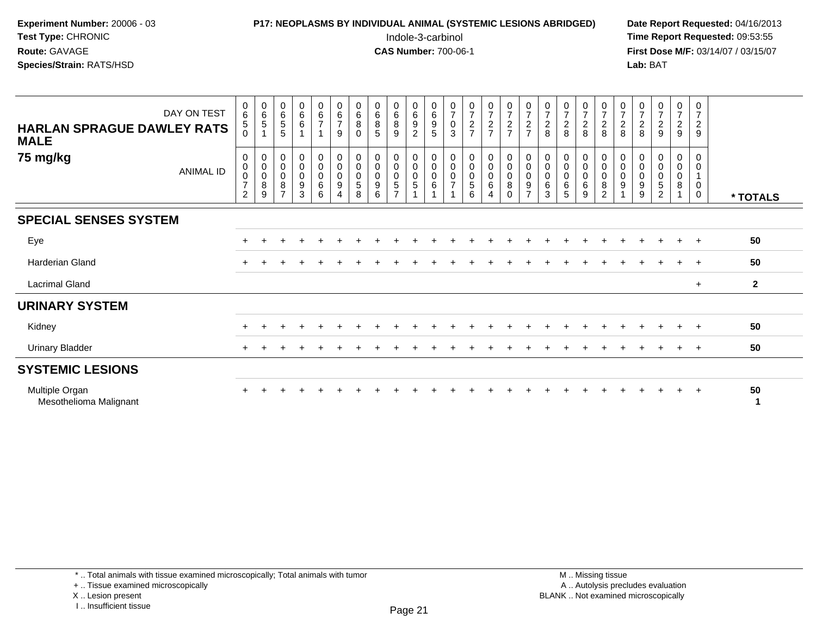| <b>Experiment Number: 20006 - 03</b> | <b>P17: NEOPLASMS BY INDIVIDUAL ANIMAL (SYSTEMIC LESIONS ABRIDGED)</b> | Date Rep         |
|--------------------------------------|------------------------------------------------------------------------|------------------|
| Test Type: CHRONIC                   | Indole-3-carbinol                                                      | Time Rep         |
| <b>Route:</b> GAVAGE                 | <b>CAS Number: 700-06-1</b>                                            | <b>First Dos</b> |
| <b>Species/Strain:</b> RATS/HSD_     |                                                                        | Lab: BAT         |
|                                      |                                                                        |                  |

## **P17: NEOPLASMS BY INDIVIDUAL ANIMAL (SYSTEMIC LESIONS ABRIDGED)** Date Report Requested: 04/16/2013<br>Indole-3-carbinol **Time Report Requested:** 09:53:55

 Indole-3-carbinol **Time Report Requested:** 09:53:55 **First Dose M/F:** 03/14/07 / 03/15/07<br>**Lab:** BAT

| DAY ON TEST<br><b>HARLAN SPRAGUE DAWLEY RATS</b><br><b>MALE</b> | $_{6}^{\rm 0}$<br>5<br>$\Omega$                                 | $\begin{array}{c} 0 \\ 6 \\ 5 \end{array}$                         | $\begin{matrix} 0 \\ 6 \\ 5 \end{matrix}$<br>5                       | $_{6}^{\rm 0}$<br>6                               | $_{6}^{\rm 0}$<br>$\overline{7}$<br>1       | $\begin{array}{c} 0 \\ 6 \end{array}$<br>$\overline{7}$<br>9                                    | $\begin{array}{c} 0 \\ 6 \\ 8 \end{array}$<br>$\mathbf{0}$ | $\begin{matrix}0\\6\\8\end{matrix}$<br>5      | $\begin{array}{c} 0 \\ 6 \end{array}$<br>$\bf 8$<br>9       | $_{6}^{\rm 0}$<br>$\boldsymbol{9}$<br>$\overline{c}$                        | $_{6}^{\rm 0}$<br>$\boldsymbol{9}$<br>$\sqrt{5}$                                       | $\begin{smallmatrix}0\\7\end{smallmatrix}$<br>$\pmb{0}$<br>3    | $\frac{0}{7}$<br>$\frac{2}{7}$                     | $\frac{0}{7}$<br>$\frac{2}{7}$                                          | $\frac{0}{7}$<br>$\frac{2}{7}$                   | $\begin{array}{c} 0 \\ 7 \end{array}$<br>$\frac{2}{7}$ | $\begin{smallmatrix}0\\7\end{smallmatrix}$<br>$\frac{2}{8}$ | $\frac{0}{7}$<br>8                            | $\frac{0}{7}$<br>$\frac{2}{8}$        | $\begin{array}{c} 0 \\ 7 \end{array}$<br>$\frac{2}{8}$    | $\begin{array}{c} 0 \\ 7 \end{array}$<br>$_{8}^2$                           | $\begin{smallmatrix}0\\7\end{smallmatrix}$<br>$\frac{2}{8}$ | $\frac{0}{7}$<br>9                                                   | $\frac{0}{7}$<br>$\frac{2}{9}$         | $\frac{0}{7}$<br>$\frac{2}{9}$                             |                |
|-----------------------------------------------------------------|-----------------------------------------------------------------|--------------------------------------------------------------------|----------------------------------------------------------------------|---------------------------------------------------|---------------------------------------------|-------------------------------------------------------------------------------------------------|------------------------------------------------------------|-----------------------------------------------|-------------------------------------------------------------|-----------------------------------------------------------------------------|----------------------------------------------------------------------------------------|-----------------------------------------------------------------|----------------------------------------------------|-------------------------------------------------------------------------|--------------------------------------------------|--------------------------------------------------------|-------------------------------------------------------------|-----------------------------------------------|---------------------------------------|-----------------------------------------------------------|-----------------------------------------------------------------------------|-------------------------------------------------------------|----------------------------------------------------------------------|----------------------------------------|------------------------------------------------------------|----------------|
| 75 mg/kg<br>ANIMAL ID                                           | 0<br>$\pmb{0}$<br>$\pmb{0}$<br>$\overline{7}$<br>$\overline{c}$ | $\,0\,$<br>$\mathbf 0$<br>$\pmb{0}$<br>$\,8\,$<br>$\boldsymbol{9}$ | $\pmb{0}$<br>$\mathsf 0$<br>$\mathsf 0$<br>$\bf 8$<br>$\overline{ }$ | 0<br>$\mathsf{O}\xspace$<br>$\mathbf 0$<br>9<br>3 | 0<br>$\pmb{0}$<br>$\pmb{0}$<br>$\,6\,$<br>6 | $\begin{smallmatrix} 0\\0 \end{smallmatrix}$<br>$\pmb{0}$<br>$\boldsymbol{9}$<br>$\overline{A}$ | $\pmb{0}$<br>$\pmb{0}$<br>$\pmb{0}$<br>$\sqrt{5}$<br>8     | $\pmb{0}$<br>$\pmb{0}$<br>$\pmb{0}$<br>9<br>6 | 0<br>$\pmb{0}$<br>$\pmb{0}$<br>$\sqrt{5}$<br>$\overline{ }$ | $\begin{smallmatrix}0\\0\end{smallmatrix}$<br>$\mathbf 0$<br>$\overline{5}$ | $\begin{smallmatrix}0\\0\end{smallmatrix}$<br>$\mathbf 0$<br>$\,6\,$<br>$\overline{A}$ | $\pmb{0}$<br>$\mathsf{O}\xspace$<br>$\pmb{0}$<br>$\overline{ }$ | $_{\rm 0}^{\rm 0}$<br>$\pmb{0}$<br>$\sqrt{5}$<br>6 | $\begin{smallmatrix}0\0\0\end{smallmatrix}$<br>0<br>6<br>$\overline{4}$ | $_{\rm 0}^{\rm 0}$<br>$\pmb{0}$<br>8<br>$\Omega$ | $_{\rm 0}^{\rm 0}$<br>$\pmb{0}$<br>9<br>$\overline{ }$ | 0<br>$\pmb{0}$<br>0<br>$\,6\,$<br>3                         | $\pmb{0}$<br>$\pmb{0}$<br>$\pmb{0}$<br>6<br>5 | 0<br>$\pmb{0}$<br>$\pmb{0}$<br>6<br>9 | 0<br>$\mathbf 0$<br>$\pmb{0}$<br>$\bf8$<br>$\overline{c}$ | $\pmb{0}$<br>$\mathbf 0$<br>$\pmb{0}$<br>$\boldsymbol{9}$<br>$\overline{A}$ | 0<br>0<br>0<br>9<br>9                                       | $\pmb{0}$<br>$\pmb{0}$<br>$\pmb{0}$<br>$\mathbf 5$<br>$\overline{2}$ | 0<br>0<br>0<br>$\bf 8$<br>$\mathbf{1}$ | 0<br>$\pmb{0}$<br>$\mathbf{1}$<br>$\pmb{0}$<br>$\mathbf 0$ | * TOTALS       |
| <b>SPECIAL SENSES SYSTEM</b>                                    |                                                                 |                                                                    |                                                                      |                                                   |                                             |                                                                                                 |                                                            |                                               |                                                             |                                                                             |                                                                                        |                                                                 |                                                    |                                                                         |                                                  |                                                        |                                                             |                                               |                                       |                                                           |                                                                             |                                                             |                                                                      |                                        |                                                            |                |
| Eye                                                             |                                                                 |                                                                    |                                                                      |                                                   |                                             |                                                                                                 |                                                            |                                               |                                                             |                                                                             |                                                                                        |                                                                 |                                                    |                                                                         |                                                  |                                                        |                                                             |                                               |                                       |                                                           |                                                                             |                                                             |                                                                      | $\ddot{}$                              | $+$                                                        | 50             |
| Harderian Gland                                                 |                                                                 |                                                                    |                                                                      |                                                   |                                             |                                                                                                 |                                                            |                                               |                                                             |                                                                             |                                                                                        |                                                                 |                                                    |                                                                         |                                                  |                                                        |                                                             |                                               |                                       |                                                           |                                                                             |                                                             |                                                                      |                                        |                                                            | 50             |
| <b>Lacrimal Gland</b>                                           |                                                                 |                                                                    |                                                                      |                                                   |                                             |                                                                                                 |                                                            |                                               |                                                             |                                                                             |                                                                                        |                                                                 |                                                    |                                                                         |                                                  |                                                        |                                                             |                                               |                                       |                                                           |                                                                             |                                                             |                                                                      |                                        | $+$                                                        | $\overline{2}$ |
| <b>URINARY SYSTEM</b>                                           |                                                                 |                                                                    |                                                                      |                                                   |                                             |                                                                                                 |                                                            |                                               |                                                             |                                                                             |                                                                                        |                                                                 |                                                    |                                                                         |                                                  |                                                        |                                                             |                                               |                                       |                                                           |                                                                             |                                                             |                                                                      |                                        |                                                            |                |
| Kidney                                                          | $\pm$                                                           |                                                                    |                                                                      |                                                   |                                             |                                                                                                 |                                                            |                                               |                                                             |                                                                             |                                                                                        |                                                                 |                                                    |                                                                         |                                                  |                                                        |                                                             |                                               |                                       |                                                           |                                                                             |                                                             |                                                                      |                                        |                                                            | 50             |
| <b>Urinary Bladder</b>                                          |                                                                 |                                                                    |                                                                      |                                                   |                                             |                                                                                                 |                                                            |                                               |                                                             |                                                                             |                                                                                        |                                                                 |                                                    |                                                                         |                                                  |                                                        |                                                             |                                               |                                       |                                                           |                                                                             |                                                             |                                                                      |                                        |                                                            | 50             |
| <b>SYSTEMIC LESIONS</b>                                         |                                                                 |                                                                    |                                                                      |                                                   |                                             |                                                                                                 |                                                            |                                               |                                                             |                                                                             |                                                                                        |                                                                 |                                                    |                                                                         |                                                  |                                                        |                                                             |                                               |                                       |                                                           |                                                                             |                                                             |                                                                      |                                        |                                                            |                |
| Multiple Organ<br>Mesothelioma Malignant                        |                                                                 |                                                                    |                                                                      |                                                   |                                             |                                                                                                 |                                                            |                                               |                                                             |                                                                             |                                                                                        |                                                                 |                                                    |                                                                         |                                                  |                                                        |                                                             |                                               |                                       |                                                           |                                                                             |                                                             |                                                                      | $\ddot{}$                              | $\pm$                                                      | 50             |

\* .. Total animals with tissue examined microscopically; Total animals with tumor

+ .. Tissue examined microscopically

X .. Lesion present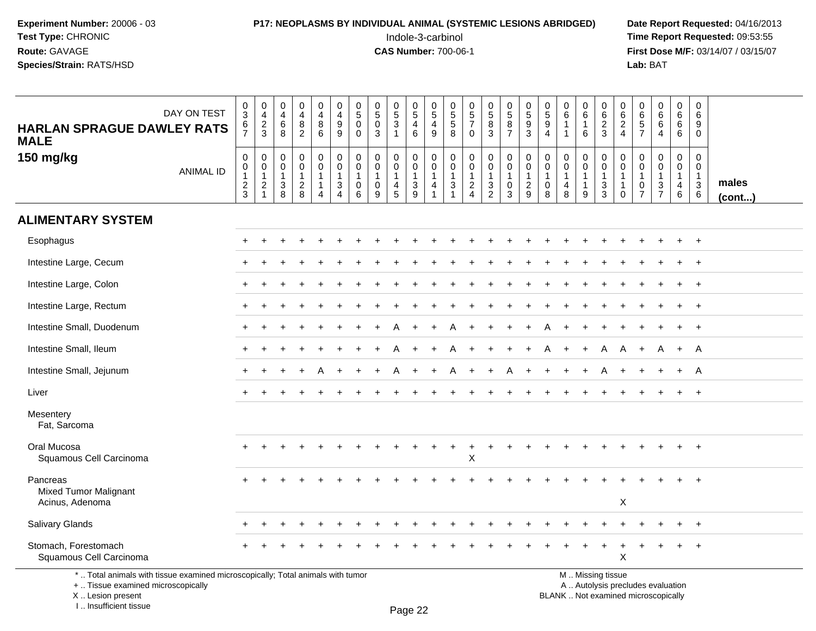## **P17: NEOPLASMS BY INDIVIDUAL ANIMAL (SYSTEMIC LESIONS ABRIDGED)** Date Report Requested: 04/16/2013<br>Indole-3-carbinol **Time Report Requested:** 09:53:55

 Indole-3-carbinol **Time Report Requested:** 09:53:55 **First Dose M/F:** 03/14/07 / 03/15/07<br>Lab: BAT **Lab:** BAT

| <b>HARLAN SPRAGUE DAWLEY RATS</b><br><b>MALE</b>                                                                                                                    | DAY ON TEST      | $\mathbf 0$<br>$\overline{3}$<br>6<br>$\overline{7}$       | $\mathbf 0$<br>$\overline{4}$<br>$\sqrt{2}$<br>$\mathbf{3}$                | $\boldsymbol{0}$<br>$\overline{4}$<br>6<br>8                    | 0<br>$\overline{4}$<br>8<br>$\overline{2}$       | $\mathbf 0$<br>$\overline{4}$<br>8<br>$\,6\,$                                 | $\pmb{0}$<br>$\overline{4}$<br>9<br>9                                        | 0<br>$\overline{5}$<br>$\mathbf 0$<br>$\Omega$       | $\begin{array}{c} 0 \\ 5 \end{array}$<br>$\mathbf 0$<br>$\sqrt{3}$ | $\begin{array}{c} 0 \\ 5 \end{array}$<br>3<br>$\overline{1}$ | $\mathbf 0$<br>$\overline{5}$<br>$\overline{4}$<br>$\,6\,$ | 0<br>$\overline{5}$<br>4<br>9 | $\begin{array}{c} 0 \\ 5 \\ 5 \end{array}$<br>8                            | $\begin{array}{c} 0 \\ 5 \end{array}$<br>$\overline{7}$<br>$\Omega$  | $\begin{array}{c} 0 \\ 5 \end{array}$<br>8<br>3           | $\begin{array}{c} 0 \\ 5 \\ 8 \end{array}$<br>$\overline{7}$                  | 0<br>$\overline{5}$<br>9<br>3                      | 0<br>$\overline{5}$<br>9<br>$\overline{4}$                     | 0<br>$6\overline{6}$<br>$\mathbf{1}$<br>1    | $\mathbf 0$<br>$\overline{6}$<br>$\mathbf{1}$<br>6               | 0<br>$6\overline{6}$<br>$\overline{2}$<br>3          | 0<br>$\,6\,$<br>2<br>$\overline{4}$             | $\mathsf{O}\xspace$<br>$\overline{6}$<br>5<br>$\overline{7}$                | $\pmb{0}$<br>$\overline{6}$<br>$\,6\,$<br>$\overline{4}$    | $\pmb{0}$<br>$6^{\circ}$<br>$6\phantom{1}6$<br>$\,6\,$                    | $\mathbf 0$<br>6<br>9<br>$\Omega$                     |                 |
|---------------------------------------------------------------------------------------------------------------------------------------------------------------------|------------------|------------------------------------------------------------|----------------------------------------------------------------------------|-----------------------------------------------------------------|--------------------------------------------------|-------------------------------------------------------------------------------|------------------------------------------------------------------------------|------------------------------------------------------|--------------------------------------------------------------------|--------------------------------------------------------------|------------------------------------------------------------|-------------------------------|----------------------------------------------------------------------------|----------------------------------------------------------------------|-----------------------------------------------------------|-------------------------------------------------------------------------------|----------------------------------------------------|----------------------------------------------------------------|----------------------------------------------|------------------------------------------------------------------|------------------------------------------------------|-------------------------------------------------|-----------------------------------------------------------------------------|-------------------------------------------------------------|---------------------------------------------------------------------------|-------------------------------------------------------|-----------------|
| 150 mg/kg                                                                                                                                                           | <b>ANIMAL ID</b> | $\mathbf 0$<br>$\mathbf 0$<br>$\mathbf 1$<br>$\frac{2}{3}$ | $\mathbf 0$<br>$\mathbf 0$<br>$\mathbf{1}$<br>$\sqrt{2}$<br>$\overline{1}$ | $\mathbf 0$<br>$\mathbf 0$<br>$\mathbf{1}$<br>$\mathbf{3}$<br>8 | 0<br>$\mathbf 0$<br>$\mathbf{1}$<br>$_{\rm 8}^2$ | $\pmb{0}$<br>$\overline{0}$<br>$\mathbf{1}$<br>$\mathbf{1}$<br>$\overline{4}$ | $\mathbf 0$<br>$\mathbf 0$<br>$\mathbf{1}$<br>$\mathbf{3}$<br>$\overline{4}$ | 0<br>$\mathbf 0$<br>$\mathbf{1}$<br>$\mathbf 0$<br>6 | $\mathbf 0$<br>$\mathbf 0$<br>$\mathbf{1}$<br>$\mathbf 0$<br>9     | 0<br>$\mathbf 0$<br>$\mathbf{1}$<br>4<br>5                   | $\pmb{0}$<br>$\mathbf 0$<br>$\mathbf{1}$<br>$\frac{3}{9}$  | 0<br>$\mathbf 0$<br>1<br>4    | $\mathbf 0$<br>$\mathbf 0$<br>$\mathbf{1}$<br>$\mathbf{3}$<br>$\mathbf{1}$ | 0<br>$\mathbf 0$<br>$\mathbf{1}$<br>$\overline{a}$<br>$\overline{4}$ | $\pmb{0}$<br>$\mathbf 0$<br>$\mathbf{1}$<br>$\frac{3}{2}$ | $\mathbf 0$<br>$\mathbf 0$<br>$\overline{1}$<br>$\mathbf 0$<br>$\overline{3}$ | 0<br>$\Omega$<br>$\overline{1}$<br>$\sqrt{2}$<br>9 | $\mathbf 0$<br>$\mathbf 0$<br>$\mathbf{1}$<br>$\mathbf 0$<br>8 | 0<br>$\mathbf 0$<br>1<br>$\overline{4}$<br>8 | $\pmb{0}$<br>$\overline{0}$<br>$\mathbf{1}$<br>$\mathbf{1}$<br>9 | 0<br>$\mathbf 0$<br>$\mathbf 1$<br>$\mathbf{3}$<br>3 | 0<br>$\Omega$<br>-1<br>$\mathbf{1}$<br>$\Omega$ | $\mathbf 0$<br>$\mathbf 0$<br>$\mathbf{1}$<br>$\mathbf 0$<br>$\overline{7}$ | $\mathbf 0$<br>$\mathbf 0$<br>$\mathbf{1}$<br>$\frac{3}{7}$ | $\mathbf 0$<br>$\mathbf 0$<br>$\overline{1}$<br>$\overline{4}$<br>$\,6\,$ | 0<br>$\mathbf 0$<br>$\mathbf{1}$<br>$\mathbf{3}$<br>6 | males<br>(cont) |
| <b>ALIMENTARY SYSTEM</b>                                                                                                                                            |                  |                                                            |                                                                            |                                                                 |                                                  |                                                                               |                                                                              |                                                      |                                                                    |                                                              |                                                            |                               |                                                                            |                                                                      |                                                           |                                                                               |                                                    |                                                                |                                              |                                                                  |                                                      |                                                 |                                                                             |                                                             |                                                                           |                                                       |                 |
| Esophagus                                                                                                                                                           |                  |                                                            |                                                                            |                                                                 |                                                  |                                                                               |                                                                              |                                                      |                                                                    |                                                              |                                                            |                               |                                                                            |                                                                      |                                                           |                                                                               |                                                    |                                                                |                                              |                                                                  |                                                      |                                                 |                                                                             |                                                             |                                                                           |                                                       |                 |
| Intestine Large, Cecum                                                                                                                                              |                  |                                                            |                                                                            |                                                                 |                                                  |                                                                               |                                                                              |                                                      |                                                                    |                                                              |                                                            |                               |                                                                            |                                                                      |                                                           |                                                                               |                                                    |                                                                |                                              |                                                                  |                                                      |                                                 |                                                                             |                                                             |                                                                           |                                                       |                 |
| Intestine Large, Colon                                                                                                                                              |                  |                                                            |                                                                            |                                                                 |                                                  |                                                                               |                                                                              |                                                      |                                                                    |                                                              |                                                            |                               |                                                                            |                                                                      |                                                           |                                                                               |                                                    |                                                                |                                              |                                                                  |                                                      |                                                 |                                                                             |                                                             |                                                                           | $^{+}$                                                |                 |
| Intestine Large, Rectum                                                                                                                                             |                  |                                                            |                                                                            |                                                                 |                                                  |                                                                               |                                                                              |                                                      |                                                                    |                                                              |                                                            |                               |                                                                            |                                                                      |                                                           |                                                                               |                                                    |                                                                |                                              |                                                                  |                                                      |                                                 |                                                                             |                                                             |                                                                           | $+$                                                   |                 |
| Intestine Small, Duodenum                                                                                                                                           |                  |                                                            |                                                                            |                                                                 |                                                  |                                                                               |                                                                              |                                                      |                                                                    |                                                              |                                                            |                               |                                                                            |                                                                      |                                                           |                                                                               |                                                    |                                                                |                                              |                                                                  |                                                      |                                                 |                                                                             |                                                             |                                                                           | $^{+}$                                                |                 |
| Intestine Small, Ileum                                                                                                                                              |                  |                                                            |                                                                            |                                                                 |                                                  |                                                                               |                                                                              |                                                      |                                                                    |                                                              |                                                            |                               |                                                                            | $\ddot{}$                                                            | $\div$                                                    |                                                                               | $\div$                                             | A                                                              | $\ddot{}$                                    | $\ddot{}$                                                        | A                                                    | A                                               | $\overline{+}$                                                              | A                                                           | $+$                                                                       | A                                                     |                 |
| Intestine Small, Jejunum                                                                                                                                            |                  |                                                            |                                                                            |                                                                 |                                                  |                                                                               |                                                                              |                                                      |                                                                    |                                                              |                                                            |                               |                                                                            |                                                                      |                                                           |                                                                               |                                                    |                                                                |                                              |                                                                  |                                                      |                                                 |                                                                             |                                                             |                                                                           | A                                                     |                 |
| Liver                                                                                                                                                               |                  |                                                            |                                                                            |                                                                 |                                                  |                                                                               |                                                                              |                                                      |                                                                    |                                                              |                                                            |                               |                                                                            |                                                                      |                                                           |                                                                               |                                                    |                                                                |                                              |                                                                  |                                                      |                                                 |                                                                             |                                                             |                                                                           | $\ddot{}$                                             |                 |
| Mesentery<br>Fat, Sarcoma                                                                                                                                           |                  |                                                            |                                                                            |                                                                 |                                                  |                                                                               |                                                                              |                                                      |                                                                    |                                                              |                                                            |                               |                                                                            |                                                                      |                                                           |                                                                               |                                                    |                                                                |                                              |                                                                  |                                                      |                                                 |                                                                             |                                                             |                                                                           |                                                       |                 |
| Oral Mucosa<br>Squamous Cell Carcinoma                                                                                                                              |                  |                                                            |                                                                            |                                                                 |                                                  |                                                                               |                                                                              |                                                      |                                                                    |                                                              |                                                            |                               |                                                                            | $\ddot{}$<br>X                                                       | $\div$                                                    |                                                                               |                                                    |                                                                |                                              |                                                                  |                                                      |                                                 |                                                                             |                                                             |                                                                           |                                                       |                 |
| Pancreas<br><b>Mixed Tumor Malignant</b><br>Acinus, Adenoma                                                                                                         |                  |                                                            |                                                                            |                                                                 |                                                  |                                                                               |                                                                              |                                                      |                                                                    |                                                              |                                                            |                               |                                                                            |                                                                      |                                                           |                                                                               |                                                    |                                                                |                                              |                                                                  |                                                      | X                                               |                                                                             |                                                             |                                                                           |                                                       |                 |
| <b>Salivary Glands</b>                                                                                                                                              |                  |                                                            |                                                                            |                                                                 |                                                  |                                                                               |                                                                              |                                                      |                                                                    |                                                              |                                                            |                               |                                                                            |                                                                      |                                                           |                                                                               |                                                    |                                                                |                                              |                                                                  |                                                      |                                                 |                                                                             |                                                             |                                                                           |                                                       |                 |
| Stomach, Forestomach<br>Squamous Cell Carcinoma                                                                                                                     |                  |                                                            |                                                                            |                                                                 |                                                  |                                                                               |                                                                              |                                                      |                                                                    |                                                              |                                                            |                               |                                                                            |                                                                      |                                                           |                                                                               |                                                    |                                                                |                                              |                                                                  |                                                      | X                                               |                                                                             |                                                             |                                                                           | $\ddot{}$                                             |                 |
| *  Total animals with tissue examined microscopically; Total animals with tumor<br>+  Tissue examined microscopically<br>X  Lesion present<br>I Insufficient tissue |                  |                                                            |                                                                            |                                                                 |                                                  |                                                                               |                                                                              |                                                      |                                                                    |                                                              | $D_{200}$ 22                                               |                               |                                                                            |                                                                      |                                                           |                                                                               |                                                    |                                                                |                                              |                                                                  | M  Missing tissue                                    |                                                 | A  Autolysis precludes evaluation<br>BLANK  Not examined microscopically    |                                                             |                                                                           |                                                       |                 |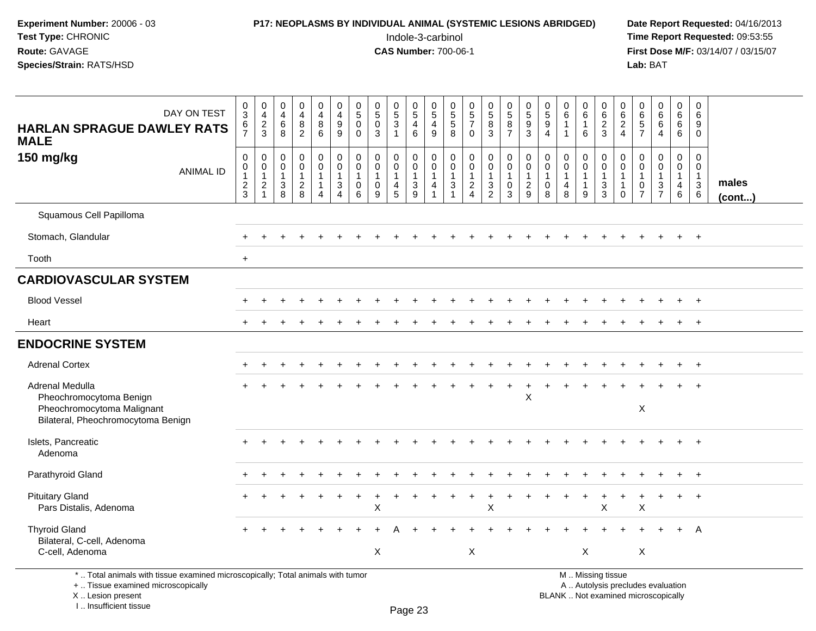## **P17: NEOPLASMS BY INDIVIDUAL ANIMAL (SYSTEMIC LESIONS ABRIDGED)** Date Report Requested: 04/16/2013<br>Indole-3-carbinol **Time Report Requested:** 09:53:55

 Indole-3-carbinol **Time Report Requested:** 09:53:55 **First Dose M/F:** 03/14/07 / 03/15/07<br>**Lab:** BAT **Lab:** BAT

| DAY ON TEST<br><b>HARLAN SPRAGUE DAWLEY RATS</b><br><b>MALE</b>                                                       | 0<br>$\overline{3}$<br>6<br>$\overline{7}$        | $\pmb{0}$<br>$\overline{4}$<br>$\frac{2}{3}$                                   | $\begin{smallmatrix}0\\4\end{smallmatrix}$<br>$\,6\,$<br>8 | $\begin{smallmatrix}0\0\4\end{smallmatrix}$<br>8<br>$\overline{2}$  | 0<br>$\overline{4}$<br>8<br>$6\overline{6}$                       | $\pmb{0}$<br>$\overline{4}$<br>$\boldsymbol{9}$<br>9      | 0<br>$\sqrt{5}$<br>$\mathbf 0$<br>$\mathbf 0$                    | $\pmb{0}$<br>$\overline{5}$<br>$\mathbf 0$<br>3                | $\begin{array}{c} 0 \\ 5 \\ 3 \end{array}$<br>$\mathbf{1}$ | $\begin{array}{c} 0 \\ 5 \end{array}$<br>$\overline{4}$<br>6      | $\pmb{0}$<br>$\overline{5}$<br>$\overline{4}$<br>$\boldsymbol{9}$ | 0<br>$\frac{5}{5}$<br>8                                            | $\begin{array}{c} 0 \\ 5 \end{array}$<br>$\overline{7}$<br>$\mathbf 0$ | $\begin{array}{c} 0 \\ 5 \end{array}$<br>8<br>3   | $\begin{array}{c} 0 \\ 5 \end{array}$<br>$\bf 8$<br>$\overline{7}$ | $\begin{array}{c} 0 \\ 5 \\ 9 \end{array}$<br>$\mathbf{3}$  | 0<br>$\overline{5}$<br>$9\,$<br>$\overline{4}$ | $\begin{array}{c} 0 \\ 6 \end{array}$<br>$\mathbf{1}$<br>$\mathbf{1}$ | $\pmb{0}$<br>$\overline{6}$<br>$\mathbf{1}$<br>6      | $\mathbf 0$<br>$\,6$<br>$\sqrt{2}$<br>3                                  | 0<br>$\,6$<br>$\overline{c}$<br>$\overline{4}$       | 0<br>$^6$ 5<br>$\overline{7}$             | $\begin{matrix}0\6\6\end{matrix}$<br>$\overline{4}$ | $\begin{array}{c} 0 \\ 6 \end{array}$<br>$\,6\,$<br>$6\phantom{1}$      | $\mathbf 0$<br>$6\phantom{1}6$<br>9<br>$\mathbf 0$                |                 |
|-----------------------------------------------------------------------------------------------------------------------|---------------------------------------------------|--------------------------------------------------------------------------------|------------------------------------------------------------|---------------------------------------------------------------------|-------------------------------------------------------------------|-----------------------------------------------------------|------------------------------------------------------------------|----------------------------------------------------------------|------------------------------------------------------------|-------------------------------------------------------------------|-------------------------------------------------------------------|--------------------------------------------------------------------|------------------------------------------------------------------------|---------------------------------------------------|--------------------------------------------------------------------|-------------------------------------------------------------|------------------------------------------------|-----------------------------------------------------------------------|-------------------------------------------------------|--------------------------------------------------------------------------|------------------------------------------------------|-------------------------------------------|-----------------------------------------------------|-------------------------------------------------------------------------|-------------------------------------------------------------------|-----------------|
| 150 mg/kg<br><b>ANIMAL ID</b>                                                                                         | $\mathbf 0$<br>0<br>$\mathbf{1}$<br>$\frac{2}{3}$ | $\mathbf 0$<br>$\mathbf 0$<br>$\mathbf{1}$<br>$\boldsymbol{2}$<br>$\mathbf{1}$ | $\mathbf 0$<br>$\mathbf 0$<br>$\mathbf{1}$<br>$_8^3$       | $\mathbf 0$<br>$\mathsf{O}\xspace$<br>$\mathbf{1}$<br>$\frac{2}{8}$ | $\mathbf 0$<br>$\mathbf 0$<br>1<br>$\mathbf{1}$<br>$\overline{4}$ | $\mathbf 0$<br>$\pmb{0}$<br>$\mathbf{1}$<br>$\frac{3}{4}$ | $\mathbf 0$<br>$\mathbf 0$<br>$\overline{1}$<br>$\mathbf 0$<br>6 | $\mathbf 0$<br>$\mathbf 0$<br>$\mathbf{1}$<br>$\mathbf 0$<br>9 | 0<br>0<br>$\mathbf 1$<br>$\overline{4}$<br>5               | $\pmb{0}$<br>$\mathsf{O}\xspace$<br>$\mathbf{1}$<br>$\frac{3}{9}$ | $\mathbf 0$<br>$\mathbf 0$<br>$\mathbf{1}$<br>$\overline{4}$      | $\boldsymbol{0}$<br>$\mathbf 0$<br>$\overline{1}$<br>$\frac{3}{1}$ | $\mathbf 0$<br>0<br>$\mathbf{1}$<br>$\frac{2}{4}$                      | 0<br>$\mathbf 0$<br>$\mathbf{1}$<br>$\frac{3}{2}$ | $\pmb{0}$<br>$\mathbf 0$<br>$\overline{1}$<br>$_{3}^{\rm 0}$       | $\mathbf 0$<br>$\mathbf 0$<br>$\mathbf{1}$<br>$\frac{2}{9}$ | 0<br>0<br>$\mathbf{1}$<br>$\mathbf 0$<br>8     | $\mathbf 0$<br>$\mathbf 0$<br>$\mathbf{1}$<br>$\overline{4}$<br>8     | 0<br>$\mathbf 0$<br>$\mathbf{1}$<br>$\mathbf{1}$<br>9 | $\pmb{0}$<br>$\mathbf 0$<br>$\mathbf{1}$<br>$\sqrt{3}$<br>$\overline{3}$ | 0<br>$\mathbf 0$<br>1<br>$\mathbf{1}$<br>$\mathbf 0$ | 0<br>0<br>$\overline{1}$<br>$\frac{0}{7}$ | 0<br>$\mathbf 0$<br>$\mathbf{1}$<br>$\frac{3}{7}$   | $\mathbf 0$<br>$\mathbf 0$<br>$\mathbf{1}$<br>$\overline{4}$<br>$\,6\,$ | $\mathbf 0$<br>$\mathbf 0$<br>$\overline{1}$<br>$\mathbf{3}$<br>6 | males<br>(cont) |
| Squamous Cell Papilloma                                                                                               |                                                   |                                                                                |                                                            |                                                                     |                                                                   |                                                           |                                                                  |                                                                |                                                            |                                                                   |                                                                   |                                                                    |                                                                        |                                                   |                                                                    |                                                             |                                                |                                                                       |                                                       |                                                                          |                                                      |                                           |                                                     |                                                                         |                                                                   |                 |
| Stomach, Glandular                                                                                                    |                                                   |                                                                                |                                                            |                                                                     |                                                                   |                                                           |                                                                  |                                                                |                                                            |                                                                   |                                                                   |                                                                    |                                                                        |                                                   |                                                                    |                                                             |                                                |                                                                       |                                                       |                                                                          |                                                      |                                           |                                                     |                                                                         | $+$                                                               |                 |
| Tooth                                                                                                                 | $+$                                               |                                                                                |                                                            |                                                                     |                                                                   |                                                           |                                                                  |                                                                |                                                            |                                                                   |                                                                   |                                                                    |                                                                        |                                                   |                                                                    |                                                             |                                                |                                                                       |                                                       |                                                                          |                                                      |                                           |                                                     |                                                                         |                                                                   |                 |
| <b>CARDIOVASCULAR SYSTEM</b>                                                                                          |                                                   |                                                                                |                                                            |                                                                     |                                                                   |                                                           |                                                                  |                                                                |                                                            |                                                                   |                                                                   |                                                                    |                                                                        |                                                   |                                                                    |                                                             |                                                |                                                                       |                                                       |                                                                          |                                                      |                                           |                                                     |                                                                         |                                                                   |                 |
| <b>Blood Vessel</b>                                                                                                   |                                                   |                                                                                |                                                            |                                                                     |                                                                   |                                                           |                                                                  |                                                                |                                                            |                                                                   |                                                                   |                                                                    |                                                                        |                                                   |                                                                    |                                                             |                                                |                                                                       |                                                       |                                                                          |                                                      |                                           |                                                     |                                                                         | $+$                                                               |                 |
| Heart                                                                                                                 |                                                   |                                                                                |                                                            |                                                                     |                                                                   |                                                           |                                                                  |                                                                |                                                            |                                                                   |                                                                   |                                                                    |                                                                        |                                                   |                                                                    |                                                             |                                                |                                                                       |                                                       |                                                                          |                                                      |                                           |                                                     |                                                                         | $\ddot{}$                                                         |                 |
| <b>ENDOCRINE SYSTEM</b>                                                                                               |                                                   |                                                                                |                                                            |                                                                     |                                                                   |                                                           |                                                                  |                                                                |                                                            |                                                                   |                                                                   |                                                                    |                                                                        |                                                   |                                                                    |                                                             |                                                |                                                                       |                                                       |                                                                          |                                                      |                                           |                                                     |                                                                         |                                                                   |                 |
| <b>Adrenal Cortex</b>                                                                                                 |                                                   |                                                                                |                                                            |                                                                     |                                                                   |                                                           |                                                                  |                                                                |                                                            |                                                                   |                                                                   |                                                                    |                                                                        |                                                   |                                                                    |                                                             |                                                |                                                                       |                                                       |                                                                          |                                                      |                                           |                                                     |                                                                         | $+$                                                               |                 |
| Adrenal Medulla<br>Pheochromocytoma Benign<br>Pheochromocytoma Malignant<br>Bilateral, Pheochromocytoma Benign        |                                                   |                                                                                |                                                            |                                                                     |                                                                   |                                                           |                                                                  |                                                                |                                                            |                                                                   |                                                                   |                                                                    |                                                                        |                                                   |                                                                    | X                                                           |                                                |                                                                       |                                                       |                                                                          |                                                      | $\pmb{\times}$                            |                                                     |                                                                         |                                                                   |                 |
| Islets, Pancreatic<br>Adenoma                                                                                         |                                                   |                                                                                |                                                            |                                                                     |                                                                   |                                                           |                                                                  |                                                                |                                                            |                                                                   |                                                                   |                                                                    |                                                                        |                                                   |                                                                    |                                                             |                                                |                                                                       |                                                       |                                                                          |                                                      |                                           |                                                     |                                                                         | $\ddot{}$                                                         |                 |
| Parathyroid Gland                                                                                                     |                                                   |                                                                                |                                                            |                                                                     |                                                                   |                                                           |                                                                  |                                                                |                                                            |                                                                   |                                                                   |                                                                    |                                                                        |                                                   |                                                                    |                                                             |                                                |                                                                       |                                                       |                                                                          |                                                      |                                           |                                                     |                                                                         | $\overline{+}$                                                    |                 |
| <b>Pituitary Gland</b><br>Pars Distalis, Adenoma                                                                      |                                                   |                                                                                |                                                            |                                                                     |                                                                   |                                                           |                                                                  | $\pmb{\times}$                                                 |                                                            |                                                                   |                                                                   |                                                                    |                                                                        | $\boldsymbol{\mathsf{X}}$                         |                                                                    |                                                             |                                                |                                                                       |                                                       | $\boldsymbol{\mathsf{X}}$                                                |                                                      | X                                         |                                                     |                                                                         | $\overline{+}$                                                    |                 |
| <b>Thyroid Gland</b><br>Bilateral, C-cell, Adenoma<br>C-cell, Adenoma                                                 |                                                   |                                                                                |                                                            |                                                                     |                                                                   |                                                           |                                                                  | $\sf X$                                                        |                                                            |                                                                   |                                                                   |                                                                    | $\pmb{\times}$                                                         |                                                   |                                                                    |                                                             |                                                |                                                                       | X                                                     |                                                                          |                                                      | $\pmb{\times}$                            |                                                     |                                                                         | A                                                                 |                 |
| *  Total animals with tissue examined microscopically; Total animals with tumor<br>+  Tissue examined microscopically |                                                   |                                                                                |                                                            |                                                                     |                                                                   |                                                           |                                                                  |                                                                |                                                            |                                                                   |                                                                   |                                                                    |                                                                        |                                                   |                                                                    |                                                             |                                                |                                                                       |                                                       | M  Missing tissue                                                        |                                                      |                                           | A  Autolysis precludes evaluation                   |                                                                         |                                                                   |                 |

 Lesion present BLANK .. Not examined microscopicallyX .. Lesion present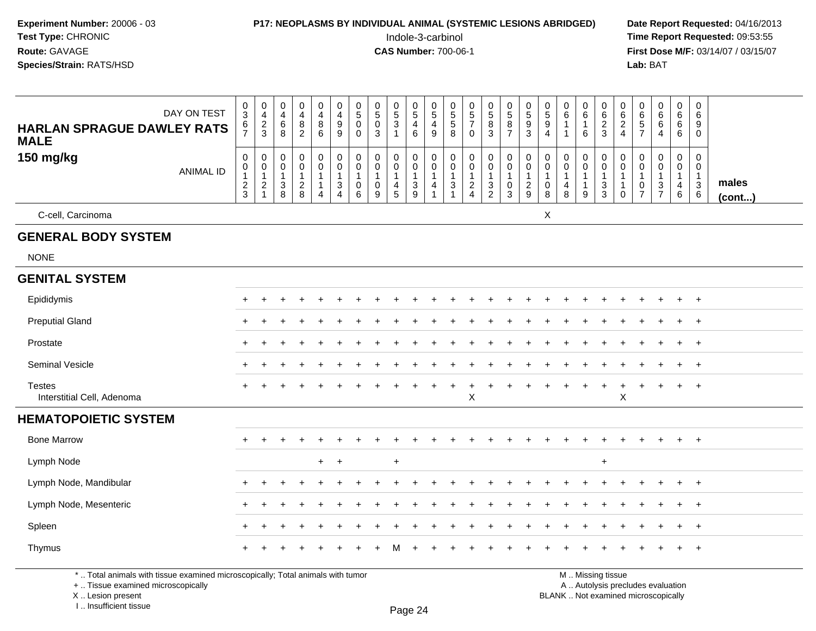| <b>Experiment Number: 20006 - 03</b><br>Test Type: CHRONIC<br>Route: GAVAGE<br>Species/Strain: RATS/HSD |                                      |                                                              | <b>P17: NEOPLASMS BY INDIVIDUAL ANIMAL (SYSTEMIC LESIONS ABRIDGED)</b> |                                                                      |                                                                                      |                                              |                                                |                                                |                                            | Indole-3-carbinol<br><b>CAS Number: 700-06-1</b>                    |                                        |                                                               |                                                        |                                                                  |                                               |                                            |                                                              |                                                                           |                                          |                                                 |                                   | Lab: BAT                                                            |                                             |                                                        |                                  | Date Report Requested: 04/16/2013<br>Time Report Requested: 09:53:55<br>First Dose M/F: 03/14/07 / 03/15/07 |
|---------------------------------------------------------------------------------------------------------|--------------------------------------|--------------------------------------------------------------|------------------------------------------------------------------------|----------------------------------------------------------------------|--------------------------------------------------------------------------------------|----------------------------------------------|------------------------------------------------|------------------------------------------------|--------------------------------------------|---------------------------------------------------------------------|----------------------------------------|---------------------------------------------------------------|--------------------------------------------------------|------------------------------------------------------------------|-----------------------------------------------|--------------------------------------------|--------------------------------------------------------------|---------------------------------------------------------------------------|------------------------------------------|-------------------------------------------------|-----------------------------------|---------------------------------------------------------------------|---------------------------------------------|--------------------------------------------------------|----------------------------------|-------------------------------------------------------------------------------------------------------------|
| DAY ON TEST<br><b>HARLAN SPRAGUE DAWLEY RATS</b><br><b>MALE</b>                                         | $\frac{0}{3}$<br>6<br>$\overline{7}$ | $\begin{smallmatrix}0\0\4\end{smallmatrix}$<br>$\frac{2}{3}$ | $_4^{\rm 0}$<br>$^6_8$                                                 | $\begin{smallmatrix}0\0\4\end{smallmatrix}$<br>$\bf 8$<br>$\sqrt{2}$ | $\begin{array}{c} 0 \\ 4 \\ 8 \end{array}$<br>6                                      | 0<br>$\overline{4}$<br>$\boldsymbol{9}$<br>9 | 0<br>$\overline{5}$<br>$\mathbf 0$<br>$\Omega$ | $\begin{matrix} 0 \\ 5 \\ 0 \end{matrix}$<br>3 | $\begin{array}{c} 0 \\ 5 \\ 3 \end{array}$ | 0<br>$\frac{5}{4}$<br>$6\phantom{1}6$                               | 0<br>$\sqrt{5}$<br>$\overline{4}$<br>9 | 0<br>$\overline{5}$<br>$\sqrt{5}$<br>8                        | $\begin{array}{c} 0 \\ 5 \\ 7 \end{array}$<br>$\Omega$ | $\begin{array}{c} 0 \\ 5 \end{array}$<br>8<br>$\mathbf{3}$       | 0587                                          | $\begin{array}{c} 0 \\ 5 \\ 3 \end{array}$ | $\begin{array}{c} 0 \\ 5 \\ 9 \end{array}$<br>$\overline{4}$ | $_{6}^{\rm 0}$<br>$\mathbf{1}$<br>$\mathbf 1$                             | 0<br>$\,6\,$<br>$\mathbf{1}$<br>6        | 0<br>$\begin{array}{c} 6 \\ 2 \\ 3 \end{array}$ | 0<br>$\frac{6}{2}$                | 0657                                                                | $_{6}^{\rm 0}$<br>$\,6\,$<br>$\overline{4}$ | 0<br>$\,6\,$<br>6<br>6                                 | 0<br>6<br>9<br>0                 |                                                                                                             |
| 150 mg/kg<br><b>ANIMAL ID</b>                                                                           | 0<br>0<br>$\frac{2}{3}$              | $\pmb{0}$<br>$\pmb{0}$<br>$\mathbf{1}$<br>$\frac{2}{1}$      | 0<br>$\pmb{0}$<br>$\mathbf{1}$<br>$_8^3$                               | 0<br>$\mathbf 0$<br>$\overline{1}$<br>$\frac{2}{8}$                  | $\mathbf 0$<br>$\mathsf{O}\xspace$<br>$\mathbf{1}$<br>$\mathbf{1}$<br>$\overline{4}$ | 0<br>0<br>3<br>4                             | 0<br>$\mathbf 0$<br>$\mathbf{1}$<br>0<br>6     | 0<br>$\mathbf 0$<br>$\mathbf 1$<br>0<br>9      | 0<br>0<br>$\frac{4}{5}$                    | $\mathbf 0$<br>$\mathsf{O}\xspace$<br>$\mathbf{1}$<br>$\frac{3}{9}$ | $\Omega$<br>0<br>$\mathbf{1}$<br>4     | 0<br>$\mathbf 0$<br>$\mathbf{1}$<br>$\ensuremath{\mathsf{3}}$ | 0<br>$\mathbf 0$<br>1<br>$\frac{2}{4}$                 | $\pmb{0}$<br>$\mathsf{O}\xspace$<br>$\mathbf 1$<br>$\frac{3}{2}$ | 0<br>$\pmb{0}$<br>$\pmb{0}$<br>$\overline{3}$ | 0<br>0<br>$\mathbf{1}$<br>$\frac{2}{9}$    | $\mathbf 0$<br>0<br>$\mathbf{1}$<br>0<br>8                   | 0<br>$\mathbf 0$<br>$\mathbf{1}$<br>$\begin{array}{c} 4 \\ 8 \end{array}$ | 0<br>$\pmb{0}$<br>$\mathbf{1}$<br>1<br>9 | $\Omega$<br>0<br>$\mathbf{1}$<br>3<br>3         | 0<br>0<br>$\mathbf 1$<br>$\Omega$ | $\mathbf 0$<br>$\mathsf{O}\xspace$<br>$\mathbf{1}$<br>$\frac{0}{7}$ | 0<br>$\overline{0}$<br>-1<br>$\frac{3}{7}$  | $\mathbf 0$<br>$\mathbf 0$<br>$\overline{1}$<br>4<br>6 | 0<br>0<br>$\mathbf{1}$<br>3<br>6 | males<br>(cont)                                                                                             |
| C-cell, Carcinoma                                                                                       |                                      |                                                              |                                                                        |                                                                      |                                                                                      |                                              |                                                |                                                |                                            |                                                                     |                                        |                                                               |                                                        |                                                                  |                                               |                                            | X                                                            |                                                                           |                                          |                                                 |                                   |                                                                     |                                             |                                                        |                                  |                                                                                                             |
| <b>GENERAL BODY SYSTEM</b>                                                                              |                                      |                                                              |                                                                        |                                                                      |                                                                                      |                                              |                                                |                                                |                                            |                                                                     |                                        |                                                               |                                                        |                                                                  |                                               |                                            |                                                              |                                                                           |                                          |                                                 |                                   |                                                                     |                                             |                                                        |                                  |                                                                                                             |
| <b>NONE</b>                                                                                             |                                      |                                                              |                                                                        |                                                                      |                                                                                      |                                              |                                                |                                                |                                            |                                                                     |                                        |                                                               |                                                        |                                                                  |                                               |                                            |                                                              |                                                                           |                                          |                                                 |                                   |                                                                     |                                             |                                                        |                                  |                                                                                                             |
| <b>GENITAL SYSTEM</b>                                                                                   |                                      |                                                              |                                                                        |                                                                      |                                                                                      |                                              |                                                |                                                |                                            |                                                                     |                                        |                                                               |                                                        |                                                                  |                                               |                                            |                                                              |                                                                           |                                          |                                                 |                                   |                                                                     |                                             |                                                        |                                  |                                                                                                             |
| Epididymis                                                                                              |                                      |                                                              |                                                                        |                                                                      |                                                                                      |                                              |                                                |                                                |                                            |                                                                     |                                        |                                                               |                                                        |                                                                  |                                               |                                            |                                                              |                                                                           |                                          |                                                 |                                   |                                                                     |                                             |                                                        | $\ddot{}$                        |                                                                                                             |
| <b>Preputial Gland</b>                                                                                  |                                      |                                                              |                                                                        |                                                                      |                                                                                      |                                              |                                                |                                                |                                            |                                                                     |                                        |                                                               |                                                        |                                                                  |                                               |                                            |                                                              |                                                                           |                                          |                                                 |                                   |                                                                     |                                             |                                                        | $^{+}$                           |                                                                                                             |
| Prostate                                                                                                | ٠                                    |                                                              |                                                                        |                                                                      |                                                                                      |                                              |                                                |                                                |                                            |                                                                     |                                        |                                                               |                                                        |                                                                  |                                               |                                            |                                                              |                                                                           |                                          |                                                 |                                   |                                                                     |                                             |                                                        | $^{+}$                           |                                                                                                             |
| Seminal Vesicle                                                                                         |                                      |                                                              |                                                                        |                                                                      |                                                                                      |                                              |                                                |                                                |                                            |                                                                     |                                        |                                                               |                                                        |                                                                  |                                               |                                            |                                                              |                                                                           |                                          |                                                 |                                   |                                                                     |                                             |                                                        | $^{+}$                           |                                                                                                             |
| <b>Testes</b><br>Interstitial Cell, Adenoma                                                             |                                      |                                                              |                                                                        |                                                                      |                                                                                      |                                              |                                                |                                                |                                            |                                                                     |                                        |                                                               | $\ddot{}$<br>X                                         | +                                                                |                                               |                                            |                                                              |                                                                           |                                          | $\ddot{}$                                       | +<br>X                            | $\ddot{}$                                                           | $\ddot{}$                                   | $+$                                                    | $+$                              |                                                                                                             |
| <b>HEMATOPOIETIC SYSTEM</b>                                                                             |                                      |                                                              |                                                                        |                                                                      |                                                                                      |                                              |                                                |                                                |                                            |                                                                     |                                        |                                                               |                                                        |                                                                  |                                               |                                            |                                                              |                                                                           |                                          |                                                 |                                   |                                                                     |                                             |                                                        |                                  |                                                                                                             |
| <b>Bone Marrow</b>                                                                                      |                                      |                                                              |                                                                        |                                                                      |                                                                                      |                                              |                                                |                                                |                                            |                                                                     |                                        |                                                               |                                                        |                                                                  |                                               |                                            |                                                              |                                                                           |                                          |                                                 |                                   |                                                                     |                                             |                                                        | $+$                              |                                                                                                             |
| Lymph Node                                                                                              |                                      |                                                              |                                                                        |                                                                      | $+$                                                                                  | $+$                                          |                                                |                                                | $\ddot{}$                                  |                                                                     |                                        |                                                               |                                                        |                                                                  |                                               |                                            |                                                              |                                                                           |                                          | $\ddot{}$                                       |                                   |                                                                     |                                             |                                                        |                                  |                                                                                                             |
| Lymph Node, Mandibular                                                                                  |                                      |                                                              |                                                                        |                                                                      |                                                                                      |                                              |                                                |                                                |                                            |                                                                     |                                        |                                                               |                                                        |                                                                  |                                               |                                            |                                                              |                                                                           |                                          |                                                 |                                   |                                                                     |                                             |                                                        |                                  |                                                                                                             |
| Lymph Node, Mesenteric                                                                                  |                                      |                                                              |                                                                        |                                                                      |                                                                                      |                                              |                                                |                                                |                                            |                                                                     |                                        |                                                               |                                                        |                                                                  |                                               |                                            |                                                              |                                                                           |                                          |                                                 |                                   |                                                                     |                                             |                                                        |                                  |                                                                                                             |
| Spleen                                                                                                  |                                      |                                                              |                                                                        |                                                                      |                                                                                      |                                              |                                                |                                                |                                            |                                                                     |                                        |                                                               |                                                        |                                                                  |                                               |                                            |                                                              |                                                                           |                                          |                                                 |                                   |                                                                     |                                             |                                                        | $+$                              |                                                                                                             |
| Thymus                                                                                                  |                                      |                                                              |                                                                        |                                                                      |                                                                                      |                                              |                                                |                                                |                                            |                                                                     |                                        |                                                               |                                                        |                                                                  |                                               |                                            |                                                              |                                                                           |                                          |                                                 |                                   |                                                                     |                                             |                                                        | $^{+}$                           |                                                                                                             |

\* .. Total animals with tissue examined microscopically; Total animals with tumor<br>+ .. Tissue examined microscopically a .. Autolysis precludes evaluation examined microscopically A .. Autolysis precludes evaluation

X .. Lesion present

I .. Insufficient tissue

**M** . Missing tissue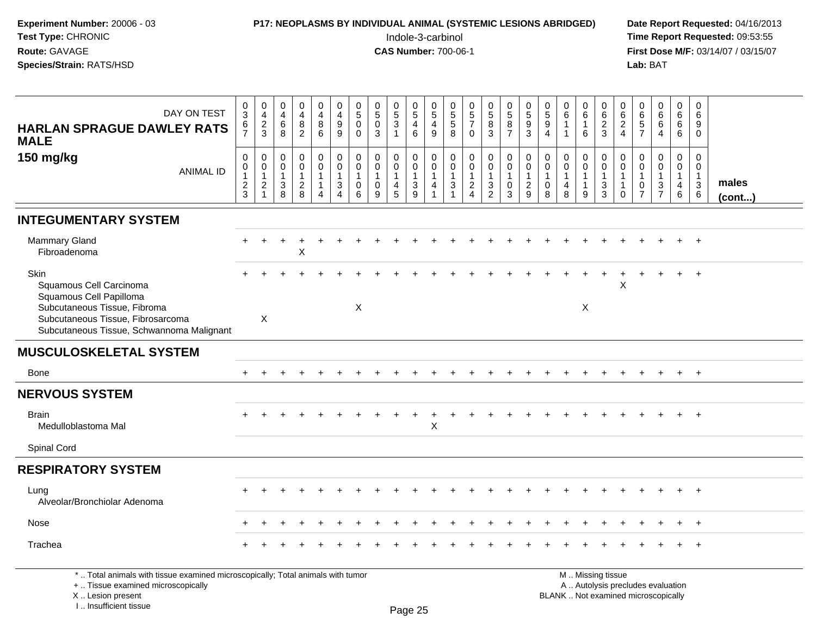| Experiment Number: 20006 - 03<br>Test Type: CHRONIC<br>Route: GAVAGE<br>Species/Strain: RATS/HSD                                                                             |                                                   |                                                |                                                                    |                                                   |                                                                    |                                                                                |                                                                   | P17: NEOPLASMS BY INDIVIDUAL ANIMAL (SYSTEMIC LESIONS ABRIDGED) |                                                                                      |                                                                        | Indole-3-carbinol<br><b>CAS Number: 700-06-1</b> |                                                                                 |                                                           |                                                 |                                                  |                                         |                                                  |                                                                       |                                                        |                                  |                                                                        | Lab: BAT                               |                                                           |                                  |                                                                         | Date Report Requested: 04/16/2013<br>Time Report Requested: 09:53:55<br>First Dose M/F: 03/14/07 / 03/15/07 |
|------------------------------------------------------------------------------------------------------------------------------------------------------------------------------|---------------------------------------------------|------------------------------------------------|--------------------------------------------------------------------|---------------------------------------------------|--------------------------------------------------------------------|--------------------------------------------------------------------------------|-------------------------------------------------------------------|-----------------------------------------------------------------|--------------------------------------------------------------------------------------|------------------------------------------------------------------------|--------------------------------------------------|---------------------------------------------------------------------------------|-----------------------------------------------------------|-------------------------------------------------|--------------------------------------------------|-----------------------------------------|--------------------------------------------------|-----------------------------------------------------------------------|--------------------------------------------------------|----------------------------------|------------------------------------------------------------------------|----------------------------------------|-----------------------------------------------------------|----------------------------------|-------------------------------------------------------------------------|-------------------------------------------------------------------------------------------------------------|
| DAY ON TEST<br><b>HARLAN SPRAGUE DAWLEY RATS</b><br><b>MALE</b>                                                                                                              | $\frac{0}{3}$<br>$\frac{6}{7}$                    | 0<br>$\overline{4}$<br>$\frac{2}{3}$           | 0<br>$\overline{4}$<br>6<br>8                                      | 0<br>$\overline{4}$<br>8<br>$\overline{2}$        | $_4^{\rm O}$<br>$^8_6$                                             | $\mathbf 0$<br>$\overline{\mathbf{4}}$<br>$\boldsymbol{9}$<br>$\boldsymbol{9}$ | $\begin{array}{c} 0 \\ 5 \end{array}$<br>$\pmb{0}$<br>$\mathbf 0$ | $\begin{array}{c} 0 \\ 5 \end{array}$<br>$\pmb{0}$<br>3         | $\begin{array}{c} 0 \\ 5 \end{array}$<br>$\ensuremath{\mathsf{3}}$<br>$\overline{1}$ | $\frac{0}{5}$<br>$\overline{4}$<br>$\,6\,$                             | 0<br>$\sqrt{5}$<br>4<br>9                        | $\begin{array}{c} 0 \\ 5 \end{array}$<br>$\mathbf 5$<br>8                       | $\begin{array}{c} 0 \\ 5 \\ 7 \end{array}$<br>$\mathbf 0$ | $\begin{array}{c} 0 \\ 5 \end{array}$<br>8<br>3 | $^{\rm 0}_{\rm 5}$<br>$\bf 8$<br>$\overline{7}$  | 0<br>$\frac{5}{3}$                      | $\begin{array}{c} 0 \\ 5 \\ 9 \\ 4 \end{array}$  | $\begin{array}{c} 0 \\ 6 \end{array}$<br>$\mathbf{1}$<br>$\mathbf{1}$ | 0<br>$\,6\,$<br>-1<br>6                                | 0<br>6<br>$\boldsymbol{2}$<br>3  | $\begin{array}{c} 0 \\ 6 \end{array}$<br>$\sqrt{2}$<br>$\overline{4}$  | 0<br>6<br>5<br>7                       | $0\over 6$<br>6<br>$\overline{4}$                         | 0<br>6<br>6<br>6                 | 0<br>6<br>9<br>$\Omega$                                                 |                                                                                                             |
| 150 mg/kg<br><b>ANIMAL ID</b>                                                                                                                                                | 0<br>$\mathbf 0$<br>$\mathbf{1}$<br>$\frac{2}{3}$ | 0<br>$\mathbf 0$<br>1<br>$\boldsymbol{2}$<br>1 | 0<br>$\mathbf 0$<br>$\mathbf{1}$<br>$\ensuremath{\mathsf{3}}$<br>8 | 0<br>$\mathsf 0$<br>$\mathbf{1}$<br>$\frac{2}{8}$ | 0<br>$\mathbf 0$<br>$\mathbf{1}$<br>$\mathbf{1}$<br>$\overline{4}$ | 0<br>$\pmb{0}$<br>$\mathbf{1}$<br>$\ensuremath{\mathsf{3}}$<br>$\overline{4}$  | 0<br>$\mathbf 0$<br>$\mathbf{1}$<br>0<br>6                        | 0<br>$\mathbf 0$<br>$\mathbf{1}$<br>0<br>9                      | 0<br>$\mathbf 0$<br>$\mathbf{1}$<br>4<br>5                                           | 0<br>$\mathbf 0$<br>$\mathbf{1}$<br>$\ensuremath{\mathsf{3}}$<br>$9\,$ | 0<br>$\mathbf 0$<br>1<br>4                       | 0<br>$\mathbf 0$<br>$\mathbf{1}$<br>$\ensuremath{\mathsf{3}}$<br>$\overline{1}$ | 0<br>$\mathsf 0$<br>1<br>$\frac{2}{4}$                    | 0<br>$\pmb{0}$<br>$\mathbf{1}$<br>$\frac{3}{2}$ | 0<br>$\pmb{0}$<br>$\mathbf{1}$<br>$\pmb{0}$<br>3 | 0<br>0<br>$\mathbf{1}$<br>$\frac{2}{9}$ | 0<br>$\pmb{0}$<br>$\mathbf{1}$<br>$\pmb{0}$<br>8 | 0<br>$\mathbf 0$<br>$\mathbf{1}$<br>$\overline{4}$<br>8               | 0<br>$\mathbf 0$<br>$\overline{1}$<br>$\mathbf 1$<br>9 | 0<br>0<br>$\mathbf{1}$<br>3<br>3 | $\mathbf 0$<br>$\mathbf 0$<br>$\mathbf{1}$<br>$\mathbf{1}$<br>$\Omega$ | 0<br>$\mathsf 0$<br>1<br>$\frac{0}{7}$ | $\mathbf 0$<br>$\pmb{0}$<br>$\mathbf{1}$<br>$\frac{3}{7}$ | 0<br>0<br>$\mathbf{1}$<br>4<br>6 | $\mathbf 0$<br>$\mathbf 0$<br>$\overline{1}$<br>$\mathbf{3}$<br>$\,6\,$ | males<br>(cont)                                                                                             |
| <b>INTEGUMENTARY SYSTEM</b>                                                                                                                                                  |                                                   |                                                |                                                                    |                                                   |                                                                    |                                                                                |                                                                   |                                                                 |                                                                                      |                                                                        |                                                  |                                                                                 |                                                           |                                                 |                                                  |                                         |                                                  |                                                                       |                                                        |                                  |                                                                        |                                        |                                                           |                                  |                                                                         |                                                                                                             |
| <b>Mammary Gland</b><br>Fibroadenoma                                                                                                                                         |                                                   |                                                |                                                                    | Χ                                                 |                                                                    |                                                                                |                                                                   |                                                                 |                                                                                      |                                                                        |                                                  |                                                                                 |                                                           |                                                 |                                                  |                                         |                                                  |                                                                       |                                                        |                                  |                                                                        |                                        |                                                           |                                  |                                                                         |                                                                                                             |
| Skin<br>Squamous Cell Carcinoma<br>Squamous Cell Papilloma<br>Subcutaneous Tissue, Fibroma<br>Subcutaneous Tissue, Fibrosarcoma<br>Subcutaneous Tissue, Schwannoma Malignant |                                                   | X                                              |                                                                    |                                                   |                                                                    |                                                                                | X                                                                 |                                                                 |                                                                                      |                                                                        |                                                  |                                                                                 |                                                           |                                                 |                                                  |                                         |                                                  |                                                                       | Χ                                                      |                                  | X                                                                      |                                        |                                                           |                                  |                                                                         |                                                                                                             |
| <b>MUSCULOSKELETAL SYSTEM</b>                                                                                                                                                |                                                   |                                                |                                                                    |                                                   |                                                                    |                                                                                |                                                                   |                                                                 |                                                                                      |                                                                        |                                                  |                                                                                 |                                                           |                                                 |                                                  |                                         |                                                  |                                                                       |                                                        |                                  |                                                                        |                                        |                                                           |                                  |                                                                         |                                                                                                             |
| Bone                                                                                                                                                                         |                                                   |                                                |                                                                    |                                                   |                                                                    |                                                                                |                                                                   |                                                                 |                                                                                      |                                                                        |                                                  |                                                                                 |                                                           |                                                 |                                                  |                                         |                                                  |                                                                       |                                                        |                                  |                                                                        |                                        |                                                           |                                  | $\ddot{}$                                                               |                                                                                                             |
| <b>NERVOUS SYSTEM</b>                                                                                                                                                        |                                                   |                                                |                                                                    |                                                   |                                                                    |                                                                                |                                                                   |                                                                 |                                                                                      |                                                                        |                                                  |                                                                                 |                                                           |                                                 |                                                  |                                         |                                                  |                                                                       |                                                        |                                  |                                                                        |                                        |                                                           |                                  |                                                                         |                                                                                                             |
| <b>Brain</b><br>Medulloblastoma Mal                                                                                                                                          |                                                   |                                                |                                                                    |                                                   |                                                                    |                                                                                |                                                                   |                                                                 |                                                                                      |                                                                        | X                                                |                                                                                 |                                                           |                                                 |                                                  |                                         |                                                  |                                                                       |                                                        |                                  |                                                                        |                                        |                                                           |                                  | $\ddot{}$                                                               |                                                                                                             |
| Spinal Cord                                                                                                                                                                  |                                                   |                                                |                                                                    |                                                   |                                                                    |                                                                                |                                                                   |                                                                 |                                                                                      |                                                                        |                                                  |                                                                                 |                                                           |                                                 |                                                  |                                         |                                                  |                                                                       |                                                        |                                  |                                                                        |                                        |                                                           |                                  |                                                                         |                                                                                                             |
| <b>RESPIRATORY SYSTEM</b>                                                                                                                                                    |                                                   |                                                |                                                                    |                                                   |                                                                    |                                                                                |                                                                   |                                                                 |                                                                                      |                                                                        |                                                  |                                                                                 |                                                           |                                                 |                                                  |                                         |                                                  |                                                                       |                                                        |                                  |                                                                        |                                        |                                                           |                                  |                                                                         |                                                                                                             |
| Lung<br>Alveolar/Bronchiolar Adenoma                                                                                                                                         |                                                   |                                                |                                                                    |                                                   |                                                                    |                                                                                |                                                                   |                                                                 |                                                                                      |                                                                        |                                                  |                                                                                 |                                                           |                                                 |                                                  |                                         |                                                  |                                                                       |                                                        |                                  |                                                                        |                                        |                                                           |                                  |                                                                         |                                                                                                             |
| Nose                                                                                                                                                                         |                                                   |                                                |                                                                    |                                                   |                                                                    |                                                                                |                                                                   |                                                                 |                                                                                      |                                                                        |                                                  |                                                                                 |                                                           |                                                 |                                                  |                                         |                                                  |                                                                       |                                                        |                                  |                                                                        |                                        |                                                           |                                  |                                                                         |                                                                                                             |
| Trachea                                                                                                                                                                      |                                                   |                                                |                                                                    |                                                   |                                                                    |                                                                                |                                                                   |                                                                 |                                                                                      |                                                                        |                                                  |                                                                                 |                                                           |                                                 |                                                  |                                         |                                                  |                                                                       |                                                        |                                  |                                                                        |                                        |                                                           |                                  | $\ddot{}$                                                               |                                                                                                             |
| *  Total animals with tissue examined microscopically; Total animals with tumor<br>+  Tissue examined microscopically                                                        |                                                   |                                                |                                                                    |                                                   |                                                                    |                                                                                |                                                                   |                                                                 |                                                                                      |                                                                        |                                                  |                                                                                 |                                                           |                                                 |                                                  |                                         |                                                  |                                                                       | M  Missing tissue                                      |                                  |                                                                        |                                        | A  Autolysis precludes evaluation                         |                                  |                                                                         |                                                                                                             |

 Lesion present BLANK .. Not examined microscopicallyX ..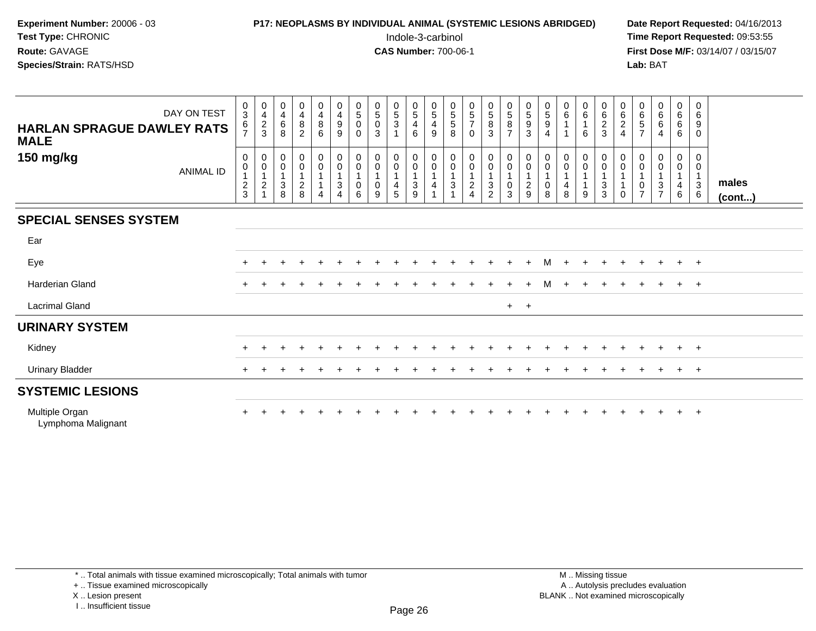| <b>P17: NEOPLASMS BY INDIVIDUAL ANIMAL (SYSTEMIC LESIONS ABRIDGED)</b> | Date Rep         |
|------------------------------------------------------------------------|------------------|
| Indole-3-carbinol                                                      | <b>Time Rep</b>  |
| <b>CAS Number: 700-06-1</b>                                            | <b>First Dos</b> |
|                                                                        | Lab: BAT         |
|                                                                        |                  |

## **P17: NEOPLASMS BY INDIVIDUAL ANIMAL (SYSTEMIC LESIONS ABRIDGED)** Date Report Requested: 04/16/2013<br>Indole-3-carbinol **Time Report Requested:** 09:53:55

 Indole-3-carbinol **Time Report Requested:** 09:53:55 **First Dose M/F:** 03/14/07 / 03/15/07<br>**Lab:** BAT

| <b>HARLAN SPRAGUE DAWLEY RATS</b><br><b>MALE</b> | DAY ON TEST      | 0<br>$\ensuremath{\mathsf{3}}$<br>$\frac{6}{7}$ | $\begin{smallmatrix}0\\4\end{smallmatrix}$<br>$\frac{2}{3}$              | $\begin{smallmatrix}0\\4\end{smallmatrix}$<br>$^6_8$ | $\mathbf 0$<br>$\overline{\mathbf{4}}$<br>$\begin{smallmatrix} 8 \\ 2 \end{smallmatrix}$ | $\begin{smallmatrix}0\\4\end{smallmatrix}$<br>$\,8\,$<br>$6^{\circ}$          | $\mathbf 0$<br>$\overline{4}$<br>$\boldsymbol{9}$<br>9 | $\begin{array}{c} 0 \\ 5 \end{array}$<br>$\pmb{0}$<br>$\Omega$                   | $\begin{array}{c} 0 \\ 5 \end{array}$<br>$\pmb{0}$<br>3 | $\begin{array}{c} 0 \\ 5 \end{array}$<br>$\mathbf{3}$<br>$\overline{ }$ | $\begin{array}{c} 0 \\ 5 \end{array}$<br>$\overline{4}$<br>6 | $\begin{array}{c} 0 \\ 5 \end{array}$<br>$\overline{4}$<br>9 | 0<br>$\,$ 5 $\,$<br>$5\,$<br>8                                           | $\begin{matrix}0\\5\end{matrix}$<br>$\overline{7}$<br>$\mathbf 0$         | $\begin{array}{c} 0 \\ 5 \end{array}$<br>$\frac{8}{3}$ | $\begin{array}{c} 0 \\ 5 \end{array}$<br>$\frac{8}{7}$                         | $\begin{array}{c} 0 \\ 5 \end{array}$<br>$\boldsymbol{9}$<br>3 | $\begin{smallmatrix}0\0\0\end{smallmatrix}$<br>$\boldsymbol{9}$<br>$\overline{4}$ | $_6^0$                   | $\begin{array}{c} 0 \\ 6 \end{array}$<br>$\mathbf{1}$<br>6         | $\begin{array}{c} 0 \\ 6 \end{array}$<br>$\frac{2}{3}$                                       | $\mathbf 0$<br>$\,6\,$<br>$\frac{2}{4}$ | $\begin{array}{c} 0 \\ 6 \end{array}$<br>$\frac{5}{7}$                 | $\begin{array}{c} 0 \\ 6 \end{array}$<br>$\,6\,$<br>$\overline{4}$ | $\begin{array}{c} 0 \\ 6 \end{array}$<br>$6\phantom{.}6$<br>6 | $\mathbf 0$<br>6<br>9<br>$\Omega$           |                 |
|--------------------------------------------------|------------------|-------------------------------------------------|--------------------------------------------------------------------------|------------------------------------------------------|------------------------------------------------------------------------------------------|-------------------------------------------------------------------------------|--------------------------------------------------------|----------------------------------------------------------------------------------|---------------------------------------------------------|-------------------------------------------------------------------------|--------------------------------------------------------------|--------------------------------------------------------------|--------------------------------------------------------------------------|---------------------------------------------------------------------------|--------------------------------------------------------|--------------------------------------------------------------------------------|----------------------------------------------------------------|-----------------------------------------------------------------------------------|--------------------------|--------------------------------------------------------------------|----------------------------------------------------------------------------------------------|-----------------------------------------|------------------------------------------------------------------------|--------------------------------------------------------------------|---------------------------------------------------------------|---------------------------------------------|-----------------|
| 150 mg/kg                                        | <b>ANIMAL ID</b> | 0<br>0<br>$\frac{2}{3}$                         | $\pmb{0}$<br>$\begin{smallmatrix}0\\1\end{smallmatrix}$<br>$\frac{2}{1}$ | $\begin{matrix} 0 \\ 0 \\ 1 \end{matrix}$<br>$_8^3$  | $_{\rm 0}^{\rm 0}$<br>$\overline{1}$<br>$\frac{2}{8}$                                    | $\begin{matrix} 0 \\ 0 \\ 1 \end{matrix}$<br>$\overline{1}$<br>$\overline{4}$ | 0<br>$\pmb{0}$<br>$\ensuremath{\mathsf{3}}$<br>4       | $\begin{smallmatrix}0\\0\end{smallmatrix}$<br>$\overline{1}$<br>$\mathbf 0$<br>6 | 0<br>$\pmb{0}$<br>1<br>$\pmb{0}$<br>9                   | 0<br>$\mathsf 0$<br>$\overline{1}$<br>$\overline{4}$<br>$\overline{5}$  | $\begin{matrix} 0 \\ 0 \\ 1 \end{matrix}$<br>$\frac{3}{9}$   | $_{\rm 0}^{\rm 0}$<br>$\mathbf{1}$<br>4                      | $\begin{smallmatrix}0\\0\end{smallmatrix}$<br>$\mathbf{1}$<br>$\sqrt{3}$ | $\begin{matrix} 0 \\ 0 \\ 1 \end{matrix}$<br>$\overline{\mathbf{c}}$<br>4 | $_{\rm 0}^{\rm 0}$<br>$\mathbf{1}$<br>$\frac{3}{2}$    | $\begin{smallmatrix} 0\\0 \end{smallmatrix}$<br>$\mathbf{1}$<br>$_{3}^{\rm 0}$ | 0<br>$\pmb{0}$<br>$\overline{1}$<br>$\frac{2}{9}$              | $\pmb{0}$<br>$\pmb{0}$<br>$\mathbf{1}$<br>$\pmb{0}$<br>8                          | 0<br>$\pmb{0}$<br>4<br>8 | $\begin{smallmatrix}0\0\0\end{smallmatrix}$<br>$\overline{1}$<br>9 | $\begin{smallmatrix}0\\0\end{smallmatrix}$<br>$\mathbf{1}$<br>$\ensuremath{\mathsf{3}}$<br>3 | 0<br>$\mathbf 0$<br>$\Omega$            | 0<br>$\pmb{0}$<br>$\mathbf 1$<br>$\mathsf{O}\xspace$<br>$\overline{7}$ | $\pmb{0}$<br>$\pmb{0}$<br>1<br>$\sqrt{3}$<br>$\overline{7}$        | $\pmb{0}$<br>$\pmb{0}$<br>$\mathbf{1}$<br>4<br>$6\phantom{1}$ | 0<br>0<br>$\mathbf{1}$<br>$\mathbf{3}$<br>6 | males<br>(cont) |
| <b>SPECIAL SENSES SYSTEM</b>                     |                  |                                                 |                                                                          |                                                      |                                                                                          |                                                                               |                                                        |                                                                                  |                                                         |                                                                         |                                                              |                                                              |                                                                          |                                                                           |                                                        |                                                                                |                                                                |                                                                                   |                          |                                                                    |                                                                                              |                                         |                                                                        |                                                                    |                                                               |                                             |                 |
| Ear                                              |                  |                                                 |                                                                          |                                                      |                                                                                          |                                                                               |                                                        |                                                                                  |                                                         |                                                                         |                                                              |                                                              |                                                                          |                                                                           |                                                        |                                                                                |                                                                |                                                                                   |                          |                                                                    |                                                                                              |                                         |                                                                        |                                                                    |                                                               |                                             |                 |
| Eye                                              |                  | $\ddot{}$                                       |                                                                          |                                                      |                                                                                          |                                                                               |                                                        |                                                                                  |                                                         |                                                                         |                                                              |                                                              |                                                                          |                                                                           |                                                        |                                                                                |                                                                | м                                                                                 | $\div$                   |                                                                    |                                                                                              |                                         |                                                                        |                                                                    | $+$                                                           | $+$                                         |                 |
| Harderian Gland                                  |                  |                                                 |                                                                          |                                                      |                                                                                          |                                                                               |                                                        |                                                                                  |                                                         |                                                                         |                                                              |                                                              |                                                                          |                                                                           |                                                        |                                                                                |                                                                | м                                                                                 |                          |                                                                    |                                                                                              |                                         |                                                                        |                                                                    |                                                               | $+$                                         |                 |
| <b>Lacrimal Gland</b>                            |                  |                                                 |                                                                          |                                                      |                                                                                          |                                                                               |                                                        |                                                                                  |                                                         |                                                                         |                                                              |                                                              |                                                                          |                                                                           |                                                        | $+$                                                                            | $+$                                                            |                                                                                   |                          |                                                                    |                                                                                              |                                         |                                                                        |                                                                    |                                                               |                                             |                 |
| <b>URINARY SYSTEM</b>                            |                  |                                                 |                                                                          |                                                      |                                                                                          |                                                                               |                                                        |                                                                                  |                                                         |                                                                         |                                                              |                                                              |                                                                          |                                                                           |                                                        |                                                                                |                                                                |                                                                                   |                          |                                                                    |                                                                                              |                                         |                                                                        |                                                                    |                                                               |                                             |                 |
| Kidney                                           |                  |                                                 |                                                                          |                                                      |                                                                                          |                                                                               |                                                        |                                                                                  |                                                         |                                                                         |                                                              |                                                              |                                                                          |                                                                           |                                                        |                                                                                |                                                                |                                                                                   |                          |                                                                    |                                                                                              |                                         |                                                                        |                                                                    |                                                               | $+$                                         |                 |
| <b>Urinary Bladder</b>                           |                  |                                                 |                                                                          |                                                      |                                                                                          |                                                                               |                                                        |                                                                                  |                                                         |                                                                         |                                                              |                                                              |                                                                          |                                                                           |                                                        |                                                                                |                                                                |                                                                                   |                          |                                                                    |                                                                                              |                                         |                                                                        |                                                                    |                                                               | $+$                                         |                 |
| <b>SYSTEMIC LESIONS</b>                          |                  |                                                 |                                                                          |                                                      |                                                                                          |                                                                               |                                                        |                                                                                  |                                                         |                                                                         |                                                              |                                                              |                                                                          |                                                                           |                                                        |                                                                                |                                                                |                                                                                   |                          |                                                                    |                                                                                              |                                         |                                                                        |                                                                    |                                                               |                                             |                 |
| Multiple Organ<br>Lymphoma Malignant             |                  |                                                 |                                                                          |                                                      |                                                                                          |                                                                               |                                                        |                                                                                  |                                                         |                                                                         |                                                              |                                                              |                                                                          |                                                                           |                                                        |                                                                                |                                                                |                                                                                   |                          |                                                                    |                                                                                              |                                         |                                                                        |                                                                    | $+$                                                           | $+$                                         |                 |

\* .. Total animals with tissue examined microscopically; Total animals with tumor

+ .. Tissue examined microscopically

X .. Lesion present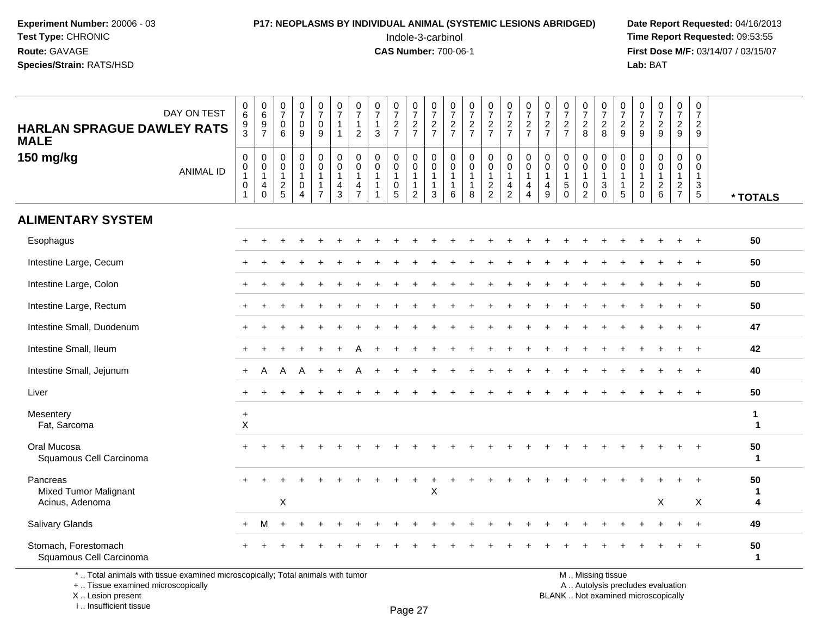## **P17: NEOPLASMS BY INDIVIDUAL ANIMAL (SYSTEMIC LESIONS ABRIDGED)** Date Report Requested: 04/16/2013<br>Indole-3-carbinol **Time Report Requested:** 09:53:55

 Indole-3-carbinol **Time Report Requested:** 09:53:55 **First Dose M/F:** 03/14/07 / 03/15/07<br>**Lab:** BAT **Lab:** BAT

| DAY ON TEST<br><b>HARLAN SPRAGUE DAWLEY RATS</b><br><b>MALE</b>                 | $\begin{array}{c} 0 \\ 6 \end{array}$<br>$\frac{9}{3}$              | $_{6}^{\rm 0}$<br>$\frac{9}{7}$                                 | $\begin{smallmatrix}0\\7\end{smallmatrix}$<br>$\mathbf 0$<br>6 | $\begin{smallmatrix}0\\7\end{smallmatrix}$<br>$\pmb{0}$<br>9 | $\frac{0}{7}$<br>$\pmb{0}$<br>9                                      | $\begin{array}{c} 0 \\ 7 \end{array}$<br>$\overline{1}$<br>$\overline{1}$    | 0<br>$\overline{7}$<br>1<br>$\overline{2}$   | $\frac{0}{7}$<br>$\mathbf{1}$<br>3                                 | $\frac{0}{7}$<br>$\frac{2}{7}$ | $\begin{array}{c} 0 \\ 7 \end{array}$<br>$rac{2}{7}$               | $\frac{0}{7}$<br>$\frac{2}{7}$                                       | $\begin{array}{c} 0 \\ 7 \end{array}$<br>$\frac{2}{7}$ | $\begin{smallmatrix}0\\7\end{smallmatrix}$<br>$\frac{2}{7}$     | $\frac{0}{7}$<br>$rac{2}{7}$                                | $\begin{smallmatrix}0\\7\end{smallmatrix}$<br>$rac{2}{7}$ | $\frac{0}{7}$<br>$\frac{2}{7}$                                                         | $\frac{0}{7}$<br>$\frac{2}{7}$                                      | $\frac{0}{7}$<br>$rac{2}{7}$                                       | $\frac{0}{7}$<br>$_{8}^2$                               | $\frac{0}{7}$<br>$\frac{2}{8}$                                                | $\begin{array}{c} 0 \\ 7 \end{array}$<br>$\frac{2}{9}$                     | 0<br>$\overline{7}$<br>$\overline{c}$<br>9             | $\begin{array}{c} 0 \\ 7 \end{array}$<br>$\sqrt{2}$<br>9        | $\frac{0}{7}$<br>$\frac{2}{9}$                            | $\begin{array}{c} 0 \\ 7 \end{array}$<br>$\sqrt{2}$<br>9                         |                              |
|---------------------------------------------------------------------------------|---------------------------------------------------------------------|-----------------------------------------------------------------|----------------------------------------------------------------|--------------------------------------------------------------|----------------------------------------------------------------------|------------------------------------------------------------------------------|----------------------------------------------|--------------------------------------------------------------------|--------------------------------|--------------------------------------------------------------------|----------------------------------------------------------------------|--------------------------------------------------------|-----------------------------------------------------------------|-------------------------------------------------------------|-----------------------------------------------------------|----------------------------------------------------------------------------------------|---------------------------------------------------------------------|--------------------------------------------------------------------|---------------------------------------------------------|-------------------------------------------------------------------------------|----------------------------------------------------------------------------|--------------------------------------------------------|-----------------------------------------------------------------|-----------------------------------------------------------|----------------------------------------------------------------------------------|------------------------------|
| 150 mg/kg<br><b>ANIMAL ID</b>                                                   | $\boldsymbol{0}$<br>0<br>$\overline{1}$<br>$\pmb{0}$<br>$\mathbf 1$ | $\mathbf 0$<br>$\mathsf{O}$<br>$\mathbf{1}$<br>4<br>$\mathbf 0$ | 0<br>$\mathbf 0$<br>$\mathbf{1}$<br>$\frac{2}{5}$              | $\mathsf 0$<br>$\pmb{0}$<br>1<br>0<br>$\boldsymbol{\Lambda}$ | 0<br>$\mathbf 0$<br>$\mathbf{1}$<br>$\overline{1}$<br>$\overline{7}$ | $\pmb{0}$<br>$\mathbf 0$<br>$\overline{1}$<br>$\overline{4}$<br>$\mathbf{3}$ | 0<br>$\mathbf 0$<br>1<br>4<br>$\overline{7}$ | $\mathbf 0$<br>$\mathbf 0$<br>$\overline{1}$<br>$\mathbf{1}$<br>-1 | 0<br>0<br>0<br>5               | 0<br>$\mathbf 0$<br>$\mathbf{1}$<br>$\mathbf{1}$<br>$\overline{2}$ | 0<br>$\mathbf 0$<br>$\overline{1}$<br>$\overline{1}$<br>$\mathbf{3}$ | $\mathbf 0$<br>$\mathbf 0$<br>1<br>1<br>6              | $\mathbf 0$<br>$\mathbf 0$<br>$\mathbf{1}$<br>$\mathbf{1}$<br>8 | $\mathbf 0$<br>$\mathbf 0$<br>$\mathbf{1}$<br>$\frac{2}{2}$ | $\mathbf 0$<br>$\mathbf 0$<br>1<br>4<br>$\overline{2}$    | $\mathbf 0$<br>$\mathsf{O}\xspace$<br>$\mathbf{1}$<br>$\overline{4}$<br>$\overline{4}$ | $\mathbf 0$<br>$\mathbf 0$<br>$\overline{1}$<br>$\overline{4}$<br>9 | $\pmb{0}$<br>$\mathbf 0$<br>$\mathbf{1}$<br>$\sqrt{5}$<br>$\Omega$ | 0<br>$\mathbf 0$<br>$\mathbf{1}$<br>0<br>$\overline{2}$ | $\pmb{0}$<br>$\mathbf 0$<br>$\mathbf{1}$<br>$\sqrt{3}$<br>$\mathsf{O}\xspace$ | $\mathbf 0$<br>$\mathbf 0$<br>$\overline{1}$<br>$\mathbf{1}$<br>$\sqrt{5}$ | 0<br>0<br>$\overline{1}$<br>$\overline{c}$<br>$\Omega$ | $\mathbf 0$<br>$\mathbf 0$<br>$\mathbf{1}$<br>$\sqrt{2}$<br>6   | 0<br>$\mathbf 0$<br>1<br>$\overline{a}$<br>$\overline{7}$ | $\mathbf 0$<br>0<br>$\mathbf{1}$<br>$\ensuremath{\mathsf{3}}$<br>$5\phantom{.0}$ | * TOTALS                     |
| <b>ALIMENTARY SYSTEM</b>                                                        |                                                                     |                                                                 |                                                                |                                                              |                                                                      |                                                                              |                                              |                                                                    |                                |                                                                    |                                                                      |                                                        |                                                                 |                                                             |                                                           |                                                                                        |                                                                     |                                                                    |                                                         |                                                                               |                                                                            |                                                        |                                                                 |                                                           |                                                                                  |                              |
| Esophagus                                                                       |                                                                     |                                                                 |                                                                |                                                              |                                                                      |                                                                              |                                              |                                                                    |                                |                                                                    |                                                                      |                                                        |                                                                 |                                                             |                                                           |                                                                                        |                                                                     |                                                                    |                                                         |                                                                               |                                                                            |                                                        |                                                                 |                                                           | $\overline{ }$                                                                   | 50                           |
| Intestine Large, Cecum                                                          |                                                                     |                                                                 |                                                                |                                                              |                                                                      |                                                                              |                                              |                                                                    |                                |                                                                    |                                                                      |                                                        |                                                                 |                                                             |                                                           |                                                                                        |                                                                     |                                                                    |                                                         |                                                                               |                                                                            |                                                        |                                                                 |                                                           |                                                                                  | 50                           |
| Intestine Large, Colon                                                          |                                                                     |                                                                 |                                                                |                                                              |                                                                      |                                                                              |                                              |                                                                    |                                |                                                                    |                                                                      |                                                        |                                                                 |                                                             |                                                           |                                                                                        |                                                                     |                                                                    |                                                         |                                                                               |                                                                            |                                                        |                                                                 |                                                           |                                                                                  | 50                           |
| Intestine Large, Rectum                                                         |                                                                     |                                                                 |                                                                |                                                              |                                                                      |                                                                              |                                              |                                                                    |                                |                                                                    |                                                                      |                                                        |                                                                 |                                                             |                                                           |                                                                                        |                                                                     |                                                                    |                                                         |                                                                               |                                                                            |                                                        |                                                                 |                                                           | $\ddot{}$                                                                        | 50                           |
| Intestine Small, Duodenum                                                       |                                                                     |                                                                 |                                                                |                                                              |                                                                      |                                                                              |                                              |                                                                    |                                |                                                                    |                                                                      |                                                        |                                                                 |                                                             |                                                           |                                                                                        |                                                                     |                                                                    |                                                         |                                                                               |                                                                            |                                                        |                                                                 |                                                           | $\div$                                                                           | 47                           |
| Intestine Small, Ileum                                                          |                                                                     |                                                                 |                                                                |                                                              |                                                                      |                                                                              |                                              |                                                                    |                                |                                                                    |                                                                      |                                                        |                                                                 |                                                             |                                                           |                                                                                        |                                                                     |                                                                    |                                                         |                                                                               |                                                                            |                                                        |                                                                 |                                                           | $\overline{ }$                                                                   | 42                           |
| Intestine Small, Jejunum                                                        | ÷                                                                   | Α                                                               | A                                                              | A                                                            | $\ddot{}$                                                            |                                                                              |                                              |                                                                    |                                |                                                                    |                                                                      |                                                        |                                                                 |                                                             |                                                           |                                                                                        |                                                                     |                                                                    |                                                         |                                                                               |                                                                            |                                                        |                                                                 |                                                           |                                                                                  | 40                           |
| Liver                                                                           |                                                                     |                                                                 |                                                                |                                                              |                                                                      |                                                                              |                                              |                                                                    |                                |                                                                    |                                                                      |                                                        |                                                                 |                                                             |                                                           |                                                                                        |                                                                     |                                                                    |                                                         |                                                                               |                                                                            |                                                        |                                                                 |                                                           |                                                                                  | 50                           |
| Mesentery<br>Fat, Sarcoma                                                       | $\ddot{}$<br>X                                                      |                                                                 |                                                                |                                                              |                                                                      |                                                                              |                                              |                                                                    |                                |                                                                    |                                                                      |                                                        |                                                                 |                                                             |                                                           |                                                                                        |                                                                     |                                                                    |                                                         |                                                                               |                                                                            |                                                        |                                                                 |                                                           |                                                                                  | $\mathbf{1}$<br>$\mathbf{1}$ |
| Oral Mucosa<br>Squamous Cell Carcinoma                                          |                                                                     |                                                                 |                                                                |                                                              |                                                                      |                                                                              |                                              |                                                                    |                                |                                                                    |                                                                      |                                                        |                                                                 |                                                             |                                                           |                                                                                        |                                                                     |                                                                    |                                                         |                                                                               |                                                                            |                                                        |                                                                 |                                                           |                                                                                  | 50<br>$\mathbf 1$            |
| Pancreas<br><b>Mixed Tumor Malignant</b><br>Acinus, Adenoma                     |                                                                     |                                                                 | $\boldsymbol{\mathsf{X}}$                                      |                                                              |                                                                      |                                                                              |                                              |                                                                    |                                |                                                                    | $\times$                                                             |                                                        |                                                                 |                                                             |                                                           |                                                                                        |                                                                     |                                                                    |                                                         |                                                                               |                                                                            |                                                        | X                                                               |                                                           | X                                                                                | 50<br>-1<br>4                |
| <b>Salivary Glands</b>                                                          |                                                                     | м                                                               |                                                                |                                                              |                                                                      |                                                                              |                                              |                                                                    |                                |                                                                    |                                                                      |                                                        |                                                                 |                                                             |                                                           |                                                                                        |                                                                     |                                                                    |                                                         |                                                                               |                                                                            |                                                        |                                                                 |                                                           | $\ddot{}$                                                                        | 49                           |
| Stomach, Forestomach<br>Squamous Cell Carcinoma                                 |                                                                     |                                                                 |                                                                |                                                              |                                                                      |                                                                              |                                              |                                                                    |                                |                                                                    |                                                                      |                                                        |                                                                 |                                                             |                                                           |                                                                                        |                                                                     |                                                                    |                                                         |                                                                               |                                                                            |                                                        |                                                                 |                                                           |                                                                                  | 50<br>$\mathbf 1$            |
| *  Total animals with tissue examined microscopically; Total animals with tumor |                                                                     |                                                                 |                                                                |                                                              |                                                                      |                                                                              |                                              |                                                                    |                                |                                                                    |                                                                      |                                                        |                                                                 |                                                             |                                                           |                                                                                        |                                                                     |                                                                    |                                                         | M  Missing tissue                                                             |                                                                            |                                                        | $\mathbf{r}$ and $\mathbf{r}$ and $\mathbf{r}$ and $\mathbf{r}$ |                                                           |                                                                                  |                              |

+ .. Tissue examined microscopically

X .. Lesion present

I .. Insufficient tissue

y the contract of the contract of the contract of the contract of the contract of  $\mathsf A$  . Autolysis precludes evaluation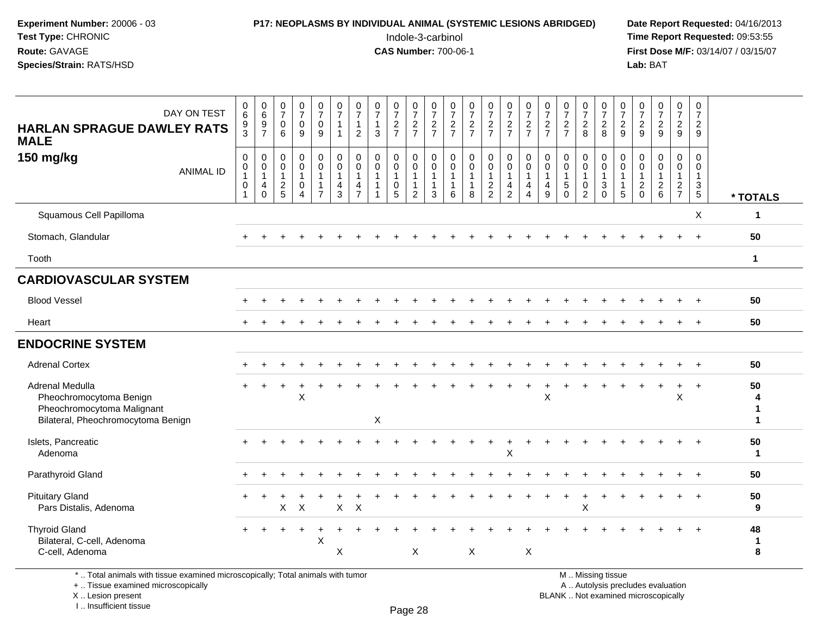## **P17: NEOPLASMS BY INDIVIDUAL ANIMAL (SYSTEMIC LESIONS ABRIDGED)** Date Report Requested: 04/16/2013<br>Indole-3-carbinol **Time Report Requested: 09:53:55**

 Indole-3-carbinol **Time Report Requested:** 09:53:55 **First Dose M/F:** 03/14/07 / 03/15/07<br>Lab: BAT **Lab:** BAT

| DAY ON TEST<br><b>HARLAN SPRAGUE DAWLEY RATS</b><br><b>MALE</b><br>150 mg/kg<br><b>ANIMAL ID</b>               | $\begin{array}{c} 0 \\ 6 \end{array}$<br>$\frac{9}{3}$<br>$\pmb{0}$<br>$\pmb{0}$<br>$\mathbf{1}$<br>$\mathbf 0$ | $\begin{array}{c} 0 \\ 6 \end{array}$<br>$\frac{9}{7}$<br>$\,0\,$<br>$\overline{0}$<br>1<br>$\overline{4}$ | $\begin{array}{c} 0 \\ 7 \end{array}$<br>$\mathbf 0$<br>6<br>$\mathsf{O}\xspace$<br>$\mathsf{O}\xspace$<br>$\overline{1}$ | $\frac{0}{7}$<br>$\mathbf 0$<br>9<br>0<br>$\mathbf 0$<br>$\mathbf{1}$<br>$\mathbf 0$ | $\begin{smallmatrix}0\\7\end{smallmatrix}$<br>$\mathbf 0$<br>9<br>$\pmb{0}$<br>$\ddot{\mathbf{0}}$<br>$\overline{1}$<br>$\mathbf{1}$ | $\frac{0}{7}$<br>$\mathbf{1}$<br>$\mathbf{1}$<br>$\pmb{0}$<br>$\overline{0}$<br>$\mathbf{1}$<br>$\overline{\mathbf{4}}$ | $\frac{0}{7}$<br>$\mathbf{1}$<br>$\overline{2}$<br>$\mathbf 0$<br>$\mathbf 0$<br>$\mathbf{1}$<br>$\overline{4}$ | $\frac{0}{7}$<br>$\mathbf{1}$<br>$\mathbf{3}$<br>$\mathbf 0$<br>$\mathbf 0$<br>$\overline{1}$<br>-1 | $\frac{0}{7}$<br>$\frac{2}{7}$<br>$\pmb{0}$<br>$\pmb{0}$<br>$\mathbf{1}$<br>$\pmb{0}$ | $\frac{0}{7}$<br>$\frac{2}{7}$<br>$\pmb{0}$<br>$\boldsymbol{0}$<br>$\mathbf{1}$<br>$\mathbf{1}$ | $\frac{0}{7}$<br>$\frac{2}{7}$<br>$\mathsf{O}$<br>$\mathsf{O}\xspace$<br>$\mathbf{1}$<br>$\mathbf{1}$ | $\frac{0}{7}$<br>$\frac{2}{7}$<br>$\pmb{0}$<br>0<br>$\mathbf{1}$<br>$\mathbf{1}$ | $\frac{0}{7}$<br>$\frac{2}{7}$<br>$\pmb{0}$<br>$\ddot{\mathbf{0}}$<br>$\mathbf{1}$<br>1 | $\begin{array}{c} 0 \\ 7 \end{array}$<br>$\frac{2}{7}$<br>$\mathbf 0$<br>$\pmb{0}$<br>$\mathbf{1}$ | $\begin{array}{c} 0 \\ 7 \end{array}$<br>$\frac{2}{7}$<br>$\begin{smallmatrix}0\\0\end{smallmatrix}$<br>$\overline{1}$<br>$\overline{4}$ | $\frac{0}{7}$<br>$\frac{2}{7}$<br>0<br>$\mathbf 0$<br>$\mathbf{1}$<br>$\overline{4}$ | $\frac{0}{7}$<br>$\frac{2}{7}$<br>$\pmb{0}$<br>$\mathbf 0$<br>$\mathbf{1}$<br>4 | $\frac{0}{7}$<br>$\frac{2}{7}$<br>$\pmb{0}$<br>$\pmb{0}$<br>$\mathbf{1}$<br>$\sqrt{5}$ | $\begin{smallmatrix}0\\7\end{smallmatrix}$<br>$\frac{2}{8}$<br>$\mathbf 0$<br>$\mathbf 0$<br>$\mathbf{1}$<br>$\mathbf 0$ | $\frac{0}{7}$<br>$\frac{2}{8}$<br>$\pmb{0}$<br>$\mathbf 0$<br>$\overline{1}$<br>$\sqrt{3}$ | $\frac{0}{7}$<br>$\frac{2}{9}$<br>$\mathbf 0$<br>$\mathbf 0$<br>$\mathbf{1}$<br>$\mathbf{1}$ | $\frac{0}{7}$<br>$\frac{2}{9}$<br>0<br>$\mathbf 0$<br>$\mathbf{1}$<br>$\sqrt{2}$ | $\frac{0}{7}$<br>$\frac{2}{9}$<br>0<br>$\mathsf{O}$<br>$\mathbf{1}$ | $\frac{0}{7}$<br>$\frac{2}{9}$<br>$\pmb{0}$<br>$\pmb{0}$<br>$\mathbf{1}$ | $\boldsymbol{0}$<br>$\overline{7}$<br>$\overline{a}$<br>9<br>0<br>0<br>$\mathbf{1}$<br>$\ensuremath{\mathsf{3}}$ |                   |
|----------------------------------------------------------------------------------------------------------------|-----------------------------------------------------------------------------------------------------------------|------------------------------------------------------------------------------------------------------------|---------------------------------------------------------------------------------------------------------------------------|--------------------------------------------------------------------------------------|--------------------------------------------------------------------------------------------------------------------------------------|-------------------------------------------------------------------------------------------------------------------------|-----------------------------------------------------------------------------------------------------------------|-----------------------------------------------------------------------------------------------------|---------------------------------------------------------------------------------------|-------------------------------------------------------------------------------------------------|-------------------------------------------------------------------------------------------------------|----------------------------------------------------------------------------------|-----------------------------------------------------------------------------------------|----------------------------------------------------------------------------------------------------|------------------------------------------------------------------------------------------------------------------------------------------|--------------------------------------------------------------------------------------|---------------------------------------------------------------------------------|----------------------------------------------------------------------------------------|--------------------------------------------------------------------------------------------------------------------------|--------------------------------------------------------------------------------------------|----------------------------------------------------------------------------------------------|----------------------------------------------------------------------------------|---------------------------------------------------------------------|--------------------------------------------------------------------------|------------------------------------------------------------------------------------------------------------------|-------------------|
|                                                                                                                | $\mathbf{1}$                                                                                                    | $\mathbf 0$                                                                                                | $rac{2}{5}$                                                                                                               | $\overline{4}$                                                                       | $\overline{7}$                                                                                                                       | 3                                                                                                                       | $\overline{7}$                                                                                                  |                                                                                                     | 5                                                                                     | $\overline{2}$                                                                                  | 3                                                                                                     | 6                                                                                | 8                                                                                       | $\frac{2}{2}$                                                                                      | $\overline{2}$                                                                                                                           | 4                                                                                    | 9                                                                               | $\Omega$                                                                               | $\overline{2}$                                                                                                           | $\Omega$                                                                                   | 5                                                                                            | $\mathbf 0$                                                                      | $\frac{2}{6}$                                                       | $\frac{2}{7}$                                                            | $5\phantom{.0}$                                                                                                  | * TOTALS          |
| Squamous Cell Papilloma                                                                                        |                                                                                                                 |                                                                                                            |                                                                                                                           |                                                                                      |                                                                                                                                      |                                                                                                                         |                                                                                                                 |                                                                                                     |                                                                                       |                                                                                                 |                                                                                                       |                                                                                  |                                                                                         |                                                                                                    |                                                                                                                                          |                                                                                      |                                                                                 |                                                                                        |                                                                                                                          |                                                                                            |                                                                                              |                                                                                  |                                                                     |                                                                          | X                                                                                                                | 1                 |
| Stomach, Glandular                                                                                             |                                                                                                                 |                                                                                                            |                                                                                                                           |                                                                                      |                                                                                                                                      |                                                                                                                         |                                                                                                                 |                                                                                                     |                                                                                       |                                                                                                 |                                                                                                       |                                                                                  |                                                                                         |                                                                                                    |                                                                                                                                          |                                                                                      |                                                                                 |                                                                                        |                                                                                                                          |                                                                                            |                                                                                              |                                                                                  |                                                                     | $+$                                                                      | $+$                                                                                                              | 50                |
| Tooth                                                                                                          |                                                                                                                 |                                                                                                            |                                                                                                                           |                                                                                      |                                                                                                                                      |                                                                                                                         |                                                                                                                 |                                                                                                     |                                                                                       |                                                                                                 |                                                                                                       |                                                                                  |                                                                                         |                                                                                                    |                                                                                                                                          |                                                                                      |                                                                                 |                                                                                        |                                                                                                                          |                                                                                            |                                                                                              |                                                                                  |                                                                     |                                                                          |                                                                                                                  | $\mathbf{1}$      |
| <b>CARDIOVASCULAR SYSTEM</b>                                                                                   |                                                                                                                 |                                                                                                            |                                                                                                                           |                                                                                      |                                                                                                                                      |                                                                                                                         |                                                                                                                 |                                                                                                     |                                                                                       |                                                                                                 |                                                                                                       |                                                                                  |                                                                                         |                                                                                                    |                                                                                                                                          |                                                                                      |                                                                                 |                                                                                        |                                                                                                                          |                                                                                            |                                                                                              |                                                                                  |                                                                     |                                                                          |                                                                                                                  |                   |
| <b>Blood Vessel</b>                                                                                            |                                                                                                                 |                                                                                                            |                                                                                                                           |                                                                                      |                                                                                                                                      |                                                                                                                         |                                                                                                                 |                                                                                                     |                                                                                       |                                                                                                 |                                                                                                       |                                                                                  |                                                                                         |                                                                                                    |                                                                                                                                          |                                                                                      |                                                                                 |                                                                                        |                                                                                                                          |                                                                                            |                                                                                              |                                                                                  |                                                                     |                                                                          |                                                                                                                  | 50                |
| Heart                                                                                                          |                                                                                                                 |                                                                                                            |                                                                                                                           |                                                                                      |                                                                                                                                      |                                                                                                                         |                                                                                                                 |                                                                                                     |                                                                                       |                                                                                                 |                                                                                                       |                                                                                  |                                                                                         |                                                                                                    |                                                                                                                                          |                                                                                      |                                                                                 |                                                                                        |                                                                                                                          |                                                                                            |                                                                                              |                                                                                  |                                                                     |                                                                          |                                                                                                                  | 50                |
| <b>ENDOCRINE SYSTEM</b>                                                                                        |                                                                                                                 |                                                                                                            |                                                                                                                           |                                                                                      |                                                                                                                                      |                                                                                                                         |                                                                                                                 |                                                                                                     |                                                                                       |                                                                                                 |                                                                                                       |                                                                                  |                                                                                         |                                                                                                    |                                                                                                                                          |                                                                                      |                                                                                 |                                                                                        |                                                                                                                          |                                                                                            |                                                                                              |                                                                                  |                                                                     |                                                                          |                                                                                                                  |                   |
| <b>Adrenal Cortex</b>                                                                                          |                                                                                                                 |                                                                                                            |                                                                                                                           |                                                                                      |                                                                                                                                      |                                                                                                                         |                                                                                                                 |                                                                                                     |                                                                                       |                                                                                                 |                                                                                                       |                                                                                  |                                                                                         |                                                                                                    |                                                                                                                                          |                                                                                      |                                                                                 |                                                                                        |                                                                                                                          |                                                                                            |                                                                                              |                                                                                  |                                                                     |                                                                          |                                                                                                                  | 50                |
| Adrenal Medulla<br>Pheochromocytoma Benign<br>Pheochromocytoma Malignant<br>Bilateral, Pheochromocytoma Benign |                                                                                                                 |                                                                                                            |                                                                                                                           | X                                                                                    |                                                                                                                                      |                                                                                                                         |                                                                                                                 | $\pmb{\times}$                                                                                      |                                                                                       |                                                                                                 |                                                                                                       |                                                                                  |                                                                                         |                                                                                                    |                                                                                                                                          |                                                                                      | X                                                                               |                                                                                        |                                                                                                                          |                                                                                            |                                                                                              |                                                                                  |                                                                     | $\sf X$                                                                  | $\overline{+}$                                                                                                   | 50<br>4<br>1<br>1 |
| Islets, Pancreatic<br>Adenoma                                                                                  |                                                                                                                 |                                                                                                            |                                                                                                                           |                                                                                      |                                                                                                                                      |                                                                                                                         |                                                                                                                 |                                                                                                     |                                                                                       |                                                                                                 |                                                                                                       |                                                                                  |                                                                                         |                                                                                                    | $\times$                                                                                                                                 |                                                                                      |                                                                                 |                                                                                        |                                                                                                                          |                                                                                            |                                                                                              |                                                                                  |                                                                     |                                                                          |                                                                                                                  | 50<br>1           |
| Parathyroid Gland                                                                                              |                                                                                                                 |                                                                                                            |                                                                                                                           |                                                                                      |                                                                                                                                      |                                                                                                                         |                                                                                                                 |                                                                                                     |                                                                                       |                                                                                                 |                                                                                                       |                                                                                  |                                                                                         |                                                                                                    |                                                                                                                                          |                                                                                      |                                                                                 |                                                                                        |                                                                                                                          |                                                                                            |                                                                                              |                                                                                  |                                                                     |                                                                          | $+$                                                                                                              | 50                |
| <b>Pituitary Gland</b><br>Pars Distalis, Adenoma                                                               | $\pm$                                                                                                           | $\ddot{}$                                                                                                  | X                                                                                                                         | +<br>$\sf X$                                                                         |                                                                                                                                      | $\mathsf X$                                                                                                             | $\sf X$                                                                                                         |                                                                                                     |                                                                                       |                                                                                                 |                                                                                                       |                                                                                  |                                                                                         |                                                                                                    |                                                                                                                                          |                                                                                      |                                                                                 | $\ddot{}$                                                                              | $\ddot{}$<br>X                                                                                                           |                                                                                            |                                                                                              |                                                                                  |                                                                     |                                                                          | $\overline{1}$                                                                                                   | 50<br>9           |
| <b>Thyroid Gland</b><br>Bilateral, C-cell, Adenoma<br>C-cell, Adenoma                                          |                                                                                                                 |                                                                                                            |                                                                                                                           |                                                                                      | $\boldsymbol{\mathsf{X}}$                                                                                                            | X                                                                                                                       |                                                                                                                 |                                                                                                     |                                                                                       | X                                                                                               |                                                                                                       |                                                                                  | X                                                                                       |                                                                                                    |                                                                                                                                          | X                                                                                    |                                                                                 |                                                                                        |                                                                                                                          |                                                                                            |                                                                                              |                                                                                  |                                                                     |                                                                          | $+$                                                                                                              | 48<br>1<br>8      |

\* .. Total animals with tissue examined microscopically; Total animals with tumor

+ .. Tissue examined microscopically

X .. Lesion present

I .. Insufficient tissue

M .. Missing tissue

y the contract of the contract of the contract of the contract of the contract of  $\mathsf A$  . Autolysis precludes evaluation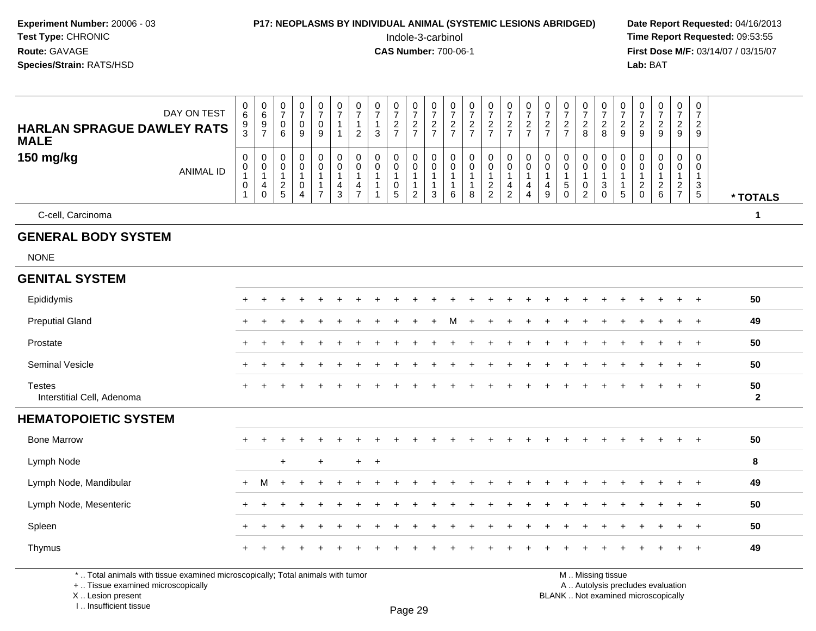| Experiment Number: 20006 - 03<br>Test Type: CHRONIC<br>Route: GAVAGE<br>Species/Strain: RATS/HSD |                                                       |                                                        |                                                                 |                                                         |                                                         |                                             |                                                         | <b>P17: NEOPLASMS BY INDIVIDUAL ANIMAL (SYSTEMIC LESIONS ABRIDGED)</b> |                                                           | Indole-3-carbinol<br><b>CAS Number: 700-06-1</b>         |                                         |                                                                              |                                       |                                |                                                                   |                                         |                                                      |                                |                                                         |                                                                     |                                                                 | Lab: BAT                               |                                                   |                                                   |                                               | Date Report Requested: 04/16/2013<br>Time Report Requested: 09:53:55<br>First Dose M/F: 03/14/07 / 03/15/07 |
|--------------------------------------------------------------------------------------------------|-------------------------------------------------------|--------------------------------------------------------|-----------------------------------------------------------------|---------------------------------------------------------|---------------------------------------------------------|---------------------------------------------|---------------------------------------------------------|------------------------------------------------------------------------|-----------------------------------------------------------|----------------------------------------------------------|-----------------------------------------|------------------------------------------------------------------------------|---------------------------------------|--------------------------------|-------------------------------------------------------------------|-----------------------------------------|------------------------------------------------------|--------------------------------|---------------------------------------------------------|---------------------------------------------------------------------|-----------------------------------------------------------------|----------------------------------------|---------------------------------------------------|---------------------------------------------------|-----------------------------------------------|-------------------------------------------------------------------------------------------------------------|
| DAY ON TEST<br><b>HARLAN SPRAGUE DAWLEY RATS</b><br><b>MALE</b>                                  | $\begin{matrix} 0 \\ 6 \end{matrix}$<br>$\frac{9}{3}$ | $\begin{array}{c} 0 \\ 6 \end{array}$<br>$\frac{9}{7}$ | $\frac{0}{7}$<br>$\boldsymbol{0}$<br>6                          | $\frac{0}{7}$<br>$\pmb{0}$<br>9                         | $\frac{0}{7}$<br>$\mathbf 0$<br>9                       | $\frac{0}{7}$<br>$\mathbf{1}$<br>1          | 0<br>$\boldsymbol{7}$<br>$\mathbf{1}$<br>$\overline{2}$ | $\frac{0}{7}$<br>$\mathbf{1}$<br>$\mathbf{3}$                          | $\frac{0}{7}$<br>$\frac{2}{7}$                            | $\frac{0}{7}$<br>$\frac{2}{7}$                           | 0<br>$\overline{7}$<br>$\frac{2}{7}$    | $\frac{0}{7}$<br>$\frac{2}{7}$                                               | $\frac{0}{7}$<br>$rac{2}{7}$          | $\frac{0}{7}$<br>$\frac{2}{7}$ | $\frac{0}{7}$<br>$\frac{2}{7}$                                    | $\frac{0}{7}$<br>$\frac{2}{7}$          | 0<br>$\overline{\mathcal{I}}$<br>$\frac{2}{7}$       | $\frac{0}{7}$<br>$\frac{2}{7}$ | $\frac{0}{7}$<br>$\frac{2}{8}$                          | $\frac{0}{7}$<br>$\frac{2}{8}$                                      | $\frac{0}{7}$<br>$\frac{2}{9}$                                  | $\frac{0}{7}$<br>$\frac{2}{9}$         | $\frac{0}{7}$<br>$\frac{2}{9}$                    | $\frac{0}{7}$<br>$\frac{2}{9}$                    | 0<br>$\overline{7}$<br>$\overline{a}$<br>9    |                                                                                                             |
| 150 mg/kg<br><b>ANIMAL ID</b>                                                                    | 0<br>0<br>$\mathbf{1}$<br>0                           | 0<br>0<br>4<br>$\mathbf 0$                             | $\mathbf 0$<br>$\boldsymbol{0}$<br>$\mathbf 1$<br>$\frac{2}{5}$ | 0<br>$\mathbf 0$<br>$\mathbf{1}$<br>0<br>$\overline{4}$ | 0<br>$\mathbf 0$<br>$\mathbf{1}$<br>1<br>$\overline{7}$ | 0<br>0<br>$\mathbf{1}$<br>4<br>$\mathbf{3}$ | $\mathbf 0$<br>0<br>$\mathbf{1}$<br>4<br>$\overline{7}$ | $\Omega$<br>0                                                          | 0<br>$\mathbf 0$<br>$\overline{1}$<br>0<br>$\overline{5}$ | 0<br>0<br>$\mathbf{1}$<br>$\mathbf{1}$<br>$\overline{2}$ | $\Omega$<br>0<br>$\mathbf{1}$<br>1<br>3 | $\mathbf 0$<br>$\mathbf 0$<br>$\mathbf 1$<br>$\mathbf{1}$<br>$6\phantom{1}6$ | 0<br>$\mathsf{O}$<br>$\mathbf 1$<br>8 | 0<br>0<br>$\frac{2}{2}$        | $\mathbf 0$<br>$\mathbf 0$<br>$\mathbf{1}$<br>4<br>$\overline{2}$ | $\Omega$<br>0<br>$\mathbf{1}$<br>4<br>4 | $\mathbf 0$<br>$\mathbf 0$<br>$\mathbf{1}$<br>4<br>9 | 0<br>0<br>5<br>$\Omega$        | 0<br>$\mathbf 0$<br>$\mathbf{1}$<br>0<br>$\overline{2}$ | $\Omega$<br>$\mathbf 0$<br>$\ensuremath{\mathsf{3}}$<br>$\mathbf 0$ | $\Omega$<br>$\mathbf 0$<br>-1<br>$\mathbf{1}$<br>$\overline{5}$ | 0<br>0<br>$\mathbf{1}$<br>$^2_{\rm 0}$ | 0<br>$\mathbf 0$<br>$\mathbf{1}$<br>$\frac{2}{6}$ | 0<br>$\mathbf 0$<br>$\mathbf{1}$<br>$\frac{2}{7}$ | 0<br>0<br>$\mathbf{1}$<br>3<br>$\overline{5}$ | * TOTALS                                                                                                    |
| C-cell, Carcinoma                                                                                |                                                       |                                                        |                                                                 |                                                         |                                                         |                                             |                                                         |                                                                        |                                                           |                                                          |                                         |                                                                              |                                       |                                |                                                                   |                                         |                                                      |                                |                                                         |                                                                     |                                                                 |                                        |                                                   |                                                   |                                               | 1                                                                                                           |
| <b>GENERAL BODY SYSTEM</b>                                                                       |                                                       |                                                        |                                                                 |                                                         |                                                         |                                             |                                                         |                                                                        |                                                           |                                                          |                                         |                                                                              |                                       |                                |                                                                   |                                         |                                                      |                                |                                                         |                                                                     |                                                                 |                                        |                                                   |                                                   |                                               |                                                                                                             |
| <b>NONE</b>                                                                                      |                                                       |                                                        |                                                                 |                                                         |                                                         |                                             |                                                         |                                                                        |                                                           |                                                          |                                         |                                                                              |                                       |                                |                                                                   |                                         |                                                      |                                |                                                         |                                                                     |                                                                 |                                        |                                                   |                                                   |                                               |                                                                                                             |
| <b>GENITAL SYSTEM</b>                                                                            |                                                       |                                                        |                                                                 |                                                         |                                                         |                                             |                                                         |                                                                        |                                                           |                                                          |                                         |                                                                              |                                       |                                |                                                                   |                                         |                                                      |                                |                                                         |                                                                     |                                                                 |                                        |                                                   |                                                   |                                               |                                                                                                             |
| Epididymis                                                                                       |                                                       |                                                        |                                                                 |                                                         |                                                         |                                             |                                                         |                                                                        |                                                           |                                                          |                                         |                                                                              |                                       |                                |                                                                   |                                         |                                                      |                                |                                                         |                                                                     |                                                                 |                                        |                                                   |                                                   |                                               | 50                                                                                                          |
| <b>Preputial Gland</b>                                                                           | +                                                     |                                                        |                                                                 |                                                         |                                                         |                                             |                                                         |                                                                        |                                                           |                                                          |                                         | м                                                                            | $\ddot{}$                             |                                |                                                                   |                                         |                                                      |                                |                                                         |                                                                     |                                                                 |                                        |                                                   |                                                   | $+$                                           | 49                                                                                                          |
| Prostate                                                                                         | +                                                     |                                                        |                                                                 |                                                         |                                                         |                                             |                                                         |                                                                        |                                                           |                                                          |                                         |                                                                              |                                       |                                |                                                                   |                                         |                                                      |                                |                                                         |                                                                     |                                                                 |                                        |                                                   |                                                   | $+$                                           | 50                                                                                                          |
| Seminal Vesicle                                                                                  |                                                       |                                                        |                                                                 |                                                         |                                                         |                                             |                                                         |                                                                        |                                                           |                                                          |                                         |                                                                              |                                       |                                |                                                                   |                                         |                                                      |                                |                                                         |                                                                     |                                                                 |                                        |                                                   |                                                   | $\ddot{}$                                     | 50                                                                                                          |
| <b>Testes</b><br>Interstitial Cell, Adenoma                                                      |                                                       |                                                        |                                                                 |                                                         |                                                         |                                             |                                                         |                                                                        |                                                           |                                                          |                                         |                                                                              |                                       |                                |                                                                   |                                         |                                                      |                                |                                                         |                                                                     |                                                                 |                                        |                                                   |                                                   | $\ddot{}$                                     | 50<br>$\overline{2}$                                                                                        |
| <b>HEMATOPOIETIC SYSTEM</b>                                                                      |                                                       |                                                        |                                                                 |                                                         |                                                         |                                             |                                                         |                                                                        |                                                           |                                                          |                                         |                                                                              |                                       |                                |                                                                   |                                         |                                                      |                                |                                                         |                                                                     |                                                                 |                                        |                                                   |                                                   |                                               |                                                                                                             |
| <b>Bone Marrow</b>                                                                               |                                                       |                                                        |                                                                 |                                                         |                                                         |                                             |                                                         |                                                                        |                                                           |                                                          |                                         |                                                                              |                                       |                                |                                                                   |                                         |                                                      |                                |                                                         |                                                                     |                                                                 |                                        |                                                   |                                                   | $+$                                           | 50                                                                                                          |
| Lymph Node                                                                                       |                                                       |                                                        | $\ddot{}$                                                       |                                                         | $\ddot{}$                                               |                                             |                                                         | $+$ $+$                                                                |                                                           |                                                          |                                         |                                                                              |                                       |                                |                                                                   |                                         |                                                      |                                |                                                         |                                                                     |                                                                 |                                        |                                                   |                                                   |                                               | 8                                                                                                           |
| Lymph Node, Mandibular                                                                           |                                                       |                                                        |                                                                 |                                                         |                                                         |                                             |                                                         |                                                                        |                                                           |                                                          |                                         |                                                                              |                                       |                                |                                                                   |                                         |                                                      |                                |                                                         |                                                                     |                                                                 |                                        |                                                   |                                                   |                                               | 49                                                                                                          |
| Lymph Node, Mesenteric                                                                           | $+$                                                   |                                                        |                                                                 |                                                         |                                                         |                                             |                                                         |                                                                        |                                                           |                                                          |                                         |                                                                              |                                       |                                |                                                                   |                                         |                                                      |                                |                                                         |                                                                     |                                                                 |                                        |                                                   |                                                   |                                               | 50                                                                                                          |
| Spleen                                                                                           |                                                       |                                                        |                                                                 |                                                         |                                                         |                                             |                                                         |                                                                        |                                                           |                                                          |                                         |                                                                              |                                       |                                |                                                                   |                                         |                                                      |                                |                                                         |                                                                     |                                                                 |                                        |                                                   |                                                   | $+$                                           | 50                                                                                                          |
| Thymus                                                                                           |                                                       |                                                        |                                                                 |                                                         |                                                         |                                             |                                                         |                                                                        |                                                           |                                                          |                                         |                                                                              |                                       |                                |                                                                   |                                         |                                                      |                                |                                                         |                                                                     |                                                                 |                                        |                                                   |                                                   | $+$                                           | 49                                                                                                          |

\* .. Total animals with tissue examined microscopically; Total animals with tumor<br>+ .. Tissue examined microscopically a .. Autolysis precludes evaluation examined microscopically A .. Autolysis precludes evaluation

X ..

I .. Insufficient tissue

Page 29

**M** . Missing tissue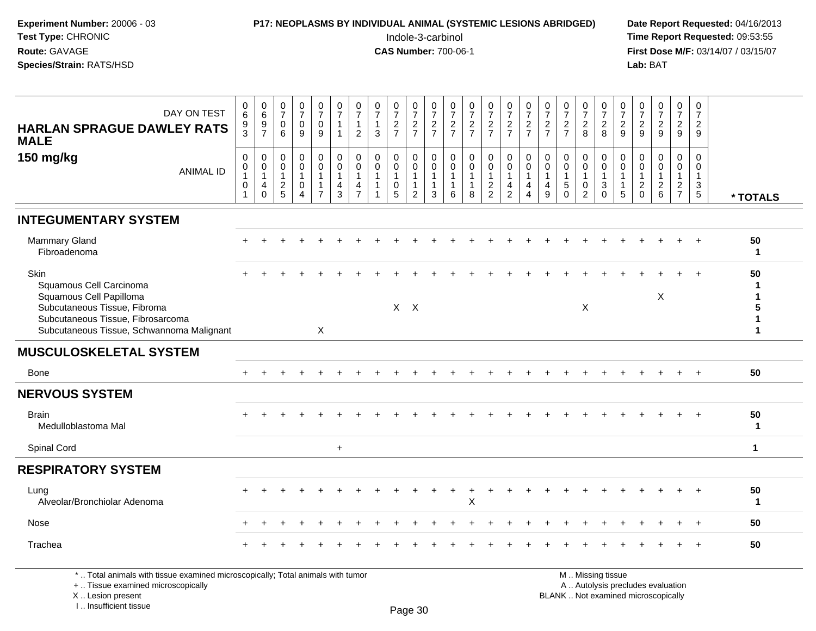| Experiment Number: 20006 - 03<br>Test Type: CHRONIC<br>Route: GAVAGE<br>Species/Strain: RATS/HSD                                                                             |                                                                     | P17: NEOPLASMS BY INDIVIDUAL ANIMAL (SYSTEMIC LESIONS ABRIDGED) |                                                   |                                                                 |                                                                    |                                          |                                            |                                               |                                |                                    | Indole-3-carbinol<br><b>CAS Number: 700-06-1</b> |                                               |                                                                 |                                                           |                                                         |                                 |                                      |                                   |                                                          |                                                              |                                            |                                                 | Lab: BAT                          |                                                   |                                                | Date Report Requested: 04/16/2013<br>Time Report Requested: 09:53:55<br>First Dose M/F: 03/14/07 / 03/15/07 |
|------------------------------------------------------------------------------------------------------------------------------------------------------------------------------|---------------------------------------------------------------------|-----------------------------------------------------------------|---------------------------------------------------|-----------------------------------------------------------------|--------------------------------------------------------------------|------------------------------------------|--------------------------------------------|-----------------------------------------------|--------------------------------|------------------------------------|--------------------------------------------------|-----------------------------------------------|-----------------------------------------------------------------|-----------------------------------------------------------|---------------------------------------------------------|---------------------------------|--------------------------------------|-----------------------------------|----------------------------------------------------------|--------------------------------------------------------------|--------------------------------------------|-------------------------------------------------|-----------------------------------|---------------------------------------------------|------------------------------------------------|-------------------------------------------------------------------------------------------------------------|
| DAY ON TEST<br><b>HARLAN SPRAGUE DAWLEY RATS</b><br><b>MALE</b>                                                                                                              | 0<br>$6\overline{6}$<br>$\frac{9}{3}$                               | $\begin{array}{c} 0 \\ 6 \end{array}$<br>$\frac{9}{7}$          | 0<br>$\overline{7}$<br>0<br>6                     | $\frac{0}{7}$<br>0<br>9                                         | $\frac{0}{7}$<br>$\pmb{0}$<br>9                                    | 0<br>$\overline{7}$<br>1<br>$\mathbf{1}$ | 0<br>$\overline{7}$<br>1<br>$\overline{c}$ | $\frac{0}{7}$<br>$\mathbf{1}$<br>$\mathbf{3}$ | $\frac{0}{7}$<br>$\frac{2}{7}$ | $\frac{0}{7}$<br>$\frac{2}{7}$     | $\frac{0}{7}$<br>$\frac{2}{7}$                   | $\frac{0}{7}$<br>$\frac{2}{7}$                | $\frac{0}{7}$<br>$\frac{2}{7}$                                  | $\frac{0}{7}$<br>$\frac{2}{7}$                            | $\frac{0}{7}$<br>$\frac{2}{7}$                          | $\frac{0}{7}$<br>$\frac{2}{7}$  | 0<br>$\overline{7}$<br>$\frac{2}{7}$ | $\frac{0}{7}$<br>$\frac{2}{7}$    | $\frac{0}{7}$<br>$_{\rm 8}^2$                            | $\frac{0}{7}$<br>8                                           | 0<br>$\overline{7}$<br>$\overline{2}$<br>9 | $\frac{0}{7}$<br>$\frac{2}{9}$                  | $\frac{0}{7}$<br>$\frac{2}{9}$    | 0<br>$\overline{7}$<br>$\frac{2}{9}$              | 0<br>$\overline{7}$<br>$\overline{2}$<br>9     |                                                                                                             |
| 150 mg/kg<br><b>ANIMAL ID</b>                                                                                                                                                | $\pmb{0}$<br>$\pmb{0}$<br>$\mathbf{1}$<br>$\pmb{0}$<br>$\mathbf{1}$ | 0<br>0<br>$\mathbf{1}$<br>$\overline{4}$<br>$\mathbf 0$         | 0<br>$\mathbf 0$<br>$\mathbf{1}$<br>$\frac{2}{5}$ | 0<br>$\mathbf 0$<br>$\mathbf{1}$<br>0<br>$\boldsymbol{\Lambda}$ | 0<br>$\mathbf 0$<br>$\mathbf{1}$<br>$\mathbf{1}$<br>$\overline{7}$ | 0<br>$\mathbf 0$<br>1<br>4<br>3          | 0<br>0<br>4                                | $\mathbf 0$<br>$\Omega$                       | 0<br>0<br>0<br>5               | 0<br>0<br>1<br>1<br>$\overline{2}$ | $\mathbf 0$<br>$\Omega$<br>$\mathbf{1}$<br>3     | 0<br>$\mathbf 0$<br>-1<br>$\overline{1}$<br>6 | $\mathbf 0$<br>$\mathbf 0$<br>$\mathbf{1}$<br>$\mathbf{1}$<br>8 | $\mathbf 0$<br>$\pmb{0}$<br>$\mathbf{1}$<br>$\frac{2}{2}$ | 0<br>$\mathbf 0$<br>$\mathbf{1}$<br>4<br>$\overline{2}$ | 0<br>0<br>$\mathbf 1$<br>4<br>4 | 0<br>0<br>$\mathbf 1$<br>4<br>9      | 0<br>0<br>$\,$ 5 $\,$<br>$\Omega$ | 0<br>$\Omega$<br>0<br>$\overline{2}$                     | 0<br>$\mathbf 0$<br>$\overline{1}$<br>$\sqrt{3}$<br>$\Omega$ | 0<br>5                                     | 0<br>$\mathbf 0$<br>$\mathbf 1$<br>$^2_{\rm 0}$ | 0<br>$\mathbf 0$<br>$\frac{2}{6}$ | 0<br>$\mathsf 0$<br>$\mathbf{1}$<br>$\frac{2}{7}$ | 0<br>0<br>$\mathbf{1}$<br>3<br>$5\overline{)}$ | * TOTALS                                                                                                    |
| <b>INTEGUMENTARY SYSTEM</b>                                                                                                                                                  |                                                                     |                                                                 |                                                   |                                                                 |                                                                    |                                          |                                            |                                               |                                |                                    |                                                  |                                               |                                                                 |                                                           |                                                         |                                 |                                      |                                   |                                                          |                                                              |                                            |                                                 |                                   |                                                   |                                                |                                                                                                             |
| <b>Mammary Gland</b><br>Fibroadenoma                                                                                                                                         |                                                                     |                                                                 |                                                   |                                                                 |                                                                    |                                          |                                            |                                               |                                |                                    |                                                  |                                               |                                                                 |                                                           |                                                         |                                 |                                      |                                   |                                                          |                                                              |                                            |                                                 |                                   |                                                   |                                                | 50<br>$\mathbf{1}$                                                                                          |
| Skin<br>Squamous Cell Carcinoma<br>Squamous Cell Papilloma<br>Subcutaneous Tissue, Fibroma<br>Subcutaneous Tissue, Fibrosarcoma<br>Subcutaneous Tissue, Schwannoma Malignant |                                                                     |                                                                 |                                                   |                                                                 | X                                                                  |                                          |                                            |                                               |                                | $X$ $X$                            |                                                  |                                               |                                                                 |                                                           |                                                         |                                 |                                      |                                   | X                                                        |                                                              |                                            |                                                 | X                                 |                                                   |                                                | 50                                                                                                          |
| <b>MUSCULOSKELETAL SYSTEM</b>                                                                                                                                                |                                                                     |                                                                 |                                                   |                                                                 |                                                                    |                                          |                                            |                                               |                                |                                    |                                                  |                                               |                                                                 |                                                           |                                                         |                                 |                                      |                                   |                                                          |                                                              |                                            |                                                 |                                   |                                                   |                                                |                                                                                                             |
| Bone                                                                                                                                                                         |                                                                     |                                                                 |                                                   |                                                                 |                                                                    |                                          |                                            |                                               |                                |                                    |                                                  |                                               |                                                                 |                                                           |                                                         |                                 |                                      |                                   |                                                          |                                                              |                                            |                                                 |                                   |                                                   |                                                | 50                                                                                                          |
| <b>NERVOUS SYSTEM</b>                                                                                                                                                        |                                                                     |                                                                 |                                                   |                                                                 |                                                                    |                                          |                                            |                                               |                                |                                    |                                                  |                                               |                                                                 |                                                           |                                                         |                                 |                                      |                                   |                                                          |                                                              |                                            |                                                 |                                   |                                                   |                                                |                                                                                                             |
| <b>Brain</b><br>Medulloblastoma Mal                                                                                                                                          |                                                                     |                                                                 |                                                   |                                                                 |                                                                    |                                          |                                            |                                               |                                |                                    |                                                  |                                               |                                                                 |                                                           |                                                         |                                 |                                      |                                   |                                                          |                                                              |                                            |                                                 |                                   |                                                   |                                                | 50<br>$\mathbf{1}$                                                                                          |
| Spinal Cord                                                                                                                                                                  |                                                                     |                                                                 |                                                   |                                                                 |                                                                    | $\ddot{}$                                |                                            |                                               |                                |                                    |                                                  |                                               |                                                                 |                                                           |                                                         |                                 |                                      |                                   |                                                          |                                                              |                                            |                                                 |                                   |                                                   |                                                | 1                                                                                                           |
| <b>RESPIRATORY SYSTEM</b>                                                                                                                                                    |                                                                     |                                                                 |                                                   |                                                                 |                                                                    |                                          |                                            |                                               |                                |                                    |                                                  |                                               |                                                                 |                                                           |                                                         |                                 |                                      |                                   |                                                          |                                                              |                                            |                                                 |                                   |                                                   |                                                |                                                                                                             |
| Lung<br>Alveolar/Bronchiolar Adenoma                                                                                                                                         |                                                                     |                                                                 |                                                   |                                                                 |                                                                    |                                          |                                            |                                               |                                |                                    |                                                  |                                               | Х                                                               |                                                           |                                                         |                                 |                                      |                                   |                                                          |                                                              |                                            |                                                 |                                   |                                                   |                                                | 50<br>$\mathbf 1$                                                                                           |
| Nose                                                                                                                                                                         |                                                                     |                                                                 |                                                   |                                                                 |                                                                    |                                          |                                            |                                               |                                |                                    |                                                  |                                               |                                                                 |                                                           |                                                         |                                 |                                      |                                   |                                                          |                                                              |                                            |                                                 |                                   |                                                   |                                                | 50                                                                                                          |
| Trachea                                                                                                                                                                      |                                                                     |                                                                 |                                                   |                                                                 |                                                                    |                                          |                                            |                                               |                                |                                    |                                                  |                                               |                                                                 |                                                           |                                                         |                                 |                                      |                                   |                                                          |                                                              |                                            |                                                 |                                   |                                                   | $\div$                                         | 50                                                                                                          |
| *  Total animals with tissue examined microscopically; Total animals with tumor<br>+  Tissue examined microscopically<br>X  Lesion present                                   |                                                                     |                                                                 |                                                   |                                                                 |                                                                    |                                          |                                            |                                               |                                |                                    |                                                  |                                               |                                                                 |                                                           |                                                         |                                 |                                      |                                   | M  Missing tissue<br>BLANK  Not examined microscopically |                                                              |                                            |                                                 |                                   | A  Autolysis precludes evaluation                 |                                                |                                                                                                             |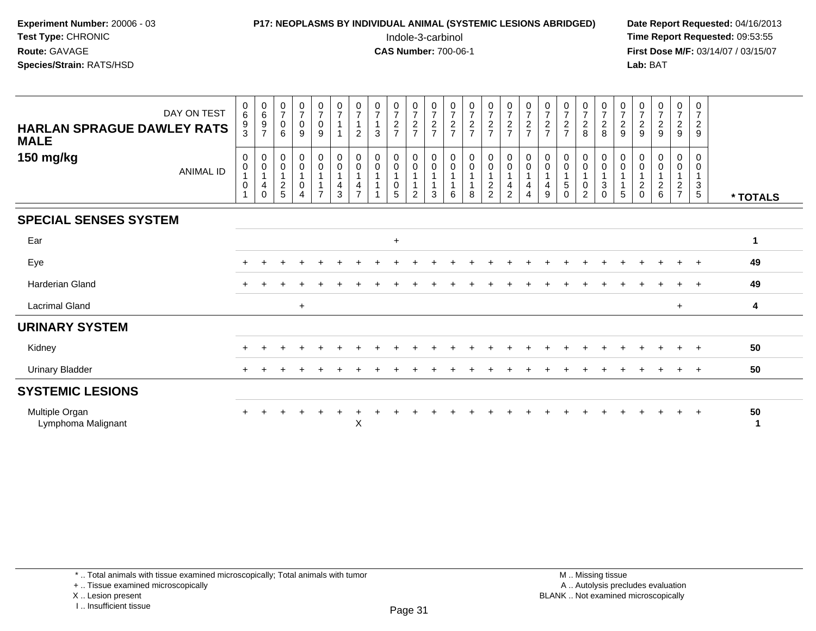| <b>P17: NEOPLASMS BY INDIVIDUAL ANIMAL (SYSTEMIC LESIONS ABRIDGED)</b> | Date Rep         |
|------------------------------------------------------------------------|------------------|
| Indole-3-carbinol                                                      | Time Rer         |
| <b>CAS Number: 700-06-1</b>                                            | <b>First Dos</b> |
|                                                                        | Lab: BAT         |
|                                                                        |                  |

## **P17: NEOPLASMS BY INDIVIDUAL ANIMAL (SYSTEMIC LESIONS ABRIDGED)** Date Report Requested: 04/16/2013<br>Indole-3-carbinol **Time Report Requested:** 09:53:55

 Indole-3-carbinol **Time Report Requested:** 09:53:55 **First Dose M/F:** 03/14/07 / 03/15/07<br>**Lab:** BAT

| DAY ON TEST<br><b>HARLAN SPRAGUE DAWLEY RATS</b><br><b>MALE</b> | $\begin{array}{c} 0 \\ 6 \end{array}$<br>$\frac{9}{3}$ | 0697                                                                  | $\frac{0}{7}$<br>$\mathbf 0$<br>6                               | $\frac{0}{7}$<br>$\pmb{0}$<br>9 | $\frac{0}{7}$<br>$\mathbf 0$<br>9                                          | $\frac{0}{7}$                                                                | $\frac{0}{7}$<br>$\overline{1}$<br>$\overline{2}$                                     | $\begin{array}{c} 0 \\ 7 \\ 1 \end{array}$<br>3 | $\frac{0}{7}$<br>$\frac{2}{7}$ | $\begin{array}{c} 0 \\ 7 \end{array}$<br>$\frac{2}{7}$               | $\frac{0}{7}$<br>$\frac{2}{7}$                    | $\frac{0}{7}$<br>$\frac{2}{7}$ | $\frac{0}{7}$<br>$\frac{2}{7}$                                                 | $\frac{0}{7}$<br>$\frac{2}{7}$                             | $\frac{0}{7}$<br>$\frac{2}{7}$                                                                           | $\frac{0}{7}$<br>$\frac{2}{7}$            | $\frac{0}{7}$<br>$\frac{2}{7}$ | $\frac{0}{7}$<br>$\frac{2}{7}$               | $\frac{0}{7}$<br>$\frac{2}{8}$ | $\frac{0}{7}$<br>8                                    | $\frac{0}{7}$<br>$\frac{2}{9}$                  | $\frac{0}{7}$<br>$\frac{2}{9}$                       | $\begin{array}{c} 0 \\ 7 \end{array}$<br>$\sqrt{2}$<br>9 | $\frac{0}{7}$<br>$\frac{2}{9}$ | $\frac{0}{7}$<br>$\frac{2}{9}$          |          |
|-----------------------------------------------------------------|--------------------------------------------------------|-----------------------------------------------------------------------|-----------------------------------------------------------------|---------------------------------|----------------------------------------------------------------------------|------------------------------------------------------------------------------|---------------------------------------------------------------------------------------|-------------------------------------------------|--------------------------------|----------------------------------------------------------------------|---------------------------------------------------|--------------------------------|--------------------------------------------------------------------------------|------------------------------------------------------------|----------------------------------------------------------------------------------------------------------|-------------------------------------------|--------------------------------|----------------------------------------------|--------------------------------|-------------------------------------------------------|-------------------------------------------------|------------------------------------------------------|----------------------------------------------------------|--------------------------------|-----------------------------------------|----------|
| 150 mg/kg<br><b>ANIMAL ID</b>                                   | 0<br>0<br>0                                            | $_{\rm 0}^{\rm 0}$<br>$\overline{1}$<br>$\overline{4}$<br>$\mathbf 0$ | $\pmb{0}$<br>$\pmb{0}$<br>$\mathbf{1}$<br>$\boldsymbol{2}$<br>5 | 0<br>$\pmb{0}$<br>0             | $\pmb{0}$<br>$\pmb{0}$<br>$\overline{1}$<br>$\mathbf{1}$<br>$\overline{7}$ | $\begin{smallmatrix} 0\\0 \end{smallmatrix}$<br>$\overline{\mathbf{4}}$<br>3 | $\begin{smallmatrix} 0\\0 \end{smallmatrix}$<br>$\overline{1}$<br>4<br>$\overline{z}$ | $\begin{smallmatrix}0\\0\end{smallmatrix}$<br>1 | 0<br>0<br>0<br>5               | $_{\rm 0}^{\rm 0}$<br>$\mathbf{1}$<br>$\mathbf{1}$<br>$\overline{2}$ | $\begin{smallmatrix} 0\\0 \end{smallmatrix}$<br>3 | $_{\rm 0}^{\rm 0}$<br>6        | $\begin{smallmatrix}0\\0\end{smallmatrix}$<br>$\mathbf 1$<br>$\mathbf{1}$<br>8 | $\begin{smallmatrix}0\0\end{smallmatrix}$<br>$\frac{2}{2}$ | $\begin{smallmatrix}0\0\0\end{smallmatrix}$<br>$\mathbf{1}$<br>$\overline{\mathbf{4}}$<br>$\overline{2}$ | $_{\rm 0}^{\rm 0}$<br>$\overline{4}$<br>4 | 0<br>$\pmb{0}$<br>4<br>9       | $\pmb{0}$<br>$\pmb{0}$<br>1<br>5<br>$\Omega$ | $_0^0$<br>0<br>$\overline{2}$  | $_{\rm 0}^{\rm 0}$<br>$\mathbf{1}$<br>$\sqrt{3}$<br>0 | $_{\rm 0}^{\rm 0}$<br>$\mathbf 1$<br>$\sqrt{5}$ | 0<br>0<br>$\mathbf{1}$<br>$\overline{2}$<br>$\Omega$ | 0<br>$\mathbf 0$<br>$\boldsymbol{2}$<br>6                | 0<br>0<br>$\frac{2}{7}$        | 0<br>0<br>$\mathbf{1}$<br>$\frac{3}{5}$ | * TOTALS |
| <b>SPECIAL SENSES SYSTEM</b>                                    |                                                        |                                                                       |                                                                 |                                 |                                                                            |                                                                              |                                                                                       |                                                 |                                |                                                                      |                                                   |                                |                                                                                |                                                            |                                                                                                          |                                           |                                |                                              |                                |                                                       |                                                 |                                                      |                                                          |                                |                                         |          |
| Ear                                                             |                                                        |                                                                       |                                                                 |                                 |                                                                            |                                                                              |                                                                                       |                                                 | $\ddot{}$                      |                                                                      |                                                   |                                |                                                                                |                                                            |                                                                                                          |                                           |                                |                                              |                                |                                                       |                                                 |                                                      |                                                          |                                |                                         | 1        |
| Eye                                                             | $\pm$                                                  |                                                                       |                                                                 |                                 |                                                                            |                                                                              |                                                                                       |                                                 |                                |                                                                      |                                                   |                                |                                                                                |                                                            |                                                                                                          |                                           |                                |                                              |                                |                                                       |                                                 |                                                      |                                                          |                                | $+$                                     | 49       |
| <b>Harderian Gland</b>                                          | $+$                                                    |                                                                       |                                                                 |                                 |                                                                            |                                                                              |                                                                                       |                                                 |                                |                                                                      |                                                   |                                |                                                                                |                                                            |                                                                                                          |                                           |                                |                                              |                                |                                                       |                                                 |                                                      |                                                          |                                | $\pm$                                   | 49       |
| <b>Lacrimal Gland</b>                                           |                                                        |                                                                       |                                                                 | $\ddot{}$                       |                                                                            |                                                                              |                                                                                       |                                                 |                                |                                                                      |                                                   |                                |                                                                                |                                                            |                                                                                                          |                                           |                                |                                              |                                |                                                       |                                                 |                                                      |                                                          | $\ddot{}$                      |                                         | 4        |
| <b>URINARY SYSTEM</b>                                           |                                                        |                                                                       |                                                                 |                                 |                                                                            |                                                                              |                                                                                       |                                                 |                                |                                                                      |                                                   |                                |                                                                                |                                                            |                                                                                                          |                                           |                                |                                              |                                |                                                       |                                                 |                                                      |                                                          |                                |                                         |          |
| Kidney                                                          |                                                        |                                                                       |                                                                 |                                 |                                                                            |                                                                              |                                                                                       |                                                 |                                |                                                                      |                                                   |                                |                                                                                |                                                            |                                                                                                          |                                           |                                |                                              |                                |                                                       |                                                 |                                                      |                                                          |                                |                                         | 50       |
| <b>Urinary Bladder</b>                                          |                                                        |                                                                       |                                                                 |                                 |                                                                            |                                                                              |                                                                                       |                                                 |                                |                                                                      |                                                   |                                |                                                                                |                                                            |                                                                                                          |                                           |                                |                                              |                                |                                                       |                                                 |                                                      |                                                          |                                | $\pm$                                   | 50       |
| <b>SYSTEMIC LESIONS</b>                                         |                                                        |                                                                       |                                                                 |                                 |                                                                            |                                                                              |                                                                                       |                                                 |                                |                                                                      |                                                   |                                |                                                                                |                                                            |                                                                                                          |                                           |                                |                                              |                                |                                                       |                                                 |                                                      |                                                          |                                |                                         |          |
| Multiple Organ<br>Lymphoma Malignant                            |                                                        |                                                                       |                                                                 |                                 |                                                                            |                                                                              | $\pmb{\times}$                                                                        |                                                 |                                |                                                                      |                                                   |                                |                                                                                |                                                            |                                                                                                          |                                           |                                |                                              |                                |                                                       |                                                 |                                                      |                                                          |                                | $+$                                     | 50<br>1  |

\* .. Total animals with tissue examined microscopically; Total animals with tumor

+ .. Tissue examined microscopically

X .. Lesion present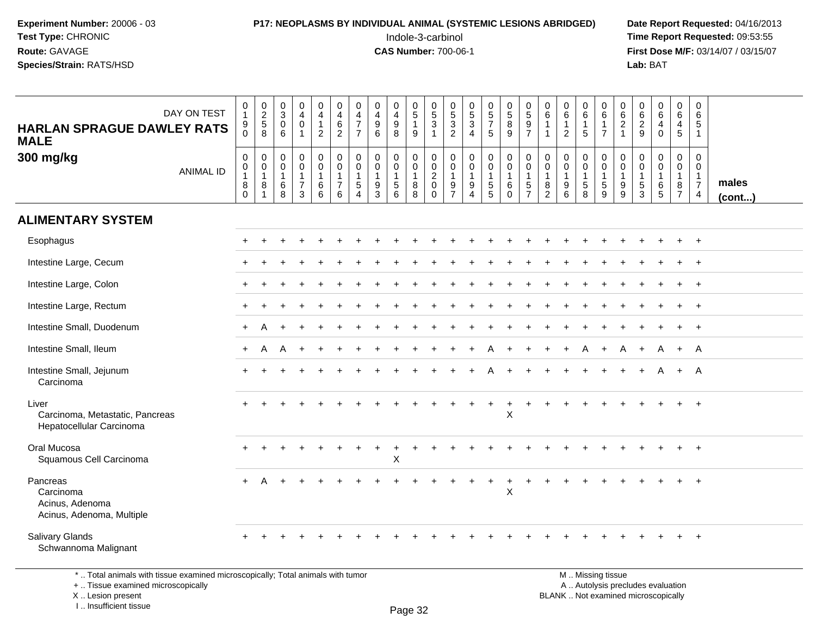#### **P17: NEOPLASMS BY INDIVIDUAL ANIMAL (SYSTEMIC LESIONS ABRIDGED)** Date Report Requested: 04/16/2013<br>Indole-3-carbinol **Time Report Requested:** 09:53:55

 Indole-3-carbinol **Time Report Requested:** 09:53:55 **First Dose M/F:** 03/14/07 / 03/15/07<br>Lab: BAT **Lab:** BAT

| DAY ON TEST<br><b>HARLAN SPRAGUE DAWLEY RATS</b><br><b>MALE</b>                                                       | $\begin{smallmatrix}0\\1\end{smallmatrix}$<br>$_{\rm 0}^{\rm 9}$                      | $\begin{array}{c} 0 \\ 2 \\ 5 \end{array}$<br>8 | $\begin{smallmatrix}0\\3\\0\end{smallmatrix}$<br>6   | $\begin{smallmatrix}0\0\4\end{smallmatrix}$<br>$\mathbf 0$<br>$\mathbf{1}$ | $\begin{smallmatrix}0\0\4\end{smallmatrix}$<br>$\mathbf{1}$<br>$\overline{2}$ | $\pmb{0}$<br>$\overline{4}$<br>$\,6\,$<br>$\overline{2}$                  | 0<br>$\overline{4}$<br>$\overline{7}$<br>$\overline{7}$                      | $\pmb{0}$<br>$\overline{4}$<br>9<br>6                               | $\pmb{0}$<br>$\overline{4}$<br>$\boldsymbol{9}$<br>8 | $\begin{array}{c} 0 \\ 5 \\ 1 \end{array}$<br>$\boldsymbol{9}$                             | $\begin{array}{c} 0 \\ 5 \\ 3 \end{array}$<br>$\mathbf{1}$                           | $\begin{array}{c} 0 \\ 5 \\ 3 \end{array}$<br>$\overline{2}$ | $\begin{array}{c} 0 \\ 5 \\ 3 \end{array}$<br>$\overline{4}$   | $\begin{array}{c} 0 \\ 5 \\ 7 \end{array}$<br>$5\phantom{.0}$                                 | $\begin{array}{c} 0 \\ 5 \end{array}$<br>8<br>9                                     | 0<br>$\overline{5}$<br>$\boldsymbol{9}$<br>$\overline{7}$ | $\begin{array}{c} 0 \\ 6 \end{array}$<br>$\mathbf{1}$<br>$\mathbf{1}$ | $\begin{array}{c} 0 \\ 6 \end{array}$<br>$\mathbf{1}$<br>$\overline{2}$ | $_{6}^{\rm 0}$<br>$\mathbf{1}$<br>$5\phantom{.0}$                         | 0<br>$\overline{6}$<br>$\mathbf{1}$<br>$\overline{7}$               | $\begin{matrix} 0 \\ 6 \\ 2 \end{matrix}$<br>$\mathbf{1}$ | $\begin{array}{c} 0 \\ 6 \end{array}$<br>$\sqrt{2}$<br>9      | $_{6}^{\rm 0}$<br>$\overline{4}$<br>$\overline{0}$ | $\begin{array}{c} 0 \\ 6 \end{array}$<br>$\frac{4}{5}$                              | 0<br>6<br>5<br>$\mathbf{1}$                                          |                 |
|-----------------------------------------------------------------------------------------------------------------------|---------------------------------------------------------------------------------------|-------------------------------------------------|------------------------------------------------------|----------------------------------------------------------------------------|-------------------------------------------------------------------------------|---------------------------------------------------------------------------|------------------------------------------------------------------------------|---------------------------------------------------------------------|------------------------------------------------------|--------------------------------------------------------------------------------------------|--------------------------------------------------------------------------------------|--------------------------------------------------------------|----------------------------------------------------------------|-----------------------------------------------------------------------------------------------|-------------------------------------------------------------------------------------|-----------------------------------------------------------|-----------------------------------------------------------------------|-------------------------------------------------------------------------|---------------------------------------------------------------------------|---------------------------------------------------------------------|-----------------------------------------------------------|---------------------------------------------------------------|----------------------------------------------------|-------------------------------------------------------------------------------------|----------------------------------------------------------------------|-----------------|
| 300 mg/kg<br><b>ANIMAL ID</b>                                                                                         | $\boldsymbol{0}$<br>$\begin{smallmatrix}0\\1\end{smallmatrix}$<br>$\bf 8$<br>$\Omega$ | 0<br>$\mathbf 0$<br>$\mathbf{1}$<br>8           | $\pmb{0}$<br>$\mathbf 0$<br>$\overline{1}$<br>$^6_8$ | $\mathsf{O}$<br>$\mathsf{O}\xspace$<br>$\mathbf{1}$<br>$\overline{7}$<br>3 | $\mathbf 0$<br>$\mathbf 0$<br>$\mathbf{1}$<br>$^6_6$                          | $\mathbf 0$<br>$\mathsf{O}\xspace$<br>$\mathbf{1}$<br>$\overline{7}$<br>6 | $\mathbf 0$<br>$\mathbf 0$<br>$\overline{1}$<br>$\sqrt{5}$<br>$\overline{A}$ | $\mathbf 0$<br>$\mathbf 0$<br>$\mathbf{1}$<br>$\boldsymbol{9}$<br>3 | 0<br>$\mathbf 0$<br>1<br>5<br>6                      | $\begin{smallmatrix}0\0\0\end{smallmatrix}$<br>$\overline{1}$<br>$\bf 8$<br>$\overline{8}$ | $\mathbf 0$<br>$\ddot{\mathbf{0}}$<br>$\overline{2}$<br>$\boldsymbol{0}$<br>$\Omega$ | 0<br>0<br>$\mathbf{1}$<br>$\frac{9}{7}$                      | $\mathbf 0$<br>$\overline{0}$<br>$\mathbf{1}$<br>$\frac{9}{4}$ | $\mathsf{O}\xspace$<br>$\mathbf 0$<br>$\overline{1}$<br>$\begin{array}{c} 5 \\ 5 \end{array}$ | $\mathbf 0$<br>$\ddot{\mathbf{0}}$<br>$\overline{1}$<br>$6\phantom{1}6$<br>$\Omega$ | 0<br>$\mathbf 0$<br>$\mathbf{1}$<br>5<br>$\overline{7}$   | $_{\rm 0}^{\rm 0}$<br>$\mathbf{1}$<br>$\bf 8$<br>$\overline{2}$       | 0<br>$\mathsf{O}$<br>$\mathbf{1}$<br>9<br>$\overline{6}$                | 0<br>$\mathbf 0$<br>$\mathbf{1}$<br>$\begin{array}{c} 5 \\ 8 \end{array}$ | $\mathbf 0$<br>$\ddot{\mathbf{0}}$<br>$\mathbf{1}$<br>$\frac{5}{9}$ | $\mathbf 0$<br>$\mathbf 0$<br>$\overline{1}$<br>$_{9}^9$  | $\mathbf 0$<br>$\mathbf 0$<br>$\overline{1}$<br>$\frac{5}{3}$ | 0<br>$\mathbf{0}$<br>1<br>6<br>5                   | $\mathsf 0$<br>$\mathbf 0$<br>$\mathbf{1}$<br>$\begin{array}{c} 8 \\ 7 \end{array}$ | $\mathbf 0$<br>0<br>$\mathbf{1}$<br>$\overline{7}$<br>$\overline{4}$ | males<br>(cont) |
| <b>ALIMENTARY SYSTEM</b>                                                                                              |                                                                                       |                                                 |                                                      |                                                                            |                                                                               |                                                                           |                                                                              |                                                                     |                                                      |                                                                                            |                                                                                      |                                                              |                                                                |                                                                                               |                                                                                     |                                                           |                                                                       |                                                                         |                                                                           |                                                                     |                                                           |                                                               |                                                    |                                                                                     |                                                                      |                 |
| Esophagus                                                                                                             |                                                                                       |                                                 |                                                      |                                                                            |                                                                               |                                                                           |                                                                              |                                                                     |                                                      |                                                                                            |                                                                                      |                                                              |                                                                |                                                                                               |                                                                                     |                                                           |                                                                       |                                                                         |                                                                           |                                                                     |                                                           |                                                               |                                                    |                                                                                     | $+$                                                                  |                 |
| Intestine Large, Cecum                                                                                                |                                                                                       |                                                 |                                                      |                                                                            |                                                                               |                                                                           |                                                                              |                                                                     |                                                      |                                                                                            |                                                                                      |                                                              |                                                                |                                                                                               |                                                                                     |                                                           |                                                                       |                                                                         |                                                                           |                                                                     |                                                           |                                                               |                                                    |                                                                                     | $\overline{1}$                                                       |                 |
| Intestine Large, Colon                                                                                                |                                                                                       |                                                 |                                                      |                                                                            |                                                                               |                                                                           |                                                                              |                                                                     |                                                      |                                                                                            |                                                                                      |                                                              |                                                                |                                                                                               |                                                                                     |                                                           |                                                                       |                                                                         |                                                                           |                                                                     |                                                           |                                                               |                                                    |                                                                                     | $+$                                                                  |                 |
| Intestine Large, Rectum                                                                                               |                                                                                       |                                                 |                                                      |                                                                            |                                                                               |                                                                           |                                                                              |                                                                     |                                                      |                                                                                            |                                                                                      |                                                              |                                                                |                                                                                               |                                                                                     |                                                           |                                                                       |                                                                         |                                                                           |                                                                     |                                                           |                                                               |                                                    |                                                                                     | $^{+}$                                                               |                 |
| Intestine Small, Duodenum                                                                                             |                                                                                       |                                                 |                                                      |                                                                            |                                                                               |                                                                           |                                                                              |                                                                     |                                                      |                                                                                            |                                                                                      |                                                              |                                                                |                                                                                               |                                                                                     |                                                           |                                                                       |                                                                         |                                                                           |                                                                     |                                                           |                                                               |                                                    |                                                                                     | $+$                                                                  |                 |
| Intestine Small, Ileum                                                                                                |                                                                                       | A                                               |                                                      |                                                                            |                                                                               |                                                                           |                                                                              |                                                                     |                                                      |                                                                                            |                                                                                      |                                                              |                                                                |                                                                                               |                                                                                     |                                                           |                                                                       |                                                                         |                                                                           |                                                                     |                                                           |                                                               | A                                                  | $+$                                                                                 | A                                                                    |                 |
| Intestine Small, Jejunum<br>Carcinoma                                                                                 |                                                                                       |                                                 |                                                      |                                                                            |                                                                               |                                                                           |                                                                              |                                                                     |                                                      |                                                                                            |                                                                                      |                                                              |                                                                |                                                                                               |                                                                                     |                                                           |                                                                       |                                                                         |                                                                           |                                                                     |                                                           |                                                               |                                                    | $+$                                                                                 | A                                                                    |                 |
| Liver<br>Carcinoma, Metastatic, Pancreas<br>Hepatocellular Carcinoma                                                  |                                                                                       |                                                 |                                                      |                                                                            |                                                                               |                                                                           |                                                                              |                                                                     |                                                      |                                                                                            |                                                                                      |                                                              |                                                                |                                                                                               | $\times$                                                                            |                                                           |                                                                       |                                                                         |                                                                           |                                                                     |                                                           |                                                               |                                                    |                                                                                     | $+$                                                                  |                 |
| Oral Mucosa<br>Squamous Cell Carcinoma                                                                                |                                                                                       |                                                 |                                                      |                                                                            |                                                                               |                                                                           |                                                                              |                                                                     | $\ddot{}$<br>X                                       |                                                                                            | ÷.                                                                                   |                                                              |                                                                |                                                                                               |                                                                                     |                                                           |                                                                       |                                                                         |                                                                           |                                                                     |                                                           |                                                               |                                                    |                                                                                     | $+$                                                                  |                 |
| Pancreas<br>Carcinoma<br>Acinus, Adenoma<br>Acinus, Adenoma, Multiple                                                 | $+$                                                                                   |                                                 |                                                      |                                                                            |                                                                               |                                                                           |                                                                              |                                                                     |                                                      |                                                                                            |                                                                                      |                                                              |                                                                |                                                                                               | $\boldsymbol{\mathsf{X}}$                                                           |                                                           |                                                                       |                                                                         |                                                                           |                                                                     |                                                           |                                                               |                                                    |                                                                                     |                                                                      |                 |
| Salivary Glands<br>Schwannoma Malignant                                                                               |                                                                                       |                                                 |                                                      |                                                                            |                                                                               |                                                                           |                                                                              |                                                                     |                                                      |                                                                                            |                                                                                      |                                                              |                                                                |                                                                                               |                                                                                     |                                                           |                                                                       |                                                                         |                                                                           |                                                                     |                                                           |                                                               |                                                    | $+$                                                                                 | $+$                                                                  |                 |
| *  Total animals with tissue examined microscopically; Total animals with tumor<br>+  Tissue examined microscopically |                                                                                       |                                                 |                                                      |                                                                            |                                                                               |                                                                           |                                                                              |                                                                     |                                                      |                                                                                            |                                                                                      |                                                              |                                                                |                                                                                               |                                                                                     |                                                           |                                                                       |                                                                         |                                                                           | M  Missing tissue<br>A  Autolysis precludes evaluation              |                                                           |                                                               |                                                    |                                                                                     |                                                                      |                 |

X .. Lesion present

I .. Insufficient tissue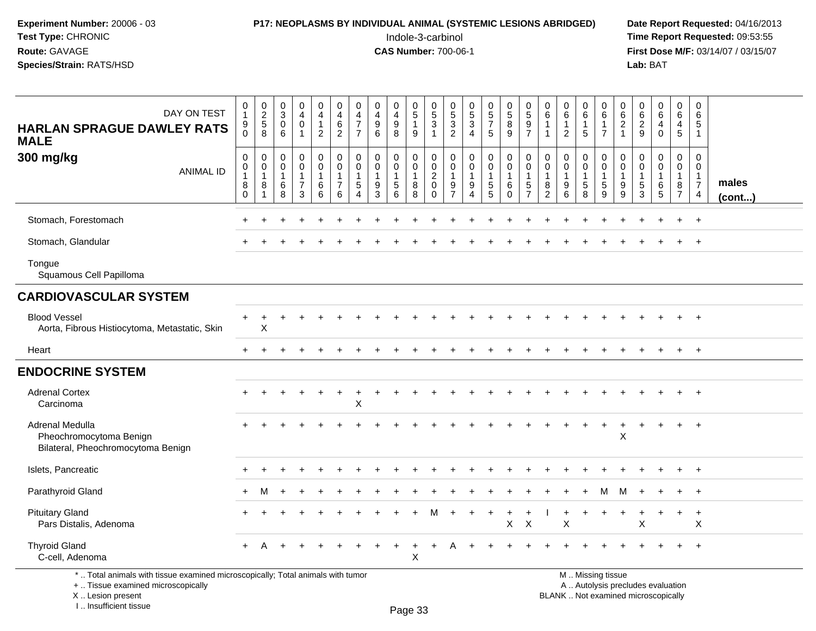#### **P17: NEOPLASMS BY INDIVIDUAL ANIMAL (SYSTEMIC LESIONS ABRIDGED)** Date Report Requested: 04/16/2013<br>Indole-3-carbinol **Time Report Requested:** 09:53:55

 Indole-3-carbinol **Time Report Requested:** 09:53:55 **First Dose M/F:** 03/14/07 / 03/15/07<br>**Lab:** BAT **Lab:** BAT

| DAY ON TEST<br><b>HARLAN SPRAGUE DAWLEY RATS</b><br><b>MALE</b>                                                       | $\begin{smallmatrix}0\1\end{smallmatrix}$<br>9<br>$\Omega$           | $\begin{array}{c} 0 \\ 2 \\ 5 \end{array}$<br>8 | $\frac{0}{3}$<br>$\mathbf 0$<br>6 | $\pmb{0}$<br>$\overline{\mathbf{4}}$<br>$\pmb{0}$<br>$\overline{1}$          | $\mathbf 0$<br>$\overline{4}$<br>$\mathbf{1}$<br>$\overline{2}$  | 0<br>$\overline{4}$<br>$\,6\,$<br>$\overline{2}$                         | 0<br>$\overline{4}$<br>$\overline{7}$<br>$\overline{7}$ | $\boldsymbol{0}$<br>$\overline{4}$<br>$\boldsymbol{9}$<br>6 | 0<br>$\overline{4}$<br>$\boldsymbol{9}$<br>8 | $\begin{matrix} 0 \\ 5 \end{matrix}$<br>$\mathbf{1}$<br>9 | $\begin{array}{c} 0 \\ 5 \\ 3 \end{array}$<br>$\blacktriangleleft$               | $\begin{array}{c} 0 \\ 5 \\ 3 \end{array}$<br>2                   | $\begin{array}{c} 0 \\ 5 \\ 3 \end{array}$<br>$\overline{4}$                     | $\begin{array}{c} 0 \\ 5 \\ 7 \end{array}$<br>5                        | $\begin{array}{c} 0 \\ 5 \end{array}$<br>8<br>9                            | $\frac{0}{5}$<br>$\boldsymbol{9}$<br>$\overline{7}$     | 0<br>$\,6\,$<br>$\mathbf{1}$<br>$\mathbf{1}$  | $_6^0$<br>$\mathbf{1}$<br>$\overline{2}$   | $\begin{array}{c} 0 \\ 6 \end{array}$<br>$\mathbf{1}$<br>$\sqrt{5}$ | 0<br>$\overline{6}$<br>$\mathbf{1}$<br>$\overline{7}$   | $\begin{matrix} 0 \\ 6 \end{matrix}$<br>$\overline{2}$<br>$\overline{1}$ | $\begin{matrix} 0 \\ 6 \\ 2 \end{matrix}$<br>9                    | $\begin{matrix} 0 \\ 6 \end{matrix}$<br>4<br>$\mathbf 0$ | 0<br>6<br>$\overline{4}$<br>$5\phantom{.0}$                       | 0<br>$\,6\,$<br>5<br>-1                                              |                 |
|-----------------------------------------------------------------------------------------------------------------------|----------------------------------------------------------------------|-------------------------------------------------|-----------------------------------|------------------------------------------------------------------------------|------------------------------------------------------------------|--------------------------------------------------------------------------|---------------------------------------------------------|-------------------------------------------------------------|----------------------------------------------|-----------------------------------------------------------|----------------------------------------------------------------------------------|-------------------------------------------------------------------|----------------------------------------------------------------------------------|------------------------------------------------------------------------|----------------------------------------------------------------------------|---------------------------------------------------------|-----------------------------------------------|--------------------------------------------|---------------------------------------------------------------------|---------------------------------------------------------|--------------------------------------------------------------------------|-------------------------------------------------------------------|----------------------------------------------------------|-------------------------------------------------------------------|----------------------------------------------------------------------|-----------------|
| 300 mg/kg<br><b>ANIMAL ID</b>                                                                                         | $\pmb{0}$<br>$\mathbf 0$<br>$\overline{1}$<br>$\bf 8$<br>$\mathbf 0$ | $\mathbf 0$<br>0<br>$\mathbf{1}$<br>8<br>1      | 0<br>0<br>$\mathbf{1}$<br>6<br>8  | $\mathbf 0$<br>$\mathbf 0$<br>$\mathbf{1}$<br>$\overline{7}$<br>$\mathbf{3}$ | $\mathbf 0$<br>$\mathbf 0$<br>$\mathbf{1}$<br>$\,6\,$<br>$\,6\,$ | $\mathsf{O}$<br>$\mathbf 0$<br>$\mathbf{1}$<br>$\overline{7}$<br>$\,6\,$ | $\mathbf 0$<br>$\mathbf 0$<br>$\mathbf{1}$<br>5<br>4    | $\mathbf 0$<br>$\mathbf 0$<br>$\mathbf{1}$<br>9<br>3        | 0<br>$\mathbf 0$<br>$\mathbf{1}$<br>5<br>6   | 0<br>$\mathbf 0$<br>$\mathbf{1}$<br>8<br>8                | $\mathbf 0$<br>$\mathsf{O}\xspace$<br>$\overline{c}$<br>$\pmb{0}$<br>$\mathbf 0$ | $\mathbf 0$<br>$\mathbf 0$<br>$\mathbf{1}$<br>9<br>$\overline{7}$ | $\mathbf 0$<br>$\mathbf 0$<br>$\mathbf{1}$<br>$\boldsymbol{9}$<br>$\overline{4}$ | $\mathbf 0$<br>$\mathbf 0$<br>$\mathbf{1}$<br>$\sqrt{5}$<br>$\sqrt{5}$ | $\pmb{0}$<br>$\mathbf 0$<br>$\mathbf{1}$<br>$6\phantom{1}6$<br>$\mathbf 0$ | 0<br>$\mathbf 0$<br>$\mathbf{1}$<br>5<br>$\overline{7}$ | 0<br>0<br>$\mathbf{1}$<br>8<br>$\overline{2}$ | 0<br>$\mathbf 0$<br>$\mathbf{1}$<br>9<br>6 | 0<br>0<br>$\mathbf{1}$<br>$\sqrt{5}$<br>8                           | 0<br>$\mathbf 0$<br>$\mathbf{1}$<br>$\sqrt{5}$<br>$9\,$ | 0<br>$\mathbf 0$<br>$\overline{1}$<br>9<br>$9\,$                         | $\mathbf 0$<br>$\mathbf 0$<br>$\mathbf{1}$<br>$\overline{5}$<br>3 | 0<br>$\mathbf 0$<br>$\mathbf{1}$<br>$\,6\,$<br>5         | $\mathbf 0$<br>$\mathbf 0$<br>$\mathbf{1}$<br>8<br>$\overline{7}$ | 0<br>$\mathbf 0$<br>$\mathbf{1}$<br>$\overline{7}$<br>$\overline{4}$ | males<br>(cont) |
| Stomach, Forestomach                                                                                                  |                                                                      |                                                 |                                   |                                                                              |                                                                  |                                                                          |                                                         |                                                             |                                              |                                                           |                                                                                  |                                                                   |                                                                                  |                                                                        |                                                                            |                                                         |                                               |                                            |                                                                     |                                                         |                                                                          |                                                                   |                                                          |                                                                   | $\ddot{}$                                                            |                 |
| Stomach, Glandular                                                                                                    |                                                                      |                                                 |                                   |                                                                              |                                                                  |                                                                          |                                                         |                                                             |                                              |                                                           |                                                                                  |                                                                   |                                                                                  |                                                                        |                                                                            |                                                         |                                               |                                            |                                                                     |                                                         |                                                                          |                                                                   |                                                          |                                                                   | $+$                                                                  |                 |
| Tongue<br>Squamous Cell Papilloma                                                                                     |                                                                      |                                                 |                                   |                                                                              |                                                                  |                                                                          |                                                         |                                                             |                                              |                                                           |                                                                                  |                                                                   |                                                                                  |                                                                        |                                                                            |                                                         |                                               |                                            |                                                                     |                                                         |                                                                          |                                                                   |                                                          |                                                                   |                                                                      |                 |
| <b>CARDIOVASCULAR SYSTEM</b>                                                                                          |                                                                      |                                                 |                                   |                                                                              |                                                                  |                                                                          |                                                         |                                                             |                                              |                                                           |                                                                                  |                                                                   |                                                                                  |                                                                        |                                                                            |                                                         |                                               |                                            |                                                                     |                                                         |                                                                          |                                                                   |                                                          |                                                                   |                                                                      |                 |
| <b>Blood Vessel</b><br>Aorta, Fibrous Histiocytoma, Metastatic, Skin                                                  |                                                                      | $\ddot{}$<br>X                                  |                                   |                                                                              |                                                                  |                                                                          |                                                         |                                                             |                                              |                                                           |                                                                                  |                                                                   |                                                                                  |                                                                        |                                                                            |                                                         |                                               |                                            |                                                                     |                                                         |                                                                          |                                                                   |                                                          |                                                                   | $\ddot{}$                                                            |                 |
| Heart                                                                                                                 | $+$                                                                  | $\ddot{}$                                       |                                   |                                                                              |                                                                  |                                                                          |                                                         |                                                             |                                              |                                                           |                                                                                  |                                                                   |                                                                                  |                                                                        |                                                                            |                                                         |                                               |                                            |                                                                     |                                                         |                                                                          |                                                                   | $\ddot{}$                                                |                                                                   | $+$                                                                  |                 |
| <b>ENDOCRINE SYSTEM</b>                                                                                               |                                                                      |                                                 |                                   |                                                                              |                                                                  |                                                                          |                                                         |                                                             |                                              |                                                           |                                                                                  |                                                                   |                                                                                  |                                                                        |                                                                            |                                                         |                                               |                                            |                                                                     |                                                         |                                                                          |                                                                   |                                                          |                                                                   |                                                                      |                 |
| <b>Adrenal Cortex</b><br>Carcinoma                                                                                    |                                                                      |                                                 |                                   |                                                                              |                                                                  |                                                                          | X                                                       |                                                             |                                              |                                                           |                                                                                  |                                                                   |                                                                                  |                                                                        |                                                                            |                                                         |                                               |                                            |                                                                     |                                                         |                                                                          |                                                                   |                                                          |                                                                   |                                                                      |                 |
| Adrenal Medulla<br>Pheochromocytoma Benign<br>Bilateral, Pheochromocytoma Benign                                      |                                                                      |                                                 |                                   |                                                                              |                                                                  |                                                                          |                                                         |                                                             |                                              |                                                           |                                                                                  |                                                                   |                                                                                  |                                                                        |                                                                            |                                                         |                                               |                                            |                                                                     |                                                         | $\mathsf X$                                                              |                                                                   |                                                          |                                                                   |                                                                      |                 |
| Islets, Pancreatic                                                                                                    |                                                                      |                                                 |                                   |                                                                              |                                                                  |                                                                          |                                                         |                                                             |                                              |                                                           |                                                                                  |                                                                   |                                                                                  |                                                                        |                                                                            |                                                         |                                               |                                            |                                                                     |                                                         |                                                                          |                                                                   |                                                          |                                                                   | $\div$                                                               |                 |
| Parathyroid Gland                                                                                                     |                                                                      | м                                               |                                   |                                                                              |                                                                  |                                                                          |                                                         |                                                             |                                              |                                                           |                                                                                  |                                                                   |                                                                                  |                                                                        |                                                                            |                                                         |                                               |                                            |                                                                     | м                                                       | м                                                                        |                                                                   |                                                          |                                                                   | $\ddot{}$                                                            |                 |
| <b>Pituitary Gland</b><br>Pars Distalis, Adenoma                                                                      |                                                                      |                                                 |                                   |                                                                              |                                                                  |                                                                          |                                                         |                                                             |                                              |                                                           | м                                                                                |                                                                   |                                                                                  | $\ddot{}$                                                              | $\ddot{}$<br>X                                                             | $\times$                                                |                                               | X                                          |                                                                     |                                                         |                                                                          | X                                                                 |                                                          | $\ddot{}$                                                         | $\ddot{}$<br>X                                                       |                 |
| <b>Thyroid Gland</b><br>C-cell, Adenoma                                                                               |                                                                      |                                                 |                                   |                                                                              |                                                                  |                                                                          |                                                         |                                                             |                                              | X                                                         |                                                                                  |                                                                   |                                                                                  |                                                                        |                                                                            |                                                         |                                               |                                            |                                                                     |                                                         |                                                                          |                                                                   |                                                          |                                                                   |                                                                      |                 |
| *  Total animals with tissue examined microscopically; Total animals with tumor<br>+  Tissue examined microscopically |                                                                      |                                                 |                                   |                                                                              |                                                                  |                                                                          |                                                         |                                                             |                                              |                                                           |                                                                                  |                                                                   |                                                                                  |                                                                        |                                                                            |                                                         |                                               |                                            |                                                                     | M  Missing tissue<br>A  Autolysis precludes evaluation  |                                                                          |                                                                   |                                                          |                                                                   |                                                                      |                 |

X .. Lesion present

I .. Insufficient tissue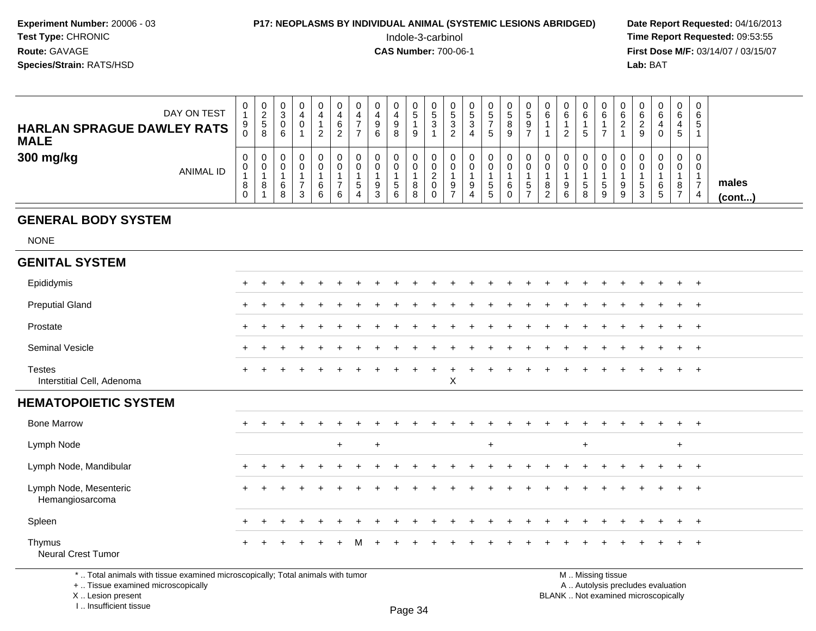#### **P17: NEOPLASMS BY INDIVIDUAL ANIMAL (SYSTEMIC LESIONS ABRIDGED)** Date Report Requested: 04/16/2013<br>Indole-3-carbinol **Time Report Requested:** 09:53:55

 Indole-3-carbinol **Time Report Requested:** 09:53:55 **First Dose M/F:** 03/14/07 / 03/15/07<br>**Lab: BAT Lab:** BAT

| DAY ON TEST<br><b>HARLAN SPRAGUE DAWLEY RATS</b><br><b>MALE</b> | 0<br>9<br>υ | 0<br><u>_</u><br><sub>5</sub><br>8 | U<br>ີ<br>P<br>U<br>6 | 0<br>0 | ▃ | J<br>6<br>ے | 0           | 4<br>◡<br>6   | 0<br>9<br>8  | J.<br>3     | υ<br>'5<br>ູບ<br>_ | <sub>5</sub><br>ົ<br>◡ | 0<br>.5<br>G     | $\circ$ | -                 | U<br>6                  | 0<br>6<br>っ<br><u>_</u> | 0<br>6<br>5       |   | 6 | U<br>6<br>9         | 0<br>6<br>4<br>0            | 0<br>6<br>5      | ັ |                       |
|-----------------------------------------------------------------|-------------|------------------------------------|-----------------------|--------|---|-------------|-------------|---------------|--------------|-------------|--------------------|------------------------|------------------|---------|-------------------|-------------------------|-------------------------|-------------------|---|---|---------------------|-----------------------------|------------------|---|-----------------------|
| 300 mg/kg<br><b>ANIMAL ID</b>                                   | 0<br>0<br>8 | 0<br>0<br>8                        | U<br>6<br>8           | 0<br>3 | 6 | υ<br>6      | 0<br>ა<br>4 | 9<br>ົ<br>- J | 0<br>.5<br>6 | $\sim$<br>▵ | υ<br>9             | 9<br>4                 | 0<br>0<br>G<br>G |         | U<br><sub>5</sub> | U<br>U<br>8<br><u>.</u> | 0<br>0<br>9<br>6        | 0<br>0<br>.5<br>8 | G |   | U<br>৾৾<br><b>ت</b> | 0<br>0<br>6<br>$\mathbf{p}$ | 0<br>0<br>8<br>- | 4 | males<br>$($ cont $)$ |

#### **GENERAL BODY SYSTEM**

NONE

| <b>GENITAL SYSTEM</b>                       |           |       |           |       |     |     |       |     |     |          |     |     |     |           |     |        |     |     |     |     |         |     |  |
|---------------------------------------------|-----------|-------|-----------|-------|-----|-----|-------|-----|-----|----------|-----|-----|-----|-----------|-----|--------|-----|-----|-----|-----|---------|-----|--|
| Epididymis                                  | $+$       |       | $\ddot{}$ | $\pm$ |     |     |       |     |     |          |     |     |     |           |     |        |     |     |     |     | $+$     | $+$ |  |
| <b>Preputial Gland</b>                      | $+$       |       |           | $+$   |     |     |       |     |     |          | $+$ | $+$ | $+$ |           |     | $\div$ | $+$ | $+$ | $+$ | $+$ | $+$ $+$ |     |  |
| Prostate                                    | $+$       | $\pm$ | $\pm$     |       |     |     |       |     |     |          |     |     |     |           |     |        |     |     |     |     | $+$ $+$ |     |  |
| Seminal Vesicle                             | $\ddot{}$ |       |           |       |     |     |       |     |     |          |     |     |     |           |     |        |     |     |     |     | $+$ $+$ |     |  |
| <b>Testes</b><br>Interstitial Cell, Adenoma | $+$       |       |           |       |     |     | $\pm$ | $+$ | $+$ | $+$<br>X | $+$ | $+$ | $+$ | $\ddot{}$ | $+$ | $\div$ | $+$ |     |     |     | $+$     | $+$ |  |
| <b>HEMATOPOIETIC SYSTEM</b>                 |           |       |           |       |     |     |       |     |     |          |     |     |     |           |     |        |     |     |     |     |         |     |  |
| <b>Bone Marrow</b>                          | $\ddot{}$ |       | $\div$    | $\pm$ |     |     |       |     |     |          |     |     |     |           |     |        |     |     |     |     | $+$     | $+$ |  |
|                                             |           |       |           |       |     |     |       |     |     |          |     |     |     |           |     |        |     |     |     |     |         |     |  |
| Lymph Node                                  |           |       |           |       | $+$ | $+$ |       |     |     |          |     | $+$ |     |           |     |        | $+$ |     |     |     | $+$     |     |  |
| Lymph Node, Mandibular                      | $\ddot{}$ |       |           |       |     |     |       |     |     |          |     |     |     |           |     |        |     |     |     |     | $+$     | $+$ |  |
| Lymph Node, Mesenteric<br>Hemangiosarcoma   | $+$       |       |           |       |     |     |       |     |     |          |     |     |     |           |     |        |     |     |     |     | $+$ $+$ |     |  |
| Spleen                                      | $\ddot{}$ |       |           |       |     |     |       |     |     |          |     |     |     |           |     |        |     |     |     |     | $+$ $+$ |     |  |

\* .. Total animals with tissue examined microscopically; Total animals with tumor

+ .. Tissue examined microscopically

X .. Lesion present

I .. Insufficient tissue

M .. Missing tissue

y the contract of the contract of the contract of the contract of the contract of  $\mathsf A$  . Autolysis precludes evaluation Lesion present BLANK .. Not examined microscopically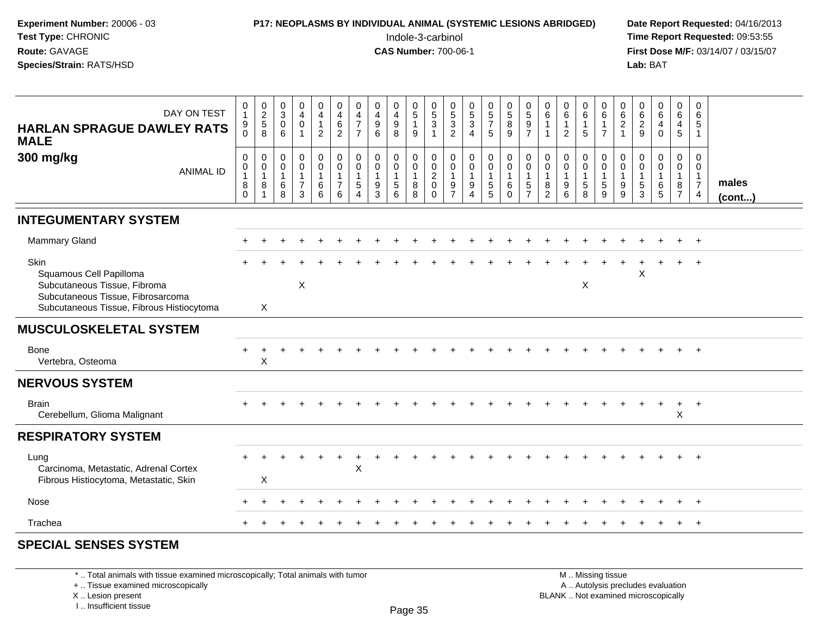| Experiment Number: 20006 - 03<br>Test Type: CHRONIC<br>Route: GAVAGE<br>Species/Strain: RATS/HSD                                                  |                                                            |                                                                 |                                                      |                                                     |                                                       |                                                                    |                                                                              |                                                       |                                                      | Indole-3-carbinol<br><b>CAS Number: 700-06-1</b> |                                                     |                                                             |                                              |                                                              | P17: NEOPLASMS BY INDIVIDUAL ANIMAL (SYSTEMIC LESIONS ABRIDGED) |                                                              |                                                                     |                                                       |                                                   |                                                        |                                                            | Lab: BAT                                                               |                                                      |                                                           |                                                          | Date Report Requested: 04/16/2013<br>Time Report Requested: 09:53:55<br>First Dose M/F: 03/14/07 / 03/15/07 |
|---------------------------------------------------------------------------------------------------------------------------------------------------|------------------------------------------------------------|-----------------------------------------------------------------|------------------------------------------------------|-----------------------------------------------------|-------------------------------------------------------|--------------------------------------------------------------------|------------------------------------------------------------------------------|-------------------------------------------------------|------------------------------------------------------|--------------------------------------------------|-----------------------------------------------------|-------------------------------------------------------------|----------------------------------------------|--------------------------------------------------------------|-----------------------------------------------------------------|--------------------------------------------------------------|---------------------------------------------------------------------|-------------------------------------------------------|---------------------------------------------------|--------------------------------------------------------|------------------------------------------------------------|------------------------------------------------------------------------|------------------------------------------------------|-----------------------------------------------------------|----------------------------------------------------------|-------------------------------------------------------------------------------------------------------------|
| DAY ON TEST<br><b>HARLAN SPRAGUE DAWLEY RATS</b><br><b>MALE</b>                                                                                   | 0<br>$\mathbf{1}$<br>$_{0}^{9}$                            | $0$<br>$2$<br>$5$<br>$8$                                        | 0<br>$\overline{3}$<br>$\mathbf 0$<br>6              | 0<br>$\overline{4}$<br>$\Omega$<br>1                | 0<br>$\overline{4}$<br>$\mathbf{1}$<br>$\overline{2}$ | $\begin{smallmatrix}0\0\4\end{smallmatrix}$<br>6<br>$\overline{2}$ | 0<br>$\overline{4}$<br>$\overline{7}$<br>$\overline{7}$                      | 0<br>$\overline{4}$<br>$\boldsymbol{9}$<br>6          | 0<br>$\overline{4}$<br>$\boldsymbol{9}$<br>8         | 0<br>$\overline{5}$<br>$\mathbf{1}$<br>9         | $\begin{array}{c} 0 \\ 5 \\ 3 \\ 1 \end{array}$     | $053$<br>2                                                  | 0<br>$\overline{5}$<br>$\mathbf{3}$<br>4     | $\begin{array}{c} 0 \\ 5 \end{array}$<br>$\overline{7}$<br>5 | 0<br>5<br>8<br>9                                                | $\begin{smallmatrix}0\0\5\end{smallmatrix}$<br>$\frac{9}{7}$ | 0<br>6<br>$\overline{1}$<br>$\overline{1}$                          | 0<br>$\,6\,$<br>$\mathbf{1}$<br>2                     | 0<br>6<br>$\mathbf{1}$<br>5                       | 0<br>$6\overline{6}$<br>$\mathbf{1}$<br>$\overline{7}$ | 0<br>$\overline{6}$<br>$\frac{2}{1}$                       | 0<br>$\begin{array}{c} 6 \\ 2 \\ 9 \end{array}$                        | $\mathbf 0$<br>$\,6\,$<br>$\overline{4}$<br>$\Omega$ | $\mathbf 0$<br>6<br>4<br>5                                | 0<br>$\,6\,$<br>5<br>$\mathbf{1}$                        |                                                                                                             |
| 300 mg/kg<br><b>ANIMAL ID</b>                                                                                                                     | 0<br>$\mathbf 0$<br>$\mathbf{1}$<br>$\bf 8$<br>$\mathbf 0$ | $\mathbf 0$<br>$\overline{0}$<br>1<br>$\,8\,$<br>$\overline{1}$ | $\mathbf 0$<br>$\mathbf 0$<br>$\mathbf{1}$<br>6<br>8 | $\mathbf 0$<br>$\Omega$<br>1<br>$\overline{7}$<br>3 | 0<br>$\overline{0}$<br>$\mathbf{1}$<br>6<br>6         | $\mathbf 0$<br>$\mathbf 0$<br>$\mathbf{1}$<br>$\overline{7}$<br>6  | $\mathbf 0$<br>$\mathbf 0$<br>$\overline{1}$<br>$\sqrt{5}$<br>$\overline{4}$ | $\mathbf 0$<br>$\mathbf{0}$<br>$\mathbf{1}$<br>9<br>3 | $\mathbf 0$<br>$\mathbf 0$<br>$\mathbf{1}$<br>5<br>6 | 0<br>0<br>$\mathbf{1}$<br>8<br>8                 | 0<br>$\overline{0}$<br>$\frac{2}{0}$<br>$\mathbf 0$ | $\mathbf 0$<br>$\mathbf 0$<br>$\mathbf{1}$<br>$\frac{9}{7}$ | 0<br>$\mathbf 0$<br>$\overline{1}$<br>9<br>4 | $\mathbf 0$<br>$\mathbf 0$<br>1<br>5<br>5                    | 0<br>$\overline{0}$<br>$\mathbf{1}$<br>6<br>$\mathbf 0$         | 0<br>$\boldsymbol{0}$<br>$\mathbf{1}$<br>$\frac{5}{7}$       | $\mathbf 0$<br>$\mathbf 0$<br>$\overline{1}$<br>8<br>$\overline{2}$ | $\mathbf 0$<br>$\mathbf{0}$<br>$\mathbf{1}$<br>9<br>6 | $\mathbf 0$<br>$\Omega$<br>$\mathbf{1}$<br>5<br>8 | 0<br>0<br>$\mathbf 1$<br>5<br>9                        | 0<br>$\overline{0}$<br>$\mathbf{1}$<br>$_{9}^{\mathrm{9}}$ | $\mathbf 0$<br>$\Omega$<br>$\mathbf{1}$<br>$\,$ 5 $\,$<br>$\mathbf{3}$ | $\Omega$<br>$\Omega$<br>6<br>5                       | $\mathbf 0$<br>$\Omega$<br>1<br>$\bf 8$<br>$\overline{7}$ | 0<br>$\Omega$<br>1<br>$\boldsymbol{7}$<br>$\overline{4}$ | males<br>(cont)                                                                                             |
| <b>INTEGUMENTARY SYSTEM</b>                                                                                                                       |                                                            |                                                                 |                                                      |                                                     |                                                       |                                                                    |                                                                              |                                                       |                                                      |                                                  |                                                     |                                                             |                                              |                                                              |                                                                 |                                                              |                                                                     |                                                       |                                                   |                                                        |                                                            |                                                                        |                                                      |                                                           |                                                          |                                                                                                             |
| Mammary Gland                                                                                                                                     |                                                            |                                                                 |                                                      |                                                     |                                                       |                                                                    |                                                                              |                                                       |                                                      |                                                  |                                                     |                                                             |                                              |                                                              |                                                                 |                                                              |                                                                     |                                                       |                                                   |                                                        |                                                            |                                                                        |                                                      |                                                           | $\ddot{}$                                                |                                                                                                             |
| Skin<br>Squamous Cell Papilloma<br>Subcutaneous Tissue, Fibroma<br>Subcutaneous Tissue, Fibrosarcoma<br>Subcutaneous Tissue, Fibrous Histiocytoma |                                                            | $\sf X$                                                         |                                                      | $\sf X$                                             |                                                       |                                                                    |                                                                              |                                                       |                                                      |                                                  |                                                     |                                                             |                                              |                                                              |                                                                 |                                                              |                                                                     |                                                       | $\mathsf{X}$                                      |                                                        |                                                            | X                                                                      |                                                      |                                                           |                                                          |                                                                                                             |
| <b>MUSCULOSKELETAL SYSTEM</b>                                                                                                                     |                                                            |                                                                 |                                                      |                                                     |                                                       |                                                                    |                                                                              |                                                       |                                                      |                                                  |                                                     |                                                             |                                              |                                                              |                                                                 |                                                              |                                                                     |                                                       |                                                   |                                                        |                                                            |                                                                        |                                                      |                                                           |                                                          |                                                                                                             |
| <b>Bone</b><br>Vertebra, Osteoma                                                                                                                  |                                                            | X                                                               |                                                      |                                                     |                                                       |                                                                    |                                                                              |                                                       |                                                      |                                                  |                                                     |                                                             |                                              |                                                              |                                                                 |                                                              |                                                                     |                                                       |                                                   |                                                        |                                                            |                                                                        |                                                      |                                                           |                                                          |                                                                                                             |
| <b>NERVOUS SYSTEM</b>                                                                                                                             |                                                            |                                                                 |                                                      |                                                     |                                                       |                                                                    |                                                                              |                                                       |                                                      |                                                  |                                                     |                                                             |                                              |                                                              |                                                                 |                                                              |                                                                     |                                                       |                                                   |                                                        |                                                            |                                                                        |                                                      |                                                           |                                                          |                                                                                                             |
| <b>Brain</b><br>Cerebellum, Glioma Malignant                                                                                                      |                                                            |                                                                 |                                                      |                                                     |                                                       |                                                                    |                                                                              |                                                       |                                                      |                                                  |                                                     |                                                             |                                              |                                                              |                                                                 |                                                              |                                                                     |                                                       |                                                   |                                                        |                                                            |                                                                        |                                                      | X                                                         |                                                          |                                                                                                             |
| <b>RESPIRATORY SYSTEM</b>                                                                                                                         |                                                            |                                                                 |                                                      |                                                     |                                                       |                                                                    |                                                                              |                                                       |                                                      |                                                  |                                                     |                                                             |                                              |                                                              |                                                                 |                                                              |                                                                     |                                                       |                                                   |                                                        |                                                            |                                                                        |                                                      |                                                           |                                                          |                                                                                                             |
| Lung<br>Carcinoma, Metastatic, Adrenal Cortex<br>Fibrous Histiocytoma, Metastatic, Skin                                                           |                                                            | X                                                               |                                                      |                                                     |                                                       |                                                                    | $\mathsf X$                                                                  |                                                       |                                                      |                                                  |                                                     |                                                             |                                              |                                                              |                                                                 |                                                              |                                                                     |                                                       |                                                   |                                                        |                                                            |                                                                        |                                                      |                                                           |                                                          |                                                                                                             |
| Nose                                                                                                                                              | $+$                                                        |                                                                 |                                                      |                                                     |                                                       |                                                                    |                                                                              |                                                       |                                                      |                                                  |                                                     |                                                             |                                              |                                                              |                                                                 |                                                              |                                                                     |                                                       |                                                   |                                                        |                                                            |                                                                        |                                                      |                                                           | $\ddot{}$                                                |                                                                                                             |

#### **SPECIAL SENSES SYSTEM**

Trachea

\* .. Total animals with tissue examined microscopically; Total animals with tumor

+ .. Tissue examined microscopically

a  $+$ 

X .. Lesion present

I .. Insufficient tissue

 M .. Missing tissuey the contract of the contract of the contract of the contract of the contract of  $\mathsf A$  . Autolysis precludes evaluation Lesion present BLANK .. Not examined microscopically

<sup>+</sup> <sup>+</sup> <sup>+</sup> <sup>+</sup> <sup>+</sup> <sup>+</sup> <sup>+</sup> <sup>+</sup> <sup>+</sup> <sup>+</sup> <sup>+</sup> <sup>+</sup> <sup>+</sup> <sup>+</sup> <sup>+</sup> <sup>+</sup> <sup>+</sup> <sup>+</sup> <sup>+</sup> <sup>+</sup> <sup>+</sup> <sup>+</sup> <sup>+</sup> <sup>+</sup>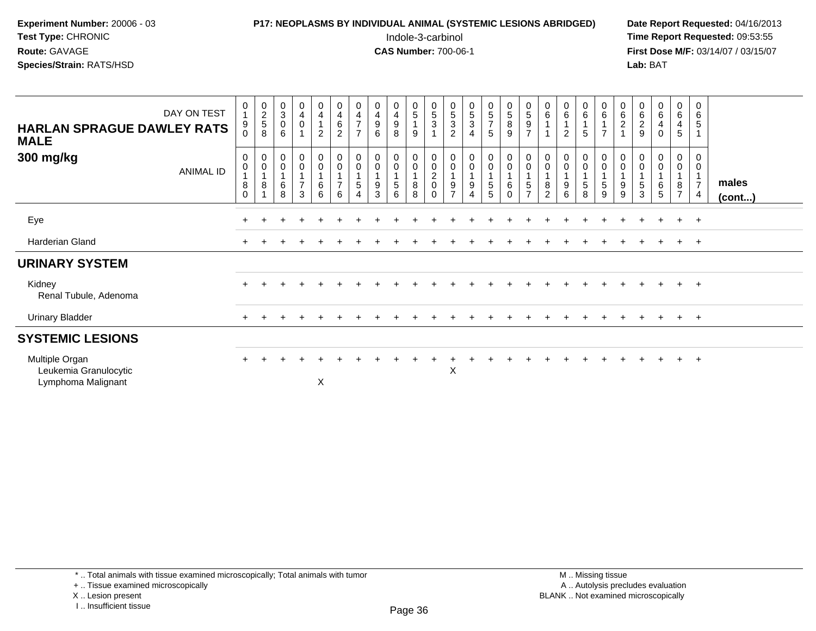### **P17: NEOPLASMS BY INDIVIDUAL ANIMAL (SYSTEMIC LESIONS ABRIDGED)** Date Report Requested: 04/16/2013<br>Indole-3-carbinol **Time Report Requested:** 09:53:55

 Indole-3-carbinol **Time Report Requested:** 09:53:55 **First Dose M/F:** 03/14/07 / 03/15/07<br>Lab: BAT **Lab:** BAT

| <b>HARLAN SPRAGUE DAWLEY RATS</b><br><b>MALE</b>              | DAY ON TEST | 0<br>9<br>$\Omega$                          | 0<br>2<br>5<br>8        | $_{3}^{\rm 0}$<br>$\pmb{0}$<br>6 | $\begin{smallmatrix}0\0\4\end{smallmatrix}$<br>$\mathbf 0$<br>$\overline{1}$ | $\begin{smallmatrix}0\0\4\end{smallmatrix}$<br>$\mathbf{1}$<br>$\overline{2}$ | 0<br>4<br>6<br>$\overline{2}$         | $\begin{array}{c} 0 \\ 4 \\ 7 \end{array}$<br>$\overline{7}$ | $\begin{smallmatrix}0\0\4\end{smallmatrix}$<br>9<br>6 | $\begin{smallmatrix}0\0\4\end{smallmatrix}$<br>$\boldsymbol{9}$<br>8 | $\begin{array}{c} 0 \\ 5 \end{array}$<br>$\overline{1}$<br>$\boldsymbol{9}$ | $\frac{0}{5}$<br>$\mathbf{3}$<br>1                                                               | $\begin{array}{c} 0 \\ 5 \\ 3 \end{array}$<br>$\overline{c}$                     | $\begin{matrix}0\\5\\3\end{matrix}$<br>$\overline{4}$ | $\begin{array}{c} 0 \\ 5 \end{array}$<br>$\begin{array}{c} 7 \\ 5 \end{array}$ | $\begin{array}{c} 0 \\ 5 \end{array}$<br>$\, 8$<br>$\boldsymbol{9}$                   | $\begin{array}{c} 0 \\ 5 \end{array}$<br>$\boldsymbol{9}$<br>$\overline{7}$ | $\begin{array}{c} 0 \\ 6 \end{array}$ | $_6^0$<br>$\overline{2}$ | $_{6}^{\rm 0}$<br>$\sqrt{5}$                           | $\begin{smallmatrix}0\0\0\end{smallmatrix}$<br>$\overline{7}$ | $\begin{matrix} 0 \\ 6 \end{matrix}$<br>$\frac{2}{1}$ | 0<br>$6\phantom{1}6$<br>$\boldsymbol{2}$<br>$\boldsymbol{9}$ | 0<br>6<br>$\overline{\mathbf{4}}$<br>$\mathbf 0$ | $_{6}^{\rm 0}$<br>$\overline{\mathbf{4}}$<br>$\sqrt{5}$           | 0<br>$\,6\,$<br>$\sqrt{5}$                           |                       |
|---------------------------------------------------------------|-------------|---------------------------------------------|-------------------------|----------------------------------|------------------------------------------------------------------------------|-------------------------------------------------------------------------------|---------------------------------------|--------------------------------------------------------------|-------------------------------------------------------|----------------------------------------------------------------------|-----------------------------------------------------------------------------|--------------------------------------------------------------------------------------------------|----------------------------------------------------------------------------------|-------------------------------------------------------|--------------------------------------------------------------------------------|---------------------------------------------------------------------------------------|-----------------------------------------------------------------------------|---------------------------------------|--------------------------|--------------------------------------------------------|---------------------------------------------------------------|-------------------------------------------------------|--------------------------------------------------------------|--------------------------------------------------|-------------------------------------------------------------------|------------------------------------------------------|-----------------------|
| 300 mg/kg                                                     | ANIMAL ID   | $\mathbf 0$<br>$\mathbf 0$<br>8<br>$\Omega$ | 0<br>$\frac{0}{1}$<br>8 | 0<br>$\mathbf 0$<br>$\,6$<br>8   | $\mathbf 0$<br>$\mathsf{O}\xspace$<br>$\overline{1}$<br>$\overline{7}$<br>3  | $\begin{smallmatrix} 0\\0 \end{smallmatrix}$<br>$\mathbf{1}$<br>$\,6\,$<br>6  | 0<br>$\pmb{0}$<br>$\overline{7}$<br>6 | 0<br>$\pmb{0}$<br>5                                          | 0<br>$\mathsf 0$<br>9<br>3                            | 0<br>$\mathbf 0$<br>$\sqrt{5}$<br>6                                  | $\mathbf 0$<br>$\,0\,$<br>$\overline{1}$<br>$\, 8$<br>8                     | $\begin{smallmatrix} 0\\0 \end{smallmatrix}$<br>$\boldsymbol{2}$<br>$\boldsymbol{0}$<br>$\Omega$ | $\mathbf 0$<br>$\mathbf 0$<br>$\mathbf{1}$<br>$\boldsymbol{9}$<br>$\overline{7}$ | $_0^0$<br>$\overline{A}$<br>9<br>4                    | $_0^0$<br>5<br>5                                                               | $\begin{smallmatrix} 0\\0 \end{smallmatrix}$<br>$\overline{1}$<br>$\,6\,$<br>$\Omega$ | $_{\rm 0}^{\rm 0}$<br>1<br>5<br>$\overline{7}$                              | 0<br>$\pmb{0}$<br>1<br>8<br>2         | 0<br>0<br>9<br>6         | $_{\rm 0}^{\rm 0}$<br>$\mathbf{1}$<br>$\mathbf 5$<br>8 | 0<br>$\mathbf 0$<br>$\sqrt{5}$<br>9                           | 0<br>$\mathsf 0$<br>9<br>9                            | 0<br>$\pmb{0}$<br>$\overline{1}$<br>5<br>3                   | $\mathbf 0$<br>$\mathbf 0$<br>6<br>5             | 0<br>$\mathsf{O}\xspace$<br>$\overline{1}$<br>8<br>$\overline{7}$ | 0<br>$\mathbf 0$<br>$\overline{7}$<br>$\overline{4}$ | males<br>$($ cont $)$ |
| Eye                                                           |             |                                             |                         |                                  |                                                                              |                                                                               |                                       |                                                              |                                                       |                                                                      |                                                                             |                                                                                                  |                                                                                  |                                                       |                                                                                |                                                                                       |                                                                             |                                       |                          |                                                        |                                                               |                                                       |                                                              |                                                  | $+$                                                               | $+$                                                  |                       |
| Harderian Gland                                               |             | ٠                                           |                         |                                  |                                                                              |                                                                               |                                       |                                                              |                                                       |                                                                      |                                                                             |                                                                                                  |                                                                                  |                                                       |                                                                                |                                                                                       |                                                                             |                                       |                          |                                                        |                                                               |                                                       |                                                              |                                                  | $+$                                                               | $+$                                                  |                       |
| <b>URINARY SYSTEM</b>                                         |             |                                             |                         |                                  |                                                                              |                                                                               |                                       |                                                              |                                                       |                                                                      |                                                                             |                                                                                                  |                                                                                  |                                                       |                                                                                |                                                                                       |                                                                             |                                       |                          |                                                        |                                                               |                                                       |                                                              |                                                  |                                                                   |                                                      |                       |
| Kidney<br>Renal Tubule, Adenoma                               |             |                                             |                         |                                  |                                                                              |                                                                               |                                       |                                                              |                                                       |                                                                      |                                                                             |                                                                                                  |                                                                                  |                                                       |                                                                                |                                                                                       |                                                                             |                                       |                          |                                                        |                                                               |                                                       |                                                              |                                                  | $+$                                                               | $+$                                                  |                       |
| <b>Urinary Bladder</b>                                        |             | $\div$                                      |                         |                                  |                                                                              |                                                                               |                                       |                                                              |                                                       |                                                                      |                                                                             |                                                                                                  |                                                                                  |                                                       |                                                                                |                                                                                       |                                                                             |                                       |                          |                                                        |                                                               |                                                       |                                                              | $\div$                                           | $+$                                                               | $+$                                                  |                       |
| <b>SYSTEMIC LESIONS</b>                                       |             |                                             |                         |                                  |                                                                              |                                                                               |                                       |                                                              |                                                       |                                                                      |                                                                             |                                                                                                  |                                                                                  |                                                       |                                                                                |                                                                                       |                                                                             |                                       |                          |                                                        |                                                               |                                                       |                                                              |                                                  |                                                                   |                                                      |                       |
| Multiple Organ<br>Leukemia Granulocytic<br>Lymphoma Malignant |             | $\ddot{}$                                   |                         |                                  |                                                                              | X                                                                             |                                       |                                                              |                                                       |                                                                      |                                                                             |                                                                                                  | X                                                                                |                                                       |                                                                                |                                                                                       |                                                                             |                                       |                          |                                                        |                                                               |                                                       |                                                              |                                                  | $+$                                                               | $+$                                                  |                       |

+ .. Tissue examined microscopically

X .. Lesion present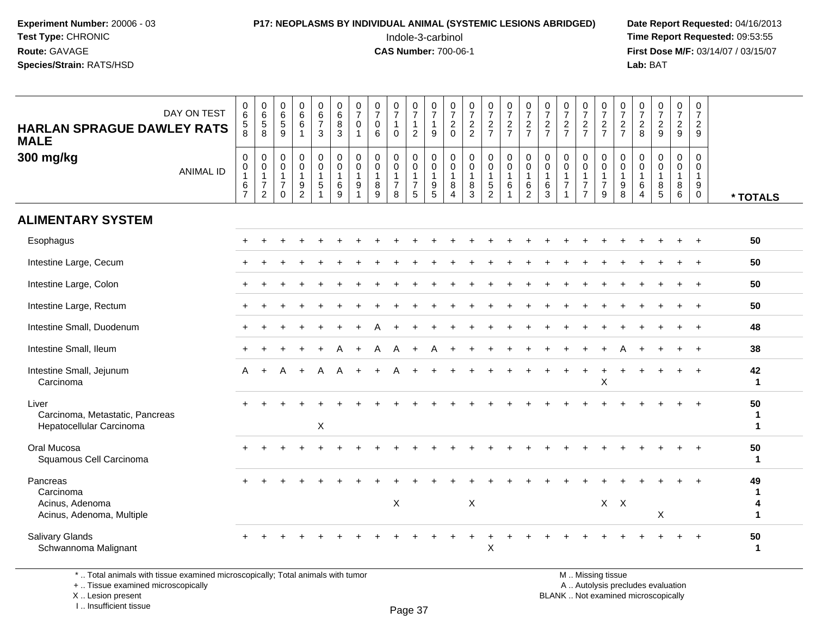## **P17: NEOPLASMS BY INDIVIDUAL ANIMAL (SYSTEMIC LESIONS ABRIDGED)** Date Report Requested: 04/16/2013<br>Indole-3-carbinol **Time Report Requested:** 09:53:55

 Indole-3-carbinol **Time Report Requested:** 09:53:55 **First Dose M/F:** 03/14/07 / 03/15/07<br>**Lab:** BAT **Lab:** BAT

| DAY ON TEST<br><b>HARLAN SPRAGUE DAWLEY RATS</b><br><b>MALE</b>       | $\pmb{0}$<br>$\,6\,$<br>$\sqrt{5}$<br>8                                      | $\begin{array}{c} 0 \\ 6 \end{array}$<br>$\sqrt{5}$<br>8                     | 0<br>$\,6\,$<br>$\sqrt{5}$<br>9                                          | $\begin{array}{c} 0 \\ 6 \end{array}$<br>$\,6$       | $\begin{array}{c} 0 \\ 6 \end{array}$<br>$\overline{7}$<br>3                 | $\begin{array}{c} 0 \\ 6 \end{array}$<br>$\bf 8$<br>3      | $\frac{0}{7}$<br>$\mathbf 0$<br>$\mathbf{1}$ | $\frac{0}{7}$<br>$\mathbf 0$<br>6                            | $\frac{0}{7}$<br>$\mathbf{1}$<br>$\Omega$                          | 0<br>$\overline{7}$<br>$\mathbf{1}$<br>2               | $\mathbf 0$<br>$\overline{7}$<br>$\mathbf{1}$<br>9                       | $\frac{0}{7}$<br>$\boldsymbol{2}$<br>$\Omega$        | $\frac{0}{7}$<br>$\sqrt{2}$<br>$\overline{2}$             | $\frac{0}{7}$<br>$\frac{2}{7}$                                                 | $\frac{0}{7}$<br>$rac{2}{7}$                                    | $\frac{0}{7}$<br>$\frac{2}{7}$                                      | $\frac{0}{7}$<br>$\frac{2}{7}$                                    | $\frac{0}{7}$<br>$rac{2}{7}$                                                     | $\frac{0}{7}$<br>$\frac{2}{7}$                                    | $\frac{0}{7}$<br>$rac{2}{7}$                                                  | $\frac{0}{7}$<br>$\boldsymbol{2}$<br>$\overline{7}$                         | 0<br>$\overline{7}$<br>$\sqrt{2}$<br>8               | $\frac{0}{7}$<br>$\frac{2}{9}$                             | $\pmb{0}$<br>$\overline{7}$<br>$\overline{2}$<br>9      | $\mathbf 0$<br>$\overline{7}$<br>$\overline{a}$<br>9           |                                        |
|-----------------------------------------------------------------------|------------------------------------------------------------------------------|------------------------------------------------------------------------------|--------------------------------------------------------------------------|------------------------------------------------------|------------------------------------------------------------------------------|------------------------------------------------------------|----------------------------------------------|--------------------------------------------------------------|--------------------------------------------------------------------|--------------------------------------------------------|--------------------------------------------------------------------------|------------------------------------------------------|-----------------------------------------------------------|--------------------------------------------------------------------------------|-----------------------------------------------------------------|---------------------------------------------------------------------|-------------------------------------------------------------------|----------------------------------------------------------------------------------|-------------------------------------------------------------------|-------------------------------------------------------------------------------|-----------------------------------------------------------------------------|------------------------------------------------------|------------------------------------------------------------|---------------------------------------------------------|----------------------------------------------------------------|----------------------------------------|
| 300 mg/kg<br><b>ANIMAL ID</b>                                         | $\boldsymbol{0}$<br>$\pmb{0}$<br>$\overline{1}$<br>$\,6\,$<br>$\overline{7}$ | $\mathbf 0$<br>$\pmb{0}$<br>$\mathbf{1}$<br>$\overline{7}$<br>$\overline{c}$ | $\mathbf 0$<br>$\mathbf 0$<br>$\mathbf{1}$<br>$\overline{7}$<br>$\Omega$ | $\pmb{0}$<br>$\pmb{0}$<br>1<br>$\boldsymbol{9}$<br>2 | $\mathbf 0$<br>$\mathbf 0$<br>$\overline{1}$<br>$\sqrt{5}$<br>$\overline{1}$ | $\mathbf 0$<br>$\mathbf 0$<br>$\mathbf{1}$<br>$\,6\,$<br>9 | 0<br>$\mathbf 0$<br>1<br>9<br>1              | $\pmb{0}$<br>$\mathbf 0$<br>$\mathbf{1}$<br>$\bf 8$<br>$9\,$ | $\mathsf{O}$<br>$\mathbf 0$<br>$\mathbf{1}$<br>$\overline{7}$<br>8 | 0<br>$\mathbf 0$<br>$\mathbf 1$<br>$\overline{7}$<br>5 | $\boldsymbol{0}$<br>$\pmb{0}$<br>$\mathbf{1}$<br>$9\,$<br>$\overline{5}$ | $\mathbf 0$<br>$\mathbf 0$<br>$\mathbf{1}$<br>8<br>4 | $\mathbf 0$<br>$\mathbf 0$<br>$\mathbf{1}$<br>$\, 8$<br>3 | $\mathbf 0$<br>$\mathbf 0$<br>$\mathbf{1}$<br>$\overline{5}$<br>$\overline{2}$ | $\mathbf 0$<br>$\mathbf 0$<br>$\mathbf{1}$<br>6<br>$\mathbf{1}$ | $\pmb{0}$<br>$\pmb{0}$<br>$\mathbf{1}$<br>$\,6\,$<br>$\overline{2}$ | $\mathbf 0$<br>$\mathbf 0$<br>$\overline{1}$<br>6<br>$\mathbf{3}$ | $\mathbf 0$<br>$\mathbf 0$<br>$\overline{1}$<br>$\overline{7}$<br>$\overline{1}$ | 0<br>$\Omega$<br>$\mathbf{1}$<br>$\overline{7}$<br>$\overline{7}$ | $\pmb{0}$<br>$\ddot{\mathbf{0}}$<br>$\overline{1}$<br>$\overline{7}$<br>$9\,$ | $\mathsf{O}\xspace$<br>$\mathbf 0$<br>$\mathbf{1}$<br>$\boldsymbol{9}$<br>8 | 0<br>$\Omega$<br>$\mathbf{1}$<br>6<br>$\overline{4}$ | $\mathbf 0$<br>$\mathbf 0$<br>$\mathbf{1}$<br>$\,8\,$<br>5 | 0<br>$\mathbf 0$<br>$\mathbf{1}$<br>8<br>$6\phantom{1}$ | $\mathbf 0$<br>$\mathbf 0$<br>$\mathbf{1}$<br>9<br>$\mathbf 0$ | * TOTALS                               |
| <b>ALIMENTARY SYSTEM</b>                                              |                                                                              |                                                                              |                                                                          |                                                      |                                                                              |                                                            |                                              |                                                              |                                                                    |                                                        |                                                                          |                                                      |                                                           |                                                                                |                                                                 |                                                                     |                                                                   |                                                                                  |                                                                   |                                                                               |                                                                             |                                                      |                                                            |                                                         |                                                                |                                        |
| Esophagus                                                             |                                                                              |                                                                              |                                                                          |                                                      |                                                                              |                                                            |                                              |                                                              |                                                                    |                                                        |                                                                          |                                                      |                                                           |                                                                                |                                                                 |                                                                     |                                                                   |                                                                                  |                                                                   |                                                                               |                                                                             |                                                      |                                                            |                                                         |                                                                | 50                                     |
| Intestine Large, Cecum                                                |                                                                              |                                                                              |                                                                          |                                                      |                                                                              |                                                            |                                              |                                                              |                                                                    |                                                        |                                                                          |                                                      |                                                           |                                                                                |                                                                 |                                                                     |                                                                   |                                                                                  |                                                                   |                                                                               |                                                                             |                                                      |                                                            |                                                         |                                                                | 50                                     |
| Intestine Large, Colon                                                |                                                                              |                                                                              |                                                                          |                                                      |                                                                              |                                                            |                                              |                                                              |                                                                    |                                                        |                                                                          |                                                      |                                                           |                                                                                |                                                                 |                                                                     |                                                                   |                                                                                  |                                                                   |                                                                               |                                                                             |                                                      |                                                            |                                                         |                                                                | 50                                     |
| Intestine Large, Rectum                                               |                                                                              |                                                                              |                                                                          |                                                      |                                                                              |                                                            |                                              |                                                              |                                                                    |                                                        |                                                                          |                                                      |                                                           |                                                                                |                                                                 |                                                                     |                                                                   |                                                                                  |                                                                   |                                                                               |                                                                             |                                                      |                                                            |                                                         |                                                                | 50                                     |
| Intestine Small, Duodenum                                             |                                                                              |                                                                              |                                                                          |                                                      |                                                                              |                                                            |                                              |                                                              |                                                                    |                                                        |                                                                          |                                                      |                                                           |                                                                                |                                                                 |                                                                     |                                                                   |                                                                                  |                                                                   |                                                                               |                                                                             |                                                      |                                                            |                                                         | $\div$                                                         | 48                                     |
| Intestine Small, Ileum                                                |                                                                              |                                                                              |                                                                          |                                                      |                                                                              |                                                            |                                              |                                                              | A                                                                  | $\ddot{}$                                              | A                                                                        |                                                      |                                                           |                                                                                |                                                                 |                                                                     |                                                                   |                                                                                  |                                                                   |                                                                               |                                                                             |                                                      |                                                            |                                                         | $\ddot{}$                                                      | 38                                     |
| Intestine Small, Jejunum<br>Carcinoma                                 | A                                                                            | $\ddot{}$                                                                    | A                                                                        | $\ddot{+}$                                           | A                                                                            | A                                                          |                                              |                                                              |                                                                    |                                                        |                                                                          |                                                      |                                                           |                                                                                |                                                                 |                                                                     |                                                                   |                                                                                  | $\ddot{}$                                                         | X                                                                             |                                                                             |                                                      |                                                            |                                                         |                                                                | 42<br>$\mathbf{1}$                     |
| Liver<br>Carcinoma, Metastatic, Pancreas<br>Hepatocellular Carcinoma  |                                                                              |                                                                              |                                                                          |                                                      | X                                                                            |                                                            |                                              |                                                              |                                                                    |                                                        |                                                                          |                                                      |                                                           |                                                                                |                                                                 |                                                                     |                                                                   |                                                                                  |                                                                   |                                                                               |                                                                             |                                                      |                                                            |                                                         |                                                                | 50<br>1<br>$\mathbf 1$                 |
| Oral Mucosa<br>Squamous Cell Carcinoma                                |                                                                              |                                                                              |                                                                          |                                                      |                                                                              |                                                            |                                              |                                                              |                                                                    |                                                        |                                                                          |                                                      |                                                           |                                                                                |                                                                 |                                                                     |                                                                   |                                                                                  |                                                                   |                                                                               |                                                                             |                                                      |                                                            |                                                         |                                                                | 50<br>$\mathbf{1}$                     |
| Pancreas<br>Carcinoma<br>Acinus, Adenoma<br>Acinus, Adenoma, Multiple |                                                                              |                                                                              |                                                                          |                                                      |                                                                              |                                                            |                                              |                                                              | X                                                                  |                                                        |                                                                          |                                                      | X                                                         |                                                                                |                                                                 |                                                                     |                                                                   |                                                                                  |                                                                   | $X$ $X$                                                                       |                                                                             |                                                      | X                                                          |                                                         |                                                                | 49<br>$\mathbf{1}$<br>4<br>$\mathbf 1$ |
| <b>Salivary Glands</b><br>Schwannoma Malignant                        |                                                                              |                                                                              |                                                                          |                                                      |                                                                              |                                                            |                                              |                                                              |                                                                    |                                                        |                                                                          |                                                      |                                                           | Χ                                                                              |                                                                 |                                                                     |                                                                   |                                                                                  |                                                                   |                                                                               |                                                                             |                                                      |                                                            |                                                         |                                                                | 50<br>1                                |

\* .. Total animals with tissue examined microscopically; Total animals with tumor

+ .. Tissue examined microscopically

 Lesion present BLANK .. Not examined microscopicallyX .. Lesion present

I .. Insufficient tissue

M .. Missing tissue

y the contract of the contract of the contract of the contract of the contract of  $\mathsf A$  . Autolysis precludes evaluation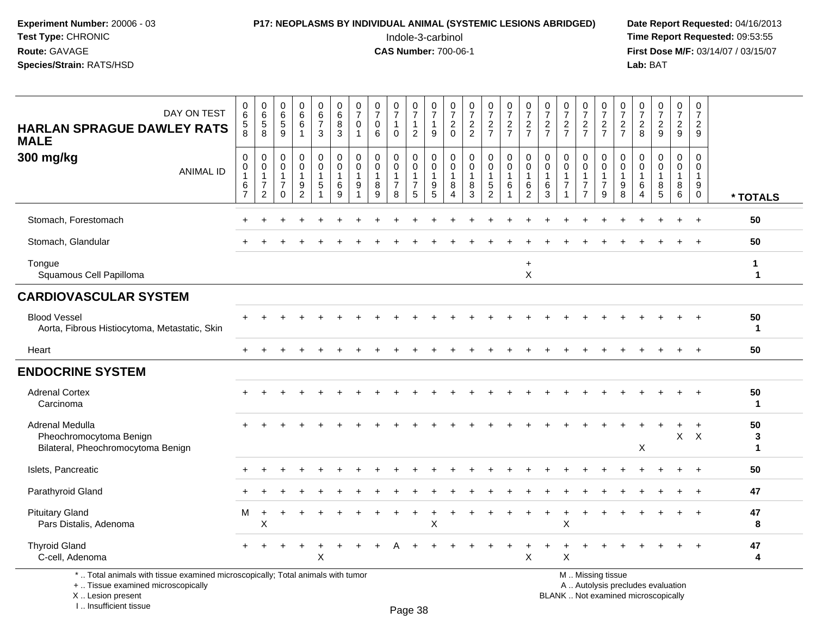#### **P17: NEOPLASMS BY INDIVIDUAL ANIMAL (SYSTEMIC LESIONS ABRIDGED)** Date Report Requested: 04/16/2013<br>Indole-3-carbinol **Time Report Requested:** 09:53:55

 Indole-3-carbinol **Time Report Requested:** 09:53:55 **First Dose M/F:** 03/14/07 / 03/15/07<br>**Lab:** BAT **Lab:** BAT

| DAY ON TEST<br><b>HARLAN SPRAGUE DAWLEY RATS</b><br><b>MALE</b>                                                       | $\begin{array}{c} 0 \\ 6 \end{array}$<br>$\,$ 5 $\,$<br>8 | $\begin{array}{c} 0 \\ 6 \end{array}$<br>$\,$ 5 $\,$<br>8 | $\mathbf 0$<br>$\,6\,$<br>$\sqrt{5}$<br>9                                | $_{6}^{\rm 0}$<br>6<br>$\mathbf{1}$                         | $\pmb{0}$<br>6<br>$\overline{7}$<br>3                             | $\begin{array}{c} 0 \\ 6 \end{array}$<br>$\bf 8$<br>3 | $\frac{0}{7}$<br>$\pmb{0}$<br>$\overline{1}$                | $\frac{0}{7}$<br>$\pmb{0}$<br>6                          | $\frac{0}{7}$<br>1<br>$\Omega$          | $\frac{0}{7}$<br>$\mathbf{1}$<br>$\overline{2}$                             | $\frac{0}{7}$<br>$\mathbf{1}$<br>9                                     | $\begin{smallmatrix}0\\7\end{smallmatrix}$<br>$\overline{c}$<br>$\Omega$ | $\frac{0}{7}$<br>$\frac{2}{2}$                       | $\frac{0}{7}$<br>$\frac{2}{7}$                                             | $\frac{0}{7}$<br>$\frac{2}{7}$                                | $\frac{0}{7}$<br>$\overline{c}$<br>$\overline{7}$ | $\pmb{0}$<br>$\overline{7}$<br>$\sqrt{2}$<br>$\overline{7}$ | $\frac{0}{7}$<br>$\frac{2}{7}$                    | $\frac{0}{7}$<br>$\frac{2}{7}$                                         | $\frac{0}{7}$<br>$\frac{2}{7}$                                      | $\frac{0}{7}$<br>$\overline{c}$<br>$\overline{7}$ | $\frac{0}{7}$<br>$\sqrt{2}$<br>8                                         | $\frac{0}{7}$<br>$\overline{2}$<br>9     | $\begin{array}{c} 0 \\ 7 \end{array}$<br>$\sqrt{2}$<br>9 | $\begin{array}{c} 0 \\ 7 \end{array}$<br>$\sqrt{2}$<br>9        |                        |
|-----------------------------------------------------------------------------------------------------------------------|-----------------------------------------------------------|-----------------------------------------------------------|--------------------------------------------------------------------------|-------------------------------------------------------------|-------------------------------------------------------------------|-------------------------------------------------------|-------------------------------------------------------------|----------------------------------------------------------|-----------------------------------------|-----------------------------------------------------------------------------|------------------------------------------------------------------------|--------------------------------------------------------------------------|------------------------------------------------------|----------------------------------------------------------------------------|---------------------------------------------------------------|---------------------------------------------------|-------------------------------------------------------------|---------------------------------------------------|------------------------------------------------------------------------|---------------------------------------------------------------------|---------------------------------------------------|--------------------------------------------------------------------------|------------------------------------------|----------------------------------------------------------|-----------------------------------------------------------------|------------------------|
| 300 mg/kg<br><b>ANIMAL ID</b>                                                                                         | $\mathbf 0$<br>$\pmb{0}$<br>$\mathbf{1}$<br>$\frac{6}{7}$ | 0<br>0<br>$\overline{1}$<br>$\overline{7}$<br>2           | $\mathbf 0$<br>$\mathbf 0$<br>$\mathbf{1}$<br>$\overline{7}$<br>$\Omega$ | 0<br>$\mathbf 0$<br>1<br>$\boldsymbol{9}$<br>$\overline{2}$ | $\mathsf 0$<br>0<br>$\mathbf{1}$<br>$\,$ 5 $\,$<br>$\overline{1}$ | $\pmb{0}$<br>0<br>$\mathbf{1}$<br>$\,6\,$<br>9        | $\mathbf 0$<br>0<br>$\mathbf{1}$<br>$9\,$<br>$\overline{1}$ | $\pmb{0}$<br>$\mathbf 0$<br>$\mathbf{1}$<br>$\bf 8$<br>9 | 0<br>$\mathbf 0$<br>$\overline{7}$<br>8 | $\mathbf 0$<br>$\mathsf{O}\xspace$<br>$\mathbf{1}$<br>$\boldsymbol{7}$<br>5 | 0<br>$\mathbf 0$<br>$\mathbf{1}$<br>$\boldsymbol{9}$<br>$\overline{5}$ | 0<br>$\mathbf 0$<br>1<br>8<br>$\boldsymbol{\Lambda}$                     | $\mathbf 0$<br>$\mathbf 0$<br>$\mathbf{1}$<br>8<br>3 | $\mathbf 0$<br>$\mathbf 0$<br>$\mathbf{1}$<br>$\sqrt{5}$<br>$\overline{2}$ | $\pmb{0}$<br>$\mathbf 0$<br>$\mathbf{1}$<br>6<br>$\mathbf{1}$ | 0<br>0<br>$\mathbf{1}$<br>6<br>$\overline{2}$     | $\mathbf 0$<br>0<br>$\mathbf{1}$<br>6<br>3                  | $\mathbf 0$<br>$\mathbf 0$<br>1<br>$\overline{7}$ | 0<br>$\mathbf 0$<br>$\overline{1}$<br>$\overline{7}$<br>$\overline{7}$ | $\mathbf 0$<br>$\mathbf 0$<br>$\mathbf{1}$<br>$\boldsymbol{7}$<br>9 | 0<br>0<br>1<br>9<br>8                             | $\mathbf 0$<br>$\mathbf 0$<br>$\mathbf 1$<br>6<br>$\boldsymbol{\Lambda}$ | 0<br>0<br>1<br>$\bf 8$<br>$\overline{5}$ | 0<br>$\mathbf 0$<br>$\mathbf{1}$<br>8<br>$6\overline{6}$ | $\mathbf 0$<br>$\mathbf 0$<br>$\mathbf{1}$<br>9<br>$\mathbf{0}$ | * TOTALS               |
| Stomach, Forestomach                                                                                                  |                                                           |                                                           |                                                                          |                                                             |                                                                   |                                                       |                                                             |                                                          |                                         |                                                                             |                                                                        |                                                                          |                                                      |                                                                            |                                                               |                                                   |                                                             |                                                   |                                                                        |                                                                     |                                                   |                                                                          |                                          |                                                          |                                                                 | 50                     |
| Stomach, Glandular                                                                                                    |                                                           |                                                           |                                                                          |                                                             |                                                                   |                                                       |                                                             |                                                          |                                         |                                                                             |                                                                        |                                                                          |                                                      |                                                                            |                                                               |                                                   |                                                             |                                                   |                                                                        |                                                                     |                                                   |                                                                          |                                          |                                                          |                                                                 | 50                     |
| Tongue<br>Squamous Cell Papilloma                                                                                     |                                                           |                                                           |                                                                          |                                                             |                                                                   |                                                       |                                                             |                                                          |                                         |                                                                             |                                                                        |                                                                          |                                                      |                                                                            |                                                               | $\ddot{}$<br>$\mathsf X$                          |                                                             |                                                   |                                                                        |                                                                     |                                                   |                                                                          |                                          |                                                          |                                                                 | 1<br>$\mathbf 1$       |
| <b>CARDIOVASCULAR SYSTEM</b>                                                                                          |                                                           |                                                           |                                                                          |                                                             |                                                                   |                                                       |                                                             |                                                          |                                         |                                                                             |                                                                        |                                                                          |                                                      |                                                                            |                                                               |                                                   |                                                             |                                                   |                                                                        |                                                                     |                                                   |                                                                          |                                          |                                                          |                                                                 |                        |
| <b>Blood Vessel</b><br>Aorta, Fibrous Histiocytoma, Metastatic, Skin                                                  |                                                           |                                                           |                                                                          |                                                             |                                                                   |                                                       |                                                             |                                                          |                                         |                                                                             |                                                                        |                                                                          |                                                      |                                                                            |                                                               |                                                   |                                                             |                                                   |                                                                        |                                                                     |                                                   |                                                                          |                                          |                                                          |                                                                 | 50<br>$\mathbf 1$      |
| Heart                                                                                                                 |                                                           |                                                           |                                                                          |                                                             |                                                                   |                                                       |                                                             |                                                          |                                         |                                                                             |                                                                        |                                                                          |                                                      |                                                                            |                                                               |                                                   |                                                             |                                                   |                                                                        |                                                                     |                                                   |                                                                          |                                          | $+$                                                      | $+$                                                             | 50                     |
| <b>ENDOCRINE SYSTEM</b>                                                                                               |                                                           |                                                           |                                                                          |                                                             |                                                                   |                                                       |                                                             |                                                          |                                         |                                                                             |                                                                        |                                                                          |                                                      |                                                                            |                                                               |                                                   |                                                             |                                                   |                                                                        |                                                                     |                                                   |                                                                          |                                          |                                                          |                                                                 |                        |
| <b>Adrenal Cortex</b><br>Carcinoma                                                                                    |                                                           |                                                           |                                                                          |                                                             |                                                                   |                                                       |                                                             |                                                          |                                         |                                                                             |                                                                        |                                                                          |                                                      |                                                                            |                                                               |                                                   |                                                             |                                                   |                                                                        |                                                                     |                                                   |                                                                          |                                          |                                                          |                                                                 | 50<br>$\mathbf 1$      |
| Adrenal Medulla<br>Pheochromocytoma Benign<br>Bilateral, Pheochromocytoma Benign                                      |                                                           |                                                           |                                                                          |                                                             |                                                                   |                                                       |                                                             |                                                          |                                         |                                                                             |                                                                        |                                                                          |                                                      |                                                                            |                                                               |                                                   |                                                             |                                                   |                                                                        |                                                                     |                                                   | X                                                                        |                                          | $\mathsf{X}$                                             | $\ddot{}$<br>$\mathsf{X}$                                       | 50<br>3<br>$\mathbf 1$ |
| Islets, Pancreatic                                                                                                    |                                                           |                                                           |                                                                          |                                                             |                                                                   |                                                       |                                                             |                                                          |                                         |                                                                             |                                                                        |                                                                          |                                                      |                                                                            |                                                               |                                                   |                                                             |                                                   |                                                                        |                                                                     |                                                   |                                                                          |                                          |                                                          | $\overline{+}$                                                  | 50                     |
| Parathyroid Gland                                                                                                     |                                                           |                                                           |                                                                          |                                                             |                                                                   |                                                       |                                                             |                                                          |                                         |                                                                             |                                                                        |                                                                          |                                                      |                                                                            |                                                               |                                                   |                                                             |                                                   |                                                                        |                                                                     |                                                   |                                                                          |                                          |                                                          | $\overline{1}$                                                  | 47                     |
| <b>Pituitary Gland</b><br>Pars Distalis, Adenoma                                                                      | м                                                         | $\ddot{}$<br>Χ                                            |                                                                          |                                                             |                                                                   |                                                       |                                                             |                                                          |                                         |                                                                             | $\pmb{\times}$                                                         |                                                                          |                                                      |                                                                            |                                                               |                                                   |                                                             | X                                                 |                                                                        |                                                                     |                                                   |                                                                          |                                          |                                                          | $\overline{1}$                                                  | 47<br>8                |
| <b>Thyroid Gland</b><br>C-cell, Adenoma                                                                               |                                                           |                                                           |                                                                          |                                                             | X                                                                 |                                                       |                                                             |                                                          |                                         |                                                                             |                                                                        |                                                                          |                                                      |                                                                            |                                                               | X                                                 |                                                             | Χ                                                 |                                                                        |                                                                     |                                                   |                                                                          |                                          |                                                          |                                                                 | 47<br>4                |
| *  Total animals with tissue examined microscopically; Total animals with tumor<br>+  Tissue examined microscopically |                                                           |                                                           |                                                                          |                                                             |                                                                   |                                                       |                                                             |                                                          |                                         |                                                                             |                                                                        |                                                                          |                                                      |                                                                            |                                                               |                                                   |                                                             |                                                   |                                                                        | M  Missing tissue<br>A  Autolysis precludes evaluation              |                                                   |                                                                          |                                          |                                                          |                                                                 |                        |

X .. Lesion present

I .. Insufficient tissue

Page 38

Lesion present BLANK .. Not examined microscopically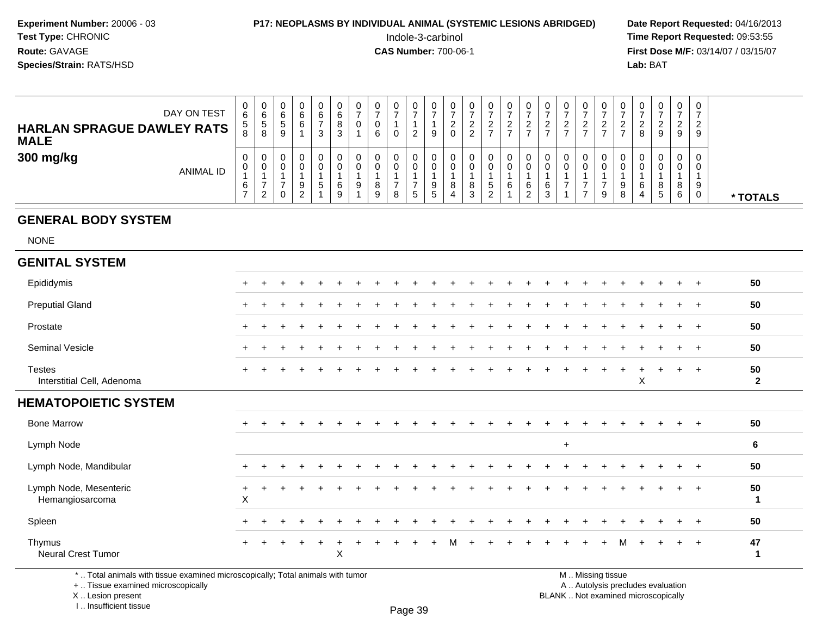#### **P17: NEOPLASMS BY INDIVIDUAL ANIMAL (SYSTEMIC LESIONS ABRIDGED)** Date Report Requested: 04/16/2013<br>Indole-3-carbinol **Time Report Requested:** 09:53:55

 Indole-3-carbinol **Time Report Requested:** 09:53:55 **First Dose M/F:** 03/14/07 / 03/15/07<br>**Lab:** BAT **Lab:** BAT

| DAY ON TEST<br><b>HARLAN SPRAGUE DAWLEY RATS</b><br><b>MALE</b> | U<br>6<br>ີວ<br>ö | 0<br>6<br>.5<br>8 | C | ี | v<br>6 | v<br>6<br>$\circ$<br>3 | U | U<br>v<br>6 |  | υ<br>9      | v            | U<br>ົ<br>- | 0                            | U                     | ν | - | U      | ◡      | 8 | 0<br>9      | 0<br>ົ<br><u>_</u><br>9 | 0<br>ົາ<br><u>_</u><br>9 |          |
|-----------------------------------------------------------------|-------------------|-------------------|---|---|--------|------------------------|---|-------------|--|-------------|--------------|-------------|------------------------------|-----------------------|---|---|--------|--------|---|-------------|-------------------------|--------------------------|----------|
| 300 mg/kg<br>ANIMAL ID                                          | 0<br>0<br>6       | 0<br>0<br>ົ       |   |   | ა      | 0<br>6<br>9            | 9 | v<br>8<br>9 |  | υ<br>9<br>ు | $\circ$<br>4 | 8<br>3      | 0<br>0<br>C.<br><sup>o</sup> | U<br>υ<br>⌒<br>6<br>◠ | 6 |   | υ<br>υ | ◡<br>9 |   | 0<br>8<br>5 | 0<br>0<br>8<br>6        | 0<br>0<br>9<br>0         | * TOTALS |

#### **GENERAL BODY SYSTEM**

NONE

| <b>GENITAL SYSTEM</b>                     |                                        |                |                |  |  |  |  |  |  |  |           |     |     |           |          |           |     |           |                    |
|-------------------------------------------|----------------------------------------|----------------|----------------|--|--|--|--|--|--|--|-----------|-----|-----|-----------|----------|-----------|-----|-----------|--------------------|
| Epididymis                                | $\ddot{}$                              |                | $\ddot{}$      |  |  |  |  |  |  |  |           |     |     |           |          |           |     | $\div$    | 50                 |
| <b>Preputial Gland</b>                    | $\ddot{}$                              |                |                |  |  |  |  |  |  |  |           |     |     |           |          |           |     | $+$       | 50                 |
| Prostate                                  | $+$                                    |                | $\ddot{}$      |  |  |  |  |  |  |  |           |     |     |           |          |           | $+$ | $+$       | 50                 |
| Seminal Vesicle                           | $\ddot{}$                              |                |                |  |  |  |  |  |  |  |           |     |     |           |          |           | $+$ | $+$       | 50                 |
| Testes<br>Interstitial Cell, Adenoma      | $\ddot{}$                              |                |                |  |  |  |  |  |  |  |           | $+$ | $+$ | $\ddot{}$ | $+$<br>X | $\ddot{}$ | $+$ | $+$       | 50<br>$\mathbf{2}$ |
| <b>HEMATOPOIETIC SYSTEM</b>               |                                        |                |                |  |  |  |  |  |  |  |           |     |     |           |          |           |     |           |                    |
| <b>Bone Marrow</b>                        | $\ddot{}$                              |                |                |  |  |  |  |  |  |  |           |     |     |           |          |           |     | $\ddot{}$ | 50                 |
| Lymph Node                                |                                        |                |                |  |  |  |  |  |  |  | $\ddot{}$ |     |     |           |          |           |     |           | 6                  |
| Lymph Node, Mandibular                    | $+$                                    | $\overline{+}$ | $\overline{1}$ |  |  |  |  |  |  |  |           |     |     |           |          |           | $+$ | $+$       | 50                 |
|                                           |                                        |                |                |  |  |  |  |  |  |  |           |     |     |           |          |           |     |           |                    |
| Lymph Node, Mesenteric<br>Hemangiosarcoma | $\ddot{}$<br>$\boldsymbol{\mathsf{X}}$ |                |                |  |  |  |  |  |  |  |           |     |     |           |          |           |     | $+$       | 50<br>1            |
| Spleen                                    | $\ddot{}$                              |                |                |  |  |  |  |  |  |  |           |     |     |           |          |           | $+$ | $+$       | 50                 |

\* .. Total animals with tissue examined microscopically; Total animals with tumor

+ .. Tissue examined microscopically

 Lesion present BLANK .. Not examined microscopicallyX .. Lesion present

I .. Insufficient tissue

M .. Missing tissue

y the contract of the contract of the contract of the contract of the contract of  $\mathsf A$  . Autolysis precludes evaluation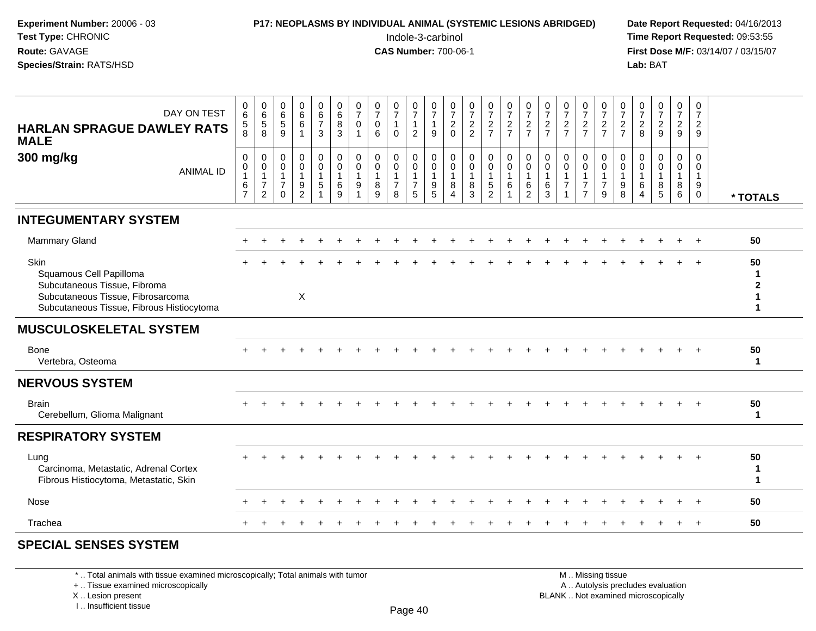| Experiment Number: 20006 - 03<br>Test Type: CHRONIC<br>Route: GAVAGE<br>Species/Strain: RATS/HSD                                                         |                                                  |                                                         |                                                                       |                                                         |                                                 |                                                                 |                                                   |                                                       |                                               |                                                              | P17: NEOPLASMS BY INDIVIDUAL ANIMAL (SYSTEMIC LESIONS ABRIDGED)<br>Indole-3-carbinol<br><b>CAS Number: 700-06-1</b> |                                                              |                                                             |                                                 |                                                                 |                                                        |                                                            |                                                            |                                                                      |                                                                    |                                                           | Lab: BAT                                          |                                                      |                                                                    |                                            | Date Report Requested: 04/16/2013<br>Time Report Requested: 09:53:55<br>First Dose M/F: 03/14/07 / 03/15/07 |
|----------------------------------------------------------------------------------------------------------------------------------------------------------|--------------------------------------------------|---------------------------------------------------------|-----------------------------------------------------------------------|---------------------------------------------------------|-------------------------------------------------|-----------------------------------------------------------------|---------------------------------------------------|-------------------------------------------------------|-----------------------------------------------|--------------------------------------------------------------|---------------------------------------------------------------------------------------------------------------------|--------------------------------------------------------------|-------------------------------------------------------------|-------------------------------------------------|-----------------------------------------------------------------|--------------------------------------------------------|------------------------------------------------------------|------------------------------------------------------------|----------------------------------------------------------------------|--------------------------------------------------------------------|-----------------------------------------------------------|---------------------------------------------------|------------------------------------------------------|--------------------------------------------------------------------|--------------------------------------------|-------------------------------------------------------------------------------------------------------------|
| DAY ON TEST<br><b>HARLAN SPRAGUE DAWLEY RATS</b><br><b>MALE</b>                                                                                          | 0<br>$6\overline{6}$<br>$\,$ 5 $\,$<br>8         | 0<br>$6\overline{6}$<br>$\overline{5}$<br>8             | $\begin{array}{c} 0 \\ 6 \end{array}$<br>$\overline{5}$<br>9          | $_{6}^{\rm 0}$<br>6<br>$\mathbf{1}$                     | $\begin{array}{c} 0 \\ 6 \\ 7 \end{array}$<br>3 | $\begin{array}{c} 0 \\ 6 \end{array}$<br>$\, 8$<br>$\mathbf{3}$ | 0<br>$\overline{7}$<br>$\Omega$<br>$\overline{1}$ | $\frac{0}{7}$<br>$\mathbf{0}$<br>6                    | $\frac{0}{7}$<br>$\mathbf{0}$                 | $\begin{array}{c} 0 \\ 7 \\ 1 \end{array}$<br>$\overline{2}$ | $\frac{0}{7}$<br>$\mathbf{1}$<br>9                                                                                  | $\frac{0}{7}$<br>$\frac{2}{0}$                               | $\begin{smallmatrix}0\\7\end{smallmatrix}$<br>$\frac{2}{2}$ | $\frac{0}{7}$<br>$\frac{2}{7}$                  | $\frac{0}{7}$<br>$\frac{2}{7}$                                  | $\frac{0}{7}$<br>$\frac{2}{7}$                         | $\begin{array}{c} 0 \\ 7 \end{array}$<br>$\frac{2}{7}$     | $\frac{0}{7}$<br>$\frac{2}{7}$                             | $\frac{0}{7}$<br>$\frac{2}{7}$                                       | $\frac{0}{7}$<br>$\frac{2}{7}$                                     | $\begin{array}{c} 0 \\ 7 \\ 2 \\ 7 \end{array}$           | $\frac{0}{7}$<br>$\sqrt{2}$<br>8                  | $\frac{0}{7}$<br>$rac{2}{9}$                         | $\frac{0}{7}$<br>$\overline{2}$<br>9                               | 0<br>$\overline{7}$<br>$\overline{2}$<br>9 |                                                                                                             |
| 300 mg/kg<br><b>ANIMAL ID</b>                                                                                                                            | $\mathbf 0$<br>0<br>$\mathbf{1}$<br>$\,6\,$<br>7 | $\mathbf 0$<br>0<br>$\mathbf{1}$<br>$\overline{7}$<br>2 | $\Omega$<br>$\mathbf 0$<br>$\mathbf{1}$<br>$\overline{7}$<br>$\Omega$ | $\mathbf 0$<br>0<br>$\mathbf{1}$<br>9<br>$\overline{2}$ | 0<br>0<br>$\mathbf{1}$<br>$\sqrt{5}$            | $\mathbf 0$<br>$\mathbf 0$<br>$\overline{1}$<br>6<br>9          | $\Omega$<br>$\Omega$<br>$\overline{1}$<br>9       | $\mathbf 0$<br>$\mathbf{0}$<br>$\mathbf{1}$<br>8<br>9 | 0<br>0<br>$\mathbf{1}$<br>$\overline{7}$<br>8 | 0<br>$\mathbf 0$<br>$\mathbf{1}$<br>$\boldsymbol{7}$<br>5    | $\Omega$<br>0<br>$\mathbf{1}$<br>9<br>5                                                                             | $\Omega$<br>0<br>$\mathbf{1}$<br>8<br>$\boldsymbol{\Lambda}$ | $\mathbf 0$<br>$\pmb{0}$<br>$\mathbf{1}$<br>$\bf 8$<br>3    | 0<br>$\pmb{0}$<br>$\mathbf{1}$<br>$\frac{5}{2}$ | $\mathbf 0$<br>$\mathbf 0$<br>$\mathbf{1}$<br>6<br>$\mathbf{1}$ | $\mathbf 0$<br>$\mathbf 0$<br>1<br>6<br>$\overline{2}$ | $\mathbf 0$<br>$\mathbf 0$<br>$\mathbf{1}$<br>$\,6\,$<br>3 | $\mathbf{0}$<br>$\Omega$<br>$\mathbf{1}$<br>$\overline{7}$ | 0<br>$\mathbf 0$<br>$\mathbf{1}$<br>$\overline{7}$<br>$\overline{7}$ | $\mathbf{0}$<br>$\mathbf 0$<br>$\mathbf{1}$<br>$\overline{7}$<br>9 | 0<br>$\mathbf 0$<br>$\mathbf{1}$<br>$\boldsymbol{9}$<br>8 | $\Omega$<br>$\mathbf 0$<br>$\mathbf{1}$<br>6<br>4 | 0<br>0<br>$\mathbf{1}$<br>$\,8\,$<br>$5\phantom{.0}$ | $\mathbf 0$<br>$\mathbf 0$<br>$\mathbf{1}$<br>$8\phantom{.0}$<br>6 | 0<br>$\mathbf 0$<br>$\mathbf{1}$<br>9<br>0 | * TOTALS                                                                                                    |
| <b>INTEGUMENTARY SYSTEM</b>                                                                                                                              |                                                  |                                                         |                                                                       |                                                         |                                                 |                                                                 |                                                   |                                                       |                                               |                                                              |                                                                                                                     |                                                              |                                                             |                                                 |                                                                 |                                                        |                                                            |                                                            |                                                                      |                                                                    |                                                           |                                                   |                                                      |                                                                    |                                            |                                                                                                             |
| Mammary Gland                                                                                                                                            |                                                  |                                                         |                                                                       |                                                         |                                                 |                                                                 |                                                   |                                                       |                                               |                                                              |                                                                                                                     |                                                              |                                                             |                                                 |                                                                 |                                                        |                                                            |                                                            |                                                                      |                                                                    |                                                           |                                                   |                                                      |                                                                    |                                            | 50                                                                                                          |
| <b>Skin</b><br>Squamous Cell Papilloma<br>Subcutaneous Tissue, Fibroma<br>Subcutaneous Tissue, Fibrosarcoma<br>Subcutaneous Tissue, Fibrous Histiocytoma |                                                  |                                                         |                                                                       | X                                                       |                                                 |                                                                 |                                                   |                                                       |                                               |                                                              |                                                                                                                     |                                                              |                                                             |                                                 |                                                                 |                                                        |                                                            |                                                            |                                                                      |                                                                    |                                                           |                                                   |                                                      |                                                                    |                                            | 50<br>-1<br>$\mathbf{2}$<br>$\mathbf 1$<br>$\mathbf{1}$                                                     |
| <b>MUSCULOSKELETAL SYSTEM</b>                                                                                                                            |                                                  |                                                         |                                                                       |                                                         |                                                 |                                                                 |                                                   |                                                       |                                               |                                                              |                                                                                                                     |                                                              |                                                             |                                                 |                                                                 |                                                        |                                                            |                                                            |                                                                      |                                                                    |                                                           |                                                   |                                                      |                                                                    |                                            |                                                                                                             |
| Bone<br>Vertebra, Osteoma                                                                                                                                |                                                  |                                                         |                                                                       |                                                         |                                                 |                                                                 |                                                   |                                                       |                                               |                                                              |                                                                                                                     |                                                              |                                                             |                                                 |                                                                 |                                                        |                                                            |                                                            |                                                                      |                                                                    |                                                           |                                                   |                                                      |                                                                    |                                            | 50<br>$\mathbf{1}$                                                                                          |
| <b>NERVOUS SYSTEM</b>                                                                                                                                    |                                                  |                                                         |                                                                       |                                                         |                                                 |                                                                 |                                                   |                                                       |                                               |                                                              |                                                                                                                     |                                                              |                                                             |                                                 |                                                                 |                                                        |                                                            |                                                            |                                                                      |                                                                    |                                                           |                                                   |                                                      |                                                                    |                                            |                                                                                                             |
| <b>Brain</b><br>Cerebellum, Glioma Malignant                                                                                                             |                                                  |                                                         |                                                                       |                                                         |                                                 |                                                                 |                                                   |                                                       |                                               |                                                              |                                                                                                                     |                                                              |                                                             |                                                 |                                                                 |                                                        |                                                            |                                                            |                                                                      |                                                                    |                                                           |                                                   |                                                      |                                                                    |                                            | 50<br>$\mathbf{1}$                                                                                          |
| <b>RESPIRATORY SYSTEM</b>                                                                                                                                |                                                  |                                                         |                                                                       |                                                         |                                                 |                                                                 |                                                   |                                                       |                                               |                                                              |                                                                                                                     |                                                              |                                                             |                                                 |                                                                 |                                                        |                                                            |                                                            |                                                                      |                                                                    |                                                           |                                                   |                                                      |                                                                    |                                            |                                                                                                             |
| Lung<br>Carcinoma, Metastatic, Adrenal Cortex<br>Fibrous Histiocytoma, Metastatic, Skin                                                                  |                                                  |                                                         |                                                                       |                                                         |                                                 |                                                                 |                                                   |                                                       |                                               |                                                              |                                                                                                                     |                                                              |                                                             |                                                 |                                                                 |                                                        |                                                            |                                                            |                                                                      |                                                                    |                                                           |                                                   |                                                      |                                                                    |                                            | 50<br>$\mathbf{1}$<br>$\mathbf{1}$                                                                          |
| Nose                                                                                                                                                     |                                                  |                                                         |                                                                       |                                                         |                                                 |                                                                 |                                                   |                                                       |                                               |                                                              |                                                                                                                     |                                                              |                                                             |                                                 |                                                                 |                                                        |                                                            |                                                            |                                                                      |                                                                    |                                                           |                                                   |                                                      |                                                                    |                                            | 50                                                                                                          |
| Trachea                                                                                                                                                  |                                                  |                                                         |                                                                       |                                                         |                                                 |                                                                 |                                                   |                                                       |                                               |                                                              |                                                                                                                     |                                                              |                                                             |                                                 |                                                                 |                                                        |                                                            |                                                            |                                                                      |                                                                    |                                                           |                                                   |                                                      |                                                                    | $\ddot{}$                                  | 50                                                                                                          |

#### **SPECIAL SENSES SYSTEM**

\* .. Total animals with tissue examined microscopically; Total animals with tumor

+ .. Tissue examined microscopically

 Lesion present BLANK .. Not examined microscopicallyX .. Lesion present

I .. Insufficient tissue

M .. Missing tissue A .. Autolysis precludes evaluation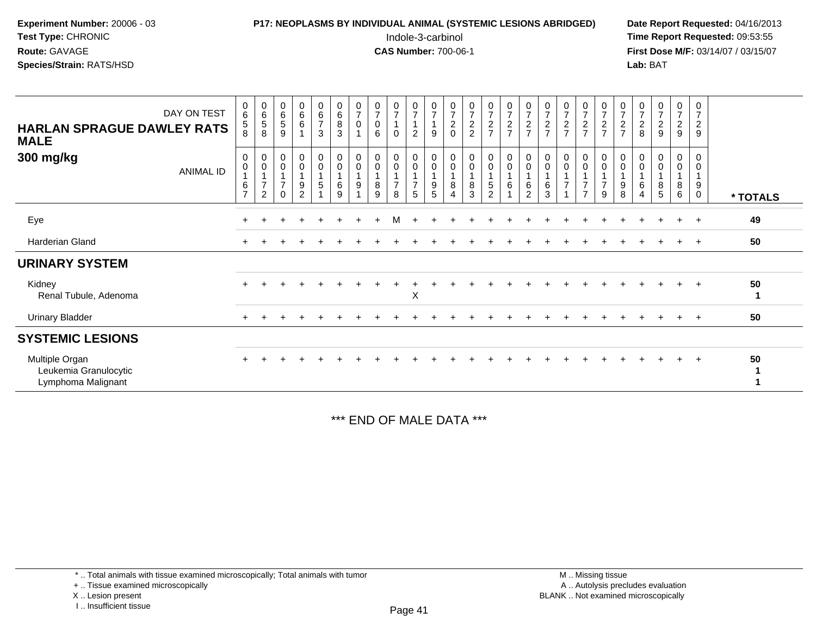## **P17: NEOPLASMS BY INDIVIDUAL ANIMAL (SYSTEMIC LESIONS ABRIDGED)** Date Report Requested: 04/16/2013<br>Indole-3-carbinol **Time Report Requested:** 09:53:55

 Indole-3-carbinol **Time Report Requested:** 09:53:55 **First Dose M/F:** 03/14/07 / 03/15/07<br>**Lab:** BAT **Lab:** BAT

| <b>HARLAN SPRAGUE DAWLEY RATS</b><br><b>MALE</b>              | DAY ON TEST | 0<br>6<br>5<br>8              | 0<br>6<br>5<br>8                                                | $\begin{array}{c} 0 \\ 6 \end{array}$<br>$\sqrt{5}$<br>$9\,$ | $\begin{matrix} 0 \\ 6 \\ 6 \end{matrix}$<br>$\overline{1}$ | $\begin{array}{c} 0 \\ 6 \end{array}$<br>$\boldsymbol{7}$<br>3 | $_6^0$<br>$\bf 8$<br>3 | $\frac{0}{7}$<br>$\pmb{0}$<br>$\overline{A}$ | $\frac{0}{7}$<br>$\pmb{0}$<br>$\,6\,$ | $\frac{0}{7}$<br>1<br>0       | $\boldsymbol{0}$<br>$\overline{7}$<br>1<br>$\overline{c}$ | $\frac{0}{7}$<br>9              | $\frac{0}{7}$<br>$\frac{2}{0}$          | $\begin{smallmatrix}0\\7\end{smallmatrix}$<br>$\frac{2}{2}$ | $\frac{0}{7}$<br>$\frac{2}{7}$ | $\mathbf 0$<br>$\boldsymbol{7}$<br>$\frac{2}{7}$                    | $\frac{0}{7}$<br>$\frac{2}{7}$                        | $\frac{0}{7}$<br>$\frac{2}{7}$ | $\frac{0}{7}$<br>$\frac{2}{7}$             | $\frac{0}{7}$<br>$\frac{2}{7}$                                    | 0<br>$\overline{7}$<br>$\frac{2}{7}$                              | $\frac{0}{7}$<br>$\frac{2}{7}$             | $\frac{0}{7}$<br>$\frac{2}{8}$ | $\frac{0}{7}$<br>$\frac{2}{9}$ | $\frac{0}{7}$<br>$\frac{2}{9}$ | 0<br>$\overline{7}$<br>$\boldsymbol{2}$<br>9 |          |
|---------------------------------------------------------------|-------------|-------------------------------|-----------------------------------------------------------------|--------------------------------------------------------------|-------------------------------------------------------------|----------------------------------------------------------------|------------------------|----------------------------------------------|---------------------------------------|-------------------------------|-----------------------------------------------------------|---------------------------------|-----------------------------------------|-------------------------------------------------------------|--------------------------------|---------------------------------------------------------------------|-------------------------------------------------------|--------------------------------|--------------------------------------------|-------------------------------------------------------------------|-------------------------------------------------------------------|--------------------------------------------|--------------------------------|--------------------------------|--------------------------------|----------------------------------------------|----------|
| 300 mg/kg                                                     | ANIMAL ID   | 0<br>0<br>6<br>$\overline{ }$ | $\pmb{0}$<br>$\mathbf 0$<br>$\mathbf{1}$<br>$\overline{7}$<br>2 | 0<br>$\pmb{0}$<br>1<br>$\overline{7}$<br>$\Omega$            | 0<br>0<br>9<br>$\overline{2}$                               | $\mathbf 0$<br>$\pmb{0}$<br>$\mathbf 1$<br>5                   | $_0^0$<br>6<br>9       | 0<br>$\mathsf 0$<br>9                        | $\mathbf 0$<br>$\pmb{0}$<br>8<br>9    | 0<br>0<br>$\overline{7}$<br>8 | $\pmb{0}$<br>$\pmb{0}$<br>1<br>$\overline{7}$<br>5        | 0<br>$\boldsymbol{0}$<br>9<br>5 | 0<br>$\mathbf 0$<br>8<br>$\overline{A}$ | $\mathbf 0$<br>$\pmb{0}$<br>8<br>3                          | 0<br>0<br>1<br>5<br>2          | $\pmb{0}$<br>$\mathbf 0$<br>$\mathbf{1}$<br>$\,6$<br>$\overline{A}$ | 0<br>$\pmb{0}$<br>$\mathbf{1}$<br>6<br>$\overline{2}$ | 0<br>0<br>6<br>3               | $\mathbf 0$<br>$\pmb{0}$<br>$\overline{7}$ | $\mathbf 0$<br>$\pmb{0}$<br>1<br>$\overline{7}$<br>$\overline{7}$ | $\mathbf 0$<br>$\mathbf 0$<br>$\mathbf{1}$<br>$\overline{7}$<br>9 | 0<br>$\mathsf 0$<br>$\mathbf{1}$<br>9<br>8 | 0<br>0<br>6<br>$\overline{4}$  | 0<br>$\pmb{0}$<br>8<br>5       | 0<br>$\pmb{0}$<br>1<br>8<br>6  | 0<br>$\mathbf 0$<br>1<br>9<br>$\mathbf 0$    | * TOTALS |
| Eye                                                           |             |                               |                                                                 |                                                              |                                                             |                                                                |                        |                                              |                                       | м                             |                                                           |                                 |                                         |                                                             |                                |                                                                     |                                                       |                                |                                            |                                                                   |                                                                   |                                            |                                |                                |                                |                                              | 49       |
| Harderian Gland                                               |             | $\ddot{}$                     |                                                                 |                                                              |                                                             |                                                                |                        |                                              |                                       |                               |                                                           |                                 |                                         |                                                             |                                |                                                                     |                                                       |                                |                                            |                                                                   |                                                                   |                                            |                                |                                | $\ddot{}$                      | $+$                                          | 50       |
| <b>URINARY SYSTEM</b>                                         |             |                               |                                                                 |                                                              |                                                             |                                                                |                        |                                              |                                       |                               |                                                           |                                 |                                         |                                                             |                                |                                                                     |                                                       |                                |                                            |                                                                   |                                                                   |                                            |                                |                                |                                |                                              |          |
| Kidney<br>Renal Tubule, Adenoma                               |             |                               |                                                                 |                                                              |                                                             |                                                                |                        |                                              |                                       |                               | X                                                         |                                 |                                         |                                                             |                                |                                                                     |                                                       |                                |                                            |                                                                   |                                                                   |                                            |                                |                                |                                |                                              | 50       |
| <b>Urinary Bladder</b>                                        |             |                               |                                                                 |                                                              |                                                             |                                                                |                        |                                              |                                       |                               |                                                           |                                 |                                         |                                                             |                                |                                                                     |                                                       |                                |                                            |                                                                   |                                                                   |                                            |                                |                                | $\ddot{}$                      | $+$                                          | 50       |
| <b>SYSTEMIC LESIONS</b>                                       |             |                               |                                                                 |                                                              |                                                             |                                                                |                        |                                              |                                       |                               |                                                           |                                 |                                         |                                                             |                                |                                                                     |                                                       |                                |                                            |                                                                   |                                                                   |                                            |                                |                                |                                |                                              |          |
| Multiple Organ<br>Leukemia Granulocytic<br>Lymphoma Malignant |             |                               |                                                                 |                                                              |                                                             |                                                                |                        |                                              |                                       |                               |                                                           |                                 |                                         |                                                             |                                |                                                                     |                                                       |                                |                                            |                                                                   |                                                                   |                                            |                                |                                |                                |                                              | 50       |

\*\*\* END OF MALE DATA \*\*\*

\* .. Total animals with tissue examined microscopically; Total animals with tumor

+ .. Tissue examined microscopically

X .. Lesion present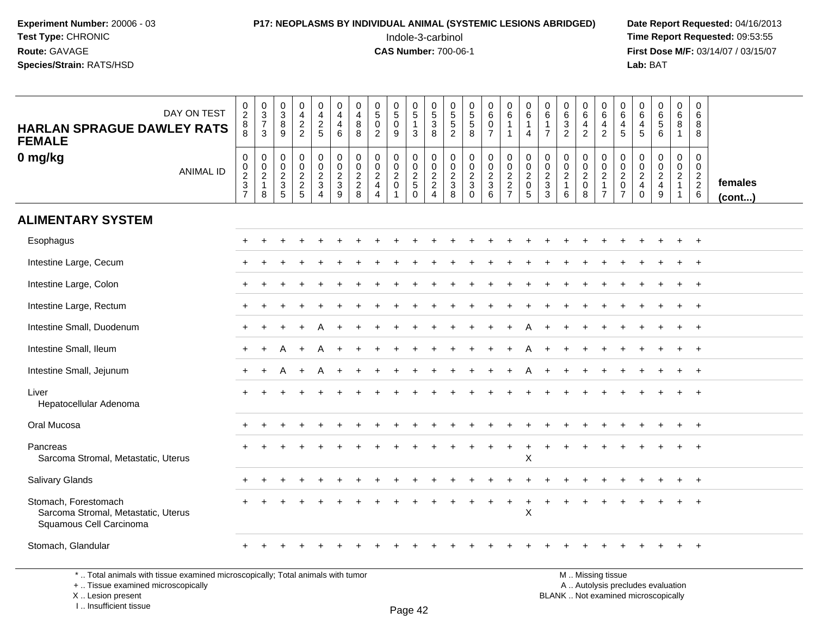#### **P17: NEOPLASMS BY INDIVIDUAL ANIMAL (SYSTEMIC LESIONS ABRIDGED)** Date Report Requested: 04/16/2013<br>Indole-3-carbinol **Time Report Requested:** 09:53:55

 Indole-3-carbinol **Time Report Requested:** 09:53:55 **First Dose M/F:** 03/14/07 / 03/15/07<br>**Lab:** BAT **Lab:** BAT

| DAY ON TEST<br><b>HARLAN SPRAGUE DAWLEY RATS</b><br><b>FEMALE</b>                      | $\begin{array}{c} 0 \\ 2 \\ 8 \end{array}$<br>$\overline{8}$ | $\begin{array}{c} 0 \\ 3 \\ 7 \end{array}$<br>$\mathbf{3}$ | $\begin{smallmatrix}0\0\3\end{smallmatrix}$<br>8<br>9                          | $\begin{array}{c} 0 \\ 4 \\ 2 \\ 2 \end{array}$ | $\begin{array}{c} 0 \\ 4 \\ 2 \\ 5 \end{array}$               | 0<br>$\overline{4}$<br>4<br>6                          | 0<br>$\overline{4}$<br>$\bf 8$<br>8    | $\begin{smallmatrix}0\5\0\end{smallmatrix}$<br>$\overline{2}$                 | $\begin{array}{c} 0 \\ 5 \end{array}$<br>$\mathbf 0$<br>9 | $\begin{array}{c} 0 \\ 5 \\ 1 \end{array}$<br>$\mathbf{3}$ | $\begin{smallmatrix}0\0\0\end{smallmatrix}$<br>$\overline{3}$<br>8 | 0<br>5<br>5<br>2                                    | 0<br>5<br>5<br>8                            | $0\over 6$<br>$\overline{0}$<br>$\overline{7}$ | $\begin{array}{c} 0 \\ 6 \end{array}$<br>$\mathbf{1}$<br>$\overline{1}$ | 0<br>6<br>$\mathbf{1}$<br>$\overline{4}$                         | $\pmb{0}$<br>$\,6\,$<br>$\mathbf{1}$<br>$\overline{7}$      | $\begin{array}{c} 0 \\ 6 \\ 3 \\ 2 \end{array}$                 | $\begin{array}{c} 0 \\ 6 \end{array}$<br>$\frac{4}{2}$ | $\begin{array}{c} 0 \\ 6 \end{array}$<br>$\overline{4}$<br>$\sqrt{2}$                    | $\begin{array}{c} 0 \\ 6 \end{array}$<br>$\overline{4}$<br>$\overline{5}$ | $\begin{array}{c} 0 \\ 6 \end{array}$<br>$\overline{a}$<br>5 | $\begin{array}{c} 0 \\ 6 \end{array}$<br>$\overline{5}$<br>6           | $\begin{array}{c} 0 \\ 6 \end{array}$<br>$\bf8$<br>$\mathbf{1}$  | 0<br>6<br>8<br>8                                                            |                   |
|----------------------------------------------------------------------------------------|--------------------------------------------------------------|------------------------------------------------------------|--------------------------------------------------------------------------------|-------------------------------------------------|---------------------------------------------------------------|--------------------------------------------------------|----------------------------------------|-------------------------------------------------------------------------------|-----------------------------------------------------------|------------------------------------------------------------|--------------------------------------------------------------------|-----------------------------------------------------|---------------------------------------------|------------------------------------------------|-------------------------------------------------------------------------|------------------------------------------------------------------|-------------------------------------------------------------|-----------------------------------------------------------------|--------------------------------------------------------|------------------------------------------------------------------------------------------|---------------------------------------------------------------------------|--------------------------------------------------------------|------------------------------------------------------------------------|------------------------------------------------------------------|-----------------------------------------------------------------------------|-------------------|
| 0 mg/kg<br><b>ANIMAL ID</b>                                                            | $\pmb{0}$<br>$\begin{array}{c} 0 \\ 2 \\ 3 \\ 7 \end{array}$ | $\pmb{0}$<br>$\pmb{0}$<br>$\frac{2}{1}$<br>8               | $\mathbf 0$<br>$\mathbf 0$<br>$\boldsymbol{2}$<br>$\sqrt{3}$<br>$\overline{5}$ | 0<br>$\pmb{0}$<br>$\frac{2}{2}$                 | $\mathbf 0$<br>$\mathbf 0$<br>$\frac{2}{3}$<br>$\overline{4}$ | $\mathbf 0$<br>$\mathbf 0$<br>$\overline{a}$<br>3<br>9 | 0<br>$\mathbf 0$<br>$\frac{2}{2}$<br>8 | $\mathbf 0$<br>$\mathsf{O}\xspace$<br>$\frac{2}{4}$<br>$\boldsymbol{\Lambda}$ | 0<br>$\pmb{0}$<br>$\sqrt{2}$<br>$\mathbf 0$               | $\pmb{0}$<br>$\frac{0}{2}$<br>$\Omega$                     | 0<br>$\mathbf 0$<br>$\frac{2}{2}$<br>4                             | $\mathbf 0$<br>$\mathsf{O}\xspace$<br>$\frac{2}{3}$ | 0<br>$\pmb{0}$<br>$\frac{2}{3}$<br>$\Omega$ | 0<br>$\mathsf{O}\xspace$<br>$\frac{2}{3}$<br>6 | 000227                                                                  | $\mathbf 0$<br>$\mathbf 0$<br>$\overline{2}$<br>$\mathbf 0$<br>5 | $\boldsymbol{0}$<br>$\mathbf 0$<br>$\overline{c}$<br>3<br>3 | 0<br>$\mathsf{O}\xspace$<br>$\overline{c}$<br>$\mathbf{1}$<br>6 | 0<br>$\pmb{0}$<br>$\frac{2}{0}$<br>$\,8\,$             | $\pmb{0}$<br>$\overline{0}$<br>$\overline{\mathbf{c}}$<br>$\mathbf{1}$<br>$\overline{7}$ | $\begin{matrix} 0 \\ 0 \\ 2 \\ 0 \end{matrix}$<br>$\overline{7}$          | $\mathbf 0$<br>$\mathbf 0$<br>$_4^2$<br>$\Omega$             | 0<br>$\mathbf 0$<br>$\overline{2}$<br>$\overline{4}$<br>$\overline{9}$ | 0<br>$\mathbf 0$<br>$\sqrt{2}$<br>$\overline{1}$<br>$\mathbf{1}$ | $\mathbf 0$<br>$\overline{0}$<br>$\begin{array}{c} 2 \\ 2 \\ 6 \end{array}$ | females<br>(cont) |
| <b>ALIMENTARY SYSTEM</b>                                                               |                                                              |                                                            |                                                                                |                                                 |                                                               |                                                        |                                        |                                                                               |                                                           |                                                            |                                                                    |                                                     |                                             |                                                |                                                                         |                                                                  |                                                             |                                                                 |                                                        |                                                                                          |                                                                           |                                                              |                                                                        |                                                                  |                                                                             |                   |
| Esophagus                                                                              |                                                              |                                                            |                                                                                |                                                 |                                                               |                                                        |                                        |                                                                               |                                                           |                                                            |                                                                    |                                                     |                                             |                                                |                                                                         |                                                                  |                                                             |                                                                 |                                                        |                                                                                          |                                                                           |                                                              |                                                                        |                                                                  |                                                                             |                   |
| Intestine Large, Cecum                                                                 |                                                              |                                                            |                                                                                |                                                 |                                                               |                                                        |                                        |                                                                               |                                                           |                                                            |                                                                    |                                                     |                                             |                                                |                                                                         |                                                                  |                                                             |                                                                 |                                                        |                                                                                          |                                                                           |                                                              |                                                                        |                                                                  | $^{+}$                                                                      |                   |
| Intestine Large, Colon                                                                 |                                                              |                                                            |                                                                                |                                                 |                                                               |                                                        |                                        |                                                                               |                                                           |                                                            |                                                                    |                                                     |                                             |                                                |                                                                         |                                                                  |                                                             |                                                                 |                                                        |                                                                                          |                                                                           |                                                              |                                                                        |                                                                  | $+$                                                                         |                   |
| Intestine Large, Rectum                                                                |                                                              |                                                            |                                                                                |                                                 |                                                               |                                                        |                                        |                                                                               |                                                           |                                                            |                                                                    |                                                     |                                             |                                                |                                                                         |                                                                  |                                                             |                                                                 |                                                        |                                                                                          |                                                                           |                                                              |                                                                        |                                                                  | $\overline{+}$                                                              |                   |
| Intestine Small, Duodenum                                                              |                                                              |                                                            |                                                                                |                                                 |                                                               |                                                        |                                        |                                                                               |                                                           |                                                            |                                                                    |                                                     |                                             |                                                |                                                                         |                                                                  |                                                             |                                                                 |                                                        |                                                                                          |                                                                           |                                                              |                                                                        |                                                                  | $\overline{+}$                                                              |                   |
| Intestine Small, Ileum                                                                 |                                                              |                                                            |                                                                                |                                                 |                                                               |                                                        |                                        |                                                                               |                                                           |                                                            |                                                                    |                                                     |                                             |                                                |                                                                         |                                                                  |                                                             |                                                                 |                                                        |                                                                                          |                                                                           |                                                              |                                                                        |                                                                  | $\overline{+}$                                                              |                   |
| Intestine Small, Jejunum                                                               | $\pm$                                                        | $\ddot{}$                                                  |                                                                                |                                                 |                                                               |                                                        |                                        |                                                                               |                                                           |                                                            |                                                                    |                                                     |                                             |                                                |                                                                         |                                                                  |                                                             |                                                                 |                                                        |                                                                                          |                                                                           |                                                              |                                                                        |                                                                  | $+$                                                                         |                   |
| Liver<br>Hepatocellular Adenoma                                                        | ÷                                                            |                                                            |                                                                                |                                                 |                                                               |                                                        |                                        |                                                                               |                                                           |                                                            |                                                                    |                                                     |                                             |                                                |                                                                         |                                                                  |                                                             |                                                                 |                                                        |                                                                                          |                                                                           |                                                              |                                                                        |                                                                  | $^{+}$                                                                      |                   |
| Oral Mucosa                                                                            |                                                              |                                                            |                                                                                |                                                 |                                                               |                                                        |                                        |                                                                               |                                                           |                                                            |                                                                    |                                                     |                                             |                                                |                                                                         |                                                                  |                                                             |                                                                 |                                                        |                                                                                          |                                                                           |                                                              |                                                                        |                                                                  | $\overline{1}$                                                              |                   |
| Pancreas<br>Sarcoma Stromal, Metastatic, Uterus                                        |                                                              |                                                            |                                                                                |                                                 |                                                               |                                                        |                                        |                                                                               |                                                           |                                                            |                                                                    |                                                     |                                             |                                                |                                                                         | $\ddot{}$<br>X                                                   |                                                             |                                                                 |                                                        |                                                                                          |                                                                           |                                                              |                                                                        |                                                                  | $^+$                                                                        |                   |
| Salivary Glands                                                                        |                                                              |                                                            |                                                                                |                                                 |                                                               |                                                        |                                        |                                                                               |                                                           |                                                            |                                                                    |                                                     |                                             |                                                |                                                                         |                                                                  |                                                             |                                                                 |                                                        |                                                                                          |                                                                           |                                                              |                                                                        |                                                                  | $\overline{+}$                                                              |                   |
| Stomach, Forestomach<br>Sarcoma Stromal, Metastatic, Uterus<br>Squamous Cell Carcinoma |                                                              |                                                            |                                                                                |                                                 |                                                               |                                                        |                                        |                                                                               |                                                           |                                                            |                                                                    |                                                     |                                             |                                                |                                                                         | $\boldsymbol{\mathsf{X}}$                                        |                                                             |                                                                 |                                                        |                                                                                          |                                                                           |                                                              |                                                                        |                                                                  |                                                                             |                   |
| Stomach, Glandular                                                                     |                                                              |                                                            |                                                                                |                                                 |                                                               |                                                        |                                        |                                                                               |                                                           |                                                            |                                                                    |                                                     |                                             |                                                |                                                                         |                                                                  |                                                             |                                                                 |                                                        |                                                                                          |                                                                           |                                                              |                                                                        |                                                                  | $\overline{+}$                                                              |                   |

\* .. Total animals with tissue examined microscopically; Total animals with tumor

+ .. Tissue examined microscopically

X .. Lesion present

I .. Insufficient tissue

 M .. Missing tissuey the contract of the contract of the contract of the contract of the contract of  $\mathsf A$  . Autolysis precludes evaluation Lesion present BLANK .. Not examined microscopically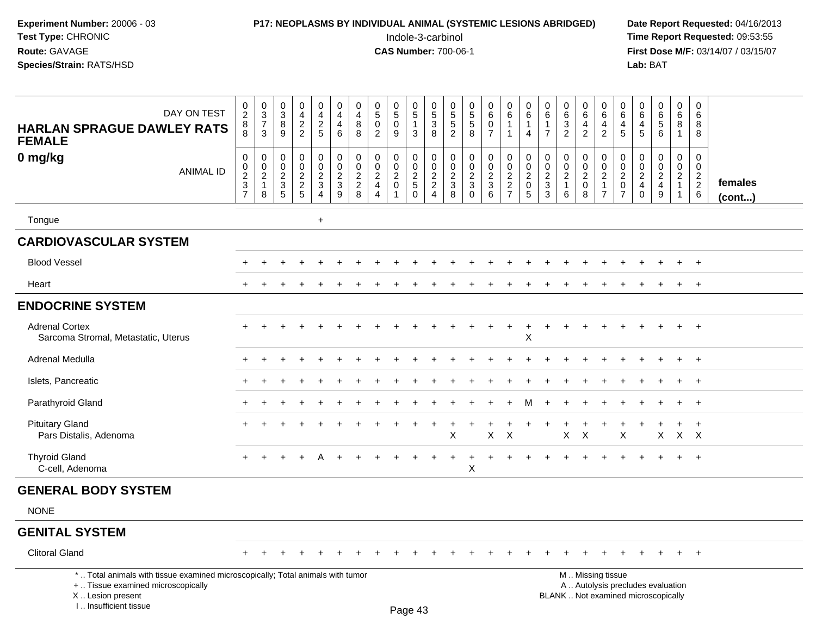| <b>P17: NEOPLASMS BY INDIVIDUAL ANIMAL (SYSTEMIC LESIONS ABRIDGED)</b> | Date Rep         |
|------------------------------------------------------------------------|------------------|
| Indole-3-carbinol                                                      | <b>Time Rep</b>  |
| <b>CAS Number: 700-06-1</b>                                            | <b>First Dos</b> |
|                                                                        | Lab: BAT         |
|                                                                        |                  |

# **P17: NEOPLASMS BY INDIVIDUAL ANIMAL (SYSTEMIC LESIONS ABRIDGED)** Date Report Requested: 04/16/2013<br>Indole-3-carbinol **Time Report Requested:** 09:53:55

 Indole-3-carbinol **Time Report Requested:** 09:53:55 **First Dose M/F:** 03/14/07 / 03/15/07<br>**Lab:** BAT

| DAY ON TEST<br><b>HARLAN SPRAGUE DAWLEY RATS</b><br><b>FEMALE</b>                                                                                                     | $_2^0$<br>$\overline{8}$<br>8                                | $\begin{array}{c} 0 \\ 3 \\ 7 \end{array}$<br>3                                   | 0<br>$\sqrt{3}$<br>$\,8\,$<br>9       | $\mathbf 0$<br>$\overline{4}$<br>$\frac{2}{2}$      | 0<br>$\overline{4}$<br>$\frac{2}{5}$              | $\pmb{0}$<br>$\overline{4}$<br>$\overline{4}$<br>6 | 0<br>$\overline{4}$<br>8<br>8                                 | 0<br>$\overline{5}$<br>$\overline{0}$<br>$\overline{2}$     | $\begin{array}{c} 0 \\ 5 \end{array}$<br>$\mathbf 0$<br>9 | $\begin{matrix} 0 \\ 5 \end{matrix}$<br>$\mathbf{1}$<br>3     | $\begin{array}{c} 0 \\ 5 \\ 3 \end{array}$<br>8 | 0<br>$\frac{5}{5}$<br>2                                      | $\pmb{0}$<br>$\overline{5}$<br>$\sqrt{5}$<br>8          | 0<br>$\,6\,$<br>$\mathbf 0$<br>$\overline{7}$                 | $\pmb{0}$<br>$6\overline{6}$<br>$\mathbf{1}$<br>$\mathbf{1}$ | $\pmb{0}$<br>$\,6\,$<br>$\mathbf{1}$<br>$\overline{4}$                                | 0<br>$\,6\,$<br>$\mathbf{1}$<br>$\overline{7}$ | $\begin{array}{c} 0 \\ 6 \end{array}$<br>$\frac{3}{2}$   | 0<br>$\,6$<br>4<br>$\overline{2}$                      | $\pmb{0}$<br>$\,6\,$<br>$\overline{4}$<br>$\overline{2}$                                      | 0<br>$\,6\,$<br>4<br>5                                              | 0<br>$\,6\,$<br>$\overline{4}$<br>5              | $_{6}^{\rm 0}$<br>$\overline{5}$<br>6  | $\pmb{0}$<br>$\,6\,$<br>8<br>$\mathbf{1}$           | $\mathbf 0$<br>$\,6\,$<br>8<br>8                                         |                   |
|-----------------------------------------------------------------------------------------------------------------------------------------------------------------------|--------------------------------------------------------------|-----------------------------------------------------------------------------------|---------------------------------------|-----------------------------------------------------|---------------------------------------------------|----------------------------------------------------|---------------------------------------------------------------|-------------------------------------------------------------|-----------------------------------------------------------|---------------------------------------------------------------|-------------------------------------------------|--------------------------------------------------------------|---------------------------------------------------------|---------------------------------------------------------------|--------------------------------------------------------------|---------------------------------------------------------------------------------------|------------------------------------------------|----------------------------------------------------------|--------------------------------------------------------|-----------------------------------------------------------------------------------------------|---------------------------------------------------------------------|--------------------------------------------------|----------------------------------------|-----------------------------------------------------|--------------------------------------------------------------------------|-------------------|
| 0 mg/kg<br><b>ANIMAL ID</b>                                                                                                                                           | $\pmb{0}$<br>$\begin{array}{c} 0 \\ 2 \\ 3 \\ 7 \end{array}$ | $\mathsf{O}\xspace$<br>$\ddot{\mathbf{0}}$<br>$\overline{c}$<br>$\mathbf{1}$<br>8 | 0<br>0<br>$\sqrt{2}$<br>$\frac{1}{3}$ | $\mathsf{O}\xspace$<br>$\pmb{0}$<br>$\frac{2}{2}$ 5 | 0<br>$\pmb{0}$<br>$\frac{2}{3}$<br>$\overline{4}$ | $\pmb{0}$<br>$\overline{0}$<br>$\frac{2}{3}$       | $\mathbf 0$<br>$\mathbf 0$<br>$\overline{2}$<br>$\frac{2}{8}$ | $\pmb{0}$<br>$\mathbf 0$<br>$\frac{2}{4}$<br>$\overline{4}$ | 0<br>0<br>$\overline{a}$<br>$\mathsf{O}\xspace$           | $\pmb{0}$<br>$\mathsf{O}\xspace$<br>$\frac{2}{5}$<br>$\Omega$ | $\mathbf 0$<br>$\overline{0}$<br>$\frac{2}{2}$  | 0<br>$\pmb{0}$<br>$\begin{array}{c} 2 \\ 3 \\ 8 \end{array}$ | $\mathbf 0$<br>$\mathbf 0$<br>$\frac{2}{3}$<br>$\Omega$ | 0<br>$\mathsf 0$<br>$\overline{2}$<br>$\mathfrak{Z}$<br>$\,6$ | $\pmb{0}$<br>$\overline{0}$<br>$\frac{2}{7}$                 | $\mathsf{O}\xspace$<br>$\mathbf 0$<br>$\overline{c}$<br>$\mathsf 0$<br>$\overline{5}$ | 0<br>0<br>$\overline{a}$<br>$\sqrt{3}$<br>3    | $\mathsf{O}\xspace$<br>$\mathbf 0$<br>$\frac{2}{1}$<br>6 | 0<br>$\mathbf 0$<br>$\sqrt{2}$<br>$\pmb{0}$<br>$\,8\,$ | $\mathbf 0$<br>$\overline{0}$<br>$\frac{2}{1}$<br>$\overline{7}$                              | 0<br>$\mathbf 0$<br>$\overline{2}$<br>$\mathbf 0$<br>$\overline{7}$ | 0<br>$\mathbf 0$<br>$\frac{2}{4}$<br>$\mathbf 0$ | 0<br>$\mathbf 0$<br>$\frac{2}{4}$<br>9 | $\mathbf 0$<br>$\mathsf{O}\xspace$<br>$\frac{2}{1}$ | $\mathbf 0$<br>$\mathbf 0$<br>$\begin{array}{c} 2 \\ 2 \\ 6 \end{array}$ | females<br>(cont) |
| Tongue                                                                                                                                                                |                                                              |                                                                                   |                                       |                                                     | $\ddot{}$                                         |                                                    |                                                               |                                                             |                                                           |                                                               |                                                 |                                                              |                                                         |                                                               |                                                              |                                                                                       |                                                |                                                          |                                                        |                                                                                               |                                                                     |                                                  |                                        |                                                     |                                                                          |                   |
| <b>CARDIOVASCULAR SYSTEM</b>                                                                                                                                          |                                                              |                                                                                   |                                       |                                                     |                                                   |                                                    |                                                               |                                                             |                                                           |                                                               |                                                 |                                                              |                                                         |                                                               |                                                              |                                                                                       |                                                |                                                          |                                                        |                                                                                               |                                                                     |                                                  |                                        |                                                     |                                                                          |                   |
| <b>Blood Vessel</b>                                                                                                                                                   |                                                              |                                                                                   |                                       |                                                     |                                                   |                                                    |                                                               |                                                             |                                                           |                                                               |                                                 |                                                              |                                                         |                                                               |                                                              |                                                                                       |                                                |                                                          |                                                        |                                                                                               |                                                                     |                                                  |                                        |                                                     | $\overline{ }$                                                           |                   |
| Heart                                                                                                                                                                 |                                                              |                                                                                   |                                       |                                                     |                                                   |                                                    |                                                               |                                                             |                                                           |                                                               |                                                 |                                                              |                                                         |                                                               |                                                              |                                                                                       |                                                |                                                          |                                                        |                                                                                               |                                                                     |                                                  |                                        |                                                     |                                                                          |                   |
| <b>ENDOCRINE SYSTEM</b>                                                                                                                                               |                                                              |                                                                                   |                                       |                                                     |                                                   |                                                    |                                                               |                                                             |                                                           |                                                               |                                                 |                                                              |                                                         |                                                               |                                                              |                                                                                       |                                                |                                                          |                                                        |                                                                                               |                                                                     |                                                  |                                        |                                                     |                                                                          |                   |
| <b>Adrenal Cortex</b><br>Sarcoma Stromal, Metastatic, Uterus                                                                                                          |                                                              |                                                                                   |                                       |                                                     |                                                   |                                                    |                                                               |                                                             |                                                           |                                                               |                                                 |                                                              |                                                         |                                                               |                                                              | $\ddot{}$<br>$\sf X$                                                                  | $\ddot{}$                                      |                                                          |                                                        |                                                                                               |                                                                     |                                                  |                                        | $\ddot{}$                                           | $^{+}$                                                                   |                   |
| <b>Adrenal Medulla</b>                                                                                                                                                |                                                              |                                                                                   |                                       |                                                     |                                                   |                                                    |                                                               |                                                             |                                                           |                                                               |                                                 |                                                              |                                                         |                                                               |                                                              |                                                                                       |                                                |                                                          |                                                        |                                                                                               |                                                                     |                                                  |                                        |                                                     | $\overline{ }$                                                           |                   |
| Islets, Pancreatic                                                                                                                                                    |                                                              |                                                                                   |                                       |                                                     |                                                   |                                                    |                                                               |                                                             |                                                           |                                                               |                                                 |                                                              |                                                         |                                                               |                                                              |                                                                                       |                                                |                                                          |                                                        |                                                                                               |                                                                     |                                                  |                                        |                                                     | $\overline{1}$                                                           |                   |
| Parathyroid Gland                                                                                                                                                     |                                                              |                                                                                   |                                       |                                                     |                                                   |                                                    |                                                               |                                                             |                                                           |                                                               |                                                 |                                                              |                                                         |                                                               |                                                              | м                                                                                     |                                                |                                                          |                                                        |                                                                                               |                                                                     |                                                  |                                        |                                                     | $^{+}$                                                                   |                   |
| <b>Pituitary Gland</b><br>Pars Distalis, Adenoma                                                                                                                      |                                                              |                                                                                   |                                       |                                                     |                                                   |                                                    |                                                               |                                                             |                                                           |                                                               | <b>+</b>                                        | X                                                            |                                                         | X                                                             | $\boldsymbol{\mathsf{X}}$                                    | ÷                                                                                     |                                                | $\pmb{\times}$                                           | +<br>X                                                 | $\div$                                                                                        | X                                                                   |                                                  | $\ddot{}$<br>X                         | $\ddot{}$<br>$\mathsf{X}$                           | $\ddot{}$<br>$\mathsf{X}$                                                |                   |
| <b>Thyroid Gland</b><br>C-cell, Adenoma                                                                                                                               |                                                              |                                                                                   |                                       |                                                     |                                                   |                                                    |                                                               |                                                             |                                                           |                                                               |                                                 |                                                              | X                                                       |                                                               |                                                              |                                                                                       |                                                |                                                          |                                                        |                                                                                               |                                                                     |                                                  |                                        |                                                     |                                                                          |                   |
| <b>GENERAL BODY SYSTEM</b>                                                                                                                                            |                                                              |                                                                                   |                                       |                                                     |                                                   |                                                    |                                                               |                                                             |                                                           |                                                               |                                                 |                                                              |                                                         |                                                               |                                                              |                                                                                       |                                                |                                                          |                                                        |                                                                                               |                                                                     |                                                  |                                        |                                                     |                                                                          |                   |
| <b>NONE</b>                                                                                                                                                           |                                                              |                                                                                   |                                       |                                                     |                                                   |                                                    |                                                               |                                                             |                                                           |                                                               |                                                 |                                                              |                                                         |                                                               |                                                              |                                                                                       |                                                |                                                          |                                                        |                                                                                               |                                                                     |                                                  |                                        |                                                     |                                                                          |                   |
| <b>GENITAL SYSTEM</b>                                                                                                                                                 |                                                              |                                                                                   |                                       |                                                     |                                                   |                                                    |                                                               |                                                             |                                                           |                                                               |                                                 |                                                              |                                                         |                                                               |                                                              |                                                                                       |                                                |                                                          |                                                        |                                                                                               |                                                                     |                                                  |                                        |                                                     |                                                                          |                   |
| <b>Clitoral Gland</b>                                                                                                                                                 |                                                              |                                                                                   |                                       |                                                     |                                                   |                                                    |                                                               |                                                             |                                                           |                                                               |                                                 |                                                              |                                                         |                                                               |                                                              |                                                                                       |                                                |                                                          |                                                        |                                                                                               |                                                                     |                                                  |                                        | $+$                                                 | $+$                                                                      |                   |
| *  Total animals with tissue examined microscopically; Total animals with tumor<br>+  Tissue examined microscopically<br>X  Lesion present<br>I., Insufficient tissue |                                                              |                                                                                   |                                       |                                                     |                                                   |                                                    |                                                               |                                                             |                                                           | Page 43                                                       |                                                 |                                                              |                                                         |                                                               |                                                              |                                                                                       |                                                |                                                          |                                                        | M  Missing tissue<br>A  Autolysis precludes evaluation<br>BLANK  Not examined microscopically |                                                                     |                                                  |                                        |                                                     |                                                                          |                   |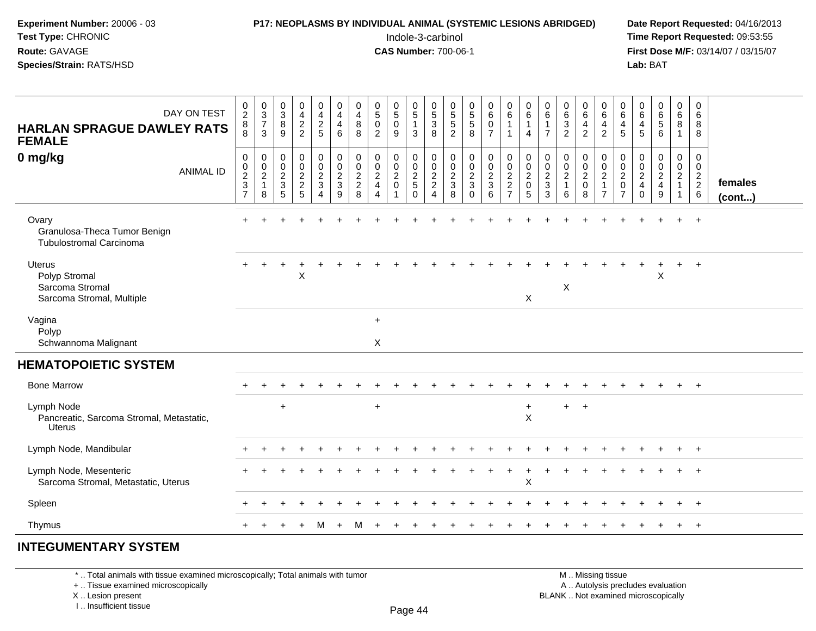#### **P17: NEOPLASMS BY INDIVIDUAL ANIMAL (SYSTEMIC LESIONS ABRIDGED)** Date Report Requested: 04/16/2013<br>Indole-3-carbinol **Time Report Requested:** 09:53:55

 Indole-3-carbinol **Time Report Requested:** 09:53:55 **First Dose M/F:** 03/14/07 / 03/15/07<br>**Lab:** BAT

| DAY ON TEST<br><b>HARLAN SPRAGUE DAWLEY RATS</b><br><b>FEMALE</b>              | $_2^0$<br>8<br>8                                                         | $\begin{array}{c} 0 \\ 3 \\ 7 \end{array}$<br>3             | $_{3}^{\rm 0}$<br>$\bf 8$<br>9                                                  | 0<br>$\frac{4}{2}$                            | 0<br>$\frac{4}{2}$<br>5                                          | $_4^{\rm 0}$<br>4<br>6                                                        | 0<br>$\frac{4}{8}$<br>8                          | $\begin{smallmatrix}0\5\0\end{smallmatrix}$<br>2                                   | $\begin{smallmatrix} 0\\5 \end{smallmatrix}$<br>$\mathbf 0$<br>9       | $\begin{array}{c} 0 \\ 5 \\ 1 \end{array}$<br>$\mathbf{3}$ | $\begin{array}{c} 0 \\ 5 \\ 3 \end{array}$<br>8           | $\begin{array}{c} 0 \\ 5 \\ 5 \end{array}$<br>2 | 0<br>5<br>5<br>8                                                     | $\begin{array}{c} 0 \\ 6 \end{array}$<br>$\mathbf 0$<br>$\overline{7}$   | 0<br>$\overline{6}$<br>$\mathbf{1}$<br>$\overline{1}$ | 0<br>$\,6\,$<br>$\mathbf{1}$<br>4                      | $\begin{array}{c} 0 \\ 6 \end{array}$<br>$\mathbf{1}$<br>$\overline{7}$ | 0<br>6<br>3<br>2                                                | $\begin{matrix} 0 \\ 6 \end{matrix}$<br>$\overline{4}$<br>$\overline{2}$ | 0<br>$\overline{6}$<br>$\overline{a}$<br>$\overline{2}$ | 0<br>$\,6$<br>4<br>5                                              | 0<br>$\,6\,$<br>4<br>5                                           | 0<br>6<br>5<br>6                                                   | $_{6}^{\rm 0}$<br>8<br>$\mathbf{1}$                                                | 0<br>6<br>8<br>8                             |                   |
|--------------------------------------------------------------------------------|--------------------------------------------------------------------------|-------------------------------------------------------------|---------------------------------------------------------------------------------|-----------------------------------------------|------------------------------------------------------------------|-------------------------------------------------------------------------------|--------------------------------------------------|------------------------------------------------------------------------------------|------------------------------------------------------------------------|------------------------------------------------------------|-----------------------------------------------------------|-------------------------------------------------|----------------------------------------------------------------------|--------------------------------------------------------------------------|-------------------------------------------------------|--------------------------------------------------------|-------------------------------------------------------------------------|-----------------------------------------------------------------|--------------------------------------------------------------------------|---------------------------------------------------------|-------------------------------------------------------------------|------------------------------------------------------------------|--------------------------------------------------------------------|------------------------------------------------------------------------------------|----------------------------------------------|-------------------|
| 0 mg/kg<br><b>ANIMAL ID</b>                                                    | $\boldsymbol{0}$<br>$\mathbf 0$<br>$\overline{c}$<br>3<br>$\overline{7}$ | $\pmb{0}$<br>$\mathbf 0$<br>$\sqrt{2}$<br>$\mathbf{1}$<br>8 | $\boldsymbol{0}$<br>$\pmb{0}$<br>$\overline{c}$<br>$\sqrt{3}$<br>$\overline{5}$ | 0<br>$\pmb{0}$<br>$\sqrt{2}$<br>$\frac{2}{5}$ | $\pmb{0}$<br>$\mathbf 0$<br>$\boldsymbol{2}$<br>$\mathsf 3$<br>4 | $\mathbf 0$<br>$\pmb{0}$<br>$\boldsymbol{2}$<br>$\mathsf 3$<br>$\overline{9}$ | $\mathbf 0$<br>$\mathbf 0$<br>$\frac{2}{2}$<br>8 | 0<br>$\mathsf{O}\xspace$<br>$\sqrt{2}$<br>$\overline{4}$<br>$\boldsymbol{\Lambda}$ | 0<br>$\mathsf 0$<br>$\sqrt{2}$<br>$\pmb{0}$<br>$\overline{\mathbf{1}}$ | 0<br>$\mathbf 0$<br>$\frac{2}{5}$<br>$\Omega$              | 0<br>$\mathbf 0$<br>$\overline{c}$<br>$\overline{2}$<br>4 | 0<br>$\mathbf 0$<br>$\frac{2}{3}$<br>8          | $\pmb{0}$<br>$\pmb{0}$<br>$\overline{c}$<br>$\mathbf{3}$<br>$\Omega$ | $\mathbf 0$<br>$\mathsf{O}\xspace$<br>$\overline{2}$<br>$\mathbf 3$<br>6 | $\pmb{0}$<br>$\mathbf 0$<br>$\frac{2}{2}$             | 0<br>$\mathbf 0$<br>$\overline{c}$<br>$\mathbf 0$<br>5 | $\pmb{0}$<br>$\mathbf 0$<br>$\sqrt{2}$<br>$\sqrt{3}$<br>$\overline{3}$  | 0<br>$\mathsf{O}\xspace$<br>$\overline{c}$<br>$\mathbf{1}$<br>6 | 0<br>$\mathbf 0$<br>$\overline{2}$<br>$\pmb{0}$<br>8                     | 0<br>$\frac{0}{2}$<br>$\overline{1}$<br>$\overline{7}$  | 0<br>$\mathbf 0$<br>$\overline{2}$<br>$\pmb{0}$<br>$\overline{7}$ | 0<br>$\mathbf 0$<br>$\overline{c}$<br>$\overline{4}$<br>$\Omega$ | 0<br>$\mathbf 0$<br>$\overline{a}$<br>$\overline{\mathbf{4}}$<br>9 | $\pmb{0}$<br>$\mathsf{O}\xspace$<br>$\overline{2}$<br>$\mathbf{1}$<br>$\mathbf{1}$ | 0<br>$\mathbf 0$<br>$\frac{2}{2}$<br>$\,6\,$ | females<br>(cont) |
| Ovary<br>Granulosa-Theca Tumor Benign<br><b>Tubulostromal Carcinoma</b>        | $\ddot{}$                                                                |                                                             |                                                                                 |                                               |                                                                  |                                                                               |                                                  |                                                                                    |                                                                        |                                                            |                                                           |                                                 |                                                                      |                                                                          |                                                       |                                                        |                                                                         |                                                                 |                                                                          |                                                         |                                                                   |                                                                  |                                                                    | $+$                                                                                | $\ddot{\phantom{1}}$                         |                   |
| <b>Uterus</b><br>Polyp Stromal<br>Sarcoma Stromal<br>Sarcoma Stromal, Multiple |                                                                          |                                                             |                                                                                 | $\sf X$                                       |                                                                  |                                                                               |                                                  |                                                                                    |                                                                        |                                                            |                                                           |                                                 |                                                                      |                                                                          |                                                       | X                                                      |                                                                         | X                                                               |                                                                          |                                                         |                                                                   |                                                                  | X                                                                  |                                                                                    | $+$                                          |                   |
| Vagina<br>Polyp<br>Schwannoma Malignant                                        |                                                                          |                                                             |                                                                                 |                                               |                                                                  |                                                                               |                                                  | $\ddot{}$<br>X                                                                     |                                                                        |                                                            |                                                           |                                                 |                                                                      |                                                                          |                                                       |                                                        |                                                                         |                                                                 |                                                                          |                                                         |                                                                   |                                                                  |                                                                    |                                                                                    |                                              |                   |
| <b>HEMATOPOIETIC SYSTEM</b>                                                    |                                                                          |                                                             |                                                                                 |                                               |                                                                  |                                                                               |                                                  |                                                                                    |                                                                        |                                                            |                                                           |                                                 |                                                                      |                                                                          |                                                       |                                                        |                                                                         |                                                                 |                                                                          |                                                         |                                                                   |                                                                  |                                                                    |                                                                                    |                                              |                   |
| <b>Bone Marrow</b>                                                             |                                                                          |                                                             |                                                                                 |                                               |                                                                  |                                                                               |                                                  |                                                                                    |                                                                        |                                                            |                                                           |                                                 |                                                                      |                                                                          |                                                       |                                                        |                                                                         |                                                                 |                                                                          |                                                         |                                                                   |                                                                  |                                                                    |                                                                                    | $+$                                          |                   |
| Lymph Node<br>Pancreatic, Sarcoma Stromal, Metastatic,<br><b>Uterus</b>        |                                                                          |                                                             | $\ddot{}$                                                                       |                                               |                                                                  |                                                                               |                                                  | $\ddot{}$                                                                          |                                                                        |                                                            |                                                           |                                                 |                                                                      |                                                                          |                                                       | $\ddot{}$<br>$\mathsf X$                               |                                                                         | $+$                                                             | $+$                                                                      |                                                         |                                                                   |                                                                  |                                                                    |                                                                                    |                                              |                   |
| Lymph Node, Mandibular                                                         |                                                                          |                                                             |                                                                                 |                                               |                                                                  |                                                                               |                                                  |                                                                                    |                                                                        |                                                            |                                                           |                                                 |                                                                      |                                                                          |                                                       |                                                        |                                                                         |                                                                 |                                                                          |                                                         |                                                                   |                                                                  |                                                                    |                                                                                    | $\overline{1}$                               |                   |
| Lymph Node, Mesenteric<br>Sarcoma Stromal, Metastatic, Uterus                  |                                                                          |                                                             |                                                                                 |                                               |                                                                  |                                                                               |                                                  |                                                                                    |                                                                        |                                                            |                                                           |                                                 |                                                                      |                                                                          |                                                       | Χ                                                      |                                                                         |                                                                 |                                                                          |                                                         |                                                                   |                                                                  |                                                                    |                                                                                    | $\overline{1}$                               |                   |
| Spleen                                                                         |                                                                          |                                                             |                                                                                 |                                               |                                                                  |                                                                               |                                                  |                                                                                    |                                                                        |                                                            |                                                           |                                                 |                                                                      |                                                                          |                                                       |                                                        |                                                                         |                                                                 |                                                                          |                                                         |                                                                   |                                                                  |                                                                    |                                                                                    |                                              |                   |
| Thymus                                                                         |                                                                          |                                                             |                                                                                 |                                               | м                                                                |                                                                               |                                                  |                                                                                    |                                                                        |                                                            |                                                           |                                                 |                                                                      |                                                                          |                                                       |                                                        |                                                                         |                                                                 |                                                                          |                                                         |                                                                   |                                                                  |                                                                    | $\ddot{}$                                                                          | $^{+}$                                       |                   |
| <b>INTEGUMENTARY SYSTEM</b>                                                    |                                                                          |                                                             |                                                                                 |                                               |                                                                  |                                                                               |                                                  |                                                                                    |                                                                        |                                                            |                                                           |                                                 |                                                                      |                                                                          |                                                       |                                                        |                                                                         |                                                                 |                                                                          |                                                         |                                                                   |                                                                  |                                                                    |                                                                                    |                                              |                   |

\* .. Total animals with tissue examined microscopically; Total animals with tumor

+ .. Tissue examined microscopically

X .. Lesion present

I .. Insufficient tissue

 M .. Missing tissuey the contract of the contract of the contract of the contract of the contract of  $\mathsf A$  . Autolysis precludes evaluation Lesion present BLANK .. Not examined microscopically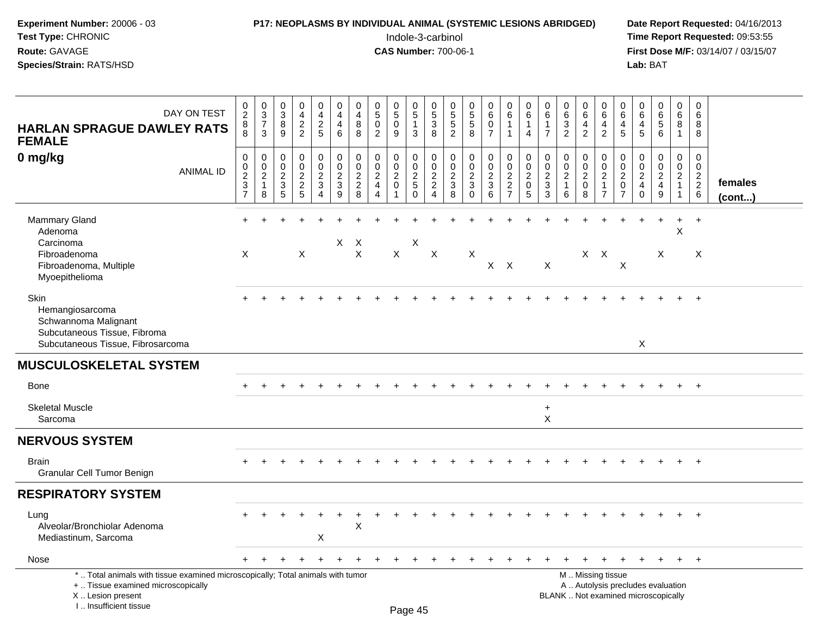### **P17: NEOPLASMS BY INDIVIDUAL ANIMAL (SYSTEMIC LESIONS ABRIDGED)** Date Report Requested: 04/16/2013<br>Indole-3-carbinol **Time Report Requested:** 09:53:55

 Indole-3-carbinol **Time Report Requested:** 09:53:55 **First Dose M/F:** 03/14/07 / 03/15/07<br>Lab: BAT **Lab:** BAT

| DAY ON TEST<br><b>HARLAN SPRAGUE DAWLEY RATS</b><br><b>FEMALE</b>                                                                                                     | $\begin{smallmatrix} 0\\2 \end{smallmatrix}$<br>$\,8\,$<br>8  | $\pmb{0}$<br>$\overline{3}$<br>$\overline{7}$<br>3            | $\pmb{0}$<br>$\overline{3}$<br>8<br>9                             | 0<br>$\overline{4}$<br>$\frac{2}{2}$              | $\pmb{0}$<br>$\overline{4}$<br>$\frac{2}{5}$                                 | $\pmb{0}$<br>$\overline{4}$<br>$\overline{4}$<br>6            | $\mathbf 0$<br>$\overline{4}$<br>8<br>8                       | $\pmb{0}$<br>$\overline{5}$<br>$\mathbf 0$<br>$\overline{2}$               | 0<br>$\overline{5}$<br>$\mathbf 0$<br>9                | 0<br>$\overline{5}$<br>$\mathbf{1}$<br>3                      | 0<br>$\frac{5}{3}$<br>8                                                | 0<br>$\frac{5}{5}$<br>2                                            | $\begin{array}{c} 0 \\ 5 \\ 5 \end{array}$<br>8                                  | $\pmb{0}$<br>$6\phantom{a}$<br>$\mathbf 0$<br>$\overline{7}$ | $\pmb{0}$<br>$\,6\,$<br>$\mathbf{1}$<br>$\overline{1}$         | 0<br>$\,6$<br>$\mathbf{1}$<br>$\overline{4}$                                   | $\pmb{0}$<br>$\,6\,$<br>$\mathbf{1}$<br>$\overline{7}$                    | $\pmb{0}$<br>$\,6\,$<br>$\overline{3}$<br>$\overline{2}$        | $\mathbf 0$<br>$\,6\,$<br>$\overline{4}$<br>$\overline{2}$       | $\pmb{0}$<br>$\,6\,$<br>$\overline{4}$<br>$\overline{2}$                                      | 0<br>6<br>$\overline{4}$<br>5                                 | 0<br>$\,6\,$<br>4<br>5                                       | 0<br>$\overline{6}$<br>$\overline{6}$                                  | $\pmb{0}$<br>$6\phantom{.}6$<br>8<br>$\mathbf{1}$                                    | $\mathbf 0$<br>$\,6\,$<br>8<br>8                                      |                   |
|-----------------------------------------------------------------------------------------------------------------------------------------------------------------------|---------------------------------------------------------------|---------------------------------------------------------------|-------------------------------------------------------------------|---------------------------------------------------|------------------------------------------------------------------------------|---------------------------------------------------------------|---------------------------------------------------------------|----------------------------------------------------------------------------|--------------------------------------------------------|---------------------------------------------------------------|------------------------------------------------------------------------|--------------------------------------------------------------------|----------------------------------------------------------------------------------|--------------------------------------------------------------|----------------------------------------------------------------|--------------------------------------------------------------------------------|---------------------------------------------------------------------------|-----------------------------------------------------------------|------------------------------------------------------------------|-----------------------------------------------------------------------------------------------|---------------------------------------------------------------|--------------------------------------------------------------|------------------------------------------------------------------------|--------------------------------------------------------------------------------------|-----------------------------------------------------------------------|-------------------|
| 0 mg/kg<br><b>ANIMAL ID</b>                                                                                                                                           | $\boldsymbol{0}$<br>$^{\rm 0}_{\rm 2}$<br>$\overline{3}$<br>7 | $\mathbf 0$<br>$\mathbf 0$<br>$\sqrt{2}$<br>$\mathbf{1}$<br>8 | $\mathbf 0$<br>$\mathbf 0$<br>$\overline{2}$<br>$\mathbf{3}$<br>5 | 0<br>$\pmb{0}$<br>$\overline{a}$<br>$\frac{2}{5}$ | $\pmb{0}$<br>$\mathbf 0$<br>$\overline{2}$<br>$\mathbf{3}$<br>$\overline{4}$ | $\pmb{0}$<br>$\pmb{0}$<br>$\boldsymbol{2}$<br>$\sqrt{3}$<br>9 | $\mathbf 0$<br>$\mathbf 0$<br>$\overline{2}$<br>$\frac{2}{8}$ | $\pmb{0}$<br>$\mathbf 0$<br>$\sqrt{2}$<br>$\overline{4}$<br>$\overline{4}$ | 0<br>$\mathbf 0$<br>$\overline{2}$<br>$\boldsymbol{0}$ | $\mathbf 0$<br>$\overline{0}$<br>$\frac{2}{5}$<br>$\mathsf 0$ | 0<br>$\mathbf 0$<br>$\overline{2}$<br>$\overline{2}$<br>$\overline{4}$ | $\pmb{0}$<br>0<br>$\overline{c}$<br>$\ensuremath{\mathsf{3}}$<br>8 | $\pmb{0}$<br>$\ddot{\mathbf{0}}$<br>$\overline{2}$<br>$\mathfrak{Z}$<br>$\Omega$ | 0<br>$\,0\,$<br>$\boldsymbol{2}$<br>$\overline{3}$<br>6      | $\pmb{0}$<br>$\overline{0}$<br>$\overline{2}$<br>$\frac{2}{7}$ | $\mathbf 0$<br>$\mathbf 0$<br>$\overline{c}$<br>$\mathbf 0$<br>$5\phantom{.0}$ | $\mathbf 0$<br>$\mathsf{O}\xspace$<br>$\overline{2}$<br>$\mathbf{3}$<br>3 | $\mathbf 0$<br>$\pmb{0}$<br>$\overline{2}$<br>$\mathbf{1}$<br>6 | $\mathbf 0$<br>$\mathbf 0$<br>$\overline{2}$<br>$\mathbf 0$<br>8 | $\boldsymbol{0}$<br>$\frac{0}{2}$<br>$\mathbf{1}$<br>$\overline{7}$                           | 0<br>$\mathbf 0$<br>$\sqrt{2}$<br>$\pmb{0}$<br>$\overline{7}$ | 0<br>$\mathbf 0$<br>$\sqrt{2}$<br>$\overline{4}$<br>$\Omega$ | 0<br>$\pmb{0}$<br>$\overline{a}$<br>$\overline{4}$<br>$\boldsymbol{9}$ | $\mathsf{O}\xspace$<br>$\mathbf 0$<br>$\overline{2}$<br>$\mathbf{1}$<br>$\mathbf{1}$ | $\mathbf 0$<br>$\mathbf 0$<br>$\overline{c}$<br>$\boldsymbol{2}$<br>6 | females<br>(cont) |
| <b>Mammary Gland</b><br>Adenoma<br>Carcinoma<br>Fibroadenoma<br>Fibroadenoma, Multiple<br>Myoepithelioma                                                              | X                                                             |                                                               |                                                                   | X                                                 |                                                                              | $X$ $X$                                                       | $\mathsf{X}$                                                  |                                                                            | $\mathsf{X}$                                           | X                                                             | $\times$                                                               |                                                                    | X                                                                                | $\mathsf{X}$                                                 | $\mathsf{X}$                                                   |                                                                                | X                                                                         |                                                                 |                                                                  | $X$ $X$                                                                                       | $\times$                                                      |                                                              | X                                                                      | +<br>X                                                                               | $+$<br>X                                                              |                   |
| Skin<br>Hemangiosarcoma<br>Schwannoma Malignant<br>Subcutaneous Tissue, Fibroma<br>Subcutaneous Tissue, Fibrosarcoma                                                  |                                                               |                                                               |                                                                   |                                                   |                                                                              |                                                               |                                                               |                                                                            |                                                        |                                                               |                                                                        |                                                                    |                                                                                  |                                                              |                                                                |                                                                                |                                                                           |                                                                 |                                                                  |                                                                                               |                                                               | $\mathsf X$                                                  |                                                                        |                                                                                      | $^{+}$                                                                |                   |
| <b>MUSCULOSKELETAL SYSTEM</b>                                                                                                                                         |                                                               |                                                               |                                                                   |                                                   |                                                                              |                                                               |                                                               |                                                                            |                                                        |                                                               |                                                                        |                                                                    |                                                                                  |                                                              |                                                                |                                                                                |                                                                           |                                                                 |                                                                  |                                                                                               |                                                               |                                                              |                                                                        |                                                                                      |                                                                       |                   |
| Bone                                                                                                                                                                  |                                                               |                                                               |                                                                   |                                                   |                                                                              |                                                               |                                                               |                                                                            |                                                        |                                                               |                                                                        |                                                                    |                                                                                  |                                                              |                                                                |                                                                                |                                                                           |                                                                 |                                                                  |                                                                                               |                                                               |                                                              |                                                                        | $\ddot{}$                                                                            | $+$                                                                   |                   |
| <b>Skeletal Muscle</b><br>Sarcoma                                                                                                                                     |                                                               |                                                               |                                                                   |                                                   |                                                                              |                                                               |                                                               |                                                                            |                                                        |                                                               |                                                                        |                                                                    |                                                                                  |                                                              |                                                                |                                                                                | $+$<br>$\pmb{\times}$                                                     |                                                                 |                                                                  |                                                                                               |                                                               |                                                              |                                                                        |                                                                                      |                                                                       |                   |
| <b>NERVOUS SYSTEM</b>                                                                                                                                                 |                                                               |                                                               |                                                                   |                                                   |                                                                              |                                                               |                                                               |                                                                            |                                                        |                                                               |                                                                        |                                                                    |                                                                                  |                                                              |                                                                |                                                                                |                                                                           |                                                                 |                                                                  |                                                                                               |                                                               |                                                              |                                                                        |                                                                                      |                                                                       |                   |
| <b>Brain</b><br>Granular Cell Tumor Benign                                                                                                                            |                                                               |                                                               |                                                                   |                                                   |                                                                              |                                                               |                                                               |                                                                            |                                                        |                                                               |                                                                        |                                                                    |                                                                                  |                                                              |                                                                |                                                                                |                                                                           |                                                                 |                                                                  |                                                                                               |                                                               |                                                              |                                                                        |                                                                                      | $+$                                                                   |                   |
| <b>RESPIRATORY SYSTEM</b>                                                                                                                                             |                                                               |                                                               |                                                                   |                                                   |                                                                              |                                                               |                                                               |                                                                            |                                                        |                                                               |                                                                        |                                                                    |                                                                                  |                                                              |                                                                |                                                                                |                                                                           |                                                                 |                                                                  |                                                                                               |                                                               |                                                              |                                                                        |                                                                                      |                                                                       |                   |
| Lung<br>Alveolar/Bronchiolar Adenoma<br>Mediastinum, Sarcoma                                                                                                          |                                                               |                                                               |                                                                   |                                                   | X                                                                            |                                                               | $\mathsf X$                                                   |                                                                            |                                                        |                                                               |                                                                        |                                                                    |                                                                                  |                                                              |                                                                |                                                                                |                                                                           |                                                                 |                                                                  |                                                                                               |                                                               |                                                              |                                                                        | $+$                                                                                  | $+$                                                                   |                   |
| Nose                                                                                                                                                                  |                                                               |                                                               |                                                                   |                                                   |                                                                              |                                                               |                                                               |                                                                            |                                                        |                                                               |                                                                        |                                                                    |                                                                                  |                                                              |                                                                |                                                                                |                                                                           |                                                                 | $\pm$                                                            |                                                                                               |                                                               |                                                              | $\ddot{}$                                                              | $+$                                                                                  | $+$                                                                   |                   |
| *  Total animals with tissue examined microscopically; Total animals with tumor<br>+  Tissue examined microscopically<br>X  Lesion present<br>I., Insufficient tissue |                                                               |                                                               |                                                                   |                                                   |                                                                              |                                                               |                                                               |                                                                            |                                                        | Page 45                                                       |                                                                        |                                                                    |                                                                                  |                                                              |                                                                |                                                                                |                                                                           |                                                                 |                                                                  | M  Missing tissue<br>A  Autolysis precludes evaluation<br>BLANK  Not examined microscopically |                                                               |                                                              |                                                                        |                                                                                      |                                                                       |                   |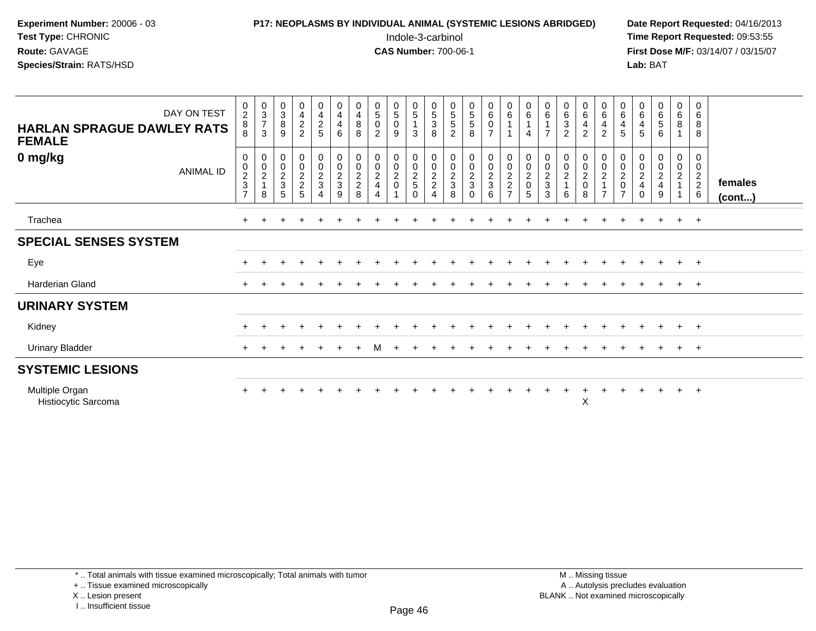## **P17: NEOPLASMS BY INDIVIDUAL ANIMAL (SYSTEMIC LESIONS ABRIDGED)** Date Report Requested: 04/16/2013<br>Indole-3-carbinol **Time Report Requested:** 09:53:55

 Indole-3-carbinol **Time Report Requested:** 09:53:55 **First Dose M/F:** 03/14/07 / 03/15/07<br>Lab: BAT **Lab:** BAT

| DAY ON TEST<br><b>HARLAN SPRAGUE DAWLEY RATS</b><br><b>FEMALE</b> | $\frac{0}{2}$<br>8<br>8                   | $\begin{array}{c} 0 \\ 3 \\ 7 \end{array}$<br>3 | $\begin{smallmatrix}0\3\8\end{smallmatrix}$<br>9     | $\frac{0}{4}$<br>2<br>2                              | $\begin{array}{c} 0 \\ 4 \\ 2 \end{array}$<br>5      | $\begin{smallmatrix}0\0\4\end{smallmatrix}$<br>$\overline{4}$<br>6 | $\begin{smallmatrix}0\4\8\end{smallmatrix}$<br>8     | $\begin{smallmatrix}0\5\0\end{smallmatrix}$<br>$\overline{2}$ | $\begin{smallmatrix}0\5\0\end{smallmatrix}$<br>9 | $\begin{array}{c} 0 \\ 5 \\ 1 \end{array}$<br>3                | $\begin{array}{c} 0 \\ 5 \end{array}$<br>$\ensuremath{\mathsf{3}}$<br>8 | $\begin{array}{c} 0 \\ 5 \\ 5 \end{array}$<br>$\overline{2}$ | $\begin{matrix}0\\5\\5\end{matrix}$<br>8 | $\begin{array}{c} 0 \\ 6 \end{array}$<br>$\pmb{0}$<br>$\overline{7}$ | $\begin{array}{c} 0 \\ 6 \end{array}$<br>$\mathbf{1}$<br>$\mathbf{1}$ | $\begin{array}{c} 0 \\ 6 \end{array}$<br>4          | $\begin{array}{c} 0 \\ 6 \\ 1 \end{array}$<br>$\overline{7}$ | 0632                                 | $\begin{array}{c} 0 \\ 6 \end{array}$<br>$\overline{4}$<br>$\overline{2}$ | $\begin{array}{c} 0 \\ 6 \end{array}$<br>$\frac{4}{2}$ | $\begin{array}{c} 0 \\ 6 \end{array}$<br>$\overline{4}$<br>5 | $_{6}^{\rm 0}$<br>$\overline{\mathbf{4}}$<br>5             | $\begin{matrix} 0 \\ 6 \\ 5 \end{matrix}$<br>6 | $\begin{matrix}0\6\8\end{matrix}$<br>$\overline{A}$ | $\boldsymbol{0}$<br>$\,6\,$<br>$\bf 8$<br>8 |                         |
|-------------------------------------------------------------------|-------------------------------------------|-------------------------------------------------|------------------------------------------------------|------------------------------------------------------|------------------------------------------------------|--------------------------------------------------------------------|------------------------------------------------------|---------------------------------------------------------------|--------------------------------------------------|----------------------------------------------------------------|-------------------------------------------------------------------------|--------------------------------------------------------------|------------------------------------------|----------------------------------------------------------------------|-----------------------------------------------------------------------|-----------------------------------------------------|--------------------------------------------------------------|--------------------------------------|---------------------------------------------------------------------------|--------------------------------------------------------|--------------------------------------------------------------|------------------------------------------------------------|------------------------------------------------|-----------------------------------------------------|---------------------------------------------|-------------------------|
| 0 mg/kg<br><b>ANIMAL ID</b>                                       | 0<br>0<br>$\frac{2}{3}$<br>$\overline{7}$ | 0<br>$\frac{0}{2}$<br>8                         | $\begin{array}{c} 0 \\ 0 \\ 2 \\ 3 \end{array}$<br>5 | $\begin{array}{c} 0 \\ 0 \\ 2 \\ 2 \\ 5 \end{array}$ | $\begin{array}{c} 0 \\ 0 \\ 2 \\ 3 \end{array}$<br>4 | 0<br>$\frac{0}{2}$<br>9                                            | 0<br>$\begin{array}{c} 0 \\ 2 \\ 2 \\ 8 \end{array}$ | $\pmb{0}$<br>$\pmb{0}$<br>$\frac{2}{4}$<br>4                  | $\begin{matrix} 0 \\ 0 \\ 2 \\ 0 \end{matrix}$   | $\begin{array}{c} 0 \\ 0 \\ 2 \\ 5 \end{array}$<br>$\mathbf 0$ | 0<br>$\frac{0}{2}$<br>$\overline{4}$                                    | $\begin{array}{c} 0 \\ 0 \\ 2 \\ 3 \end{array}$<br>8         | $\pmb{0}$<br>$\frac{0}{2}$<br>$\Omega$   | $\begin{array}{c} 0 \\ 0 \\ 2 \\ 3 \end{array}$<br>6                 | $0002$<br>$27$                                                        | 0<br>$\begin{matrix} 0 \\ 2 \\ 0 \end{matrix}$<br>5 | $\pmb{0}$<br>$\frac{0}{2}$<br>3                              | 0<br>$\pmb{0}$<br>$\frac{2}{1}$<br>6 | 0<br>$\pmb{0}$<br>$\frac{2}{0}$<br>8                                      | 0002<br>$\overline{7}$                                 | 00020<br>$\overline{7}$                                      | $\boldsymbol{0}$<br>${\bf 0}$<br>$\frac{2}{4}$<br>$\Omega$ | $_0^0$<br>$\frac{2}{4}$<br>9                   | $_0^0$<br>$\frac{2}{1}$                             | 0<br>$\mathbf 0$<br>$\frac{2}{2}$ 6         | females<br>$($ cont $)$ |
| Trachea                                                           | $\ddot{}$                                 |                                                 |                                                      |                                                      |                                                      |                                                                    |                                                      |                                                               |                                                  |                                                                |                                                                         |                                                              |                                          |                                                                      |                                                                       |                                                     |                                                              |                                      |                                                                           |                                                        |                                                              |                                                            |                                                | $+$                                                 | $+$                                         |                         |
| <b>SPECIAL SENSES SYSTEM</b>                                      |                                           |                                                 |                                                      |                                                      |                                                      |                                                                    |                                                      |                                                               |                                                  |                                                                |                                                                         |                                                              |                                          |                                                                      |                                                                       |                                                     |                                                              |                                      |                                                                           |                                                        |                                                              |                                                            |                                                |                                                     |                                             |                         |
| Eye                                                               |                                           |                                                 |                                                      |                                                      |                                                      |                                                                    |                                                      |                                                               |                                                  |                                                                |                                                                         |                                                              |                                          |                                                                      |                                                                       |                                                     |                                                              |                                      |                                                                           |                                                        |                                                              |                                                            |                                                | $+$                                                 | $+$                                         |                         |
| Harderian Gland                                                   |                                           |                                                 |                                                      |                                                      |                                                      |                                                                    |                                                      |                                                               |                                                  |                                                                |                                                                         |                                                              |                                          |                                                                      |                                                                       |                                                     |                                                              |                                      |                                                                           |                                                        |                                                              |                                                            |                                                | $\pm$                                               | $+$                                         |                         |
| <b>URINARY SYSTEM</b>                                             |                                           |                                                 |                                                      |                                                      |                                                      |                                                                    |                                                      |                                                               |                                                  |                                                                |                                                                         |                                                              |                                          |                                                                      |                                                                       |                                                     |                                                              |                                      |                                                                           |                                                        |                                                              |                                                            |                                                |                                                     |                                             |                         |
| Kidney                                                            | $\ddot{}$                                 |                                                 |                                                      |                                                      |                                                      |                                                                    |                                                      |                                                               |                                                  |                                                                |                                                                         |                                                              |                                          |                                                                      |                                                                       |                                                     |                                                              |                                      |                                                                           |                                                        |                                                              |                                                            |                                                | $+$                                                 | $+$                                         |                         |
| <b>Urinary Bladder</b>                                            | $+$                                       |                                                 |                                                      |                                                      |                                                      |                                                                    |                                                      | М                                                             |                                                  |                                                                |                                                                         |                                                              |                                          |                                                                      |                                                                       |                                                     |                                                              |                                      |                                                                           |                                                        |                                                              |                                                            |                                                | $+$                                                 | $+$                                         |                         |
| <b>SYSTEMIC LESIONS</b>                                           |                                           |                                                 |                                                      |                                                      |                                                      |                                                                    |                                                      |                                                               |                                                  |                                                                |                                                                         |                                                              |                                          |                                                                      |                                                                       |                                                     |                                                              |                                      |                                                                           |                                                        |                                                              |                                                            |                                                |                                                     |                                             |                         |
| Multiple Organ<br>Histiocytic Sarcoma                             |                                           |                                                 |                                                      |                                                      |                                                      |                                                                    |                                                      |                                                               |                                                  |                                                                |                                                                         |                                                              |                                          |                                                                      |                                                                       |                                                     |                                                              |                                      | $\ddot{}$<br>X                                                            |                                                        |                                                              |                                                            | $+$                                            | $+$ $+$                                             |                                             |                         |

\* .. Total animals with tissue examined microscopically; Total animals with tumor

+ .. Tissue examined microscopically

X .. Lesion present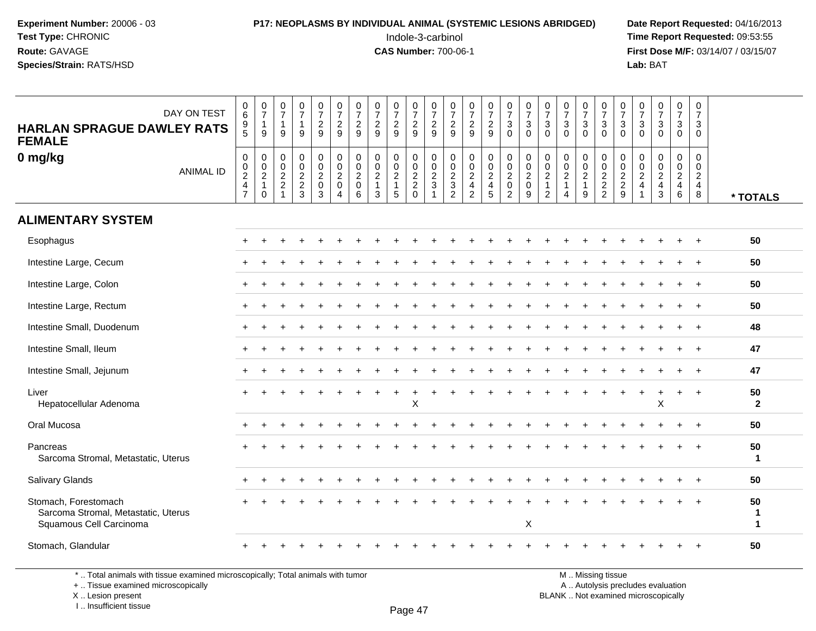#### **P17: NEOPLASMS BY INDIVIDUAL ANIMAL (SYSTEMIC LESIONS ABRIDGED)** Date Report Requested: 04/16/2013<br>Indole-3-carbinol **Time Report Requested:** 09:53:55

 Indole-3-carbinol **Time Report Requested:** 09:53:55 **First Dose M/F:** 03/14/07 / 03/15/07<br>**Lab:** BAT **Lab:** BAT

| DAY ON TEST<br><b>HARLAN SPRAGUE DAWLEY RATS</b><br><b>FEMALE</b>                      | 0<br>$\,6\,$<br>$\begin{array}{c} 9 \\ 5 \end{array}$ | $\frac{0}{7}$<br>$\mathbf{1}$<br>9                             | $\frac{0}{7}$<br>$\overline{1}$<br>9                               | $\frac{0}{7}$<br>$\mathbf{1}$<br>9    | $\frac{0}{7}$<br>$\frac{2}{9}$                       | $\begin{smallmatrix}0\\7\end{smallmatrix}$<br>$\sqrt{2}$<br>9      | $\begin{array}{c} 0 \\ 7 \end{array}$<br>$\frac{2}{9}$ | $\frac{0}{7}$<br>$\frac{2}{9}$                                | $\begin{array}{c} 0 \\ 7 \end{array}$<br>$\frac{2}{9}$      | $\frac{0}{7}$<br>$\frac{2}{9}$  | $\frac{0}{7}$<br>$\frac{2}{9}$               | $\frac{0}{7}$<br>$\frac{2}{9}$                      | $\begin{smallmatrix}0\\7\end{smallmatrix}$<br>$\frac{2}{9}$  | $\begin{smallmatrix}0\\7\end{smallmatrix}$<br>$\frac{2}{9}$ | $\begin{smallmatrix}0\\7\end{smallmatrix}$<br>$\mathbf{3}$<br>$\Omega$ | $\frac{0}{7}$<br>$\mathbf{3}$<br>$\Omega$                         | $\frac{0}{7}$<br>3<br>$\Omega$                             | $\frac{0}{7}$<br>$\ensuremath{\mathsf{3}}$<br>$\Omega$                                                | $\frac{0}{7}$<br>$\ensuremath{\mathsf{3}}$<br>$\Omega$ | $\begin{smallmatrix}0\\7\end{smallmatrix}$<br>$\mathbf{3}$<br>$\Omega$ | $\begin{smallmatrix}0\\7\end{smallmatrix}$<br>$\frac{3}{0}$ | $\frac{0}{7}$<br>$\mathbf{3}$<br>$\Omega$                                      | $\frac{0}{7}$<br>3<br>$\Omega$                     | $\frac{0}{7}$<br>$\mathbf{3}$<br>$\Omega$ | $\pmb{0}$<br>$\overline{7}$<br>$\mathbf{3}$<br>$\Omega$                  |                         |
|----------------------------------------------------------------------------------------|-------------------------------------------------------|----------------------------------------------------------------|--------------------------------------------------------------------|---------------------------------------|------------------------------------------------------|--------------------------------------------------------------------|--------------------------------------------------------|---------------------------------------------------------------|-------------------------------------------------------------|---------------------------------|----------------------------------------------|-----------------------------------------------------|--------------------------------------------------------------|-------------------------------------------------------------|------------------------------------------------------------------------|-------------------------------------------------------------------|------------------------------------------------------------|-------------------------------------------------------------------------------------------------------|--------------------------------------------------------|------------------------------------------------------------------------|-------------------------------------------------------------|--------------------------------------------------------------------------------|----------------------------------------------------|-------------------------------------------|--------------------------------------------------------------------------|-------------------------|
| 0 mg/kg<br><b>ANIMAL ID</b>                                                            | $\pmb{0}$<br>$\frac{0}{2}$<br>$\frac{4}{7}$           | $\begin{array}{c} 0 \\ 0 \\ 2 \\ 1 \end{array}$<br>$\mathbf 0$ | 0<br>$\pmb{0}$<br>$\sqrt{2}$<br>$\boldsymbol{2}$<br>$\overline{ }$ | $\pmb{0}$<br>$\,0\,$<br>$\frac{2}{3}$ | 0<br>$\pmb{0}$<br>$\overline{2}$<br>$\mathbf 0$<br>3 | $\pmb{0}$<br>$\frac{0}{2}$<br>$\mathbf 0$<br>$\boldsymbol{\Delta}$ | $\pmb{0}$<br>$\pmb{0}$<br>$\sqrt{2}$<br>$\pmb{0}$<br>6 | $\mathbf 0$<br>$\mathbf 0$<br>$\sqrt{2}$<br>$\mathbf{1}$<br>3 | $\pmb{0}$<br>$\pmb{0}$<br>$\sqrt{2}$<br>$\overline{1}$<br>5 | $\pmb{0}$<br>$\frac{0}{2}$<br>0 | $\pmb{0}$<br>$\frac{0}{2}$<br>$\overline{1}$ | 0<br>$\mathbf 0$<br>$\frac{2}{3}$<br>$\overline{2}$ | $\pmb{0}$<br>$\begin{array}{c} 0 \\ 2 \\ 4 \\ 2 \end{array}$ | 000245                                                      | $\pmb{0}$<br>$\frac{0}{2}$<br>$\frac{0}{2}$                            | $\begin{smallmatrix}0\\0\\2\end{smallmatrix}$<br>$\mathbf 0$<br>9 | $\pmb{0}$<br>$\pmb{0}$<br>$\overline{2}$<br>$\overline{2}$ | $\pmb{0}$<br>$\begin{smallmatrix} 0\\2 \end{smallmatrix}$<br>$\overline{1}$<br>$\boldsymbol{\Lambda}$ | $\pmb{0}$<br>$_{2}^{\rm 0}$<br>$\mathbf{1}$<br>9       | $\mathbf 0$<br>$\frac{0}{2}$<br>2<br>2                                 | $0002$<br>$29$                                              | $\mathbf 0$<br>$\mathbf 0$<br>$\overline{c}$<br>$\overline{4}$<br>$\mathbf{1}$ | $\pmb{0}$<br>$\mathbf 0$<br>$\mathbf{2}$<br>4<br>3 | 0<br>$\pmb{0}$<br>$\frac{2}{4}$           | 0<br>$\mathbf 0$<br>$\overline{2}$<br>$\overline{\mathbf{4}}$<br>$\bf 8$ | * TOTALS                |
| <b>ALIMENTARY SYSTEM</b>                                                               |                                                       |                                                                |                                                                    |                                       |                                                      |                                                                    |                                                        |                                                               |                                                             |                                 |                                              |                                                     |                                                              |                                                             |                                                                        |                                                                   |                                                            |                                                                                                       |                                                        |                                                                        |                                                             |                                                                                |                                                    |                                           |                                                                          |                         |
| Esophagus                                                                              | $+$                                                   |                                                                |                                                                    |                                       |                                                      |                                                                    |                                                        |                                                               |                                                             |                                 |                                              |                                                     |                                                              |                                                             |                                                                        |                                                                   |                                                            |                                                                                                       |                                                        |                                                                        |                                                             |                                                                                |                                                    |                                           |                                                                          | 50                      |
| Intestine Large, Cecum                                                                 |                                                       |                                                                |                                                                    |                                       |                                                      |                                                                    |                                                        |                                                               |                                                             |                                 |                                              |                                                     |                                                              |                                                             |                                                                        |                                                                   |                                                            |                                                                                                       |                                                        |                                                                        |                                                             |                                                                                |                                                    |                                           |                                                                          | 50                      |
| Intestine Large, Colon                                                                 | $\pm$                                                 |                                                                |                                                                    |                                       |                                                      |                                                                    |                                                        |                                                               |                                                             |                                 |                                              |                                                     |                                                              |                                                             |                                                                        |                                                                   |                                                            |                                                                                                       |                                                        |                                                                        |                                                             |                                                                                |                                                    |                                           | $\overline{+}$                                                           | 50                      |
| Intestine Large, Rectum                                                                |                                                       |                                                                |                                                                    |                                       |                                                      |                                                                    |                                                        |                                                               |                                                             |                                 |                                              |                                                     |                                                              |                                                             |                                                                        |                                                                   |                                                            |                                                                                                       |                                                        |                                                                        |                                                             |                                                                                |                                                    |                                           |                                                                          | 50                      |
| Intestine Small, Duodenum                                                              | $\pm$                                                 |                                                                |                                                                    |                                       |                                                      |                                                                    |                                                        |                                                               |                                                             |                                 |                                              |                                                     |                                                              |                                                             |                                                                        |                                                                   |                                                            |                                                                                                       |                                                        |                                                                        |                                                             |                                                                                |                                                    |                                           |                                                                          | 48                      |
| Intestine Small, Ileum                                                                 |                                                       |                                                                |                                                                    |                                       |                                                      |                                                                    |                                                        |                                                               |                                                             |                                 |                                              |                                                     |                                                              |                                                             |                                                                        |                                                                   |                                                            |                                                                                                       |                                                        |                                                                        |                                                             |                                                                                |                                                    |                                           |                                                                          | 47                      |
| Intestine Small, Jejunum                                                               |                                                       |                                                                |                                                                    |                                       |                                                      |                                                                    |                                                        |                                                               |                                                             |                                 |                                              |                                                     |                                                              |                                                             |                                                                        |                                                                   |                                                            |                                                                                                       |                                                        |                                                                        |                                                             |                                                                                |                                                    |                                           | $\overline{+}$                                                           | 47                      |
| Liver<br>Hepatocellular Adenoma                                                        |                                                       |                                                                |                                                                    |                                       |                                                      |                                                                    |                                                        |                                                               |                                                             | X                               |                                              |                                                     |                                                              |                                                             |                                                                        |                                                                   |                                                            |                                                                                                       |                                                        |                                                                        |                                                             |                                                                                | X                                                  |                                           | $+$                                                                      | 50<br>$\overline{2}$    |
| Oral Mucosa                                                                            |                                                       |                                                                |                                                                    |                                       |                                                      |                                                                    |                                                        |                                                               |                                                             |                                 |                                              |                                                     |                                                              |                                                             |                                                                        |                                                                   |                                                            |                                                                                                       |                                                        |                                                                        |                                                             |                                                                                |                                                    |                                           |                                                                          | 50                      |
| Pancreas<br>Sarcoma Stromal, Metastatic, Uterus                                        |                                                       |                                                                |                                                                    |                                       |                                                      |                                                                    |                                                        |                                                               |                                                             |                                 |                                              |                                                     |                                                              |                                                             |                                                                        |                                                                   |                                                            |                                                                                                       |                                                        |                                                                        |                                                             |                                                                                |                                                    |                                           |                                                                          | 50<br>$\mathbf{1}$      |
| Salivary Glands                                                                        |                                                       |                                                                |                                                                    |                                       |                                                      |                                                                    |                                                        |                                                               |                                                             |                                 |                                              |                                                     |                                                              |                                                             |                                                                        |                                                                   |                                                            |                                                                                                       |                                                        |                                                                        |                                                             |                                                                                |                                                    |                                           |                                                                          | 50                      |
| Stomach, Forestomach<br>Sarcoma Stromal, Metastatic, Uterus<br>Squamous Cell Carcinoma |                                                       |                                                                |                                                                    |                                       |                                                      |                                                                    |                                                        |                                                               |                                                             |                                 |                                              |                                                     |                                                              |                                                             |                                                                        | X                                                                 |                                                            |                                                                                                       |                                                        |                                                                        |                                                             |                                                                                |                                                    |                                           |                                                                          | 50<br>$\mathbf{1}$<br>1 |
| Stomach, Glandular                                                                     |                                                       |                                                                |                                                                    |                                       |                                                      |                                                                    |                                                        |                                                               |                                                             |                                 |                                              |                                                     |                                                              |                                                             |                                                                        |                                                                   |                                                            |                                                                                                       |                                                        |                                                                        |                                                             |                                                                                |                                                    |                                           |                                                                          | 50                      |

\* .. Total animals with tissue examined microscopically; Total animals with tumor

+ .. Tissue examined microscopically

X .. Lesion present

I .. Insufficient tissue

M .. Missing tissue y the contract of the contract of the contract of the contract of the contract of  $\mathsf A$  . Autolysis precludes evaluation

Lesion present BLANK .. Not examined microscopically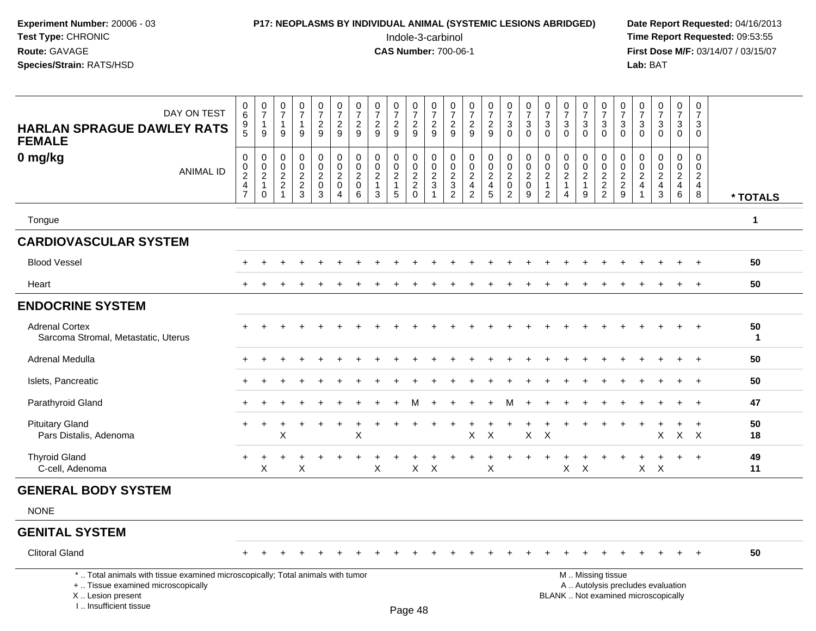| Experiment Number: 20006 - 03<br>Test Type: CHRONIC<br>Route: GAVAGE<br>Species/Strain: RATS/HSD |                                                                          |                                                     | P17: NEOPLASMS BY INDIVIDUAL ANIMAL (SYSTEMIC LESIONS ABRIDGED)          |                                        |                                               |                                                                   |                                                    |                                                                   |                                                            |                                                               | Indole-3-carbinol<br><b>CAS Number: 700-06-1</b> |                                                     |                                                                           |                                                 |                                                                       |                                                        |                                                                            |                                                         |                                                         |                                                               |                                                           | Lab: BAT                                            |                                        |                                                           |                                                                     | Date Report Requested: 04/16/2013<br>Time Report Requested: 09:53:55<br>First Dose M/F: 03/14/07 / 03/15/07 |
|--------------------------------------------------------------------------------------------------|--------------------------------------------------------------------------|-----------------------------------------------------|--------------------------------------------------------------------------|----------------------------------------|-----------------------------------------------|-------------------------------------------------------------------|----------------------------------------------------|-------------------------------------------------------------------|------------------------------------------------------------|---------------------------------------------------------------|--------------------------------------------------|-----------------------------------------------------|---------------------------------------------------------------------------|-------------------------------------------------|-----------------------------------------------------------------------|--------------------------------------------------------|----------------------------------------------------------------------------|---------------------------------------------------------|---------------------------------------------------------|---------------------------------------------------------------|-----------------------------------------------------------|-----------------------------------------------------|----------------------------------------|-----------------------------------------------------------|---------------------------------------------------------------------|-------------------------------------------------------------------------------------------------------------|
| DAY ON TEST<br><b>HARLAN SPRAGUE DAWLEY RATS</b><br><b>FEMALE</b>                                | 0<br>6<br>9<br>$\overline{5}$                                            | $\frac{0}{7}$<br>$\overline{1}$<br>9                | $\frac{0}{7}$<br>$\mathbf{1}$<br>9                                       | $\frac{0}{7}$<br>9                     | $\frac{0}{7}$<br>$\overline{\mathbf{c}}$<br>9 | $\frac{0}{7}$<br>$\overline{\mathbf{c}}$<br>$\boldsymbol{9}$      | $\frac{0}{7}$<br>$\sqrt{2}$<br>9                   | $\frac{0}{7}$<br>$\sqrt{2}$<br>9                                  | $\frac{0}{7}$<br>$\frac{2}{9}$                             | $\frac{0}{7}$<br>$\boldsymbol{2}$<br>$\boldsymbol{9}$         | $\frac{0}{7}$<br>$\overline{c}$<br>9             | $\frac{0}{7}$<br>$\sqrt{2}$<br>9                    | $\frac{0}{7}$<br>$\frac{2}{9}$                                            | $\frac{0}{7}$<br>$\frac{2}{9}$                  | $\begin{array}{c} 0 \\ 7 \\ 3 \end{array}$<br>$\mathbf 0$             | $\frac{0}{7}$<br>3<br>$\mathbf 0$                      | $\begin{matrix} 0 \\ 7 \\ 3 \end{matrix}$<br>$\mathbf 0$                   | $\frac{0}{7}$<br>3<br>$\mathbf 0$                       | $\begin{array}{c} 0 \\ 7 \\ 3 \\ 0 \end{array}$         | $\frac{0}{7}$<br>$\ensuremath{\mathsf{3}}$<br>$\mathbf 0$     | $\frac{0}{7}$<br>$\ensuremath{\mathsf{3}}$<br>$\mathbf 0$ | $\frac{0}{7}$<br>$\sqrt{3}$<br>$\mathbf 0$          | $\frac{0}{7}$<br>3<br>$\mathbf 0$      | $\frac{0}{7}$<br>$_0^3$                                   | 0<br>$\overline{7}$<br>3<br>0                                       |                                                                                                             |
| 0 mg/kg<br><b>ANIMAL ID</b>                                                                      | $\pmb{0}$<br>$\pmb{0}$<br>$\sqrt{2}$<br>$\overline{4}$<br>$\overline{7}$ | 0<br>$\mathbf 0$<br>$\sqrt{2}$<br>$\mathbf{1}$<br>0 | $\mathbf 0$<br>$\mathbf 0$<br>$\sqrt{2}$<br>$\sqrt{2}$<br>$\overline{1}$ | 0<br>$\mathbf 0$<br>$\frac{2}{2}$<br>3 | 0<br>0<br>$\overline{a}$<br>$\mathbf 0$<br>3  | 0<br>$\pmb{0}$<br>$\boldsymbol{2}$<br>$\pmb{0}$<br>$\overline{4}$ | 0<br>$\mathbf 0$<br>$\sqrt{2}$<br>$\mathbf 0$<br>6 | $\mathbf 0$<br>$\mathbf 0$<br>$\overline{2}$<br>$\mathbf{1}$<br>3 | 0<br>$\pmb{0}$<br>$\sqrt{2}$<br>$\mathbf{1}$<br>$\sqrt{5}$ | 0<br>$\pmb{0}$<br>$\sqrt{2}$<br>$\overline{c}$<br>$\mathbf 0$ | 0<br>0<br>$\overline{c}$<br>3                    | 0<br>$\mathbf 0$<br>$\frac{2}{3}$<br>$\overline{2}$ | 0<br>$\pmb{0}$<br>$\sqrt{2}$<br>$\overline{\mathbf{4}}$<br>$\overline{2}$ | 0<br>$\mathbf 0$<br>$\frac{2}{4}$<br>$\sqrt{5}$ | $\pmb{0}$<br>$\mathbf 0$<br>$\sqrt{2}$<br>$\pmb{0}$<br>$\overline{c}$ | 0<br>$\mathbf 0$<br>$\overline{c}$<br>$\mathbf 0$<br>9 | $\mathbf 0$<br>$\mathbf 0$<br>$\sqrt{2}$<br>$\mathbf{1}$<br>$\overline{2}$ | 0<br>$\mathbf 0$<br>$\overline{c}$<br>$\mathbf{1}$<br>4 | 0<br>$\mathbf 0$<br>$\overline{c}$<br>$\mathbf{1}$<br>9 | $\mathbf 0$<br>$\mathbf 0$<br>$\frac{2}{2}$<br>$\overline{2}$ | 0<br>0<br>$\begin{array}{c} 2 \\ 2 \\ 9 \end{array}$      | 0<br>$\mathbf 0$<br>$\frac{2}{4}$<br>$\overline{1}$ | 0<br>$\mathbf 0$<br>$\frac{2}{4}$<br>3 | 0<br>$\mathbf 0$<br>$\overline{c}$<br>$\overline{4}$<br>6 | $\mathbf 0$<br>$\mathbf 0$<br>$\overline{c}$<br>$\overline{4}$<br>8 | * TOTALS                                                                                                    |
| Tongue                                                                                           |                                                                          |                                                     |                                                                          |                                        |                                               |                                                                   |                                                    |                                                                   |                                                            |                                                               |                                                  |                                                     |                                                                           |                                                 |                                                                       |                                                        |                                                                            |                                                         |                                                         |                                                               |                                                           |                                                     |                                        |                                                           |                                                                     | 1                                                                                                           |
| <b>CARDIOVASCULAR SYSTEM</b>                                                                     |                                                                          |                                                     |                                                                          |                                        |                                               |                                                                   |                                                    |                                                                   |                                                            |                                                               |                                                  |                                                     |                                                                           |                                                 |                                                                       |                                                        |                                                                            |                                                         |                                                         |                                                               |                                                           |                                                     |                                        |                                                           |                                                                     |                                                                                                             |
| <b>Blood Vessel</b>                                                                              |                                                                          |                                                     |                                                                          |                                        |                                               |                                                                   |                                                    |                                                                   |                                                            |                                                               |                                                  |                                                     |                                                                           |                                                 |                                                                       |                                                        |                                                                            |                                                         |                                                         |                                                               |                                                           |                                                     |                                        |                                                           |                                                                     | 50                                                                                                          |
| Heart                                                                                            |                                                                          |                                                     |                                                                          |                                        |                                               |                                                                   |                                                    |                                                                   |                                                            |                                                               |                                                  |                                                     |                                                                           |                                                 |                                                                       |                                                        |                                                                            |                                                         |                                                         |                                                               |                                                           |                                                     |                                        |                                                           |                                                                     | 50                                                                                                          |
| <b>ENDOCRINE SYSTEM</b>                                                                          |                                                                          |                                                     |                                                                          |                                        |                                               |                                                                   |                                                    |                                                                   |                                                            |                                                               |                                                  |                                                     |                                                                           |                                                 |                                                                       |                                                        |                                                                            |                                                         |                                                         |                                                               |                                                           |                                                     |                                        |                                                           |                                                                     |                                                                                                             |
| <b>Adrenal Cortex</b><br>Sarcoma Stromal, Metastatic, Uterus                                     |                                                                          |                                                     |                                                                          |                                        |                                               |                                                                   |                                                    |                                                                   |                                                            |                                                               |                                                  |                                                     |                                                                           |                                                 |                                                                       |                                                        |                                                                            |                                                         |                                                         |                                                               |                                                           |                                                     |                                        |                                                           |                                                                     | 50<br>$\mathbf{1}$                                                                                          |
| Adrenal Medulla                                                                                  |                                                                          |                                                     |                                                                          |                                        |                                               |                                                                   |                                                    |                                                                   |                                                            |                                                               |                                                  |                                                     |                                                                           |                                                 |                                                                       |                                                        |                                                                            |                                                         |                                                         |                                                               |                                                           |                                                     |                                        |                                                           |                                                                     | 50                                                                                                          |
| Islets, Pancreatic                                                                               |                                                                          |                                                     |                                                                          |                                        |                                               |                                                                   |                                                    |                                                                   |                                                            |                                                               |                                                  |                                                     |                                                                           |                                                 |                                                                       |                                                        |                                                                            |                                                         |                                                         |                                                               |                                                           |                                                     |                                        |                                                           |                                                                     | 50                                                                                                          |
| Parathyroid Gland                                                                                |                                                                          |                                                     |                                                                          |                                        |                                               |                                                                   |                                                    |                                                                   |                                                            |                                                               |                                                  |                                                     |                                                                           |                                                 | м                                                                     |                                                        |                                                                            |                                                         |                                                         |                                                               |                                                           |                                                     |                                        |                                                           | $+$                                                                 | 47                                                                                                          |
| <b>Pituitary Gland</b><br>Pars Distalis, Adenoma                                                 |                                                                          |                                                     | X                                                                        |                                        |                                               |                                                                   | X                                                  |                                                                   |                                                            |                                                               |                                                  |                                                     | X                                                                         | $\boldsymbol{\mathsf{X}}$                       |                                                                       | X                                                      | $\mathsf{X}$                                                               |                                                         |                                                         |                                                               |                                                           |                                                     | X                                      |                                                           | $\ddot{}$<br>$X$ $X$                                                | 50<br>18                                                                                                    |
| <b>Thyroid Gland</b><br>C-cell, Adenoma                                                          | $\pm$                                                                    | +<br>$\mathsf X$                                    |                                                                          | X                                      |                                               |                                                                   |                                                    | X                                                                 |                                                            | X                                                             | $\boldsymbol{\mathsf{X}}$                        |                                                     |                                                                           | X                                               |                                                                       |                                                        |                                                                            | $\mathsf X$                                             | $\mathsf{X}$                                            |                                                               |                                                           | $X -$                                               | $\boldsymbol{\mathsf{X}}$              |                                                           | $+$                                                                 | 49<br>11                                                                                                    |
| <b>GENERAL BODY SYSTEM</b>                                                                       |                                                                          |                                                     |                                                                          |                                        |                                               |                                                                   |                                                    |                                                                   |                                                            |                                                               |                                                  |                                                     |                                                                           |                                                 |                                                                       |                                                        |                                                                            |                                                         |                                                         |                                                               |                                                           |                                                     |                                        |                                                           |                                                                     |                                                                                                             |
| <b>NONE</b>                                                                                      |                                                                          |                                                     |                                                                          |                                        |                                               |                                                                   |                                                    |                                                                   |                                                            |                                                               |                                                  |                                                     |                                                                           |                                                 |                                                                       |                                                        |                                                                            |                                                         |                                                         |                                                               |                                                           |                                                     |                                        |                                                           |                                                                     |                                                                                                             |
| <b>GENITAL SYSTEM</b>                                                                            |                                                                          |                                                     |                                                                          |                                        |                                               |                                                                   |                                                    |                                                                   |                                                            |                                                               |                                                  |                                                     |                                                                           |                                                 |                                                                       |                                                        |                                                                            |                                                         |                                                         |                                                               |                                                           |                                                     |                                        |                                                           |                                                                     |                                                                                                             |
| <b>Clitoral Gland</b>                                                                            |                                                                          |                                                     |                                                                          |                                        |                                               |                                                                   |                                                    |                                                                   |                                                            |                                                               |                                                  |                                                     |                                                                           |                                                 |                                                                       |                                                        |                                                                            |                                                         |                                                         |                                                               |                                                           |                                                     |                                        |                                                           |                                                                     | 50                                                                                                          |

\* .. Total animals with tissue examined microscopically; Total animals with tumor

+ .. Tissue examined microscopically

X .. Lesion present

I .. Insufficient tissue

M .. Missing tissue

y the contract of the contract of the contract of the contract of the contract of  $\mathsf A$  . Autolysis precludes evaluation Lesion present BLANK .. Not examined microscopically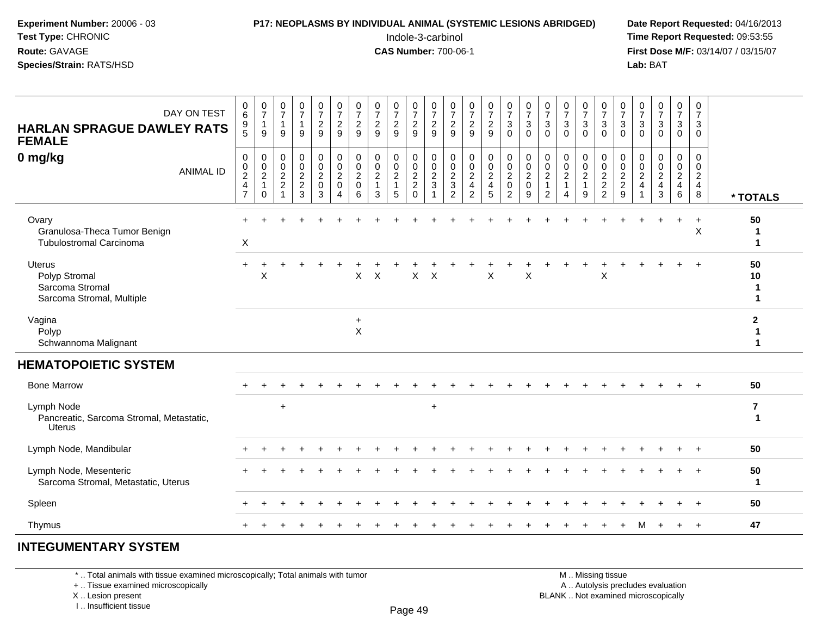#### **P17: NEOPLASMS BY INDIVIDUAL ANIMAL (SYSTEMIC LESIONS ABRIDGED)** Date Report Requested: 04/16/2013<br>Indole-3-carbinol **Time Report Requested:** 09:53:55

 Indole-3-carbinol **Time Report Requested:** 09:53:55 **First Dose M/F:** 03/14/07 / 03/15/07<br>**Lab:** BAT **Lab:** BAT

| DAY ON TEST<br><b>HARLAN SPRAGUE DAWLEY RATS</b><br><b>FEMALE</b>       |                  | $\pmb{0}$<br>$\,6\,$<br>$\begin{array}{c} 9 \\ 5 \end{array}$ | $\begin{smallmatrix}0\\7\end{smallmatrix}$<br>$\overline{1}$<br>$9\,$ | $\frac{0}{7}$<br>$\mathbf{1}$<br>9                                                 | $\frac{0}{7}$<br>$\mathbf{1}$<br>$\overline{9}$ | $\frac{0}{7}$<br>$\overline{2}$<br>$\overline{9}$                        | $\frac{0}{7}$<br>$\sqrt{2}$<br>9                                                       | $\begin{array}{c} 0 \\ 7 \end{array}$<br>$\overline{2}$<br>9 | $\frac{0}{7}$<br>$\sqrt{2}$<br>9                              | $\frac{0}{7}$<br>$\overline{2}$<br>9         | $\begin{array}{c} 0 \\ 7 \end{array}$<br>$\boldsymbol{2}$<br>$\overline{9}$ | $\frac{0}{7}$<br>$\overline{2}$<br>9           | $\frac{0}{7}$<br>$\sqrt{2}$<br>$\overline{9}$       | $\frac{0}{7}$<br>$\overline{c}$<br>9                        | $\frac{0}{7}$<br>$\overline{2}$<br>$9\,$ | $\frac{0}{7}$<br>$\mathbf{3}$<br>$\ddot{\mathbf{0}}$                           | $\frac{0}{7}$<br>$\sqrt{3}$<br>$\mathbf 0$                        | $\frac{0}{7}$<br>$\mathbf 3$<br>$\mathbf{0}$                     | $\frac{0}{7}$<br>$\sqrt{3}$<br>$\Omega$             | $\frac{0}{7}$<br>$\mathbf{3}$<br>$\Omega$               | $\begin{array}{c} 0 \\ 7 \end{array}$<br>$\sqrt{3}$<br>$\bar{0}$ | $\frac{0}{7}$<br>$\sqrt{3}$<br>$\mathbf 0$ | $\frac{0}{7}$<br>$\mathsf 3$<br>$\mathbf 0$ | $\frac{0}{7}$<br>$\mathbf{3}$<br>$\Omega$ | $\frac{0}{7}$<br>3<br>$\mathbf 0$                   | 0<br>$\boldsymbol{7}$<br>$\mathbf{3}$<br>$\mathbf 0$ |                                   |
|-------------------------------------------------------------------------|------------------|---------------------------------------------------------------|-----------------------------------------------------------------------|------------------------------------------------------------------------------------|-------------------------------------------------|--------------------------------------------------------------------------|----------------------------------------------------------------------------------------|--------------------------------------------------------------|---------------------------------------------------------------|----------------------------------------------|-----------------------------------------------------------------------------|------------------------------------------------|-----------------------------------------------------|-------------------------------------------------------------|------------------------------------------|--------------------------------------------------------------------------------|-------------------------------------------------------------------|------------------------------------------------------------------|-----------------------------------------------------|---------------------------------------------------------|------------------------------------------------------------------|--------------------------------------------|---------------------------------------------|-------------------------------------------|-----------------------------------------------------|------------------------------------------------------|-----------------------------------|
| 0 mg/kg                                                                 | <b>ANIMAL ID</b> | 0<br>$\frac{0}{2}$<br>$\overline{4}$<br>$\overline{7}$        | 0<br>$\frac{0}{2}$<br>$\mathbf 0$                                     | 0<br>$\mathsf{O}\xspace$<br>$\sqrt{2}$<br>$\boldsymbol{2}$<br>$\blacktriangleleft$ | 0<br>$\mathbf 0$<br>$\frac{2}{2}$<br>3          | $\mathbf 0$<br>$\ddot{\mathbf{0}}$<br>$\overline{2}$<br>$\mathbf 0$<br>3 | $\pmb{0}$<br>$\overline{0}$<br>$\overline{c}$<br>$\mathbf 0$<br>$\boldsymbol{\Lambda}$ | $\pmb{0}$<br>$\mathbf 0$<br>$\sqrt{2}$<br>$\mathbf 0$<br>6   | $\pmb{0}$<br>$\mathbf 0$<br>$\sqrt{2}$<br>$\overline{1}$<br>3 | 0<br>$\mathbf 0$<br>$\overline{c}$<br>1<br>5 | 0<br>$\frac{0}{2}$<br>$\Omega$                                              | 0<br>$\mathsf{O}\xspace$<br>$\frac{2}{3}$<br>1 | 0<br>$\mathsf 0$<br>$\frac{2}{3}$<br>$\overline{2}$ | $\pmb{0}$<br>$\mathbf 0$<br>$\frac{2}{4}$<br>$\overline{2}$ | 0<br>$\mathbf 0$<br>$\frac{2}{4}$<br>5   | $\begin{smallmatrix} 0\\0\\2 \end{smallmatrix}$<br>$\pmb{0}$<br>$\overline{2}$ | $\pmb{0}$<br>$\overline{0}$<br>$\boldsymbol{2}$<br>$\pmb{0}$<br>9 | 0<br>$\mathbf 0$<br>$\sqrt{2}$<br>$\mathbf{1}$<br>$\overline{2}$ | 0<br>$\mathbf 0$<br>$\sqrt{2}$<br>$\mathbf{1}$<br>4 | 0<br>$\mathbf 0$<br>$\overline{c}$<br>$\mathbf{1}$<br>9 | 0<br>$\frac{0}{2}$<br>$\overline{2}$                             | 0<br>$\mathbf 0$<br>$_2^2$<br>9            | 0<br>$\mathbf 0$<br>$\frac{2}{4}$           | 0<br>$\mathbf 0$<br>$\frac{2}{4}$<br>3    | 0<br>$\mathbf 0$<br>$\frac{2}{4}$<br>$6\phantom{1}$ | 0<br>$\mathbf 0$<br>$\frac{2}{4}$<br>8               | * TOTALS                          |
| Ovary<br>Granulosa-Theca Tumor Benign<br><b>Tubulostromal Carcinoma</b> |                  | X                                                             |                                                                       |                                                                                    |                                                 |                                                                          |                                                                                        |                                                              |                                                               |                                              |                                                                             |                                                |                                                     |                                                             |                                          |                                                                                |                                                                   |                                                                  |                                                     |                                                         |                                                                  |                                            |                                             |                                           | $\ddot{}$                                           | $\ddot{}$<br>$\boldsymbol{\mathsf{X}}$               | 50<br>$\mathbf 1$<br>$\mathbf{1}$ |
| Uterus<br>Polyp Stromal<br>Sarcoma Stromal<br>Sarcoma Stromal, Multiple |                  | $\ddot{}$                                                     | X                                                                     |                                                                                    |                                                 |                                                                          |                                                                                        | X                                                            | $\times$                                                      |                                              | $\times$                                                                    | $\boldsymbol{\mathsf{X}}$                      |                                                     |                                                             | X                                        |                                                                                | X                                                                 |                                                                  |                                                     |                                                         | X                                                                |                                            |                                             |                                           |                                                     | $\ddot{}$                                            | 50<br>10<br>1                     |
| Vagina<br>Polyp<br>Schwannoma Malignant                                 |                  |                                                               |                                                                       |                                                                                    |                                                 |                                                                          |                                                                                        | $\ddot{}$<br>$\mathsf X$                                     |                                                               |                                              |                                                                             |                                                |                                                     |                                                             |                                          |                                                                                |                                                                   |                                                                  |                                                     |                                                         |                                                                  |                                            |                                             |                                           |                                                     |                                                      | $\mathbf{2}$                      |
| <b>HEMATOPOIETIC SYSTEM</b>                                             |                  |                                                               |                                                                       |                                                                                    |                                                 |                                                                          |                                                                                        |                                                              |                                                               |                                              |                                                                             |                                                |                                                     |                                                             |                                          |                                                                                |                                                                   |                                                                  |                                                     |                                                         |                                                                  |                                            |                                             |                                           |                                                     |                                                      |                                   |
| <b>Bone Marrow</b>                                                      |                  |                                                               |                                                                       |                                                                                    |                                                 |                                                                          |                                                                                        |                                                              |                                                               |                                              |                                                                             |                                                |                                                     |                                                             |                                          |                                                                                |                                                                   |                                                                  |                                                     |                                                         |                                                                  |                                            |                                             |                                           |                                                     |                                                      | 50                                |
| Lymph Node<br>Pancreatic, Sarcoma Stromal, Metastatic,<br><b>Uterus</b> |                  |                                                               |                                                                       | $\ddot{}$                                                                          |                                                 |                                                                          |                                                                                        |                                                              |                                                               |                                              |                                                                             | $\ddot{}$                                      |                                                     |                                                             |                                          |                                                                                |                                                                   |                                                                  |                                                     |                                                         |                                                                  |                                            |                                             |                                           |                                                     |                                                      | $\overline{7}$                    |
| Lymph Node, Mandibular                                                  |                  |                                                               |                                                                       |                                                                                    |                                                 |                                                                          |                                                                                        |                                                              |                                                               |                                              |                                                                             |                                                |                                                     |                                                             |                                          |                                                                                |                                                                   |                                                                  |                                                     |                                                         |                                                                  |                                            |                                             |                                           |                                                     |                                                      | 50                                |
| Lymph Node, Mesenteric<br>Sarcoma Stromal, Metastatic, Uterus           |                  |                                                               |                                                                       |                                                                                    |                                                 |                                                                          |                                                                                        |                                                              |                                                               |                                              |                                                                             |                                                |                                                     |                                                             |                                          |                                                                                |                                                                   |                                                                  |                                                     |                                                         |                                                                  |                                            |                                             |                                           |                                                     |                                                      | 50<br>$\mathbf 1$                 |
| Spleen                                                                  |                  |                                                               |                                                                       |                                                                                    |                                                 |                                                                          |                                                                                        |                                                              |                                                               |                                              |                                                                             |                                                |                                                     |                                                             |                                          |                                                                                |                                                                   |                                                                  |                                                     |                                                         |                                                                  |                                            |                                             |                                           |                                                     |                                                      | 50                                |
| Thymus                                                                  |                  |                                                               |                                                                       |                                                                                    |                                                 |                                                                          |                                                                                        |                                                              |                                                               |                                              |                                                                             |                                                |                                                     |                                                             |                                          |                                                                                |                                                                   |                                                                  |                                                     |                                                         |                                                                  |                                            |                                             |                                           | $\ddot{}$                                           | $+$                                                  | 47                                |
|                                                                         |                  |                                                               |                                                                       |                                                                                    |                                                 |                                                                          |                                                                                        |                                                              |                                                               |                                              |                                                                             |                                                |                                                     |                                                             |                                          |                                                                                |                                                                   |                                                                  |                                                     |                                                         |                                                                  |                                            |                                             |                                           |                                                     |                                                      |                                   |

#### **INTEGUMENTARY SYSTEM**

\* .. Total animals with tissue examined microscopically; Total animals with tumor

+ .. Tissue examined microscopically

X .. Lesion present

I .. Insufficient tissue

 M .. Missing tissuey the contract of the contract of the contract of the contract of the contract of  $\mathsf A$  . Autolysis precludes evaluation

Lesion present BLANK .. Not examined microscopically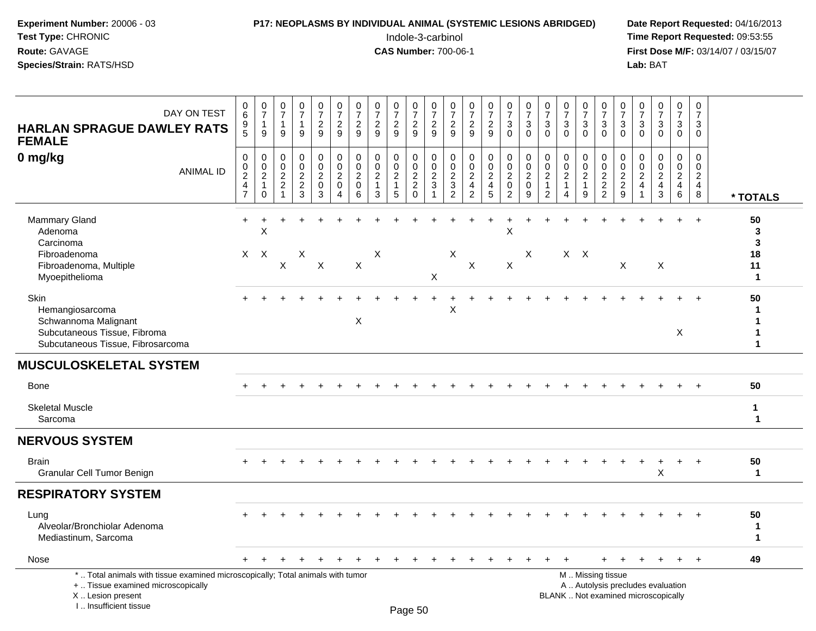# **P17: NEOPLASMS BY INDIVIDUAL ANIMAL (SYSTEMIC LESIONS ABRIDGED)** Date Report Requested: 04/16/2013<br>Indole-3-carbinol **Time Report Requested:** 09:53:55

 Indole-3-carbinol **Time Report Requested:** 09:53:55 **First Dose M/F:** 03/14/07 / 03/15/07<br>Lab: BAT **Lab:** BAT

| DAY ON TEST<br><b>HARLAN SPRAGUE DAWLEY RATS</b><br><b>FEMALE</b>                                                                                                     | 0<br>$6\phantom{1}6$<br>$\begin{array}{c} 9 \\ 5 \end{array}$                                | $\frac{0}{7}$<br>$\mathbf{1}$<br>9                                               | $\frac{0}{7}$<br>$\mathbf{1}$<br>9                        | $\frac{0}{7}$<br>$\mathbf{1}$<br>9      | $\begin{smallmatrix}0\\7\end{smallmatrix}$<br>$\frac{2}{9}$              | $\begin{smallmatrix}0\\7\end{smallmatrix}$<br>$\boldsymbol{2}$<br>9         | $\frac{0}{7}$<br>$\overline{c}$<br>9                             | $\frac{0}{7}$<br>$\frac{2}{9}$                                               | $\frac{0}{7}$<br>$\overline{a}$<br>9                    | $\frac{0}{7}$<br>$\frac{2}{9}$            | $\frac{0}{7}$<br>$\frac{2}{9}$                              | $\frac{0}{7}$<br>$\frac{2}{9}$                                | $\begin{array}{c} 0 \\ 7 \end{array}$<br>$\frac{2}{9}$                         | $\frac{0}{7}$<br>$\frac{2}{9}$                                    | $\frac{0}{7}$<br>$\mathbf{3}$<br>$\overline{0}$                             | $\frac{0}{7}$<br>$\mathbf{3}$<br>$\mathbf 0$                           | $\begin{array}{c} 0 \\ 7 \end{array}$<br>$\mathbf{3}$<br>$\Omega$      | $\frac{0}{7}$<br>$\mathbf 3$<br>$\Omega$                                               | $\frac{0}{7}$<br>3<br>$\mathbf{0}$                      | $\frac{0}{7}$<br>$\sqrt{3}$<br>$\mathbf 0$                                                    | $\frac{0}{7}$<br>$\mathbf{3}$<br>$\Omega$                   | $\frac{0}{7}$<br>$\sqrt{3}$<br>$\Omega$              | $\begin{array}{c} 0 \\ 7 \end{array}$<br>$\sqrt{3}$<br>$\overline{0}$        | $\begin{smallmatrix}0\\7\end{smallmatrix}$<br>$\ensuremath{\mathsf{3}}$<br>$\overline{0}$ | $\pmb{0}$<br>$\frac{5}{7}$<br>3<br>$\Omega$                           |                                         |
|-----------------------------------------------------------------------------------------------------------------------------------------------------------------------|----------------------------------------------------------------------------------------------|----------------------------------------------------------------------------------|-----------------------------------------------------------|-----------------------------------------|--------------------------------------------------------------------------|-----------------------------------------------------------------------------|------------------------------------------------------------------|------------------------------------------------------------------------------|---------------------------------------------------------|-------------------------------------------|-------------------------------------------------------------|---------------------------------------------------------------|--------------------------------------------------------------------------------|-------------------------------------------------------------------|-----------------------------------------------------------------------------|------------------------------------------------------------------------|------------------------------------------------------------------------|----------------------------------------------------------------------------------------|---------------------------------------------------------|-----------------------------------------------------------------------------------------------|-------------------------------------------------------------|------------------------------------------------------|------------------------------------------------------------------------------|-------------------------------------------------------------------------------------------|-----------------------------------------------------------------------|-----------------------------------------|
| 0 mg/kg<br><b>ANIMAL ID</b>                                                                                                                                           | $\pmb{0}$<br>$\boldsymbol{0}$<br>$\overline{2}$<br>$\overline{\mathbf{4}}$<br>$\overline{7}$ | $\boldsymbol{0}$<br>$\mathbf 0$<br>$\overline{2}$<br>$\mathbf{1}$<br>$\mathbf 0$ | 0<br>$\mathbf 0$<br>$\overline{2}$<br>$\overline{c}$<br>1 | $\pmb{0}$<br>$\pmb{0}$<br>$\frac{2}{3}$ | $\mathbf 0$<br>$\mathsf{O}\xspace$<br>$\overline{2}$<br>$\mathbf 0$<br>3 | $\pmb{0}$<br>$\mathbf 0$<br>$\boldsymbol{2}$<br>$\pmb{0}$<br>$\overline{4}$ | $\mathbf 0$<br>$\mathbf 0$<br>$\overline{c}$<br>$\mathsf 0$<br>6 | $\mathbf 0$<br>$\mathbf 0$<br>$\overline{2}$<br>$\mathbf{1}$<br>$\mathbf{3}$ | 0<br>$\mathbf 0$<br>$\overline{2}$<br>$\mathbf{1}$<br>5 | $\pmb{0}$<br>$\frac{0}{2}$<br>$\mathbf 0$ | $\pmb{0}$<br>$\mathbf 0$<br>$\frac{2}{3}$<br>$\overline{1}$ | $\mathbf 0$<br>$\mathbf 0$<br>$\frac{2}{3}$<br>$\overline{2}$ | $\pmb{0}$<br>$\mathbf 0$<br>$\overline{2}$<br>$\overline{4}$<br>$\overline{2}$ | $\pmb{0}$<br>$\mathbf 0$<br>$\overline{2}$<br>$\overline{4}$<br>5 | $\pmb{0}$<br>$\mathbf 0$<br>$\overline{2}$<br>$\mathbf 0$<br>$\overline{2}$ | $\pmb{0}$<br>$\mathsf{O}\xspace$<br>$\overline{2}$<br>$\mathbf 0$<br>9 | 0<br>$\mathbf 0$<br>$\overline{c}$<br>$\mathbf{1}$<br>$\boldsymbol{2}$ | $\mathbf 0$<br>$\mathbf 0$<br>$\overline{2}$<br>$\mathbf{1}$<br>$\boldsymbol{\Lambda}$ | 0<br>$\mathbf 0$<br>$\overline{2}$<br>$\mathbf{1}$<br>9 | $\mathbf 0$<br>$\mathbf 0$<br>$\overline{2}$<br>$\frac{2}{2}$                                 | 0<br>$\mathbf 0$<br>$\boldsymbol{2}$<br>$\overline{a}$<br>9 | 0<br>$\mathbf 0$<br>$\overline{c}$<br>$\overline{4}$ | $\mathbf 0$<br>$\pmb{0}$<br>$\overline{2}$<br>$\overline{4}$<br>$\mathbf{3}$ | $\mathbf 0$<br>$\mathbf 0$<br>$\frac{2}{4}$<br>$\,6\,$                                    | $\Omega$<br>$\mathbf 0$<br>$\overline{2}$<br>$\overline{4}$<br>$\bf8$ | * TOTALS                                |
| Mammary Gland<br>Adenoma<br>Carcinoma<br>Fibroadenoma<br>Fibroadenoma, Multiple<br>Myoepithelioma                                                                     | $\ddot{}$<br>$\mathsf{X}$                                                                    | X<br>$\boldsymbol{\mathsf{X}}$                                                   | $\boldsymbol{\mathsf{X}}$                                 | Χ                                       | $\mathsf X$                                                              |                                                                             | X                                                                | X                                                                            |                                                         |                                           | X                                                           | $\boldsymbol{\mathsf{X}}$                                     | X                                                                              |                                                                   | $\sf X$<br>$\mathsf{X}$                                                     | X                                                                      |                                                                        | $X$ $X$                                                                                |                                                         |                                                                                               | X                                                           |                                                      | X                                                                            |                                                                                           | $\ddot{}$                                                             | 50<br>3<br>3<br>18<br>11<br>$\mathbf 1$ |
| Skin<br>Hemangiosarcoma<br>Schwannoma Malignant<br>Subcutaneous Tissue, Fibroma<br>Subcutaneous Tissue, Fibrosarcoma                                                  |                                                                                              |                                                                                  |                                                           |                                         |                                                                          |                                                                             | $\boldsymbol{\mathsf{X}}$                                        |                                                                              |                                                         |                                           | $\ddot{}$                                                   | +<br>X                                                        |                                                                                |                                                                   |                                                                             |                                                                        |                                                                        |                                                                                        |                                                         |                                                                                               |                                                             |                                                      |                                                                              | X                                                                                         | $\overline{+}$                                                        | 50<br>1<br>1<br>1<br>1                  |
| <b>MUSCULOSKELETAL SYSTEM</b>                                                                                                                                         |                                                                                              |                                                                                  |                                                           |                                         |                                                                          |                                                                             |                                                                  |                                                                              |                                                         |                                           |                                                             |                                                               |                                                                                |                                                                   |                                                                             |                                                                        |                                                                        |                                                                                        |                                                         |                                                                                               |                                                             |                                                      |                                                                              |                                                                                           |                                                                       |                                         |
| Bone                                                                                                                                                                  |                                                                                              |                                                                                  |                                                           |                                         |                                                                          |                                                                             |                                                                  |                                                                              |                                                         |                                           |                                                             |                                                               |                                                                                |                                                                   |                                                                             |                                                                        |                                                                        |                                                                                        |                                                         |                                                                                               |                                                             |                                                      |                                                                              |                                                                                           |                                                                       | 50                                      |
| <b>Skeletal Muscle</b><br>Sarcoma                                                                                                                                     |                                                                                              |                                                                                  |                                                           |                                         |                                                                          |                                                                             |                                                                  |                                                                              |                                                         |                                           |                                                             |                                                               |                                                                                |                                                                   |                                                                             |                                                                        |                                                                        |                                                                                        |                                                         |                                                                                               |                                                             |                                                      |                                                                              |                                                                                           |                                                                       | $\mathbf{1}$<br>$\mathbf{1}$            |
| <b>NERVOUS SYSTEM</b>                                                                                                                                                 |                                                                                              |                                                                                  |                                                           |                                         |                                                                          |                                                                             |                                                                  |                                                                              |                                                         |                                           |                                                             |                                                               |                                                                                |                                                                   |                                                                             |                                                                        |                                                                        |                                                                                        |                                                         |                                                                                               |                                                             |                                                      |                                                                              |                                                                                           |                                                                       |                                         |
| <b>Brain</b><br>Granular Cell Tumor Benign                                                                                                                            |                                                                                              |                                                                                  |                                                           |                                         |                                                                          |                                                                             |                                                                  |                                                                              |                                                         |                                           |                                                             |                                                               |                                                                                |                                                                   |                                                                             |                                                                        |                                                                        |                                                                                        |                                                         |                                                                                               |                                                             |                                                      | X                                                                            | $\ddot{}$                                                                                 | $+$                                                                   | 50<br>$\blacktriangleleft$              |
| <b>RESPIRATORY SYSTEM</b>                                                                                                                                             |                                                                                              |                                                                                  |                                                           |                                         |                                                                          |                                                                             |                                                                  |                                                                              |                                                         |                                           |                                                             |                                                               |                                                                                |                                                                   |                                                                             |                                                                        |                                                                        |                                                                                        |                                                         |                                                                                               |                                                             |                                                      |                                                                              |                                                                                           |                                                                       |                                         |
| Lung<br>Alveolar/Bronchiolar Adenoma<br>Mediastinum, Sarcoma                                                                                                          |                                                                                              |                                                                                  |                                                           |                                         |                                                                          |                                                                             |                                                                  |                                                                              |                                                         |                                           |                                                             |                                                               |                                                                                |                                                                   |                                                                             |                                                                        |                                                                        |                                                                                        |                                                         |                                                                                               |                                                             |                                                      |                                                                              | $\div$                                                                                    | $+$                                                                   | 50<br>$\mathbf 1$<br>$\mathbf{1}$       |
| Nose                                                                                                                                                                  |                                                                                              |                                                                                  |                                                           |                                         |                                                                          |                                                                             |                                                                  |                                                                              |                                                         |                                           |                                                             |                                                               |                                                                                |                                                                   |                                                                             |                                                                        |                                                                        | $\ddot{}$                                                                              |                                                         |                                                                                               |                                                             |                                                      | $\ddot{}$                                                                    | $+$                                                                                       | $+$                                                                   | 49                                      |
| *  Total animals with tissue examined microscopically; Total animals with tumor<br>+  Tissue examined microscopically<br>X  Lesion present<br>L., Insufficient tissue |                                                                                              |                                                                                  |                                                           |                                         |                                                                          |                                                                             |                                                                  |                                                                              |                                                         | Page 50                                   |                                                             |                                                               |                                                                                |                                                                   |                                                                             |                                                                        |                                                                        |                                                                                        |                                                         | M  Missing tissue<br>A  Autolysis precludes evaluation<br>BLANK  Not examined microscopically |                                                             |                                                      |                                                                              |                                                                                           |                                                                       |                                         |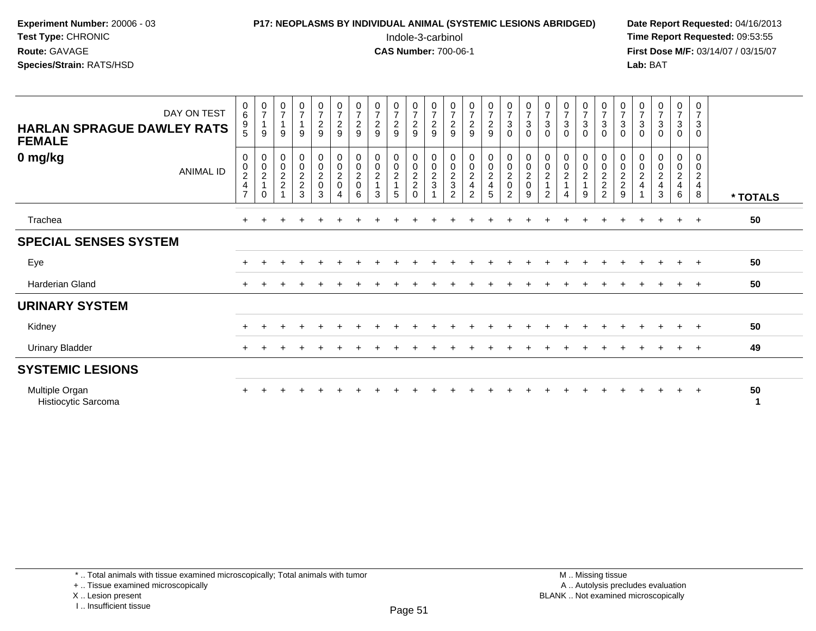# **P17: NEOPLASMS BY INDIVIDUAL ANIMAL (SYSTEMIC LESIONS ABRIDGED)** Date Report Requested: 04/16/2013<br>Indole-3-carbinol **Time Report Requested:** 09:53:55

 Indole-3-carbinol **Time Report Requested:** 09:53:55 **First Dose M/F:** 03/14/07 / 03/15/07<br>Lab: BAT **Lab:** BAT

| DAY ON TEST<br><b>HARLAN SPRAGUE DAWLEY RATS</b><br><b>FEMALE</b> | 0<br>$\,6\,$<br>9<br>5                     | $\begin{array}{c} 0 \\ 7 \end{array}$<br>$\overline{1}$<br>9 | $\frac{0}{7}$<br>9 | $\frac{0}{7}$<br>$\overline{1}$<br>9 | $\frac{0}{7}$<br>$\sqrt{2}$<br>9                    | $\frac{0}{7}$<br>$\boldsymbol{2}$<br>9 | $\begin{array}{c} 0 \\ 7 \end{array}$<br>$\sqrt{2}$<br>9 | $\frac{0}{7}$<br>$\frac{2}{9}$       | $\frac{0}{7}$<br>$\sqrt{2}$<br>9       | $\frac{0}{7}$<br>$\frac{2}{9}$                                        | $\frac{0}{7}$<br>$\sqrt{2}$<br>9               | $\begin{array}{c} 0 \\ 7 \\ 2 \end{array}$<br>9 | 0729                                                              | 0729                                                | $\frac{0}{7}$<br>$\sqrt{3}$<br>$\mathbf 0$          | $\frac{0}{7}$<br>$\ensuremath{\mathsf{3}}$<br>$\Omega$ | $\frac{0}{7}$<br>$\ensuremath{\mathsf{3}}$<br>$\Omega$               | $\frac{0}{7}$<br>3<br>0 | $\begin{array}{c} 0 \\ 7 \\ 3 \end{array}$<br>$\mathbf 0$ | $\frac{0}{7}$<br>$\ensuremath{\mathsf{3}}$<br>$\mathbf 0$ | $\begin{array}{c} 0 \\ 7 \end{array}$<br>$\ensuremath{\mathsf{3}}$<br>$\Omega$ | $\frac{0}{7}$<br>$\ensuremath{\mathsf{3}}$<br>$\Omega$ | $\frac{0}{7}$<br>$\mathbf{3}$<br>$\Omega$ | $\begin{array}{c} 0 \\ 7 \end{array}$<br>$\ensuremath{\mathsf{3}}$<br>$\mathbf 0$ | 0<br>$\overline{7}$<br>$\mathbf{3}$<br>$\Omega$     |          |
|-------------------------------------------------------------------|--------------------------------------------|--------------------------------------------------------------|--------------------|--------------------------------------|-----------------------------------------------------|----------------------------------------|----------------------------------------------------------|--------------------------------------|----------------------------------------|-----------------------------------------------------------------------|------------------------------------------------|-------------------------------------------------|-------------------------------------------------------------------|-----------------------------------------------------|-----------------------------------------------------|--------------------------------------------------------|----------------------------------------------------------------------|-------------------------|-----------------------------------------------------------|-----------------------------------------------------------|--------------------------------------------------------------------------------|--------------------------------------------------------|-------------------------------------------|-----------------------------------------------------------------------------------|-----------------------------------------------------|----------|
| 0 mg/kg<br><b>ANIMAL ID</b>                                       | 0<br>$\pmb{0}$<br>$_4^2$<br>$\overline{7}$ | 0<br>$\begin{array}{c} 0 \\ 2 \\ 1 \end{array}$<br>$\Omega$  | 0<br>$\frac{0}{2}$ | $0002$<br>$223$                      | $\begin{matrix} 0 \\ 0 \\ 2 \\ 0 \end{matrix}$<br>3 | 0<br>$\pmb{0}$<br>$\frac{2}{0}$<br>4   | $\frac{0}{2}$<br>6                                       | 0<br>$\pmb{0}$<br>$\frac{2}{1}$<br>3 | 0<br>$\mathsf 0$<br>$\frac{2}{1}$<br>5 | $\pmb{0}$<br>$\begin{matrix} 0 \\ 2 \\ 2 \end{matrix}$<br>$\mathbf 0$ | $\begin{matrix} 0 \\ 0 \\ 2 \\ 3 \end{matrix}$ | $\boldsymbol{0}$<br>$\frac{0}{2}$<br>2          | $\begin{array}{c} 0 \\ 0 \\ 2 \\ 4 \end{array}$<br>$\overline{2}$ | $\begin{matrix} 0 \\ 0 \\ 2 \\ 4 \end{matrix}$<br>5 | $\boldsymbol{0}$<br>$\frac{0}{2}$<br>$\overline{2}$ | 0<br>$\pmb{0}$<br>$\frac{2}{0}$<br>9                   | 0<br>$\pmb{0}$<br>$\boldsymbol{2}$<br>$\mathbf{1}$<br>$\overline{2}$ | 0<br>0<br>$\frac{2}{1}$ | 00021<br>9                                                | 0<br>$\frac{0}{2}$<br>2                                   | 0<br>$\begin{matrix} 0 \\ 2 \\ 2 \end{matrix}$<br>9                            | 0<br>$\pmb{0}$<br>$_4^2$                               | 0<br>$\mathbf 0$<br>$\frac{2}{4}$<br>3    | $\pmb{0}$<br>$\mathsf{O}\xspace$<br>$\frac{2}{4}$<br>6                            | 0<br>$\pmb{0}$<br>$\sqrt{2}$<br>$\overline{4}$<br>8 | * TOTALS |
| Trachea                                                           | $\ddot{}$                                  |                                                              |                    |                                      |                                                     |                                        |                                                          |                                      |                                        |                                                                       |                                                |                                                 |                                                                   |                                                     |                                                     |                                                        |                                                                      |                         |                                                           |                                                           |                                                                                |                                                        |                                           |                                                                                   | $^+$                                                | 50       |
| <b>SPECIAL SENSES SYSTEM</b>                                      |                                            |                                                              |                    |                                      |                                                     |                                        |                                                          |                                      |                                        |                                                                       |                                                |                                                 |                                                                   |                                                     |                                                     |                                                        |                                                                      |                         |                                                           |                                                           |                                                                                |                                                        |                                           |                                                                                   |                                                     |          |
| Eye                                                               |                                            |                                                              |                    |                                      |                                                     |                                        |                                                          |                                      |                                        |                                                                       |                                                |                                                 |                                                                   |                                                     |                                                     |                                                        |                                                                      |                         |                                                           |                                                           |                                                                                |                                                        |                                           |                                                                                   |                                                     | 50       |
| Harderian Gland                                                   |                                            |                                                              |                    |                                      |                                                     |                                        |                                                          |                                      |                                        |                                                                       |                                                |                                                 |                                                                   |                                                     |                                                     |                                                        |                                                                      |                         |                                                           |                                                           |                                                                                |                                                        |                                           |                                                                                   | $\overline{ }$                                      | 50       |
| <b>URINARY SYSTEM</b>                                             |                                            |                                                              |                    |                                      |                                                     |                                        |                                                          |                                      |                                        |                                                                       |                                                |                                                 |                                                                   |                                                     |                                                     |                                                        |                                                                      |                         |                                                           |                                                           |                                                                                |                                                        |                                           |                                                                                   |                                                     |          |
| Kidney                                                            |                                            |                                                              |                    |                                      |                                                     |                                        |                                                          |                                      |                                        |                                                                       |                                                |                                                 |                                                                   |                                                     |                                                     |                                                        |                                                                      |                         |                                                           |                                                           |                                                                                |                                                        |                                           | $+$                                                                               | $+$                                                 | 50       |
| <b>Urinary Bladder</b>                                            | $\ddot{}$                                  |                                                              |                    |                                      |                                                     |                                        |                                                          |                                      |                                        |                                                                       |                                                |                                                 |                                                                   |                                                     |                                                     |                                                        |                                                                      |                         |                                                           |                                                           |                                                                                |                                                        |                                           | $+$                                                                               | $+$                                                 | 49       |
| <b>SYSTEMIC LESIONS</b>                                           |                                            |                                                              |                    |                                      |                                                     |                                        |                                                          |                                      |                                        |                                                                       |                                                |                                                 |                                                                   |                                                     |                                                     |                                                        |                                                                      |                         |                                                           |                                                           |                                                                                |                                                        |                                           |                                                                                   |                                                     |          |
| Multiple Organ<br>Histiocytic Sarcoma                             |                                            |                                                              |                    |                                      |                                                     |                                        |                                                          |                                      |                                        |                                                                       |                                                |                                                 |                                                                   |                                                     |                                                     |                                                        |                                                                      |                         |                                                           |                                                           |                                                                                |                                                        |                                           | $+$                                                                               | $+$                                                 | 50       |

\* .. Total animals with tissue examined microscopically; Total animals with tumor

+ .. Tissue examined microscopically

X .. Lesion present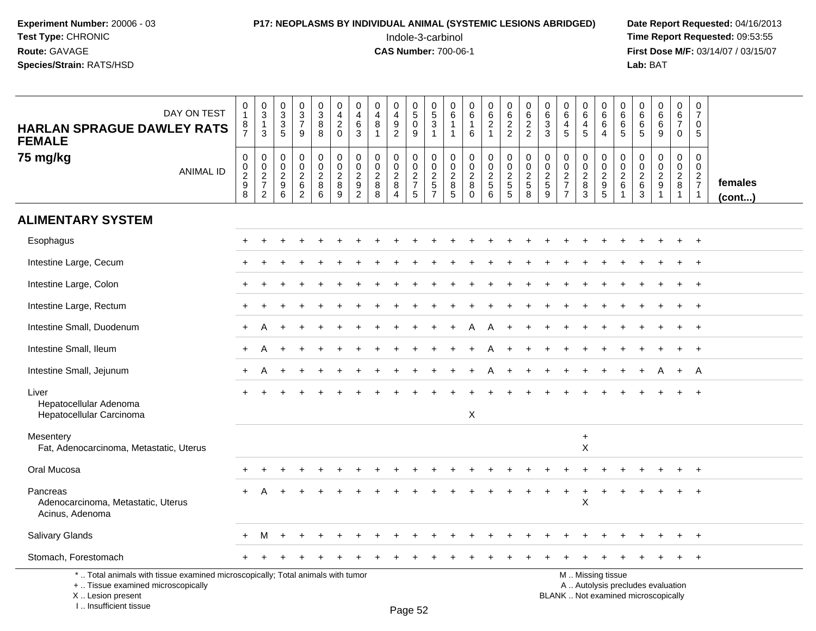I .. Insufficient tissue

### **P17: NEOPLASMS BY INDIVIDUAL ANIMAL (SYSTEMIC LESIONS ABRIDGED)** Date Report Requested: 04/16/2013<br>Indole-3-carbinol **Time Report Requested:** 09:53:55

 Indole-3-carbinol **Time Report Requested:** 09:53:55 **First Dose M/F:** 03/14/07 / 03/15/07<br>Lab: BAT **Lab:** BAT

| <b>HARLAN SPRAGUE DAWLEY RATS</b><br><b>FEMALE</b>                                                                                         | DAY ON TEST      | $\pmb{0}$<br>$\mathbf{1}$<br>$\begin{array}{c} 8 \\ 7 \end{array}$ | $\mathbf 0$<br>$\mathbf{3}$<br>$\mathbf{1}$<br>3    | 0<br>$\ensuremath{\mathsf{3}}$<br>3<br>$\overline{5}$ | $\pmb{0}$<br>$\ensuremath{\mathsf{3}}$<br>$\overline{7}$<br>9 | $\pmb{0}$<br>$\ensuremath{\mathsf{3}}$<br>8<br>8     | $\mathbf 0$<br>4<br>$\overline{2}$<br>$\mathbf 0$ | $\mathbf 0$<br>4<br>6<br>3                                                          | 0<br>4<br>8<br>1                                        | 0<br>$\begin{array}{c} 4 \\ 9 \end{array}$<br>$\overline{2}$ | 0<br>$5\phantom{.0}$<br>0<br>9                        | 0<br>$\,$ 5 $\,$<br>3<br>$\mathbf 1$                     | $\mathbf 0$<br>6<br>$\mathbf{1}$<br>$\mathbf 1$ | 0<br>$\,6\,$<br>$\mathbf{1}$<br>6                          | 0<br>$\,6\,$<br>$\overline{2}$<br>$\mathbf{1}$           | $\mathbf 0$<br>6<br>$\overline{2}$<br>$\overline{2}$                     | 0<br>6<br>$\overline{2}$<br>$\overline{2}$ | 0<br>6<br>3<br>3                                 | 0<br>$\,6$<br>$\overline{4}$<br>5                        | 0<br>$6\phantom{1}$<br>4<br>5            | $\mathbf 0$<br>$\,6\,$<br>6<br>$\overline{4}$                                                 | $\Omega$<br>6<br>6<br>5              | 0<br>6<br>6<br>-5                                  | 0<br>6<br>6<br>9        | $\mathbf 0$<br>6<br>$\overline{7}$<br>$\mathbf 0$         | 0<br>$\overline{7}$<br>$\mathbf 0$<br>5                   |                   |
|--------------------------------------------------------------------------------------------------------------------------------------------|------------------|--------------------------------------------------------------------|-----------------------------------------------------|-------------------------------------------------------|---------------------------------------------------------------|------------------------------------------------------|---------------------------------------------------|-------------------------------------------------------------------------------------|---------------------------------------------------------|--------------------------------------------------------------|-------------------------------------------------------|----------------------------------------------------------|-------------------------------------------------|------------------------------------------------------------|----------------------------------------------------------|--------------------------------------------------------------------------|--------------------------------------------|--------------------------------------------------|----------------------------------------------------------|------------------------------------------|-----------------------------------------------------------------------------------------------|--------------------------------------|----------------------------------------------------|-------------------------|-----------------------------------------------------------|-----------------------------------------------------------|-------------------|
| 75 mg/kg                                                                                                                                   | <b>ANIMAL ID</b> | $\pmb{0}$<br>$\mathsf{O}\xspace$<br>$\frac{2}{9}$<br>8             | 0<br>$\mathbf 0$<br>$\frac{2}{7}$<br>$\overline{2}$ | 0<br>0<br>$\sqrt{2}$<br>9<br>6                        | 0<br>$\pmb{0}$<br>$\sqrt{2}$<br>$\,6\,$<br>$\overline{2}$     | 0<br>$\mathbf 0$<br>$\frac{2}{8}$<br>$6\phantom{1}6$ | 0<br>$\mathbf 0$<br>$\overline{c}$<br>8<br>9      | $\mathbf 0$<br>$\mathbf{0}$<br>$\overline{c}$<br>$\boldsymbol{9}$<br>$\overline{2}$ | $\mathbf 0$<br>$\mathbf 0$<br>$\sqrt{2}$<br>$\bf8$<br>8 | 0<br>0<br>$\sqrt{2}$<br>8<br>4                               | 0<br>$\mathbf 0$<br>$\sqrt{2}$<br>$\overline{7}$<br>5 | 0<br>$\boldsymbol{0}$<br>$\frac{2}{5}$<br>$\overline{7}$ | 0<br>$\mathbf 0$<br>$\sqrt{2}$<br>$\bf 8$<br>5  | 0<br>$\mathbf 0$<br>$\boldsymbol{2}$<br>$\bf8$<br>$\Omega$ | 0<br>$\mathbf 0$<br>$\sqrt{2}$<br>$\,$ 5 $\,$<br>$\,6\,$ | $\mathbf 0$<br>$\mathbf 0$<br>$\sqrt{2}$<br>$\sqrt{5}$<br>$\overline{5}$ | 0<br>0<br>$\frac{2}{5}$<br>8               | $\mathbf 0$<br>$\mathbf 0$<br>$\frac{2}{5}$<br>9 | 0<br>0<br>$\sqrt{2}$<br>$\overline{7}$<br>$\overline{ }$ | 0<br>$\mathbf 0$<br>$\sqrt{2}$<br>8<br>3 | $\mathbf 0$<br>$\mathbf 0$<br>$rac{2}{9}$                                                     | 0<br>$\Omega$<br>$\overline{2}$<br>6 | 0<br>$\mathbf 0$<br>$\overline{c}$<br>$\,6\,$<br>3 | 0<br>0<br>$\frac{2}{9}$ | 0<br>$\mathbf 0$<br>$\overline{2}$<br>8<br>$\overline{1}$ | $\mathbf 0$<br>$\mathbf 0$<br>$rac{2}{7}$<br>$\mathbf{1}$ | females<br>(cont) |
| <b>ALIMENTARY SYSTEM</b>                                                                                                                   |                  |                                                                    |                                                     |                                                       |                                                               |                                                      |                                                   |                                                                                     |                                                         |                                                              |                                                       |                                                          |                                                 |                                                            |                                                          |                                                                          |                                            |                                                  |                                                          |                                          |                                                                                               |                                      |                                                    |                         |                                                           |                                                           |                   |
| Esophagus                                                                                                                                  |                  |                                                                    |                                                     |                                                       |                                                               |                                                      |                                                   |                                                                                     |                                                         |                                                              |                                                       |                                                          |                                                 |                                                            |                                                          |                                                                          |                                            |                                                  |                                                          |                                          |                                                                                               |                                      |                                                    |                         |                                                           | $+$                                                       |                   |
| Intestine Large, Cecum                                                                                                                     |                  |                                                                    |                                                     |                                                       |                                                               |                                                      |                                                   |                                                                                     |                                                         |                                                              |                                                       |                                                          |                                                 |                                                            |                                                          |                                                                          |                                            |                                                  |                                                          |                                          |                                                                                               |                                      |                                                    |                         |                                                           | $^{+}$                                                    |                   |
| Intestine Large, Colon                                                                                                                     |                  |                                                                    |                                                     |                                                       |                                                               |                                                      |                                                   |                                                                                     |                                                         |                                                              |                                                       |                                                          |                                                 |                                                            |                                                          |                                                                          |                                            |                                                  |                                                          |                                          |                                                                                               |                                      |                                                    |                         |                                                           | $\overline{ }$                                            |                   |
| Intestine Large, Rectum                                                                                                                    |                  |                                                                    |                                                     |                                                       |                                                               |                                                      |                                                   |                                                                                     |                                                         |                                                              |                                                       |                                                          |                                                 |                                                            |                                                          |                                                                          |                                            |                                                  |                                                          |                                          |                                                                                               |                                      |                                                    |                         |                                                           | $\overline{+}$                                            |                   |
| Intestine Small, Duodenum                                                                                                                  |                  |                                                                    | А                                                   |                                                       |                                                               |                                                      |                                                   |                                                                                     |                                                         |                                                              |                                                       |                                                          |                                                 |                                                            | A                                                        |                                                                          |                                            |                                                  |                                                          |                                          |                                                                                               |                                      |                                                    |                         |                                                           | $\overline{+}$                                            |                   |
| Intestine Small, Ileum                                                                                                                     |                  |                                                                    | Α                                                   |                                                       |                                                               |                                                      |                                                   |                                                                                     |                                                         |                                                              |                                                       |                                                          |                                                 |                                                            |                                                          |                                                                          |                                            |                                                  |                                                          |                                          |                                                                                               |                                      |                                                    |                         |                                                           | $\overline{+}$                                            |                   |
| Intestine Small, Jejunum                                                                                                                   |                  |                                                                    | Α                                                   |                                                       |                                                               |                                                      |                                                   |                                                                                     |                                                         |                                                              |                                                       |                                                          |                                                 |                                                            | A                                                        |                                                                          |                                            |                                                  |                                                          |                                          |                                                                                               |                                      |                                                    |                         | $+$                                                       | A                                                         |                   |
| Liver<br>Hepatocellular Adenoma<br>Hepatocellular Carcinoma                                                                                |                  |                                                                    |                                                     |                                                       |                                                               |                                                      |                                                   |                                                                                     |                                                         |                                                              |                                                       |                                                          |                                                 | X                                                          |                                                          |                                                                          |                                            |                                                  |                                                          |                                          |                                                                                               |                                      |                                                    |                         |                                                           |                                                           |                   |
| Mesentery<br>Fat, Adenocarcinoma, Metastatic, Uterus                                                                                       |                  |                                                                    |                                                     |                                                       |                                                               |                                                      |                                                   |                                                                                     |                                                         |                                                              |                                                       |                                                          |                                                 |                                                            |                                                          |                                                                          |                                            |                                                  |                                                          | $\ddot{}$<br>X                           |                                                                                               |                                      |                                                    |                         |                                                           |                                                           |                   |
| Oral Mucosa                                                                                                                                |                  |                                                                    |                                                     |                                                       |                                                               |                                                      |                                                   |                                                                                     |                                                         |                                                              |                                                       |                                                          |                                                 |                                                            |                                                          |                                                                          |                                            |                                                  |                                                          |                                          |                                                                                               |                                      |                                                    |                         |                                                           | $\overline{+}$                                            |                   |
| Pancreas<br>Adenocarcinoma, Metastatic, Uterus<br>Acinus, Adenoma                                                                          |                  |                                                                    |                                                     |                                                       |                                                               |                                                      |                                                   |                                                                                     |                                                         |                                                              |                                                       |                                                          |                                                 |                                                            |                                                          |                                                                          |                                            |                                                  | $\ddot{}$                                                | $\ddot{}$<br>$\pmb{\times}$              |                                                                                               |                                      |                                                    |                         |                                                           | $^{+}$                                                    |                   |
| Salivary Glands                                                                                                                            |                  |                                                                    | м                                                   |                                                       |                                                               |                                                      |                                                   |                                                                                     |                                                         |                                                              |                                                       |                                                          |                                                 |                                                            |                                                          |                                                                          |                                            |                                                  |                                                          |                                          |                                                                                               |                                      |                                                    |                         |                                                           |                                                           |                   |
| Stomach, Forestomach                                                                                                                       |                  |                                                                    |                                                     |                                                       |                                                               |                                                      |                                                   |                                                                                     |                                                         |                                                              |                                                       |                                                          |                                                 |                                                            |                                                          |                                                                          |                                            |                                                  |                                                          |                                          |                                                                                               |                                      |                                                    |                         |                                                           | $+$                                                       |                   |
| *  Total animals with tissue examined microscopically; Total animals with tumor<br>+  Tissue examined microscopically<br>X  Lesion present |                  |                                                                    |                                                     |                                                       |                                                               |                                                      |                                                   |                                                                                     |                                                         |                                                              |                                                       |                                                          |                                                 |                                                            |                                                          |                                                                          |                                            |                                                  |                                                          |                                          | M  Missing tissue<br>A  Autolysis precludes evaluation<br>BLANK  Not examined microscopically |                                      |                                                    |                         |                                                           |                                                           |                   |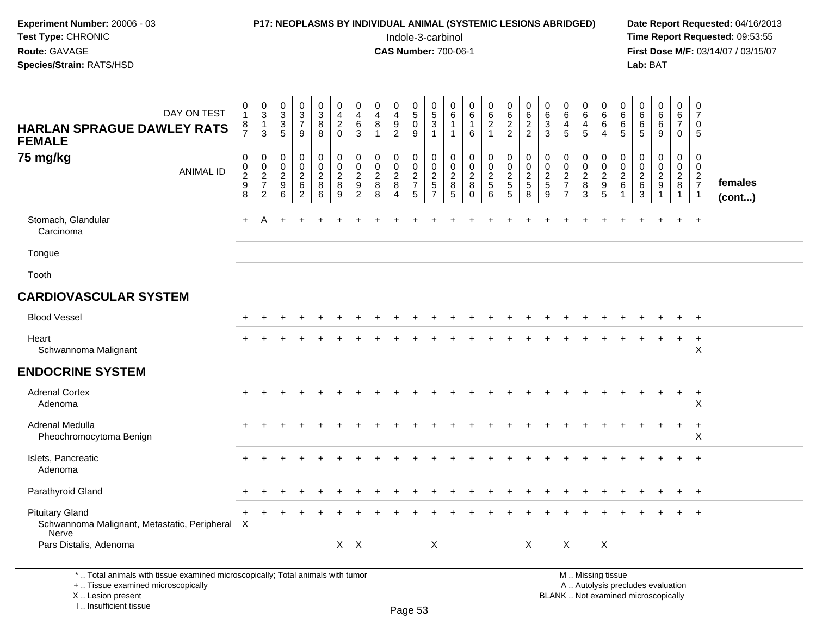#### **P17: NEOPLASMS BY INDIVIDUAL ANIMAL (SYSTEMIC LESIONS ABRIDGED)** Date Report Requested: 04/16/2013<br>Indole-3-carbinol **Time Report Requested:** 09:53:55

 Indole-3-carbinol **Time Report Requested:** 09:53:55 **First Dose M/F:** 03/14/07 / 03/15/07<br>**Lab:** BAT **Lab:** BAT

| DAY ON TEST<br><b>HARLAN SPRAGUE DAWLEY RATS</b><br><b>FEMALE</b>                 | 0<br>$\overline{1}$<br>$\frac{8}{7}$                                     | $_{3}^{\rm 0}$<br>$\mathbf{1}$<br>3              | $\mathbf 0$<br>$\mathbf{3}$<br>$\mathbf{3}$<br>5 | $_{3}^{\rm 0}$<br>$\overline{7}$<br>9                     | 0<br>$\mathsf 3$<br>8<br>8                   | $\mathbf 0$<br>$\overline{\mathbf{4}}$<br>$\boldsymbol{2}$<br>$\Omega$   | $\mathbf 0$<br>$\overline{\mathbf{4}}$<br>$\,6\,$<br>3                               | 0<br>$\overline{4}$<br>8<br>$\overline{1}$             | 0<br>$\overline{4}$<br>9<br>$\overline{2}$         | 0<br>$\,$ 5 $\,$<br>$\mathbf 0$<br>$9\,$ | $\begin{array}{c} 0 \\ 5 \end{array}$<br>$\sqrt{3}$<br>$\mathbf{1}$          | 0<br>6<br>$\overline{1}$                 | $\boldsymbol{0}$<br>$\,6\,$<br>$\mathbf 1$<br>6                   | $\pmb{0}$<br>$\,6\,$<br>$\overline{2}$<br>$\mathbf{1}$ | 0<br>$\,6\,$<br>$\frac{2}{2}$                       | 0<br>$\,6\,$<br>$\frac{2}{2}$                              | 0<br>$\,6\,$<br>$\mathbf{3}$<br>3 | $\begin{array}{c} 0 \\ 6 \end{array}$<br>$\overline{a}$<br>5 | $\mathbf 0$<br>$\,6\,$<br>$\overline{4}$<br>$\overline{5}$ | 0<br>6<br>6<br>$\overline{4}$                                         | 0<br>$\,6\,$<br>6<br>5                            | 0<br>6<br>$^6$ 5             | $\begin{array}{c} 0 \\ 6 \end{array}$<br>$\,6$<br>9         | 0<br>$\,6\,$<br>$\overline{7}$<br>$\overline{0}$  | $\mathbf 0$<br>$\overline{7}$<br>$\mathbf 0$<br>$5\phantom{.0}$ |                   |
|-----------------------------------------------------------------------------------|--------------------------------------------------------------------------|--------------------------------------------------|--------------------------------------------------|-----------------------------------------------------------|----------------------------------------------|--------------------------------------------------------------------------|--------------------------------------------------------------------------------------|--------------------------------------------------------|----------------------------------------------------|------------------------------------------|------------------------------------------------------------------------------|------------------------------------------|-------------------------------------------------------------------|--------------------------------------------------------|-----------------------------------------------------|------------------------------------------------------------|-----------------------------------|--------------------------------------------------------------|------------------------------------------------------------|-----------------------------------------------------------------------|---------------------------------------------------|------------------------------|-------------------------------------------------------------|---------------------------------------------------|-----------------------------------------------------------------|-------------------|
| 75 mg/kg<br><b>ANIMAL ID</b>                                                      | $\boldsymbol{0}$<br>$\begin{smallmatrix} 0\\2\\9 \end{smallmatrix}$<br>8 | $\mathbf 0$<br>$\mathbf 0$<br>$\frac{2}{7}$<br>2 | $\mathbf 0$<br>0<br>$\overline{2}$<br>9<br>6     | 0<br>$\mathbf 0$<br>$\overline{a}$<br>6<br>$\overline{2}$ | 0<br>$\mathbf 0$<br>$\overline{c}$<br>8<br>6 | $\begin{smallmatrix} 0\\0 \end{smallmatrix}$<br>$\overline{c}$<br>8<br>9 | $\mathbf 0$<br>$\mathbf 0$<br>$\boldsymbol{2}$<br>$\boldsymbol{9}$<br>$\overline{2}$ | $\mathbf 0$<br>$\mathbf 0$<br>$\overline{c}$<br>8<br>8 | 0<br>$\mathbf 0$<br>$\overline{c}$<br>$\,8\,$<br>4 | 0<br>$\mathsf{O}$<br>$\frac{2}{7}$<br>5  | $\mathbf 0$<br>$\mathbf 0$<br>$\overline{c}$<br>$\sqrt{5}$<br>$\overline{7}$ | 0<br>0<br>$\overline{2}$<br>$\bf 8$<br>5 | $\mathbf 0$<br>$\pmb{0}$<br>$\overline{2}$<br>$\,8\,$<br>$\Omega$ | 0<br>$\overline{0}$<br>$\frac{2}{5}$<br>6              | 0<br>$\overline{0}$<br>$\overline{c}$<br>$5\,$<br>5 | 0<br>$\mathbf 0$<br>$\overline{a}$<br>$5\phantom{.0}$<br>8 | 0<br>0<br>$\frac{2}{5}$<br>9      | $\mathbf 0$<br>$\mathbf 0$<br>$\frac{2}{7}$                  | 0<br>$\mathbf 0$<br>$\sqrt{2}$<br>$\bf 8$<br>$\mathbf{3}$  | $\mathbf 0$<br>$\mathbf 0$<br>$\overline{2}$<br>$\boldsymbol{9}$<br>5 | $\mathbf 0$<br>$\mathbf 0$<br>$\overline{c}$<br>6 | 0<br>0<br>$\frac{2}{6}$<br>3 | 0<br>$\boldsymbol{0}$<br>$\overline{c}$<br>$\boldsymbol{9}$ | 0<br>$\mathbf 0$<br>$\frac{2}{8}$<br>$\mathbf{1}$ | $\mathbf 0$<br>$\mathbf 0$<br>$\frac{2}{7}$<br>$\overline{1}$   | females<br>(cont) |
| Stomach, Glandular<br>Carcinoma                                                   | $\ddot{}$                                                                | A                                                |                                                  |                                                           |                                              |                                                                          |                                                                                      |                                                        |                                                    |                                          |                                                                              |                                          |                                                                   |                                                        |                                                     |                                                            |                                   |                                                              |                                                            |                                                                       |                                                   |                              |                                                             |                                                   | $+$                                                             |                   |
| Tongue                                                                            |                                                                          |                                                  |                                                  |                                                           |                                              |                                                                          |                                                                                      |                                                        |                                                    |                                          |                                                                              |                                          |                                                                   |                                                        |                                                     |                                                            |                                   |                                                              |                                                            |                                                                       |                                                   |                              |                                                             |                                                   |                                                                 |                   |
| Tooth                                                                             |                                                                          |                                                  |                                                  |                                                           |                                              |                                                                          |                                                                                      |                                                        |                                                    |                                          |                                                                              |                                          |                                                                   |                                                        |                                                     |                                                            |                                   |                                                              |                                                            |                                                                       |                                                   |                              |                                                             |                                                   |                                                                 |                   |
| <b>CARDIOVASCULAR SYSTEM</b>                                                      |                                                                          |                                                  |                                                  |                                                           |                                              |                                                                          |                                                                                      |                                                        |                                                    |                                          |                                                                              |                                          |                                                                   |                                                        |                                                     |                                                            |                                   |                                                              |                                                            |                                                                       |                                                   |                              |                                                             |                                                   |                                                                 |                   |
| <b>Blood Vessel</b>                                                               |                                                                          |                                                  |                                                  |                                                           |                                              |                                                                          |                                                                                      |                                                        |                                                    |                                          |                                                                              |                                          |                                                                   |                                                        |                                                     |                                                            |                                   |                                                              |                                                            |                                                                       |                                                   |                              |                                                             |                                                   | $\overline{ }$                                                  |                   |
| Heart<br>Schwannoma Malignant                                                     |                                                                          |                                                  |                                                  |                                                           |                                              |                                                                          |                                                                                      |                                                        |                                                    |                                          |                                                                              |                                          |                                                                   |                                                        |                                                     |                                                            |                                   |                                                              |                                                            |                                                                       |                                                   |                              |                                                             | $\ddot{}$                                         | $\ddot{}$<br>$\boldsymbol{\mathsf{X}}$                          |                   |
| <b>ENDOCRINE SYSTEM</b>                                                           |                                                                          |                                                  |                                                  |                                                           |                                              |                                                                          |                                                                                      |                                                        |                                                    |                                          |                                                                              |                                          |                                                                   |                                                        |                                                     |                                                            |                                   |                                                              |                                                            |                                                                       |                                                   |                              |                                                             |                                                   |                                                                 |                   |
| <b>Adrenal Cortex</b><br>Adenoma                                                  |                                                                          |                                                  |                                                  |                                                           |                                              |                                                                          |                                                                                      |                                                        |                                                    |                                          |                                                                              |                                          |                                                                   |                                                        |                                                     |                                                            |                                   |                                                              |                                                            |                                                                       |                                                   |                              |                                                             | $\div$                                            | $\ddot{}$<br>X                                                  |                   |
| Adrenal Medulla<br>Pheochromocytoma Benign                                        |                                                                          |                                                  |                                                  |                                                           |                                              |                                                                          |                                                                                      |                                                        |                                                    |                                          |                                                                              |                                          |                                                                   |                                                        |                                                     |                                                            |                                   |                                                              |                                                            |                                                                       |                                                   |                              |                                                             | $\ddot{}$                                         | $\ddot{}$<br>X                                                  |                   |
| Islets, Pancreatic<br>Adenoma                                                     |                                                                          |                                                  |                                                  |                                                           |                                              |                                                                          |                                                                                      |                                                        |                                                    |                                          |                                                                              |                                          |                                                                   |                                                        |                                                     |                                                            |                                   |                                                              |                                                            |                                                                       |                                                   |                              |                                                             |                                                   | $\ddot{}$                                                       |                   |
| Parathyroid Gland                                                                 |                                                                          |                                                  |                                                  |                                                           |                                              |                                                                          |                                                                                      |                                                        |                                                    |                                          |                                                                              |                                          |                                                                   |                                                        |                                                     |                                                            |                                   |                                                              |                                                            |                                                                       |                                                   |                              |                                                             |                                                   | $+$                                                             |                   |
| <b>Pituitary Gland</b><br>Schwannoma Malignant, Metastatic, Peripheral X<br>Nerve |                                                                          |                                                  |                                                  |                                                           |                                              |                                                                          |                                                                                      |                                                        |                                                    |                                          |                                                                              |                                          |                                                                   |                                                        |                                                     |                                                            |                                   |                                                              |                                                            |                                                                       |                                                   |                              |                                                             |                                                   |                                                                 |                   |
| Pars Distalis, Adenoma                                                            |                                                                          |                                                  |                                                  |                                                           |                                              |                                                                          | $X$ $X$                                                                              |                                                        |                                                    |                                          | $\boldsymbol{\mathsf{X}}$                                                    |                                          |                                                                   |                                                        |                                                     | $\boldsymbol{\mathsf{X}}$                                  |                                   | X                                                            |                                                            | $\sf X$                                                               |                                                   |                              |                                                             |                                                   |                                                                 |                   |
| *  Total animals with tissue examined microscopically; Total animals with tumor   |                                                                          |                                                  |                                                  |                                                           |                                              |                                                                          |                                                                                      |                                                        |                                                    |                                          |                                                                              |                                          |                                                                   |                                                        |                                                     |                                                            |                                   |                                                              |                                                            | M  Missing tissue                                                     |                                                   |                              |                                                             |                                                   |                                                                 |                   |

+ .. Tissue examined microscopically

X .. Lesion present

I .. Insufficient tissue

y the contract of the contract of the contract of the contract of the contract of  $\mathsf A$  . Autolysis precludes evaluation Lesion present BLANK .. Not examined microscopically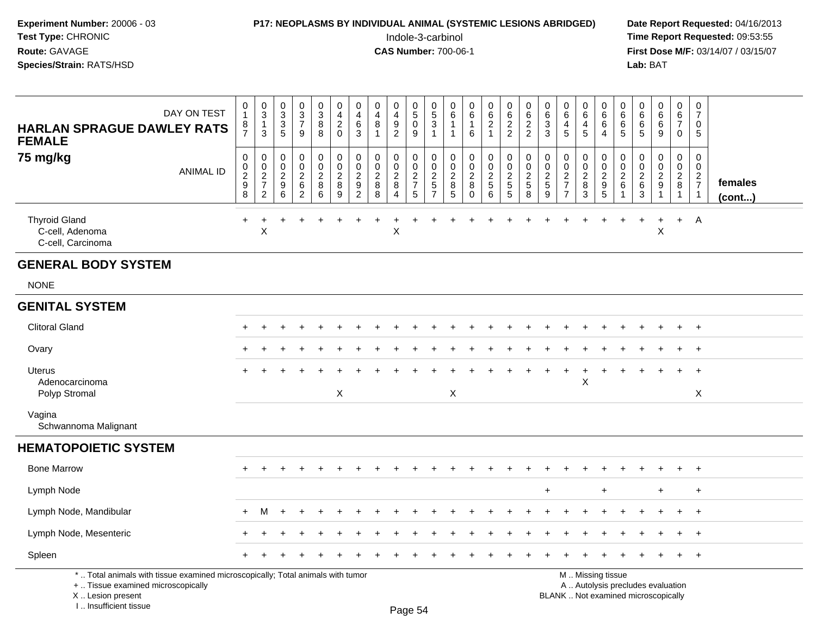### **P17: NEOPLASMS BY INDIVIDUAL ANIMAL (SYSTEMIC LESIONS ABRIDGED)** Date Report Requested: 04/16/2013<br>Indole-3-carbinol **Time Report Requested:** 09:53:55

 Indole-3-carbinol **Time Report Requested:** 09:53:55 **First Dose M/F:** 03/14/07 / 03/15/07<br>Lab: BAT **Lab:** BAT

| DAY ON TEST<br><b>HARLAN SPRAGUE DAWLEY RATS</b><br><b>FEMALE</b>                                                                                                   | 0<br>$\mathbf{1}$<br>8<br>$\overline{7}$     | $_{3}^{\rm 0}$<br>$\mathbf{1}$<br>$\mathfrak{S}$                           | $\begin{smallmatrix}0\\3\\3\end{smallmatrix}$<br>5           | 0<br>$\overline{3}$<br>$\overline{7}$<br>9                | $\pmb{0}$<br>$\overline{3}$<br>8<br>8                      | 0<br>$\overline{4}$<br>$\overline{c}$<br>$\mathbf 0$ | $\pmb{0}$<br>$\overline{\mathbf{4}}$<br>6<br>$\mathbf{3}$                        | 0<br>4<br>8<br>$\mathbf{1}$                           | $\mathbf 0$<br>$\overline{4}$<br>9<br>$\overline{2}$  | $\pmb{0}$<br>$\overline{5}$<br>$\pmb{0}$<br>9                  | $\mathbf 0$<br>$\overline{5}$<br>3<br>$\overline{1}$                   | 0<br>$\,6\,$<br>1<br>$\mathbf{1}$    | $_{6}^{\rm 0}$<br>$\mathbf{1}$<br>6                    | $\begin{matrix} 0 \\ 6 \\ 2 \end{matrix}$<br>$\mathbf{1}$                   | $\pmb{0}$<br>$6\phantom{a}$<br>$\frac{2}{2}$                                              | 0<br>$\,6$<br>$\boldsymbol{2}$<br>$\overline{2}$      | 0<br>$\,6\,$<br>$\sqrt{3}$<br>3                              | 0<br>6<br>$\overline{4}$<br>5                                       | 0<br>$\overline{6}$<br>$\overline{4}$<br>5                | $\pmb{0}$<br>$6\phantom{a}$<br>6<br>$\overline{4}$                                            | 0<br>6<br>6<br>5                              | $\mathbf 0$<br>$\,6\,$<br>6<br>5                          | 0<br>$\,6\,$<br>6<br>9                      | 0<br>$6\phantom{a}$<br>$\overline{7}$<br>$\mathbf 0$     | $\pmb{0}$<br>$\overline{7}$<br>$\mathbf 0$<br>5 |                         |
|---------------------------------------------------------------------------------------------------------------------------------------------------------------------|----------------------------------------------|----------------------------------------------------------------------------|--------------------------------------------------------------|-----------------------------------------------------------|------------------------------------------------------------|------------------------------------------------------|----------------------------------------------------------------------------------|-------------------------------------------------------|-------------------------------------------------------|----------------------------------------------------------------|------------------------------------------------------------------------|--------------------------------------|--------------------------------------------------------|-----------------------------------------------------------------------------|-------------------------------------------------------------------------------------------|-------------------------------------------------------|--------------------------------------------------------------|---------------------------------------------------------------------|-----------------------------------------------------------|-----------------------------------------------------------------------------------------------|-----------------------------------------------|-----------------------------------------------------------|---------------------------------------------|----------------------------------------------------------|-------------------------------------------------|-------------------------|
| 75 mg/kg<br><b>ANIMAL ID</b>                                                                                                                                        | 0<br>$\mathbf 0$<br>$\overline{c}$<br>9<br>8 | 0<br>$\mathsf{O}\xspace$<br>$\sqrt{2}$<br>$\overline{7}$<br>$\overline{2}$ | $\mathbf 0$<br>$\mathbf 0$<br>$\overline{2}$<br>9<br>$\,6\,$ | 0<br>$\pmb{0}$<br>$\boldsymbol{2}$<br>6<br>$\overline{2}$ | $\pmb{0}$<br>$\mathbf 0$<br>$\overline{c}$<br>8<br>$\,6\,$ | 0<br>$\mathbf 0$<br>$\overline{c}$<br>8<br>9         | $\pmb{0}$<br>$\mathbf 0$<br>$\overline{c}$<br>$\boldsymbol{9}$<br>$\overline{2}$ | 0<br>$\mathsf{O}\xspace$<br>$\sqrt{2}$<br>$\bf8$<br>8 | 0<br>$\mathbf 0$<br>$\sqrt{2}$<br>8<br>$\overline{4}$ | 0<br>$\mathbf 0$<br>$\sqrt{2}$<br>$\overline{7}$<br>$\sqrt{5}$ | 0<br>$\mathbf 0$<br>$\overline{c}$<br>$\overline{5}$<br>$\overline{7}$ | 0<br>0<br>$\boldsymbol{2}$<br>8<br>5 | 0<br>$\mathbf 0$<br>$\overline{a}$<br>8<br>$\mathbf 0$ | 0<br>$\mathbf 0$<br>$\overline{2}$<br>$\begin{array}{c} 5 \\ 6 \end{array}$ | $\mathsf 0$<br>$\mathsf{O}\xspace$<br>$\sqrt{2}$<br>$\begin{array}{c} 5 \\ 5 \end{array}$ | 0<br>$\mathbf 0$<br>$\overline{2}$<br>$\sqrt{5}$<br>8 | 0<br>$\pmb{0}$<br>$\sqrt{2}$<br>$\sqrt{5}$<br>$\overline{9}$ | 0<br>$\mathbf 0$<br>$\mathbf 2$<br>$\overline{7}$<br>$\overline{7}$ | 0<br>$\mathbf 0$<br>$\overline{2}$<br>8<br>$\overline{3}$ | 0<br>$\mathsf{O}\xspace$<br>$\boldsymbol{2}$<br>$\begin{array}{c} 9 \\ 5 \end{array}$         | 0<br>$\mathbf 0$<br>$\overline{2}$<br>$\,6\,$ | 0<br>$\mathbf 0$<br>$\sqrt{2}$<br>$\,6\,$<br>$\mathbf{3}$ | 0<br>$\mathbf 0$<br>$\sqrt{2}$<br>9<br>1    | $\Omega$<br>$\mathbf 0$<br>$\overline{c}$<br>$\bf8$<br>1 | 0<br>0<br>$\frac{2}{7}$<br>$\mathbf{1}$         | females<br>$($ cont $)$ |
| <b>Thyroid Gland</b><br>C-cell, Adenoma<br>C-cell, Carcinoma                                                                                                        | $\ddot{}$                                    | +<br>X                                                                     |                                                              |                                                           |                                                            |                                                      |                                                                                  | $\ddot{}$                                             | $\sf X$                                               |                                                                |                                                                        |                                      |                                                        |                                                                             |                                                                                           |                                                       |                                                              |                                                                     |                                                           |                                                                                               |                                               | $\ddot{}$                                                 | $\begin{array}{c} + \end{array}$<br>$\sf X$ | $+$                                                      | A                                               |                         |
| <b>GENERAL BODY SYSTEM</b>                                                                                                                                          |                                              |                                                                            |                                                              |                                                           |                                                            |                                                      |                                                                                  |                                                       |                                                       |                                                                |                                                                        |                                      |                                                        |                                                                             |                                                                                           |                                                       |                                                              |                                                                     |                                                           |                                                                                               |                                               |                                                           |                                             |                                                          |                                                 |                         |
| <b>NONE</b>                                                                                                                                                         |                                              |                                                                            |                                                              |                                                           |                                                            |                                                      |                                                                                  |                                                       |                                                       |                                                                |                                                                        |                                      |                                                        |                                                                             |                                                                                           |                                                       |                                                              |                                                                     |                                                           |                                                                                               |                                               |                                                           |                                             |                                                          |                                                 |                         |
| <b>GENITAL SYSTEM</b>                                                                                                                                               |                                              |                                                                            |                                                              |                                                           |                                                            |                                                      |                                                                                  |                                                       |                                                       |                                                                |                                                                        |                                      |                                                        |                                                                             |                                                                                           |                                                       |                                                              |                                                                     |                                                           |                                                                                               |                                               |                                                           |                                             |                                                          |                                                 |                         |
| <b>Clitoral Gland</b>                                                                                                                                               |                                              |                                                                            |                                                              |                                                           |                                                            |                                                      |                                                                                  |                                                       |                                                       |                                                                |                                                                        |                                      |                                                        |                                                                             |                                                                                           |                                                       |                                                              |                                                                     |                                                           |                                                                                               |                                               |                                                           |                                             |                                                          | $\pm$                                           |                         |
| Ovary                                                                                                                                                               |                                              |                                                                            |                                                              |                                                           |                                                            |                                                      |                                                                                  |                                                       |                                                       |                                                                |                                                                        |                                      |                                                        |                                                                             |                                                                                           |                                                       |                                                              |                                                                     |                                                           |                                                                                               |                                               |                                                           |                                             |                                                          |                                                 |                         |
| Uterus<br>Adenocarcinoma<br>Polyp Stromal                                                                                                                           |                                              |                                                                            |                                                              |                                                           |                                                            | $\boldsymbol{\mathsf{X}}$                            |                                                                                  |                                                       |                                                       |                                                                |                                                                        | X                                    |                                                        |                                                                             |                                                                                           |                                                       |                                                              |                                                                     | $\boldsymbol{\mathsf{X}}$                                 |                                                                                               |                                               |                                                           |                                             |                                                          | $\ddot{}$<br>X                                  |                         |
| Vagina<br>Schwannoma Malignant                                                                                                                                      |                                              |                                                                            |                                                              |                                                           |                                                            |                                                      |                                                                                  |                                                       |                                                       |                                                                |                                                                        |                                      |                                                        |                                                                             |                                                                                           |                                                       |                                                              |                                                                     |                                                           |                                                                                               |                                               |                                                           |                                             |                                                          |                                                 |                         |
| <b>HEMATOPOIETIC SYSTEM</b>                                                                                                                                         |                                              |                                                                            |                                                              |                                                           |                                                            |                                                      |                                                                                  |                                                       |                                                       |                                                                |                                                                        |                                      |                                                        |                                                                             |                                                                                           |                                                       |                                                              |                                                                     |                                                           |                                                                                               |                                               |                                                           |                                             |                                                          |                                                 |                         |
| <b>Bone Marrow</b>                                                                                                                                                  |                                              |                                                                            |                                                              |                                                           |                                                            |                                                      |                                                                                  |                                                       |                                                       |                                                                |                                                                        |                                      |                                                        |                                                                             |                                                                                           |                                                       |                                                              |                                                                     |                                                           |                                                                                               |                                               |                                                           |                                             |                                                          |                                                 |                         |
| Lymph Node                                                                                                                                                          |                                              |                                                                            |                                                              |                                                           |                                                            |                                                      |                                                                                  |                                                       |                                                       |                                                                |                                                                        |                                      |                                                        |                                                                             |                                                                                           |                                                       | $\ddot{}$                                                    |                                                                     |                                                           | $\ddot{}$                                                                                     |                                               |                                                           | $\ddot{}$                                   |                                                          | $\ddot{}$                                       |                         |
| Lymph Node, Mandibular                                                                                                                                              | $+$                                          | M                                                                          |                                                              |                                                           |                                                            |                                                      |                                                                                  |                                                       |                                                       |                                                                |                                                                        |                                      |                                                        |                                                                             |                                                                                           |                                                       |                                                              |                                                                     |                                                           |                                                                                               |                                               |                                                           |                                             |                                                          | $\div$                                          |                         |
| Lymph Node, Mesenteric                                                                                                                                              |                                              |                                                                            |                                                              |                                                           |                                                            |                                                      |                                                                                  |                                                       |                                                       |                                                                |                                                                        |                                      |                                                        |                                                                             |                                                                                           |                                                       |                                                              |                                                                     |                                                           |                                                                                               |                                               |                                                           |                                             |                                                          | $\ddot{}$                                       |                         |
| Spleen                                                                                                                                                              |                                              |                                                                            |                                                              |                                                           |                                                            |                                                      |                                                                                  |                                                       |                                                       |                                                                |                                                                        |                                      |                                                        |                                                                             |                                                                                           |                                                       |                                                              |                                                                     |                                                           |                                                                                               |                                               |                                                           |                                             |                                                          | $\overline{+}$                                  |                         |
| *  Total animals with tissue examined microscopically; Total animals with tumor<br>+  Tissue examined microscopically<br>X  Lesion present<br>I Insufficient tissue |                                              |                                                                            |                                                              |                                                           |                                                            |                                                      |                                                                                  |                                                       |                                                       | $D_{200}E_4$                                                   |                                                                        |                                      |                                                        |                                                                             |                                                                                           |                                                       |                                                              |                                                                     |                                                           | M  Missing tissue<br>A  Autolysis precludes evaluation<br>BLANK  Not examined microscopically |                                               |                                                           |                                             |                                                          |                                                 |                         |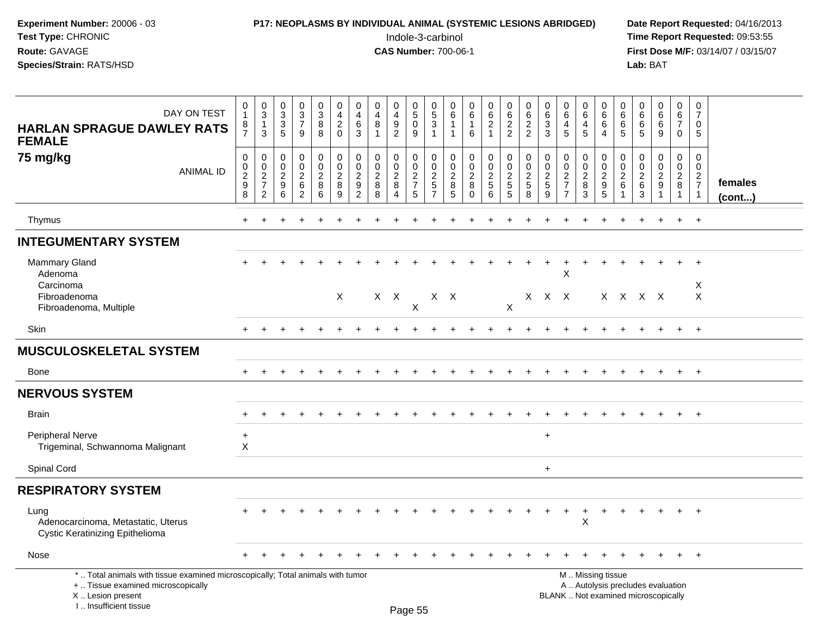| <b>Experiment Number: 20006 - 03</b> | <b>P17: NEOPLASMS BY INDIVIDUAL ANIMAL (SYSTEMIC LESIONS ABRIDGED)</b> | Date Rep         |
|--------------------------------------|------------------------------------------------------------------------|------------------|
| Test Type: CHRONIC                   | Indole-3-carbinol                                                      | Time Rep         |
| <b>Route:</b> GAVAGE                 | <b>CAS Number: 700-06-1</b>                                            | <b>First Dos</b> |
| <b>Species/Strain:</b> RATS/HSD      |                                                                        | Lab: BAT         |
|                                      |                                                                        |                  |

### **P17: NEOPLASMS BY INDIVIDUAL ANIMAL (SYSTEMIC LESIONS ABRIDGED) Date Report Requested:** 04/16/2013

 Indole-3-carbinol **Time Report Requested:** 09:53:55 **First Dose M/F:** 03/14/07 / 03/15/07<br>Lab: BAT

| DAY ON TEST<br><b>HARLAN SPRAGUE DAWLEY RATS</b><br><b>FEMALE</b>                                                                                                  | 0<br>$\mathbf{1}$<br>8<br>$\overline{7}$             | $_{3}^{\rm 0}$<br>$\mathbf{1}$<br>$\mathbf{3}$     | $\pmb{0}$<br>$\overline{3}$<br>$\sqrt{3}$<br>$\overline{5}$ | $\begin{array}{c} 0 \\ 3 \\ 7 \end{array}$<br>9                 | $\mathbf 0$<br>$\sqrt{3}$<br>8<br>8                       | $\mathbf 0$<br>$\overline{4}$<br>$\sqrt{2}$<br>$\mathbf 0$          | 0<br>$\overline{a}$<br>6<br>3                                        | $\pmb{0}$<br>$\overline{4}$<br>8<br>$\overline{1}$   | 0<br>$\overline{\mathbf{4}}$<br>$\boldsymbol{9}$<br>$\overline{c}$ | $\pmb{0}$<br>$\overline{5}$<br>$\mathsf 0$<br>$\boldsymbol{9}$ | 0<br>$\overline{5}$<br>3<br>$\mathbf{1}$   | 0<br>$\,6\,$<br>$\mathbf{1}$<br>$\mathbf{1}$                          | $\begin{array}{c} 0 \\ 6 \end{array}$<br>$\mathbf{1}$<br>6         | 0<br>$\,6\,$<br>$\overline{2}$<br>$\overline{1}$                                 | $\mathbf 0$<br>$\frac{6}{2}$                                     | 0<br>$\,6\,$<br>$\overline{2}$<br>$\overline{2}$  | $\mathbf 0$<br>$\,6\,$<br>$\mathbf{3}$<br>3                 | 0<br>$\,6\,$<br>$\overline{4}$<br>5                                | $\pmb{0}$<br>$\overline{6}$<br>$\overline{4}$<br>$\overline{5}$ | 0<br>$\,6\,$<br>6<br>4              | $\pmb{0}$<br>$\,6\,$<br>6<br>$\sqrt{5}$                                   | $\mathsf 0$<br>$6\phantom{a}$<br>$\,6\,$<br>5                            | $\mathbf 0$<br>$\,6\,$<br>$6\phantom{1}6$<br>9                        | $\mathbf 0$<br>$\,6$<br>$\overline{7}$<br>$\mathbf 0$           | $\mathbf 0$<br>7<br>$\mathbf 0$<br>-5                                         |                   |
|--------------------------------------------------------------------------------------------------------------------------------------------------------------------|------------------------------------------------------|----------------------------------------------------|-------------------------------------------------------------|-----------------------------------------------------------------|-----------------------------------------------------------|---------------------------------------------------------------------|----------------------------------------------------------------------|------------------------------------------------------|--------------------------------------------------------------------|----------------------------------------------------------------|--------------------------------------------|-----------------------------------------------------------------------|--------------------------------------------------------------------|----------------------------------------------------------------------------------|------------------------------------------------------------------|---------------------------------------------------|-------------------------------------------------------------|--------------------------------------------------------------------|-----------------------------------------------------------------|-------------------------------------|---------------------------------------------------------------------------|--------------------------------------------------------------------------|-----------------------------------------------------------------------|-----------------------------------------------------------------|-------------------------------------------------------------------------------|-------------------|
| 75 mg/kg<br><b>ANIMAL ID</b>                                                                                                                                       | $\mathbf 0$<br>$_{2}^{\rm 0}$<br>9<br>$\overline{8}$ | 0<br>$\frac{0}{2}$<br>$\overline{7}$<br>$\sqrt{2}$ | $\pmb{0}$<br>$\mathbf 0$<br>$\overline{2}$<br>9<br>$\,6\,$  | $\pmb{0}$<br>$\pmb{0}$<br>$\overline{2}$<br>6<br>$\overline{2}$ | 0<br>$\mathbf 0$<br>$\overline{2}$<br>8<br>$6\phantom{1}$ | $_{\rm 0}^{\rm 0}$<br>$\overline{2}$<br>$\bf 8$<br>$\boldsymbol{9}$ | 0<br>$\mathbf 0$<br>$\sqrt{2}$<br>$\boldsymbol{9}$<br>$\overline{c}$ | $\pmb{0}$<br>$\mathbf 0$<br>$\overline{2}$<br>8<br>8 | 0<br>$\mathbf 0$<br>$\overline{2}$<br>8<br>4                       | $\pmb{0}$<br>$\frac{0}{2}$<br>5                                | 0<br>$_{2}^{\rm 0}$<br>5<br>$\overline{7}$ | $\pmb{0}$<br>$\mathsf{O}\xspace$<br>$\sqrt{2}$<br>8<br>$\overline{5}$ | $\pmb{0}$<br>$\pmb{0}$<br>$\overline{2}$<br>$\bf 8$<br>$\mathbf 0$ | $\mathbf 0$<br>$\mathsf{O}\xspace$<br>$\overline{2}$<br>$5\,$<br>$6\overline{6}$ | $\begin{smallmatrix} 0\\0\\2 \end{smallmatrix}$<br>$\frac{5}{5}$ | 0<br>$\mathbf 0$<br>$\sqrt{2}$<br>$\sqrt{5}$<br>8 | $\mathbf 0$<br>$\mathbf 0$<br>$\sqrt{2}$<br>$\sqrt{5}$<br>9 | 0<br>$\mathbf 0$<br>$\sqrt{2}$<br>$\overline{7}$<br>$\overline{7}$ | $\pmb{0}$<br>$\frac{0}{2}$<br>8<br>$\overline{3}$               | 0<br>$\frac{0}{2}$<br>$\frac{9}{5}$ | $\pmb{0}$<br>$\mathsf{O}\xspace$<br>$\overline{2}$<br>6<br>$\overline{1}$ | 0<br>$\mathbf 0$<br>$\overline{2}$<br>$\,6\,$<br>$\overline{3}$          | $\mathbf 0$<br>$\mathsf{O}\xspace$<br>$\frac{2}{9}$<br>$\overline{1}$ | $\pmb{0}$<br>$\mathbf 0$<br>$\overline{2}$<br>8<br>$\mathbf{1}$ | $\Omega$<br>$\mathbf 0$<br>$\overline{2}$<br>$\overline{7}$<br>$\overline{1}$ | females<br>(cont) |
| Thymus                                                                                                                                                             |                                                      |                                                    |                                                             |                                                                 |                                                           |                                                                     |                                                                      |                                                      |                                                                    |                                                                |                                            |                                                                       |                                                                    |                                                                                  |                                                                  |                                                   |                                                             |                                                                    |                                                                 |                                     |                                                                           |                                                                          |                                                                       | $\ddot{}$                                                       | $+$                                                                           |                   |
| <b>INTEGUMENTARY SYSTEM</b>                                                                                                                                        |                                                      |                                                    |                                                             |                                                                 |                                                           |                                                                     |                                                                      |                                                      |                                                                    |                                                                |                                            |                                                                       |                                                                    |                                                                                  |                                                                  |                                                   |                                                             |                                                                    |                                                                 |                                     |                                                                           |                                                                          |                                                                       |                                                                 |                                                                               |                   |
| <b>Mammary Gland</b><br>Adenoma                                                                                                                                    |                                                      |                                                    |                                                             |                                                                 |                                                           |                                                                     |                                                                      |                                                      |                                                                    |                                                                |                                            |                                                                       |                                                                    |                                                                                  |                                                                  |                                                   |                                                             | $\overline{ }$<br>X                                                |                                                                 |                                     |                                                                           |                                                                          |                                                                       |                                                                 |                                                                               |                   |
| Carcinoma<br>Fibroadenoma<br>Fibroadenoma, Multiple                                                                                                                |                                                      |                                                    |                                                             |                                                                 |                                                           | X                                                                   |                                                                      |                                                      | $X$ $X$                                                            | X                                                              |                                            | $X$ $X$                                                               |                                                                    |                                                                                  | X                                                                |                                                   | X X X                                                       |                                                                    |                                                                 |                                     |                                                                           | $X$ $X$ $X$ $X$                                                          |                                                                       |                                                                 | Χ<br>$\times$                                                                 |                   |
| Skin                                                                                                                                                               | $+$                                                  | $\pm$                                              |                                                             |                                                                 | $\div$                                                    |                                                                     |                                                                      |                                                      |                                                                    |                                                                |                                            |                                                                       |                                                                    | $\ddot{}$                                                                        | $\ddot{}$                                                        |                                                   |                                                             | $\ddot{}$                                                          | $\ddot{}$                                                       |                                     |                                                                           | $\div$                                                                   | $\ddot{}$                                                             | $+$                                                             | $+$                                                                           |                   |
| <b>MUSCULOSKELETAL SYSTEM</b>                                                                                                                                      |                                                      |                                                    |                                                             |                                                                 |                                                           |                                                                     |                                                                      |                                                      |                                                                    |                                                                |                                            |                                                                       |                                                                    |                                                                                  |                                                                  |                                                   |                                                             |                                                                    |                                                                 |                                     |                                                                           |                                                                          |                                                                       |                                                                 |                                                                               |                   |
| <b>Bone</b>                                                                                                                                                        |                                                      | $\ddot{}$                                          | $\ddot{}$                                                   | $\ddot{}$                                                       | $\ddot{}$                                                 | $\div$                                                              |                                                                      |                                                      |                                                                    |                                                                |                                            | $\ddot{}$                                                             | $\ddot{}$                                                          | $\ddot{}$                                                                        | $\ddot{}$                                                        | +                                                 | $\div$                                                      | $\ddot{}$                                                          |                                                                 | $\ddot{}$                           | $\ddot{}$                                                                 | $\ddot{}$                                                                | $\ddot{}$                                                             | $\ddot{}$                                                       | $+$                                                                           |                   |
| <b>NERVOUS SYSTEM</b>                                                                                                                                              |                                                      |                                                    |                                                             |                                                                 |                                                           |                                                                     |                                                                      |                                                      |                                                                    |                                                                |                                            |                                                                       |                                                                    |                                                                                  |                                                                  |                                                   |                                                             |                                                                    |                                                                 |                                     |                                                                           |                                                                          |                                                                       |                                                                 |                                                                               |                   |
| <b>Brain</b>                                                                                                                                                       |                                                      |                                                    |                                                             |                                                                 |                                                           |                                                                     |                                                                      |                                                      |                                                                    |                                                                |                                            |                                                                       |                                                                    |                                                                                  |                                                                  |                                                   |                                                             |                                                                    |                                                                 |                                     |                                                                           |                                                                          |                                                                       |                                                                 | $+$                                                                           |                   |
| Peripheral Nerve<br>Trigeminal, Schwannoma Malignant                                                                                                               | $\ddot{}$<br>$\times$                                |                                                    |                                                             |                                                                 |                                                           |                                                                     |                                                                      |                                                      |                                                                    |                                                                |                                            |                                                                       |                                                                    |                                                                                  |                                                                  |                                                   | $+$                                                         |                                                                    |                                                                 |                                     |                                                                           |                                                                          |                                                                       |                                                                 |                                                                               |                   |
| Spinal Cord                                                                                                                                                        |                                                      |                                                    |                                                             |                                                                 |                                                           |                                                                     |                                                                      |                                                      |                                                                    |                                                                |                                            |                                                                       |                                                                    |                                                                                  |                                                                  |                                                   | $\ddot{}$                                                   |                                                                    |                                                                 |                                     |                                                                           |                                                                          |                                                                       |                                                                 |                                                                               |                   |
| <b>RESPIRATORY SYSTEM</b>                                                                                                                                          |                                                      |                                                    |                                                             |                                                                 |                                                           |                                                                     |                                                                      |                                                      |                                                                    |                                                                |                                            |                                                                       |                                                                    |                                                                                  |                                                                  |                                                   |                                                             |                                                                    |                                                                 |                                     |                                                                           |                                                                          |                                                                       |                                                                 |                                                                               |                   |
| Lung<br>Adenocarcinoma, Metastatic, Uterus<br><b>Cystic Keratinizing Epithelioma</b>                                                                               |                                                      |                                                    |                                                             |                                                                 |                                                           |                                                                     |                                                                      |                                                      |                                                                    |                                                                |                                            |                                                                       |                                                                    |                                                                                  |                                                                  |                                                   |                                                             | $\ddot{}$                                                          | $\times$                                                        |                                     |                                                                           |                                                                          |                                                                       |                                                                 | $\overline{+}$                                                                |                   |
| Nose                                                                                                                                                               |                                                      |                                                    |                                                             |                                                                 |                                                           |                                                                     |                                                                      |                                                      |                                                                    |                                                                |                                            |                                                                       |                                                                    |                                                                                  |                                                                  |                                                   |                                                             |                                                                    |                                                                 |                                     |                                                                           |                                                                          |                                                                       |                                                                 | $\overline{+}$                                                                |                   |
| *  Total animals with tissue examined microscopically; Total animals with tumor<br>+  Tissue examined microscopically<br>X Lesion present<br>I Insufficient tissue |                                                      |                                                    |                                                             |                                                                 |                                                           |                                                                     |                                                                      |                                                      |                                                                    | Page 55                                                        |                                            |                                                                       |                                                                    |                                                                                  |                                                                  |                                                   |                                                             |                                                                    |                                                                 | M  Missing tissue                   |                                                                           | A  Autolysis precludes evaluation<br>BLANK  Not examined microscopically |                                                                       |                                                                 |                                                                               |                   |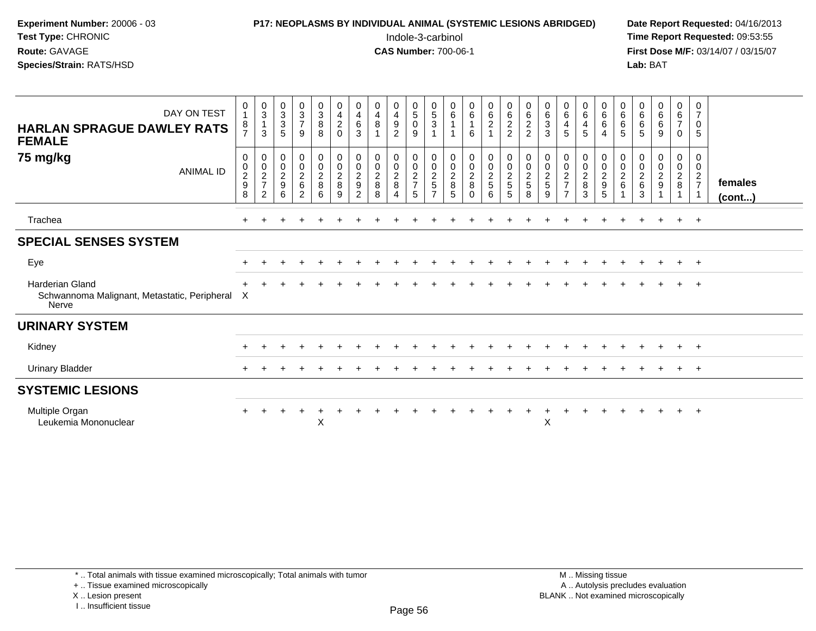| <b>Experiment Number: 20006 - 03</b><br>Test Type: CHRONIC<br>Route: GAVAGE<br>Species/Strain: RATS/HSD |                                              |                                                               | <b>P17: NEOPLASMS BY INDIVIDUAL ANIMAL (SYSTEMIC LESIONS ABRIDGED)</b> |                                                           |                                                              |                                                     |                                                        |                                    |                                                                                   |                                                         | Indole-3-carbinol<br><b>CAS Number: 700-06-1</b>             |                                                           |                                                             |                                                           |                                                             |                                                     |                                                     |                                                              |                                              |                                    |                                                              | Lab: BAT                                               |                                                      |                                                                        |                                             | Date Report Requested: 04/16/2013<br>Time Report Requested: 09:53:55<br>First Dose M/F: 03/14/07 / 03/15/07 |
|---------------------------------------------------------------------------------------------------------|----------------------------------------------|---------------------------------------------------------------|------------------------------------------------------------------------|-----------------------------------------------------------|--------------------------------------------------------------|-----------------------------------------------------|--------------------------------------------------------|------------------------------------|-----------------------------------------------------------------------------------|---------------------------------------------------------|--------------------------------------------------------------|-----------------------------------------------------------|-------------------------------------------------------------|-----------------------------------------------------------|-------------------------------------------------------------|-----------------------------------------------------|-----------------------------------------------------|--------------------------------------------------------------|----------------------------------------------|------------------------------------|--------------------------------------------------------------|--------------------------------------------------------|------------------------------------------------------|------------------------------------------------------------------------|---------------------------------------------|-------------------------------------------------------------------------------------------------------------|
| DAY ON TEST<br><b>HARLAN SPRAGUE DAWLEY RATS</b><br><b>FEMALE</b>                                       | 0<br>8<br>$\overline{7}$                     | $\begin{array}{c} 0 \\ 3 \\ 1 \end{array}$<br>$\mathbf{3}$    | 0<br>3<br>3<br>5                                                       | $\begin{array}{c} 0 \\ 3 \\ 7 \end{array}$<br>9           | $\begin{smallmatrix}0\3\8\end{smallmatrix}$<br>8             | 0<br>$\overline{4}$<br>$\boldsymbol{2}$<br>$\Omega$ | 0<br>$\overline{4}$<br>$\,6\,$<br>3                    | 0<br>$\overline{4}$<br>8           | $\begin{smallmatrix}0\0\4\end{smallmatrix}$<br>$\boldsymbol{9}$<br>$\overline{2}$ | $\begin{matrix} 0 \\ 5 \\ 0 \end{matrix}$<br>9          | $\begin{array}{c} 0 \\ 5 \\ 3 \end{array}$<br>$\overline{1}$ | $\begin{matrix} 0 \\ 6 \\ 1 \end{matrix}$<br>$\mathbf{1}$ | $\begin{matrix} 0 \\ 6 \end{matrix}$<br>$\overline{1}$<br>6 | $\begin{matrix} 0 \\ 6 \\ 2 \end{matrix}$<br>$\mathbf{1}$ | $\begin{matrix} 0 \\ 6 \\ 2 \end{matrix}$<br>$\overline{2}$ | 0<br>$\frac{6}{2}$<br>$\overline{2}$                | 063                                                 | 0<br>$\overline{6}$<br>$\overline{4}$<br>5                   | 0<br>$\overline{6}$<br>$\overline{4}$<br>5   | 0<br>$\,6\,$<br>$\,6\,$<br>4       | $\begin{array}{c} 0 \\ 6 \end{array}$<br>$6\phantom{a}$<br>5 | $\begin{matrix}0\6\6\end{matrix}$<br>5                 | $\begin{matrix}0\0\0\0\end{matrix}$<br>9             | $\begin{array}{c} 0 \\ 6 \end{array}$<br>$\overline{7}$<br>$\mathbf 0$ | $\mathbf{0}$<br>7<br>$\mathbf 0$<br>5       |                                                                                                             |
| 75 mg/kg<br><b>ANIMAL ID</b>                                                                            | 0<br>$\mathbf 0$<br>$\overline{2}$<br>9<br>8 | $\boldsymbol{0}$<br>$^{\rm 0}_{\rm 2}$<br>$\overline{7}$<br>2 | 0<br>$\frac{0}{2}$<br>9<br>6                                           | 0<br>$\mathbf 0$<br>$\overline{a}$<br>6<br>$\overline{2}$ | $\mathbf 0$<br>$\mathbf 0$<br>$\overline{2}$<br>$\,8\,$<br>6 | 0<br>$\mathbf 0$<br>$\overline{2}$<br>8<br>9        | $\mathbf 0$<br>$\mathbf 0$<br>$\overline{2}$<br>9<br>2 | 0<br>0<br>$\overline{2}$<br>8<br>8 | 0<br>$\mathbf 0$<br>$\overline{2}$<br>$\bf8$<br>$\overline{4}$                    | 0<br>$\pmb{0}$<br>$\overline{c}$<br>$\overline{7}$<br>5 | 0<br>$^{\rm 0}_{\rm 2}$<br>5                                 | 0<br>0<br>$\overline{2}$<br>8<br>5                        | 0<br>$\mathbf 0$<br>$\overline{2}$<br>8<br>$\Omega$         | 0<br>$\frac{0}{2}$<br>6                                   | 0<br>$\mathsf{O}\xspace$<br>$\overline{2}$<br>5<br>5        | $\Omega$<br>$\mathbf 0$<br>$\overline{c}$<br>5<br>8 | 0<br>$\pmb{0}$<br>$\overline{2}$<br>$\sqrt{5}$<br>9 | 0<br>0<br>$\overline{2}$<br>$\overline{7}$<br>$\overline{7}$ | 0<br>$\mathbf 0$<br>$\overline{2}$<br>8<br>3 | 0<br>0<br>$\overline{2}$<br>9<br>5 | 0<br>0<br>$\overline{c}$<br>6                                | $\mathbf 0$<br>$\mathbf 0$<br>$\sqrt{2}$<br>$\,6$<br>3 | $\mathbf 0$<br>$\overline{0}$<br>$\overline{c}$<br>9 | $\mathbf 0$<br>$\mathbf 0$<br>$\overline{2}$<br>8<br>$\mathbf{1}$      | $\Omega$<br>$\overline{0}$<br>$\frac{2}{7}$ | females<br>(cont)                                                                                           |
| Trachea                                                                                                 |                                              |                                                               |                                                                        |                                                           |                                                              |                                                     |                                                        |                                    |                                                                                   |                                                         |                                                              |                                                           |                                                             |                                                           |                                                             |                                                     |                                                     |                                                              |                                              |                                    |                                                              |                                                        |                                                      |                                                                        | $+$                                         |                                                                                                             |
| <b>SPECIAL SENSES SYSTEM</b>                                                                            |                                              |                                                               |                                                                        |                                                           |                                                              |                                                     |                                                        |                                    |                                                                                   |                                                         |                                                              |                                                           |                                                             |                                                           |                                                             |                                                     |                                                     |                                                              |                                              |                                    |                                                              |                                                        |                                                      |                                                                        |                                             |                                                                                                             |
| Eye                                                                                                     |                                              |                                                               |                                                                        |                                                           |                                                              |                                                     |                                                        |                                    |                                                                                   |                                                         |                                                              |                                                           |                                                             |                                                           |                                                             |                                                     |                                                     |                                                              |                                              |                                    |                                                              |                                                        |                                                      |                                                                        | $+$                                         |                                                                                                             |
| <b>Harderian Gland</b><br>Schwannoma Malignant, Metastatic, Peripheral X<br>Nerve                       |                                              |                                                               |                                                                        |                                                           |                                                              |                                                     |                                                        |                                    |                                                                                   |                                                         |                                                              |                                                           |                                                             |                                                           |                                                             |                                                     |                                                     |                                                              |                                              |                                    |                                                              |                                                        |                                                      |                                                                        |                                             |                                                                                                             |
| <b>URINARY SYSTEM</b>                                                                                   |                                              |                                                               |                                                                        |                                                           |                                                              |                                                     |                                                        |                                    |                                                                                   |                                                         |                                                              |                                                           |                                                             |                                                           |                                                             |                                                     |                                                     |                                                              |                                              |                                    |                                                              |                                                        |                                                      |                                                                        |                                             |                                                                                                             |
| Kidney                                                                                                  |                                              |                                                               |                                                                        |                                                           |                                                              |                                                     |                                                        |                                    |                                                                                   |                                                         |                                                              |                                                           |                                                             |                                                           |                                                             |                                                     |                                                     |                                                              |                                              |                                    |                                                              |                                                        |                                                      |                                                                        | $+$                                         |                                                                                                             |
| <b>Urinary Bladder</b>                                                                                  | ÷                                            |                                                               |                                                                        |                                                           |                                                              |                                                     |                                                        |                                    |                                                                                   |                                                         |                                                              |                                                           |                                                             |                                                           |                                                             |                                                     |                                                     |                                                              |                                              |                                    |                                                              |                                                        |                                                      |                                                                        | $+$                                         |                                                                                                             |
| <b>SYSTEMIC LESIONS</b>                                                                                 |                                              |                                                               |                                                                        |                                                           |                                                              |                                                     |                                                        |                                    |                                                                                   |                                                         |                                                              |                                                           |                                                             |                                                           |                                                             |                                                     |                                                     |                                                              |                                              |                                    |                                                              |                                                        |                                                      |                                                                        |                                             |                                                                                                             |
| Multiple Organ<br>Leukemia Mononuclear                                                                  |                                              |                                                               | $\ddot{}$                                                              | $+$                                                       | $\cdot$<br>X                                                 |                                                     |                                                        |                                    |                                                                                   |                                                         |                                                              |                                                           |                                                             |                                                           |                                                             | $^+$                                                | $\div$<br>X                                         | $\ddot{}$                                                    |                                              |                                    |                                                              |                                                        |                                                      |                                                                        | $\overline{ }$                              |                                                                                                             |

X ..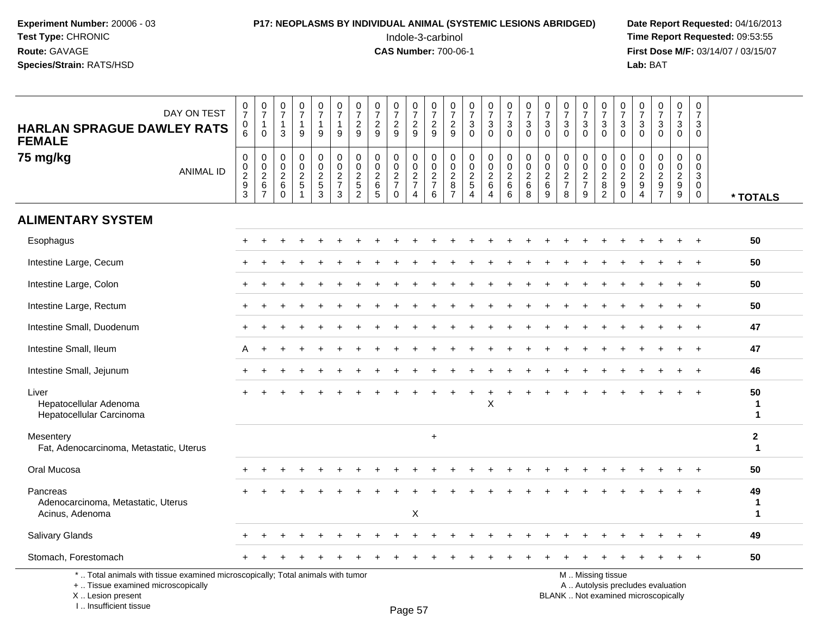## **P17: NEOPLASMS BY INDIVIDUAL ANIMAL (SYSTEMIC LESIONS ABRIDGED)** Date Report Requested: 04/16/2013<br>Indole-3-carbinol **Time Report Requested:** 09:53:55

 Indole-3-carbinol **Time Report Requested:** 09:53:55 **First Dose M/F:** 03/14/07 / 03/15/07<br>**Lab:** BAT **Lab:** BAT

| DAY ON TEST<br><b>HARLAN SPRAGUE DAWLEY RATS</b><br><b>FEMALE</b>                                                     | $\frac{0}{7}$<br>$\mathbf 0$<br>$\overline{6}$ | $\frac{0}{7}$<br>$\mathbf{1}$<br>$\mathbf 0$ | $\pmb{0}$<br>$\overline{7}$<br>$\overline{1}$<br>3                  | $\begin{array}{c} 0 \\ 7 \end{array}$<br>1<br>9                               | $\frac{0}{7}$<br>1<br>9                 | $\begin{smallmatrix}0\\7\end{smallmatrix}$<br>$\mathbf{1}$<br>9 | $\frac{0}{7}$<br>$\overline{2}$<br>9              | 0729                                               | $\begin{array}{c} 0 \\ 7 \\ 2 \end{array}$<br>9         | $\frac{0}{7}$<br>$\frac{2}{9}$                    | $\frac{0}{7}$<br>$\frac{2}{9}$ | $\begin{smallmatrix}0\\7\end{smallmatrix}$<br>$\overline{c}$<br>$\overline{9}$ | $\frac{0}{7}$<br>$\sqrt{3}$<br>$\mathbf 0$        | $\begin{smallmatrix}0\\7\end{smallmatrix}$<br>$\ensuremath{\mathsf{3}}$<br>$\overline{0}$ | $\frac{0}{7}$<br>$\sqrt{3}$<br>$\mathbf 0$       | $\begin{array}{c} 0 \\ 7 \\ 3 \end{array}$<br>$\mathbf 0$ | 0<br>$\overline{7}$<br>$\ensuremath{\mathsf{3}}$<br>$\mathbf 0$ | $\frac{0}{7}$<br>$\mathbf{3}$<br>$\Omega$                           | $\frac{0}{7}$<br>$\sqrt{3}$<br>$\overline{0}$ | $\begin{smallmatrix}0\\7\end{smallmatrix}$<br>$\ensuremath{\mathsf{3}}$<br>$\overline{0}$ | $\frac{0}{7}$<br>$\frac{3}{0}$                                  | $\mathbf 0$<br>$\overline{7}$<br>3<br>$\mathbf 0$                                  | $\frac{0}{7}$<br>$\mathbf{3}$<br>$\Omega$                     | $\frac{0}{7}$<br>3<br>$\mathbf 0$                                   | $\begin{array}{c} 0 \\ 7 \end{array}$<br>3<br>$\mathbf 0$ |                            |
|-----------------------------------------------------------------------------------------------------------------------|------------------------------------------------|----------------------------------------------|---------------------------------------------------------------------|-------------------------------------------------------------------------------|-----------------------------------------|-----------------------------------------------------------------|---------------------------------------------------|----------------------------------------------------|---------------------------------------------------------|---------------------------------------------------|--------------------------------|--------------------------------------------------------------------------------|---------------------------------------------------|-------------------------------------------------------------------------------------------|--------------------------------------------------|-----------------------------------------------------------|-----------------------------------------------------------------|---------------------------------------------------------------------|-----------------------------------------------|-------------------------------------------------------------------------------------------|-----------------------------------------------------------------|------------------------------------------------------------------------------------|---------------------------------------------------------------|---------------------------------------------------------------------|-----------------------------------------------------------|----------------------------|
| 75 mg/kg<br><b>ANIMAL ID</b>                                                                                          | 0<br>$\mathbf 0$<br>$\frac{2}{9}$              | 0<br>$\frac{0}{2}$ 6<br>$\overline{7}$       | $\mathbf 0$<br>$\mathbf 0$<br>$\overline{2}$<br>$\,6\,$<br>$\Omega$ | $\mathbf 0$<br>$\mathbf 0$<br>$\overline{2}$<br>$\mathbf 5$<br>$\overline{1}$ | 0<br>$\mathsf{O}\xspace$<br>$rac{2}{3}$ | 0<br>$\mathbf 0$<br>$\frac{2}{7}$<br>$\mathbf{3}$               | 0<br>$\pmb{0}$<br>$\frac{2}{5}$<br>$\overline{c}$ | 0<br>$\pmb{0}$<br>$^{\,2}_{\,6}$<br>$\overline{5}$ | $\mathbf 0$<br>$\mathbf 0$<br>$\frac{2}{7}$<br>$\Omega$ | 0<br>$\pmb{0}$<br>$\frac{2}{7}$<br>$\overline{4}$ | 0<br>$\frac{0}{2}$<br>6        | 0<br>$\mathsf 0$<br>$\overline{c}$<br>8<br>$\overline{7}$                      | 0<br>$\pmb{0}$<br>$\frac{2}{5}$<br>$\overline{4}$ | 0<br>$\frac{0}{2}$ 6<br>$\overline{A}$                                                    | 0<br>$\pmb{0}$<br>$\overline{2}$<br>$\,6\,$<br>6 | $\mathbf 0$<br>$\frac{0}{2}$<br>$\,6\,$<br>$\, 8$         | 0<br>$\mathbf 0$<br>$\overline{2}$<br>$\,6$<br>9                | $\mathbf 0$<br>$\pmb{0}$<br>$\sqrt{2}$<br>$\overline{7}$<br>$\,8\,$ | 0<br>$\pmb{0}$<br>$\frac{2}{7}$<br>9          | 0<br>$\mathbf 0$<br>$\sqrt{2}$<br>$\bf 8$<br>$\overline{2}$                               | $\mathbf 0$<br>$\mathbf 0$<br>$\frac{2}{9}$<br>$\boldsymbol{0}$ | $\mathbf 0$<br>$\mathbf 0$<br>$\overline{2}$<br>$\boldsymbol{9}$<br>$\overline{4}$ | $\mathbf 0$<br>$\mathbf 0$<br>$\overline{2}$<br>$\frac{1}{7}$ | $\mathbf 0$<br>$\mathbf 0$<br>$\overline{a}$<br>$\overline{9}$<br>9 | 0<br>$\mathbf 0$<br>3<br>$\overline{0}$<br>$\mathbf 0$    | * TOTALS                   |
| <b>ALIMENTARY SYSTEM</b>                                                                                              |                                                |                                              |                                                                     |                                                                               |                                         |                                                                 |                                                   |                                                    |                                                         |                                                   |                                |                                                                                |                                                   |                                                                                           |                                                  |                                                           |                                                                 |                                                                     |                                               |                                                                                           |                                                                 |                                                                                    |                                                               |                                                                     |                                                           |                            |
| Esophagus                                                                                                             |                                                |                                              |                                                                     |                                                                               |                                         |                                                                 |                                                   |                                                    |                                                         |                                                   |                                |                                                                                |                                                   |                                                                                           |                                                  |                                                           |                                                                 |                                                                     |                                               |                                                                                           |                                                                 |                                                                                    |                                                               |                                                                     |                                                           | 50                         |
| Intestine Large, Cecum                                                                                                |                                                |                                              |                                                                     |                                                                               |                                         |                                                                 |                                                   |                                                    |                                                         |                                                   |                                |                                                                                |                                                   |                                                                                           |                                                  |                                                           |                                                                 |                                                                     |                                               |                                                                                           |                                                                 |                                                                                    |                                                               |                                                                     |                                                           | 50                         |
| Intestine Large, Colon                                                                                                |                                                |                                              |                                                                     |                                                                               |                                         |                                                                 |                                                   |                                                    |                                                         |                                                   |                                |                                                                                |                                                   |                                                                                           |                                                  |                                                           |                                                                 |                                                                     |                                               |                                                                                           |                                                                 |                                                                                    |                                                               |                                                                     | $\ddot{}$                                                 | 50                         |
| Intestine Large, Rectum                                                                                               |                                                |                                              |                                                                     |                                                                               |                                         |                                                                 |                                                   |                                                    |                                                         |                                                   |                                |                                                                                |                                                   |                                                                                           |                                                  |                                                           |                                                                 |                                                                     |                                               |                                                                                           |                                                                 |                                                                                    |                                                               |                                                                     |                                                           | 50                         |
| Intestine Small, Duodenum                                                                                             |                                                |                                              |                                                                     |                                                                               |                                         |                                                                 |                                                   |                                                    |                                                         |                                                   |                                |                                                                                |                                                   |                                                                                           |                                                  |                                                           |                                                                 |                                                                     |                                               |                                                                                           |                                                                 |                                                                                    |                                                               |                                                                     |                                                           | 47                         |
| Intestine Small, Ileum                                                                                                | A                                              |                                              |                                                                     |                                                                               |                                         |                                                                 |                                                   |                                                    |                                                         |                                                   |                                |                                                                                |                                                   |                                                                                           |                                                  |                                                           |                                                                 |                                                                     |                                               |                                                                                           |                                                                 |                                                                                    |                                                               |                                                                     |                                                           | 47                         |
| Intestine Small, Jejunum                                                                                              |                                                |                                              |                                                                     |                                                                               |                                         |                                                                 |                                                   |                                                    |                                                         |                                                   |                                |                                                                                |                                                   |                                                                                           |                                                  |                                                           |                                                                 |                                                                     |                                               |                                                                                           |                                                                 |                                                                                    |                                                               |                                                                     |                                                           | 46                         |
| Liver<br>Hepatocellular Adenoma<br>Hepatocellular Carcinoma                                                           |                                                |                                              |                                                                     |                                                                               |                                         |                                                                 |                                                   |                                                    |                                                         |                                                   |                                |                                                                                |                                                   | X                                                                                         |                                                  |                                                           |                                                                 |                                                                     |                                               |                                                                                           |                                                                 |                                                                                    |                                                               |                                                                     |                                                           | 50<br>-1<br>$\mathbf 1$    |
| Mesentery<br>Fat, Adenocarcinoma, Metastatic, Uterus                                                                  |                                                |                                              |                                                                     |                                                                               |                                         |                                                                 |                                                   |                                                    |                                                         |                                                   | $\ddot{}$                      |                                                                                |                                                   |                                                                                           |                                                  |                                                           |                                                                 |                                                                     |                                               |                                                                                           |                                                                 |                                                                                    |                                                               |                                                                     |                                                           | $\mathbf 2$<br>$\mathbf 1$ |
| Oral Mucosa                                                                                                           |                                                |                                              |                                                                     |                                                                               |                                         |                                                                 |                                                   |                                                    |                                                         |                                                   |                                |                                                                                |                                                   |                                                                                           |                                                  |                                                           |                                                                 |                                                                     |                                               |                                                                                           |                                                                 |                                                                                    |                                                               |                                                                     | $\ddot{}$                                                 | 50                         |
| Pancreas<br>Adenocarcinoma, Metastatic, Uterus<br>Acinus, Adenoma                                                     |                                                |                                              |                                                                     |                                                                               |                                         |                                                                 |                                                   |                                                    |                                                         | X                                                 |                                |                                                                                |                                                   |                                                                                           |                                                  |                                                           |                                                                 |                                                                     |                                               |                                                                                           |                                                                 |                                                                                    |                                                               |                                                                     |                                                           | 49<br>-1<br>$\mathbf{1}$   |
| Salivary Glands                                                                                                       |                                                |                                              |                                                                     |                                                                               |                                         |                                                                 |                                                   |                                                    |                                                         |                                                   |                                |                                                                                |                                                   |                                                                                           |                                                  |                                                           |                                                                 |                                                                     |                                               |                                                                                           |                                                                 |                                                                                    |                                                               |                                                                     | $\overline{+}$                                            | 49                         |
| Stomach, Forestomach                                                                                                  |                                                |                                              |                                                                     |                                                                               |                                         |                                                                 |                                                   |                                                    |                                                         |                                                   |                                |                                                                                |                                                   |                                                                                           |                                                  |                                                           |                                                                 |                                                                     |                                               |                                                                                           |                                                                 |                                                                                    |                                                               |                                                                     | $\ddot{}$                                                 | 50                         |
| *  Total animals with tissue examined microscopically; Total animals with tumor<br>+  Tissue examined microscopically |                                                |                                              |                                                                     |                                                                               |                                         |                                                                 |                                                   |                                                    |                                                         |                                                   |                                |                                                                                |                                                   |                                                                                           |                                                  |                                                           |                                                                 |                                                                     |                                               | M  Missing tissue                                                                         |                                                                 |                                                                                    | A  Autolysis precludes evaluation                             |                                                                     |                                                           |                            |

 Lesion present BLANK .. Not examined microscopicallyX .. Lesion present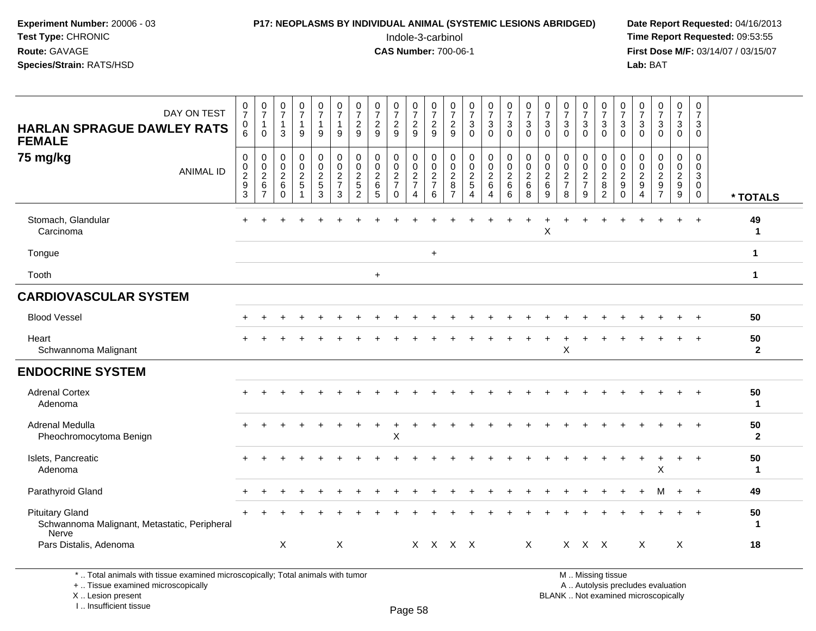#### **P17: NEOPLASMS BY INDIVIDUAL ANIMAL (SYSTEMIC LESIONS ABRIDGED)** Date Report Requested: 04/16/2013<br>Indole-3-carbinol **Time Report Requested:** 09:53:55

 Indole-3-carbinol **Time Report Requested:** 09:53:55 **First Dose M/F:** 03/14/07 / 03/15/07<br>Lab: BAT **Lab:** BAT

| DAY ON TEST<br><b>HARLAN SPRAGUE DAWLEY RATS</b><br><b>FEMALE</b><br>75 mg/kg<br><b>ANIMAL ID</b> | $\frac{0}{7}$<br>0<br>6<br>$\pmb{0}$<br>$\pmb{0}$<br>$\boldsymbol{2}$<br>$\boldsymbol{9}$<br>3 | $\frac{0}{7}$<br>$\mathbf{1}$<br>$\Omega$<br>$\pmb{0}$<br>$_{2}^{\rm 0}$<br>$\,6$<br>$\overline{7}$ | $\begin{smallmatrix}0\\7\end{smallmatrix}$<br>$\overline{1}$<br>3<br>$\pmb{0}$<br>$\mathbf 0$<br>$\sqrt{2}$<br>6<br>$\mathbf 0$ | $\begin{smallmatrix}0\\7\end{smallmatrix}$<br>$\mathbf{1}$<br>9<br>$\pmb{0}$<br>$\pmb{0}$<br>$\sqrt{2}$<br>$\,$ 5 $\,$<br>$\overline{1}$ | $\frac{0}{7}$<br>$\overline{1}$<br>9<br>$\mathbf 0$<br>$\mathbf 0$<br>$\sqrt{2}$<br>$\sqrt{5}$<br>$\mathbf{3}$ | $\frac{0}{7}$<br>$\mathbf{1}$<br>9<br>$\pmb{0}$<br>$\boldsymbol{0}$<br>$\overline{c}$<br>$\overline{7}$<br>$\mathbf{3}$ | $\begin{array}{c} 0 \\ 7 \end{array}$<br>$\overline{\mathbf{c}}$<br>9<br>$\pmb{0}$<br>$\boldsymbol{0}$<br>$\boldsymbol{2}$<br>5<br>$\overline{2}$ | $\frac{0}{7}$<br>$\overline{c}$<br>9<br>$\mathbf 0$<br>$\mathbf 0$<br>$\overline{c}$<br>$\,6$<br>5 | $\frac{0}{7}$<br>$\sqrt{2}$<br>9<br>$\mathbf 0$<br>$\pmb{0}$<br>$\sqrt{2}$<br>$\overline{7}$<br>$\Omega$ | $\boldsymbol{0}$<br>$\boldsymbol{7}$<br>$\frac{2}{9}$<br>$\mathbf 0$<br>$\pmb{0}$<br>$\sqrt{2}$<br>$\overline{7}$<br>$\overline{4}$ | $\frac{0}{7}$<br>$\overline{2}$<br>9<br>$\pmb{0}$<br>$\pmb{0}$<br>$\sqrt{2}$<br>$\overline{7}$<br>6 | $\frac{0}{7}$<br>$\boldsymbol{2}$<br>9<br>$\mathbf 0$<br>0<br>$\sqrt{2}$<br>8<br>$\overline{7}$ | $\frac{0}{7}$<br>$\ensuremath{\mathsf{3}}$<br>$\Omega$<br>$\mathbf 0$<br>$\pmb{0}$<br>$\overline{2}$<br>$\,$ 5 $\,$<br>$\overline{4}$ | $\frac{0}{7}$<br>3<br>$\Omega$<br>$\mathsf{O}$<br>$\mathbf 0$<br>$\overline{2}$<br>$6\phantom{1}6$<br>$\overline{4}$ | $\frac{0}{7}$<br>3<br>$\Omega$<br>0<br>$\mathsf{O}\xspace$<br>$\overline{2}$<br>6<br>6 | $\frac{0}{7}$<br>$\sqrt{3}$<br>$\Omega$<br>$\begin{smallmatrix} 0\\0\\2 \end{smallmatrix}$<br>$\,6\,$<br>8 | $\frac{0}{7}$<br>$\mathbf{3}$<br>$\Omega$<br>$\pmb{0}$<br>$\pmb{0}$<br>$\overline{2}$<br>$\,6\,$<br>9 | $\frac{0}{7}$<br>$\mathbf{3}$<br>$\Omega$<br>$\pmb{0}$<br>$\pmb{0}$<br>$\sqrt{2}$<br>$\overline{7}$<br>8 | $\frac{0}{7}$<br>3<br>$\Omega$<br>$\mathbf 0$<br>$\mathbf 0$<br>$\overline{c}$<br>$\overline{7}$<br>9 | $\frac{0}{7}$<br>$\mathbf{3}$<br>$\mathbf{0}$<br>$\pmb{0}$<br>$\frac{0}{2}$<br>8<br>2 | $\begin{array}{c} 0 \\ 7 \end{array}$<br>$\ensuremath{\mathsf{3}}$<br>$\Omega$<br>$\pmb{0}$<br>$\pmb{0}$<br>$\sqrt{2}$<br>$\boldsymbol{9}$<br>$\mathbf 0$ | $\frac{0}{7}$<br>$\mathbf{3}$<br>$\Omega$<br>$\mathbf 0$<br>0<br>$\overline{2}$<br>$\boldsymbol{9}$<br>$\overline{4}$ | $\frac{0}{7}$<br>$\mathbf{3}$<br>$\Omega$<br>$\mathbf 0$<br>$\mathbf 0$<br>$\overline{2}$<br>$9\,$<br>$\overline{7}$ | $\frac{0}{7}$<br>3<br>$\Omega$<br>$\Omega$<br>$\boldsymbol{0}$<br>$\overline{c}$<br>$\boldsymbol{9}$<br>9 | 0<br>$\overline{7}$<br>3<br>$\Omega$<br>$\Omega$<br>0<br>$\ensuremath{\mathsf{3}}$<br>$\mathbf 0$<br>$\mathbf 0$ | * TOTALS             |
|---------------------------------------------------------------------------------------------------|------------------------------------------------------------------------------------------------|-----------------------------------------------------------------------------------------------------|---------------------------------------------------------------------------------------------------------------------------------|------------------------------------------------------------------------------------------------------------------------------------------|----------------------------------------------------------------------------------------------------------------|-------------------------------------------------------------------------------------------------------------------------|---------------------------------------------------------------------------------------------------------------------------------------------------|----------------------------------------------------------------------------------------------------|----------------------------------------------------------------------------------------------------------|-------------------------------------------------------------------------------------------------------------------------------------|-----------------------------------------------------------------------------------------------------|-------------------------------------------------------------------------------------------------|---------------------------------------------------------------------------------------------------------------------------------------|----------------------------------------------------------------------------------------------------------------------|----------------------------------------------------------------------------------------|------------------------------------------------------------------------------------------------------------|-------------------------------------------------------------------------------------------------------|----------------------------------------------------------------------------------------------------------|-------------------------------------------------------------------------------------------------------|---------------------------------------------------------------------------------------|-----------------------------------------------------------------------------------------------------------------------------------------------------------|-----------------------------------------------------------------------------------------------------------------------|----------------------------------------------------------------------------------------------------------------------|-----------------------------------------------------------------------------------------------------------|------------------------------------------------------------------------------------------------------------------|----------------------|
| Stomach, Glandular<br>Carcinoma                                                                   |                                                                                                |                                                                                                     |                                                                                                                                 |                                                                                                                                          |                                                                                                                |                                                                                                                         |                                                                                                                                                   |                                                                                                    |                                                                                                          |                                                                                                                                     |                                                                                                     |                                                                                                 |                                                                                                                                       |                                                                                                                      |                                                                                        |                                                                                                            | $\sf X$                                                                                               |                                                                                                          |                                                                                                       |                                                                                       |                                                                                                                                                           |                                                                                                                       |                                                                                                                      |                                                                                                           |                                                                                                                  | 49<br>$\mathbf{1}$   |
| Tongue                                                                                            |                                                                                                |                                                                                                     |                                                                                                                                 |                                                                                                                                          |                                                                                                                |                                                                                                                         |                                                                                                                                                   |                                                                                                    |                                                                                                          |                                                                                                                                     | $\ddot{}$                                                                                           |                                                                                                 |                                                                                                                                       |                                                                                                                      |                                                                                        |                                                                                                            |                                                                                                       |                                                                                                          |                                                                                                       |                                                                                       |                                                                                                                                                           |                                                                                                                       |                                                                                                                      |                                                                                                           |                                                                                                                  | $\mathbf{1}$         |
| Tooth                                                                                             |                                                                                                |                                                                                                     |                                                                                                                                 |                                                                                                                                          |                                                                                                                |                                                                                                                         |                                                                                                                                                   | $+$                                                                                                |                                                                                                          |                                                                                                                                     |                                                                                                     |                                                                                                 |                                                                                                                                       |                                                                                                                      |                                                                                        |                                                                                                            |                                                                                                       |                                                                                                          |                                                                                                       |                                                                                       |                                                                                                                                                           |                                                                                                                       |                                                                                                                      |                                                                                                           |                                                                                                                  | $\mathbf{1}$         |
| <b>CARDIOVASCULAR SYSTEM</b>                                                                      |                                                                                                |                                                                                                     |                                                                                                                                 |                                                                                                                                          |                                                                                                                |                                                                                                                         |                                                                                                                                                   |                                                                                                    |                                                                                                          |                                                                                                                                     |                                                                                                     |                                                                                                 |                                                                                                                                       |                                                                                                                      |                                                                                        |                                                                                                            |                                                                                                       |                                                                                                          |                                                                                                       |                                                                                       |                                                                                                                                                           |                                                                                                                       |                                                                                                                      |                                                                                                           |                                                                                                                  |                      |
| <b>Blood Vessel</b>                                                                               |                                                                                                |                                                                                                     |                                                                                                                                 |                                                                                                                                          |                                                                                                                |                                                                                                                         |                                                                                                                                                   |                                                                                                    |                                                                                                          |                                                                                                                                     |                                                                                                     |                                                                                                 |                                                                                                                                       |                                                                                                                      |                                                                                        |                                                                                                            |                                                                                                       |                                                                                                          |                                                                                                       |                                                                                       |                                                                                                                                                           |                                                                                                                       |                                                                                                                      |                                                                                                           |                                                                                                                  | 50                   |
| Heart<br>Schwannoma Malignant                                                                     |                                                                                                |                                                                                                     |                                                                                                                                 |                                                                                                                                          |                                                                                                                |                                                                                                                         |                                                                                                                                                   |                                                                                                    |                                                                                                          |                                                                                                                                     |                                                                                                     |                                                                                                 |                                                                                                                                       |                                                                                                                      |                                                                                        |                                                                                                            |                                                                                                       | X                                                                                                        |                                                                                                       |                                                                                       |                                                                                                                                                           |                                                                                                                       |                                                                                                                      |                                                                                                           |                                                                                                                  | 50<br>$\overline{2}$ |
| <b>ENDOCRINE SYSTEM</b>                                                                           |                                                                                                |                                                                                                     |                                                                                                                                 |                                                                                                                                          |                                                                                                                |                                                                                                                         |                                                                                                                                                   |                                                                                                    |                                                                                                          |                                                                                                                                     |                                                                                                     |                                                                                                 |                                                                                                                                       |                                                                                                                      |                                                                                        |                                                                                                            |                                                                                                       |                                                                                                          |                                                                                                       |                                                                                       |                                                                                                                                                           |                                                                                                                       |                                                                                                                      |                                                                                                           |                                                                                                                  |                      |
| <b>Adrenal Cortex</b><br>Adenoma                                                                  |                                                                                                |                                                                                                     |                                                                                                                                 |                                                                                                                                          |                                                                                                                |                                                                                                                         |                                                                                                                                                   |                                                                                                    |                                                                                                          |                                                                                                                                     |                                                                                                     |                                                                                                 |                                                                                                                                       |                                                                                                                      |                                                                                        |                                                                                                            |                                                                                                       |                                                                                                          |                                                                                                       |                                                                                       |                                                                                                                                                           |                                                                                                                       |                                                                                                                      |                                                                                                           |                                                                                                                  | 50<br>$\mathbf{1}$   |
| Adrenal Medulla<br>Pheochromocytoma Benign                                                        |                                                                                                |                                                                                                     |                                                                                                                                 |                                                                                                                                          |                                                                                                                |                                                                                                                         |                                                                                                                                                   |                                                                                                    | X                                                                                                        |                                                                                                                                     |                                                                                                     |                                                                                                 |                                                                                                                                       |                                                                                                                      |                                                                                        |                                                                                                            |                                                                                                       |                                                                                                          |                                                                                                       |                                                                                       |                                                                                                                                                           |                                                                                                                       |                                                                                                                      |                                                                                                           | $\ddot{}$                                                                                                        | 50<br>$\overline{2}$ |
| Islets, Pancreatic<br>Adenoma                                                                     |                                                                                                |                                                                                                     |                                                                                                                                 |                                                                                                                                          |                                                                                                                |                                                                                                                         |                                                                                                                                                   |                                                                                                    |                                                                                                          |                                                                                                                                     |                                                                                                     |                                                                                                 |                                                                                                                                       |                                                                                                                      |                                                                                        |                                                                                                            |                                                                                                       |                                                                                                          |                                                                                                       |                                                                                       |                                                                                                                                                           |                                                                                                                       | X                                                                                                                    |                                                                                                           |                                                                                                                  | 50<br>$\mathbf{1}$   |
| Parathyroid Gland                                                                                 |                                                                                                |                                                                                                     |                                                                                                                                 |                                                                                                                                          |                                                                                                                |                                                                                                                         |                                                                                                                                                   |                                                                                                    |                                                                                                          |                                                                                                                                     |                                                                                                     |                                                                                                 |                                                                                                                                       |                                                                                                                      |                                                                                        |                                                                                                            |                                                                                                       |                                                                                                          |                                                                                                       |                                                                                       |                                                                                                                                                           |                                                                                                                       | м                                                                                                                    | $\ddot{}$                                                                                                 | $+$                                                                                                              | 49                   |
| <b>Pituitary Gland</b><br>Schwannoma Malignant, Metastatic, Peripheral<br>Nerve                   |                                                                                                |                                                                                                     |                                                                                                                                 |                                                                                                                                          |                                                                                                                |                                                                                                                         |                                                                                                                                                   |                                                                                                    |                                                                                                          |                                                                                                                                     |                                                                                                     |                                                                                                 |                                                                                                                                       |                                                                                                                      |                                                                                        |                                                                                                            |                                                                                                       |                                                                                                          |                                                                                                       |                                                                                       |                                                                                                                                                           |                                                                                                                       |                                                                                                                      |                                                                                                           |                                                                                                                  | 50<br>$\mathbf 1$    |
| Pars Distalis, Adenoma                                                                            |                                                                                                |                                                                                                     | X                                                                                                                               |                                                                                                                                          |                                                                                                                | $\boldsymbol{\mathsf{X}}$                                                                                               |                                                                                                                                                   |                                                                                                    |                                                                                                          |                                                                                                                                     | X X X X                                                                                             |                                                                                                 |                                                                                                                                       |                                                                                                                      |                                                                                        | $\mathsf{X}$                                                                                               |                                                                                                       |                                                                                                          | X X X                                                                                                 |                                                                                       |                                                                                                                                                           | $\sf X$                                                                                                               |                                                                                                                      | X                                                                                                         |                                                                                                                  | 18                   |

\* .. Total animals with tissue examined microscopically; Total animals with tumor

+ .. Tissue examined microscopically

X .. Lesion present

I .. Insufficient tissue

M .. Missing tissue

y the contract of the contract of the contract of the contract of the contract of  $\mathsf A$  . Autolysis precludes evaluation

Lesion present BLANK .. Not examined microscopically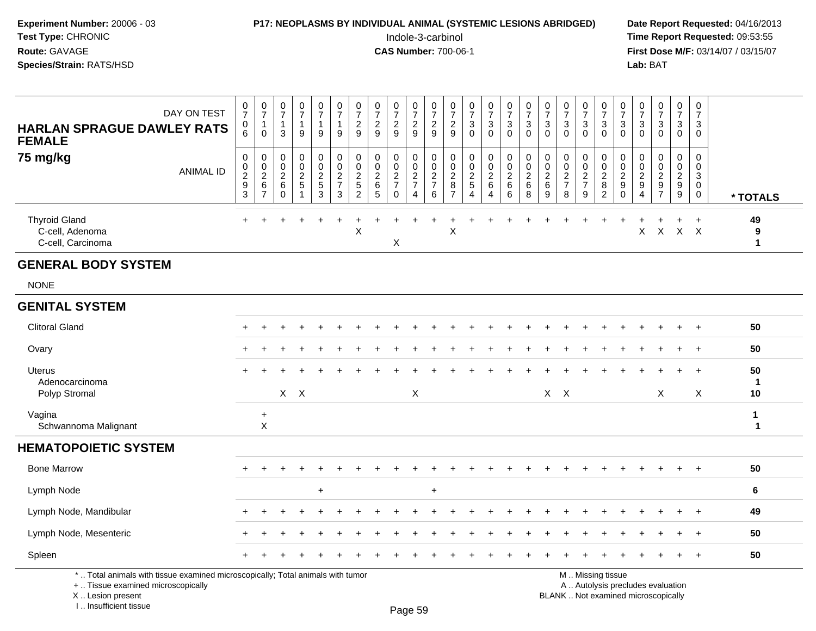#### **P17: NEOPLASMS BY INDIVIDUAL ANIMAL (SYSTEMIC LESIONS ABRIDGED)** Date Report Requested: 04/16/2013<br>Indole-3-carbinol **Time Report Requested:** 09:53:55

 Indole-3-carbinol **Time Report Requested:** 09:53:55 **First Dose M/F:** 03/14/07 / 03/15/07<br>**Lab:** BAT **Lab:** BAT

| DAY ON TEST<br><b>HARLAN SPRAGUE DAWLEY RATS</b><br><b>FEMALE</b>                                                     | $\frac{0}{7}$<br>0<br>6        | $\begin{smallmatrix}0\\7\end{smallmatrix}$<br>$\mathbf{1}$<br>$\Omega$    | $\begin{smallmatrix}0\\7\end{smallmatrix}$<br>$\mathbf{1}$<br>$\mathbf{3}$ | $\begin{array}{c} 0 \\ 7 \end{array}$<br>1<br>9 | $\begin{smallmatrix} 0\\7 \end{smallmatrix}$<br>$\mathbf{1}$<br>9 | $\frac{0}{7}$<br>$\mathbf{1}$<br>9           | $\frac{0}{7}$<br>$\overline{c}$<br>9                      | $\frac{0}{7}$<br>$\frac{2}{9}$                            | $\frac{0}{7}$<br>$\frac{2}{9}$                      | $\begin{array}{c} 0 \\ 7 \end{array}$<br>$\frac{2}{9}$ | $\frac{0}{7}$<br>$\frac{2}{9}$                            | $\begin{array}{c} 0 \\ 7 \end{array}$<br>$\overline{c}$<br>$\boldsymbol{9}$ | $\frac{0}{7}$<br>$\frac{3}{0}$ | $\frac{0}{7}$<br>$\frac{3}{0}$               | $\begin{smallmatrix}0\\7\end{smallmatrix}$<br>$\frac{3}{0}$ | $\frac{0}{7}$<br>$\sqrt{3}$<br>$\mathbf 0$                 | $\frac{0}{7}$<br>3<br>$\mathbf{0}$                        | $\frac{0}{7}$<br>$\frac{3}{0}$                               | $\frac{0}{7}$<br>$\frac{3}{0}$  | $\frac{0}{7}$<br>$\frac{3}{0}$       | $\frac{0}{7}$<br>$\frac{3}{0}$                           | $\frac{0}{7}$<br>$\ensuremath{\mathsf{3}}$<br>$\overline{0}$                       | $\begin{array}{c} 0 \\ 7 \end{array}$<br>$\overline{3}$<br>$\mathbf 0$ | $\frac{0}{7}$<br>$\mathbf{3}$<br>$\mathbf 0$ | $\mathbf 0$<br>$\overline{7}$<br>$\mathbf{3}$<br>$\mathbf 0$ |                         |
|-----------------------------------------------------------------------------------------------------------------------|--------------------------------|---------------------------------------------------------------------------|----------------------------------------------------------------------------|-------------------------------------------------|-------------------------------------------------------------------|----------------------------------------------|-----------------------------------------------------------|-----------------------------------------------------------|-----------------------------------------------------|--------------------------------------------------------|-----------------------------------------------------------|-----------------------------------------------------------------------------|--------------------------------|----------------------------------------------|-------------------------------------------------------------|------------------------------------------------------------|-----------------------------------------------------------|--------------------------------------------------------------|---------------------------------|--------------------------------------|----------------------------------------------------------|------------------------------------------------------------------------------------|------------------------------------------------------------------------|----------------------------------------------|--------------------------------------------------------------|-------------------------|
| 75 mg/kg<br><b>ANIMAL ID</b>                                                                                          | $\pmb{0}$<br>$0$<br>$9$<br>$3$ | $\pmb{0}$<br>$\begin{array}{c} 0 \\ 2 \\ 6 \end{array}$<br>$\overline{7}$ | $\pmb{0}$<br>$\pmb{0}$<br>$\overline{2}$<br>$\,6\,$<br>$\mathbf 0$         | $\pmb{0}$<br>$\frac{0}{2}$                      | $\pmb{0}$<br>$0$<br>$2$<br>$5$<br>$3$                             | $\pmb{0}$<br>$\frac{0}{2}$<br>$\overline{3}$ | $\pmb{0}$<br>$\pmb{0}$<br>$\frac{2}{5}$<br>$\overline{c}$ | $\pmb{0}$<br>$\pmb{0}$<br>$\frac{2}{6}$<br>$\overline{5}$ | $\pmb{0}$<br>$\pmb{0}$<br>$\frac{2}{7}$<br>$\Omega$ | $\pmb{0}$<br>$\frac{0}{2}$<br>$\boldsymbol{\Lambda}$   | $\pmb{0}$<br>$\pmb{0}$<br>$\frac{2}{7}$<br>$6\phantom{1}$ | 0<br>$\boldsymbol{0}$<br>$\boldsymbol{2}$<br>8<br>$\overline{7}$            | $\pmb{0}$<br>$\frac{0}{2}$ 5 4 | $\pmb{0}$<br>$\frac{0}{2}$<br>$\overline{A}$ | $\pmb{0}$<br>$\frac{0}{2}$<br>$\,6\,$                       | $\pmb{0}$<br>$\mathbf 0$<br>$\overline{2}$<br>$\,6\,$<br>8 | $\pmb{0}$<br>$\boldsymbol{0}$<br>$\sqrt{2}$<br>$\,6$<br>9 | $\pmb{0}$<br>$\begin{array}{c} 0 \\ 2 \\ 7 \end{array}$<br>8 | $\pmb{0}$<br>$\frac{0}{2}$<br>9 | 0<br>$\frac{0}{2}$<br>$\overline{c}$ | $\mathbf 0$<br>$\pmb{0}$<br>$\frac{2}{9}$<br>$\mathbf 0$ | $\mathbf 0$<br>$\pmb{0}$<br>$\boldsymbol{2}$<br>$\boldsymbol{9}$<br>$\overline{4}$ | $\pmb{0}$<br>$\mathbf 0$<br>$\overline{2}$<br>$\frac{9}{7}$            | $\pmb{0}$<br>$\mathbf 0$<br>$\frac{2}{9}$    | $\mathbf 0$<br>$\mathsf{O}\xspace$<br>3<br>0<br>$\mathbf 0$  | * TOTALS                |
| <b>Thyroid Gland</b><br>C-cell, Adenoma<br>C-cell, Carcinoma                                                          |                                |                                                                           |                                                                            |                                                 |                                                                   |                                              | $\pmb{\times}$                                            |                                                           | X                                                   |                                                        |                                                           | X                                                                           |                                |                                              |                                                             |                                                            |                                                           |                                                              |                                 |                                      |                                                          | X                                                                                  |                                                                        | $\ddot{}$<br>$X$ $X$ $X$                     | $+$                                                          | 49<br>9<br>$\mathbf{1}$ |
| <b>GENERAL BODY SYSTEM</b>                                                                                            |                                |                                                                           |                                                                            |                                                 |                                                                   |                                              |                                                           |                                                           |                                                     |                                                        |                                                           |                                                                             |                                |                                              |                                                             |                                                            |                                                           |                                                              |                                 |                                      |                                                          |                                                                                    |                                                                        |                                              |                                                              |                         |
| <b>NONE</b>                                                                                                           |                                |                                                                           |                                                                            |                                                 |                                                                   |                                              |                                                           |                                                           |                                                     |                                                        |                                                           |                                                                             |                                |                                              |                                                             |                                                            |                                                           |                                                              |                                 |                                      |                                                          |                                                                                    |                                                                        |                                              |                                                              |                         |
| <b>GENITAL SYSTEM</b>                                                                                                 |                                |                                                                           |                                                                            |                                                 |                                                                   |                                              |                                                           |                                                           |                                                     |                                                        |                                                           |                                                                             |                                |                                              |                                                             |                                                            |                                                           |                                                              |                                 |                                      |                                                          |                                                                                    |                                                                        |                                              |                                                              |                         |
| <b>Clitoral Gland</b>                                                                                                 |                                |                                                                           |                                                                            |                                                 |                                                                   |                                              |                                                           |                                                           |                                                     |                                                        |                                                           |                                                                             |                                |                                              |                                                             |                                                            |                                                           |                                                              |                                 |                                      |                                                          |                                                                                    |                                                                        |                                              |                                                              | 50                      |
| Ovary                                                                                                                 |                                |                                                                           |                                                                            |                                                 |                                                                   |                                              |                                                           |                                                           |                                                     |                                                        |                                                           |                                                                             |                                |                                              |                                                             |                                                            |                                                           |                                                              |                                 |                                      |                                                          |                                                                                    |                                                                        | $\div$                                       | $\ddot{}$                                                    | 50                      |
| <b>Uterus</b><br>Adenocarcinoma<br>Polyp Stromal                                                                      |                                |                                                                           |                                                                            | $X$ $X$                                         |                                                                   |                                              |                                                           |                                                           |                                                     | X                                                      |                                                           |                                                                             |                                |                                              |                                                             |                                                            |                                                           | $X$ $X$                                                      |                                 |                                      |                                                          |                                                                                    | X                                                                      |                                              | $\ddot{}$<br>Χ                                               | 50<br>-1<br>10          |
| Vagina<br>Schwannoma Malignant                                                                                        |                                | $\ddot{}$<br>$\mathsf X$                                                  |                                                                            |                                                 |                                                                   |                                              |                                                           |                                                           |                                                     |                                                        |                                                           |                                                                             |                                |                                              |                                                             |                                                            |                                                           |                                                              |                                 |                                      |                                                          |                                                                                    |                                                                        |                                              |                                                              | 1<br>1                  |
| <b>HEMATOPOIETIC SYSTEM</b>                                                                                           |                                |                                                                           |                                                                            |                                                 |                                                                   |                                              |                                                           |                                                           |                                                     |                                                        |                                                           |                                                                             |                                |                                              |                                                             |                                                            |                                                           |                                                              |                                 |                                      |                                                          |                                                                                    |                                                                        |                                              |                                                              |                         |
| <b>Bone Marrow</b>                                                                                                    |                                |                                                                           |                                                                            |                                                 |                                                                   |                                              |                                                           |                                                           |                                                     |                                                        |                                                           |                                                                             |                                |                                              |                                                             |                                                            |                                                           |                                                              |                                 |                                      |                                                          |                                                                                    |                                                                        |                                              | $\ddot{}$                                                    | 50                      |
| Lymph Node                                                                                                            |                                |                                                                           |                                                                            |                                                 | $\ddot{}$                                                         |                                              |                                                           |                                                           |                                                     |                                                        | $\ddot{}$                                                 |                                                                             |                                |                                              |                                                             |                                                            |                                                           |                                                              |                                 |                                      |                                                          |                                                                                    |                                                                        |                                              |                                                              | 6                       |
| Lymph Node, Mandibular                                                                                                |                                |                                                                           |                                                                            |                                                 |                                                                   |                                              |                                                           |                                                           |                                                     |                                                        |                                                           |                                                                             |                                |                                              |                                                             |                                                            |                                                           |                                                              |                                 |                                      |                                                          |                                                                                    |                                                                        |                                              | $\div$                                                       | 49                      |
| Lymph Node, Mesenteric                                                                                                |                                |                                                                           |                                                                            |                                                 |                                                                   |                                              |                                                           |                                                           |                                                     |                                                        |                                                           |                                                                             |                                |                                              |                                                             |                                                            |                                                           |                                                              |                                 |                                      |                                                          |                                                                                    |                                                                        |                                              |                                                              | 50                      |
| Spleen                                                                                                                |                                |                                                                           |                                                                            |                                                 |                                                                   |                                              |                                                           |                                                           |                                                     |                                                        |                                                           |                                                                             |                                |                                              |                                                             |                                                            |                                                           |                                                              |                                 |                                      |                                                          |                                                                                    |                                                                        |                                              | $\ddot{}$                                                    | 50                      |
| *  Total animals with tissue examined microscopically; Total animals with tumor<br>+  Tissue examined microscopically |                                |                                                                           |                                                                            |                                                 |                                                                   |                                              |                                                           |                                                           |                                                     |                                                        |                                                           |                                                                             |                                |                                              |                                                             |                                                            |                                                           |                                                              |                                 | M  Missing tissue                    |                                                          |                                                                                    | A  Autolysis precludes evaluation                                      |                                              |                                                              |                         |

 Lesion present BLANK .. Not examined microscopicallyX .. Lesion present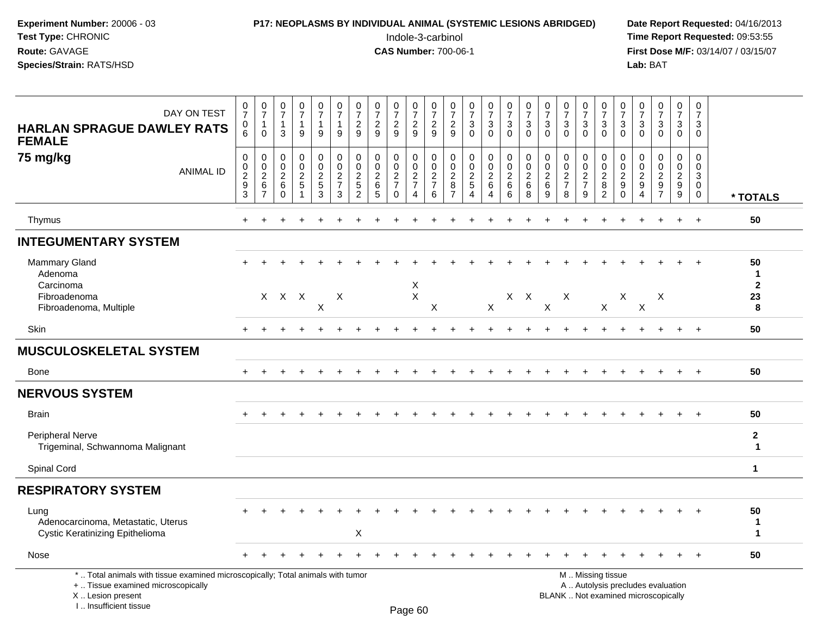| <b>P17: NEOPLASMS BY INDIVIDUAL ANIMAL (SYSTEMIC LESIONS ABRIDGED)</b><br>Date Rep |
|------------------------------------------------------------------------------------|
| Time Rep                                                                           |
| <b>First Dos</b>                                                                   |
| Lab: BAT                                                                           |
|                                                                                    |

# **P17: NEOPLASMS BY INDIVIDUAL ANIMAL (SYSTEMIC LESIONS ABRIDGED)** Date Report Requested: 04/16/2013<br>Indole-3-carbinol **Time Report Requested:** 09:53:55

 Indole-3-carbinol **Time Report Requested:** 09:53:55 **First Dose M/F:** 03/14/07 / 03/15/07<br>Lab: BAT

| DAY ON TEST<br><b>HARLAN SPRAGUE DAWLEY RATS</b><br><b>FEMALE</b>                                                                                                   | $\frac{0}{7}$<br>0<br>$6\phantom{1}$                                       | $\frac{0}{7}$<br>1<br>$\mathbf 0$                               | $\frac{0}{7}$<br>$\mathbf{1}$<br>$\mathbf{3}$           | $\frac{0}{7}$<br>$\mathbf 1$<br>9                         | $\frac{0}{7}$<br>$\mathbf{1}$<br>9                            | $\frac{0}{7}$<br>$\mathbf{1}$<br>9                                             | $\frac{0}{7}$<br>$\frac{2}{9}$                                               | $\begin{array}{c} 0 \\ 7 \end{array}$<br>$\frac{2}{9}$       | $\frac{0}{7}$<br>$\overline{2}$<br>9                            | $\frac{0}{7}$<br>$\overline{c}$<br>9                                                 | 0<br>$\overline{7}$<br>$\overline{2}$<br>9                  | $\frac{0}{7}$<br>$\frac{2}{9}$                            | $\frac{0}{7}$<br>$\ensuremath{\mathsf{3}}$<br>$\mathbf 0$                  | $\frac{0}{7}$<br>$\frac{3}{0}$                                  | $\begin{array}{c} 0 \\ 7 \end{array}$<br>$_{0}^{3}$                               | $\frac{0}{7}$<br>$\frac{3}{0}$                                       | $\frac{0}{7}$<br>$\sqrt{3}$<br>$\mathbf 0$             | $\frac{0}{7}$<br>$\mathbf{3}$<br>$\mathbf{0}$                 | 0<br>$\overline{7}$<br>$\ensuremath{\mathsf{3}}$<br>$\mathbf 0$ | 0<br>$\overline{7}$<br>3<br>$\Omega$                                                          | $\frac{0}{7}$<br>3<br>$\mathbf 0$                                       | $\frac{0}{7}$<br>$\mathbf{3}$<br>$\mathbf 0$            | $\frac{0}{7}$<br>$\frac{3}{0}$                      | $\begin{array}{c} 0 \\ 7 \end{array}$<br>$\sqrt{3}$<br>$\mathbf 0$ | $\pmb{0}$<br>$\overline{7}$<br>3<br>$\Omega$                  |                              |
|---------------------------------------------------------------------------------------------------------------------------------------------------------------------|----------------------------------------------------------------------------|-----------------------------------------------------------------|---------------------------------------------------------|-----------------------------------------------------------|---------------------------------------------------------------|--------------------------------------------------------------------------------|------------------------------------------------------------------------------|--------------------------------------------------------------|-----------------------------------------------------------------|--------------------------------------------------------------------------------------|-------------------------------------------------------------|-----------------------------------------------------------|----------------------------------------------------------------------------|-----------------------------------------------------------------|-----------------------------------------------------------------------------------|----------------------------------------------------------------------|--------------------------------------------------------|---------------------------------------------------------------|-----------------------------------------------------------------|-----------------------------------------------------------------------------------------------|-------------------------------------------------------------------------|---------------------------------------------------------|-----------------------------------------------------|--------------------------------------------------------------------|---------------------------------------------------------------|------------------------------|
| 75 mg/kg<br><b>ANIMAL ID</b>                                                                                                                                        | $\boldsymbol{0}$<br>$\mathbf 0$<br>$\overline{2}$<br>$\boldsymbol{9}$<br>3 | 0<br>$\mathbf 0$<br>$\overline{2}$<br>$\,6\,$<br>$\overline{7}$ | 0<br>$\mathbf 0$<br>$\overline{c}$<br>$\,6$<br>$\Omega$ | 0<br>$\mathbf 0$<br>$\overline{a}$<br>5<br>$\overline{1}$ | 0<br>$\mathsf{O}$<br>$\sqrt{2}$<br>$\sqrt{5}$<br>$\mathbf{3}$ | $\mathbf 0$<br>$\pmb{0}$<br>$\overline{2}$<br>$\boldsymbol{7}$<br>$\mathbf{3}$ | $\mathbf 0$<br>$\mathbf 0$<br>$\overline{2}$<br>$\sqrt{5}$<br>$\overline{2}$ | $\mathbf 0$<br>$\mathbf 0$<br>$\overline{2}$<br>$\,6\,$<br>5 | 0<br>$\mathbf 0$<br>$\sqrt{2}$<br>$\overline{7}$<br>$\mathbf 0$ | $\mathbf 0$<br>$\mathbf 0$<br>$\boldsymbol{2}$<br>$\boldsymbol{7}$<br>$\overline{4}$ | 0<br>$\mathbf 0$<br>$\boldsymbol{2}$<br>$\overline{7}$<br>6 | 0<br>$\mathbf 0$<br>$\overline{c}$<br>8<br>$\overline{7}$ | 0<br>$\mathsf{O}\xspace$<br>$\overline{2}$<br>$\sqrt{5}$<br>$\overline{4}$ | 0<br>$\mathbf 0$<br>$\overline{2}$<br>$\,6\,$<br>$\overline{4}$ | $\mathbf 0$<br>$\mathsf{O}\xspace$<br>$\overline{2}$<br>$\,6\,$<br>$6\phantom{1}$ | $\mathbf 0$<br>$\mathsf{O}\xspace$<br>$\overline{2}$<br>$\,6\,$<br>8 | $\mathbf 0$<br>$\mathbf 0$<br>$\overline{2}$<br>6<br>9 | 0<br>$\mathsf{O}\xspace$<br>$\sqrt{2}$<br>$\overline{7}$<br>8 | $\mathbf 0$<br>$\mathbf 0$<br>$\sqrt{2}$<br>$\overline{7}$<br>9 | 0<br>$\mathbf 0$<br>$\overline{c}$<br>$\bf 8$<br>$\overline{2}$                               | 0<br>$\mathbf 0$<br>$\boldsymbol{2}$<br>$\boldsymbol{9}$<br>$\mathbf 0$ | 0<br>$\pmb{0}$<br>$\overline{c}$<br>9<br>$\overline{4}$ | 0<br>$\mathbf 0$<br>$\overline{2}$<br>$\frac{9}{7}$ | $\mathbf 0$<br>$\mathbf 0$<br>$\overline{2}$<br>$_{9}^9$           | $\mathbf 0$<br>$\mathbf 0$<br>3<br>$\mathbf 0$<br>$\mathbf 0$ | * TOTALS                     |
| Thymus                                                                                                                                                              | $+$                                                                        |                                                                 |                                                         |                                                           | $\ddot{}$                                                     |                                                                                |                                                                              |                                                              | $\ddot{}$                                                       |                                                                                      |                                                             |                                                           | $\overline{1}$                                                             | $\ddot{}$                                                       | ÷.                                                                                |                                                                      |                                                        | $\ddotmark$                                                   |                                                                 |                                                                                               |                                                                         | $\ddot{}$                                               | $+$                                                 | $+$                                                                | $+$                                                           | 50                           |
| <b>INTEGUMENTARY SYSTEM</b>                                                                                                                                         |                                                                            |                                                                 |                                                         |                                                           |                                                               |                                                                                |                                                                              |                                                              |                                                                 |                                                                                      |                                                             |                                                           |                                                                            |                                                                 |                                                                                   |                                                                      |                                                        |                                                               |                                                                 |                                                                                               |                                                                         |                                                         |                                                     |                                                                    |                                                               |                              |
| <b>Mammary Gland</b><br>Adenoma                                                                                                                                     |                                                                            |                                                                 |                                                         |                                                           |                                                               |                                                                                |                                                                              |                                                              |                                                                 |                                                                                      |                                                             |                                                           |                                                                            |                                                                 |                                                                                   |                                                                      |                                                        |                                                               |                                                                 |                                                                                               |                                                                         |                                                         |                                                     |                                                                    | $+$                                                           | 50<br>$\mathbf{1}$           |
| Carcinoma<br>Fibroadenoma<br>Fibroadenoma, Multiple                                                                                                                 |                                                                            |                                                                 | $X$ $X$ $X$                                             |                                                           | X                                                             | X                                                                              |                                                                              |                                                              |                                                                 | $\times$<br>$\sf X$                                                                  | $\times$                                                    |                                                           |                                                                            | $\mathsf{X}$                                                    |                                                                                   | $X$ $X$                                                              | X                                                      | Χ                                                             |                                                                 | X                                                                                             | X                                                                       | X                                                       | X                                                   |                                                                    |                                                               | $\mathbf 2$<br>23<br>8       |
| Skin                                                                                                                                                                |                                                                            |                                                                 |                                                         |                                                           |                                                               |                                                                                |                                                                              |                                                              |                                                                 |                                                                                      |                                                             |                                                           |                                                                            |                                                                 |                                                                                   |                                                                      |                                                        |                                                               |                                                                 |                                                                                               |                                                                         |                                                         |                                                     |                                                                    | $+$                                                           | 50                           |
| <b>MUSCULOSKELETAL SYSTEM</b>                                                                                                                                       |                                                                            |                                                                 |                                                         |                                                           |                                                               |                                                                                |                                                                              |                                                              |                                                                 |                                                                                      |                                                             |                                                           |                                                                            |                                                                 |                                                                                   |                                                                      |                                                        |                                                               |                                                                 |                                                                                               |                                                                         |                                                         |                                                     |                                                                    |                                                               |                              |
| <b>Bone</b>                                                                                                                                                         | $+$                                                                        |                                                                 |                                                         |                                                           |                                                               |                                                                                |                                                                              |                                                              |                                                                 |                                                                                      |                                                             |                                                           |                                                                            |                                                                 |                                                                                   |                                                                      |                                                        |                                                               |                                                                 |                                                                                               |                                                                         |                                                         | $\pm$                                               | $+$                                                                | $+$                                                           | 50                           |
| <b>NERVOUS SYSTEM</b>                                                                                                                                               |                                                                            |                                                                 |                                                         |                                                           |                                                               |                                                                                |                                                                              |                                                              |                                                                 |                                                                                      |                                                             |                                                           |                                                                            |                                                                 |                                                                                   |                                                                      |                                                        |                                                               |                                                                 |                                                                                               |                                                                         |                                                         |                                                     |                                                                    |                                                               |                              |
| <b>Brain</b>                                                                                                                                                        |                                                                            |                                                                 |                                                         |                                                           |                                                               |                                                                                |                                                                              |                                                              |                                                                 |                                                                                      |                                                             |                                                           |                                                                            |                                                                 |                                                                                   |                                                                      |                                                        |                                                               |                                                                 |                                                                                               |                                                                         |                                                         |                                                     |                                                                    | $\ddot{+}$                                                    | 50                           |
| Peripheral Nerve<br>Trigeminal, Schwannoma Malignant                                                                                                                |                                                                            |                                                                 |                                                         |                                                           |                                                               |                                                                                |                                                                              |                                                              |                                                                 |                                                                                      |                                                             |                                                           |                                                                            |                                                                 |                                                                                   |                                                                      |                                                        |                                                               |                                                                 |                                                                                               |                                                                         |                                                         |                                                     |                                                                    |                                                               | $\mathbf{2}$<br>$\mathbf{1}$ |
| Spinal Cord                                                                                                                                                         |                                                                            |                                                                 |                                                         |                                                           |                                                               |                                                                                |                                                                              |                                                              |                                                                 |                                                                                      |                                                             |                                                           |                                                                            |                                                                 |                                                                                   |                                                                      |                                                        |                                                               |                                                                 |                                                                                               |                                                                         |                                                         |                                                     |                                                                    |                                                               | $\mathbf 1$                  |
| <b>RESPIRATORY SYSTEM</b>                                                                                                                                           |                                                                            |                                                                 |                                                         |                                                           |                                                               |                                                                                |                                                                              |                                                              |                                                                 |                                                                                      |                                                             |                                                           |                                                                            |                                                                 |                                                                                   |                                                                      |                                                        |                                                               |                                                                 |                                                                                               |                                                                         |                                                         |                                                     |                                                                    |                                                               |                              |
| Lung<br>Adenocarcinoma, Metastatic, Uterus<br><b>Cystic Keratinizing Epithelioma</b>                                                                                |                                                                            |                                                                 |                                                         |                                                           |                                                               |                                                                                | X                                                                            |                                                              |                                                                 |                                                                                      |                                                             |                                                           |                                                                            |                                                                 |                                                                                   |                                                                      |                                                        |                                                               |                                                                 |                                                                                               |                                                                         |                                                         |                                                     |                                                                    |                                                               | 50<br>1<br>1                 |
| Nose                                                                                                                                                                |                                                                            |                                                                 |                                                         |                                                           |                                                               |                                                                                |                                                                              |                                                              |                                                                 |                                                                                      |                                                             |                                                           |                                                                            |                                                                 |                                                                                   |                                                                      |                                                        |                                                               |                                                                 |                                                                                               |                                                                         |                                                         |                                                     |                                                                    | $\ddot{+}$                                                    | 50                           |
| *  Total animals with tissue examined microscopically; Total animals with tumor<br>+  Tissue examined microscopically<br>X  Lesion present<br>I Insufficient tissue |                                                                            |                                                                 |                                                         |                                                           |                                                               |                                                                                |                                                                              |                                                              |                                                                 | $D_{200}$ $60$                                                                       |                                                             |                                                           |                                                                            |                                                                 |                                                                                   |                                                                      |                                                        |                                                               |                                                                 | M  Missing tissue<br>A  Autolysis precludes evaluation<br>BLANK  Not examined microscopically |                                                                         |                                                         |                                                     |                                                                    |                                                               |                              |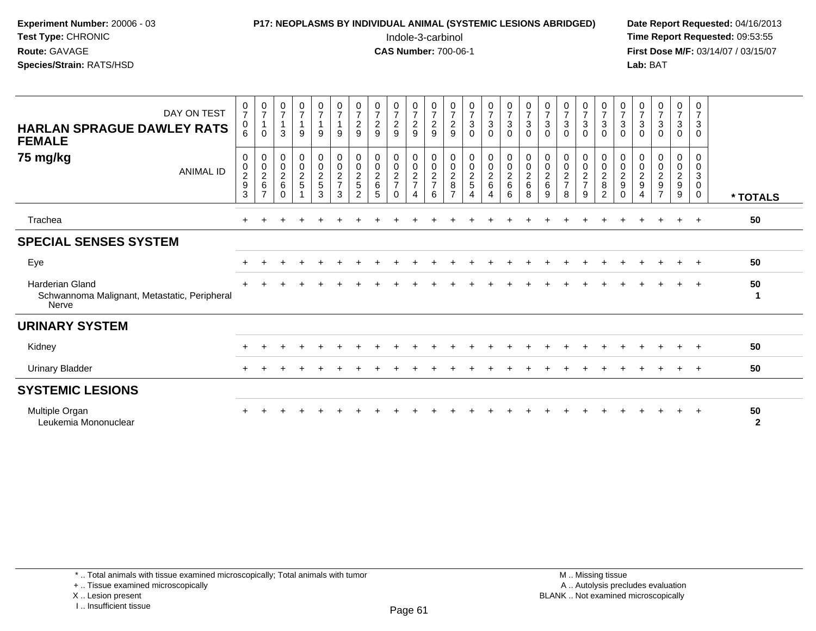| Experiment Number: 20006 - 03<br>Test Type: CHRONIC<br>Route: GAVAGE<br>Species/Strain: RATS/HSD |                                    |                                                                   |                                                                   |                                                |                                                          |                            |                                                                  | P17: NEOPLASMS BY INDIVIDUAL ANIMAL (SYSTEMIC LESIONS ABRIDGED) |                                                              |                                               | Indole-3-carbinol<br><b>CAS Number: 700-06-1</b>            |                                                                   |                                               |                                                   |                                                      |                                                  |                                                   |                                                           |                                                           |                                                            |                                                                       | Lab: BAT                                     |                                                                               |                                                             |                                      | Date Report Requested: 04/16/2013<br>Time Report Requested: 09:53:55<br>First Dose M/F: 03/14/07 / 03/15/07 |
|--------------------------------------------------------------------------------------------------|------------------------------------|-------------------------------------------------------------------|-------------------------------------------------------------------|------------------------------------------------|----------------------------------------------------------|----------------------------|------------------------------------------------------------------|-----------------------------------------------------------------|--------------------------------------------------------------|-----------------------------------------------|-------------------------------------------------------------|-------------------------------------------------------------------|-----------------------------------------------|---------------------------------------------------|------------------------------------------------------|--------------------------------------------------|---------------------------------------------------|-----------------------------------------------------------|-----------------------------------------------------------|------------------------------------------------------------|-----------------------------------------------------------------------|----------------------------------------------|-------------------------------------------------------------------------------|-------------------------------------------------------------|--------------------------------------|-------------------------------------------------------------------------------------------------------------|
| DAY ON TEST<br><b>HARLAN SPRAGUE DAWLEY RATS</b><br><b>FEMALE</b>                                | $\frac{0}{7}$<br>0<br>6            | $\frac{0}{7}$<br>$\mathbf{1}$<br>$\mathbf 0$                      | $\frac{0}{7}$<br>$\mathbf{1}$<br>3                                | $\frac{0}{7}$<br>9                             | $\frac{0}{7}$<br>$\overline{1}$<br>9                     | 0<br>$\overline{7}$<br>9   | $\frac{0}{7}$<br>$\overline{\mathbf{c}}$<br>$\boldsymbol{9}$     | $\frac{0}{7}$<br>$\frac{2}{9}$                                  | $\frac{0}{7}$<br>$\frac{2}{9}$                               | $\frac{0}{7}$<br>9                            | 0<br>$\boldsymbol{7}$<br>$\sqrt{2}$<br>9                    | $\frac{0}{7}$<br>$\frac{2}{9}$                                    | $\frac{0}{7}$<br>$\mathbf{3}$<br>$\Omega$     | $\frac{0}{7}$<br>$_{0}^{3}$                       | $\frac{0}{7}$<br>$\frac{3}{0}$                       | $\frac{0}{7}$<br>3<br>$\Omega$                   | $\frac{0}{7}$<br>$\mathbf{3}$<br>$\mathbf 0$      | $\frac{0}{7}$<br>3<br>$\Omega$                            | $\frac{0}{7}$<br>$\mathbf{3}$<br>$\Omega$                 | $\frac{0}{7}$<br>$\ensuremath{\mathsf{3}}$<br>$\Omega$     | $\frac{0}{7}$<br>$\sqrt{3}$<br>$\Omega$                               | $\frac{0}{7}$<br>$\sqrt{3}$<br>$\Omega$      | $\begin{array}{c} 0 \\ 7 \\ 3 \end{array}$<br>$\mathbf 0$                     | $\frac{0}{7}$<br>$_{0}^{3}$                                 | 0<br>$\overline{7}$<br>3<br>$\Omega$ |                                                                                                             |
| 75 mg/kg<br><b>ANIMAL ID</b>                                                                     | 0<br>0<br>$\overline{c}$<br>9<br>3 | 0<br>$\begin{array}{c} 0 \\ 2 \\ 6 \end{array}$<br>$\overline{7}$ | 0<br>$\mathsf{O}\xspace$<br>$\overline{c}$<br>$\,6\,$<br>$\Omega$ | 0<br>$\pmb{0}$<br>$\sqrt{2}$<br>$\overline{5}$ | $\mathbf 0$<br>$\ddot{\mathbf{0}}$<br>$\frac{2}{5}$<br>3 | 0<br>$\mathbf 0$<br>2<br>3 | $\Omega$<br>$\mathbf 0$<br>$\overline{c}$<br>5<br>$\overline{2}$ | $\mathbf 0$<br>$\pmb{0}$<br>$\sqrt{2}$<br>$\,6\,$<br>5          | 0<br>$\mathbf 0$<br>$\sqrt{2}$<br>$\overline{7}$<br>$\Omega$ | $\Omega$<br>$\mathbf 0$<br>$\frac{2}{7}$<br>4 | 0<br>$\mathbf 0$<br>$\boldsymbol{2}$<br>$\overline{7}$<br>6 | $\mathbf 0$<br>$\pmb{0}$<br>$\overline{c}$<br>8<br>$\overline{7}$ | 0<br>$\mathsf{O}$<br>$\overline{a}$<br>5<br>4 | 0<br>$\pmb{0}$<br>$\frac{2}{6}$<br>$\overline{4}$ | $\mathbf 0$<br>$\pmb{0}$<br>$\overline{2}$<br>6<br>6 | $\Omega$<br>$\Omega$<br>$\overline{2}$<br>6<br>8 | $\Omega$<br>$\pmb{0}$<br>$\overline{c}$<br>6<br>9 | 0<br>$\mathbf 0$<br>$\overline{c}$<br>$\overline{7}$<br>8 | 0<br>$\mathbf 0$<br>$\overline{c}$<br>$\overline{7}$<br>9 | $\Omega$<br>$\pmb{0}$<br>$\sqrt{2}$<br>8<br>$\overline{2}$ | $\Omega$<br>$\mathbf 0$<br>$\sqrt{2}$<br>$\boldsymbol{9}$<br>$\Omega$ | 0<br>$\mathbf 0$<br>$\overline{c}$<br>9<br>4 | 0<br>$\boldsymbol{0}$<br>$\overline{a}$<br>$\boldsymbol{9}$<br>$\overline{7}$ | $\mathbf 0$<br>$\pmb{0}$<br>$\frac{2}{9}$<br>$\overline{9}$ | $\Omega$<br>0<br>3<br>$\Omega$<br>0  | * TOTALS                                                                                                    |
| Trachea                                                                                          |                                    |                                                                   |                                                                   |                                                |                                                          |                            |                                                                  |                                                                 |                                                              |                                               |                                                             |                                                                   |                                               |                                                   |                                                      |                                                  |                                                   |                                                           |                                                           |                                                            |                                                                       |                                              |                                                                               |                                                             | $+$                                  | 50                                                                                                          |
| <b>SPECIAL SENSES SYSTEM</b>                                                                     |                                    |                                                                   |                                                                   |                                                |                                                          |                            |                                                                  |                                                                 |                                                              |                                               |                                                             |                                                                   |                                               |                                                   |                                                      |                                                  |                                                   |                                                           |                                                           |                                                            |                                                                       |                                              |                                                                               |                                                             |                                      |                                                                                                             |
| Eye                                                                                              |                                    |                                                                   |                                                                   |                                                |                                                          |                            |                                                                  |                                                                 |                                                              |                                               |                                                             |                                                                   |                                               |                                                   |                                                      |                                                  |                                                   |                                                           |                                                           |                                                            |                                                                       |                                              |                                                                               |                                                             | $+$                                  | 50                                                                                                          |
| Harderian Gland<br>Schwannoma Malignant, Metastatic, Peripheral<br>Nerve                         |                                    |                                                                   |                                                                   |                                                |                                                          |                            |                                                                  |                                                                 |                                                              |                                               |                                                             |                                                                   |                                               |                                                   |                                                      |                                                  |                                                   |                                                           |                                                           |                                                            |                                                                       |                                              |                                                                               |                                                             | $+$                                  | 50<br>1                                                                                                     |
| <b>URINARY SYSTEM</b>                                                                            |                                    |                                                                   |                                                                   |                                                |                                                          |                            |                                                                  |                                                                 |                                                              |                                               |                                                             |                                                                   |                                               |                                                   |                                                      |                                                  |                                                   |                                                           |                                                           |                                                            |                                                                       |                                              |                                                                               |                                                             |                                      |                                                                                                             |
| Kidney                                                                                           |                                    |                                                                   |                                                                   |                                                |                                                          |                            |                                                                  |                                                                 |                                                              |                                               |                                                             |                                                                   |                                               |                                                   |                                                      |                                                  |                                                   |                                                           |                                                           |                                                            |                                                                       |                                              |                                                                               |                                                             |                                      | 50                                                                                                          |
| <b>Urinary Bladder</b>                                                                           |                                    |                                                                   |                                                                   |                                                |                                                          |                            |                                                                  |                                                                 |                                                              |                                               |                                                             |                                                                   |                                               |                                                   |                                                      |                                                  |                                                   |                                                           |                                                           |                                                            |                                                                       |                                              |                                                                               |                                                             | $+$                                  | 50                                                                                                          |
| <b>SYSTEMIC LESIONS</b>                                                                          |                                    |                                                                   |                                                                   |                                                |                                                          |                            |                                                                  |                                                                 |                                                              |                                               |                                                             |                                                                   |                                               |                                                   |                                                      |                                                  |                                                   |                                                           |                                                           |                                                            |                                                                       |                                              |                                                                               |                                                             |                                      |                                                                                                             |
| Multiple Organ<br>Leukemia Mononuclear                                                           |                                    |                                                                   |                                                                   |                                                |                                                          |                            |                                                                  |                                                                 |                                                              |                                               |                                                             |                                                                   |                                               |                                                   |                                                      |                                                  |                                                   |                                                           |                                                           |                                                            |                                                                       |                                              |                                                                               |                                                             |                                      | 50<br>$\overline{2}$                                                                                        |

\* .. Total animals with tissue examined microscopically; Total animals with tumor

+ .. Tissue examined microscopically

X .. Lesion present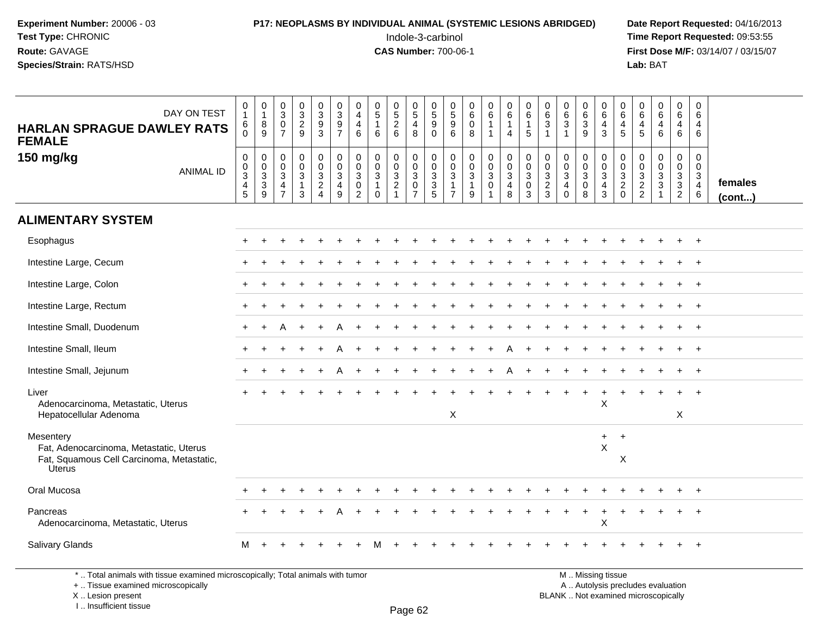#### **P17: NEOPLASMS BY INDIVIDUAL ANIMAL (SYSTEMIC LESIONS ABRIDGED)** Date Report Requested: 04/16/2013<br>Indole-3-carbinol **Time Report Requested: 09:53:55**

 Indole-3-carbinol **Time Report Requested:** 09:53:55 **First Dose M/F:** 03/14/07 / 03/15/07<br>**Lab:** BAT **Lab:** BAT

| DAY ON TEST<br><b>HARLAN SPRAGUE DAWLEY RATS</b><br><b>FEMALE</b>                                           | 0<br>$\mathbf{1}$<br>6<br>$\Omega$                                 | $\pmb{0}$<br>$\overline{1}$<br>8<br>9                       | $\pmb{0}$<br>$\overline{3}$<br>$\mathbf 0$<br>$\overline{7}$                 | $\frac{0}{3}$<br>$\frac{2}{9}$                       | $\pmb{0}$<br>$\overline{3}$<br>$\frac{9}{3}$                                          | $_{3}^{\rm 0}$<br>$\frac{9}{7}$                             | $\mathbf 0$<br>$\overline{a}$<br>$\overline{\mathbf{4}}$<br>6              | $\begin{array}{c} 0 \\ 5 \end{array}$<br>$\mathbf{1}$<br>6            | $\begin{array}{c} 0 \\ 5 \\ 2 \\ 6 \end{array}$                             | $\,0\,$<br>$\overline{5}$<br>4<br>8                                               | $\frac{0}{5}$<br>9<br>$\mathbf 0$                                                    | 0<br>$\overline{5}$<br>$\boldsymbol{9}$<br>$6^{\circ}$                                            | $\begin{array}{c} 0 \\ 6 \end{array}$<br>$\pmb{0}$<br>8                            | $\begin{array}{c} 0 \\ 6 \end{array}$<br>$\mathbf{1}$<br>$\overline{1}$ | $\pmb{0}$<br>$6\overline{6}$<br>$\mathbf{1}$<br>$\overline{4}$  | $\pmb{0}$<br>6<br>1<br>5                            | 0<br>$6^{\circ}$<br>3<br>$\overline{1}$          | $\begin{matrix} 0 \\ 6 \end{matrix}$<br>3<br>$\mathbf{1}$                             | $\pmb{0}$<br>$\frac{6}{9}$            | 0<br>6<br>$\overline{4}$<br>$\mathbf{3}$                               | $\begin{matrix} 0 \\ 6 \end{matrix}$<br>$\begin{array}{c} 4 \\ 5 \end{array}$ | $\pmb{0}$<br>6<br>$\overline{4}$<br>$5\phantom{1}$            | $\begin{array}{c} 0 \\ 6 \end{array}$<br>$\overline{4}$<br>$\,6\,$ | $\boldsymbol{0}$<br>$6\phantom{1}$<br>$\overline{4}$<br>6   | $\mathbf 0$<br>6<br>4<br>6   |                   |
|-------------------------------------------------------------------------------------------------------------|--------------------------------------------------------------------|-------------------------------------------------------------|------------------------------------------------------------------------------|------------------------------------------------------|---------------------------------------------------------------------------------------|-------------------------------------------------------------|----------------------------------------------------------------------------|-----------------------------------------------------------------------|-----------------------------------------------------------------------------|-----------------------------------------------------------------------------------|--------------------------------------------------------------------------------------|---------------------------------------------------------------------------------------------------|------------------------------------------------------------------------------------|-------------------------------------------------------------------------|-----------------------------------------------------------------|-----------------------------------------------------|--------------------------------------------------|---------------------------------------------------------------------------------------|---------------------------------------|------------------------------------------------------------------------|-------------------------------------------------------------------------------|---------------------------------------------------------------|--------------------------------------------------------------------|-------------------------------------------------------------|------------------------------|-------------------|
| 150 mg/kg<br><b>ANIMAL ID</b>                                                                               | $\boldsymbol{0}$<br>$_{3}^{\rm 0}$<br>$\overline{\mathbf{4}}$<br>5 | $\mathbf 0$<br>$\mathbf 0$<br>$\sqrt{3}$<br>$\sqrt{3}$<br>9 | $\mathbf 0$<br>$\mathbf 0$<br>$\sqrt{3}$<br>$\overline{4}$<br>$\overline{7}$ | $\mathsf 0$<br>$\mathbf 0$<br>$\mathbf{3}$<br>1<br>3 | $\mathsf 0$<br>$\mathsf 0$<br>$\ensuremath{\mathsf{3}}$<br>$\overline{c}$<br>$\Delta$ | $_{\rm 0}^{\rm 0}$<br>$\overline{3}$<br>$\overline{4}$<br>9 | $\mathbf 0$<br>$\mathbf 0$<br>$\mathsf 3$<br>$\mathbf 0$<br>$\overline{2}$ | $\mathbf 0$<br>$\mathbf 0$<br>$\mathbf 3$<br>$\mathbf{1}$<br>$\Omega$ | 0<br>$\mathbf 0$<br>$\ensuremath{\mathsf{3}}$<br>$\sqrt{2}$<br>$\mathbf{1}$ | $\mathsf 0$<br>$\mathbf 0$<br>$\sqrt{3}$<br>$\mathsf{O}\xspace$<br>$\overline{7}$ | $\mathsf{O}\xspace$<br>$\pmb{0}$<br>$\overline{3}$<br>$\ensuremath{\mathsf{3}}$<br>5 | $\mathsf{O}\xspace$<br>$\mathbf 0$<br>$\ensuremath{\mathsf{3}}$<br>$\mathbf{1}$<br>$\overline{7}$ | $\pmb{0}$<br>$\mathsf{O}\xspace$<br>$\ensuremath{\mathsf{3}}$<br>$\mathbf{1}$<br>9 | $\pmb{0}$<br>$\mathbf 0$<br>$\overline{3}$<br>$\mathsf{O}\xspace$       | $\mathbf 0$<br>$\mathbf 0$<br>$\sqrt{3}$<br>$\overline{4}$<br>8 | $\mathbf 0$<br>$\mathbf 0$<br>3<br>$\mathbf 0$<br>3 | $\mathbf 0$<br>$\mathbf 0$<br>$\frac{3}{2}$<br>3 | $\mathbf 0$<br>$\mathbf 0$<br>$\ensuremath{\mathsf{3}}$<br>$\overline{4}$<br>$\Omega$ | $\pmb{0}$<br>$\frac{0}{3}$<br>$\,8\,$ | $_{\rm 0}^{\rm 0}$<br>$\overline{3}$<br>$\overline{4}$<br>$\mathbf{3}$ | $\pmb{0}$<br>$\ddot{\mathbf{0}}$<br>$\frac{3}{2}$<br>$\mathbf{0}$             | $\mathbf 0$<br>$\mathbf 0$<br>$\frac{3}{2}$<br>$\overline{2}$ | 0<br>$\mathbf 0$<br>$\mathbf{3}$<br>$\ensuremath{\mathsf{3}}$<br>1 | $\pmb{0}$<br>$\mathbf 0$<br>$\frac{3}{3}$<br>$\overline{2}$ | 0<br>$\Omega$<br>3<br>4<br>6 | females<br>(cont) |
| <b>ALIMENTARY SYSTEM</b>                                                                                    |                                                                    |                                                             |                                                                              |                                                      |                                                                                       |                                                             |                                                                            |                                                                       |                                                                             |                                                                                   |                                                                                      |                                                                                                   |                                                                                    |                                                                         |                                                                 |                                                     |                                                  |                                                                                       |                                       |                                                                        |                                                                               |                                                               |                                                                    |                                                             |                              |                   |
| Esophagus                                                                                                   |                                                                    | ÷                                                           |                                                                              |                                                      |                                                                                       |                                                             |                                                                            |                                                                       |                                                                             |                                                                                   |                                                                                      |                                                                                                   |                                                                                    |                                                                         |                                                                 |                                                     |                                                  |                                                                                       |                                       |                                                                        |                                                                               |                                                               |                                                                    |                                                             | $^{+}$                       |                   |
| Intestine Large, Cecum                                                                                      |                                                                    |                                                             |                                                                              |                                                      |                                                                                       |                                                             |                                                                            |                                                                       |                                                                             |                                                                                   |                                                                                      |                                                                                                   |                                                                                    |                                                                         |                                                                 |                                                     |                                                  |                                                                                       |                                       |                                                                        |                                                                               |                                                               |                                                                    |                                                             |                              |                   |
| Intestine Large, Colon                                                                                      |                                                                    |                                                             |                                                                              |                                                      |                                                                                       |                                                             |                                                                            |                                                                       |                                                                             |                                                                                   |                                                                                      |                                                                                                   |                                                                                    |                                                                         |                                                                 |                                                     |                                                  |                                                                                       |                                       |                                                                        |                                                                               |                                                               |                                                                    |                                                             |                              |                   |
| Intestine Large, Rectum                                                                                     |                                                                    |                                                             |                                                                              |                                                      |                                                                                       |                                                             |                                                                            |                                                                       |                                                                             |                                                                                   |                                                                                      |                                                                                                   |                                                                                    |                                                                         |                                                                 |                                                     |                                                  |                                                                                       |                                       |                                                                        |                                                                               |                                                               |                                                                    |                                                             | $+$                          |                   |
| Intestine Small, Duodenum                                                                                   |                                                                    |                                                             |                                                                              |                                                      |                                                                                       |                                                             |                                                                            |                                                                       |                                                                             |                                                                                   |                                                                                      |                                                                                                   |                                                                                    |                                                                         |                                                                 |                                                     |                                                  |                                                                                       |                                       |                                                                        |                                                                               |                                                               |                                                                    |                                                             | $\ddot{}$                    |                   |
| Intestine Small, Ileum                                                                                      |                                                                    |                                                             |                                                                              |                                                      |                                                                                       |                                                             |                                                                            |                                                                       |                                                                             |                                                                                   |                                                                                      |                                                                                                   |                                                                                    |                                                                         |                                                                 |                                                     |                                                  |                                                                                       |                                       |                                                                        |                                                                               |                                                               |                                                                    |                                                             | $\pm$                        |                   |
| Intestine Small, Jejunum                                                                                    |                                                                    |                                                             |                                                                              |                                                      |                                                                                       |                                                             |                                                                            |                                                                       |                                                                             |                                                                                   |                                                                                      |                                                                                                   |                                                                                    |                                                                         |                                                                 |                                                     |                                                  |                                                                                       |                                       |                                                                        |                                                                               |                                                               |                                                                    |                                                             | $\ddot{}$                    |                   |
| Liver<br>Adenocarcinoma, Metastatic, Uterus<br>Hepatocellular Adenoma                                       |                                                                    |                                                             |                                                                              |                                                      |                                                                                       |                                                             |                                                                            |                                                                       |                                                                             |                                                                                   |                                                                                      | X                                                                                                 |                                                                                    |                                                                         |                                                                 |                                                     |                                                  |                                                                                       |                                       | $\mathsf{X}$                                                           |                                                                               |                                                               |                                                                    | X                                                           |                              |                   |
| Mesentery<br>Fat, Adenocarcinoma, Metastatic, Uterus<br>Fat, Squamous Cell Carcinoma, Metastatic,<br>Úterus |                                                                    |                                                             |                                                                              |                                                      |                                                                                       |                                                             |                                                                            |                                                                       |                                                                             |                                                                                   |                                                                                      |                                                                                                   |                                                                                    |                                                                         |                                                                 |                                                     |                                                  |                                                                                       |                                       | $\ddot{}$<br>X                                                         | $+$<br>$\boldsymbol{\mathsf{X}}$                                              |                                                               |                                                                    |                                                             |                              |                   |
| Oral Mucosa                                                                                                 |                                                                    |                                                             |                                                                              |                                                      |                                                                                       |                                                             |                                                                            |                                                                       |                                                                             |                                                                                   |                                                                                      |                                                                                                   |                                                                                    |                                                                         |                                                                 |                                                     |                                                  |                                                                                       |                                       |                                                                        |                                                                               |                                                               |                                                                    |                                                             | $\div$                       |                   |
| Pancreas<br>Adenocarcinoma, Metastatic, Uterus                                                              |                                                                    |                                                             |                                                                              |                                                      |                                                                                       |                                                             |                                                                            |                                                                       |                                                                             |                                                                                   |                                                                                      |                                                                                                   |                                                                                    |                                                                         |                                                                 |                                                     |                                                  |                                                                                       |                                       | X                                                                      |                                                                               |                                                               |                                                                    |                                                             |                              |                   |
| <b>Salivary Glands</b>                                                                                      | м                                                                  |                                                             |                                                                              |                                                      |                                                                                       |                                                             |                                                                            |                                                                       |                                                                             |                                                                                   |                                                                                      |                                                                                                   |                                                                                    |                                                                         |                                                                 |                                                     |                                                  |                                                                                       |                                       |                                                                        |                                                                               |                                                               |                                                                    |                                                             | $\ddot{}$                    |                   |
| *  Total animals with tissue examined microscopically; Total animals with tumor                             |                                                                    |                                                             |                                                                              |                                                      |                                                                                       |                                                             |                                                                            |                                                                       |                                                                             |                                                                                   |                                                                                      |                                                                                                   |                                                                                    |                                                                         |                                                                 |                                                     |                                                  |                                                                                       |                                       | M  Missing tissue                                                      |                                                                               |                                                               |                                                                    |                                                             |                              |                   |

\* .. Total animals with tissue examined microscopically; Total animals with tumor

+ .. Tissue examined microscopically

X .. Lesion present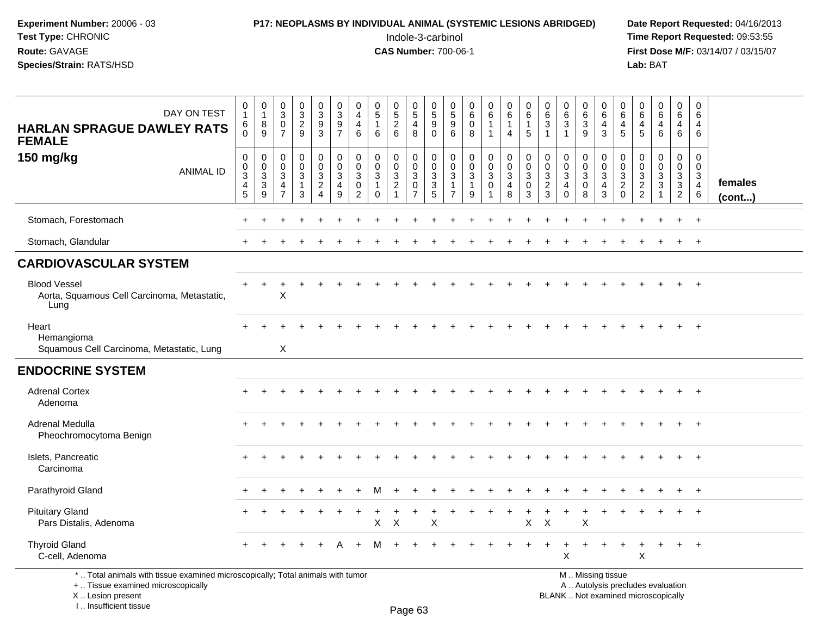# **P17: NEOPLASMS BY INDIVIDUAL ANIMAL (SYSTEMIC LESIONS ABRIDGED)** Date Report Requested: 04/16/2013<br>Indole-3-carbinol **Time Report Requested:** 09:53:55

 Indole-3-carbinol **Time Report Requested:** 09:53:55 **First Dose M/F:** 03/14/07 / 03/15/07<br>Lab: BAT **Lab:** BAT

| DAY ON TEST<br><b>HARLAN SPRAGUE DAWLEY RATS</b><br><b>FEMALE</b>                                                     | 0<br>$\mathbf{1}$<br>$^6_0$                        | $\begin{smallmatrix}0\\1\end{smallmatrix}$<br>$^8_9$ | $_{3}^{\rm 0}$<br>$\mathbf 0$<br>$\overline{7}$                                | $\frac{0}{2}$<br>9                                            | $\pmb{0}$<br>$\overline{3}$<br>$\frac{9}{3}$                     | 0<br>$\overline{3}$<br>$\frac{9}{7}$                               | 0<br>$\overline{4}$<br>4<br>$\,6\,$                              | $\begin{array}{c} 0 \\ 5 \end{array}$<br>$\mathbf{1}$<br>$6\phantom{1}$ | $\begin{smallmatrix}0\0\5\end{smallmatrix}$<br>$\overline{2}$<br>$6\phantom{a}$ | $\begin{array}{c} 0 \\ 5 \end{array}$<br>$\overline{4}$<br>8            | 0<br>$\overline{5}$<br>$\boldsymbol{9}$<br>$\mathbf 0$ | $\mathbf 0$<br>$\overline{5}$<br>$9\,$<br>6                                  | 0<br>$6\overline{6}$<br>$\mathbf 0$<br>8                                     | $\begin{array}{c} 0 \\ 6 \end{array}$<br>$\mathbf{1}$<br>$\mathbf 1$ | $\pmb{0}$<br>6<br>$\mathbf{1}$<br>$\overline{4}$            | $\begin{array}{c} 0 \\ 6 \end{array}$<br>1<br>$\overline{5}$         | $\begin{array}{c} 0 \\ 6 \end{array}$<br>$\sqrt{3}$<br>$\overline{1}$ | 0<br>$\,6\,$<br>$\mathbf{3}$<br>$\overline{1}$               | 0<br>6<br>$\mathbf 3$<br>$\boldsymbol{9}$      | 0<br>$\,6$<br>4<br>$\mathbf{3}$                                | 0<br>6<br>4<br>5                                             | 0<br>$\,6\,$<br>4<br>5                                         | $\begin{array}{c} 0 \\ 6 \end{array}$<br>4<br>$6\phantom{1}$              | $\mathbf 0$<br>$6\phantom{1}$<br>4<br>$6\phantom{1}6$                                 | 0<br>6<br>4<br>6                                                 |                   |
|-----------------------------------------------------------------------------------------------------------------------|----------------------------------------------------|------------------------------------------------------|--------------------------------------------------------------------------------|---------------------------------------------------------------|------------------------------------------------------------------|--------------------------------------------------------------------|------------------------------------------------------------------|-------------------------------------------------------------------------|---------------------------------------------------------------------------------|-------------------------------------------------------------------------|--------------------------------------------------------|------------------------------------------------------------------------------|------------------------------------------------------------------------------|----------------------------------------------------------------------|-------------------------------------------------------------|----------------------------------------------------------------------|-----------------------------------------------------------------------|--------------------------------------------------------------|------------------------------------------------|----------------------------------------------------------------|--------------------------------------------------------------|----------------------------------------------------------------|---------------------------------------------------------------------------|---------------------------------------------------------------------------------------|------------------------------------------------------------------|-------------------|
| 150 mg/kg<br><b>ANIMAL ID</b>                                                                                         | 0<br>$\frac{0}{3}$<br>$\overline{\mathbf{4}}$<br>5 | 0<br>$\frac{0}{3}$<br>$\overline{3}$<br>9            | $\mathbf 0$<br>$\mathbf 0$<br>$\mathbf{3}$<br>$\overline{4}$<br>$\overline{7}$ | $\mathbf 0$<br>$\mathbf 0$<br>$\sqrt{3}$<br>$\mathbf{1}$<br>3 | 0<br>$\pmb{0}$<br>$\sqrt{3}$<br>$\overline{2}$<br>$\overline{4}$ | $\mathbf 0$<br>$\overline{0}$<br>$\sqrt{3}$<br>$\overline{4}$<br>9 | $\mathbf 0$<br>$\mathbf 0$<br>3<br>$\mathbf 0$<br>$\overline{2}$ | $\mathbf 0$<br>$\mathbf 0$<br>$\mathbf{3}$<br>$\mathbf{1}$<br>$\Omega$  | 0<br>$\pmb{0}$<br>$\sqrt{3}$<br>$\overline{2}$                                  | 0<br>$\ddot{\mathbf{0}}$<br>$\sqrt{3}$<br>$\mathbf 0$<br>$\overline{7}$ | 0<br>$\mathbf 0$<br>$\sqrt{3}$<br>$\overline{3}$<br>5  | $\mathbf 0$<br>$\mathbf 0$<br>$\mathbf{3}$<br>$\mathbf{1}$<br>$\overline{7}$ | $\mathbf 0$<br>$\mathbf 0$<br>$\ensuremath{\mathsf{3}}$<br>$\mathbf{1}$<br>9 | 0<br>$\mathsf{O}\xspace$<br>$\sqrt{3}$<br>$\mathbf 0$                | $\mathbf 0$<br>$\ddot{\mathbf{0}}$<br>$\mathsf 3$<br>4<br>8 | $\mathbf 0$<br>$\ddot{\mathbf{0}}$<br>$\sqrt{3}$<br>$\mathbf 0$<br>3 | $\mathbf 0$<br>$\mathbf 0$<br>$\mathsf 3$<br>$\overline{2}$<br>3      | 0<br>$\mathbf 0$<br>$\sqrt{3}$<br>$\overline{4}$<br>$\Omega$ | 0<br>$\pmb{0}$<br>$\sqrt{3}$<br>$\pmb{0}$<br>8 | 0<br>$\mathsf 0$<br>$\sqrt{3}$<br>$\overline{\mathbf{4}}$<br>3 | 0<br>$\pmb{0}$<br>$\mathbf{3}$<br>$\overline{2}$<br>$\Omega$ | 0<br>$\mathbf 0$<br>$\ensuremath{\mathsf{3}}$<br>$\frac{2}{2}$ | $\mathbf 0$<br>$\mathbf 0$<br>$\ensuremath{\mathsf{3}}$<br>$\overline{3}$ | $\mathbf 0$<br>$\mathsf{O}\xspace$<br>$\mathsf 3$<br>$\overline{3}$<br>$\overline{2}$ | $\mathbf 0$<br>$\mathbf 0$<br>$\mathbf 3$<br>$\overline{4}$<br>6 | females<br>(cont) |
| Stomach, Forestomach                                                                                                  |                                                    |                                                      |                                                                                |                                                               |                                                                  |                                                                    |                                                                  |                                                                         |                                                                                 |                                                                         |                                                        |                                                                              |                                                                              |                                                                      |                                                             |                                                                      |                                                                       |                                                              |                                                |                                                                |                                                              |                                                                |                                                                           |                                                                                       | $+$                                                              |                   |
| Stomach, Glandular                                                                                                    |                                                    |                                                      |                                                                                |                                                               |                                                                  |                                                                    |                                                                  |                                                                         |                                                                                 |                                                                         |                                                        |                                                                              |                                                                              |                                                                      |                                                             |                                                                      |                                                                       |                                                              |                                                |                                                                |                                                              |                                                                |                                                                           | $\ddot{}$                                                                             | $+$                                                              |                   |
| <b>CARDIOVASCULAR SYSTEM</b>                                                                                          |                                                    |                                                      |                                                                                |                                                               |                                                                  |                                                                    |                                                                  |                                                                         |                                                                                 |                                                                         |                                                        |                                                                              |                                                                              |                                                                      |                                                             |                                                                      |                                                                       |                                                              |                                                |                                                                |                                                              |                                                                |                                                                           |                                                                                       |                                                                  |                   |
| <b>Blood Vessel</b><br>Aorta, Squamous Cell Carcinoma, Metastatic,<br>Lung                                            |                                                    |                                                      | X                                                                              |                                                               |                                                                  |                                                                    |                                                                  |                                                                         |                                                                                 |                                                                         |                                                        |                                                                              |                                                                              |                                                                      |                                                             |                                                                      |                                                                       |                                                              |                                                |                                                                |                                                              |                                                                |                                                                           | $\ddot{}$                                                                             | $+$                                                              |                   |
| Heart<br>Hemangioma<br>Squamous Cell Carcinoma, Metastatic, Lung                                                      |                                                    |                                                      | $\boldsymbol{\mathsf{X}}$                                                      |                                                               |                                                                  |                                                                    |                                                                  |                                                                         |                                                                                 |                                                                         |                                                        |                                                                              |                                                                              |                                                                      |                                                             |                                                                      |                                                                       |                                                              |                                                |                                                                |                                                              |                                                                |                                                                           |                                                                                       | $^{+}$                                                           |                   |
| <b>ENDOCRINE SYSTEM</b>                                                                                               |                                                    |                                                      |                                                                                |                                                               |                                                                  |                                                                    |                                                                  |                                                                         |                                                                                 |                                                                         |                                                        |                                                                              |                                                                              |                                                                      |                                                             |                                                                      |                                                                       |                                                              |                                                |                                                                |                                                              |                                                                |                                                                           |                                                                                       |                                                                  |                   |
| <b>Adrenal Cortex</b><br>Adenoma                                                                                      |                                                    |                                                      |                                                                                |                                                               |                                                                  |                                                                    |                                                                  |                                                                         |                                                                                 |                                                                         |                                                        |                                                                              |                                                                              |                                                                      |                                                             |                                                                      |                                                                       |                                                              |                                                |                                                                |                                                              |                                                                |                                                                           |                                                                                       | $+$                                                              |                   |
| Adrenal Medulla<br>Pheochromocytoma Benign                                                                            |                                                    |                                                      |                                                                                |                                                               |                                                                  |                                                                    |                                                                  |                                                                         |                                                                                 |                                                                         |                                                        |                                                                              |                                                                              |                                                                      |                                                             |                                                                      |                                                                       |                                                              |                                                |                                                                |                                                              |                                                                |                                                                           |                                                                                       | $^{+}$                                                           |                   |
| Islets, Pancreatic<br>Carcinoma                                                                                       |                                                    |                                                      |                                                                                |                                                               |                                                                  |                                                                    |                                                                  |                                                                         |                                                                                 |                                                                         |                                                        |                                                                              |                                                                              |                                                                      |                                                             |                                                                      |                                                                       |                                                              |                                                |                                                                |                                                              |                                                                |                                                                           |                                                                                       | $+$                                                              |                   |
| Parathyroid Gland                                                                                                     |                                                    |                                                      |                                                                                |                                                               |                                                                  |                                                                    |                                                                  | м                                                                       |                                                                                 |                                                                         |                                                        |                                                                              |                                                                              |                                                                      |                                                             |                                                                      |                                                                       |                                                              |                                                |                                                                |                                                              |                                                                |                                                                           |                                                                                       | $+$                                                              |                   |
| <b>Pituitary Gland</b><br>Pars Distalis, Adenoma                                                                      |                                                    |                                                      |                                                                                |                                                               |                                                                  |                                                                    |                                                                  | X                                                                       | X                                                                               |                                                                         | X                                                      |                                                                              |                                                                              |                                                                      |                                                             | $\mathsf{X}$                                                         | $\pmb{\times}$                                                        |                                                              | X                                              |                                                                |                                                              |                                                                |                                                                           |                                                                                       | $+$                                                              |                   |
| <b>Thyroid Gland</b><br>C-cell, Adenoma                                                                               |                                                    |                                                      |                                                                                |                                                               |                                                                  |                                                                    |                                                                  |                                                                         |                                                                                 |                                                                         |                                                        |                                                                              |                                                                              |                                                                      |                                                             |                                                                      |                                                                       | X                                                            |                                                |                                                                |                                                              | X                                                              |                                                                           |                                                                                       | $+$                                                              |                   |
| *  Total animals with tissue examined microscopically; Total animals with tumor<br>+  Tissue examined microscopically |                                                    |                                                      |                                                                                |                                                               |                                                                  |                                                                    |                                                                  |                                                                         |                                                                                 |                                                                         |                                                        |                                                                              |                                                                              |                                                                      |                                                             |                                                                      |                                                                       |                                                              |                                                | M  Missing tissue<br>A  Autolysis precludes evaluation         |                                                              |                                                                |                                                                           |                                                                                       |                                                                  |                   |

 Lesion present BLANK .. Not examined microscopicallyX .. Lesion present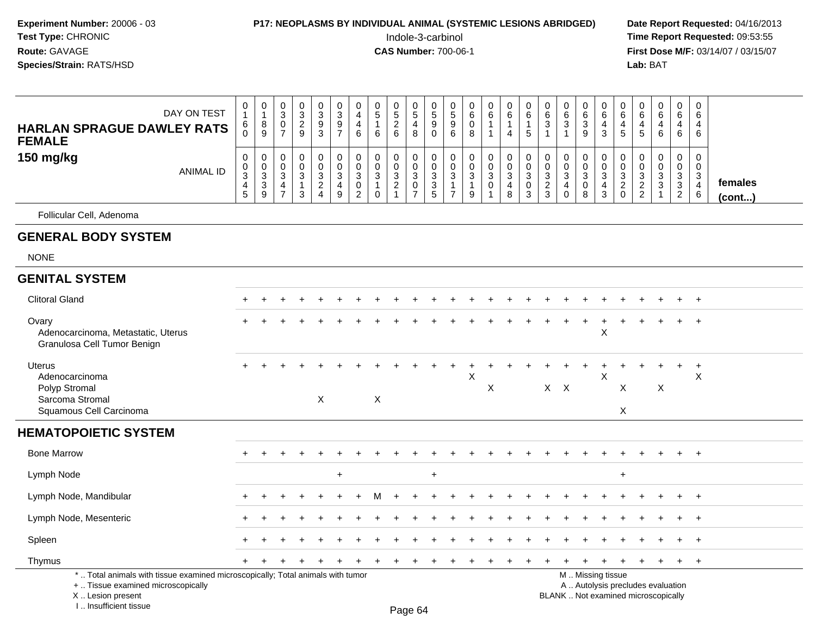#### **P17: NEOPLASMS BY INDIVIDUAL ANIMAL (SYSTEMIC LESIONS ABRIDGED)** Date Report Requested: 04/16/2013<br>Indole-3-carbinol **Time Report Requested:** 09:53:55

 Indole-3-carbinol **Time Report Requested:** 09:53:55 **First Dose M/F:** 03/14/07 / 03/15/07<br>**Lab:** BAT **Lab:** BAT

| 150 mg/kg<br>0<br>0<br>0<br>0<br>0<br>0<br>0<br>0<br>0<br>0<br>0<br>0<br>0<br>0<br>0<br>0<br>0<br>0<br>0<br>$\Omega$<br>0<br>0<br>0<br>0<br>0<br>U<br><b>ANIMAL ID</b><br>3<br>3<br>3<br>3<br>3<br>C<br>$\sim$<br>$\sim$<br>3<br>3<br>3<br>3<br>◠<br>$\sim$<br>3<br>3<br>$\sim$<br>◠<br>3<br>◠<br>3           |                         |
|---------------------------------------------------------------------------------------------------------------------------------------------------------------------------------------------------------------------------------------------------------------------------------------------------------------|-------------------------|
| చ<br>ు<br>ు<br>-3<br>J.<br><b>ت</b><br><b>ن</b><br>د.<br>دت<br>د<br>$\overline{2}$<br>$\sim$<br>$\overline{2}$<br>3<br>ົ<br>0<br>0<br>3<br>4<br>ు<br>4<br>4<br>4<br>4<br>ు<br>5<br>9<br>$\rightarrow$<br>8<br>3<br>$\sim$<br>9<br>n<br>$\mathbf 0$<br>$\overline{2}$<br>3<br>3<br>8<br>6<br>9<br>G<br>4<br>J. | females<br>$($ cont $)$ |

#### **GENERAL BODY SYSTEM**

NONE

| <b>GENITAL SYSTEM</b><br><b>Clitoral Gland</b><br>$+$<br>Ovary<br>÷<br>$+$<br>X<br>Adenocarcinoma, Metastatic, Uterus<br>Granulosa Cell Tumor Benign<br><b>Uterus</b><br>÷<br>$\overline{+}$<br>X<br>X<br>Adenocarcinoma<br>X<br>$X$ $X$<br>$\boldsymbol{\mathsf{X}}$<br>$\pmb{\times}$<br>$\mathsf{X}$<br>Polyp Stromal<br>$\boldsymbol{\mathsf{X}}$<br>X<br>Sarcoma Stromal<br>X<br>Squamous Cell Carcinoma<br><b>HEMATOPOIETIC SYSTEM</b><br><b>Bone Marrow</b><br>$+$<br>Lymph Node<br>$\ddot{}$<br>$+$<br>$\ddot{}$<br>Lymph Node, Mandibular<br>$+$<br>Lymph Node, Mesenteric<br>$+$<br>٠ |  |
|-------------------------------------------------------------------------------------------------------------------------------------------------------------------------------------------------------------------------------------------------------------------------------------------------------------------------------------------------------------------------------------------------------------------------------------------------------------------------------------------------------------------------------------------------------------------------------------------------|--|
|                                                                                                                                                                                                                                                                                                                                                                                                                                                                                                                                                                                                 |  |
|                                                                                                                                                                                                                                                                                                                                                                                                                                                                                                                                                                                                 |  |
|                                                                                                                                                                                                                                                                                                                                                                                                                                                                                                                                                                                                 |  |
|                                                                                                                                                                                                                                                                                                                                                                                                                                                                                                                                                                                                 |  |
|                                                                                                                                                                                                                                                                                                                                                                                                                                                                                                                                                                                                 |  |
|                                                                                                                                                                                                                                                                                                                                                                                                                                                                                                                                                                                                 |  |
|                                                                                                                                                                                                                                                                                                                                                                                                                                                                                                                                                                                                 |  |
|                                                                                                                                                                                                                                                                                                                                                                                                                                                                                                                                                                                                 |  |
|                                                                                                                                                                                                                                                                                                                                                                                                                                                                                                                                                                                                 |  |
| Spleen<br>÷<br>$+$                                                                                                                                                                                                                                                                                                                                                                                                                                                                                                                                                                              |  |
| Thymus<br>$+$ $+$                                                                                                                                                                                                                                                                                                                                                                                                                                                                                                                                                                               |  |
| *  Total animals with tissue examined microscopically; Total animals with tumor<br>M  Missing tissue<br>A  Autolysis precludes evaluation<br>+  Tissue examined microscopically<br>X  Lesion present<br>BLANK  Not examined microscopically<br>I Insufficient tissue<br>Dao A                                                                                                                                                                                                                                                                                                                   |  |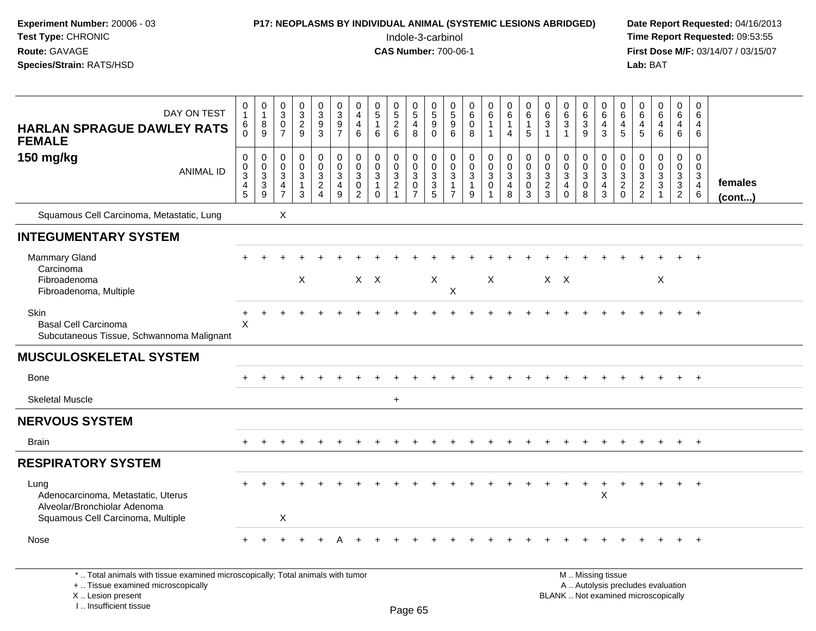| Experiment Number: 20006 - 03<br>Test Type: CHRONIC<br>Route: GAVAGE<br>Species/Strain: RATS/HSD                |                                                  |                                                                  |                                                            |                                                       | P17: NEOPLASMS BY INDIVIDUAL ANIMAL (SYSTEMIC LESIONS ABRIDGED)          |                                        |                                            |                                                            |                                                       | Indole-3-carbinol<br><b>CAS Number: 700-06-1</b>                            |                                                              |                                                                |                                                                          |                                                                       |                                                    |                                                  |                                                                   |                                                                |                                                                |                                                            |                                          | Lab: BAT                                   |                                                 |                                                                                  |                                                                    | Date Report Requested: 04/16/2013<br>Time Report Requested: 09:53:55<br>First Dose M/F: 03/14/07 / 03/15/07 |
|-----------------------------------------------------------------------------------------------------------------|--------------------------------------------------|------------------------------------------------------------------|------------------------------------------------------------|-------------------------------------------------------|--------------------------------------------------------------------------|----------------------------------------|--------------------------------------------|------------------------------------------------------------|-------------------------------------------------------|-----------------------------------------------------------------------------|--------------------------------------------------------------|----------------------------------------------------------------|--------------------------------------------------------------------------|-----------------------------------------------------------------------|----------------------------------------------------|--------------------------------------------------|-------------------------------------------------------------------|----------------------------------------------------------------|----------------------------------------------------------------|------------------------------------------------------------|------------------------------------------|--------------------------------------------|-------------------------------------------------|----------------------------------------------------------------------------------|--------------------------------------------------------------------|-------------------------------------------------------------------------------------------------------------|
| DAY ON TEST<br><b>HARLAN SPRAGUE DAWLEY RATS</b><br><b>FEMALE</b>                                               | 0<br>$\mathbf{1}$<br>6                           | $\begin{smallmatrix}0\\1\end{smallmatrix}$<br>$\,8\,$<br>9       | $\frac{0}{3}$<br>$\frac{0}{7}$                             | $\begin{array}{c} 0 \\ 3 \\ 2 \\ 9 \end{array}$       | $\begin{smallmatrix} 0\\ 3 \end{smallmatrix}$<br>$\frac{9}{3}$           | 0<br>$\mathbf{3}$<br>$\frac{9}{7}$     | 0<br>$\overline{4}$<br>$\overline{4}$<br>6 | $\begin{array}{c} 0 \\ 5 \end{array}$<br>$\mathbf{1}$<br>6 | $\begin{matrix} 0 \\ 5 \end{matrix}$<br>$\frac{2}{6}$ | 0<br>$\overline{5}$<br>4<br>8                                               | 0<br>$\sqrt{5}$<br>9<br>$\Omega$                             | $\frac{0}{5}$<br>$\boldsymbol{9}$<br>6                         | $\begin{matrix} 0 \\ 6 \end{matrix}$<br>$\overline{0}$<br>$\overline{8}$ | $\begin{array}{c} 0 \\ 6 \end{array}$<br>$\mathbf{1}$<br>$\mathbf{1}$ | 0<br>6<br>$\mathbf{1}$<br>$\overline{4}$           | 0<br>6<br>$\mathbf{1}$<br>5                      | 0<br>6<br>3<br>$\mathbf{1}$                                       | 0<br>$\frac{6}{3}$<br>$\mathbf{1}$                             | 0<br>$\tilde{6}$<br>$\overline{3}$<br>9                        | 0<br>6<br>$\overline{4}$<br>3                              | 0<br>6<br>$\overline{4}$<br>5            | $\overline{0}$<br>6<br>$\overline{4}$<br>5 | $_{6}^{\rm 0}$<br>$\overline{4}$<br>6           | 0<br>$6\phantom{1}$<br>$\overline{4}$<br>$6\overline{6}$                         | 0<br>6<br>$\overline{4}$<br>6                                      |                                                                                                             |
| 150 mg/kg<br><b>ANIMAL ID</b>                                                                                   | $\mathbf 0$<br>$\mathbf 0$<br>3<br>$\frac{4}{5}$ | $\mathbf 0$<br>$\overline{0}$<br>$\overline{3}$<br>$\frac{3}{9}$ | $\mathbf{0}$<br>$\mathbf 0$<br>$\sqrt{3}$<br>$\frac{4}{7}$ | 0<br>$\mathbf 0$<br>$\mathbf{3}$<br>$\mathbf{1}$<br>3 | $\mathbf 0$<br>$\mathbf 0$<br>$\sqrt{3}$<br>$\sqrt{2}$<br>$\overline{4}$ | $\mathbf 0$<br>$\Omega$<br>3<br>4<br>9 | $\Omega$<br>$\Omega$<br>3<br>0<br>2        | 0<br>$\Omega$<br>3<br>$\mathbf{1}$<br>$\Omega$             | 0<br>$\mathbf 0$<br>$\overline{3}$<br>$\frac{2}{1}$   | $\Omega$<br>$\mathbf 0$<br>$\ensuremath{\mathsf{3}}$<br>0<br>$\overline{7}$ | $\mathbf 0$<br>$\Omega$<br>3<br>$\sqrt{3}$<br>$\overline{5}$ | $\mathbf 0$<br>$\Omega$<br>3<br>$\mathbf{1}$<br>$\overline{7}$ | 0<br>$\overline{0}$<br>$\overline{3}$<br>$\mathbf{1}$<br>$\overline{9}$  | $\pmb{0}$<br>$\mathbf 0$<br>$\overline{3}$<br>$\mathbf 0$             | $\mathbf 0$<br>$\mathbf 0$<br>$\sqrt{3}$<br>4<br>8 | $\mathbf 0$<br>$\Omega$<br>3<br>$\mathbf 0$<br>3 | $\mathbf 0$<br>$\mathbf 0$<br>$\mathbf{3}$<br>$\overline{c}$<br>3 | $\Omega$<br>$\mathbf 0$<br>3<br>$\overline{4}$<br>$\mathbf{0}$ | 0<br>$\mathsf{O}\xspace$<br>$\overline{3}$<br>$\mathbf 0$<br>8 | $\Omega$<br>$\mathbf 0$<br>$\sqrt{3}$<br>4<br>$\mathbf{3}$ | $\mathbf 0$<br>$\Omega$<br>3<br>$^2_{0}$ | $\Omega$<br>$\Omega$<br>3<br>$\frac{2}{2}$ | $\mathbf 0$<br>$\mathbf 0$<br>3<br>$\mathbf{3}$ | $\mathbf 0$<br>$\mathbf 0$<br>$\overline{3}$<br>3 <sup>1</sup><br>$\overline{2}$ | $\mathbf{0}$<br>$\mathbf 0$<br>$\mathbf{3}$<br>$\overline{4}$<br>6 | females<br>$($ cont $)$                                                                                     |
| Squamous Cell Carcinoma, Metastatic, Lung                                                                       |                                                  |                                                                  | X                                                          |                                                       |                                                                          |                                        |                                            |                                                            |                                                       |                                                                             |                                                              |                                                                |                                                                          |                                                                       |                                                    |                                                  |                                                                   |                                                                |                                                                |                                                            |                                          |                                            |                                                 |                                                                                  |                                                                    |                                                                                                             |
| <b>INTEGUMENTARY SYSTEM</b>                                                                                     |                                                  |                                                                  |                                                            |                                                       |                                                                          |                                        |                                            |                                                            |                                                       |                                                                             |                                                              |                                                                |                                                                          |                                                                       |                                                    |                                                  |                                                                   |                                                                |                                                                |                                                            |                                          |                                            |                                                 |                                                                                  |                                                                    |                                                                                                             |
| Mammary Gland<br>Carcinoma<br>Fibroadenoma<br>Fibroadenoma, Multiple                                            |                                                  |                                                                  |                                                            | X                                                     |                                                                          |                                        | $X$ $X$                                    |                                                            |                                                       |                                                                             | X                                                            | $\boldsymbol{X}$                                               |                                                                          | $\boldsymbol{X}$                                                      |                                                    |                                                  | $X$ $X$                                                           |                                                                |                                                                |                                                            |                                          |                                            | X                                               |                                                                                  |                                                                    |                                                                                                             |
| Skin<br><b>Basal Cell Carcinoma</b><br>Subcutaneous Tissue, Schwannoma Malignant                                | $\ddot{}$<br>X                                   |                                                                  |                                                            |                                                       |                                                                          |                                        |                                            |                                                            |                                                       |                                                                             |                                                              |                                                                |                                                                          |                                                                       |                                                    |                                                  |                                                                   |                                                                |                                                                |                                                            |                                          |                                            |                                                 |                                                                                  | $+$                                                                |                                                                                                             |
| <b>MUSCULOSKELETAL SYSTEM</b>                                                                                   |                                                  |                                                                  |                                                            |                                                       |                                                                          |                                        |                                            |                                                            |                                                       |                                                                             |                                                              |                                                                |                                                                          |                                                                       |                                                    |                                                  |                                                                   |                                                                |                                                                |                                                            |                                          |                                            |                                                 |                                                                                  |                                                                    |                                                                                                             |
| <b>Bone</b>                                                                                                     |                                                  |                                                                  |                                                            |                                                       |                                                                          |                                        |                                            |                                                            |                                                       |                                                                             |                                                              |                                                                |                                                                          |                                                                       |                                                    |                                                  |                                                                   |                                                                |                                                                |                                                            |                                          |                                            |                                                 |                                                                                  | $+$                                                                |                                                                                                             |
| <b>Skeletal Muscle</b>                                                                                          |                                                  |                                                                  |                                                            |                                                       |                                                                          |                                        |                                            |                                                            | $\ddot{}$                                             |                                                                             |                                                              |                                                                |                                                                          |                                                                       |                                                    |                                                  |                                                                   |                                                                |                                                                |                                                            |                                          |                                            |                                                 |                                                                                  |                                                                    |                                                                                                             |
| <b>NERVOUS SYSTEM</b>                                                                                           |                                                  |                                                                  |                                                            |                                                       |                                                                          |                                        |                                            |                                                            |                                                       |                                                                             |                                                              |                                                                |                                                                          |                                                                       |                                                    |                                                  |                                                                   |                                                                |                                                                |                                                            |                                          |                                            |                                                 |                                                                                  |                                                                    |                                                                                                             |
| <b>Brain</b>                                                                                                    | $+$                                              |                                                                  |                                                            |                                                       |                                                                          |                                        |                                            |                                                            |                                                       |                                                                             |                                                              |                                                                |                                                                          |                                                                       |                                                    |                                                  |                                                                   |                                                                |                                                                |                                                            |                                          |                                            |                                                 | $+$                                                                              | $+$                                                                |                                                                                                             |
| <b>RESPIRATORY SYSTEM</b>                                                                                       |                                                  |                                                                  |                                                            |                                                       |                                                                          |                                        |                                            |                                                            |                                                       |                                                                             |                                                              |                                                                |                                                                          |                                                                       |                                                    |                                                  |                                                                   |                                                                |                                                                |                                                            |                                          |                                            |                                                 |                                                                                  |                                                                    |                                                                                                             |
| Lung<br>Adenocarcinoma, Metastatic, Uterus<br>Alveolar/Bronchiolar Adenoma<br>Squamous Cell Carcinoma, Multiple |                                                  |                                                                  | Χ                                                          |                                                       |                                                                          |                                        |                                            |                                                            |                                                       |                                                                             |                                                              |                                                                |                                                                          |                                                                       |                                                    |                                                  |                                                                   |                                                                | $\ddot{}$                                                      | $\ddot{}$<br>X                                             | $\ddot{}$                                |                                            | $\ddot{}$                                       | $+$                                                                              | $+$                                                                |                                                                                                             |

Nose $e$  +

\* .. Total animals with tissue examined microscopically; Total animals with tumor

<sup>+</sup> <sup>+</sup> <sup>+</sup> <sup>+</sup> <sup>A</sup>

+ .. Tissue examined microscopically

X .. Lesion present

I .. Insufficient tissue

 M .. Missing tissue A .. Autolysis precludes evaluationLesion present BLANK .. Not examined microscopically

<sup>+</sup> <sup>+</sup> <sup>+</sup> <sup>+</sup> <sup>+</sup> <sup>+</sup> <sup>+</sup> <sup>+</sup> <sup>+</sup> <sup>+</sup> <sup>+</sup> <sup>+</sup> <sup>+</sup> <sup>+</sup> <sup>+</sup> <sup>+</sup> <sup>+</sup> <sup>+</sup> <sup>+</sup>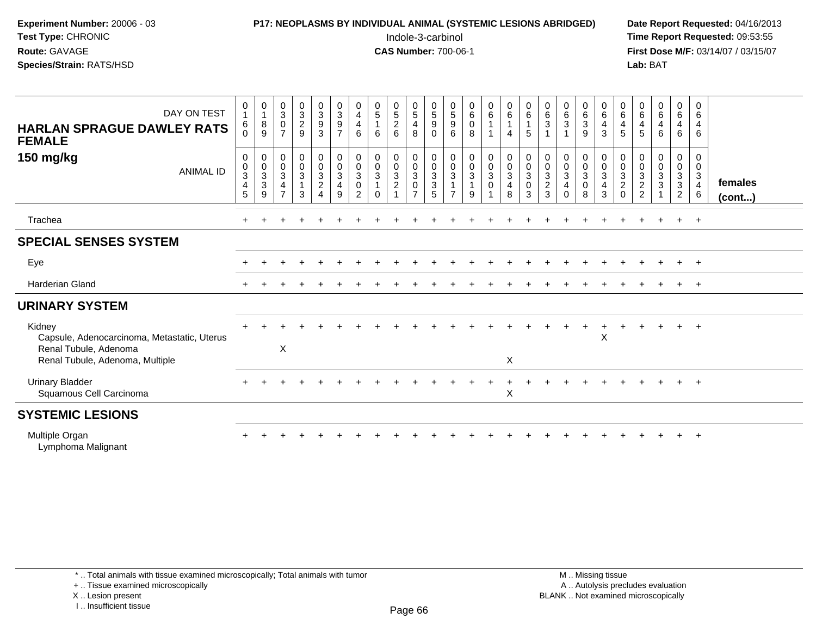# **P17: NEOPLASMS BY INDIVIDUAL ANIMAL (SYSTEMIC LESIONS ABRIDGED)** Date Report Requested: 04/16/2013<br>Indole-3-carbinol **Time Report Requested:** 09:53:55

 Indole-3-carbinol **Time Report Requested:** 09:53:55 **First Dose M/F:** 03/14/07 / 03/15/07<br>**Lab:** BAT **Lab:** BAT

| DAY ON TEST<br><b>HARLAN SPRAGUE DAWLEY RATS</b><br><b>FEMALE</b>                                                 | 0<br>$\mathbf{1}$<br>6<br>0                   | $\begin{smallmatrix}0\\1\end{smallmatrix}$<br>$^8_9$ | $\begin{array}{c} 0 \\ 3 \\ 0 \\ 7 \end{array}$                                     | $\begin{array}{c} 0 \\ 3 \\ 2 \\ 9 \end{array}$                      | $\begin{smallmatrix}0\\3\\9\end{smallmatrix}$<br>$\mathbf{3}$                     | $_{3}^{\rm 0}$<br>$\boldsymbol{9}$<br>$\overline{7}$            | 0<br>$\overline{\mathbf{4}}$<br>$\overline{4}$<br>6         | $\begin{smallmatrix}0\0\5\end{smallmatrix}$<br>$\mathbf{1}$<br>6 | $0$<br>5<br>2<br>6 | $\begin{array}{c} 0 \\ 5 \end{array}$<br>$\overline{4}$<br>8  | $\begin{array}{c} 0 \\ 5 \end{array}$<br>$\boldsymbol{9}$<br>$\mathbf 0$ | $\begin{array}{c} 0 \\ 5 \\ 9 \end{array}$<br>$6\phantom{1}$     | $\begin{matrix} 0 \\ 6 \\ 0 \end{matrix}$<br>8                       | $\begin{matrix} 0 \\ 6 \end{matrix}$<br>$\mathbf{1}$   | $\begin{array}{c} 0 \\ 6 \end{array}$<br>$\mathbf{1}$<br>$\overline{4}$                | $\boldsymbol{0}$<br>$\,6\,$<br>$\mathbf{1}$<br>5                        | $\mathbf 0$<br>$\frac{6}{3}$<br>$\overline{1}$   | $\begin{array}{c} 0 \\ 6 \\ 3 \end{array}$ | $\begin{array}{c} 0 \\ 6 \\ 3 \\ 9 \end{array}$     | $\begin{array}{c} 0 \\ 6 \end{array}$<br>$\overline{4}$<br>3 | $\begin{array}{c} 0 \\ 6 \end{array}$<br>$\overline{4}$<br>5 | $\begin{array}{c} 0 \\ 6 \end{array}$<br>$\frac{4}{5}$ | $_6^0$<br>$\overline{4}$<br>6                              | $\mathbf 0$<br>$\overline{6}$<br>$\overline{4}$<br>6 | 0<br>6<br>4<br>6                                          |                   |
|-------------------------------------------------------------------------------------------------------------------|-----------------------------------------------|------------------------------------------------------|-------------------------------------------------------------------------------------|----------------------------------------------------------------------|-----------------------------------------------------------------------------------|-----------------------------------------------------------------|-------------------------------------------------------------|------------------------------------------------------------------|--------------------|---------------------------------------------------------------|--------------------------------------------------------------------------|------------------------------------------------------------------|----------------------------------------------------------------------|--------------------------------------------------------|----------------------------------------------------------------------------------------|-------------------------------------------------------------------------|--------------------------------------------------|--------------------------------------------|-----------------------------------------------------|--------------------------------------------------------------|--------------------------------------------------------------|--------------------------------------------------------|------------------------------------------------------------|------------------------------------------------------|-----------------------------------------------------------|-------------------|
| 150 mg/kg<br><b>ANIMAL ID</b>                                                                                     | 0<br>0<br>$\ensuremath{\mathsf{3}}$<br>4<br>5 | 0<br>$\begin{matrix} 0 \\ 3 \\ 3 \end{matrix}$<br>9  | $\begin{smallmatrix} 0\\0\\3 \end{smallmatrix}$<br>$\overline{4}$<br>$\overline{z}$ | $\begin{smallmatrix} 0\\0\\3 \end{smallmatrix}$<br>$\mathbf{1}$<br>3 | $\begin{smallmatrix}0\\0\\3\end{smallmatrix}$<br>$\overline{c}$<br>$\overline{4}$ | $\mathbf 0$<br>$\pmb{0}$<br>$\mathbf{3}$<br>$\overline{4}$<br>9 | $\mathbf 0$<br>$\frac{0}{3}$<br>$\pmb{0}$<br>$\overline{2}$ | $\pmb{0}$<br>$\frac{0}{3}$<br>$\Omega$                           | 00321              | $\mathbf 0$<br>$\frac{0}{3}$<br>$\mathbf 0$<br>$\overline{7}$ | 0<br>$\pmb{0}$<br>$\sqrt{3}$<br>3<br>5                                   | $\begin{matrix} 0 \\ 0 \\ 3 \\ 1 \end{matrix}$<br>$\overline{7}$ | $\begin{smallmatrix} 0\\0\\3 \end{smallmatrix}$<br>$\mathbf{1}$<br>9 | $\begin{matrix} 0 \\ 0 \\ 3 \end{matrix}$<br>$\pmb{0}$ | $\begin{smallmatrix}0\\0\\3\end{smallmatrix}$<br>$\begin{array}{c} 4 \\ 8 \end{array}$ | $\mathbf 0$<br>$\pmb{0}$<br>$\ensuremath{\mathsf{3}}$<br>$\pmb{0}$<br>3 | $\mathbf 0$<br>$\frac{0}{3}$<br>$\mathbf 2$<br>3 | 0<br>$\frac{0}{3}$<br>4<br>$\Omega$        | $\begin{matrix} 0 \\ 0 \\ 3 \\ 0 \end{matrix}$<br>8 | 0<br>$\frac{0}{3}$<br>$\overline{4}$<br>$\mathbf{3}$         | 0<br>$\begin{array}{c} 0 \\ 3 \\ 2 \\ 0 \end{array}$         | 0<br>$\begin{array}{c} 0 \\ 3 \\ 2 \\ 2 \end{array}$   | $\overline{0}$<br>$\mathsf{O}\xspace$<br>$\mathbf{3}$<br>3 | $\mathbf 0$<br>$\frac{0}{3}$<br>$\overline{2}$       | 0<br>$\pmb{0}$<br>$\mathbf{3}$<br>$\overline{4}$<br>$\,6$ | females<br>(cont) |
| Trachea                                                                                                           | $\ddot{}$                                     |                                                      |                                                                                     |                                                                      |                                                                                   |                                                                 |                                                             |                                                                  |                    |                                                               |                                                                          |                                                                  |                                                                      |                                                        |                                                                                        |                                                                         |                                                  |                                            |                                                     |                                                              |                                                              |                                                        |                                                            | $+$                                                  | $+$                                                       |                   |
| <b>SPECIAL SENSES SYSTEM</b>                                                                                      |                                               |                                                      |                                                                                     |                                                                      |                                                                                   |                                                                 |                                                             |                                                                  |                    |                                                               |                                                                          |                                                                  |                                                                      |                                                        |                                                                                        |                                                                         |                                                  |                                            |                                                     |                                                              |                                                              |                                                        |                                                            |                                                      |                                                           |                   |
| Eye                                                                                                               |                                               |                                                      |                                                                                     |                                                                      |                                                                                   |                                                                 |                                                             |                                                                  |                    |                                                               |                                                                          |                                                                  |                                                                      |                                                        |                                                                                        |                                                                         |                                                  |                                            |                                                     |                                                              |                                                              |                                                        |                                                            | $+$                                                  | $+$                                                       |                   |
| Harderian Gland                                                                                                   |                                               |                                                      |                                                                                     |                                                                      |                                                                                   |                                                                 |                                                             |                                                                  |                    |                                                               |                                                                          |                                                                  |                                                                      |                                                        |                                                                                        |                                                                         |                                                  |                                            |                                                     |                                                              |                                                              |                                                        |                                                            |                                                      | $+$                                                       |                   |
| <b>URINARY SYSTEM</b>                                                                                             |                                               |                                                      |                                                                                     |                                                                      |                                                                                   |                                                                 |                                                             |                                                                  |                    |                                                               |                                                                          |                                                                  |                                                                      |                                                        |                                                                                        |                                                                         |                                                  |                                            |                                                     |                                                              |                                                              |                                                        |                                                            |                                                      |                                                           |                   |
| Kidney<br>Capsule, Adenocarcinoma, Metastatic, Uterus<br>Renal Tubule, Adenoma<br>Renal Tubule, Adenoma, Multiple |                                               |                                                      | $\boldsymbol{\mathsf{X}}$                                                           |                                                                      |                                                                                   |                                                                 |                                                             |                                                                  |                    |                                                               |                                                                          |                                                                  |                                                                      |                                                        | X                                                                                      |                                                                         |                                                  |                                            |                                                     | $\times$                                                     |                                                              |                                                        |                                                            |                                                      | $+$                                                       |                   |
| <b>Urinary Bladder</b><br>Squamous Cell Carcinoma                                                                 |                                               |                                                      |                                                                                     |                                                                      |                                                                                   |                                                                 |                                                             |                                                                  |                    |                                                               |                                                                          |                                                                  |                                                                      |                                                        | $\boldsymbol{\mathsf{X}}$                                                              |                                                                         |                                                  |                                            |                                                     |                                                              |                                                              |                                                        |                                                            |                                                      | $+$                                                       |                   |
| <b>SYSTEMIC LESIONS</b>                                                                                           |                                               |                                                      |                                                                                     |                                                                      |                                                                                   |                                                                 |                                                             |                                                                  |                    |                                                               |                                                                          |                                                                  |                                                                      |                                                        |                                                                                        |                                                                         |                                                  |                                            |                                                     |                                                              |                                                              |                                                        |                                                            |                                                      |                                                           |                   |
| Multiple Organ                                                                                                    |                                               |                                                      |                                                                                     |                                                                      |                                                                                   |                                                                 |                                                             |                                                                  |                    |                                                               |                                                                          |                                                                  |                                                                      |                                                        |                                                                                        |                                                                         |                                                  |                                            |                                                     |                                                              |                                                              |                                                        |                                                            |                                                      | $\cdot$                                                   |                   |

Lymphoma Malignant

\* .. Total animals with tissue examined microscopically; Total animals with tumor

+ .. Tissue examined microscopically

X .. Lesion present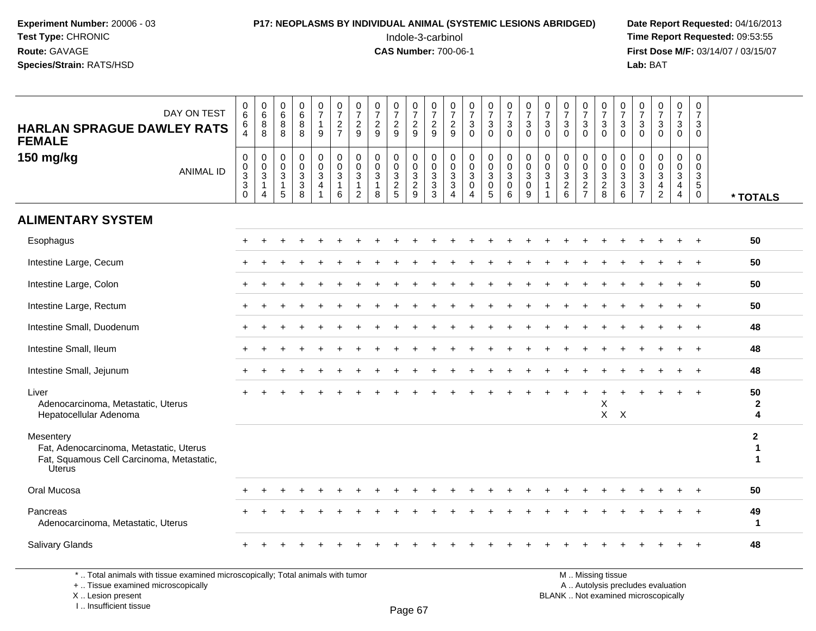#### **P17: NEOPLASMS BY INDIVIDUAL ANIMAL (SYSTEMIC LESIONS ABRIDGED)** Date Report Requested: 04/16/2013<br>Indole-3-carbinol **Time Report Requested:** 09:53:55

 Indole-3-carbinol **Time Report Requested:** 09:53:55 **First Dose M/F:** 03/14/07 / 03/15/07<br>**Lab:** BAT **Lab:** BAT

| DAY ON TEST<br><b>HARLAN SPRAGUE DAWLEY RATS</b><br><b>FEMALE</b>                                           | $_{6}^{\rm 0}$<br>6<br>$\overline{4}$                                   | $\begin{array}{c} 0 \\ 6 \end{array}$<br>$\overline{8}$<br>$\overline{8}$ | $\begin{array}{c} 0 \\ 6 \end{array}$<br>8<br>8                | $\begin{array}{c} 0 \\ 6 \end{array}$<br>$\overline{8}$<br>8 | $\frac{0}{7}$<br>$\overline{1}$<br>9 | $\begin{array}{c} 0 \\ 7 \end{array}$<br>$\overline{2}$<br>$\overline{7}$ | $\frac{0}{7}$<br>$\boldsymbol{2}$<br>9             | $\frac{0}{7}$<br>$\frac{2}{9}$                               | $\begin{array}{c} 0 \\ 7 \end{array}$<br>$\frac{2}{9}$                 | $\begin{array}{c} 0 \\ 7 \end{array}$<br>$\frac{2}{9}$ | $\frac{0}{7}$<br>$\overline{2}$<br>9                                     | $\frac{0}{7}$<br>$\overline{2}$<br>9                             | $\frac{0}{7}$<br>$\mathbf 3$<br>$\overline{0}$            | $\frac{0}{7}$<br>3<br>$\overline{0}$ | $\frac{0}{7}$<br>$\mathbf{3}$<br>$\mathbf 0$                            | $\frac{0}{7}$<br>$\mathbf{3}$<br>$\mathbf 0$                    | $\frac{0}{7}$<br>3<br>$\Omega$  | $\frac{0}{7}$<br>$\mathbf 3$<br>$\Omega$                    | $\frac{0}{7}$<br>$\mathbf{3}$<br>$\Omega$ | $\frac{0}{7}$<br>$\mathbf{3}$<br>$\mathbf 0$                 | $\begin{array}{c} 0 \\ 7 \end{array}$<br>$\mathsf 3$<br>$\Omega$ | $\frac{0}{7}$<br>3<br>$\Omega$                                                          | $\begin{array}{c} 0 \\ 7 \end{array}$<br>$\sqrt{3}$<br>$\Omega$              | $\begin{smallmatrix}0\\7\end{smallmatrix}$<br>$\mathbf{3}$<br>$\mathbf 0$    | $\boldsymbol{0}$<br>$\overline{7}$<br>3<br>$\mathbf 0$                       |                                   |
|-------------------------------------------------------------------------------------------------------------|-------------------------------------------------------------------------|---------------------------------------------------------------------------|----------------------------------------------------------------|--------------------------------------------------------------|--------------------------------------|---------------------------------------------------------------------------|----------------------------------------------------|--------------------------------------------------------------|------------------------------------------------------------------------|--------------------------------------------------------|--------------------------------------------------------------------------|------------------------------------------------------------------|-----------------------------------------------------------|--------------------------------------|-------------------------------------------------------------------------|-----------------------------------------------------------------|---------------------------------|-------------------------------------------------------------|-------------------------------------------|--------------------------------------------------------------|------------------------------------------------------------------|-----------------------------------------------------------------------------------------|------------------------------------------------------------------------------|------------------------------------------------------------------------------|------------------------------------------------------------------------------|-----------------------------------|
| 150 mg/kg<br><b>ANIMAL ID</b>                                                                               | $\pmb{0}$<br>$_{3}^{\rm 0}$<br>$\ensuremath{\mathsf{3}}$<br>$\mathbf 0$ | $\pmb{0}$<br>$\pmb{0}$<br>3<br>$\mathbf{1}$<br>$\overline{4}$             | $\mathbf 0$<br>$\mathbf 0$<br>$\mathbf{3}$<br>$\mathbf 1$<br>5 | $\pmb{0}$<br>$_{3}^{\rm 0}$<br>$\sqrt{3}$<br>$\overline{8}$  | $\mathbf 0$<br>$\pmb{0}$<br>3<br>4   | $\boldsymbol{0}$<br>$\mathbf 0$<br>$\mathbf{3}$<br>$\mathbf{1}$<br>6      | $\pmb{0}$<br>$\mathbf 0$<br>$\mathbf{3}$<br>1<br>2 | $\Omega$<br>$\mathbf 0$<br>$\mathbf{3}$<br>$\mathbf{1}$<br>8 | $\mathbf 0$<br>$\pmb{0}$<br>$\ensuremath{\mathsf{3}}$<br>$\frac{2}{5}$ | $\mathbf 0$<br>$\mathsf{O}\xspace$<br>$\frac{3}{2}$    | $\pmb{0}$<br>$\mathbf 0$<br>$\sqrt{3}$<br>$\mathbf{3}$<br>$\overline{3}$ | $\mathbf 0$<br>$\mathbf 0$<br>$\mathsf 3$<br>3<br>$\overline{4}$ | $\mathbf 0$<br>$\pmb{0}$<br>$\mathbf 3$<br>$\pmb{0}$<br>4 | 0<br>$\mathbf 0$<br>3<br>0<br>5      | $\mathbf 0$<br>$\pmb{0}$<br>$\mathbf{3}$<br>$\pmb{0}$<br>$6\phantom{1}$ | $\begin{smallmatrix}0\\0\\3\end{smallmatrix}$<br>$\pmb{0}$<br>9 | $\mathbf 0$<br>$\mathbf 0$<br>3 | $\mathbf 0$<br>$\mathbf 0$<br>$\mathbf{3}$<br>$\frac{2}{6}$ | 0<br>0<br>$\mathbf 3$<br>$\frac{2}{7}$    | $\pmb{0}$<br>$\begin{array}{c} 0 \\ 3 \\ 2 \\ 8 \end{array}$ | $\pmb{0}$<br>$\pmb{0}$<br>$\frac{3}{3}$<br>6                     | $\mathbf 0$<br>$\mathbf 0$<br>$\sqrt{3}$<br>$\ensuremath{\mathsf{3}}$<br>$\overline{7}$ | $\mathbf 0$<br>$\mathbf 0$<br>$\sqrt{3}$<br>$\overline{4}$<br>$\overline{2}$ | $\pmb{0}$<br>$\mathbf 0$<br>$\mathbf{3}$<br>$\overline{4}$<br>$\overline{4}$ | $\mathbf 0$<br>$\mathbf 0$<br>$\mathbf{3}$<br>$5\phantom{.0}$<br>$\mathbf 0$ | * TOTALS                          |
| <b>ALIMENTARY SYSTEM</b>                                                                                    |                                                                         |                                                                           |                                                                |                                                              |                                      |                                                                           |                                                    |                                                              |                                                                        |                                                        |                                                                          |                                                                  |                                                           |                                      |                                                                         |                                                                 |                                 |                                                             |                                           |                                                              |                                                                  |                                                                                         |                                                                              |                                                                              |                                                                              |                                   |
| Esophagus                                                                                                   |                                                                         |                                                                           |                                                                |                                                              |                                      |                                                                           |                                                    |                                                              |                                                                        |                                                        |                                                                          |                                                                  |                                                           |                                      |                                                                         |                                                                 |                                 |                                                             |                                           |                                                              |                                                                  |                                                                                         |                                                                              |                                                                              |                                                                              | 50                                |
| Intestine Large, Cecum                                                                                      |                                                                         |                                                                           |                                                                |                                                              |                                      |                                                                           |                                                    |                                                              |                                                                        |                                                        |                                                                          |                                                                  |                                                           |                                      |                                                                         |                                                                 |                                 |                                                             |                                           |                                                              |                                                                  |                                                                                         |                                                                              |                                                                              |                                                                              | 50                                |
| Intestine Large, Colon                                                                                      |                                                                         |                                                                           |                                                                |                                                              |                                      |                                                                           |                                                    |                                                              |                                                                        |                                                        |                                                                          |                                                                  |                                                           |                                      |                                                                         |                                                                 |                                 |                                                             |                                           |                                                              |                                                                  |                                                                                         |                                                                              |                                                                              |                                                                              | 50                                |
| Intestine Large, Rectum                                                                                     |                                                                         |                                                                           |                                                                |                                                              |                                      |                                                                           |                                                    |                                                              |                                                                        |                                                        |                                                                          |                                                                  |                                                           |                                      |                                                                         |                                                                 |                                 |                                                             |                                           |                                                              |                                                                  |                                                                                         |                                                                              |                                                                              |                                                                              | 50                                |
| Intestine Small, Duodenum                                                                                   |                                                                         |                                                                           |                                                                |                                                              |                                      |                                                                           |                                                    |                                                              |                                                                        |                                                        |                                                                          |                                                                  |                                                           |                                      |                                                                         |                                                                 |                                 |                                                             |                                           |                                                              |                                                                  |                                                                                         |                                                                              |                                                                              |                                                                              | 48                                |
| Intestine Small, Ileum                                                                                      |                                                                         |                                                                           |                                                                |                                                              |                                      |                                                                           |                                                    |                                                              |                                                                        |                                                        |                                                                          |                                                                  |                                                           |                                      |                                                                         |                                                                 |                                 |                                                             |                                           |                                                              |                                                                  |                                                                                         |                                                                              |                                                                              | $\overline{1}$                                                               | 48                                |
| Intestine Small, Jejunum                                                                                    |                                                                         |                                                                           |                                                                |                                                              |                                      |                                                                           |                                                    |                                                              |                                                                        |                                                        |                                                                          |                                                                  |                                                           |                                      |                                                                         |                                                                 |                                 |                                                             |                                           |                                                              |                                                                  |                                                                                         |                                                                              |                                                                              |                                                                              | 48                                |
| Liver<br>Adenocarcinoma, Metastatic, Uterus<br>Hepatocellular Adenoma                                       |                                                                         |                                                                           |                                                                |                                                              |                                      |                                                                           |                                                    |                                                              |                                                                        |                                                        |                                                                          |                                                                  |                                                           |                                      |                                                                         |                                                                 |                                 |                                                             |                                           | $\mathsf X$<br>$X$ $X$                                       |                                                                  |                                                                                         |                                                                              |                                                                              |                                                                              | 50<br>$\mathbf{2}$<br>4           |
| Mesentery<br>Fat, Adenocarcinoma, Metastatic, Uterus<br>Fat, Squamous Cell Carcinoma, Metastatic,<br>Uterus |                                                                         |                                                                           |                                                                |                                                              |                                      |                                                                           |                                                    |                                                              |                                                                        |                                                        |                                                                          |                                                                  |                                                           |                                      |                                                                         |                                                                 |                                 |                                                             |                                           |                                                              |                                                                  |                                                                                         |                                                                              |                                                                              |                                                                              | $\mathbf{2}$<br>$\mathbf{1}$<br>1 |
| Oral Mucosa                                                                                                 |                                                                         |                                                                           |                                                                |                                                              |                                      |                                                                           |                                                    |                                                              |                                                                        |                                                        |                                                                          |                                                                  |                                                           |                                      |                                                                         |                                                                 |                                 |                                                             |                                           |                                                              |                                                                  |                                                                                         |                                                                              |                                                                              |                                                                              | 50                                |
| Pancreas<br>Adenocarcinoma, Metastatic, Uterus                                                              |                                                                         |                                                                           |                                                                |                                                              |                                      |                                                                           |                                                    |                                                              |                                                                        |                                                        |                                                                          |                                                                  |                                                           |                                      |                                                                         |                                                                 |                                 |                                                             |                                           |                                                              |                                                                  |                                                                                         |                                                                              |                                                                              |                                                                              | 49<br>$\mathbf{1}$                |
| Salivary Glands                                                                                             |                                                                         |                                                                           |                                                                |                                                              |                                      |                                                                           |                                                    |                                                              |                                                                        |                                                        |                                                                          |                                                                  |                                                           |                                      |                                                                         |                                                                 |                                 |                                                             |                                           |                                                              |                                                                  |                                                                                         |                                                                              |                                                                              |                                                                              | 48                                |

\* .. Total animals with tissue examined microscopically; Total animals with tumor

+ .. Tissue examined microscopically

X .. Lesion present

I .. Insufficient tissue

 M .. Missing tissuey the contract of the contract of the contract of the contract of the contract of  $\mathsf A$  . Autolysis precludes evaluation Lesion present BLANK .. Not examined microscopically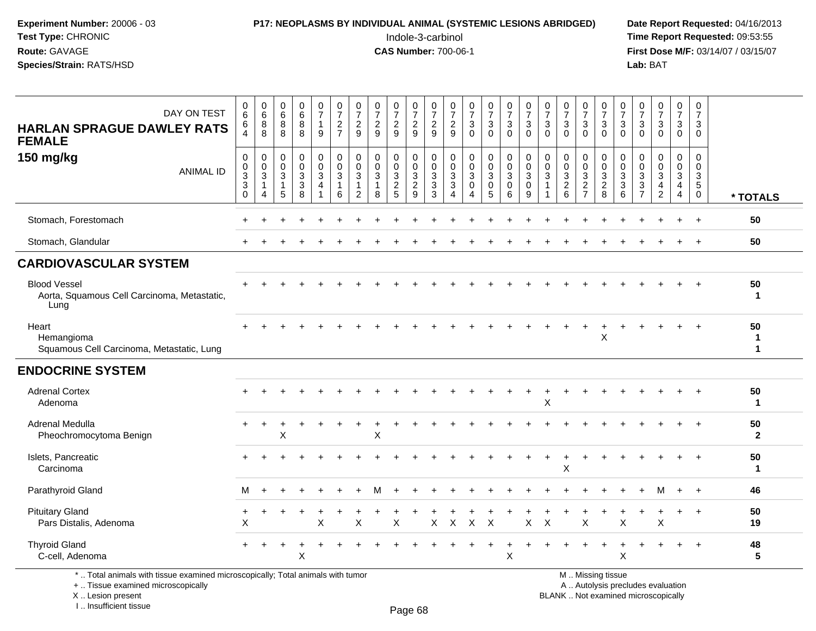### **P17: NEOPLASMS BY INDIVIDUAL ANIMAL (SYSTEMIC LESIONS ABRIDGED)** Date Report Requested: 04/16/2013<br>Indole-3-carbinol **Time Report Requested:** 09:53:55

 Indole-3-carbinol **Time Report Requested:** 09:53:55 **First Dose M/F:** 03/14/07 / 03/15/07<br>**Lab:** BAT **Lab:** BAT

| DAY ON TEST<br><b>HARLAN SPRAGUE DAWLEY RATS</b><br><b>FEMALE</b>                                               | $\pmb{0}$<br>$\,6\,$<br>6<br>4         | $\begin{array}{c} 0 \\ 6 \end{array}$<br>8<br>$\overline{8}$ | $\begin{array}{c} 0 \\ 6 \end{array}$<br>8<br>8                                | $\begin{array}{c} 0 \\ 6 \end{array}$<br>$\overline{8}$<br>8 | $\frac{0}{7}$<br>$\mathbf{1}$<br>9                                 | $\frac{0}{7}$<br>$\frac{2}{7}$             | $\frac{0}{7}$<br>$\frac{2}{9}$                                     | $\frac{0}{7}$<br>$\frac{2}{9}$                  | $\frac{0}{7}$<br>$\frac{2}{9}$                  | $\frac{0}{7}$<br>$\frac{2}{9}$                                             | $\frac{0}{7}$<br>$\frac{2}{9}$                         | $\frac{0}{7}$<br>$\frac{2}{9}$                                              | $\frac{0}{7}$<br>$\mathbf{3}$<br>$\mathbf 0$  | $\frac{0}{7}$<br>$\sqrt{3}$<br>$\overline{0}$            | $\frac{0}{7}$<br>$\overline{3}$<br>$\Omega$                 | $\frac{0}{7}$<br>$\mathbf{3}$<br>$\Omega$ | $\frac{0}{7}$<br>$\sqrt{3}$<br>$\Omega$                      | $\frac{0}{7}$<br>$\mathfrak{Z}$<br>$\Omega$                           | $\frac{0}{7}$<br>$\sqrt{3}$<br>$\mathbf{0}$ | $\frac{0}{7}$<br>$\sqrt{3}$<br>$\Omega$   | $\frac{0}{7}$<br>$\mathbf{3}$<br>$\Omega$                         | $\begin{array}{c} 0 \\ 7 \\ 3 \end{array}$<br>$\Omega$                       | $\frac{0}{7}$<br>$\mathfrak{S}$<br>$\mathbf 0$                     | $\frac{0}{7}$<br>$\mathbf{3}$<br>$\mathbf 0$                           | 0<br>$\overline{7}$<br>3<br>$\mathbf 0$                                              |                    |
|-----------------------------------------------------------------------------------------------------------------|----------------------------------------|--------------------------------------------------------------|--------------------------------------------------------------------------------|--------------------------------------------------------------|--------------------------------------------------------------------|--------------------------------------------|--------------------------------------------------------------------|-------------------------------------------------|-------------------------------------------------|----------------------------------------------------------------------------|--------------------------------------------------------|-----------------------------------------------------------------------------|-----------------------------------------------|----------------------------------------------------------|-------------------------------------------------------------|-------------------------------------------|--------------------------------------------------------------|-----------------------------------------------------------------------|---------------------------------------------|-------------------------------------------|-------------------------------------------------------------------|------------------------------------------------------------------------------|--------------------------------------------------------------------|------------------------------------------------------------------------|--------------------------------------------------------------------------------------|--------------------|
| 150 mg/kg<br><b>ANIMAL ID</b>                                                                                   | $\pmb{0}$<br>$\frac{0}{3}$<br>$\Omega$ | $\mathbf 0$<br>$\pmb{0}$<br>$\mathbf{3}$<br>4                | $\mathsf{O}\xspace$<br>$\mathsf{O}\xspace$<br>$\mathbf 3$<br>$\mathbf{1}$<br>5 | $\pmb{0}$<br>$\mathbf 0$<br>$\mathsf 3$<br>3<br>8            | $\boldsymbol{0}$<br>$\pmb{0}$<br>$\mathbf{3}$<br>4<br>$\mathbf{1}$ | 0<br>$\mathsf 0$<br>3<br>$\mathbf{1}$<br>6 | $\mathbf 0$<br>$\mathbf 0$<br>$\mathbf{3}$<br>-1<br>$\overline{2}$ | $\mathbf 0$<br>$\pmb{0}$<br>$\overline{3}$<br>8 | 0<br>$\pmb{0}$<br>$\mathbf{3}$<br>$\frac{2}{5}$ | $\pmb{0}$<br>$\mathbf 0$<br>$\sqrt{3}$<br>$\overline{2}$<br>$\overline{9}$ | $\mathbf 0$<br>$\mathbf 0$<br>3<br>$\overline{3}$<br>3 | $\pmb{0}$<br>0<br>$\ensuremath{\mathsf{3}}$<br>$\sqrt{3}$<br>$\overline{4}$ | $\pmb{0}$<br>$\pmb{0}$<br>3<br>$\pmb{0}$<br>4 | $\pmb{0}$<br>$_{3}^{\rm 0}$<br>$\mathbf 0$<br>$\sqrt{5}$ | $\pmb{0}$<br>$\mathbf 0$<br>$\overline{3}$<br>$\Omega$<br>6 | $\mathbf 0$<br>$\mathbf 0$<br>3<br>0<br>9 | $\mathbf 0$<br>$\mathbf 0$<br>$\mathbf{3}$<br>$\overline{1}$ | $\mathbf 0$<br>$\begin{smallmatrix} 0\\ 3\\ 2 \end{smallmatrix}$<br>6 | $\mathbf 0$<br>$\pmb{0}$<br>$\frac{3}{2}$   | 0<br>$\mathsf{O}\xspace$<br>$\frac{3}{2}$ | $\mathbf 0$<br>$\mathbf 0$<br>3<br>$\ensuremath{\mathsf{3}}$<br>6 | $\mathbf 0$<br>$\mathbf 0$<br>$\sqrt{3}$<br>$\overline{3}$<br>$\overline{7}$ | $\mathsf{O}$<br>$\pmb{0}$<br>$\overline{3}$<br>4<br>$\overline{2}$ | 0<br>$\mathbf 0$<br>$\overline{3}$<br>$\overline{4}$<br>$\overline{4}$ | $\mathbf 0$<br>$\mathbf 0$<br>$\ensuremath{\mathsf{3}}$<br>$\sqrt{5}$<br>$\mathbf 0$ | * TOTALS           |
| Stomach, Forestomach                                                                                            |                                        |                                                              |                                                                                |                                                              |                                                                    |                                            |                                                                    |                                                 |                                                 |                                                                            |                                                        |                                                                             |                                               |                                                          |                                                             |                                           |                                                              |                                                                       |                                             |                                           |                                                                   |                                                                              |                                                                    |                                                                        |                                                                                      | 50                 |
| Stomach, Glandular                                                                                              |                                        |                                                              |                                                                                |                                                              |                                                                    |                                            |                                                                    |                                                 |                                                 |                                                                            |                                                        |                                                                             |                                               |                                                          |                                                             |                                           |                                                              |                                                                       |                                             |                                           |                                                                   |                                                                              |                                                                    |                                                                        |                                                                                      | 50                 |
| <b>CARDIOVASCULAR SYSTEM</b>                                                                                    |                                        |                                                              |                                                                                |                                                              |                                                                    |                                            |                                                                    |                                                 |                                                 |                                                                            |                                                        |                                                                             |                                               |                                                          |                                                             |                                           |                                                              |                                                                       |                                             |                                           |                                                                   |                                                                              |                                                                    |                                                                        |                                                                                      |                    |
| <b>Blood Vessel</b><br>Aorta, Squamous Cell Carcinoma, Metastatic,<br>Lung                                      |                                        |                                                              |                                                                                |                                                              |                                                                    |                                            |                                                                    |                                                 |                                                 |                                                                            |                                                        |                                                                             |                                               |                                                          |                                                             |                                           |                                                              |                                                                       |                                             |                                           |                                                                   |                                                                              |                                                                    |                                                                        |                                                                                      | 50<br>$\mathbf{1}$ |
| Heart<br>Hemangioma<br>Squamous Cell Carcinoma, Metastatic, Lung                                                |                                        |                                                              |                                                                                |                                                              |                                                                    |                                            |                                                                    |                                                 |                                                 |                                                                            |                                                        |                                                                             |                                               |                                                          |                                                             |                                           |                                                              |                                                                       |                                             | $\boldsymbol{\mathsf{X}}$                 |                                                                   |                                                                              |                                                                    |                                                                        |                                                                                      | 50<br>1<br>1       |
| <b>ENDOCRINE SYSTEM</b>                                                                                         |                                        |                                                              |                                                                                |                                                              |                                                                    |                                            |                                                                    |                                                 |                                                 |                                                                            |                                                        |                                                                             |                                               |                                                          |                                                             |                                           |                                                              |                                                                       |                                             |                                           |                                                                   |                                                                              |                                                                    |                                                                        |                                                                                      |                    |
| <b>Adrenal Cortex</b><br>Adenoma                                                                                | $\div$                                 |                                                              |                                                                                |                                                              |                                                                    |                                            |                                                                    |                                                 |                                                 |                                                                            |                                                        |                                                                             |                                               |                                                          |                                                             |                                           | X                                                            |                                                                       |                                             |                                           |                                                                   |                                                                              |                                                                    |                                                                        |                                                                                      | 50<br>$\mathbf 1$  |
| Adrenal Medulla<br>Pheochromocytoma Benign                                                                      | $\div$                                 | ÷                                                            | X                                                                              |                                                              |                                                                    |                                            |                                                                    | X                                               |                                                 |                                                                            |                                                        |                                                                             |                                               |                                                          |                                                             |                                           |                                                              |                                                                       |                                             |                                           |                                                                   |                                                                              |                                                                    |                                                                        |                                                                                      | 50<br>$\mathbf{2}$ |
| Islets, Pancreatic<br>Carcinoma                                                                                 |                                        |                                                              |                                                                                |                                                              |                                                                    |                                            |                                                                    |                                                 |                                                 |                                                                            |                                                        |                                                                             |                                               |                                                          |                                                             |                                           |                                                              | X                                                                     |                                             |                                           |                                                                   |                                                                              |                                                                    |                                                                        |                                                                                      | 50<br>$\mathbf 1$  |
| Parathyroid Gland                                                                                               | м                                      |                                                              |                                                                                |                                                              |                                                                    |                                            |                                                                    |                                                 |                                                 |                                                                            |                                                        |                                                                             |                                               |                                                          |                                                             |                                           |                                                              |                                                                       |                                             |                                           |                                                                   |                                                                              | м                                                                  | $+$                                                                    | $+$                                                                                  | 46                 |
| <b>Pituitary Gland</b><br>Pars Distalis, Adenoma                                                                | $\,^+$<br>X                            |                                                              |                                                                                | ÷                                                            | X                                                                  |                                            | X                                                                  |                                                 | X                                               |                                                                            | X                                                      | X                                                                           | X                                             | $\sf X$                                                  |                                                             | X                                         | X                                                            |                                                                       | X                                           |                                           | X                                                                 |                                                                              | X                                                                  | $\ddot{}$                                                              | $+$                                                                                  | 50<br>19           |
| <b>Thyroid Gland</b><br>C-cell, Adenoma                                                                         |                                        |                                                              |                                                                                | X                                                            |                                                                    |                                            |                                                                    |                                                 |                                                 |                                                                            |                                                        |                                                                             |                                               |                                                          | $\times$                                                    |                                           |                                                              |                                                                       |                                             |                                           | X                                                                 |                                                                              |                                                                    |                                                                        | $\overline{+}$                                                                       | 48<br>5            |
| the contract of the contract of the contract of the contract of the contract of the contract of the contract of |                                        | $\cdots$ $\cdots$ $\cdots$                                   |                                                                                |                                                              |                                                                    |                                            |                                                                    |                                                 |                                                 |                                                                            |                                                        |                                                                             |                                               |                                                          |                                                             |                                           |                                                              |                                                                       | $\sim$ $\sim$                               |                                           |                                                                   |                                                                              |                                                                    |                                                                        |                                                                                      |                    |

\* .. Total animals with tissue examined microscopically; Total animals with tumor

+ .. Tissue examined microscopically

X .. Lesion present

I .. Insufficient tissue

Page 68

M .. Missing tissue

y the contract of the contract of the contract of the contract of the contract of  $\mathsf A$  . Autolysis precludes evaluation

Lesion present BLANK .. Not examined microscopically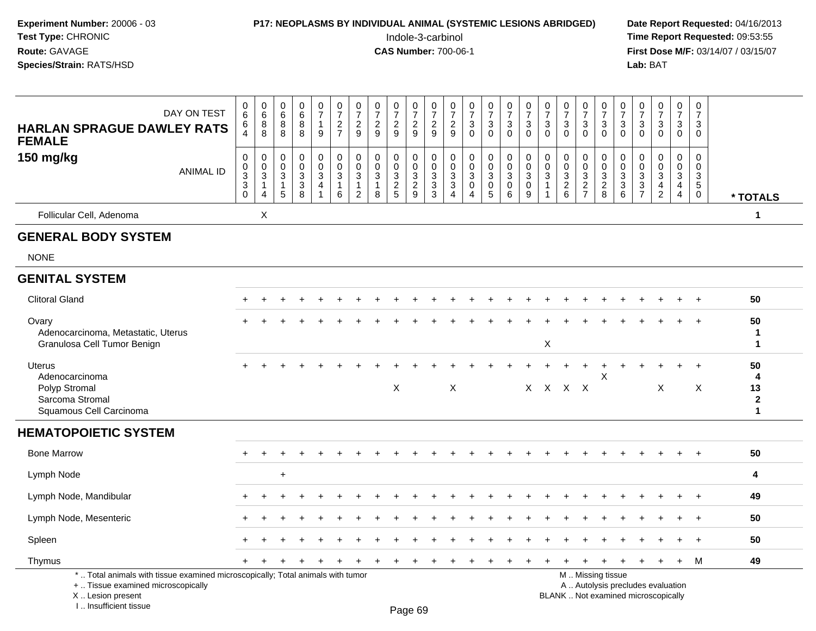| Experiment Number: 20006 - 03<br>Test Type: CHRONIC<br>Route: GAVAGE<br>Species/Strain: RATS/HSD                                                                    |                                                               |                                                      |                                                                   |                                     |                                                                |                                                           |                                                      |                                                |                                               | Indole-3-carbinol<br><b>CAS Number: 700-06-1</b>                      |                                                                 |                                                         |                                |                                                                         | P17: NEOPLASMS BY INDIVIDUAL ANIMAL (SYSTEMIC LESIONS ABRIDGED) |                                                         |                                                           |                                                 |                                                                     |                                            |                                                                 | Lab: BAT                                                                 |                                                          |                                                                             |                               | Date Report Requested: 04/16/2013<br>Time Report Requested: 09:53:55<br>First Dose M/F: 03/14/07 / 03/15/07 |
|---------------------------------------------------------------------------------------------------------------------------------------------------------------------|---------------------------------------------------------------|------------------------------------------------------|-------------------------------------------------------------------|-------------------------------------|----------------------------------------------------------------|-----------------------------------------------------------|------------------------------------------------------|------------------------------------------------|-----------------------------------------------|-----------------------------------------------------------------------|-----------------------------------------------------------------|---------------------------------------------------------|--------------------------------|-------------------------------------------------------------------------|-----------------------------------------------------------------|---------------------------------------------------------|-----------------------------------------------------------|-------------------------------------------------|---------------------------------------------------------------------|--------------------------------------------|-----------------------------------------------------------------|--------------------------------------------------------------------------|----------------------------------------------------------|-----------------------------------------------------------------------------|-------------------------------|-------------------------------------------------------------------------------------------------------------|
| DAY ON TEST<br><b>HARLAN SPRAGUE DAWLEY RATS</b>                                                                                                                    | 0<br>6<br>6                                                   | $\begin{matrix} 0 \\ 6 \end{matrix}$<br>8<br>$\,8\,$ | $\begin{matrix} 0 \\ 6 \\ 8 \end{matrix}$<br>$\,8\,$              | 0<br>$6\phantom{a}$<br>$\bf 8$<br>8 | $\frac{0}{7}$<br>$\mathbf{1}$<br>$9\,$                         | 0<br>$\boldsymbol{7}$<br>$\overline{c}$<br>$\overline{7}$ | 0<br>$\overline{\mathcal{I}}$<br>$\overline{c}$<br>9 | 0<br>$\overline{\mathcal{I}}$<br>$\frac{2}{9}$ | 0<br>$\boldsymbol{7}$<br>$\frac{2}{9}$        | 0<br>$\overline{7}$<br>$\frac{2}{9}$                                  | 0<br>$\overline{7}$<br>$\sqrt{2}$<br>$\overline{9}$             | 0<br>$\overline{7}$<br>$\frac{2}{9}$                    | $\frac{0}{7}$<br>$\frac{3}{0}$ | $\frac{0}{7}$<br>$\frac{3}{0}$                                          | $\frac{0}{7}$<br>$\ensuremath{\mathsf{3}}$<br>$\mathbf 0$       | $\frac{0}{7}$<br>$\sqrt{3}$<br>$\Omega$                 | $\frac{0}{7}$<br>$\mathbf{3}$<br>$\mathbf{0}$             | 0<br>$\overline{7}$<br>$\mathbf{3}$<br>$\Omega$ | $\frac{0}{7}$<br>$\ensuremath{\mathsf{3}}$<br>$\mathbf 0$           | 0<br>$\overline{7}$<br>3<br>$\mathbf 0$    | 0<br>$\overline{7}$<br>$\ensuremath{\mathsf{3}}$<br>$\mathbf 0$ | $\frac{0}{7}$<br>$_{\rm 0}^3$                                            | $\frac{0}{7}$<br>$\mathbf{3}$<br>$\mathbf 0$             | 0<br>$\boldsymbol{7}$<br>$\sqrt{3}$<br>$\mathbf 0$                          | 0<br>$\overline{7}$<br>3<br>0 |                                                                                                             |
| <b>FEMALE</b><br>150 mg/kg<br><b>ANIMAL ID</b>                                                                                                                      | 0<br>0<br>$\sqrt{3}$<br>$\ensuremath{\mathsf{3}}$<br>$\Omega$ | 0<br>0<br>3                                          | $\mathbf 0$<br>$\boldsymbol{0}$<br>$\sqrt{3}$<br>$\mathbf 1$<br>5 | 0<br>$\mathsf 0$<br>3<br>$_8^3$     | $\Omega$<br>$\boldsymbol{0}$<br>$\mathbf{3}$<br>$\overline{4}$ | 0<br>$\Omega$<br>3<br>6                                   | $\Omega$<br>$\Omega$<br>3<br>1<br>2                  | 0<br>0<br>$\sqrt{3}$<br>8                      | $\Omega$<br>$\mathbf 0$<br>3<br>$\frac{2}{5}$ | $\Omega$<br>$\mathbf 0$<br>$\ensuremath{\mathsf{3}}$<br>$\frac{2}{9}$ | $\mathbf 0$<br>$\mathbf 0$<br>3<br>$\sqrt{3}$<br>$\overline{3}$ | 0<br>$\mathbf 0$<br>$\ensuremath{\mathsf{3}}$<br>3<br>Δ | 0<br>0<br>3<br>0<br>4          | 0<br>$\ddot{\mathbf{0}}$<br>$\mathbf{3}$<br>$\pmb{0}$<br>$\overline{5}$ | 0<br>$\mathbf 0$<br>$\mathbf{3}$<br>0<br>6                      | 0<br>$\mathbf 0$<br>$\ensuremath{\mathsf{3}}$<br>0<br>9 | $\mathbf 0$<br>$\mathbf{0}$<br>$\sqrt{3}$<br>$\mathbf{1}$ | 0<br>$\mathbf 0$<br>3<br>$\frac{2}{6}$          | $\Omega$<br>$\pmb{0}$<br>$\ensuremath{\mathsf{3}}$<br>$\frac{2}{7}$ | $\Omega$<br>$\Omega$<br>3<br>$\frac{2}{8}$ | 0<br>0<br>$\mathbf{3}$<br>$\frac{3}{6}$                         | $\mathbf 0$<br>$\mathbf 0$<br>$\sqrt{3}$<br>$\frac{3}{7}$                | 0<br>$\mathsf{O}$<br>$\mathbf{3}$<br>4<br>$\overline{2}$ | $\Omega$<br>$\mathbf 0$<br>$\mathbf{3}$<br>$\overline{4}$<br>$\overline{4}$ | 0<br>3<br>5<br>0              | * TOTALS                                                                                                    |
| Follicular Cell, Adenoma                                                                                                                                            |                                                               | X                                                    |                                                                   |                                     |                                                                |                                                           |                                                      |                                                |                                               |                                                                       |                                                                 |                                                         |                                |                                                                         |                                                                 |                                                         |                                                           |                                                 |                                                                     |                                            |                                                                 |                                                                          |                                                          |                                                                             |                               | 1                                                                                                           |
| <b>GENERAL BODY SYSTEM</b>                                                                                                                                          |                                                               |                                                      |                                                                   |                                     |                                                                |                                                           |                                                      |                                                |                                               |                                                                       |                                                                 |                                                         |                                |                                                                         |                                                                 |                                                         |                                                           |                                                 |                                                                     |                                            |                                                                 |                                                                          |                                                          |                                                                             |                               |                                                                                                             |
| <b>NONE</b>                                                                                                                                                         |                                                               |                                                      |                                                                   |                                     |                                                                |                                                           |                                                      |                                                |                                               |                                                                       |                                                                 |                                                         |                                |                                                                         |                                                                 |                                                         |                                                           |                                                 |                                                                     |                                            |                                                                 |                                                                          |                                                          |                                                                             |                               |                                                                                                             |
| <b>GENITAL SYSTEM</b>                                                                                                                                               |                                                               |                                                      |                                                                   |                                     |                                                                |                                                           |                                                      |                                                |                                               |                                                                       |                                                                 |                                                         |                                |                                                                         |                                                                 |                                                         |                                                           |                                                 |                                                                     |                                            |                                                                 |                                                                          |                                                          |                                                                             |                               |                                                                                                             |
| <b>Clitoral Gland</b>                                                                                                                                               |                                                               |                                                      |                                                                   |                                     |                                                                |                                                           |                                                      |                                                |                                               |                                                                       |                                                                 |                                                         |                                |                                                                         |                                                                 |                                                         |                                                           |                                                 |                                                                     |                                            |                                                                 |                                                                          |                                                          |                                                                             |                               | 50                                                                                                          |
| Ovary<br>Adenocarcinoma, Metastatic, Uterus<br>Granulosa Cell Tumor Benign                                                                                          |                                                               |                                                      |                                                                   |                                     |                                                                |                                                           |                                                      |                                                |                                               |                                                                       |                                                                 |                                                         |                                |                                                                         |                                                                 |                                                         | $\boldsymbol{\mathsf{X}}$                                 |                                                 |                                                                     |                                            |                                                                 |                                                                          |                                                          |                                                                             |                               | 50<br>ำ<br>1                                                                                                |
| <b>Uterus</b><br>Adenocarcinoma<br>Polyp Stromal<br>Sarcoma Stromal<br>Squamous Cell Carcinoma                                                                      |                                                               |                                                      |                                                                   |                                     |                                                                |                                                           |                                                      |                                                | X                                             |                                                                       |                                                                 | X                                                       |                                |                                                                         |                                                                 |                                                         | X X X X                                                   |                                                 |                                                                     | $\mathsf X$                                |                                                                 |                                                                          | $\boldsymbol{\mathsf{X}}$                                |                                                                             | X                             | 50<br>4<br>13<br>$\mathbf{2}$<br>$\blacktriangleleft$                                                       |
| <b>HEMATOPOIETIC SYSTEM</b>                                                                                                                                         |                                                               |                                                      |                                                                   |                                     |                                                                |                                                           |                                                      |                                                |                                               |                                                                       |                                                                 |                                                         |                                |                                                                         |                                                                 |                                                         |                                                           |                                                 |                                                                     |                                            |                                                                 |                                                                          |                                                          |                                                                             |                               |                                                                                                             |
| <b>Bone Marrow</b>                                                                                                                                                  |                                                               |                                                      |                                                                   |                                     |                                                                |                                                           |                                                      |                                                |                                               |                                                                       |                                                                 |                                                         |                                |                                                                         |                                                                 |                                                         |                                                           |                                                 |                                                                     |                                            |                                                                 |                                                                          |                                                          |                                                                             |                               | 50                                                                                                          |
| Lymph Node                                                                                                                                                          |                                                               |                                                      | $\ddot{}$                                                         |                                     |                                                                |                                                           |                                                      |                                                |                                               |                                                                       |                                                                 |                                                         |                                |                                                                         |                                                                 |                                                         |                                                           |                                                 |                                                                     |                                            |                                                                 |                                                                          |                                                          |                                                                             |                               | 4                                                                                                           |
| Lymph Node, Mandibular                                                                                                                                              | $\ddot{}$                                                     |                                                      |                                                                   |                                     |                                                                |                                                           |                                                      |                                                |                                               |                                                                       |                                                                 |                                                         |                                |                                                                         |                                                                 |                                                         |                                                           |                                                 |                                                                     |                                            |                                                                 |                                                                          |                                                          |                                                                             |                               | 49                                                                                                          |
| Lymph Node, Mesenteric                                                                                                                                              |                                                               |                                                      |                                                                   |                                     |                                                                |                                                           |                                                      |                                                |                                               |                                                                       |                                                                 |                                                         |                                |                                                                         |                                                                 |                                                         |                                                           |                                                 |                                                                     |                                            |                                                                 |                                                                          |                                                          |                                                                             | $\overline{+}$                | 50                                                                                                          |
| Spleen                                                                                                                                                              |                                                               |                                                      |                                                                   |                                     |                                                                |                                                           |                                                      |                                                |                                               |                                                                       |                                                                 |                                                         |                                |                                                                         |                                                                 |                                                         |                                                           |                                                 |                                                                     |                                            |                                                                 |                                                                          |                                                          |                                                                             |                               | 50                                                                                                          |
| Thymus                                                                                                                                                              |                                                               |                                                      |                                                                   |                                     |                                                                |                                                           |                                                      |                                                |                                               |                                                                       |                                                                 |                                                         | $\ddot{}$                      | $\ddot{}$                                                               | $\pm$                                                           | +                                                       |                                                           |                                                 |                                                                     |                                            |                                                                 |                                                                          |                                                          | $+$                                                                         | M                             | 49                                                                                                          |
| *  Total animals with tissue examined microscopically; Total animals with tumor<br>+  Tissue examined microscopically<br>X  Lesion present<br>I Insufficient tissue |                                                               |                                                      |                                                                   |                                     |                                                                |                                                           |                                                      |                                                |                                               | Dogo 60                                                               |                                                                 |                                                         |                                |                                                                         |                                                                 |                                                         |                                                           |                                                 | M  Missing tissue                                                   |                                            |                                                                 | A  Autolysis precludes evaluation<br>BLANK  Not examined microscopically |                                                          |                                                                             |                               |                                                                                                             |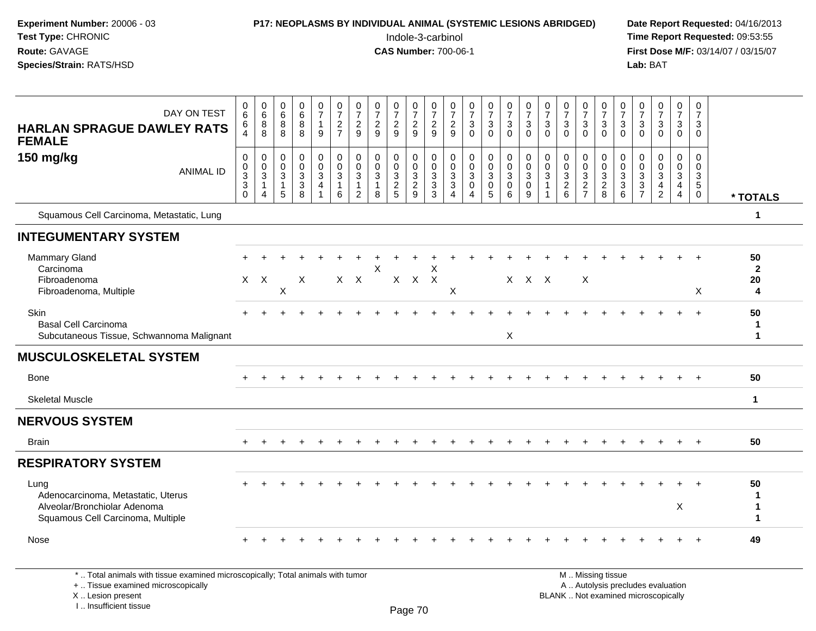| Experiment Number: 20006 - 03<br>Test Type: CHRONIC<br>Route: GAVAGE<br>Species/Strain: RATS/HSD                                           | P17: NEOPLASMS BY INDIVIDUAL ANIMAL (SYSTEMIC LESIONS ABRIDGED)<br>Indole-3-carbinol<br><b>CAS Number: 700-06-1</b> |                                                               |                                            |                                                            |                             |                                                              |                                           |                                                     |                                        |                                    |                                |                                             |                                                                                 |                                                   |                                                                      |                                                           | Date Report Requested: 04/16/2013<br>Time Report Requested: 09:53:55<br>First Dose M/F: 03/14/07 / 03/15/07<br>Lab: BAT |                                                           |                                                                |                                                  |                                                                   |                                                                          |                                    |                                                     |                                              |                                  |
|--------------------------------------------------------------------------------------------------------------------------------------------|---------------------------------------------------------------------------------------------------------------------|---------------------------------------------------------------|--------------------------------------------|------------------------------------------------------------|-----------------------------|--------------------------------------------------------------|-------------------------------------------|-----------------------------------------------------|----------------------------------------|------------------------------------|--------------------------------|---------------------------------------------|---------------------------------------------------------------------------------|---------------------------------------------------|----------------------------------------------------------------------|-----------------------------------------------------------|-------------------------------------------------------------------------------------------------------------------------|-----------------------------------------------------------|----------------------------------------------------------------|--------------------------------------------------|-------------------------------------------------------------------|--------------------------------------------------------------------------|------------------------------------|-----------------------------------------------------|----------------------------------------------|----------------------------------|
| DAY ON TEST<br><b>HARLAN SPRAGUE DAWLEY RATS</b><br><b>FEMALE</b>                                                                          | 0<br>6<br>6<br>$\overline{4}$                                                                                       | $\begin{array}{c} 0 \\ 6 \end{array}$<br>$\,8\,$<br>8         | 0<br>$\,6\,$<br>8<br>8                     | $\begin{array}{c} 0 \\ 6 \end{array}$<br>$\,8\,$<br>$\bf8$ | $\frac{0}{7}$<br>9          | $\frac{0}{7}$<br>$\frac{2}{7}$                               | 0<br>$\overline{7}$<br>$\frac{2}{9}$      | $\frac{0}{7}$<br>$\frac{2}{9}$                      | $\frac{0}{7}$<br>$\overline{c}$<br>9   | $\frac{0}{7}$<br>$\frac{2}{9}$     | $\frac{0}{7}$<br>$\frac{2}{9}$ | $\frac{0}{7}$<br>$\frac{2}{9}$              | $\frac{0}{7}$<br>$\sqrt{3}$<br>$\mathbf 0$                                      | $\frac{0}{7}$<br>3<br>$\mathbf 0$                 | $\frac{0}{7}$<br>$_{0}^{3}$                                          | $\frac{0}{7}$<br>$\ensuremath{\mathsf{3}}$<br>$\mathbf 0$ | 0<br>$\boldsymbol{7}$<br>$\ensuremath{\mathsf{3}}$<br>$\mathbf 0$                                                       | $\frac{0}{7}$<br>$\ensuremath{\mathsf{3}}$<br>$\mathbf 0$ | $\frac{0}{7}$<br>$_{0}^{3}$                                    | 0<br>$\overline{7}$<br>$\sqrt{3}$<br>$\mathbf 0$ | $\frac{0}{7}$<br>3<br>$\mathbf 0$                                 | 0<br>$\overline{7}$<br>$\ensuremath{\mathsf{3}}$<br>$\mathbf 0$          | $\frac{0}{7}$<br>$_0^3$            | $\frac{0}{7}$<br>$\frac{3}{0}$                      | 0<br>$\overline{7}$<br>3<br>$\mathbf 0$      |                                  |
| 150 mg/kg<br><b>ANIMAL ID</b>                                                                                                              | 0<br>0<br>$\overline{3}$<br>$\overline{3}$<br>$\Omega$                                                              | 0<br>$\ddot{\mathbf{0}}$<br>$\mathbf{3}$<br>$\mathbf{1}$<br>4 | 0<br>$\mathbf 0$<br>3<br>$\mathbf{1}$<br>5 | 0<br>$\mathsf{O}\xspace$<br>$\sqrt{3}$<br>$\frac{3}{8}$    | 0<br>$\mathsf{O}$<br>3<br>4 | 0<br>$\overline{0}$<br>$\sqrt{3}$<br>$\mathbf{1}$<br>$\,6\,$ | 0<br>$\Omega$<br>3<br>1<br>$\overline{2}$ | 0<br>$\mathbf 0$<br>$\sqrt{3}$<br>$\mathbf{1}$<br>8 | 0<br>$\mathbf 0$<br>3<br>$\frac{2}{5}$ | 0<br>$\mathsf{O}$<br>$\frac{3}{2}$ | 0<br>$\Omega$<br>$\frac{3}{3}$ | 0<br>0<br>$\sqrt{3}$<br>$\overline{3}$<br>4 | 0<br>$\ddot{\mathbf{0}}$<br>$\sqrt{3}$<br>$\mathsf{O}\xspace$<br>$\overline{4}$ | 0<br>$\mathbf 0$<br>3<br>$\mathsf{O}\xspace$<br>5 | $\begin{smallmatrix}0\0\0\end{smallmatrix}$<br>$\overline{3}$ 0<br>6 | 0<br>$\mathbf 0$<br>3<br>$\pmb{0}$<br>9                   | 0<br>0<br>3<br>$\mathbf{1}$                                                                                             | 0<br>$\mathbf 0$<br>$\frac{3}{2}$ 6                       | 0<br>$\mathbf 0$<br>$\ensuremath{\mathsf{3}}$<br>$\frac{2}{7}$ | 0<br>$\Omega$<br>$\mathbf{3}$<br>$\frac{2}{8}$   | $\mathbf 0$<br>$\mathbf 0$<br>3<br>$\ensuremath{\mathsf{3}}$<br>6 | $\mathbf 0$<br>$\mathbf 0$<br>$\ensuremath{\mathsf{3}}$<br>$\frac{3}{7}$ | 0<br>$\mathsf{O}$<br>$\frac{3}{4}$ | 0<br>$\mathbf 0$<br>$\frac{3}{4}$<br>$\overline{4}$ | 0<br>$\mathbf 0$<br>3<br>$\overline{5}$<br>0 | * TOTALS                         |
| Squamous Cell Carcinoma, Metastatic, Lung                                                                                                  |                                                                                                                     |                                                               |                                            |                                                            |                             |                                                              |                                           |                                                     |                                        |                                    |                                |                                             |                                                                                 |                                                   |                                                                      |                                                           |                                                                                                                         |                                                           |                                                                |                                                  |                                                                   |                                                                          |                                    |                                                     |                                              | 1                                |
| <b>INTEGUMENTARY SYSTEM</b>                                                                                                                |                                                                                                                     |                                                               |                                            |                                                            |                             |                                                              |                                           |                                                     |                                        |                                    |                                |                                             |                                                                                 |                                                   |                                                                      |                                                           |                                                                                                                         |                                                           |                                                                |                                                  |                                                                   |                                                                          |                                    |                                                     |                                              |                                  |
| Mammary Gland<br>Carcinoma<br>Fibroadenoma<br>Fibroadenoma, Multiple                                                                       |                                                                                                                     | $X$ $X$                                                       | X                                          | X                                                          |                             |                                                              | $X$ $X$                                   | Χ                                                   |                                        | $X$ $X$ $X$                        | X                              | X                                           |                                                                                 |                                                   |                                                                      | X X X                                                     |                                                                                                                         |                                                           | $\pmb{\times}$                                                 |                                                  |                                                                   |                                                                          |                                    |                                                     | X                                            | 50<br>$\mathbf{2}$<br>20<br>4    |
| <b>Skin</b><br><b>Basal Cell Carcinoma</b><br>Subcutaneous Tissue, Schwannoma Malignant                                                    |                                                                                                                     |                                                               |                                            |                                                            |                             |                                                              |                                           |                                                     |                                        |                                    |                                |                                             |                                                                                 |                                                   | Χ                                                                    |                                                           |                                                                                                                         |                                                           |                                                                |                                                  |                                                                   |                                                                          |                                    |                                                     | $\div$                                       | 50<br>$\mathbf 1$<br>$\mathbf 1$ |
| <b>MUSCULOSKELETAL SYSTEM</b>                                                                                                              |                                                                                                                     |                                                               |                                            |                                                            |                             |                                                              |                                           |                                                     |                                        |                                    |                                |                                             |                                                                                 |                                                   |                                                                      |                                                           |                                                                                                                         |                                                           |                                                                |                                                  |                                                                   |                                                                          |                                    |                                                     |                                              |                                  |
| <b>Bone</b>                                                                                                                                |                                                                                                                     |                                                               |                                            |                                                            |                             |                                                              |                                           |                                                     |                                        |                                    |                                |                                             |                                                                                 |                                                   |                                                                      |                                                           |                                                                                                                         |                                                           |                                                                |                                                  |                                                                   |                                                                          |                                    |                                                     |                                              | 50                               |
| <b>Skeletal Muscle</b>                                                                                                                     |                                                                                                                     |                                                               |                                            |                                                            |                             |                                                              |                                           |                                                     |                                        |                                    |                                |                                             |                                                                                 |                                                   |                                                                      |                                                           |                                                                                                                         |                                                           |                                                                |                                                  |                                                                   |                                                                          |                                    |                                                     |                                              | 1                                |
| <b>NERVOUS SYSTEM</b>                                                                                                                      |                                                                                                                     |                                                               |                                            |                                                            |                             |                                                              |                                           |                                                     |                                        |                                    |                                |                                             |                                                                                 |                                                   |                                                                      |                                                           |                                                                                                                         |                                                           |                                                                |                                                  |                                                                   |                                                                          |                                    |                                                     |                                              |                                  |
| <b>Brain</b>                                                                                                                               |                                                                                                                     |                                                               |                                            |                                                            |                             |                                                              |                                           |                                                     |                                        |                                    |                                |                                             |                                                                                 |                                                   |                                                                      |                                                           |                                                                                                                         |                                                           |                                                                |                                                  |                                                                   |                                                                          |                                    | $+$                                                 | $+$                                          | 50                               |
| <b>RESPIRATORY SYSTEM</b>                                                                                                                  |                                                                                                                     |                                                               |                                            |                                                            |                             |                                                              |                                           |                                                     |                                        |                                    |                                |                                             |                                                                                 |                                                   |                                                                      |                                                           |                                                                                                                         |                                                           |                                                                |                                                  |                                                                   |                                                                          |                                    |                                                     |                                              |                                  |
| Lung<br>Adenocarcinoma, Metastatic, Uterus<br>Alveolar/Bronchiolar Adenoma<br>Squamous Cell Carcinoma, Multiple                            | $+$                                                                                                                 |                                                               |                                            |                                                            |                             |                                                              |                                           |                                                     |                                        |                                    |                                |                                             |                                                                                 |                                                   |                                                                      |                                                           |                                                                                                                         |                                                           |                                                                |                                                  |                                                                   |                                                                          |                                    | X                                                   |                                              | 50<br>-1<br>1                    |
| Nose                                                                                                                                       |                                                                                                                     |                                                               |                                            |                                                            |                             |                                                              |                                           |                                                     |                                        |                                    |                                |                                             |                                                                                 |                                                   |                                                                      |                                                           |                                                                                                                         |                                                           |                                                                |                                                  |                                                                   |                                                                          |                                    |                                                     |                                              | 49                               |
| *  Total animals with tissue examined microscopically; Total animals with tumor<br>+  Tissue examined microscopically<br>X  Lesion present |                                                                                                                     |                                                               |                                            |                                                            |                             |                                                              |                                           |                                                     |                                        |                                    |                                |                                             |                                                                                 |                                                   |                                                                      |                                                           |                                                                                                                         |                                                           | M  Missing tissue                                              |                                                  |                                                                   | A  Autolysis precludes evaluation<br>BLANK  Not examined microscopically |                                    |                                                     |                                              |                                  |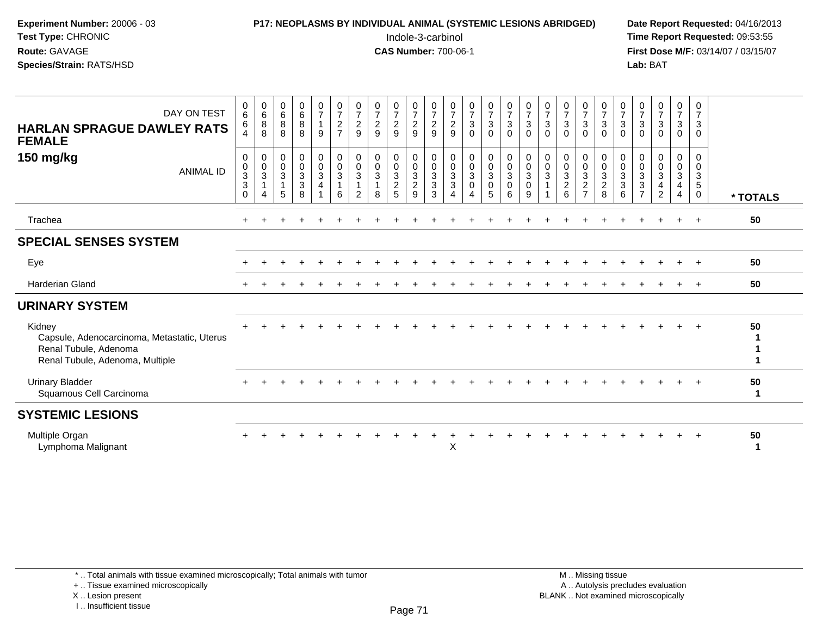| Experiment Number: 20006 - 03 |
|-------------------------------|
| <b>Test Type: CHRONIC</b>     |
| <b>Route: GAVAGE</b>          |
| Species/Strain: RATS/HSD      |

# **P17: NEOPLASMS BY INDIVIDUAL ANIMAL (SYSTEMIC LESIONS ABRIDGED)** Date Report Requested: 04/16/2013<br>Indole-3-carbinol **Time Report Requested:** 09:53:55

 Indole-3-carbinol **Time Report Requested:** 09:53:55 **First Dose M/F:** 03/14/07 / 03/15/07<br>**Lab:** BAT **Lab:** BAT

| DAY ON TEST<br><b>HARLAN SPRAGUE DAWLEY RATS</b><br><b>FEMALE</b>                                                 | $\begin{matrix} 0 \\ 6 \end{matrix}$<br>6                                | $\begin{array}{c} 0 \\ 6 \end{array}$<br>$_{8}^8$              | $\begin{matrix} 0 \\ 6 \\ 8 \end{matrix}$<br>8 | $\begin{matrix}0\6\8\end{matrix}$<br>8                               | $\frac{0}{7}$<br>9                             | $\frac{0}{7}$<br>$\frac{2}{7}$                                   | $\frac{0}{7}$<br>$\sqrt{2}$<br>$9\,$                      | $\frac{0}{7}$<br>$\frac{2}{9}$                                     | $\frac{0}{7}$<br>$\frac{2}{9}$                  | $\frac{0}{7}$<br>$\overline{c}$<br>$\boldsymbol{9}$ | $\frac{0}{7}$<br>$\frac{2}{9}$                      | $\frac{0}{7}$<br>$\overline{c}$<br>$\boldsymbol{9}$                           | $\frac{0}{7}$<br>$\ensuremath{\mathsf{3}}$<br>$\mathsf 0$                        | $\frac{0}{7}$<br>$\frac{3}{0}$                                | $\begin{array}{c} 0 \\ 7 \\ 3 \end{array}$<br>$\mathbf 0$           | $\frac{0}{7}$<br>$\frac{3}{0}$                      | $\frac{0}{7}$<br>$\mathbf{3}$<br>$\mathbf 0$                  | $\frac{0}{7}$<br>$\sqrt{3}$<br>$\mathbf 0$            | $\frac{0}{7}$<br>$\mathbf{3}$<br>$\mathbf 0$                 | $\frac{0}{7}$<br>$\mathbf{3}$<br>$\mathbf 0$ | $\frac{0}{7}$<br>$\mathsf 3$<br>$\mathbf 0$ | $\frac{0}{7}$<br>$\ensuremath{\mathsf{3}}$<br>$\mathbf 0$                   | $\frac{0}{7}$<br>$\sqrt{3}$<br>$\mathbf 0$ | $\frac{0}{7}$<br>$\mathbf{3}$<br>0                   | $\frac{0}{7}$<br>$\mathbf{3}$<br>$\mathbf 0$ |          |
|-------------------------------------------------------------------------------------------------------------------|--------------------------------------------------------------------------|----------------------------------------------------------------|------------------------------------------------|----------------------------------------------------------------------|------------------------------------------------|------------------------------------------------------------------|-----------------------------------------------------------|--------------------------------------------------------------------|-------------------------------------------------|-----------------------------------------------------|-----------------------------------------------------|-------------------------------------------------------------------------------|----------------------------------------------------------------------------------|---------------------------------------------------------------|---------------------------------------------------------------------|-----------------------------------------------------|---------------------------------------------------------------|-------------------------------------------------------|--------------------------------------------------------------|----------------------------------------------|---------------------------------------------|-----------------------------------------------------------------------------|--------------------------------------------|------------------------------------------------------|----------------------------------------------|----------|
| 150 mg/kg<br><b>ANIMAL ID</b>                                                                                     | $\mathbf 0$<br>$\begin{array}{c} 0 \\ 3 \\ 3 \end{array}$<br>$\mathbf 0$ | $\pmb{0}$<br>$\frac{0}{3}$<br>$\overline{1}$<br>$\overline{4}$ | $\,0\,$<br>$\frac{0}{3}$<br>$\mathbf{1}$<br>5  | $\begin{smallmatrix} 0\\0\\3 \end{smallmatrix}$<br>$\mathbf{3}$<br>8 | $\begin{matrix} 0 \\ 0 \\ 3 \end{matrix}$<br>4 | $\begin{matrix} 0 \\ 0 \\ 3 \end{matrix}$<br>$\overline{1}$<br>6 | $_{\rm 0}^{\rm 0}$<br>$\overline{3}$<br>$\mathbf{1}$<br>2 | $\begin{smallmatrix}0\\0\\3\end{smallmatrix}$<br>$\mathbf{1}$<br>8 | $_0^0$<br>$\overline{3}$<br>$\overline{c}$<br>5 | $_{\rm 0}^{\rm 0}$<br>$\frac{3}{2}$                 | $\begin{matrix} 0 \\ 0 \\ 3 \\ 3 \end{matrix}$<br>3 | $\begin{smallmatrix}0\\0\\3\end{smallmatrix}$<br>$\sqrt{3}$<br>$\overline{4}$ | $\begin{smallmatrix} 0\\0 \end{smallmatrix}$<br>$\overline{3}$<br>$\pmb{0}$<br>4 | $\begin{matrix} 0 \\ 0 \\ 3 \end{matrix}$<br>$\mathbf 0$<br>5 | $\begin{array}{c} 0 \\ 0 \\ 3 \end{array}$<br>$\boldsymbol{0}$<br>6 | $\begin{matrix} 0 \\ 0 \\ 3 \\ 0 \end{matrix}$<br>9 | $\begin{smallmatrix}0\\0\\3\end{smallmatrix}$<br>$\mathbf{1}$ | $_{\rm 0}^{\rm 0}$<br>$\overline{3}$<br>$\frac{2}{6}$ | $_0^0$<br>$\overline{3}$<br>$\overline{c}$<br>$\overline{ }$ | 00328                                        | 0<br>$\frac{0}{3}$<br>6                     | 0<br>$\,0\,$<br>$\mathbf{3}$<br>$\ensuremath{\mathsf{3}}$<br>$\overline{7}$ | 0<br>$\pmb{0}$<br>$\mathbf{3}$<br>4<br>2   | 0<br>$\mathsf{O}\xspace$<br>3<br>4<br>$\overline{4}$ | 0<br>0<br>$\frac{3}{5}$<br>$\mathbf{0}$      | * TOTALS |
| Trachea                                                                                                           |                                                                          |                                                                |                                                |                                                                      |                                                |                                                                  |                                                           |                                                                    |                                                 |                                                     |                                                     |                                                                               |                                                                                  |                                                               |                                                                     |                                                     |                                                               |                                                       |                                                              |                                              |                                             |                                                                             |                                            |                                                      | $\ddot{}$                                    | 50       |
| <b>SPECIAL SENSES SYSTEM</b>                                                                                      |                                                                          |                                                                |                                                |                                                                      |                                                |                                                                  |                                                           |                                                                    |                                                 |                                                     |                                                     |                                                                               |                                                                                  |                                                               |                                                                     |                                                     |                                                               |                                                       |                                                              |                                              |                                             |                                                                             |                                            |                                                      |                                              |          |
| Eye                                                                                                               |                                                                          |                                                                |                                                |                                                                      |                                                |                                                                  |                                                           |                                                                    |                                                 |                                                     |                                                     |                                                                               |                                                                                  |                                                               |                                                                     |                                                     |                                                               |                                                       |                                                              |                                              |                                             |                                                                             |                                            |                                                      |                                              | 50       |
| <b>Harderian Gland</b>                                                                                            |                                                                          |                                                                |                                                |                                                                      |                                                |                                                                  |                                                           |                                                                    |                                                 |                                                     |                                                     |                                                                               |                                                                                  |                                                               |                                                                     |                                                     |                                                               |                                                       |                                                              |                                              |                                             |                                                                             |                                            |                                                      |                                              | 50       |
| <b>URINARY SYSTEM</b>                                                                                             |                                                                          |                                                                |                                                |                                                                      |                                                |                                                                  |                                                           |                                                                    |                                                 |                                                     |                                                     |                                                                               |                                                                                  |                                                               |                                                                     |                                                     |                                                               |                                                       |                                                              |                                              |                                             |                                                                             |                                            |                                                      |                                              |          |
| Kidney<br>Capsule, Adenocarcinoma, Metastatic, Uterus<br>Renal Tubule, Adenoma<br>Renal Tubule, Adenoma, Multiple |                                                                          |                                                                |                                                |                                                                      |                                                |                                                                  |                                                           |                                                                    |                                                 |                                                     |                                                     |                                                                               |                                                                                  |                                                               |                                                                     |                                                     |                                                               |                                                       |                                                              |                                              |                                             |                                                                             |                                            |                                                      | $\ddot{}$                                    | 50       |
| <b>Urinary Bladder</b><br>Squamous Cell Carcinoma                                                                 |                                                                          |                                                                |                                                |                                                                      |                                                |                                                                  |                                                           |                                                                    |                                                 |                                                     |                                                     |                                                                               |                                                                                  |                                                               |                                                                     |                                                     |                                                               |                                                       |                                                              |                                              |                                             |                                                                             |                                            |                                                      |                                              | 50<br>1  |
| <b>SYSTEMIC LESIONS</b>                                                                                           |                                                                          |                                                                |                                                |                                                                      |                                                |                                                                  |                                                           |                                                                    |                                                 |                                                     |                                                     |                                                                               |                                                                                  |                                                               |                                                                     |                                                     |                                                               |                                                       |                                                              |                                              |                                             |                                                                             |                                            |                                                      |                                              |          |
| Multiple Organ<br>Lymphoma Malignant                                                                              |                                                                          |                                                                |                                                |                                                                      |                                                |                                                                  |                                                           |                                                                    |                                                 |                                                     |                                                     | X                                                                             |                                                                                  |                                                               |                                                                     |                                                     |                                                               |                                                       |                                                              |                                              |                                             |                                                                             |                                            |                                                      |                                              | 50<br>1  |

+ .. Tissue examined microscopically

X .. Lesion present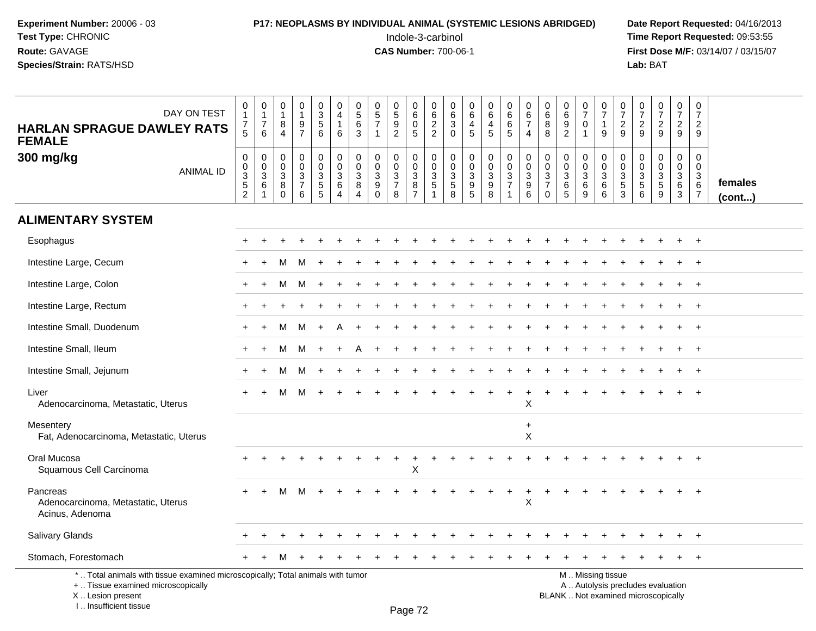#### **P17: NEOPLASMS BY INDIVIDUAL ANIMAL (SYSTEMIC LESIONS ABRIDGED)** Date Report Requested: 04/16/2013<br>Indole-3-carbinol **Time Report Requested:** 09:53:55

 Indole-3-carbinol **Time Report Requested:** 09:53:55 **First Dose M/F:** 03/14/07 / 03/15/07<br>Lab: BAT **Lab:** BAT

| <b>HARLAN SPRAGUE DAWLEY RATS</b><br><b>FEMALE</b>                                                                                         | DAY ON TEST      | 0<br>7<br>5                                                 | $\begin{smallmatrix}0\\1\end{smallmatrix}$<br>$\overline{7}$<br>6 | $\begin{smallmatrix}0\\1\end{smallmatrix}$<br>$\bf 8$<br>$\overline{4}$ | 0<br>$\mathbf{1}$<br>$\frac{9}{7}$                                             | $\begin{array}{c} 0 \\ 3 \\ 5 \end{array}$<br>6   | $\pmb{0}$<br>4<br>$\mathbf{1}$<br>6                     | $\pmb{0}$<br>$\sqrt{5}$<br>$\,6\,$<br>3                          | $\begin{array}{c} 0 \\ 5 \\ 7 \end{array}$                                  | $\begin{smallmatrix}0\0\5\end{smallmatrix}$<br>9<br>$\overline{c}$ | $\mathbf 0$<br>6<br>$\mathbf 0$<br>$\sqrt{5}$             | 0<br>6<br>$\boldsymbol{2}$<br>$\overline{c}$ | 0<br>6<br>$\mathbf{3}$<br>$\Omega$                  | $\begin{array}{c} 0 \\ 6 \end{array}$<br>4<br>5             | $_{6}^{\rm 0}$<br>$\overline{4}$<br>5                          | $\begin{array}{c} 0 \\ 6 \end{array}$<br>$\,6\,$<br>$\sqrt{5}$                                    | 0<br>$\,6\,$<br>$\overline{7}$<br>4            | 0<br>6<br>8<br>8                                                   | $_{6}^{\rm 0}$<br>$\boldsymbol{9}$<br>$\overline{2}$                     | $\begin{array}{c} 0 \\ 7 \end{array}$<br>$\mathbf 0$<br>$\overline{1}$    | $\frac{0}{7}$<br>$\mathbf{1}$<br>$9\,$                                                        | $\frac{0}{7}$<br>$\sqrt{2}$<br>9                              | $\frac{0}{7}$<br>$\sqrt{2}$<br>9                    | $\begin{array}{c} 0 \\ 7 \end{array}$<br>$\frac{2}{9}$ | $\mathbf 0$<br>$\overline{7}$<br>$\overline{2}$<br>9 | 0<br>$\overline{7}$<br>$\overline{2}$<br>9         |                         |
|--------------------------------------------------------------------------------------------------------------------------------------------|------------------|-------------------------------------------------------------|-------------------------------------------------------------------|-------------------------------------------------------------------------|--------------------------------------------------------------------------------|---------------------------------------------------|---------------------------------------------------------|------------------------------------------------------------------|-----------------------------------------------------------------------------|--------------------------------------------------------------------|-----------------------------------------------------------|----------------------------------------------|-----------------------------------------------------|-------------------------------------------------------------|----------------------------------------------------------------|---------------------------------------------------------------------------------------------------|------------------------------------------------|--------------------------------------------------------------------|--------------------------------------------------------------------------|---------------------------------------------------------------------------|-----------------------------------------------------------------------------------------------|---------------------------------------------------------------|-----------------------------------------------------|--------------------------------------------------------|------------------------------------------------------|----------------------------------------------------|-------------------------|
| 300 mg/kg                                                                                                                                  | <b>ANIMAL ID</b> | $\pmb{0}$<br>$\mathbf 0$<br>$\frac{3}{5}$<br>$\overline{2}$ | $\boldsymbol{0}$<br>$\mathbf 0$<br>$\frac{3}{6}$                  | 0<br>$\mathbf 0$<br>$\mathbf{3}$<br>8<br>$\mathbf 0$                    | $\pmb{0}$<br>$\mathbf 0$<br>$\mathbf{3}$<br>$\boldsymbol{7}$<br>$6\phantom{1}$ | $\mathbf 0$<br>$\mathsf{O}\xspace$<br>$rac{3}{5}$ | 0<br>$\mathbf 0$<br>$\mathbf{3}$<br>6<br>$\overline{4}$ | 0<br>0<br>$\ensuremath{\mathsf{3}}$<br>$\bf 8$<br>$\overline{4}$ | $\mathbf 0$<br>$\mathbf 0$<br>$\sqrt{3}$<br>$\boldsymbol{9}$<br>$\mathbf 0$ | $\mathbf 0$<br>$\pmb{0}$<br>3<br>$\overline{7}$<br>8               | $\pmb{0}$<br>$\mathbf 0$<br>$\mathbf{3}$<br>$\frac{8}{7}$ | $\mathbf 0$<br>$\mathbf 0$<br>3<br>5         | $\boldsymbol{0}$<br>$\pmb{0}$<br>$\frac{3}{5}$<br>8 | 0<br>$\mathsf{O}\xspace$<br>$\overline{3}$<br>$\frac{9}{5}$ | 0<br>$\overline{0}$<br>$\overline{3}$<br>$\boldsymbol{9}$<br>8 | $\pmb{0}$<br>$\ddot{\mathbf{0}}$<br>$\ensuremath{\mathsf{3}}$<br>$\overline{7}$<br>$\overline{1}$ | 0<br>$\mathsf 0$<br>3<br>$\boldsymbol{9}$<br>6 | $\mathbf 0$<br>$\boldsymbol{0}$<br>3<br>$\overline{7}$<br>$\Omega$ | 0<br>$\pmb{0}$<br>$\ensuremath{\mathsf{3}}$<br>$\,6\,$<br>$\overline{5}$ | $\mathbf 0$<br>$\mathbf 0$<br>$\mathbf{3}$<br>$\,6\,$<br>$\boldsymbol{9}$ | $\pmb{0}$<br>$\mathsf{O}\xspace$<br>$\ensuremath{\mathsf{3}}$<br>$\,6\,$<br>6                 | $\mathbf 0$<br>$\mathsf 0$<br>$\mathbf{3}$<br>$\sqrt{5}$<br>3 | 0<br>$\mathbf 0$<br>$\mathbf{3}$<br>$\sqrt{5}$<br>6 | 0<br>$\mathbf 0$<br>$\mathsf 3$<br>$\frac{5}{9}$       | 0<br>$\mathbf 0$<br>3<br>$\,6\,$<br>3                | $\mathbf 0$<br>0<br>3<br>$\,6\,$<br>$\overline{7}$ | females<br>$($ cont $)$ |
| <b>ALIMENTARY SYSTEM</b>                                                                                                                   |                  |                                                             |                                                                   |                                                                         |                                                                                |                                                   |                                                         |                                                                  |                                                                             |                                                                    |                                                           |                                              |                                                     |                                                             |                                                                |                                                                                                   |                                                |                                                                    |                                                                          |                                                                           |                                                                                               |                                                               |                                                     |                                                        |                                                      |                                                    |                         |
| Esophagus                                                                                                                                  |                  |                                                             |                                                                   |                                                                         |                                                                                |                                                   |                                                         |                                                                  |                                                                             |                                                                    |                                                           |                                              |                                                     |                                                             |                                                                |                                                                                                   |                                                |                                                                    |                                                                          |                                                                           |                                                                                               |                                                               |                                                     |                                                        |                                                      | $\div$                                             |                         |
| Intestine Large, Cecum                                                                                                                     |                  |                                                             |                                                                   | м                                                                       | M                                                                              |                                                   |                                                         |                                                                  |                                                                             |                                                                    |                                                           |                                              |                                                     |                                                             |                                                                |                                                                                                   |                                                |                                                                    |                                                                          |                                                                           |                                                                                               |                                                               |                                                     |                                                        |                                                      | $\ddot{}$                                          |                         |
| Intestine Large, Colon                                                                                                                     |                  |                                                             |                                                                   | м                                                                       | M                                                                              |                                                   |                                                         |                                                                  |                                                                             |                                                                    |                                                           |                                              |                                                     |                                                             |                                                                |                                                                                                   |                                                |                                                                    |                                                                          |                                                                           |                                                                                               |                                                               |                                                     |                                                        |                                                      |                                                    |                         |
| Intestine Large, Rectum                                                                                                                    |                  |                                                             |                                                                   |                                                                         |                                                                                |                                                   |                                                         |                                                                  |                                                                             |                                                                    |                                                           |                                              |                                                     |                                                             |                                                                |                                                                                                   |                                                |                                                                    |                                                                          |                                                                           |                                                                                               |                                                               |                                                     |                                                        |                                                      |                                                    |                         |
| Intestine Small, Duodenum                                                                                                                  |                  |                                                             | $\div$                                                            | м                                                                       | M                                                                              | $\overline{+}$                                    |                                                         |                                                                  |                                                                             |                                                                    |                                                           |                                              |                                                     |                                                             |                                                                |                                                                                                   |                                                |                                                                    |                                                                          |                                                                           |                                                                                               |                                                               |                                                     |                                                        |                                                      | $\pm$                                              |                         |
| Intestine Small, Ileum                                                                                                                     |                  |                                                             |                                                                   | м                                                                       | M                                                                              |                                                   |                                                         |                                                                  |                                                                             |                                                                    |                                                           |                                              |                                                     |                                                             |                                                                |                                                                                                   |                                                |                                                                    |                                                                          |                                                                           |                                                                                               |                                                               |                                                     |                                                        |                                                      | $\overline{+}$                                     |                         |
| Intestine Small, Jejunum                                                                                                                   |                  |                                                             |                                                                   | м                                                                       | M                                                                              |                                                   |                                                         |                                                                  |                                                                             |                                                                    |                                                           |                                              |                                                     |                                                             |                                                                |                                                                                                   |                                                |                                                                    |                                                                          |                                                                           |                                                                                               |                                                               |                                                     |                                                        |                                                      | $\ddot{}$                                          |                         |
| Liver<br>Adenocarcinoma, Metastatic, Uterus                                                                                                |                  |                                                             |                                                                   | м                                                                       | м                                                                              |                                                   |                                                         |                                                                  |                                                                             |                                                                    |                                                           |                                              |                                                     |                                                             |                                                                |                                                                                                   | X                                              |                                                                    |                                                                          |                                                                           |                                                                                               |                                                               |                                                     |                                                        |                                                      |                                                    |                         |
| Mesentery<br>Fat, Adenocarcinoma, Metastatic, Uterus                                                                                       |                  |                                                             |                                                                   |                                                                         |                                                                                |                                                   |                                                         |                                                                  |                                                                             |                                                                    |                                                           |                                              |                                                     |                                                             |                                                                |                                                                                                   | $\ddot{}$<br>X                                 |                                                                    |                                                                          |                                                                           |                                                                                               |                                                               |                                                     |                                                        |                                                      |                                                    |                         |
| Oral Mucosa<br>Squamous Cell Carcinoma                                                                                                     |                  |                                                             |                                                                   |                                                                         |                                                                                |                                                   |                                                         |                                                                  |                                                                             |                                                                    | Χ                                                         |                                              |                                                     |                                                             |                                                                |                                                                                                   |                                                |                                                                    |                                                                          |                                                                           |                                                                                               |                                                               |                                                     |                                                        |                                                      |                                                    |                         |
| Pancreas<br>Adenocarcinoma, Metastatic, Uterus<br>Acinus, Adenoma                                                                          |                  | $+$                                                         | $+$                                                               | м                                                                       | M                                                                              |                                                   |                                                         |                                                                  |                                                                             |                                                                    |                                                           |                                              |                                                     |                                                             |                                                                | $\ddot{}$                                                                                         | +<br>X                                         |                                                                    |                                                                          |                                                                           |                                                                                               |                                                               |                                                     |                                                        |                                                      | $+$                                                |                         |
| Salivary Glands                                                                                                                            |                  |                                                             |                                                                   |                                                                         |                                                                                |                                                   |                                                         |                                                                  |                                                                             |                                                                    |                                                           |                                              |                                                     |                                                             |                                                                |                                                                                                   |                                                |                                                                    |                                                                          |                                                                           |                                                                                               |                                                               |                                                     |                                                        |                                                      |                                                    |                         |
| Stomach, Forestomach                                                                                                                       |                  |                                                             |                                                                   | M                                                                       |                                                                                |                                                   |                                                         |                                                                  |                                                                             |                                                                    |                                                           |                                              |                                                     |                                                             |                                                                |                                                                                                   |                                                |                                                                    |                                                                          |                                                                           |                                                                                               |                                                               |                                                     |                                                        |                                                      | $\ddot{}$                                          |                         |
| *  Total animals with tissue examined microscopically; Total animals with tumor<br>+  Tissue examined microscopically<br>X  Lesion present |                  |                                                             |                                                                   |                                                                         |                                                                                |                                                   |                                                         |                                                                  |                                                                             |                                                                    |                                                           |                                              |                                                     |                                                             |                                                                |                                                                                                   |                                                |                                                                    |                                                                          |                                                                           | M  Missing tissue<br>A  Autolysis precludes evaluation<br>BLANK  Not examined microscopically |                                                               |                                                     |                                                        |                                                      |                                                    |                         |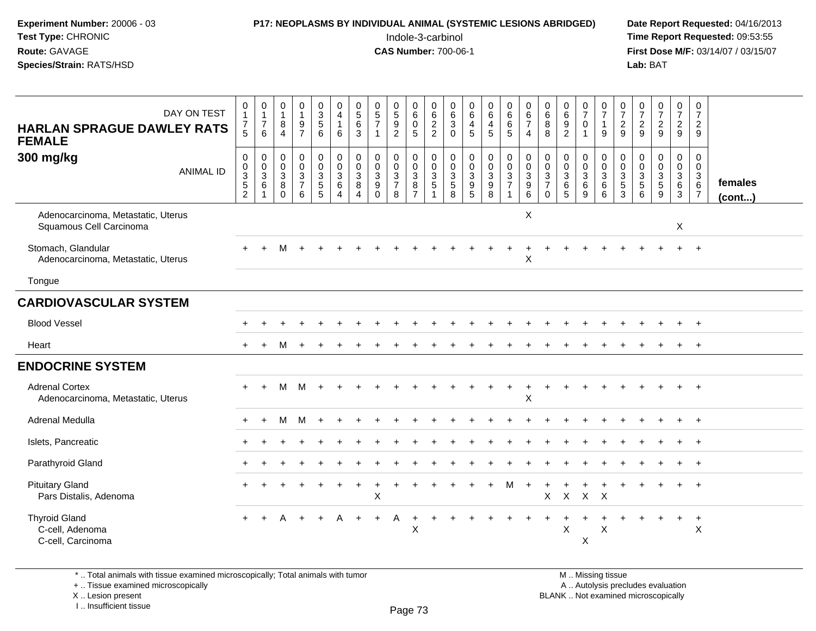# **P17: NEOPLASMS BY INDIVIDUAL ANIMAL (SYSTEMIC LESIONS ABRIDGED)** Date Report Requested: 04/16/2013<br>Indole-3-carbinol **Time Report Requested:** 09:53:55

 Indole-3-carbinol **Time Report Requested:** 09:53:55 **First Dose M/F:** 03/14/07 / 03/15/07<br>Lab: BAT

| DAY ON TEST<br><b>HARLAN SPRAGUE DAWLEY RATS</b><br><b>FEMALE</b> | 0<br>$\mathbf{1}$<br>$\overline{7}$<br>$\overline{5}$        | $\mathbf 0$<br>$\mathbf{1}$<br>$\overline{7}$<br>6 | $\begin{smallmatrix}0\\1\end{smallmatrix}$<br>8<br>$\boldsymbol{\Lambda}$ | 0<br>$\mathbf{1}$<br>$\frac{9}{7}$                        | 0<br>3<br>$5\overline{)}$<br>6                              | 0<br>$\overline{4}$<br>$\mathbf{1}$<br>6                                 | $\begin{smallmatrix}0\0\5\end{smallmatrix}$<br>6<br>3 | $\begin{array}{c} 0 \\ 5 \\ 7 \end{array}$            | $\begin{array}{c} 0 \\ 5 \end{array}$<br>9<br>$\overline{2}$ | 0<br>$\,6\,$<br>$\mathbf 0$<br>5                                         | 0<br>$6\phantom{1}6$<br>$\frac{2}{2}$ | $\begin{array}{c} 0 \\ 6 \end{array}$<br>$\mathsf 3$<br>$\Omega$ | $\begin{array}{c} 0 \\ 6 \end{array}$<br>4<br>$\overline{5}$ | $\begin{array}{c} 0 \\ 6 \end{array}$<br>$\overline{4}$<br>$\overline{5}$ | $\begin{array}{c} 0 \\ 6 \end{array}$<br>6<br>5                 | 0<br>$\overline{6}$<br>$\overline{7}$<br>$\overline{4}$ | $\begin{array}{c} 0 \\ 6 \end{array}$<br>8<br>8 | $\begin{array}{c} 0 \\ 6 \\ 9 \end{array}$<br>$\overline{2}$      | $\frac{0}{7}$<br>$\mathbf 0$<br>$\overline{1}$     | $\frac{0}{7}$<br>$\mathbf{1}$<br>9       | $\frac{0}{7}$<br>$\frac{2}{9}$                                            | $\frac{0}{7}$<br>$\frac{2}{9}$                   | $\frac{0}{7}$<br>$\frac{2}{9}$    | $\frac{0}{7}$<br>$\frac{2}{9}$            | 0<br>$\overline{7}$<br>$\overline{2}$<br>9                                  |                         |
|-------------------------------------------------------------------|--------------------------------------------------------------|----------------------------------------------------|---------------------------------------------------------------------------|-----------------------------------------------------------|-------------------------------------------------------------|--------------------------------------------------------------------------|-------------------------------------------------------|-------------------------------------------------------|--------------------------------------------------------------|--------------------------------------------------------------------------|---------------------------------------|------------------------------------------------------------------|--------------------------------------------------------------|---------------------------------------------------------------------------|-----------------------------------------------------------------|---------------------------------------------------------|-------------------------------------------------|-------------------------------------------------------------------|----------------------------------------------------|------------------------------------------|---------------------------------------------------------------------------|--------------------------------------------------|-----------------------------------|-------------------------------------------|-----------------------------------------------------------------------------|-------------------------|
| 300 mg/kg<br><b>ANIMAL ID</b>                                     | $\pmb{0}$<br>$\begin{array}{c} 0 \\ 3 \\ 5 \\ 2 \end{array}$ | $\mathbf 0$<br>$_{3}^{\rm 0}$<br>6                 | $\mathbf 0$<br>$\mathsf{O}$<br>$\overline{3}$<br>8<br>$\Omega$            | 0<br>$\mathbf 0$<br>$\overline{3}$<br>$\overline{7}$<br>6 | $\boldsymbol{0}$<br>$\mathbf 0$<br>$\overline{3}$<br>5<br>5 | $\begin{smallmatrix} 0\\0 \end{smallmatrix}$<br>$\overline{3}$<br>6<br>4 | 0<br>0<br>$\mathbf{3}$<br>$\bf 8$<br>$\overline{4}$   | $\mathbf 0$<br>$\pmb{0}$<br>$\frac{3}{9}$<br>$\Omega$ | 0<br>$\mathbf 0$<br>$\overline{3}$<br>$\overline{7}$<br>8    | $\mathbf 0$<br>$\mathbf 0$<br>$\overline{3}$<br>$\, 8$<br>$\overline{7}$ | 0<br>0<br>$\frac{3}{5}$               | 0<br>$\mathbf 0$<br>$\frac{3}{5}$<br>8                           | $\pmb{0}$<br>$\frac{0}{3}$<br>$\overline{5}$                 | 0<br>0<br>0<br>0<br>0<br>0                                                | $\begin{array}{c} 0 \\ 0 \\ 3 \\ 7 \end{array}$<br>$\mathbf{1}$ | 0<br>0<br>3<br>9<br>6                                   | 0<br>0<br>$\frac{3}{7}$<br>$\Omega$             | 0<br>$\begin{array}{c} 0 \\ 3 \\ 6 \end{array}$<br>$\overline{5}$ | 0<br>$\mathbf 0$<br>$\overline{3}$<br>$\,6\,$<br>9 | 0<br>$\mathbf 0$<br>$\sqrt{3}$<br>6<br>6 | $\mathbf 0$<br>$\mathbf 0$<br>$\mathbf{3}$<br>$\,$ 5 $\,$<br>$\mathbf{3}$ | $\mathbf 0$<br>$\mathbf 0$<br>$\frac{3}{5}$<br>6 | $\mathbf 0$<br>$\frac{0}{3}$<br>9 | 0<br>0<br>$\frac{3}{6}$<br>$\overline{3}$ | 0<br>$\mathbf 0$<br>$\begin{array}{c} 3 \\ 6 \end{array}$<br>$\overline{7}$ | females<br>$($ cont $)$ |
| Adenocarcinoma, Metastatic, Uterus<br>Squamous Cell Carcinoma     |                                                              |                                                    |                                                                           |                                                           |                                                             |                                                                          |                                                       |                                                       |                                                              |                                                                          |                                       |                                                                  |                                                              |                                                                           |                                                                 | $\boldsymbol{\mathsf{X}}$                               |                                                 |                                                                   |                                                    |                                          |                                                                           |                                                  |                                   | X                                         |                                                                             |                         |
| Stomach, Glandular<br>Adenocarcinoma, Metastatic, Uterus          |                                                              |                                                    | м                                                                         |                                                           |                                                             |                                                                          |                                                       |                                                       |                                                              |                                                                          |                                       |                                                                  |                                                              |                                                                           |                                                                 | X                                                       |                                                 |                                                                   |                                                    |                                          |                                                                           |                                                  |                                   |                                           | $\overline{+}$                                                              |                         |
| Tongue                                                            |                                                              |                                                    |                                                                           |                                                           |                                                             |                                                                          |                                                       |                                                       |                                                              |                                                                          |                                       |                                                                  |                                                              |                                                                           |                                                                 |                                                         |                                                 |                                                                   |                                                    |                                          |                                                                           |                                                  |                                   |                                           |                                                                             |                         |
| <b>CARDIOVASCULAR SYSTEM</b>                                      |                                                              |                                                    |                                                                           |                                                           |                                                             |                                                                          |                                                       |                                                       |                                                              |                                                                          |                                       |                                                                  |                                                              |                                                                           |                                                                 |                                                         |                                                 |                                                                   |                                                    |                                          |                                                                           |                                                  |                                   |                                           |                                                                             |                         |
| <b>Blood Vessel</b>                                               |                                                              |                                                    |                                                                           |                                                           |                                                             |                                                                          |                                                       |                                                       |                                                              |                                                                          |                                       |                                                                  |                                                              |                                                                           |                                                                 |                                                         |                                                 |                                                                   |                                                    |                                          |                                                                           |                                                  |                                   | ÷                                         | $+$                                                                         |                         |
| Heart                                                             |                                                              |                                                    |                                                                           |                                                           |                                                             |                                                                          |                                                       |                                                       |                                                              |                                                                          |                                       |                                                                  |                                                              |                                                                           |                                                                 |                                                         |                                                 |                                                                   |                                                    |                                          |                                                                           |                                                  |                                   |                                           | $\ddot{}$                                                                   |                         |
| <b>ENDOCRINE SYSTEM</b>                                           |                                                              |                                                    |                                                                           |                                                           |                                                             |                                                                          |                                                       |                                                       |                                                              |                                                                          |                                       |                                                                  |                                                              |                                                                           |                                                                 |                                                         |                                                 |                                                                   |                                                    |                                          |                                                                           |                                                  |                                   |                                           |                                                                             |                         |
| <b>Adrenal Cortex</b><br>Adenocarcinoma, Metastatic, Uterus       | $+$                                                          | $+$                                                | м                                                                         | M                                                         | $\div$                                                      |                                                                          |                                                       |                                                       |                                                              |                                                                          |                                       |                                                                  |                                                              |                                                                           |                                                                 | $\overline{1}$<br>X                                     |                                                 |                                                                   |                                                    |                                          |                                                                           |                                                  |                                   | $\ddot{}$                                 | $+$                                                                         |                         |
| Adrenal Medulla                                                   | $\ddot{}$                                                    | $\ddot{}$                                          | M                                                                         | M                                                         | $\ddot{}$                                                   |                                                                          |                                                       |                                                       |                                                              |                                                                          |                                       |                                                                  |                                                              |                                                                           |                                                                 |                                                         |                                                 |                                                                   |                                                    |                                          |                                                                           |                                                  |                                   | $+$                                       | $+$                                                                         |                         |
| Islets, Pancreatic                                                |                                                              |                                                    |                                                                           |                                                           |                                                             |                                                                          |                                                       |                                                       |                                                              |                                                                          |                                       |                                                                  |                                                              |                                                                           |                                                                 |                                                         |                                                 |                                                                   |                                                    |                                          |                                                                           |                                                  |                                   |                                           | $+$                                                                         |                         |
| Parathyroid Gland                                                 |                                                              |                                                    |                                                                           |                                                           |                                                             |                                                                          |                                                       |                                                       |                                                              |                                                                          |                                       |                                                                  |                                                              |                                                                           |                                                                 |                                                         |                                                 |                                                                   |                                                    |                                          |                                                                           |                                                  |                                   |                                           |                                                                             |                         |
| <b>Pituitary Gland</b><br>Pars Distalis, Adenoma                  |                                                              |                                                    |                                                                           |                                                           |                                                             |                                                                          |                                                       | X                                                     |                                                              |                                                                          |                                       |                                                                  |                                                              | $+$                                                                       | м                                                               |                                                         | X                                               | X X X                                                             |                                                    |                                          |                                                                           |                                                  |                                   | $\ddot{}$                                 | $\overline{+}$                                                              |                         |
| <b>Thyroid Gland</b><br>C-cell, Adenoma<br>C-cell, Carcinoma      | $+$                                                          | $+$                                                | $\overline{A}$                                                            | $+$                                                       | $+$                                                         | A                                                                        | $+$                                                   | $+$                                                   | A                                                            | X                                                                        |                                       |                                                                  |                                                              |                                                                           |                                                                 |                                                         |                                                 | X                                                                 | X                                                  | X                                        |                                                                           |                                                  | $\div$                            | $\ddot{}$                                 | $+$<br>X                                                                    |                         |

\* .. Total animals with tissue examined microscopically; Total animals with tumor

+ .. Tissue examined microscopically

 Lesion present BLANK .. Not examined microscopicallyX .. Lesion present

I .. Insufficient tissue

M .. Missing tissue y the contract of the contract of the contract of the contract of the contract of  $\mathsf A$  . Autolysis precludes evaluation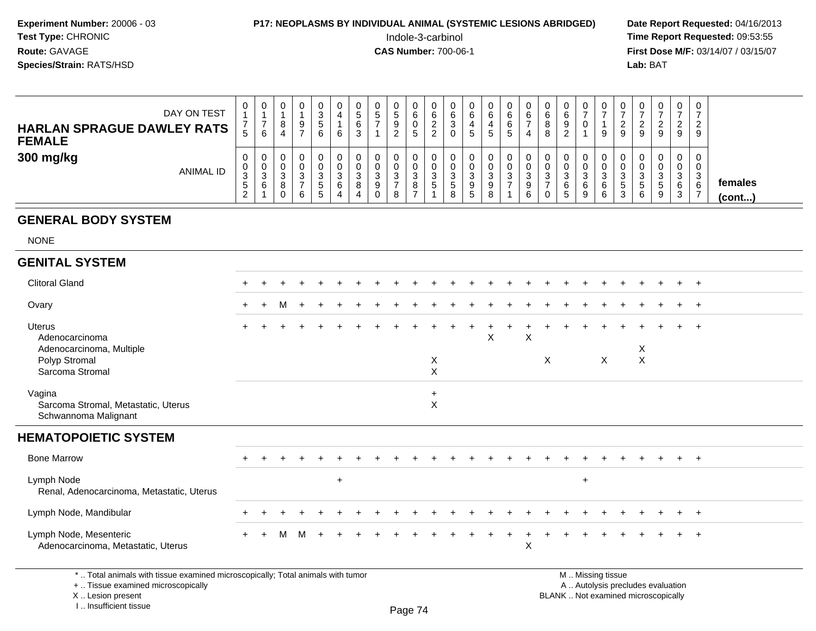### **P17: NEOPLASMS BY INDIVIDUAL ANIMAL (SYSTEMIC LESIONS ABRIDGED)** Date Report Requested: 04/16/2013<br>Indole-3-carbinol **Time Report Requested:** 09:53:55

 Indole-3-carbinol **Time Report Requested:** 09:53:55 **First Dose M/F:** 03/14/07 / 03/15/07<br>Lab: BAT **Lab:** BAT

| DAY ON TEST<br><b>HARLAN SPRAGUE DAWLEY RATS</b><br><b>FEMALE</b> | 0<br>$\mathbf b$                 | U.<br>6 | 0<br>9  | υ<br>6. | v<br>6      | 0<br>.5<br>6<br>3     | N | ົ<br><u>L</u> | v<br>ь | ັບ<br>6      | 6<br>ັ      | U<br>6<br>G           | G | Ð | ν<br>b                 |                    | 0<br>0                     |      |   | u<br>9 | U<br>9                           | 0<br><u>_</u><br>9         | 0<br>ົາ<br>-9    |                         |
|-------------------------------------------------------------------|----------------------------------|---------|---------|---------|-------------|-----------------------|---|---------------|--------|--------------|-------------|-----------------------|---|---|------------------------|--------------------|----------------------------|------|---|--------|----------------------------------|----------------------------|------------------|-------------------------|
| 300 mg/kg<br>ANIMAL ID                                            | 0<br>0<br>3<br>$\mathbf{p}$<br>ົ |         | د.<br>6 |         | 3<br>6<br>4 | 0<br>0<br>ົ<br>◡<br>8 | ◡ |               | Ĵ<br>o | υ<br>J.<br>C | ت<br>ັ<br>8 | υ<br>U<br>3<br>9<br>G |   | ಎ | ν<br>u<br>J٥<br>9<br>6 | ົ<br>د.<br>6<br>.5 | 0<br>0<br>ົ<br>◡<br>6<br>9 | - 22 | э | 6      | 0<br>υ<br>3<br><sub>5</sub><br>9 | 0<br>U<br>◠<br>J<br>6<br>3 | 0<br>0<br>3<br>6 | females<br>$($ cont $)$ |

#### **GENERAL BODY SYSTEM**

NONE

#### **GENITAL SYSTEM**

| יים וט וט בת וויום                                                                                                                         |     |                |   |   |     |  |  |                       |  |   |   |   |                   |              |                                                                          |  |                |  |
|--------------------------------------------------------------------------------------------------------------------------------------------|-----|----------------|---|---|-----|--|--|-----------------------|--|---|---|---|-------------------|--------------|--------------------------------------------------------------------------|--|----------------|--|
| <b>Clitoral Gland</b>                                                                                                                      |     |                |   |   |     |  |  |                       |  |   |   |   |                   |              |                                                                          |  |                |  |
| Ovary                                                                                                                                      | $+$ | $\overline{+}$ | м |   |     |  |  |                       |  |   |   |   |                   |              |                                                                          |  | $+$            |  |
| Uterus<br>Adenocarcinoma<br>Adenocarcinoma, Multiple<br>Polyp Stromal<br>Sarcoma Stromal                                                   |     |                |   |   |     |  |  | X<br>$\pmb{\times}$   |  | X | X | X |                   | $\mathsf{X}$ | X<br>$\pmb{\times}$                                                      |  |                |  |
| Vagina<br>Sarcoma Stromal, Metastatic, Uterus<br>Schwannoma Malignant                                                                      |     |                |   |   |     |  |  | $+$<br>$\pmb{\times}$ |  |   |   |   |                   |              |                                                                          |  |                |  |
| <b>HEMATOPOIETIC SYSTEM</b>                                                                                                                |     |                |   |   |     |  |  |                       |  |   |   |   |                   |              |                                                                          |  |                |  |
| <b>Bone Marrow</b>                                                                                                                         |     |                |   |   |     |  |  |                       |  |   |   |   |                   |              |                                                                          |  |                |  |
| Lymph Node<br>Renal, Adenocarcinoma, Metastatic, Uterus                                                                                    |     |                |   |   | $+$ |  |  |                       |  |   |   |   | $+$               |              |                                                                          |  |                |  |
| Lymph Node, Mandibular                                                                                                                     |     |                |   |   |     |  |  |                       |  |   |   |   |                   |              |                                                                          |  | $\overline{ }$ |  |
| Lymph Node, Mesenteric<br>Adenocarcinoma, Metastatic, Uterus                                                                               | $+$ |                | M | M |     |  |  |                       |  |   | X |   |                   |              |                                                                          |  | $+$ $+$        |  |
| *  Total animals with tissue examined microscopically; Total animals with tumor<br>+  Tissue examined microscopically<br>X  Lesion present |     |                |   |   |     |  |  |                       |  |   |   |   | M  Missing tissue |              | A  Autolysis precludes evaluation<br>BLANK  Not examined microscopically |  |                |  |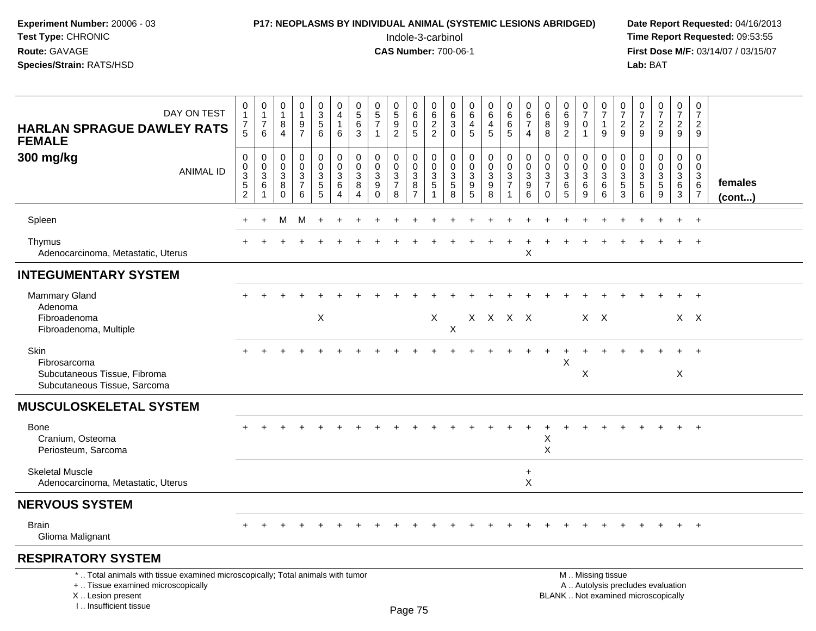## **P17: NEOPLASMS BY INDIVIDUAL ANIMAL (SYSTEMIC LESIONS ABRIDGED)** Date Report Requested: 04/16/2013<br>Indole-3-carbinol **Time Report Requested:** 09:53:55

 Indole-3-carbinol **Time Report Requested:** 09:53:55 **First Dose M/F:** 03/14/07 / 03/15/07<br>Lab: BAT **Lab:** BAT

| DAY ON TEST<br><b>HARLAN SPRAGUE DAWLEY RATS</b><br><b>FEMALE</b>                                                                                                   | 0<br>$\mathbf{1}$<br>$\overline{7}$<br>5                                   | 0<br>$\mathbf{1}$<br>$\overline{7}$<br>6 | 0<br>$\mathbf{1}$<br>8<br>$\overline{4}$  | 0<br>$\mathbf{1}$<br>9<br>$\overline{7}$                  | 0<br>$\mathbf{3}$<br>$\overline{5}$<br>6  | 0<br>$\overline{4}$<br>$\overline{1}$<br>6                                      | 0<br>$\sqrt{5}$<br>6<br>3                              | 0<br>$\sqrt{5}$<br>$\overline{7}$<br>$\mathbf{1}$           | 0<br>$\sqrt{5}$<br>$\overline{9}$<br>$\overline{2}$        | 0<br>$6\phantom{1}$<br>$\mathbf 0$<br>5                 | 0<br>$\,6\,$<br>$\overline{2}$<br>$\overline{c}$ | 0<br>$\,6\,$<br>$\sqrt{3}$<br>$\mathbf 0$             | 0<br>$\,6\,$<br>4<br>5                    | 0<br>6<br>4<br>5                                                       | 0<br>6<br>6<br>$\sqrt{5}$                                                               | 0<br>6<br>$\overline{7}$<br>$\overline{4}$              | 0<br>6<br>8<br>8                                                 | 0<br>6<br>$9\,$<br>$\overline{2}$                        | 0<br>$\overline{7}$<br>0<br>$\mathbf{1}$ | $\pmb{0}$<br>$\overline{7}$<br>$\mathbf{1}$<br>9   | 0<br>$\overline{7}$<br>$\overline{c}$<br>9 | $\frac{0}{7}$<br>$\overline{c}$<br>9                   | $\frac{0}{7}$<br>$\overline{c}$<br>9                                     | 0<br>$\overline{7}$<br>$\overline{2}$<br>9           | $\pmb{0}$<br>$\overline{7}$<br>$\overline{2}$<br>9     |                         |
|---------------------------------------------------------------------------------------------------------------------------------------------------------------------|----------------------------------------------------------------------------|------------------------------------------|-------------------------------------------|-----------------------------------------------------------|-------------------------------------------|---------------------------------------------------------------------------------|--------------------------------------------------------|-------------------------------------------------------------|------------------------------------------------------------|---------------------------------------------------------|--------------------------------------------------|-------------------------------------------------------|-------------------------------------------|------------------------------------------------------------------------|-----------------------------------------------------------------------------------------|---------------------------------------------------------|------------------------------------------------------------------|----------------------------------------------------------|------------------------------------------|----------------------------------------------------|--------------------------------------------|--------------------------------------------------------|--------------------------------------------------------------------------|------------------------------------------------------|--------------------------------------------------------|-------------------------|
| 300 mg/kg<br><b>ANIMAL ID</b>                                                                                                                                       | $\mathbf 0$<br>$\mathbf 0$<br>$\mathsf 3$<br>$\,$ 5 $\,$<br>$\overline{c}$ | 0<br>$\mathbf 0$<br>3<br>6<br>1          | 0<br>$\mathbf 0$<br>3<br>8<br>$\mathbf 0$ | $\mathbf 0$<br>0<br>$\mathfrak{S}$<br>$\overline{7}$<br>6 | 0<br>0<br>$\mathbf{3}$<br>$\sqrt{5}$<br>5 | $\mathbf 0$<br>$\mathbf 0$<br>$\mathbf{3}$<br>$6\phantom{1}6$<br>$\overline{4}$ | $\mathbf 0$<br>$\mathbf 0$<br>3<br>8<br>$\overline{4}$ | $\mathbf 0$<br>$\mathbf 0$<br>$\mathbf{3}$<br>9<br>$\Omega$ | 0<br>0<br>$\ensuremath{\mathsf{3}}$<br>$\overline{7}$<br>8 | $\mathbf 0$<br>0<br>$\mathbf{3}$<br>8<br>$\overline{7}$ | $\mathbf 0$<br>$\mathbf 0$<br>3<br>5             | 0<br>$\mathbf 0$<br>$\sqrt{3}$<br>$\overline{5}$<br>8 | $\mathbf 0$<br>$\mathbf 0$<br>3<br>9<br>5 | 0<br>$\mathbf 0$<br>$\ensuremath{\mathsf{3}}$<br>$\boldsymbol{9}$<br>8 | $\pmb{0}$<br>$\mathbf 0$<br>$\ensuremath{\mathsf{3}}$<br>$\overline{7}$<br>$\mathbf{1}$ | $\mathbf 0$<br>0<br>$\mathbf{3}$<br>9<br>$6\phantom{a}$ | $\mathbf 0$<br>$\mathbf 0$<br>3<br>$\overline{7}$<br>$\mathbf 0$ | $\mathbf 0$<br>$\mathbf 0$<br>$\sqrt{3}$<br>$\,6\,$<br>5 | 0<br>0<br>$\mathbf{3}$<br>6<br>9         | $\mathbf 0$<br>$\mathbf 0$<br>$\sqrt{3}$<br>6<br>6 | 0<br>0<br>3<br>$\sqrt{5}$<br>3             | $\mathbf 0$<br>$\mathbf 0$<br>3<br>5<br>$6\phantom{1}$ | $\mathbf 0$<br>0<br>$\mathbf{3}$<br>5<br>9                               | $\mathbf 0$<br>$\mathbf 0$<br>$\mathbf{3}$<br>6<br>3 | $\mathbf 0$<br>$\mathbf 0$<br>$^3$ 6<br>$\overline{7}$ | females<br>$($ cont $)$ |
| Spleen                                                                                                                                                              |                                                                            | $\ddot{}$                                | м                                         | M                                                         | $\ddot{}$                                 |                                                                                 |                                                        |                                                             |                                                            |                                                         |                                                  |                                                       |                                           |                                                                        |                                                                                         |                                                         |                                                                  |                                                          |                                          |                                                    |                                            |                                                        |                                                                          |                                                      | $\overline{+}$                                         |                         |
| Thymus<br>Adenocarcinoma, Metastatic, Uterus                                                                                                                        |                                                                            |                                          |                                           |                                                           |                                           |                                                                                 |                                                        |                                                             |                                                            |                                                         |                                                  |                                                       |                                           |                                                                        |                                                                                         | $\ddot{}$<br>X                                          |                                                                  |                                                          |                                          |                                                    |                                            |                                                        |                                                                          |                                                      | $\overline{+}$                                         |                         |
| <b>INTEGUMENTARY SYSTEM</b>                                                                                                                                         |                                                                            |                                          |                                           |                                                           |                                           |                                                                                 |                                                        |                                                             |                                                            |                                                         |                                                  |                                                       |                                           |                                                                        |                                                                                         |                                                         |                                                                  |                                                          |                                          |                                                    |                                            |                                                        |                                                                          |                                                      |                                                        |                         |
| Mammary Gland<br>Adenoma                                                                                                                                            |                                                                            |                                          |                                           |                                                           |                                           |                                                                                 |                                                        |                                                             |                                                            |                                                         |                                                  |                                                       |                                           |                                                                        |                                                                                         |                                                         |                                                                  |                                                          |                                          |                                                    |                                            |                                                        |                                                                          |                                                      | $+$                                                    |                         |
| Fibroadenoma<br>Fibroadenoma, Multiple                                                                                                                              |                                                                            |                                          |                                           |                                                           | $\mathsf X$                               |                                                                                 |                                                        |                                                             |                                                            |                                                         | X                                                | X                                                     |                                           |                                                                        | $X$ $X$ $X$ $X$                                                                         |                                                         |                                                                  |                                                          | $X$ $X$                                  |                                                    |                                            |                                                        |                                                                          |                                                      | $X \times$                                             |                         |
| <b>Skin</b><br>Fibrosarcoma<br>Subcutaneous Tissue, Fibroma                                                                                                         |                                                                            |                                          |                                           |                                                           |                                           |                                                                                 |                                                        |                                                             |                                                            |                                                         |                                                  |                                                       |                                           |                                                                        |                                                                                         |                                                         |                                                                  | X                                                        | X                                        |                                                    |                                            |                                                        |                                                                          | X                                                    |                                                        |                         |
| Subcutaneous Tissue, Sarcoma                                                                                                                                        |                                                                            |                                          |                                           |                                                           |                                           |                                                                                 |                                                        |                                                             |                                                            |                                                         |                                                  |                                                       |                                           |                                                                        |                                                                                         |                                                         |                                                                  |                                                          |                                          |                                                    |                                            |                                                        |                                                                          |                                                      |                                                        |                         |
| <b>MUSCULOSKELETAL SYSTEM</b>                                                                                                                                       |                                                                            |                                          |                                           |                                                           |                                           |                                                                                 |                                                        |                                                             |                                                            |                                                         |                                                  |                                                       |                                           |                                                                        |                                                                                         |                                                         |                                                                  |                                                          |                                          |                                                    |                                            |                                                        |                                                                          |                                                      |                                                        |                         |
| <b>Bone</b><br>Cranium, Osteoma<br>Periosteum, Sarcoma                                                                                                              |                                                                            |                                          |                                           |                                                           |                                           |                                                                                 |                                                        |                                                             |                                                            |                                                         |                                                  |                                                       |                                           |                                                                        |                                                                                         |                                                         | X<br>X                                                           |                                                          |                                          |                                                    |                                            |                                                        |                                                                          |                                                      |                                                        |                         |
| <b>Skeletal Muscle</b><br>Adenocarcinoma, Metastatic, Uterus                                                                                                        |                                                                            |                                          |                                           |                                                           |                                           |                                                                                 |                                                        |                                                             |                                                            |                                                         |                                                  |                                                       |                                           |                                                                        |                                                                                         | $\ddot{}$<br>X                                          |                                                                  |                                                          |                                          |                                                    |                                            |                                                        |                                                                          |                                                      |                                                        |                         |
| <b>NERVOUS SYSTEM</b>                                                                                                                                               |                                                                            |                                          |                                           |                                                           |                                           |                                                                                 |                                                        |                                                             |                                                            |                                                         |                                                  |                                                       |                                           |                                                                        |                                                                                         |                                                         |                                                                  |                                                          |                                          |                                                    |                                            |                                                        |                                                                          |                                                      |                                                        |                         |
| <b>Brain</b><br>Glioma Malignant                                                                                                                                    |                                                                            |                                          |                                           |                                                           |                                           |                                                                                 |                                                        |                                                             |                                                            |                                                         |                                                  |                                                       |                                           |                                                                        |                                                                                         |                                                         |                                                                  |                                                          |                                          |                                                    |                                            |                                                        |                                                                          |                                                      | $+$                                                    |                         |
| <b>RESPIRATORY SYSTEM</b>                                                                                                                                           |                                                                            |                                          |                                           |                                                           |                                           |                                                                                 |                                                        |                                                             |                                                            |                                                         |                                                  |                                                       |                                           |                                                                        |                                                                                         |                                                         |                                                                  |                                                          |                                          |                                                    |                                            |                                                        |                                                                          |                                                      |                                                        |                         |
| *  Total animals with tissue examined microscopically; Total animals with tumor<br>+  Tissue examined microscopically<br>X  Lesion present<br>I Insufficient tissue |                                                                            |                                          |                                           |                                                           |                                           |                                                                                 |                                                        |                                                             |                                                            | $D200$ 75                                               |                                                  |                                                       |                                           |                                                                        |                                                                                         |                                                         |                                                                  |                                                          |                                          | M  Missing tissue                                  |                                            |                                                        | A  Autolysis precludes evaluation<br>BLANK  Not examined microscopically |                                                      |                                                        |                         |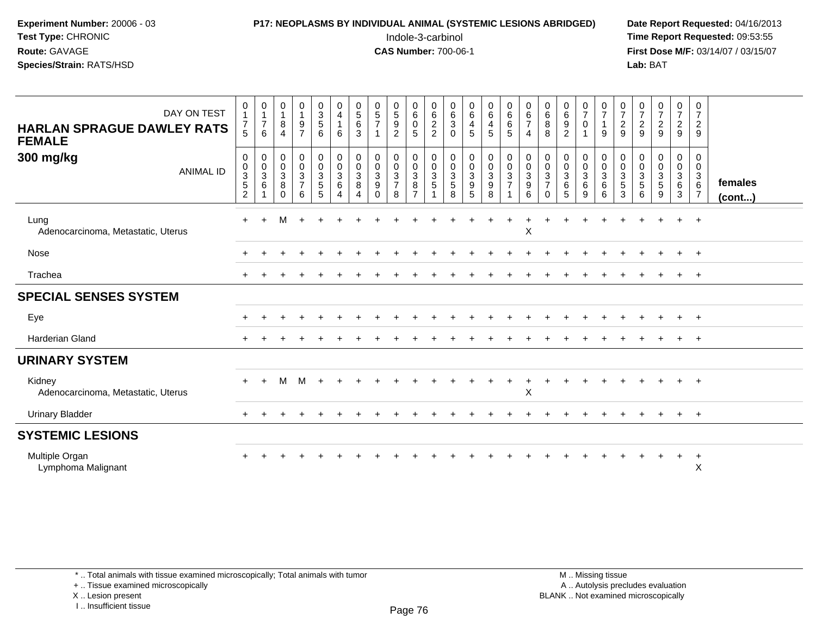**Experiment Number:** 20006 - 03**Test Type:** CHRONIC**Route:** GAVAGE

#### **Species/Strain:** RATS/HSD

 Indole-3-carbinol **Time Report Requested:** 09:53:55 **First Dose M/F:** 03/14/07 / 03/15/07<br>Lab: BAT **Lab:** BAT

| DAY ON TEST<br><b>HARLAN SPRAGUE DAWLEY RATS</b><br><b>FEMALE</b> | 0<br>1<br>7<br>5                                     | $\begin{smallmatrix}0\1\end{smallmatrix}$<br>$\overline{7}$<br>6 | $\begin{smallmatrix}0\\1\end{smallmatrix}$<br>$\,8\,$<br>$\overline{4}$ | $\begin{smallmatrix}0\\1\end{smallmatrix}$<br>$\frac{9}{7}$                                         | $_3^0$<br>5<br>6                                                                     | 0<br>4<br>$\mathbf{1}$<br>6     | $\begin{array}{c} 0 \\ 5 \end{array}$<br>$\,6\,$<br>$\mathbf{3}$ | $\begin{array}{c} 0 \\ 5 \end{array}$<br>$\overline{7}$                                          | $\begin{array}{c} 0 \\ 5 \end{array}$<br>$\boldsymbol{9}$<br>$\overline{c}$ | $\begin{array}{c} 0 \\ 6 \end{array}$<br>$\mathbf 0$<br>5             | 0<br>$\,6$<br>$\overline{a}$<br>$\overline{c}$ | $\begin{matrix} 0 \\ 6 \end{matrix}$<br>$\sqrt{3}$<br>$\mathbf 0$ | $\begin{array}{c} 0 \\ 6 \end{array}$<br>$\overline{\mathbf{4}}$<br>5 | $\begin{matrix} 0 \\ 6 \end{matrix}$<br>$\overline{4}$<br>5                            | $\begin{array}{c} 0 \\ 6 \end{array}$<br>$\,6\,$<br>$\overline{5}$ | $\begin{matrix}0\\6\end{matrix}$<br>$\overline{7}$<br>$\overline{4}$ | $\begin{array}{c} 0 \\ 6 \end{array}$<br>$\bf 8$<br>8                  | $_6^0$<br>9<br>$\overline{2}$              | $\frac{0}{7}$<br>$\mathsf{O}\xspace$<br>$\mathbf{1}$                     | $\frac{0}{7}$<br>$\mathbf{1}$<br>$\boldsymbol{9}$        | $\frac{0}{7}$<br>$\frac{2}{9}$        | $\frac{0}{7}$<br>$\sqrt{2}$<br>9                                        | $\frac{0}{7}$<br>$\frac{2}{9}$          | $\frac{0}{7}$<br>$\overline{2}$<br>9                                  | 0<br>$\overline{7}$<br>$\overline{c}$<br>9 |                   |
|-------------------------------------------------------------------|------------------------------------------------------|------------------------------------------------------------------|-------------------------------------------------------------------------|-----------------------------------------------------------------------------------------------------|--------------------------------------------------------------------------------------|---------------------------------|------------------------------------------------------------------|--------------------------------------------------------------------------------------------------|-----------------------------------------------------------------------------|-----------------------------------------------------------------------|------------------------------------------------|-------------------------------------------------------------------|-----------------------------------------------------------------------|----------------------------------------------------------------------------------------|--------------------------------------------------------------------|----------------------------------------------------------------------|------------------------------------------------------------------------|--------------------------------------------|--------------------------------------------------------------------------|----------------------------------------------------------|---------------------------------------|-------------------------------------------------------------------------|-----------------------------------------|-----------------------------------------------------------------------|--------------------------------------------|-------------------|
| 300 mg/kg<br><b>ANIMAL ID</b>                                     | 0<br>$_{3}^{\rm 0}$<br>$\mathbf 5$<br>$\overline{c}$ | 0<br>$\mathbf 0$<br>$\ensuremath{\mathsf{3}}$<br>$\,6\,$         | $\pmb{0}$<br>$\mathsf 0$<br>$\mathbf{3}$<br>8<br>$\Omega$               | $\mathbf 0$<br>$\mathsf{O}\xspace$<br>$\ensuremath{\mathsf{3}}$<br>$\overline{7}$<br>$6\phantom{a}$ | $\begin{smallmatrix}0\\0\end{smallmatrix}$<br>$\overline{3}$<br>$5\phantom{.0}$<br>5 | 0<br>$\mathbf 0$<br>3<br>6<br>4 | $\pmb{0}$<br>$\pmb{0}$<br>$\mathbf 3$<br>8<br>$\overline{4}$     | $\begin{smallmatrix}0\\0\end{smallmatrix}$<br>$\overline{3}$<br>$\boldsymbol{9}$<br>$\mathbf{0}$ | 0<br>$\pmb{0}$<br>$\overline{3}$<br>$\overline{7}$<br>8                     | $\,0\,$<br>$\mathsf{O}$<br>$\overline{3}$<br>$\, 8$<br>$\overline{7}$ | 0<br>$\mathbf 0$<br>3<br>5                     | 0<br>$\mathsf{O}\xspace$<br>$\overline{3}$<br>$\sqrt{5}$<br>8     | $\pmb{0}$<br>$\pmb{0}$<br>$\overline{3}$<br>$\frac{9}{5}$             | $\begin{smallmatrix}0\0\0\end{smallmatrix}$<br>$\overline{3}$<br>$\boldsymbol{9}$<br>8 | $\begin{smallmatrix}0\\0\\3\end{smallmatrix}$<br>$\overline{7}$    | $\pmb{0}$<br>$\mathbf 0$<br>$\sqrt{3}$<br>9<br>6                     | $\pmb{0}$<br>$\pmb{0}$<br>$\overline{3}$<br>$\overline{7}$<br>$\Omega$ | 0<br>$\mathbf 0$<br>$\mathbf{3}$<br>6<br>5 | $\begin{smallmatrix} 0\\0\\3 \end{smallmatrix}$<br>6<br>$\boldsymbol{9}$ | 0<br>$\mathbf 0$<br>$\overline{3}$<br>$\,6\,$<br>$\,6\,$ | 0<br>$\frac{0}{3}$<br>$\sqrt{5}$<br>3 | $\,0\,$<br>$\mathbf 0$<br>$\ensuremath{\mathsf{3}}$<br>$\,$ 5 $\,$<br>6 | 0<br>$\mathsf{O}\xspace$<br>3<br>5<br>9 | $\pmb{0}$<br>$\mathbf 0$<br>$\overline{3}$<br>$\,6\,$<br>$\mathbf{3}$ | 0<br>0<br>3<br>6<br>$\overline{7}$         | females<br>(cont) |
| Lung<br>Adenocarcinoma, Metastatic, Uterus                        | $\pm$                                                | +                                                                | м                                                                       | $\div$                                                                                              |                                                                                      |                                 |                                                                  |                                                                                                  |                                                                             |                                                                       |                                                |                                                                   |                                                                       |                                                                                        |                                                                    | X                                                                    |                                                                        |                                            |                                                                          |                                                          |                                       |                                                                         |                                         | $+$                                                                   | $+$                                        |                   |
| Nose                                                              |                                                      |                                                                  |                                                                         |                                                                                                     |                                                                                      |                                 |                                                                  |                                                                                                  |                                                                             |                                                                       |                                                |                                                                   |                                                                       |                                                                                        |                                                                    |                                                                      |                                                                        |                                            |                                                                          |                                                          |                                       |                                                                         |                                         |                                                                       | $+$                                        |                   |
| Trachea                                                           | $\pm$                                                |                                                                  |                                                                         |                                                                                                     |                                                                                      |                                 |                                                                  |                                                                                                  |                                                                             |                                                                       |                                                |                                                                   |                                                                       |                                                                                        |                                                                    |                                                                      |                                                                        |                                            |                                                                          |                                                          |                                       |                                                                         |                                         |                                                                       | $^{+}$                                     |                   |
| <b>SPECIAL SENSES SYSTEM</b>                                      |                                                      |                                                                  |                                                                         |                                                                                                     |                                                                                      |                                 |                                                                  |                                                                                                  |                                                                             |                                                                       |                                                |                                                                   |                                                                       |                                                                                        |                                                                    |                                                                      |                                                                        |                                            |                                                                          |                                                          |                                       |                                                                         |                                         |                                                                       |                                            |                   |
| Eye                                                               |                                                      |                                                                  |                                                                         |                                                                                                     |                                                                                      |                                 |                                                                  |                                                                                                  |                                                                             |                                                                       |                                                |                                                                   |                                                                       |                                                                                        |                                                                    |                                                                      |                                                                        |                                            |                                                                          |                                                          |                                       |                                                                         |                                         |                                                                       | $+$                                        |                   |
| <b>Harderian Gland</b>                                            |                                                      |                                                                  |                                                                         |                                                                                                     |                                                                                      |                                 |                                                                  |                                                                                                  |                                                                             |                                                                       |                                                |                                                                   |                                                                       |                                                                                        |                                                                    |                                                                      |                                                                        |                                            |                                                                          |                                                          |                                       |                                                                         |                                         |                                                                       | $+$                                        |                   |
| <b>URINARY SYSTEM</b>                                             |                                                      |                                                                  |                                                                         |                                                                                                     |                                                                                      |                                 |                                                                  |                                                                                                  |                                                                             |                                                                       |                                                |                                                                   |                                                                       |                                                                                        |                                                                    |                                                                      |                                                                        |                                            |                                                                          |                                                          |                                       |                                                                         |                                         |                                                                       |                                            |                   |
| Kidney<br>Adenocarcinoma, Metastatic, Uterus                      | $+$                                                  | $+$                                                              | м                                                                       | M                                                                                                   |                                                                                      |                                 |                                                                  |                                                                                                  |                                                                             |                                                                       |                                                |                                                                   |                                                                       |                                                                                        |                                                                    | X                                                                    |                                                                        |                                            |                                                                          |                                                          |                                       |                                                                         |                                         |                                                                       | $+$                                        |                   |
| <b>Urinary Bladder</b>                                            | $+$                                                  |                                                                  |                                                                         |                                                                                                     |                                                                                      |                                 |                                                                  |                                                                                                  |                                                                             |                                                                       |                                                |                                                                   |                                                                       |                                                                                        |                                                                    |                                                                      |                                                                        |                                            |                                                                          |                                                          |                                       |                                                                         |                                         |                                                                       | $+$                                        |                   |
| <b>SYSTEMIC LESIONS</b>                                           |                                                      |                                                                  |                                                                         |                                                                                                     |                                                                                      |                                 |                                                                  |                                                                                                  |                                                                             |                                                                       |                                                |                                                                   |                                                                       |                                                                                        |                                                                    |                                                                      |                                                                        |                                            |                                                                          |                                                          |                                       |                                                                         |                                         |                                                                       |                                            |                   |
| Multiple Organ<br>Lymphoma Malignant                              |                                                      |                                                                  |                                                                         |                                                                                                     |                                                                                      |                                 |                                                                  |                                                                                                  |                                                                             |                                                                       |                                                |                                                                   |                                                                       |                                                                                        |                                                                    |                                                                      |                                                                        |                                            |                                                                          |                                                          |                                       |                                                                         |                                         | $\ddot{}$                                                             | $+$<br>X                                   |                   |

\* .. Total animals with tissue examined microscopically; Total animals with tumor

+ .. Tissue examined microscopically

X .. Lesion present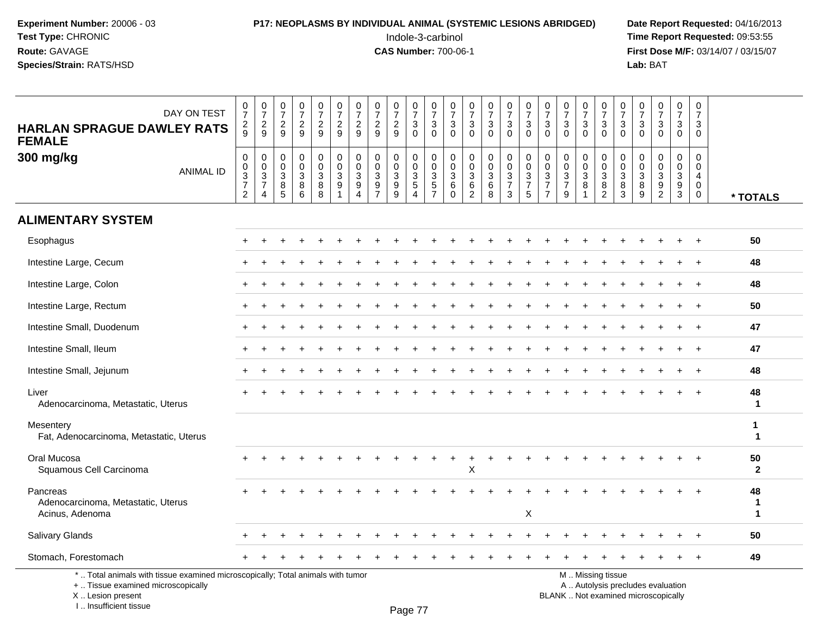## **P17: NEOPLASMS BY INDIVIDUAL ANIMAL (SYSTEMIC LESIONS ABRIDGED)** Date Report Requested: 04/16/2013<br>Indole-3-carbinol **Time Report Requested:** 09:53:55

 Indole-3-carbinol **Time Report Requested:** 09:53:55 **First Dose M/F:** 03/14/07 / 03/15/07<br>**Lab:** BAT **Lab:** BAT

| DAY ON TEST<br><b>HARLAN SPRAGUE DAWLEY RATS</b><br><b>FEMALE</b>                                                     | $\begin{smallmatrix}0\\7\end{smallmatrix}$<br>$\frac{2}{9}$ | $\frac{0}{7}$<br>$\frac{2}{9}$                                            | $\begin{smallmatrix}0\\7\end{smallmatrix}$<br>$\frac{2}{9}$                 | $\frac{0}{7}$<br>$\sqrt{2}$<br>9                                      | $\frac{0}{7}$<br>$\frac{2}{9}$        | $\frac{0}{7}$<br>$\frac{2}{9}$                          | $\begin{array}{c} 0 \\ 7 \end{array}$<br>$\overline{\mathbf{c}}$<br>9     | 0<br>$\overline{7}$<br>$\sqrt{2}$<br>9            | $\begin{array}{c} 0 \\ 7 \end{array}$<br>$\frac{2}{9}$                              | 0<br>$\overline{7}$<br>$_0^3$             | $\frac{0}{7}$<br>$\ensuremath{\mathsf{3}}$<br>$\Omega$  | $\begin{smallmatrix}0\\7\end{smallmatrix}$<br>$\sqrt{3}$<br>$\Omega$ | $\frac{0}{7}$<br>$\sqrt{3}$<br>$\Omega$             | $\frac{0}{7}$<br>$\ensuremath{\mathsf{3}}$<br>$\Omega$ | $\begin{array}{c} 0 \\ 7 \end{array}$<br>$\frac{3}{0}$    | $\frac{0}{7}$<br>$\ensuremath{\mathsf{3}}$<br>$\mathbf 0$ | 0<br>$\overline{7}$<br>3<br>$\Omega$                                | $\frac{0}{7}$<br>$\sqrt{3}$<br>$\Omega$                       | $\frac{0}{7}$<br>3<br>$\Omega$                                                 | $\begin{array}{c} 0 \\ 7 \end{array}$<br>$\frac{3}{0}$ | $\frac{0}{7}$<br>$_{0}^{3}$                                  | 0<br>$\overline{7}$<br>3<br>$\Omega$                           | $\mathbf 0$<br>$\overline{7}$<br>$\ensuremath{\mathsf{3}}$<br>$\Omega$ | $\frac{0}{7}$<br>3<br>$\Omega$                    | $\boldsymbol{0}$<br>$\overline{7}$<br>$\mathbf{3}$<br>$\Omega$             |                        |
|-----------------------------------------------------------------------------------------------------------------------|-------------------------------------------------------------|---------------------------------------------------------------------------|-----------------------------------------------------------------------------|-----------------------------------------------------------------------|---------------------------------------|---------------------------------------------------------|---------------------------------------------------------------------------|---------------------------------------------------|-------------------------------------------------------------------------------------|-------------------------------------------|---------------------------------------------------------|----------------------------------------------------------------------|-----------------------------------------------------|--------------------------------------------------------|-----------------------------------------------------------|-----------------------------------------------------------|---------------------------------------------------------------------|---------------------------------------------------------------|--------------------------------------------------------------------------------|--------------------------------------------------------|--------------------------------------------------------------|----------------------------------------------------------------|------------------------------------------------------------------------|---------------------------------------------------|----------------------------------------------------------------------------|------------------------|
| 300 mg/kg<br><b>ANIMAL ID</b>                                                                                         | $\pmb{0}$<br>$\pmb{0}$<br>$\frac{3}{7}$<br>$\overline{2}$   | $\pmb{0}$<br>$\begin{array}{c} 0 \\ 3 \\ 7 \end{array}$<br>$\overline{4}$ | $\boldsymbol{0}$<br>$_{3}^{\rm 0}$<br>$\begin{array}{c} 8 \\ 5 \end{array}$ | $\pmb{0}$<br>$\mathbf 0$<br>$\ensuremath{\mathsf{3}}$<br>$\,8\,$<br>6 | 0<br>$\mathbf 0$<br>3<br>$\bf 8$<br>8 | $\pmb{0}$<br>$\mathbf 0$<br>$\sqrt{3}$<br>$\frac{9}{1}$ | $\mathbf 0$<br>$\mathsf{O}\xspace$<br>$\mathbf{3}$<br>9<br>$\overline{4}$ | $\mathbf 0$<br>0<br>$\mathbf{3}$<br>$\frac{9}{7}$ | $\boldsymbol{0}$<br>$\mathbf 0$<br>$\sqrt{3}$<br>$\boldsymbol{9}$<br>$\overline{9}$ | 0<br>0<br>$\frac{3}{5}$<br>$\overline{4}$ | $\mathbf 0$<br>$\pmb{0}$<br>$\sqrt{3}$<br>$\frac{5}{7}$ | $\mathbf 0$<br>0<br>$\mathbf{3}$<br>$\,6\,$<br>$\Omega$              | $\mathbf 0$<br>0<br>$\mathfrak{S}$<br>$\frac{6}{2}$ | $\pmb{0}$<br>$\mathbf 0$<br>$\sqrt{3}$<br>$^6_8$       | $\mathbf 0$<br>$\pmb{0}$<br>$\frac{3}{7}$<br>$\mathbf{3}$ | $\pmb{0}$<br>$\frac{0}{3}$<br>$\overline{5}$              | $\mathbf 0$<br>$\mathbf 0$<br>3<br>$\overline{7}$<br>$\overline{7}$ | $\pmb{0}$<br>$\mathbf 0$<br>$\sqrt{3}$<br>$\overline{7}$<br>9 | $\mathbf 0$<br>$\mathbf 0$<br>$\mathbf{3}$<br>$\overline{8}$<br>$\overline{1}$ | 0<br>$\mathbf 0$<br>$\sqrt{3}$<br>$\frac{8}{2}$        | $\pmb{0}$<br>$\begin{array}{c} 0 \\ 3 \\ 8 \\ 3 \end{array}$ | $\mathbf 0$<br>$\mathbf 0$<br>$\mathbf{3}$<br>$\,8\,$<br>$9\,$ | $\mathbf 0$<br>$\mathbf 0$<br>$\mathbf{3}$<br>$\frac{9}{2}$            | $\mathbf 0$<br>0<br>$\mathbf{3}$<br>$\frac{9}{3}$ | $\mathbf 0$<br>$\mathbf 0$<br>$\overline{4}$<br>$\mathbf 0$<br>$\mathbf 0$ | * TOTALS               |
| <b>ALIMENTARY SYSTEM</b>                                                                                              |                                                             |                                                                           |                                                                             |                                                                       |                                       |                                                         |                                                                           |                                                   |                                                                                     |                                           |                                                         |                                                                      |                                                     |                                                        |                                                           |                                                           |                                                                     |                                                               |                                                                                |                                                        |                                                              |                                                                |                                                                        |                                                   |                                                                            |                        |
| Esophagus                                                                                                             |                                                             |                                                                           |                                                                             |                                                                       |                                       |                                                         |                                                                           |                                                   |                                                                                     |                                           |                                                         |                                                                      |                                                     |                                                        |                                                           |                                                           |                                                                     |                                                               |                                                                                |                                                        |                                                              |                                                                |                                                                        |                                                   |                                                                            | 50                     |
| Intestine Large, Cecum                                                                                                |                                                             |                                                                           |                                                                             |                                                                       |                                       |                                                         |                                                                           |                                                   |                                                                                     |                                           |                                                         |                                                                      |                                                     |                                                        |                                                           |                                                           |                                                                     |                                                               |                                                                                |                                                        |                                                              |                                                                |                                                                        |                                                   |                                                                            | 48                     |
| Intestine Large, Colon                                                                                                |                                                             |                                                                           |                                                                             |                                                                       |                                       |                                                         |                                                                           |                                                   |                                                                                     |                                           |                                                         |                                                                      |                                                     |                                                        |                                                           |                                                           |                                                                     |                                                               |                                                                                |                                                        |                                                              |                                                                |                                                                        |                                                   | $\ddot{}$                                                                  | 48                     |
| Intestine Large, Rectum                                                                                               |                                                             |                                                                           |                                                                             |                                                                       |                                       |                                                         |                                                                           |                                                   |                                                                                     |                                           |                                                         |                                                                      |                                                     |                                                        |                                                           |                                                           |                                                                     |                                                               |                                                                                |                                                        |                                                              |                                                                |                                                                        |                                                   |                                                                            | 50                     |
| Intestine Small, Duodenum                                                                                             |                                                             |                                                                           |                                                                             |                                                                       |                                       |                                                         |                                                                           |                                                   |                                                                                     |                                           |                                                         |                                                                      |                                                     |                                                        |                                                           |                                                           |                                                                     |                                                               |                                                                                |                                                        |                                                              |                                                                |                                                                        |                                                   |                                                                            | 47                     |
| Intestine Small, Ileum                                                                                                |                                                             |                                                                           |                                                                             |                                                                       |                                       |                                                         |                                                                           |                                                   |                                                                                     |                                           |                                                         |                                                                      |                                                     |                                                        |                                                           |                                                           |                                                                     |                                                               |                                                                                |                                                        |                                                              |                                                                |                                                                        |                                                   |                                                                            | 47                     |
| Intestine Small, Jejunum                                                                                              |                                                             |                                                                           |                                                                             |                                                                       |                                       |                                                         |                                                                           |                                                   |                                                                                     |                                           |                                                         |                                                                      |                                                     |                                                        |                                                           |                                                           |                                                                     |                                                               |                                                                                |                                                        |                                                              |                                                                |                                                                        |                                                   |                                                                            | 48                     |
| Liver<br>Adenocarcinoma, Metastatic, Uterus                                                                           |                                                             |                                                                           |                                                                             |                                                                       |                                       |                                                         |                                                                           |                                                   |                                                                                     |                                           |                                                         |                                                                      |                                                     |                                                        |                                                           |                                                           |                                                                     |                                                               |                                                                                |                                                        |                                                              |                                                                |                                                                        |                                                   |                                                                            | 48<br>-1               |
| Mesentery<br>Fat, Adenocarcinoma, Metastatic, Uterus                                                                  |                                                             |                                                                           |                                                                             |                                                                       |                                       |                                                         |                                                                           |                                                   |                                                                                     |                                           |                                                         |                                                                      |                                                     |                                                        |                                                           |                                                           |                                                                     |                                                               |                                                                                |                                                        |                                                              |                                                                |                                                                        |                                                   |                                                                            | 1<br>$\mathbf 1$       |
| Oral Mucosa<br>Squamous Cell Carcinoma                                                                                |                                                             |                                                                           |                                                                             |                                                                       |                                       |                                                         |                                                                           |                                                   |                                                                                     |                                           |                                                         |                                                                      | X                                                   |                                                        |                                                           |                                                           |                                                                     |                                                               |                                                                                |                                                        |                                                              |                                                                |                                                                        |                                                   |                                                                            | 50<br>$\mathbf{2}$     |
| Pancreas<br>Adenocarcinoma, Metastatic, Uterus<br>Acinus, Adenoma                                                     |                                                             |                                                                           |                                                                             |                                                                       |                                       |                                                         |                                                                           |                                                   |                                                                                     |                                           |                                                         |                                                                      |                                                     |                                                        |                                                           | Χ                                                         |                                                                     |                                                               |                                                                                |                                                        |                                                              |                                                                |                                                                        |                                                   |                                                                            | 48<br>1<br>$\mathbf 1$ |
| Salivary Glands                                                                                                       |                                                             |                                                                           |                                                                             |                                                                       |                                       |                                                         |                                                                           |                                                   |                                                                                     |                                           |                                                         |                                                                      |                                                     |                                                        |                                                           |                                                           |                                                                     |                                                               |                                                                                |                                                        |                                                              |                                                                |                                                                        |                                                   | $\ddot{}$                                                                  | 50                     |
| Stomach, Forestomach                                                                                                  |                                                             |                                                                           |                                                                             |                                                                       |                                       |                                                         |                                                                           |                                                   |                                                                                     |                                           |                                                         |                                                                      |                                                     |                                                        |                                                           |                                                           |                                                                     |                                                               |                                                                                |                                                        |                                                              |                                                                |                                                                        |                                                   | $\ddot{}$                                                                  | 49                     |
| *  Total animals with tissue examined microscopically; Total animals with tumor<br>+  Tissue examined microscopically |                                                             |                                                                           |                                                                             |                                                                       |                                       |                                                         |                                                                           |                                                   |                                                                                     |                                           |                                                         |                                                                      |                                                     |                                                        |                                                           |                                                           |                                                                     |                                                               |                                                                                | M  Missing tissue<br>A  Autolysis precludes evaluation |                                                              |                                                                |                                                                        |                                                   |                                                                            |                        |

 Lesion present BLANK .. Not examined microscopicallyX .. Lesion present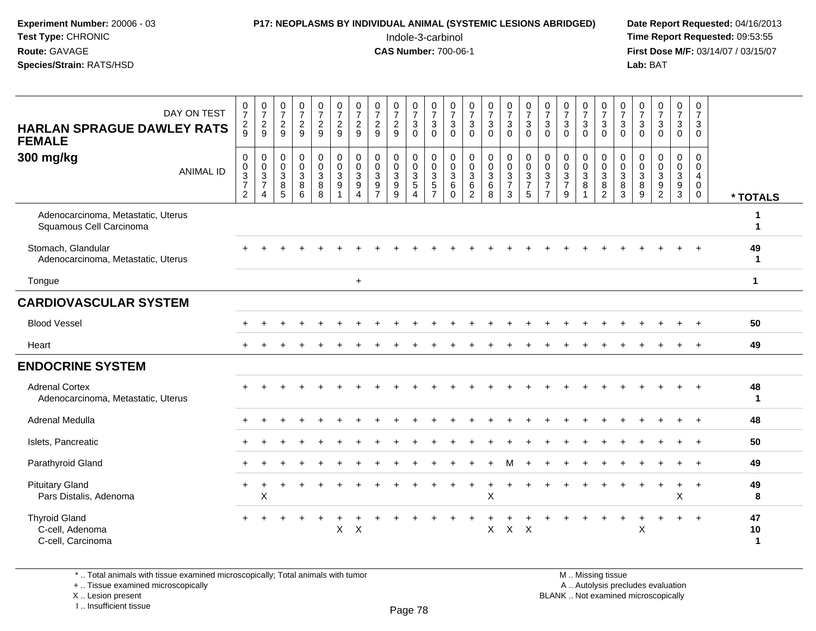| <b>P17: NEOPLASMS BY INDIVIDUAL ANIMAL (SYSTEMIC LESIONS ABRIDGED)</b> | Date Rep         |
|------------------------------------------------------------------------|------------------|
| Indole-3-carbinol                                                      | Time Rer         |
| <b>CAS Number: 700-06-1</b>                                            | <b>First Dos</b> |
|                                                                        | Lab: BAT         |
|                                                                        |                  |

# **P17: NEOPLASMS BY INDIVIDUAL ANIMAL (SYSTEMIC LESIONS ABRIDGED)** Date Report Requested: 04/16/2013<br>Indole-3-carbinol **Time Report Requested:** 09:53:55

 Indole-3-carbinol **Time Report Requested:** 09:53:55 **First Dose M/F:** 03/14/07 / 03/15/07<br>**Lab:** BAT

| <b>HARLAN SPRAGUE DAWLEY RATS</b><br><b>FEMALE</b>            | DAY ON TEST      | $\frac{0}{7}$<br>$\frac{2}{9}$               | $\begin{smallmatrix}0\\7\end{smallmatrix}$<br>$\frac{2}{9}$ | $\frac{0}{7}$<br>$\overline{c}$<br>9 | $\begin{array}{c} 0 \\ 7 \end{array}$<br>$\sqrt{2}$<br>9 | $\frac{0}{7}$<br>$\frac{2}{9}$             | $\begin{array}{c} 0 \\ 7 \end{array}$<br>$\frac{2}{9}$                    | $\begin{array}{c} 0 \\ 7 \end{array}$<br>$\frac{2}{9}$                                    | $\begin{array}{c} 0 \\ 7 \end{array}$<br>$\overline{\mathbf{c}}$<br>9           | $\begin{array}{c} 0 \\ 7 \end{array}$<br>$\frac{2}{9}$                 | $\frac{0}{7}$<br>$\mathsf 3$<br>$\Omega$                               | $\frac{0}{7}$<br>$\sqrt{3}$<br>$\Omega$                 | $\frac{0}{7}$<br>$\mathbf{3}$<br>$\Omega$         | $\frac{0}{7}$<br>$\sqrt{3}$<br>$\Omega$                   | $\frac{0}{7}$<br>$\sqrt{3}$<br>$\mathbf 0$                                       | $\begin{array}{c} 0 \\ 7 \end{array}$<br>3<br>$\Omega$                                    | $\begin{array}{c} 0 \\ 7 \end{array}$<br>$\sqrt{3}$<br>$\Omega$ | $\frac{0}{7}$<br>3<br>$\mathbf{0}$                                         | $\frac{0}{7}$<br>$\ensuremath{\mathsf{3}}$<br>$\Omega$                       | $\frac{0}{7}$<br>3<br>$\Omega$ | $\begin{array}{c} 0 \\ 7 \end{array}$<br>$\mathsf 3$<br>$\Omega$ | $\frac{0}{7}$<br>$\sqrt{3}$<br>$\Omega$                        | $\frac{0}{7}$<br>$\frac{3}{0}$                   | $\begin{array}{c} 0 \\ 7 \end{array}$<br>$\mathfrak{Z}$<br>$\Omega$ | $\begin{smallmatrix}0\\7\end{smallmatrix}$<br>$\mathbf{3}$<br>$\mathbf 0$ | $\begin{array}{c} 0 \\ 7 \end{array}$<br>$\mathbf{3}$<br>$\mathbf 0$  |                         |
|---------------------------------------------------------------|------------------|----------------------------------------------|-------------------------------------------------------------|--------------------------------------|----------------------------------------------------------|--------------------------------------------|---------------------------------------------------------------------------|-------------------------------------------------------------------------------------------|---------------------------------------------------------------------------------|------------------------------------------------------------------------|------------------------------------------------------------------------|---------------------------------------------------------|---------------------------------------------------|-----------------------------------------------------------|----------------------------------------------------------------------------------|-------------------------------------------------------------------------------------------|-----------------------------------------------------------------|----------------------------------------------------------------------------|------------------------------------------------------------------------------|--------------------------------|------------------------------------------------------------------|----------------------------------------------------------------|--------------------------------------------------|---------------------------------------------------------------------|---------------------------------------------------------------------------|-----------------------------------------------------------------------|-------------------------|
| 300 mg/kg                                                     | <b>ANIMAL ID</b> | $\pmb{0}$<br>$\frac{0}{3}$<br>$\overline{2}$ | $\begin{matrix}0\\0\\3\\7\end{matrix}$<br>4                 | 0<br>0<br>$\sqrt{3}$<br>8<br>5       | $\pmb{0}$<br>$\mathbf 0$<br>$\sqrt{3}$<br>8<br>6         | 0<br>$\mathbf 0$<br>$\mathbf{3}$<br>8<br>8 | 0<br>$\ddot{\mathbf{0}}$<br>$\ensuremath{\mathsf{3}}$<br>$\boldsymbol{9}$ | $\pmb{0}$<br>$\pmb{0}$<br>$\ensuremath{\mathsf{3}}$<br>$\boldsymbol{9}$<br>$\overline{4}$ | $\mathbf 0$<br>$\mathbf 0$<br>$\mathsf 3$<br>$\boldsymbol{9}$<br>$\overline{7}$ | $\boldsymbol{0}$<br>$\mathsf 0$<br>$\sqrt{3}$<br>$\boldsymbol{9}$<br>9 | 0<br>$\mathsf{O}\xspace$<br>$\sqrt{3}$<br>$\sqrt{5}$<br>$\overline{4}$ | $\pmb{0}$<br>$\mathbf 0$<br>$\sqrt{3}$<br>$\frac{5}{7}$ | $\mathbf 0$<br>0<br>$\mathbf{3}$<br>6<br>$\Omega$ | 0<br>$\pmb{0}$<br>$\sqrt{3}$<br>$\,6\,$<br>$\overline{2}$ | $\pmb{0}$<br>$\pmb{0}$<br>$\ensuremath{\mathsf{3}}$<br>$\,6\,$<br>$\overline{8}$ | $\mathbf 0$<br>$\mathbf 0$<br>$\ensuremath{\mathsf{3}}$<br>$\overline{7}$<br>$\mathbf{3}$ | $\pmb{0}$<br>$\pmb{0}$<br>$\sqrt{3}$<br>$\overline{7}$<br>5     | $\mathbf 0$<br>$\pmb{0}$<br>$\sqrt{3}$<br>$\overline{7}$<br>$\overline{7}$ | $\mathbf 0$<br>$\pmb{0}$<br>$\ensuremath{\mathsf{3}}$<br>$\overline{7}$<br>9 | 0<br>0<br>3<br>8               | $\pmb{0}$<br>$\begin{array}{c} 0 \\ 3 \\ 8 \\ 2 \end{array}$     | 0<br>$\mathbf 0$<br>$\ensuremath{\mathsf{3}}$<br>$\frac{8}{3}$ | $\mathbf 0$<br>$\pmb{0}$<br>$\sqrt{3}$<br>$^8_9$ | $\mathbf 0$<br>$\pmb{0}$<br>$\mathbf 3$<br>9<br>$\overline{2}$      | $\mathbf 0$<br>$\mathsf{O}\xspace$<br>$\mathbf{3}$<br>$\frac{9}{3}$       | 0<br>$\mathbf 0$<br>$\overline{4}$<br>$\boldsymbol{0}$<br>$\mathbf 0$ | * TOTALS                |
| Adenocarcinoma, Metastatic, Uterus<br>Squamous Cell Carcinoma |                  |                                              |                                                             |                                      |                                                          |                                            |                                                                           |                                                                                           |                                                                                 |                                                                        |                                                                        |                                                         |                                                   |                                                           |                                                                                  |                                                                                           |                                                                 |                                                                            |                                                                              |                                |                                                                  |                                                                |                                                  |                                                                     |                                                                           |                                                                       | 1                       |
| Stomach, Glandular<br>Adenocarcinoma, Metastatic, Uterus      |                  |                                              |                                                             |                                      |                                                          |                                            |                                                                           |                                                                                           |                                                                                 |                                                                        |                                                                        |                                                         |                                                   |                                                           |                                                                                  |                                                                                           |                                                                 |                                                                            |                                                                              |                                |                                                                  |                                                                |                                                  |                                                                     |                                                                           |                                                                       | 49<br>-1                |
| Tongue                                                        |                  |                                              |                                                             |                                      |                                                          |                                            |                                                                           | $\ddot{}$                                                                                 |                                                                                 |                                                                        |                                                                        |                                                         |                                                   |                                                           |                                                                                  |                                                                                           |                                                                 |                                                                            |                                                                              |                                |                                                                  |                                                                |                                                  |                                                                     |                                                                           |                                                                       | $\mathbf{1}$            |
| <b>CARDIOVASCULAR SYSTEM</b>                                  |                  |                                              |                                                             |                                      |                                                          |                                            |                                                                           |                                                                                           |                                                                                 |                                                                        |                                                                        |                                                         |                                                   |                                                           |                                                                                  |                                                                                           |                                                                 |                                                                            |                                                                              |                                |                                                                  |                                                                |                                                  |                                                                     |                                                                           |                                                                       |                         |
| <b>Blood Vessel</b>                                           |                  |                                              |                                                             |                                      |                                                          |                                            |                                                                           |                                                                                           |                                                                                 |                                                                        |                                                                        |                                                         |                                                   |                                                           |                                                                                  |                                                                                           |                                                                 |                                                                            |                                                                              |                                |                                                                  |                                                                |                                                  |                                                                     |                                                                           |                                                                       | 50                      |
| Heart                                                         |                  |                                              |                                                             |                                      |                                                          |                                            |                                                                           |                                                                                           |                                                                                 |                                                                        |                                                                        |                                                         |                                                   |                                                           |                                                                                  |                                                                                           |                                                                 |                                                                            |                                                                              |                                |                                                                  |                                                                |                                                  |                                                                     |                                                                           |                                                                       | 49                      |
| <b>ENDOCRINE SYSTEM</b>                                       |                  |                                              |                                                             |                                      |                                                          |                                            |                                                                           |                                                                                           |                                                                                 |                                                                        |                                                                        |                                                         |                                                   |                                                           |                                                                                  |                                                                                           |                                                                 |                                                                            |                                                                              |                                |                                                                  |                                                                |                                                  |                                                                     |                                                                           |                                                                       |                         |
| <b>Adrenal Cortex</b><br>Adenocarcinoma, Metastatic, Uterus   |                  |                                              |                                                             |                                      |                                                          |                                            |                                                                           |                                                                                           |                                                                                 |                                                                        |                                                                        |                                                         |                                                   |                                                           |                                                                                  |                                                                                           |                                                                 |                                                                            |                                                                              |                                |                                                                  |                                                                |                                                  |                                                                     |                                                                           |                                                                       | 48<br>-1                |
| Adrenal Medulla                                               |                  |                                              |                                                             |                                      |                                                          |                                            |                                                                           |                                                                                           |                                                                                 |                                                                        |                                                                        |                                                         |                                                   |                                                           |                                                                                  |                                                                                           |                                                                 |                                                                            |                                                                              |                                |                                                                  |                                                                |                                                  |                                                                     |                                                                           |                                                                       | 48                      |
| Islets, Pancreatic                                            |                  |                                              |                                                             |                                      |                                                          |                                            |                                                                           |                                                                                           |                                                                                 |                                                                        |                                                                        |                                                         |                                                   |                                                           |                                                                                  |                                                                                           |                                                                 |                                                                            |                                                                              |                                |                                                                  |                                                                |                                                  |                                                                     |                                                                           |                                                                       | 50                      |
| Parathyroid Gland                                             |                  |                                              |                                                             |                                      |                                                          |                                            |                                                                           |                                                                                           |                                                                                 |                                                                        |                                                                        |                                                         |                                                   |                                                           |                                                                                  |                                                                                           |                                                                 |                                                                            |                                                                              |                                |                                                                  |                                                                |                                                  |                                                                     |                                                                           |                                                                       | 49                      |
| <b>Pituitary Gland</b><br>Pars Distalis, Adenoma              |                  | $+$                                          | X                                                           |                                      |                                                          |                                            |                                                                           |                                                                                           |                                                                                 |                                                                        |                                                                        |                                                         |                                                   |                                                           | X                                                                                |                                                                                           |                                                                 |                                                                            |                                                                              |                                |                                                                  |                                                                |                                                  |                                                                     | $\ddot{}$<br>X                                                            | $\ddot{}$                                                             | 49<br>8                 |
| <b>Thyroid Gland</b><br>C-cell, Adenoma<br>C-cell, Carcinoma  |                  | $+$                                          |                                                             |                                      |                                                          | $\ddot{}$                                  | +<br>$\pmb{\times}$                                                       | $\times$                                                                                  |                                                                                 |                                                                        |                                                                        |                                                         |                                                   |                                                           | $\pmb{\times}$                                                                   | $\mathsf{X}$                                                                              | $\mathsf{X}$                                                    |                                                                            |                                                                              |                                |                                                                  | $\overline{+}$                                                 | +<br>X                                           | $\ddot{}$                                                           | $\ddot{}$                                                                 | $^{+}$                                                                | 47<br>10<br>$\mathbf 1$ |

\* .. Total animals with tissue examined microscopically; Total animals with tumor

+ .. Tissue examined microscopically

X .. Lesion present

I .. Insufficient tissue

M .. Missing tissue

y the contract of the contract of the contract of the contract of the contract of  $\mathsf A$  . Autolysis precludes evaluation Lesion present BLANK .. Not examined microscopically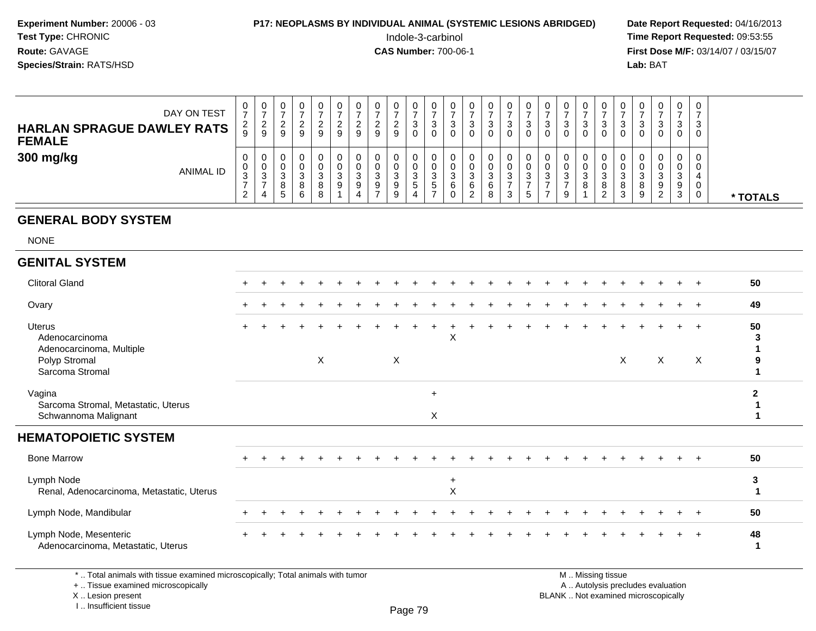#### **P17: NEOPLASMS BY INDIVIDUAL ANIMAL (SYSTEMIC LESIONS ABRIDGED)** Date Report Requested: 04/16/2013<br>Indole-3-carbinol **Time Report Requested: 09:53:55**

 Indole-3-carbinol **Time Report Requested:** 09:53:55 **First Dose M/F:** 03/14/07 / 03/15/07<br>**Lab: BAT Lab:** BAT

| DAY ON TEST<br><b>HARLAN SPRAGUE DAWLEY RATS</b><br><b>FEMALE</b> | U<br>$\rightarrow$<br>2<br>$\boldsymbol{9}$ | 0<br>ົ<br>9           | <b>0</b><br>9 | 0<br>9           | U<br>9      | U<br>9  | U<br>9           | 9                      |  | U<br>w<br>U  | U<br>ູບ | U<br>3<br>0           | U<br>◠<br>ت |     | υ<br>P<br>0           |   | 3<br>0 | 0<br>ົ<br>J.<br>0     |         | u      | U<br>3<br>0      | 0<br>3<br>0           | 0<br>3<br>0      |          |
|-------------------------------------------------------------------|---------------------------------------------|-----------------------|---------------|------------------|-------------|---------|------------------|------------------------|--|--------------|---------|-----------------------|-------------|-----|-----------------------|---|--------|-----------------------|---------|--------|------------------|-----------------------|------------------|----------|
| 300 mg/kg<br>ANIMAL ID                                            | U<br>U<br>3                                 | 0<br>0<br>⌒<br>ັ<br>4 | -c)           | ົ<br>د<br>8<br>6 | ົ<br>8<br>8 | -3<br>9 | ν<br>ົ<br>ت<br>9 | $\sim$<br>J.<br>a<br>◡ |  | U<br>w<br>J. | ◡<br>6  | Ü<br>U<br>3<br>6<br>ົ | ◠<br>ت<br>8 | - 0 | υ<br>ν<br>◠<br>ত<br>đ | ົ | ິ<br>9 | 0<br>v<br>ົ<br>◡<br>8 | ت.<br>8 | 8<br>9 | 0<br>3<br>9<br>റ | 0<br>0<br>3<br>9<br>3 | 0<br>0<br>0<br>0 | * TOTALS |

#### **GENERAL BODY SYSTEM**

NONE

#### **GENITAL SYSTEM**

| <b>Clitoral Gland</b>                                                                    |  |  |   |  |   |          |          |  |  |  |                   |                           |              |                                  | 50      |
|------------------------------------------------------------------------------------------|--|--|---|--|---|----------|----------|--|--|--|-------------------|---------------------------|--------------|----------------------------------|---------|
| Ovary                                                                                    |  |  |   |  |   |          |          |  |  |  |                   |                           |              | $\overline{ }$                   | 49      |
| Uterus<br>Adenocarcinoma<br>Adenocarcinoma, Multiple<br>Polyp Stromal<br>Sarcoma Stromal |  |  | X |  | X |          | Χ        |  |  |  |                   | $\boldsymbol{\mathsf{X}}$ | $\mathsf{X}$ | $+$<br>$\boldsymbol{\mathsf{X}}$ | 50<br>3 |
| Vagina<br>Sarcoma Stromal, Metastatic, Uterus<br>Schwannoma Malignant                    |  |  |   |  |   | $+$<br>X |          |  |  |  |                   |                           |              |                                  |         |
| <b>HEMATOPOIETIC SYSTEM</b>                                                              |  |  |   |  |   |          |          |  |  |  |                   |                           |              |                                  |         |
| <b>Bone Marrow</b>                                                                       |  |  |   |  |   |          |          |  |  |  |                   |                           |              | $+$                              | 50      |
| Lymph Node<br>Renal, Adenocarcinoma, Metastatic, Uterus                                  |  |  |   |  |   |          | $+$<br>X |  |  |  |                   |                           |              |                                  | 3       |
| Lymph Node, Mandibular                                                                   |  |  |   |  |   |          |          |  |  |  |                   |                           |              |                                  | 50      |
| Lymph Node, Mesenteric<br>Adenocarcinoma, Metastatic, Uterus                             |  |  |   |  |   |          |          |  |  |  |                   |                           |              | $+$                              | 48      |
| *  Total animals with tissue examined microscopically; Total animals with tumor          |  |  |   |  |   |          |          |  |  |  | M  Missing tissue |                           |              |                                  |         |

+ .. Tissue examined microscopically

X .. Lesion present

I .. Insufficient tissue

M .. Missing tissue

y the contract of the contract of the contract of the contract of the contract of  $\mathsf A$  . Autolysis precludes evaluation

Lesion present BLANK .. Not examined microscopically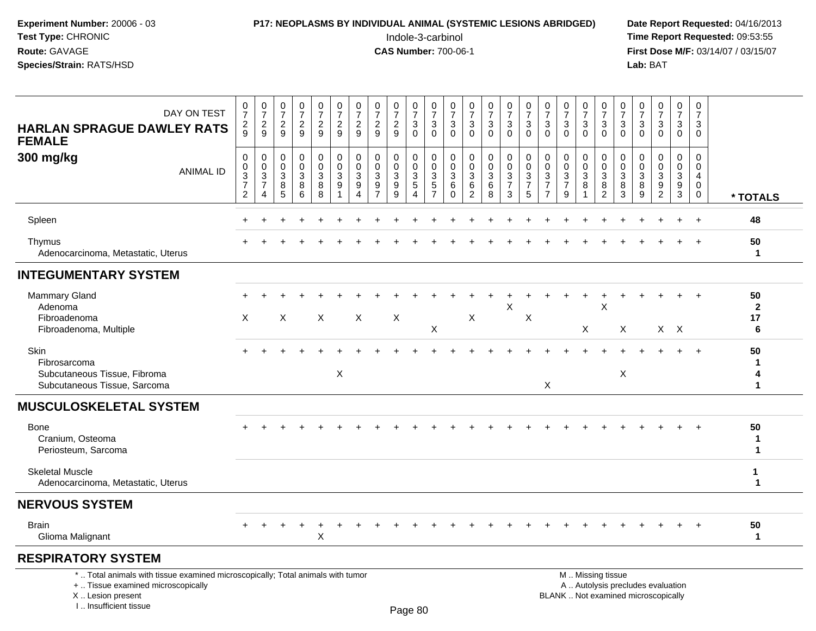## **P17: NEOPLASMS BY INDIVIDUAL ANIMAL (SYSTEMIC LESIONS ABRIDGED)** Date Report Requested: 04/16/2013<br>Indole-3-carbinol **Time Report Requested:** 09:53:55

 Indole-3-carbinol **Time Report Requested:** 09:53:55 **First Dose M/F:** 03/14/07 / 03/15/07<br>Lab: BAT **Lab:** BAT

| DAY ON TEST<br><b>HARLAN SPRAGUE DAWLEY RATS</b><br><b>FEMALE</b>                                                                          | 0<br>$\boldsymbol{7}$<br>$\frac{2}{9}$    | $\begin{smallmatrix}0\\7\end{smallmatrix}$<br>$\overline{c}$<br>9    | 0<br>$\overline{7}$<br>$\overline{2}$<br>9 | $\frac{0}{7}$<br>$\frac{2}{9}$       | 0<br>$\overline{7}$<br>$\frac{2}{9}$                | 0<br>$\overline{7}$<br>$\overline{2}$<br>9 | $\frac{0}{7}$<br>$\overline{c}$<br>9         | 0<br>$\overline{7}$<br>$\overline{c}$<br>9 | $\frac{0}{7}$<br>$\frac{2}{9}$ | 0<br>$\overline{7}$<br>3<br>$\mathbf 0$ | 0<br>$\overline{7}$<br>3<br>$\overline{0}$                  | 0<br>$\overline{7}$<br>$\mathbf{3}$<br>$\Omega$ | 0<br>$\overline{7}$<br>3<br>$\Omega$                       | $\frac{0}{7}$<br>$\sqrt{3}$<br>$\mathbf 0$ | $\frac{0}{7}$<br>$_{0}^{3}$                                      | 0<br>$\overline{7}$<br>3<br>$\mathbf 0$         | 0<br>$\overline{7}$<br>3<br>$\mathbf{0}$ | 0<br>$\overline{7}$<br>3<br>$\Omega$         | $\frac{0}{7}$<br>$\ensuremath{\mathsf{3}}$<br>$\mathbf 0$ | 0<br>$\overline{7}$<br>$\mathbf{3}$<br>$\overline{0}$  | 0<br>$\overline{7}$<br>$\mathbf{3}$<br>$\mathbf 0$ | 0<br>$\overline{7}$<br>3<br>$\mathbf 0$ | 0<br>$\overline{7}$<br>$\sqrt{3}$<br>$\overline{0}$ | $\frac{0}{7}$<br>3<br>$\mathbf 0$                           | 0<br>$\overline{7}$<br>3<br>$\mathbf 0$                                         |                                   |
|--------------------------------------------------------------------------------------------------------------------------------------------|-------------------------------------------|----------------------------------------------------------------------|--------------------------------------------|--------------------------------------|-----------------------------------------------------|--------------------------------------------|----------------------------------------------|--------------------------------------------|--------------------------------|-----------------------------------------|-------------------------------------------------------------|-------------------------------------------------|------------------------------------------------------------|--------------------------------------------|------------------------------------------------------------------|-------------------------------------------------|------------------------------------------|----------------------------------------------|-----------------------------------------------------------|--------------------------------------------------------|----------------------------------------------------|-----------------------------------------|-----------------------------------------------------|-------------------------------------------------------------|---------------------------------------------------------------------------------|-----------------------------------|
| 300 mg/kg<br><b>ANIMAL ID</b>                                                                                                              | 0<br>0<br>$\frac{3}{7}$<br>$\overline{c}$ | $\mathbf 0$<br>0<br>$\ensuremath{\mathsf{3}}$<br>$\overline{7}$<br>4 | $\mathbf 0$<br>0<br>$\mathbf{3}$<br>8<br>5 | 0<br>0<br>$\sqrt{3}$<br>$\,8\,$<br>6 | 0<br>0<br>$\ensuremath{\mathsf{3}}$<br>$\,8\,$<br>8 | 0<br>0<br>3<br>9<br>1                      | $\mathbf 0$<br>0<br>3<br>9<br>$\overline{4}$ | $\mathbf 0$<br>0<br>3<br>$\frac{9}{7}$     | 0<br>0<br>$\sqrt{3}$<br>9<br>9 | 0<br>$\mathbf 0$<br>3<br>5<br>4         | $\mathbf 0$<br>$\mathbf 0$<br>$\mathbf{3}$<br>$\frac{5}{7}$ | 0<br>0<br>3<br>6<br>$\Omega$                    | $\mathbf 0$<br>$\mathbf 0$<br>3<br>$\,6$<br>$\overline{2}$ | 0<br>$\mathbf 0$<br>3<br>6<br>8            | 0<br>$\mathbf 0$<br>$\sqrt{3}$<br>$\overline{7}$<br>$\mathbf{3}$ | 0<br>$\mathbf 0$<br>$\frac{3}{7}$<br>$\sqrt{5}$ | 0<br>0<br>3<br>7<br>$\overline{7}$       | 0<br>$\mathbf 0$<br>3<br>$\overline{7}$<br>9 | $\mathbf 0$<br>0<br>$\sqrt{3}$<br>8                       | 0<br>0<br>$\sqrt{3}$<br>8<br>$\overline{c}$            | 0<br>$\mathbf 0$<br>$\mathbf{3}$<br>8<br>3         | 0<br>0<br>3<br>8<br>9                   | $\mathbf 0$<br>0<br>3<br>$\frac{9}{2}$              | $\mathbf 0$<br>$\mathbf 0$<br>$\mathbf{3}$<br>$\frac{9}{3}$ | $\mathbf 0$<br>$\Omega$<br>$\overline{4}$<br>$\mathbf 0$<br>$\mathsf{O}\xspace$ | * TOTALS                          |
| Spleen                                                                                                                                     |                                           |                                                                      |                                            |                                      |                                                     |                                            |                                              |                                            |                                |                                         |                                                             |                                                 |                                                            |                                            |                                                                  |                                                 |                                          |                                              |                                                           |                                                        |                                                    |                                         |                                                     |                                                             | $\ddot{}$                                                                       | 48                                |
| Thymus<br>Adenocarcinoma, Metastatic, Uterus                                                                                               |                                           |                                                                      |                                            |                                      |                                                     |                                            |                                              |                                            |                                |                                         |                                                             |                                                 |                                                            |                                            |                                                                  |                                                 |                                          |                                              |                                                           |                                                        |                                                    |                                         |                                                     |                                                             |                                                                                 | 50<br>$\mathbf{1}$                |
| <b>INTEGUMENTARY SYSTEM</b>                                                                                                                |                                           |                                                                      |                                            |                                      |                                                     |                                            |                                              |                                            |                                |                                         |                                                             |                                                 |                                                            |                                            |                                                                  |                                                 |                                          |                                              |                                                           |                                                        |                                                    |                                         |                                                     |                                                             |                                                                                 |                                   |
| <b>Mammary Gland</b><br>Adenoma<br>Fibroadenoma<br>Fibroadenoma, Multiple                                                                  | $\boldsymbol{\mathsf{X}}$                 |                                                                      | X                                          |                                      | X                                                   |                                            | $\boldsymbol{\mathsf{X}}$                    |                                            | $\mathsf{X}$                   |                                         | Χ                                                           |                                                 | $\sf X$                                                    |                                            | $\sf X$                                                          | X                                               |                                          |                                              | X                                                         | X                                                      | X                                                  |                                         |                                                     | $X$ $X$                                                     |                                                                                 | 50<br>$\mathbf{2}$<br>17<br>6     |
| Skin<br>Fibrosarcoma<br>Subcutaneous Tissue, Fibroma<br>Subcutaneous Tissue, Sarcoma                                                       |                                           |                                                                      |                                            |                                      |                                                     | $\mathsf{X}$                               |                                              |                                            |                                |                                         |                                                             |                                                 |                                                            |                                            |                                                                  |                                                 | X                                        |                                              |                                                           |                                                        | X                                                  |                                         |                                                     |                                                             |                                                                                 | 50<br>1<br>4<br>1                 |
| <b>MUSCULOSKELETAL SYSTEM</b>                                                                                                              |                                           |                                                                      |                                            |                                      |                                                     |                                            |                                              |                                            |                                |                                         |                                                             |                                                 |                                                            |                                            |                                                                  |                                                 |                                          |                                              |                                                           |                                                        |                                                    |                                         |                                                     |                                                             |                                                                                 |                                   |
| <b>Bone</b><br>Cranium, Osteoma<br>Periosteum, Sarcoma                                                                                     |                                           |                                                                      |                                            |                                      |                                                     |                                            |                                              |                                            |                                |                                         |                                                             |                                                 |                                                            |                                            |                                                                  |                                                 |                                          |                                              |                                                           |                                                        |                                                    |                                         |                                                     |                                                             | $\overline{ }$                                                                  | 50<br>$\mathbf 1$<br>$\mathbf{1}$ |
| <b>Skeletal Muscle</b><br>Adenocarcinoma, Metastatic, Uterus                                                                               |                                           |                                                                      |                                            |                                      |                                                     |                                            |                                              |                                            |                                |                                         |                                                             |                                                 |                                                            |                                            |                                                                  |                                                 |                                          |                                              |                                                           |                                                        |                                                    |                                         |                                                     |                                                             |                                                                                 | 1<br>1                            |
| <b>NERVOUS SYSTEM</b>                                                                                                                      |                                           |                                                                      |                                            |                                      |                                                     |                                            |                                              |                                            |                                |                                         |                                                             |                                                 |                                                            |                                            |                                                                  |                                                 |                                          |                                              |                                                           |                                                        |                                                    |                                         |                                                     |                                                             |                                                                                 |                                   |
| <b>Brain</b><br>Glioma Malignant                                                                                                           |                                           |                                                                      |                                            |                                      | Χ                                                   |                                            |                                              |                                            |                                |                                         |                                                             |                                                 |                                                            |                                            |                                                                  |                                                 |                                          |                                              |                                                           |                                                        |                                                    |                                         |                                                     |                                                             |                                                                                 | 50<br>$\mathbf 1$                 |
| <b>RESPIRATORY SYSTEM</b>                                                                                                                  |                                           |                                                                      |                                            |                                      |                                                     |                                            |                                              |                                            |                                |                                         |                                                             |                                                 |                                                            |                                            |                                                                  |                                                 |                                          |                                              |                                                           |                                                        |                                                    |                                         |                                                     |                                                             |                                                                                 |                                   |
| *  Total animals with tissue examined microscopically; Total animals with tumor<br>+  Tissue examined microscopically<br>X  Lesion present |                                           |                                                                      |                                            |                                      |                                                     |                                            |                                              |                                            |                                |                                         |                                                             |                                                 |                                                            |                                            |                                                                  |                                                 |                                          | BLANK  Not examined microscopically          |                                                           | M  Missing tissue<br>A  Autolysis precludes evaluation |                                                    |                                         |                                                     |                                                             |                                                                                 |                                   |

I .. Insufficient tissue

Page 80